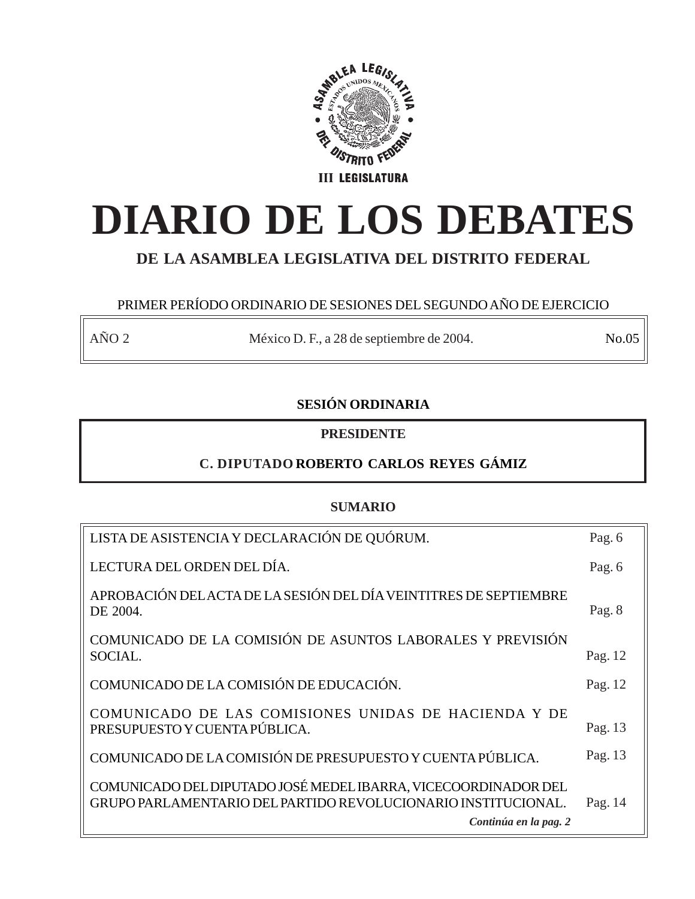

# **DIARIO DE LOS DEBATES**

# **DE LA ASAMBLEA LEGISLATIVA DEL DISTRITO FEDERAL**

# PRIMER PERÍODO ORDINARIO DE SESIONES DEL SEGUNDO AÑO DE EJERCICIO

AÑO 2 México D. F., a 28 de septiembre de 2004. No.05

# **SESIÓN ORDINARIA**

# **PRESIDENTE**

# **C. DIPUTADO ROBERTO CARLOS REYES GÁMIZ**

# **SUMARIO**

| LISTA DE ASISTENCIA Y DECLARACIÓN DE QUÓRUM.                                                                                                             | Pag. 6  |
|----------------------------------------------------------------------------------------------------------------------------------------------------------|---------|
| LECTURA DEL ORDEN DEL DÍA.                                                                                                                               | Pag. 6  |
| APROBACIÓN DEL ACTA DE LA SESIÓN DEL DÍA VEINTITRES DE SEPTIEMBRE<br>DE 2004.                                                                            | Pag. 8  |
| COMUNICADO DE LA COMISIÓN DE ASUNTOS LABORALES Y PREVISIÓN<br>SOCIAL.                                                                                    | Pag. 12 |
| COMUNICADO DE LA COMISIÓN DE EDUCACIÓN.                                                                                                                  | Pag. 12 |
| COMUNICADO DE LAS COMISIONES UNIDAS DE HACIENDA Y DE<br>PRESUPUESTO Y CUENTA PÚBLICA.                                                                    | Pag. 13 |
| COMUNICADO DE LA COMISIÓN DE PRESUPUESTO Y CUENTA PÚBLICA.                                                                                               | Pag. 13 |
| COMUNICADO DEL DIPUTADO JOSÉ MEDEL IBARRA, VICECOORDINADOR DEL<br>GRUPO PARLAMENTARIO DEL PARTIDO REVOLUCIONARIO INSTITUCIONAL.<br>Continúa en la pag. 2 | Pag. 14 |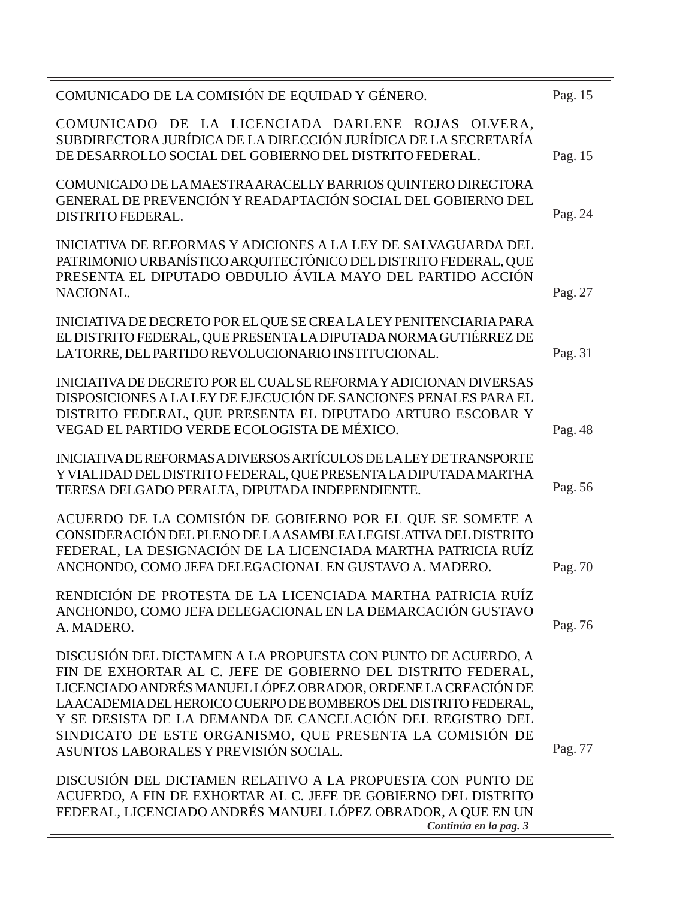| COMUNICADO DE LA COMISIÓN DE EQUIDAD Y GÉNERO.                                                                                                                                                                                                                                                                                                                                                                                        | Pag. 15 |
|---------------------------------------------------------------------------------------------------------------------------------------------------------------------------------------------------------------------------------------------------------------------------------------------------------------------------------------------------------------------------------------------------------------------------------------|---------|
| COMUNICADO DE LA LICENCIADA DARLENE ROJAS OLVERA,<br>SUBDIRECTORA JURÍDICA DE LA DIRECCIÓN JURÍDICA DE LA SECRETARÍA<br>DE DESARROLLO SOCIAL DEL GOBIERNO DEL DISTRITO FEDERAL.                                                                                                                                                                                                                                                       | Pag. 15 |
| COMUNICADO DE LA MAESTRA ARACELLY BARRIOS QUINTERO DIRECTORA<br>GENERAL DE PREVENCIÓN Y READAPTACIÓN SOCIAL DEL GOBIERNO DEL<br><b>DISTRITO FEDERAL.</b>                                                                                                                                                                                                                                                                              | Pag. 24 |
| INICIATIVA DE REFORMAS Y ADICIONES A LA LEY DE SALVAGUARDA DEL<br>PATRIMONIO URBANÍSTICO ARQUITECTÓNICO DEL DISTRITO FEDERAL, QUE<br>PRESENTA EL DIPUTADO OBDULIO ÁVILA MAYO DEL PARTIDO ACCIÓN<br>NACIONAL.                                                                                                                                                                                                                          | Pag. 27 |
| INICIATIVA DE DECRETO POR EL QUE SE CREA LA LEY PENITENCIARIA PARA<br>EL DISTRITO FEDERAL, QUE PRESENTA LA DIPUTADA NORMA GUTIÉRREZ DE<br>LATORRE, DEL PARTIDO REVOLUCIONARIO INSTITUCIONAL.                                                                                                                                                                                                                                          | Pag. 31 |
| INICIATIVA DE DECRETO POR EL CUAL SE REFORMA Y ADICIONAN DIVERSAS<br>DISPOSICIONES A LA LEY DE EJECUCIÓN DE SANCIONES PENALES PARA EL<br>DISTRITO FEDERAL, QUE PRESENTA EL DIPUTADO ARTURO ESCOBAR Y<br>VEGAD EL PARTIDO VERDE ECOLOGISTA DE MÉXICO.                                                                                                                                                                                  | Pag. 48 |
| INICIATIVA DE REFORMAS A DIVERSOS ARTÍCULOS DE LA LEY DE TRANSPORTE<br>Y VIALIDAD DEL DISTRITO FEDERAL, QUE PRESENTA LA DIPUTADA MARTHA<br>TERESA DELGADO PERALTA, DIPUTADA INDEPENDIENTE.                                                                                                                                                                                                                                            | Pag. 56 |
| ACUERDO DE LA COMISIÓN DE GOBIERNO POR EL QUE SE SOMETE A<br>CONSIDERACIÓN DEL PLENO DE LA ASAMBLEA LEGISLATIVA DEL DISTRITO<br>FEDERAL, LA DESIGNACIÓN DE LA LICENCIADA MARTHA PATRICIA RUÍZ<br>ANCHONDO, COMO JEFA DELEGACIONAL EN GUSTAVO A. MADERO.                                                                                                                                                                               | Pag. 70 |
| RENDICIÓN DE PROTESTA DE LA LICENCIADA MARTHA PATRICIA RUÍZ<br>ANCHONDO, COMO JEFA DELEGACIONAL EN LA DEMARCACIÓN GUSTAVO<br>A. MADERO.                                                                                                                                                                                                                                                                                               | Pag. 76 |
| DISCUSIÓN DEL DICTAMEN A LA PROPUESTA CON PUNTO DE ACUERDO, A<br>FIN DE EXHORTAR AL C. JEFE DE GOBIERNO DEL DISTRITO FEDERAL,<br>LICENCIADO ANDRÉS MANUEL LÓPEZ OBRADOR, ORDENE LA CREACIÓN DE<br>LA ACADEMIA DEL HEROICO CUERPO DE BOMBEROS DEL DISTRITO FEDERAL,<br>Y SE DESISTA DE LA DEMANDA DE CANCELACIÓN DEL REGISTRO DEL<br>SINDICATO DE ESTE ORGANISMO, QUE PRESENTA LA COMISIÓN DE<br>ASUNTOS LABORALES Y PREVISIÓN SOCIAL. | Pag. 77 |
| DISCUSIÓN DEL DICTAMEN RELATIVO A LA PROPUESTA CON PUNTO DE<br>ACUERDO, A FIN DE EXHORTAR AL C. JEFE DE GOBIERNO DEL DISTRITO<br>FEDERAL, LICENCIADO ANDRÉS MANUEL LÓPEZ OBRADOR, A QUE EN UN<br>Continúa en la pag. 3                                                                                                                                                                                                                |         |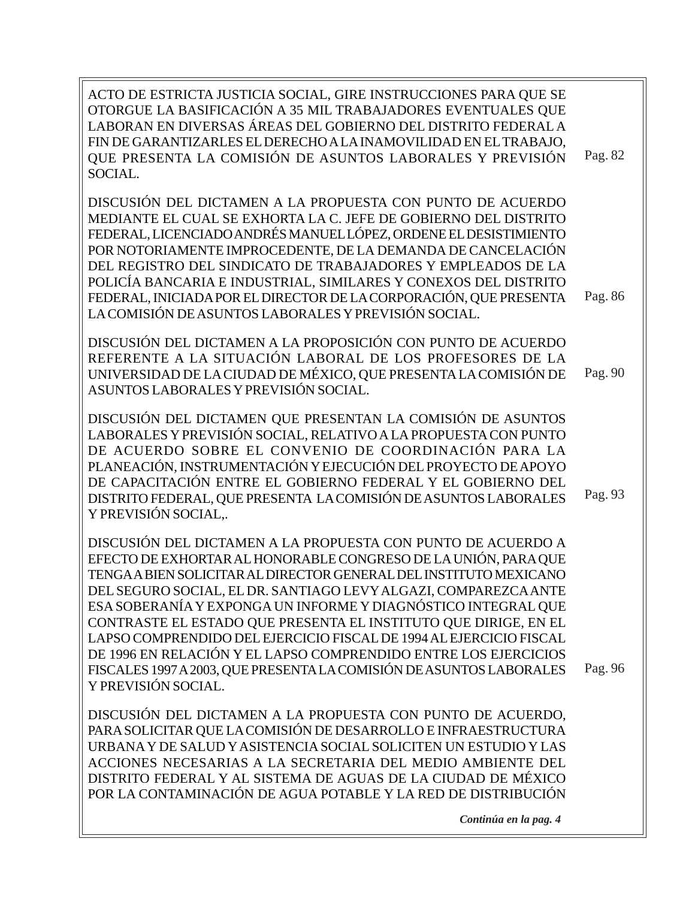| ACTO DE ESTRICTA JUSTICIA SOCIAL, GIRE INSTRUCCIONES PARA QUE SE<br>OTORGUE LA BASIFICACIÓN A 35 MIL TRABAJADORES EVENTUALES QUE<br>LABORAN EN DIVERSAS ÁREAS DEL GOBIERNO DEL DISTRITO FEDERAL A<br>FIN DE GARANTIZARLES EL DERECHO A LA INAMOVILIDAD EN EL TRABAJO,<br>QUE PRESENTA LA COMISIÓN DE ASUNTOS LABORALES Y PREVISIÓN<br>SOCIAL.                                                                                                                                                                                                                                                                                                    | Pag. 82 |
|--------------------------------------------------------------------------------------------------------------------------------------------------------------------------------------------------------------------------------------------------------------------------------------------------------------------------------------------------------------------------------------------------------------------------------------------------------------------------------------------------------------------------------------------------------------------------------------------------------------------------------------------------|---------|
| DISCUSIÓN DEL DICTAMEN A LA PROPUESTA CON PUNTO DE ACUERDO<br>MEDIANTE EL CUAL SE EXHORTA LA C. JEFE DE GOBIERNO DEL DISTRITO<br>FEDERAL, LICENCIADO ANDRÉS MANUEL LÓPEZ, ORDENE EL DESISTIMIENTO<br>POR NOTORIAMENTE IMPROCEDENTE, DE LA DEMANDA DE CANCELACIÓN<br>DEL REGISTRO DEL SINDICATO DE TRABAJADORES Y EMPLEADOS DE LA<br>POLICÍA BANCARIA E INDUSTRIAL, SIMILARES Y CONEXOS DEL DISTRITO<br>FEDERAL, INICIADA POR EL DIRECTOR DE LA CORPORACIÓN, QUE PRESENTA<br>LA COMISIÓN DE ASUNTOS LABORALES Y PREVISIÓN SOCIAL.                                                                                                                 | Pag. 86 |
| DISCUSIÓN DEL DICTAMEN A LA PROPOSICIÓN CON PUNTO DE ACUERDO<br>REFERENTE A LA SITUACIÓN LABORAL DE LOS PROFESORES DE LA<br>UNIVERSIDAD DE LA CIUDAD DE MÉXICO, QUE PRESENTA LA COMISIÓN DE<br>ASUNTOS LABORALES Y PREVISIÓN SOCIAL.                                                                                                                                                                                                                                                                                                                                                                                                             | Pag. 90 |
| DISCUSIÓN DEL DICTAMEN QUE PRESENTAN LA COMISIÓN DE ASUNTOS<br>LABORALES Y PREVISIÓN SOCIAL, RELATIVO A LA PROPUESTA CON PUNTO<br>DE ACUERDO SOBRE EL CONVENIO DE COORDINACIÓN PARA LA<br>PLANEACIÓN, INSTRUMENTACIÓN Y EJECUCIÓN DEL PROYECTO DE APOYO<br>DE CAPACITACIÓN ENTRE EL GOBIERNO FEDERAL Y EL GOBIERNO DEL<br>DISTRITO FEDERAL, QUE PRESENTA LA COMISIÓN DE ASUNTOS LABORALES<br>Y PREVISIÓN SOCIAL                                                                                                                                                                                                                                  | Pag. 93 |
| DISCUSIÓN DEL DICTAMEN A LA PROPUESTA CON PUNTO DE ACUERDO A<br>EFECTO DE EXHORTAR AL HONORABLE CONGRESO DE LA UNIÓN, PARA QUE<br>TENGAA BIEN SOLICITAR AL DIRECTOR GENERAL DEL INSTITUTO MEXICANO<br>DEL SEGURO SOCIAL, EL DR. SANTIAGO LEVY ALGAZI, COMPAREZCA ANTE<br>ESA SOBERANÍA Y EXPONGA UN INFORME Y DIAGNÓSTICO INTEGRAL QUE<br>CONTRASTE EL ESTADO QUE PRESENTA EL INSTITUTO QUE DIRIGE, EN EL<br>LAPSO COMPRENDIDO DEL EJERCICIO FISCAL DE 1994 AL EJERCICIO FISCAL<br>DE 1996 EN RELACIÓN Y EL LAPSO COMPRENDIDO ENTRE LOS EJERCICIOS<br>FISCALES 1997 A 2003, QUE PRESENTA LA COMISIÓN DE ASUNTOS LABORALES<br>Y PREVISIÓN SOCIAL. | Pag. 96 |
| DISCUSIÓN DEL DICTAMEN A LA PROPUESTA CON PUNTO DE ACUERDO,<br>PARA SOLICITAR QUE LA COMISIÓN DE DESARROLLO E INFRAESTRUCTURA<br>URBANA Y DE SALUD Y ASISTENCIA SOCIAL SOLICITEN UN ESTUDIO Y LAS<br>ACCIONES NECESARIAS A LA SECRETARIA DEL MEDIO AMBIENTE DEL<br>DISTRITO FEDERAL Y AL SISTEMA DE AGUAS DE LA CIUDAD DE MÉXICO<br>POR LA CONTAMINACIÓN DE AGUA POTABLE Y LA RED DE DISTRIBUCIÓN                                                                                                                                                                                                                                                |         |

*Continúa en la pag. 4*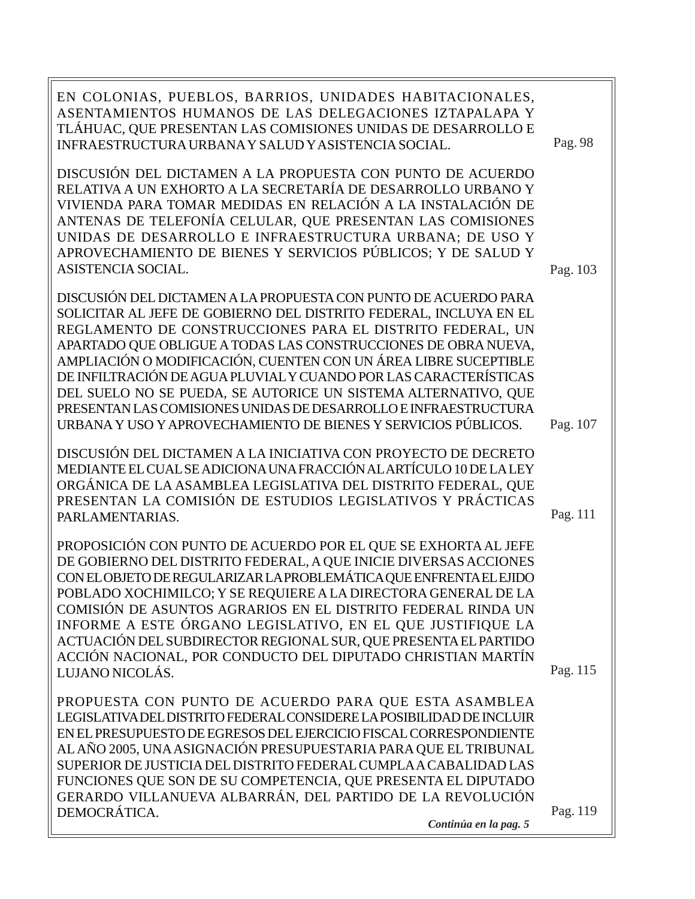| EN COLONIAS, PUEBLOS, BARRIOS, UNIDADES HABITACIONALES,<br>ASENTAMIENTOS HUMANOS DE LAS DELEGACIONES IZTAPALAPA Y<br>TLÁHUAC, QUE PRESENTAN LAS COMISIONES UNIDAS DE DESARROLLO E<br>INFRAESTRUCTURA URBANA Y SALUD Y ASISTENCIA SOCIAL.                                                                                                                                                                                                                                                                                                                                                                          | Pag. 98  |
|-------------------------------------------------------------------------------------------------------------------------------------------------------------------------------------------------------------------------------------------------------------------------------------------------------------------------------------------------------------------------------------------------------------------------------------------------------------------------------------------------------------------------------------------------------------------------------------------------------------------|----------|
| DISCUSIÓN DEL DICTAMEN A LA PROPUESTA CON PUNTO DE ACUERDO<br>RELATIVA A UN EXHORTO A LA SECRETARÍA DE DESARROLLO URBANO Y<br>VIVIENDA PARA TOMAR MEDIDAS EN RELACIÓN A LA INSTALACIÓN DE<br>ANTENAS DE TELEFONÍA CELULAR, QUE PRESENTAN LAS COMISIONES<br>UNIDAS DE DESARROLLO E INFRAESTRUCTURA URBANA; DE USO Y<br>APROVECHAMIENTO DE BIENES Y SERVICIOS PÚBLICOS; Y DE SALUD Y<br>ASISTENCIA SOCIAL.                                                                                                                                                                                                          | Pag. 103 |
| DISCUSIÓN DEL DICTAMEN A LA PROPUESTA CON PUNTO DE ACUERDO PARA<br>SOLICITAR AL JEFE DE GOBIERNO DEL DISTRITO FEDERAL, INCLUYA EN EL<br>REGLAMENTO DE CONSTRUCCIONES PARA EL DISTRITO FEDERAL, UN<br>APARTADO QUE OBLIGUE A TODAS LAS CONSTRUCCIONES DE OBRA NUEVA,<br>AMPLIACIÓN O MODIFICACIÓN, CUENTEN CON UN ÁREA LIBRE SUCEPTIBLE<br>DE INFILTRACIÓN DE AGUA PLUVIAL Y CUANDO POR LAS CARACTERÍSTICAS<br>DEL SUELO NO SE PUEDA, SE AUTORICE UN SISTEMA ALTERNATIVO, QUE<br>PRESENTAN LAS COMISIONES UNIDAS DE DESARROLLO E INFRAESTRUCTURA<br>URBANA Y USO Y APROVECHAMIENTO DE BIENES Y SERVICIOS PÚBLICOS. | Pag. 107 |
| DISCUSIÓN DEL DICTAMEN A LA INICIATIVA CON PROYECTO DE DECRETO<br>MEDIANTE EL CUAL SE ADICIONA UNA FRACCIÓN AL ARTÍCULO 10 DE LA LEY<br>ORGÁNICA DE LA ASAMBLEA LEGISLATIVA DEL DISTRITO FEDERAL, QUE<br>PRESENTAN LA COMISIÓN DE ESTUDIOS LEGISLATIVOS Y PRÁCTICAS<br>PARLAMENTARIAS.                                                                                                                                                                                                                                                                                                                            | Pag. 111 |
| PROPOSICIÓN CON PUNTO DE ACUERDO POR EL QUE SE EXHORTA AL JEFE<br>DE GOBIERNO DEL DISTRITO FEDERAL, A QUE INICIE DIVERSAS ACCIONES<br>CON EL OBJETO DE REGULARIZAR LA PROBLEMÁTICA QUE ENFRENTA EL EJIDO<br>POBLADO XOCHIMILCO; Y SE REQUIERE A LA DIRECTORA GENERAL DE LA<br>COMISIÓN DE ASUNTOS AGRARIOS EN EL DISTRITO FEDERAL RINDA UN<br>INFORME A ESTE ÓRGANO LEGISLATIVO, EN EL QUE JUSTIFIQUE LA<br>ACTUACIÓN DEL SUBDIRECTOR REGIONAL SUR, QUE PRESENTA EL PARTIDO<br>ACCIÓN NACIONAL, POR CONDUCTO DEL DIPUTADO CHRISTIAN MARTÍN<br>LUJANO NICOLÁS.                                                     | Pag. 115 |
| PROPUESTA CON PUNTO DE ACUERDO PARA QUE ESTA ASAMBLEA<br>LEGISLATIVA DEL DISTRITO FEDERAL CONSIDERE LA POSIBILIDAD DE INCLUIR<br>EN EL PRESUPUESTO DE EGRESOS DEL EJERCICIO FISCAL CORRESPONDIENTE<br>AL AÑO 2005, UNA ASIGNACIÓN PRESUPUESTARIA PARA QUE EL TRIBUNAL<br>SUPERIOR DE JUSTICIA DEL DISTRITO FEDERAL CUMPLA A CABALIDAD LAS<br>FUNCIONES QUE SON DE SU COMPETENCIA, QUE PRESENTA EL DIPUTADO<br>GERARDO VILLANUEVA ALBARRÁN, DEL PARTIDO DE LA REVOLUCIÓN<br>DEMOCRÁTICA.<br>Continúa en la pag. 5                                                                                                  | Pag. 119 |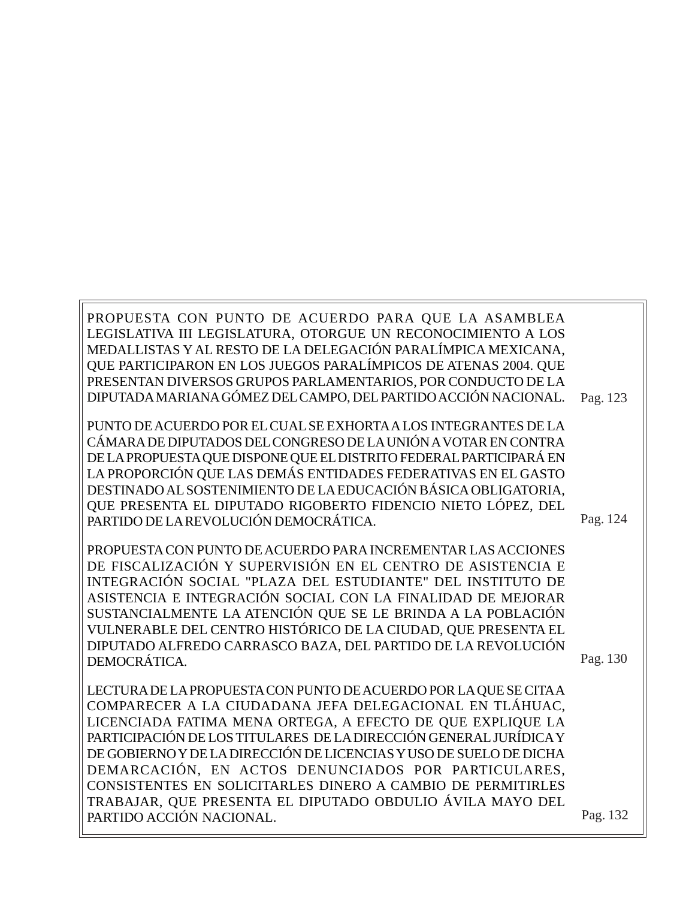PROPUESTA CON PUNTO DE ACUERDO PARA QUE LA ASAMBLEA LEGISLATIVA III LEGISLATURA, OTORGUE UN RECONOCIMIENTO A LOS MEDALLISTAS Y AL RESTO DE LA DELEGACIÓN PARALÍMPICA MEXICANA, QUE PARTICIPARON EN LOS JUEGOS PARALÍMPICOS DE ATENAS 2004. QUE PRESENTAN DIVERSOS GRUPOS PARLAMENTARIOS, POR CONDUCTO DE LA DIPUTADA MARIANA GÓMEZ DEL CAMPO, DEL PARTIDO ACCIÓN NACIONAL. Pag. 123

PUNTO DE ACUERDO POR EL CUAL SE EXHORTA A LOS INTEGRANTES DE LA CÁMARA DE DIPUTADOS DEL CONGRESO DE LA UNIÓN A VOTAR EN CONTRA DE LA PROPUESTA QUE DISPONE QUE EL DISTRITO FEDERAL PARTICIPARÁ EN LA PROPORCIÓN QUE LAS DEMÁS ENTIDADES FEDERATIVAS EN EL GASTO DESTINADO AL SOSTENIMIENTO DE LA EDUCACIÓN BÁSICA OBLIGATORIA, QUE PRESENTA EL DIPUTADO RIGOBERTO FIDENCIO NIETO LÓPEZ, DEL PARTIDO DE LA REVOLUCIÓN DEMOCRÁTICA.

Pag. 124

Pag. 130

PROPUESTA CON PUNTO DE ACUERDO PARA INCREMENTAR LAS ACCIONES DE FISCALIZACIÓN Y SUPERVISIÓN EN EL CENTRO DE ASISTENCIA E INTEGRACIÓN SOCIAL "PLAZA DEL ESTUDIANTE" DEL INSTITUTO DE ASISTENCIA E INTEGRACIÓN SOCIAL CON LA FINALIDAD DE MEJORAR SUSTANCIALMENTE LA ATENCIÓN QUE SE LE BRINDA A LA POBLACIÓN VULNERABLE DEL CENTRO HISTÓRICO DE LA CIUDAD, QUE PRESENTA EL DIPUTADO ALFREDO CARRASCO BAZA, DEL PARTIDO DE LA REVOLUCIÓN DEMOCRÁTICA.

LECTURA DE LA PROPUESTA CON PUNTO DE ACUERDO POR LA QUE SE CITA A COMPARECER A LA CIUDADANA JEFA DELEGACIONAL EN TLÁHUAC, LICENCIADA FATIMA MENA ORTEGA, A EFECTO DE QUE EXPLIQUE LA PARTICIPACIÓN DE LOS TITULARES DE LA DIRECCIÓN GENERAL JURÍDICA Y DE GOBIERNO Y DE LA DIRECCIÓN DE LICENCIAS Y USO DE SUELO DE DICHA DEMARCACIÓN, EN ACTOS DENUNCIADOS POR PARTICULARES, CONSISTENTES EN SOLICITARLES DINERO A CAMBIO DE PERMITIRLES TRABAJAR, QUE PRESENTA EL DIPUTADO OBDULIO ÁVILA MAYO DEL PARTIDO ACCIÓN NACIONAL.

Pag. 132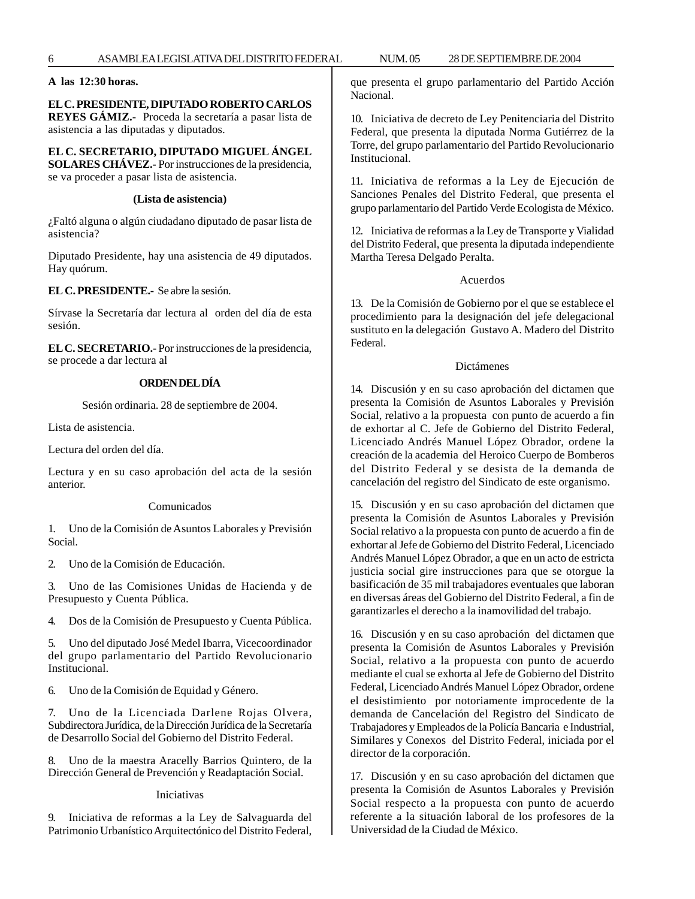**A las 12:30 horas.**

#### **EL C. PRESIDENTE, DIPUTADO ROBERTO CARLOS REYES GÁMIZ.-** Proceda la secretaría a pasar lista de

asistencia a las diputadas y diputados.

**EL C. SECRETARIO, DIPUTADO MIGUEL ÁNGEL SOLARES CHÁVEZ.-** Por instrucciones de la presidencia, se va proceder a pasar lista de asistencia.

# **(Lista de asistencia)**

¿Faltó alguna o algún ciudadano diputado de pasar lista de asistencia?

Diputado Presidente, hay una asistencia de 49 diputados. Hay quórum.

#### **EL C. PRESIDENTE.-** Se abre la sesión.

Sírvase la Secretaría dar lectura al orden del día de esta sesión.

**EL C. SECRETARIO.-** Por instrucciones de la presidencia, se procede a dar lectura al

# **ORDEN DEL DÍA**

Sesión ordinaria. 28 de septiembre de 2004.

Lista de asistencia.

Lectura del orden del día.

Lectura y en su caso aprobación del acta de la sesión anterior.

#### Comunicados

1. Uno de la Comisión de Asuntos Laborales y Previsión Social.

2. Uno de la Comisión de Educación.

3. Uno de las Comisiones Unidas de Hacienda y de Presupuesto y Cuenta Pública.

4. Dos de la Comisión de Presupuesto y Cuenta Pública.

5. Uno del diputado José Medel Ibarra, Vicecoordinador del grupo parlamentario del Partido Revolucionario Institucional.

6. Uno de la Comisión de Equidad y Género.

7. Uno de la Licenciada Darlene Rojas Olvera, Subdirectora Jurídica, de la Dirección Jurídica de la Secretaría de Desarrollo Social del Gobierno del Distrito Federal.

8. Uno de la maestra Aracelly Barrios Quintero, de la Dirección General de Prevención y Readaptación Social.

Iniciativas

9. Iniciativa de reformas a la Ley de Salvaguarda del Patrimonio Urbanístico Arquitectónico del Distrito Federal, que presenta el grupo parlamentario del Partido Acción Nacional.

10. Iniciativa de decreto de Ley Penitenciaria del Distrito Federal, que presenta la diputada Norma Gutiérrez de la Torre, del grupo parlamentario del Partido Revolucionario Institucional.

11. Iniciativa de reformas a la Ley de Ejecución de Sanciones Penales del Distrito Federal, que presenta el grupo parlamentario del Partido Verde Ecologista de México.

12. Iniciativa de reformas a la Ley de Transporte y Vialidad del Distrito Federal, que presenta la diputada independiente Martha Teresa Delgado Peralta.

#### Acuerdos

13. De la Comisión de Gobierno por el que se establece el procedimiento para la designación del jefe delegacional sustituto en la delegación Gustavo A. Madero del Distrito Federal.

#### Dictámenes

14. Discusión y en su caso aprobación del dictamen que presenta la Comisión de Asuntos Laborales y Previsión Social, relativo a la propuesta con punto de acuerdo a fin de exhortar al C. Jefe de Gobierno del Distrito Federal, Licenciado Andrés Manuel López Obrador, ordene la creación de la academia del Heroico Cuerpo de Bomberos del Distrito Federal y se desista de la demanda de cancelación del registro del Sindicato de este organismo.

15. Discusión y en su caso aprobación del dictamen que presenta la Comisión de Asuntos Laborales y Previsión Social relativo a la propuesta con punto de acuerdo a fin de exhortar al Jefe de Gobierno del Distrito Federal, Licenciado Andrés Manuel López Obrador, a que en un acto de estricta justicia social gire instrucciones para que se otorgue la basificación de 35 mil trabajadores eventuales que laboran en diversas áreas del Gobierno del Distrito Federal, a fin de garantizarles el derecho a la inamovilidad del trabajo.

16. Discusión y en su caso aprobación del dictamen que presenta la Comisión de Asuntos Laborales y Previsión Social, relativo a la propuesta con punto de acuerdo mediante el cual se exhorta al Jefe de Gobierno del Distrito Federal, Licenciado Andrés Manuel López Obrador, ordene el desistimiento por notoriamente improcedente de la demanda de Cancelación del Registro del Sindicato de Trabajadores y Empleados de la Policía Bancaria e Industrial, Similares y Conexos del Distrito Federal, iniciada por el director de la corporación.

17. Discusión y en su caso aprobación del dictamen que presenta la Comisión de Asuntos Laborales y Previsión Social respecto a la propuesta con punto de acuerdo referente a la situación laboral de los profesores de la Universidad de la Ciudad de México.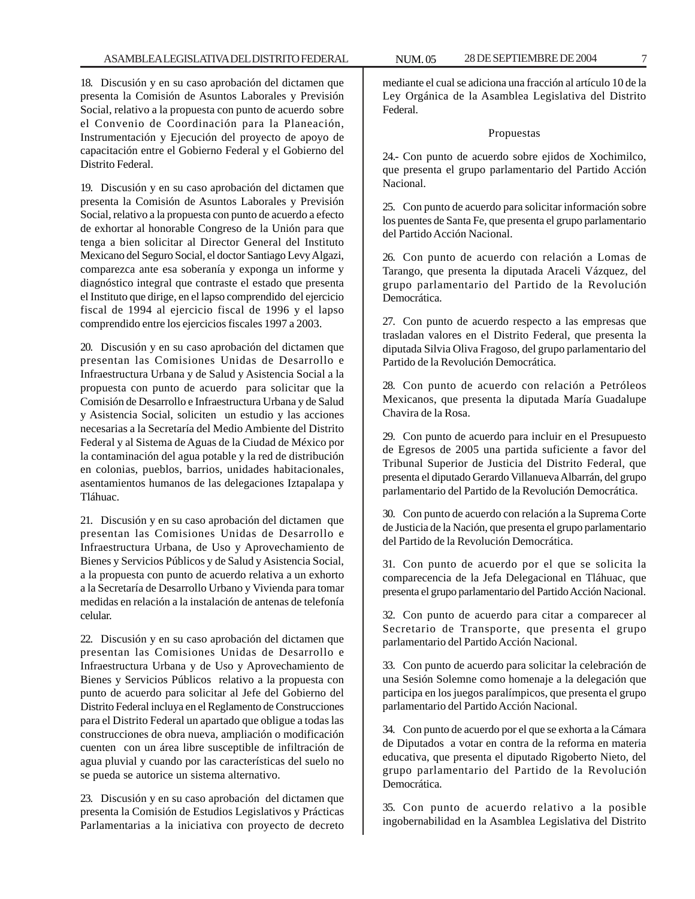18. Discusión y en su caso aprobación del dictamen que presenta la Comisión de Asuntos Laborales y Previsión Social, relativo a la propuesta con punto de acuerdo sobre el Convenio de Coordinación para la Planeación, Instrumentación y Ejecución del proyecto de apoyo de capacitación entre el Gobierno Federal y el Gobierno del Distrito Federal.

19. Discusión y en su caso aprobación del dictamen que presenta la Comisión de Asuntos Laborales y Previsión Social, relativo a la propuesta con punto de acuerdo a efecto de exhortar al honorable Congreso de la Unión para que tenga a bien solicitar al Director General del Instituto Mexicano del Seguro Social, el doctor Santiago Levy Algazi, comparezca ante esa soberanía y exponga un informe y diagnóstico integral que contraste el estado que presenta el Instituto que dirige, en el lapso comprendido del ejercicio fiscal de 1994 al ejercicio fiscal de 1996 y el lapso comprendido entre los ejercicios fiscales 1997 a 2003.

20. Discusión y en su caso aprobación del dictamen que presentan las Comisiones Unidas de Desarrollo e Infraestructura Urbana y de Salud y Asistencia Social a la propuesta con punto de acuerdo para solicitar que la Comisión de Desarrollo e Infraestructura Urbana y de Salud y Asistencia Social, soliciten un estudio y las acciones necesarias a la Secretaría del Medio Ambiente del Distrito Federal y al Sistema de Aguas de la Ciudad de México por la contaminación del agua potable y la red de distribución en colonias, pueblos, barrios, unidades habitacionales, asentamientos humanos de las delegaciones Iztapalapa y Tláhuac.

21. Discusión y en su caso aprobación del dictamen que presentan las Comisiones Unidas de Desarrollo e Infraestructura Urbana, de Uso y Aprovechamiento de Bienes y Servicios Públicos y de Salud y Asistencia Social, a la propuesta con punto de acuerdo relativa a un exhorto a la Secretaría de Desarrollo Urbano y Vivienda para tomar medidas en relación a la instalación de antenas de telefonía celular.

22. Discusión y en su caso aprobación del dictamen que presentan las Comisiones Unidas de Desarrollo e Infraestructura Urbana y de Uso y Aprovechamiento de Bienes y Servicios Públicos relativo a la propuesta con punto de acuerdo para solicitar al Jefe del Gobierno del Distrito Federal incluya en el Reglamento de Construcciones para el Distrito Federal un apartado que obligue a todas las construcciones de obra nueva, ampliación o modificación cuenten con un área libre susceptible de infiltración de agua pluvial y cuando por las características del suelo no se pueda se autorice un sistema alternativo.

23. Discusión y en su caso aprobación del dictamen que presenta la Comisión de Estudios Legislativos y Prácticas Parlamentarias a la iniciativa con proyecto de decreto

mediante el cual se adiciona una fracción al artículo 10 de la Ley Orgánica de la Asamblea Legislativa del Distrito Federal.

#### Propuestas

24.- Con punto de acuerdo sobre ejidos de Xochimilco, que presenta el grupo parlamentario del Partido Acción Nacional.

25. Con punto de acuerdo para solicitar información sobre los puentes de Santa Fe, que presenta el grupo parlamentario del Partido Acción Nacional.

26. Con punto de acuerdo con relación a Lomas de Tarango, que presenta la diputada Araceli Vázquez, del grupo parlamentario del Partido de la Revolución Democrática.

27. Con punto de acuerdo respecto a las empresas que trasladan valores en el Distrito Federal, que presenta la diputada Silvia Oliva Fragoso, del grupo parlamentario del Partido de la Revolución Democrática.

28. Con punto de acuerdo con relación a Petróleos Mexicanos, que presenta la diputada María Guadalupe Chavira de la Rosa.

29. Con punto de acuerdo para incluir en el Presupuesto de Egresos de 2005 una partida suficiente a favor del Tribunal Superior de Justicia del Distrito Federal, que presenta el diputado Gerardo Villanueva Albarrán, del grupo parlamentario del Partido de la Revolución Democrática.

30. Con punto de acuerdo con relación a la Suprema Corte de Justicia de la Nación, que presenta el grupo parlamentario del Partido de la Revolución Democrática.

31. Con punto de acuerdo por el que se solicita la comparecencia de la Jefa Delegacional en Tláhuac, que presenta el grupo parlamentario del Partido Acción Nacional.

32. Con punto de acuerdo para citar a comparecer al Secretario de Transporte, que presenta el grupo parlamentario del Partido Acción Nacional.

33. Con punto de acuerdo para solicitar la celebración de una Sesión Solemne como homenaje a la delegación que participa en los juegos paralímpicos, que presenta el grupo parlamentario del Partido Acción Nacional.

34. Con punto de acuerdo por el que se exhorta a la Cámara de Diputados a votar en contra de la reforma en materia educativa, que presenta el diputado Rigoberto Nieto, del grupo parlamentario del Partido de la Revolución **Democrática** 

35. Con punto de acuerdo relativo a la posible ingobernabilidad en la Asamblea Legislativa del Distrito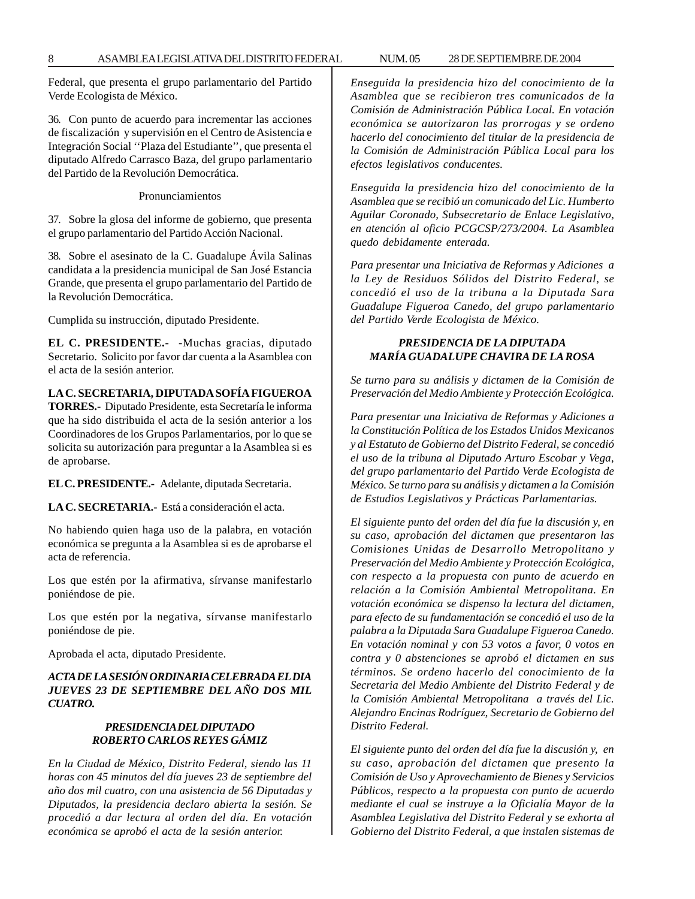Federal, que presenta el grupo parlamentario del Partido Verde Ecologista de México.

36. Con punto de acuerdo para incrementar las acciones de fiscalización y supervisión en el Centro de Asistencia e Integración Social ''Plaza del Estudiante'', que presenta el diputado Alfredo Carrasco Baza, del grupo parlamentario del Partido de la Revolución Democrática.

Pronunciamientos

37. Sobre la glosa del informe de gobierno, que presenta el grupo parlamentario del Partido Acción Nacional.

38. Sobre el asesinato de la C. Guadalupe Ávila Salinas candidata a la presidencia municipal de San José Estancia Grande, que presenta el grupo parlamentario del Partido de la Revolución Democrática.

Cumplida su instrucción, diputado Presidente.

**EL C. PRESIDENTE.-** -Muchas gracias, diputado Secretario. Solicito por favor dar cuenta a la Asamblea con el acta de la sesión anterior.

**LA C. SECRETARIA, DIPUTADA SOFÍA FIGUEROA**

**TORRES.-** Diputado Presidente, esta Secretaría le informa que ha sido distribuida el acta de la sesión anterior a los Coordinadores de los Grupos Parlamentarios, por lo que se solicita su autorización para preguntar a la Asamblea si es de aprobarse.

**EL C. PRESIDENTE.-** Adelante, diputada Secretaria.

**LA C. SECRETARIA.-** Está a consideración el acta.

No habiendo quien haga uso de la palabra, en votación económica se pregunta a la Asamblea si es de aprobarse el acta de referencia.

Los que estén por la afirmativa, sírvanse manifestarlo poniéndose de pie.

Los que estén por la negativa, sírvanse manifestarlo poniéndose de pie.

Aprobada el acta, diputado Presidente.

# *ACTA DE LA SESIÓN ORDINARIA CELEBRADA EL DIA JUEVES 23 DE SEPTIEMBRE DEL AÑO DOS MIL CUATRO.*

# *PRESIDENCIA DEL DIPUTADO ROBERTO CARLOS REYES GÁMIZ*

*En la Ciudad de México, Distrito Federal, siendo las 11 horas con 45 minutos del día jueves 23 de septiembre del año dos mil cuatro, con una asistencia de 56 Diputadas y Diputados, la presidencia declaro abierta la sesión. Se procedió a dar lectura al orden del día. En votación económica se aprobó el acta de la sesión anterior.*

*Enseguida la presidencia hizo del conocimiento de la Asamblea que se recibieron tres comunicados de la Comisión de Administración Pública Local. En votación económica se autorizaron las prorrogas y se ordeno hacerlo del conocimiento del titular de la presidencia de la Comisión de Administración Pública Local para los efectos legislativos conducentes.*

*Enseguida la presidencia hizo del conocimiento de la Asamblea que se recibió un comunicado del Lic. Humberto Aguilar Coronado, Subsecretario de Enlace Legislativo, en atención al oficio PCGCSP/273/2004. La Asamblea quedo debidamente enterada.*

*Para presentar una Iniciativa de Reformas y Adiciones a la Ley de Residuos Sólidos del Distrito Federal, se concedió el uso de la tribuna a la Diputada Sara Guadalupe Figueroa Canedo, del grupo parlamentario del Partido Verde Ecologista de México.*

# *PRESIDENCIA DE LA DIPUTADA MARÍA GUADALUPE CHAVIRA DE LA ROSA*

*Se turno para su análisis y dictamen de la Comisión de Preservación del Medio Ambiente y Protección Ecológica.*

*Para presentar una Iniciativa de Reformas y Adiciones a la Constitución Política de los Estados Unidos Mexicanos y al Estatuto de Gobierno del Distrito Federal, se concedió el uso de la tribuna al Diputado Arturo Escobar y Vega, del grupo parlamentario del Partido Verde Ecologista de México. Se turno para su análisis y dictamen a la Comisión de Estudios Legislativos y Prácticas Parlamentarias.*

*El siguiente punto del orden del día fue la discusión y, en su caso, aprobación del dictamen que presentaron las Comisiones Unidas de Desarrollo Metropolitano y Preservación del Medio Ambiente y Protección Ecológica, con respecto a la propuesta con punto de acuerdo en relación a la Comisión Ambiental Metropolitana. En votación económica se dispenso la lectura del dictamen, para efecto de su fundamentación se concedió el uso de la palabra a la Diputada Sara Guadalupe Figueroa Canedo. En votación nominal y con 53 votos a favor, 0 votos en contra y 0 abstenciones se aprobó el dictamen en sus términos. Se ordeno hacerlo del conocimiento de la Secretaria del Medio Ambiente del Distrito Federal y de la Comisión Ambiental Metropolitana a través del Lic. Alejandro Encinas Rodríguez, Secretario de Gobierno del Distrito Federal.*

*El siguiente punto del orden del día fue la discusión y, en su caso, aprobación del dictamen que presento la Comisión de Uso y Aprovechamiento de Bienes y Servicios Públicos, respecto a la propuesta con punto de acuerdo mediante el cual se instruye a la Oficialía Mayor de la Asamblea Legislativa del Distrito Federal y se exhorta al Gobierno del Distrito Federal, a que instalen sistemas de*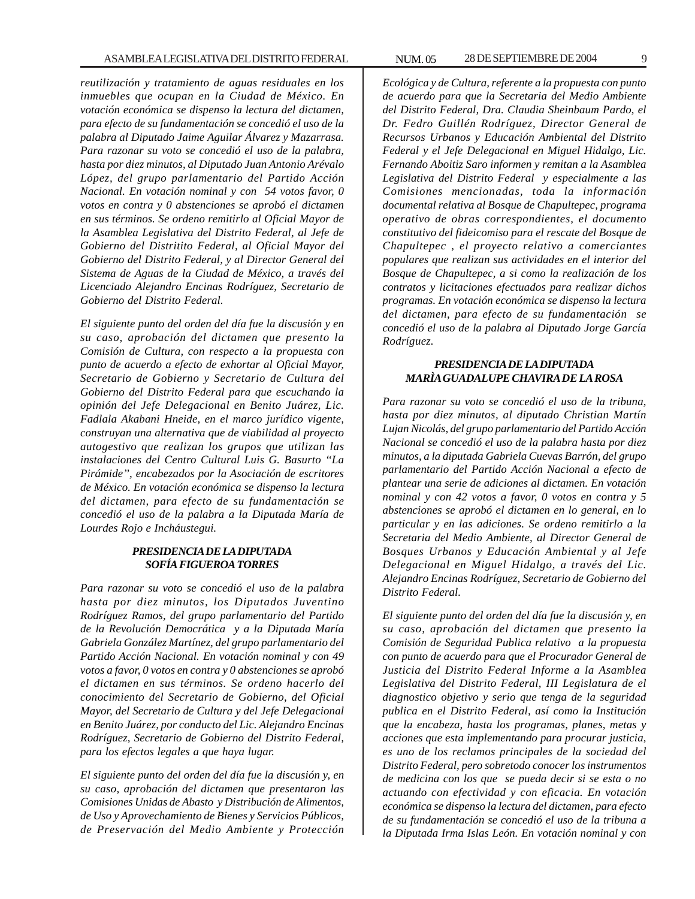*reutilización y tratamiento de aguas residuales en los inmuebles que ocupan en la Ciudad de México. En votación económica se dispenso la lectura del dictamen, para efecto de su fundamentación se concedió el uso de la palabra al Diputado Jaime Aguilar Álvarez y Mazarrasa. Para razonar su voto se concedió el uso de la palabra, hasta por diez minutos, al Diputado Juan Antonio Arévalo López, del grupo parlamentario del Partido Acción Nacional. En votación nominal y con 54 votos favor, 0 votos en contra y 0 abstenciones se aprobó el dictamen en sus términos. Se ordeno remitirlo al Oficial Mayor de la Asamblea Legislativa del Distrito Federal, al Jefe de Gobierno del Distritito Federal, al Oficial Mayor del Gobierno del Distrito Federal, y al Director General del Sistema de Aguas de la Ciudad de México, a través del Licenciado Alejandro Encinas Rodríguez, Secretario de Gobierno del Distrito Federal.*

*El siguiente punto del orden del día fue la discusión y en su caso, aprobación del dictamen que presento la Comisión de Cultura, con respecto a la propuesta con punto de acuerdo a efecto de exhortar al Oficial Mayor, Secretario de Gobierno y Secretario de Cultura del Gobierno del Distrito Federal para que escuchando la opinión del Jefe Delegacional en Benito Juárez, Lic. Fadlala Akabani Hneide, en el marco jurídico vigente, construyan una alternativa que de viabilidad al proyecto autogestivo que realizan los grupos que utilizan las instalaciones del Centro Cultural Luis G. Basurto ''La Pirámide'', encabezados por la Asociación de escritores de México. En votación económica se dispenso la lectura del dictamen, para efecto de su fundamentación se concedió el uso de la palabra a la Diputada María de Lourdes Rojo e Incháustegui.*

#### *PRESIDENCIA DE LA DIPUTADA SOFÍA FIGUEROA TORRES*

*Para razonar su voto se concedió el uso de la palabra hasta por diez minutos, los Diputados Juventino Rodríguez Ramos, del grupo parlamentario del Partido de la Revolución Democrática y a la Diputada María Gabriela González Martínez, del grupo parlamentario del Partido Acción Nacional. En votación nominal y con 49 votos a favor, 0 votos en contra y 0 abstenciones se aprobó el dictamen en sus términos. Se ordeno hacerlo del conocimiento del Secretario de Gobierno, del Oficial Mayor, del Secretario de Cultura y del Jefe Delegacional en Benito Juárez, por conducto del Lic. Alejandro Encinas Rodríguez, Secretario de Gobierno del Distrito Federal, para los efectos legales a que haya lugar.*

*El siguiente punto del orden del día fue la discusión y, en su caso, aprobación del dictamen que presentaron las Comisiones Unidas de Abasto y Distribución de Alimentos, de Uso y Aprovechamiento de Bienes y Servicios Públicos, de Preservación del Medio Ambiente y Protección*

*Ecológica y de Cultura, referente a la propuesta con punto de acuerdo para que la Secretaria del Medio Ambiente del Distrito Federal, Dra. Claudia Sheinbaum Pardo, el Dr. Fedro Guillén Rodríguez, Director General de Recursos Urbanos y Educación Ambiental del Distrito Federal y el Jefe Delegacional en Miguel Hidalgo, Lic. Fernando Aboitiz Saro informen y remitan a la Asamblea Legislativa del Distrito Federal y especialmente a las Comisiones mencionadas, toda la información documental relativa al Bosque de Chapultepec, programa operativo de obras correspondientes, el documento constitutivo del fideicomiso para el rescate del Bosque de Chapultepec , el proyecto relativo a comerciantes populares que realizan sus actividades en el interior del Bosque de Chapultepec, a si como la realización de los contratos y licitaciones efectuados para realizar dichos programas. En votación económica se dispenso la lectura del dictamen, para efecto de su fundamentación se concedió el uso de la palabra al Diputado Jorge García Rodríguez.*

## *PRESIDENCIA DE LA DIPUTADA MARÌA GUADALUPE CHAVIRA DE LA ROSA*

*Para razonar su voto se concedió el uso de la tribuna, hasta por diez minutos, al diputado Christian Martín Lujan Nicolás, del grupo parlamentario del Partido Acción Nacional se concedió el uso de la palabra hasta por diez minutos, a la diputada Gabriela Cuevas Barrón, del grupo parlamentario del Partido Acción Nacional a efecto de plantear una serie de adiciones al dictamen. En votación nominal y con 42 votos a favor, 0 votos en contra y 5 abstenciones se aprobó el dictamen en lo general, en lo particular y en las adiciones. Se ordeno remitirlo a la Secretaria del Medio Ambiente, al Director General de Bosques Urbanos y Educación Ambiental y al Jefe Delegacional en Miguel Hidalgo, a través del Lic. Alejandro Encinas Rodríguez, Secretario de Gobierno del Distrito Federal.*

*El siguiente punto del orden del día fue la discusión y, en su caso, aprobación del dictamen que presento la Comisión de Seguridad Publica relativo a la propuesta con punto de acuerdo para que el Procurador General de Justicia del Distrito Federal Informe a la Asamblea Legislativa del Distrito Federal, III Legislatura de el diagnostico objetivo y serio que tenga de la seguridad publica en el Distrito Federal, así como la Institución que la encabeza, hasta los programas, planes, metas y acciones que esta implementando para procurar justicia, es uno de los reclamos principales de la sociedad del Distrito Federal, pero sobretodo conocer los instrumentos de medicina con los que se pueda decir si se esta o no actuando con efectividad y con eficacia. En votación económica se dispenso la lectura del dictamen, para efecto de su fundamentación se concedió el uso de la tribuna a la Diputada Irma Islas León. En votación nominal y con*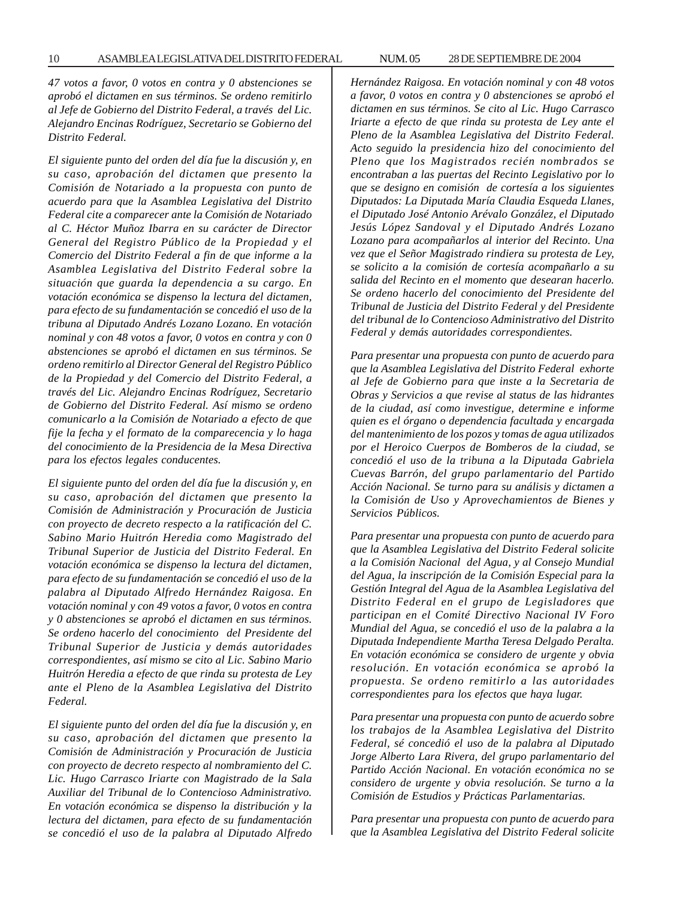*47 votos a favor, 0 votos en contra y 0 abstenciones se aprobó el dictamen en sus términos. Se ordeno remitirlo al Jefe de Gobierno del Distrito Federal, a través del Lic. Alejandro Encinas Rodríguez, Secretario se Gobierno del Distrito Federal.*

*El siguiente punto del orden del día fue la discusión y, en su caso, aprobación del dictamen que presento la Comisión de Notariado a la propuesta con punto de acuerdo para que la Asamblea Legislativa del Distrito Federal cite a comparecer ante la Comisión de Notariado al C. Héctor Muñoz Ibarra en su carácter de Director General del Registro Público de la Propiedad y el Comercio del Distrito Federal a fin de que informe a la Asamblea Legislativa del Distrito Federal sobre la situación que guarda la dependencia a su cargo. En votación económica se dispenso la lectura del dictamen, para efecto de su fundamentación se concedió el uso de la tribuna al Diputado Andrés Lozano Lozano. En votación nominal y con 48 votos a favor, 0 votos en contra y con 0 abstenciones se aprobó el dictamen en sus términos. Se ordeno remitirlo al Director General del Registro Público de la Propiedad y del Comercio del Distrito Federal, a través del Lic. Alejandro Encinas Rodríguez, Secretario de Gobierno del Distrito Federal. Así mismo se ordeno comunicarlo a la Comisión de Notariado a efecto de que fije la fecha y el formato de la comparecencia y lo haga del conocimiento de la Presidencia de la Mesa Directiva para los efectos legales conducentes.*

*El siguiente punto del orden del día fue la discusión y, en su caso, aprobación del dictamen que presento la Comisión de Administración y Procuración de Justicia con proyecto de decreto respecto a la ratificación del C. Sabino Mario Huitrón Heredia como Magistrado del Tribunal Superior de Justicia del Distrito Federal. En votación económica se dispenso la lectura del dictamen, para efecto de su fundamentación se concedió el uso de la palabra al Diputado Alfredo Hernández Raigosa. En votación nominal y con 49 votos a favor, 0 votos en contra y 0 abstenciones se aprobó el dictamen en sus términos. Se ordeno hacerlo del conocimiento del Presidente del Tribunal Superior de Justicia y demás autoridades correspondientes, así mismo se cito al Lic. Sabino Mario Huitrón Heredia a efecto de que rinda su protesta de Ley ante el Pleno de la Asamblea Legislativa del Distrito Federal.*

*El siguiente punto del orden del día fue la discusión y, en su caso, aprobación del dictamen que presento la Comisión de Administración y Procuración de Justicia con proyecto de decreto respecto al nombramiento del C. Lic. Hugo Carrasco Iriarte con Magistrado de la Sala Auxiliar del Tribunal de lo Contencioso Administrativo. En votación económica se dispenso la distribución y la lectura del dictamen, para efecto de su fundamentación se concedió el uso de la palabra al Diputado Alfredo* *Hernández Raigosa. En votación nominal y con 48 votos a favor, 0 votos en contra y 0 abstenciones se aprobó el dictamen en sus términos. Se cito al Lic. Hugo Carrasco Iriarte a efecto de que rinda su protesta de Ley ante el Pleno de la Asamblea Legislativa del Distrito Federal. Acto seguido la presidencia hizo del conocimiento del Pleno que los Magistrados recién nombrados se encontraban a las puertas del Recinto Legislativo por lo que se designo en comisión de cortesía a los siguientes Diputados: La Diputada María Claudia Esqueda Llanes, el Diputado José Antonio Arévalo González, el Diputado Jesús López Sandoval y el Diputado Andrés Lozano Lozano para acompañarlos al interior del Recinto. Una vez que el Señor Magistrado rindiera su protesta de Ley, se solicito a la comisión de cortesía acompañarlo a su salida del Recinto en el momento que desearan hacerlo. Se ordeno hacerlo del conocimiento del Presidente del Tribunal de Justicia del Distrito Federal y del Presidente del tribunal de lo Contencioso Administrativo del Distrito Federal y demás autoridades correspondientes.*

*Para presentar una propuesta con punto de acuerdo para que la Asamblea Legislativa del Distrito Federal exhorte al Jefe de Gobierno para que inste a la Secretaria de Obras y Servicios a que revise al status de las hidrantes de la ciudad, así como investigue, determine e informe quien es el órgano o dependencia facultada y encargada del mantenimiento de los pozos y tomas de agua utilizados por el Heroico Cuerpos de Bomberos de la ciudad, se concedió el uso de la tribuna a la Diputada Gabriela Cuevas Barrón, del grupo parlamentario del Partido Acción Nacional. Se turno para su análisis y dictamen a la Comisión de Uso y Aprovechamientos de Bienes y Servicios Públicos.*

*Para presentar una propuesta con punto de acuerdo para que la Asamblea Legislativa del Distrito Federal solicite a la Comisión Nacional del Agua, y al Consejo Mundial del Agua, la inscripción de la Comisión Especial para la Gestión Integral del Agua de la Asamblea Legislativa del Distrito Federal en el grupo de Legisladores que participan en el Comité Directivo Nacional IV Foro Mundial del Agua, se concedió el uso de la palabra a la Diputada Independiente Martha Teresa Delgado Peralta. En votación económica se considero de urgente y obvia resolución. En votación económica se aprobó la propuesta. Se ordeno remitirlo a las autoridades correspondientes para los efectos que haya lugar.*

*Para presentar una propuesta con punto de acuerdo sobre los trabajos de la Asamblea Legislativa del Distrito Federal, sé concedió el uso de la palabra al Diputado Jorge Alberto Lara Rivera, del grupo parlamentario del Partido Acción Nacional. En votación económica no se considero de urgente y obvia resolución. Se turno a la Comisión de Estudios y Prácticas Parlamentarias.*

*Para presentar una propuesta con punto de acuerdo para que la Asamblea Legislativa del Distrito Federal solicite*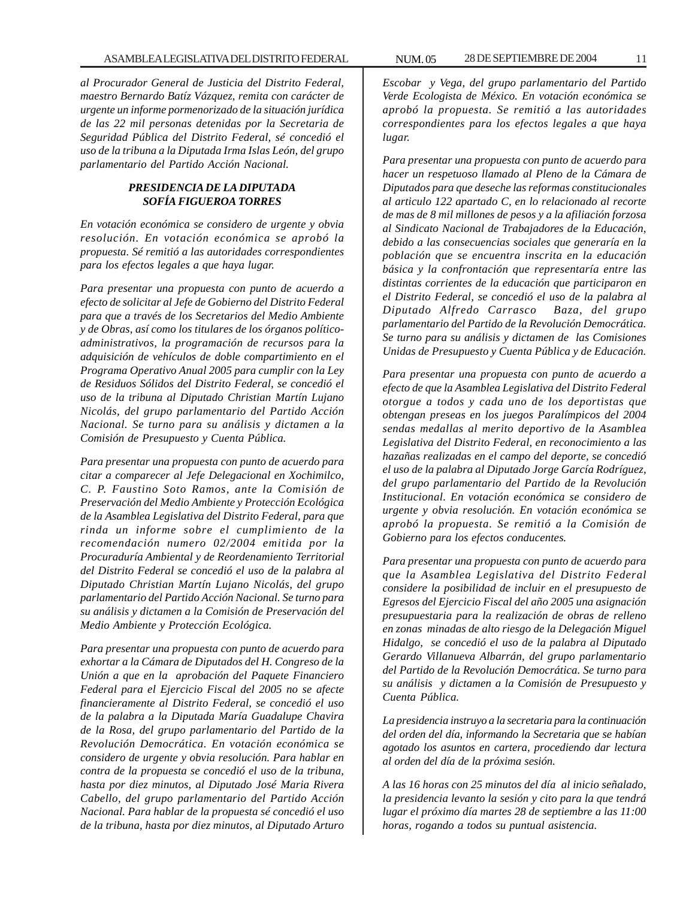*al Procurador General de Justicia del Distrito Federal, maestro Bernardo Batíz Vázquez, remita con carácter de urgente un informe pormenorizado de la situación jurídica de las 22 mil personas detenidas por la Secretaria de Seguridad Pública del Distrito Federal, sé concedió el uso de la tribuna a la Diputada Irma Islas León, del grupo parlamentario del Partido Acción Nacional.*

#### *PRESIDENCIA DE LA DIPUTADA SOFÍA FIGUEROA TORRES*

*En votación económica se considero de urgente y obvia resolución. En votación económica se aprobó la propuesta. Sé remitió a las autoridades correspondientes para los efectos legales a que haya lugar.*

*Para presentar una propuesta con punto de acuerdo a efecto de solicitar al Jefe de Gobierno del Distrito Federal para que a través de los Secretarios del Medio Ambiente y de Obras, así como los titulares de los órganos políticoadministrativos, la programación de recursos para la adquisición de vehículos de doble compartimiento en el Programa Operativo Anual 2005 para cumplir con la Ley de Residuos Sólidos del Distrito Federal, se concedió el uso de la tribuna al Diputado Christian Martín Lujano Nicolás, del grupo parlamentario del Partido Acción Nacional. Se turno para su análisis y dictamen a la Comisión de Presupuesto y Cuenta Pública.*

*Para presentar una propuesta con punto de acuerdo para citar a comparecer al Jefe Delegacional en Xochimilco, C. P. Faustino Soto Ramos, ante la Comisión de Preservación del Medio Ambiente y Protección Ecológica de la Asamblea Legislativa del Distrito Federal, para que rinda un informe sobre el cumplimiento de la recomendación numero 02/2004 emitida por la Procuraduría Ambiental y de Reordenamiento Territorial del Distrito Federal se concedió el uso de la palabra al Diputado Christian Martín Lujano Nicolás, del grupo parlamentario del Partido Acción Nacional. Se turno para su análisis y dictamen a la Comisión de Preservación del Medio Ambiente y Protección Ecológica.*

*Para presentar una propuesta con punto de acuerdo para exhortar a la Cámara de Diputados del H. Congreso de la Unión a que en la aprobación del Paquete Financiero Federal para el Ejercicio Fiscal del 2005 no se afecte financieramente al Distrito Federal, se concedió el uso de la palabra a la Diputada María Guadalupe Chavira de la Rosa, del grupo parlamentario del Partido de la Revolución Democrática. En votación económica se considero de urgente y obvia resolución. Para hablar en contra de la propuesta se concedió el uso de la tribuna, hasta por diez minutos, al Diputado José Maria Rivera Cabello, del grupo parlamentario del Partido Acción Nacional. Para hablar de la propuesta sé concedió el uso de la tribuna, hasta por diez minutos, al Diputado Arturo*

*Escobar y Vega, del grupo parlamentario del Partido Verde Ecologista de México. En votación económica se aprobó la propuesta. Se remitió a las autoridades correspondientes para los efectos legales a que haya lugar.*

*Para presentar una propuesta con punto de acuerdo para hacer un respetuoso llamado al Pleno de la Cámara de Diputados para que deseche las reformas constitucionales al articulo 122 apartado C, en lo relacionado al recorte de mas de 8 mil millones de pesos y a la afiliación forzosa al Sindicato Nacional de Trabajadores de la Educación, debido a las consecuencias sociales que generaría en la población que se encuentra inscrita en la educación básica y la confrontación que representaría entre las distintas corrientes de la educación que participaron en el Distrito Federal, se concedió el uso de la palabra al Diputado Alfredo Carrasco Baza, del grupo parlamentario del Partido de la Revolución Democrática. Se turno para su análisis y dictamen de las Comisiones Unidas de Presupuesto y Cuenta Pública y de Educación.*

*Para presentar una propuesta con punto de acuerdo a efecto de que la Asamblea Legislativa del Distrito Federal otorgue a todos y cada uno de los deportistas que obtengan preseas en los juegos Paralímpicos del 2004 sendas medallas al merito deportivo de la Asamblea Legislativa del Distrito Federal, en reconocimiento a las hazañas realizadas en el campo del deporte, se concedió el uso de la palabra al Diputado Jorge García Rodríguez, del grupo parlamentario del Partido de la Revolución Institucional. En votación económica se considero de urgente y obvia resolución. En votación económica se aprobó la propuesta. Se remitió a la Comisión de Gobierno para los efectos conducentes.*

*Para presentar una propuesta con punto de acuerdo para que la Asamblea Legislativa del Distrito Federal considere la posibilidad de incluir en el presupuesto de Egresos del Ejercicio Fiscal del año 2005 una asignación presupuestaria para la realización de obras de relleno en zonas minadas de alto riesgo de la Delegación Miguel Hidalgo, se concedió el uso de la palabra al Diputado Gerardo Villanueva Albarrán, del grupo parlamentario del Partido de la Revolución Democrática. Se turno para su análisis y dictamen a la Comisión de Presupuesto y Cuenta Pública.*

*La presidencia instruyo a la secretaria para la continuación del orden del día, informando la Secretaria que se habían agotado los asuntos en cartera, procediendo dar lectura al orden del día de la próxima sesión.*

*A las 16 horas con 25 minutos del día al inicio señalado, la presidencia levanto la sesión y cito para la que tendrá lugar el próximo día martes 28 de septiembre a las 11:00 horas, rogando a todos su puntual asistencia.*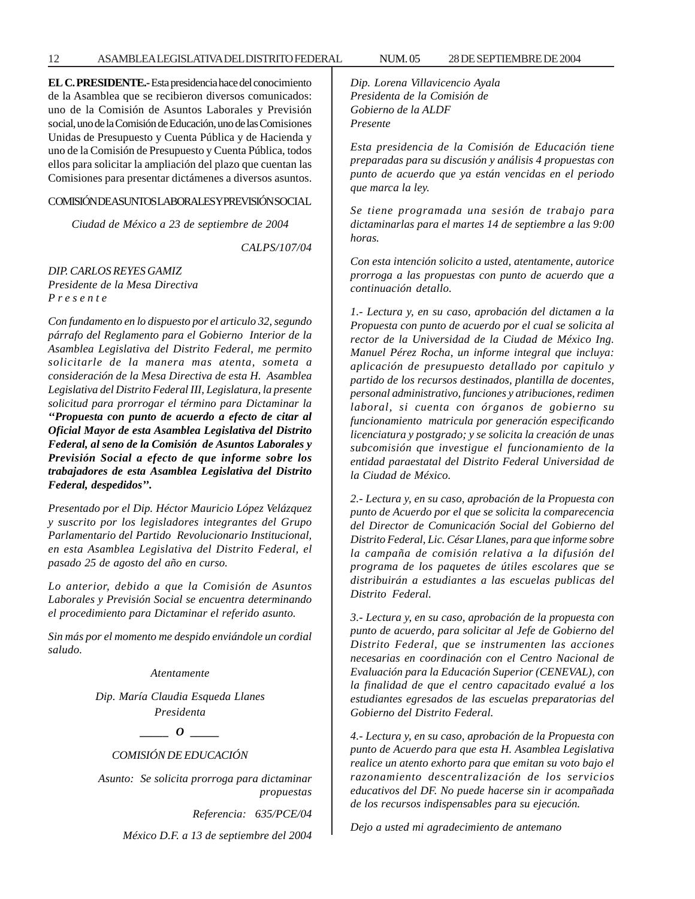**EL C. PRESIDENTE.-** Esta presidencia hace del conocimiento de la Asamblea que se recibieron diversos comunicados: uno de la Comisión de Asuntos Laborales y Previsión social, uno de la Comisión de Educación, uno de las Comisiones Unidas de Presupuesto y Cuenta Pública y de Hacienda y uno de la Comisión de Presupuesto y Cuenta Pública, todos ellos para solicitar la ampliación del plazo que cuentan las Comisiones para presentar dictámenes a diversos asuntos.

#### COMISIÓN DE ASUNTOS LABORALES Y PREVISIÓN SOCIAL

*Ciudad de México a 23 de septiembre de 2004*

*CALPS/107/04*

*DIP. CARLOS REYES GAMIZ Presidente de la Mesa Directiva P r e s e n t e*

*Con fundamento en lo dispuesto por el articulo 32, segundo párrafo del Reglamento para el Gobierno Interior de la Asamblea Legislativa del Distrito Federal, me permito solicitarle de la manera mas atenta, someta a consideración de la Mesa Directiva de esta H. Asamblea Legislativa del Distrito Federal III, Legislatura, la presente solicitud para prorrogar el término para Dictaminar la ''Propuesta con punto de acuerdo a efecto de citar al Oficial Mayor de esta Asamblea Legislativa del Distrito Federal, al seno de la Comisión de Asuntos Laborales y Previsión Social a efecto de que informe sobre los trabajadores de esta Asamblea Legislativa del Distrito Federal, despedidos''.*

*Presentado por el Dip. Héctor Mauricio López Velázquez y suscrito por los legisladores integrantes del Grupo Parlamentario del Partido Revolucionario Institucional, en esta Asamblea Legislativa del Distrito Federal, el pasado 25 de agosto del año en curso.*

*Lo anterior, debido a que la Comisión de Asuntos Laborales y Previsión Social se encuentra determinando el procedimiento para Dictaminar el referido asunto.*

*Sin más por el momento me despido enviándole un cordial saludo.*

#### *Atentamente*

*Dip. María Claudia Esqueda Llanes Presidenta*

*\_\_\_\_\_ O \_\_\_\_\_*

#### *COMISIÓN DE EDUCACIÓN*

 *Asunto: Se solicita prorroga para dictaminar propuestas*

*Referencia: 635/PCE/04*

*México D.F. a 13 de septiembre del 2004*

*Dip. Lorena Villavicencio Ayala Presidenta de la Comisión de Gobierno de la ALDF Presente*

*Esta presidencia de la Comisión de Educación tiene preparadas para su discusión y análisis 4 propuestas con punto de acuerdo que ya están vencidas en el periodo que marca la ley.*

*Se tiene programada una sesión de trabajo para dictaminarlas para el martes 14 de septiembre a las 9:00 horas.*

*Con esta intención solicito a usted, atentamente, autorice prorroga a las propuestas con punto de acuerdo que a continuación detallo.*

*1.- Lectura y, en su caso, aprobación del dictamen a la Propuesta con punto de acuerdo por el cual se solicita al rector de la Universidad de la Ciudad de México Ing. Manuel Pérez Rocha, un informe integral que incluya: aplicación de presupuesto detallado por capitulo y partido de los recursos destinados, plantilla de docentes, personal administrativo, funciones y atribuciones, redimen laboral, si cuenta con órganos de gobierno su funcionamiento matricula por generación especificando licenciatura y postgrado; y se solicita la creación de unas subcomisión que investigue el funcionamiento de la entidad paraestatal del Distrito Federal Universidad de la Ciudad de México.*

*2.- Lectura y, en su caso, aprobación de la Propuesta con punto de Acuerdo por el que se solicita la comparecencia del Director de Comunicación Social del Gobierno del Distrito Federal, Lic. César Llanes, para que informe sobre la campaña de comisión relativa a la difusión del programa de los paquetes de útiles escolares que se distribuirán a estudiantes a las escuelas publicas del Distrito Federal.*

*3.- Lectura y, en su caso, aprobación de la propuesta con punto de acuerdo, para solicitar al Jefe de Gobierno del Distrito Federal, que se instrumenten las acciones necesarias en coordinación con el Centro Nacional de Evaluación para la Educación Superior (CENEVAL), con la finalidad de que el centro capacitado evalué a los estudiantes egresados de las escuelas preparatorias del Gobierno del Distrito Federal.*

*4.- Lectura y, en su caso, aprobación de la Propuesta con punto de Acuerdo para que esta H. Asamblea Legislativa realice un atento exhorto para que emitan su voto bajo el razonamiento descentralización de los servicios educativos del DF. No puede hacerse sin ir acompañada de los recursos indispensables para su ejecución.*

*Dejo a usted mi agradecimiento de antemano*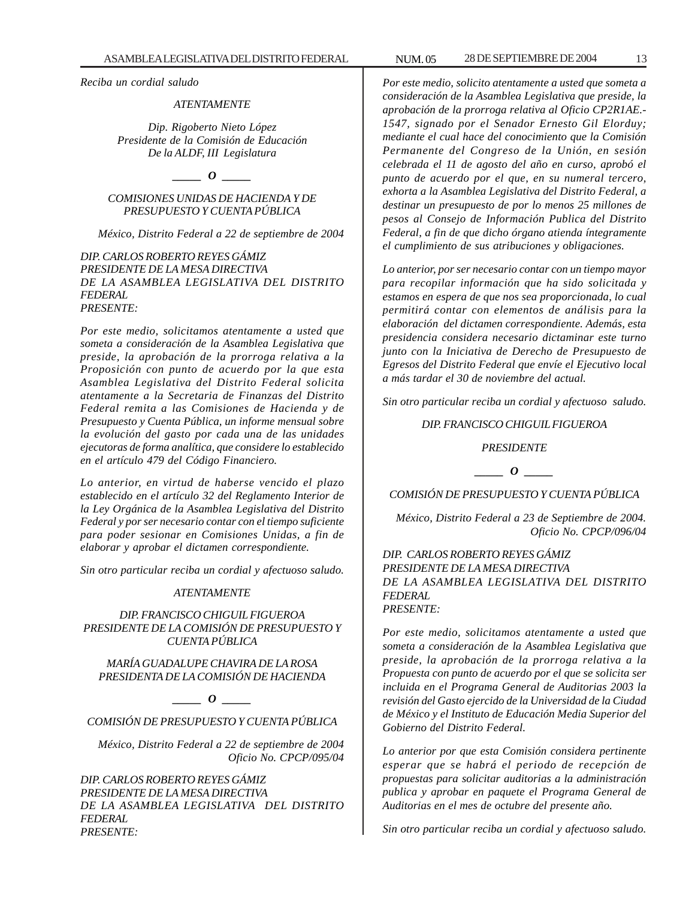*Reciba un cordial saludo*

#### *ATENTAMENTE*

*Dip. Rigoberto Nieto López Presidente de la Comisión de Educación De la ALDF, III Legislatura*

*\_\_\_\_\_ O \_\_\_\_\_*

# *COMISIONES UNIDAS DE HACIENDA Y DE PRESUPUESTO Y CUENTA PÚBLICA*

*México, Distrito Federal a 22 de septiembre de 2004*

*DIP. CARLOS ROBERTO REYES GÁMIZ PRESIDENTE DE LA MESA DIRECTIVA DE LA ASAMBLEA LEGISLATIVA DEL DISTRITO FEDERAL PRESENTE:*

*Por este medio, solicitamos atentamente a usted que someta a consideración de la Asamblea Legislativa que preside, la aprobación de la prorroga relativa a la Proposición con punto de acuerdo por la que esta Asamblea Legislativa del Distrito Federal solicita atentamente a la Secretaria de Finanzas del Distrito Federal remita a las Comisiones de Hacienda y de Presupuesto y Cuenta Pública, un informe mensual sobre la evolución del gasto por cada una de las unidades ejecutoras de forma analítica, que considere lo establecido en el artículo 479 del Código Financiero.*

*Lo anterior, en virtud de haberse vencido el plazo establecido en el artículo 32 del Reglamento Interior de la Ley Orgánica de la Asamblea Legislativa del Distrito Federal y por ser necesario contar con el tiempo suficiente para poder sesionar en Comisiones Unidas, a fin de elaborar y aprobar el dictamen correspondiente.*

*Sin otro particular reciba un cordial y afectuoso saludo.*

#### *ATENTAMENTE*

### *DIP. FRANCISCO CHIGUIL FIGUEROA PRESIDENTE DE LA COMISIÓN DE PRESUPUESTO Y CUENTA PÚBLICA*

*MARÍA GUADALUPE CHAVIRA DE LA ROSA PRESIDENTA DE LA COMISIÓN DE HACIENDA*

*\_\_\_\_\_ O \_\_\_\_\_*

*COMISIÓN DE PRESUPUESTO Y CUENTA PÚBLICA*

*México, Distrito Federal a 22 de septiembre de 2004 Oficio No. CPCP/095/04*

*DIP. CARLOS ROBERTO REYES GÁMIZ PRESIDENTE DE LA MESA DIRECTIVA DE LA ASAMBLEA LEGISLATIVA DEL DISTRITO FEDERAL PRESENTE:*

*Por este medio, solicito atentamente a usted que someta a consideración de la Asamblea Legislativa que preside, la aprobación de la prorroga relativa al Oficio CP2R1AE.- 1547, signado por el Senador Ernesto Gil Elorduy; mediante el cual hace del conocimiento que la Comisión Permanente del Congreso de la Unión, en sesión celebrada el 11 de agosto del año en curso, aprobó el punto de acuerdo por el que, en su numeral tercero, exhorta a la Asamblea Legislativa del Distrito Federal, a destinar un presupuesto de por lo menos 25 millones de pesos al Consejo de Información Publica del Distrito Federal, a fin de que dicho órgano atienda íntegramente el cumplimiento de sus atribuciones y obligaciones.*

*Lo anterior, por ser necesario contar con un tiempo mayor para recopilar información que ha sido solicitada y estamos en espera de que nos sea proporcionada, lo cual permitirá contar con elementos de análisis para la elaboración del dictamen correspondiente. Además, esta presidencia considera necesario dictaminar este turno junto con la Iniciativa de Derecho de Presupuesto de Egresos del Distrito Federal que envíe el Ejecutivo local a más tardar el 30 de noviembre del actual.*

*Sin otro particular reciba un cordial y afectuoso saludo.*

#### *DIP. FRANCISCO CHIGUIL FIGUEROA*

*PRESIDENTE*

*\_\_\_\_\_ O \_\_\_\_\_*

*COMISIÓN DE PRESUPUESTO Y CUENTA PÚBLICA*

*México, Distrito Federal a 23 de Septiembre de 2004. Oficio No. CPCP/096/04*

*DIP. CARLOS ROBERTO REYES GÁMIZ PRESIDENTE DE LA MESA DIRECTIVA DE LA ASAMBLEA LEGISLATIVA DEL DISTRITO FEDERAL PRESENTE:*

*Por este medio, solicitamos atentamente a usted que someta a consideración de la Asamblea Legislativa que preside, la aprobación de la prorroga relativa a la Propuesta con punto de acuerdo por el que se solicita ser incluida en el Programa General de Auditorias 2003 la revisión del Gasto ejercido de la Universidad de la Ciudad de México y el Instituto de Educación Media Superior del Gobierno del Distrito Federal.*

*Lo anterior por que esta Comisión considera pertinente esperar que se habrá el periodo de recepción de propuestas para solicitar auditorias a la administración publica y aprobar en paquete el Programa General de Auditorias en el mes de octubre del presente año.*

*Sin otro particular reciba un cordial y afectuoso saludo.*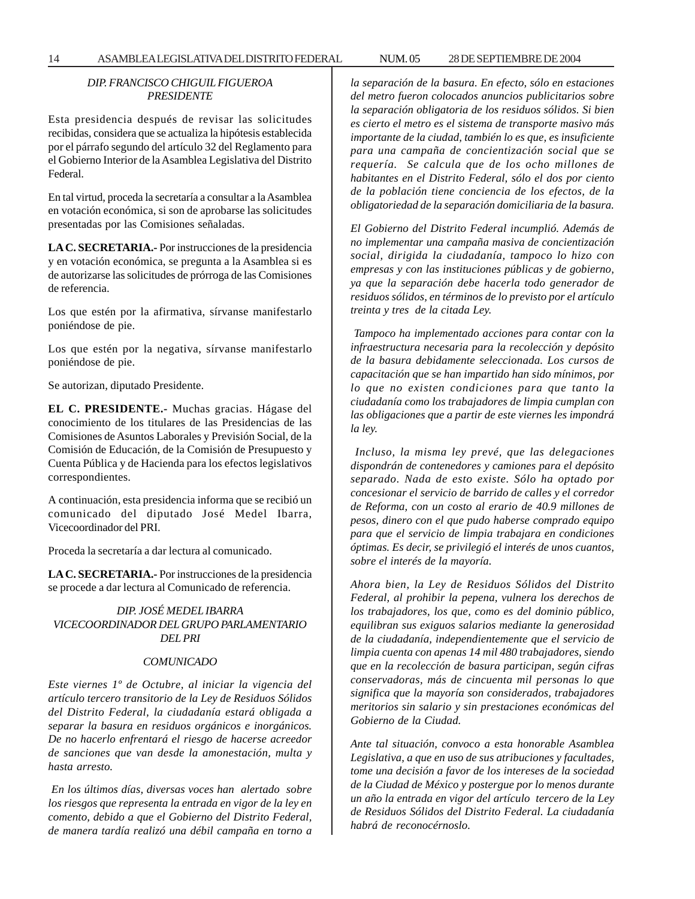# *DIP. FRANCISCO CHIGUIL FIGUEROA PRESIDENTE*

Esta presidencia después de revisar las solicitudes recibidas, considera que se actualiza la hipótesis establecida por el párrafo segundo del artículo 32 del Reglamento para el Gobierno Interior de la Asamblea Legislativa del Distrito Federal.

En tal virtud, proceda la secretaría a consultar a la Asamblea en votación económica, si son de aprobarse las solicitudes presentadas por las Comisiones señaladas.

**LA C. SECRETARIA.-** Por instrucciones de la presidencia y en votación económica, se pregunta a la Asamblea si es de autorizarse las solicitudes de prórroga de las Comisiones de referencia.

Los que estén por la afirmativa, sírvanse manifestarlo poniéndose de pie.

Los que estén por la negativa, sírvanse manifestarlo poniéndose de pie.

Se autorizan, diputado Presidente.

**EL C. PRESIDENTE.-** Muchas gracias. Hágase del conocimiento de los titulares de las Presidencias de las Comisiones de Asuntos Laborales y Previsión Social, de la Comisión de Educación, de la Comisión de Presupuesto y Cuenta Pública y de Hacienda para los efectos legislativos correspondientes.

A continuación, esta presidencia informa que se recibió un comunicado del diputado José Medel Ibarra, Vicecoordinador del PRI.

Proceda la secretaría a dar lectura al comunicado.

**LA C. SECRETARIA.-** Por instrucciones de la presidencia se procede a dar lectura al Comunicado de referencia.

*DIP. JOSÉ MEDEL IBARRA VICECOORDINADOR DEL GRUPO PARLAMENTARIO DEL PRI*

#### *COMUNICADO*

*Este viernes 1º de Octubre, al iniciar la vigencia del artículo tercero transitorio de la Ley de Residuos Sólidos del Distrito Federal, la ciudadanía estará obligada a separar la basura en residuos orgánicos e inorgánicos. De no hacerlo enfrentará el riesgo de hacerse acreedor de sanciones que van desde la amonestación, multa y hasta arresto.*

 *En los últimos días, diversas voces han alertado sobre los riesgos que representa la entrada en vigor de la ley en comento, debido a que el Gobierno del Distrito Federal, de manera tardía realizó una débil campaña en torno a* *la separación de la basura. En efecto, sólo en estaciones del metro fueron colocados anuncios publicitarios sobre la separación obligatoria de los residuos sólidos. Si bien es cierto el metro es el sistema de transporte masivo más importante de la ciudad, también lo es que, es insuficiente para una campaña de concientización social que se requería. Se calcula que de los ocho millones de habitantes en el Distrito Federal, sólo el dos por ciento de la población tiene conciencia de los efectos, de la obligatoriedad de la separación domiciliaria de la basura.*

*El Gobierno del Distrito Federal incumplió. Además de no implementar una campaña masiva de concientización social, dirigida la ciudadanía, tampoco lo hizo con empresas y con las instituciones públicas y de gobierno, ya que la separación debe hacerla todo generador de residuos sólidos, en términos de lo previsto por el artículo treinta y tres de la citada Ley.*

 *Tampoco ha implementado acciones para contar con la infraestructura necesaria para la recolección y depósito de la basura debidamente seleccionada. Los cursos de capacitación que se han impartido han sido mínimos, por lo que no existen condiciones para que tanto la ciudadanía como los trabajadores de limpia cumplan con las obligaciones que a partir de este viernes les impondrá la ley.*

 *Incluso, la misma ley prevé, que las delegaciones dispondrán de contenedores y camiones para el depósito separado. Nada de esto existe. Sólo ha optado por concesionar el servicio de barrido de calles y el corredor de Reforma, con un costo al erario de 40.9 millones de pesos, dinero con el que pudo haberse comprado equipo para que el servicio de limpia trabajara en condiciones óptimas. Es decir, se privilegió el interés de unos cuantos, sobre el interés de la mayoría.*

*Ahora bien, la Ley de Residuos Sólidos del Distrito Federal, al prohibir la pepena, vulnera los derechos de los trabajadores, los que, como es del dominio público, equilibran sus exiguos salarios mediante la generosidad de la ciudadanía, independientemente que el servicio de limpia cuenta con apenas 14 mil 480 trabajadores, siendo que en la recolección de basura participan, según cifras conservadoras, más de cincuenta mil personas lo que significa que la mayoría son considerados, trabajadores meritorios sin salario y sin prestaciones económicas del Gobierno de la Ciudad.*

*Ante tal situación, convoco a esta honorable Asamblea Legislativa, a que en uso de sus atribuciones y facultades, tome una decisión a favor de los intereses de la sociedad de la Ciudad de México y postergue por lo menos durante un año la entrada en vigor del artículo tercero de la Ley de Residuos Sólidos del Distrito Federal. La ciudadanía habrá de reconocérnoslo.*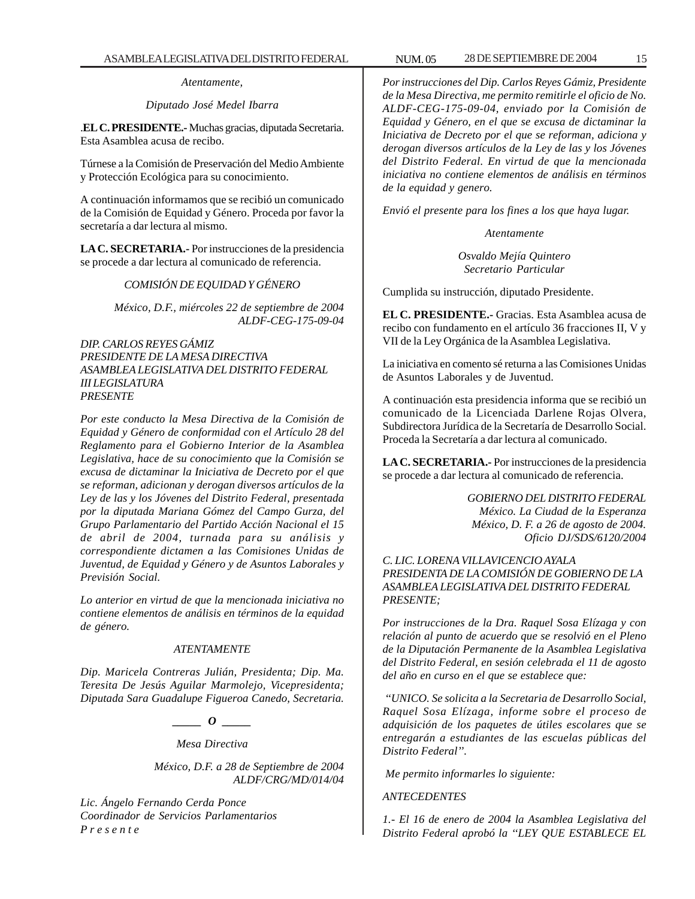*Atentamente,*

# *Diputado José Medel Ibarra*

.**EL C. PRESIDENTE.-** Muchas gracias, diputada Secretaria. Esta Asamblea acusa de recibo.

Túrnese a la Comisión de Preservación del Medio Ambiente y Protección Ecológica para su conocimiento.

A continuación informamos que se recibió un comunicado de la Comisión de Equidad y Género. Proceda por favor la secretaría a dar lectura al mismo.

**LA C. SECRETARIA.-** Por instrucciones de la presidencia se procede a dar lectura al comunicado de referencia.

#### *COMISIÓN DE EQUIDAD Y GÉNERO*

*México, D.F., miércoles 22 de septiembre de 2004 ALDF-CEG-175-09-04*

*DIP. CARLOS REYES GÁMIZ PRESIDENTE DE LA MESA DIRECTIVA ASAMBLEA LEGISLATIVA DEL DISTRITO FEDERAL III LEGISLATURA PRESENTE*

*Por este conducto la Mesa Directiva de la Comisión de Equidad y Género de conformidad con el Artículo 28 del Reglamento para el Gobierno Interior de la Asamblea Legislativa, hace de su conocimiento que la Comisión se excusa de dictaminar la Iniciativa de Decreto por el que se reforman, adicionan y derogan diversos artículos de la Ley de las y los Jóvenes del Distrito Federal, presentada por la diputada Mariana Gómez del Campo Gurza, del Grupo Parlamentario del Partido Acción Nacional el 15 de abril de 2004, turnada para su análisis y correspondiente dictamen a las Comisiones Unidas de Juventud, de Equidad y Género y de Asuntos Laborales y Previsión Social.*

*Lo anterior en virtud de que la mencionada iniciativa no contiene elementos de análisis en términos de la equidad de género.*

#### *ATENTAMENTE*

*Dip. Maricela Contreras Julián, Presidenta; Dip. Ma. Teresita De Jesús Aguilar Marmolejo, Vicepresidenta; Diputada Sara Guadalupe Figueroa Canedo, Secretaria.*

*\_\_\_\_\_ O \_\_\_\_\_*

*Mesa Directiva*

*México, D.F. a 28 de Septiembre de 2004 ALDF/CRG/MD/014/04*

*Lic. Ángelo Fernando Cerda Ponce Coordinador de Servicios Parlamentarios P r e s e n t e*

*Por instrucciones del Dip. Carlos Reyes Gámiz, Presidente de la Mesa Directiva, me permito remitirle el oficio de No. ALDF-CEG-175-09-04, enviado por la Comisión de Equidad y Género, en el que se excusa de dictaminar la Iniciativa de Decreto por el que se reforman, adiciona y derogan diversos artículos de la Ley de las y los Jóvenes del Distrito Federal. En virtud de que la mencionada iniciativa no contiene elementos de análisis en términos de la equidad y genero.*

*Envió el presente para los fines a los que haya lugar.*

*Atentamente*

*Osvaldo Mejía Quintero Secretario Particular*

Cumplida su instrucción, diputado Presidente.

**EL C. PRESIDENTE.-** Gracias. Esta Asamblea acusa de recibo con fundamento en el artículo 36 fracciones II, V y VII de la Ley Orgánica de la Asamblea Legislativa.

La iniciativa en comento sé returna a las Comisiones Unidas de Asuntos Laborales y de Juventud.

A continuación esta presidencia informa que se recibió un comunicado de la Licenciada Darlene Rojas Olvera, Subdirectora Jurídica de la Secretaría de Desarrollo Social. Proceda la Secretaría a dar lectura al comunicado.

**LA C. SECRETARIA.-** Por instrucciones de la presidencia se procede a dar lectura al comunicado de referencia.

> *GOBIERNO DEL DISTRITO FEDERAL México. La Ciudad de la Esperanza México, D. F. a 26 de agosto de 2004. Oficio DJ/SDS/6120/2004*

*C. LIC. LORENA VILLAVICENCIO AYALA PRESIDENTA DE LA COMISIÓN DE GOBIERNO DE LA ASAMBLEA LEGISLATIVA DEL DISTRITO FEDERAL PRESENTE;*

*Por instrucciones de la Dra. Raquel Sosa Elízaga y con relación al punto de acuerdo que se resolvió en el Pleno de la Diputación Permanente de la Asamblea Legislativa del Distrito Federal, en sesión celebrada el 11 de agosto del año en curso en el que se establece que:*

 *''UNICO. Se solicita a la Secretaria de Desarrollo Social, Raquel Sosa Elízaga, informe sobre el proceso de adquisición de los paquetes de útiles escolares que se entregarán a estudiantes de las escuelas públicas del Distrito Federal''.*

 *Me permito informarles lo siguiente:*

#### *ANTECEDENTES*

*1.- El 16 de enero de 2004 la Asamblea Legislativa del Distrito Federal aprobó la ''LEY QUE ESTABLECE EL*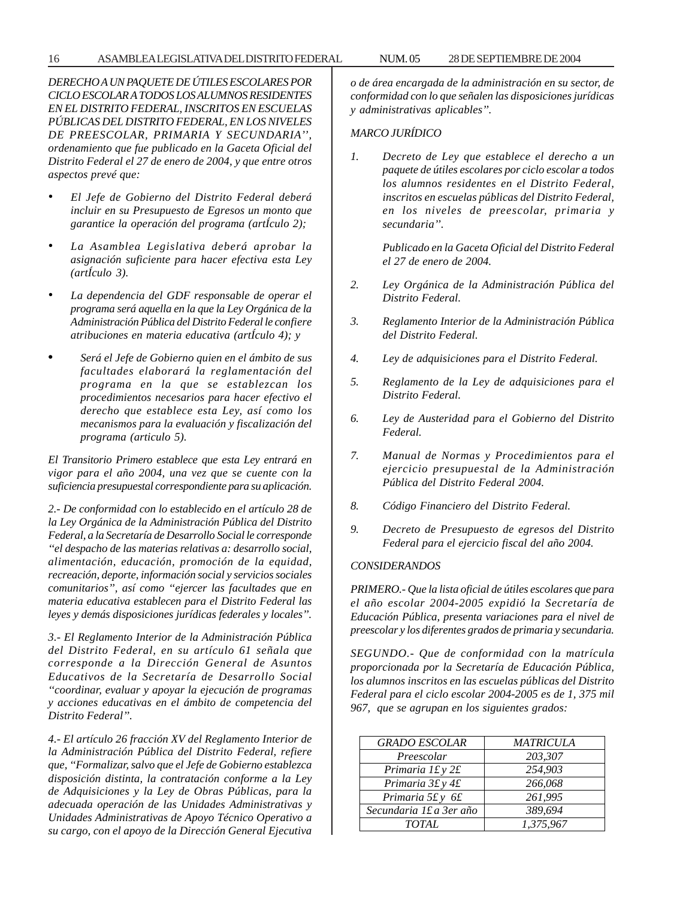# 16 ASAMBLEA LEGISLATIVA DEL DISTRITO FEDERAL NUM. 05 28 DE SEPTIEMBRE DE 2004

*DERECHO A UN PAQUETE DE ÚTILES ESCOLARES POR CICLO ESCOLAR A TODOS LOS ALUMNOS RESIDENTES EN EL DISTRITO FEDERAL, INSCRITOS EN ESCUELAS PÚBLICAS DEL DISTRITO FEDERAL, EN LOS NIVELES DE PREESCOLAR, PRIMARIA Y SECUNDARIA'', ordenamiento que fue publicado en la Gaceta Oficial del Distrito Federal el 27 de enero de 2004, y que entre otros aspectos prevé que:*

- *• El Jefe de Gobierno del Distrito Federal deberá incluir en su Presupuesto de Egresos un monto que garantice la operación del programa (artÍculo 2);*
- *• La Asamblea Legislativa deberá aprobar la asignación suficiente para hacer efectiva esta Ley (artÍculo 3).*
- *• La dependencia del GDF responsable de operar el programa será aquella en la que la Ley Orgánica de la Administración Pública del Distrito Federal le confiere atribuciones en materia educativa (artÍculo 4); y*
- *Será el Jefe de Gobierno quien en el ámbito de sus facultades elaborará la reglamentación del programa en la que se establezcan los procedimientos necesarios para hacer efectivo el derecho que establece esta Ley, así como los mecanismos para la evaluación y fiscalización del programa (articulo 5).*

*El Transitorio Primero establece que esta Ley entrará en vigor para el año 2004, una vez que se cuente con la suficiencia presupuestal correspondiente para su aplicación.*

*2.- De conformidad con lo establecido en el artículo 28 de la Ley Orgánica de la Administración Pública del Distrito Federal, a la Secretaría de Desarrollo Social le corresponde ''el despacho de las materias relativas a: desarrollo social, alimentación, educación, promoción de la equidad, recreación, deporte, información social y servicios sociales comunitarios'', así como ''ejercer las facultades que en materia educativa establecen para el Distrito Federal las leyes y demás disposiciones jurídicas federales y locales''.*

*3.- El Reglamento Interior de la Administración Pública del Distrito Federal, en su artículo 61 señala que corresponde a la Dirección General de Asuntos Educativos de la Secretaría de Desarrollo Social ''coordinar, evaluar y apoyar la ejecución de programas y acciones educativas en el ámbito de competencia del Distrito Federal''.*

*4.- El artículo 26 fracción XV del Reglamento Interior de la Administración Pública del Distrito Federal, refiere que, ''Formalizar, salvo que el Jefe de Gobierno establezca disposición distinta, la contratación conforme a la Ley de Adquisiciones y la Ley de Obras Públicas, para la adecuada operación de las Unidades Administrativas y Unidades Administrativas de Apoyo Técnico Operativo a su cargo, con el apoyo de la Dirección General Ejecutiva* *o de área encargada de la administración en su sector, de conformidad con lo que señalen las disposiciones jurídicas y administrativas aplicables''.*

# *MARCO JURÍDICO*

*1. Decreto de Ley que establece el derecho a un paquete de útiles escolares por ciclo escolar a todos los alumnos residentes en el Distrito Federal, inscritos en escuelas públicas del Distrito Federal, en los niveles de preescolar, primaria y secundaria''.*

> *Publicado en la Gaceta Oficial del Distrito Federal el 27 de enero de 2004.*

- *2. Ley Orgánica de la Administración Pública del Distrito Federal.*
- *3. Reglamento Interior de la Administración Pública del Distrito Federal.*
- *4. Ley de adquisiciones para el Distrito Federal.*
- *5. Reglamento de la Ley de adquisiciones para el Distrito Federal.*
- *6. Ley de Austeridad para el Gobierno del Distrito Federal.*
- *7. Manual de Normas y Procedimientos para el ejercicio presupuestal de la Administración Pública del Distrito Federal 2004.*
- *8. Código Financiero del Distrito Federal.*
- *9. Decreto de Presupuesto de egresos del Distrito Federal para el ejercicio fiscal del año 2004.*

# *CONSIDERANDOS*

*PRIMERO.- Que la lista oficial de útiles escolares que para el año escolar 2004-2005 expidió la Secretaría de Educación Pública, presenta variaciones para el nivel de preescolar y los diferentes grados de primaria y secundaria.*

*SEGUNDO.- Que de conformidad con la matrícula proporcionada por la Secretaría de Educación Pública, los alumnos inscritos en las escuelas públicas del Distrito Federal para el ciclo escolar 2004-2005 es de 1, 375 mil 967, que se agrupan en los siguientes grados:*

| <b>GRADO ESCOLAR</b>    | <b>MATRICULA</b> |
|-------------------------|------------------|
| Preescolar              | 203,307          |
| Primaria 1£ y 2£        | 254,903          |
| Primaria 3£ y 4£        | 266,068          |
| Primaria 5£ y 6£        | 261,995          |
| Secundaria 1£ a 3er año | 389,694          |
| TOTAL                   | 1,375,967        |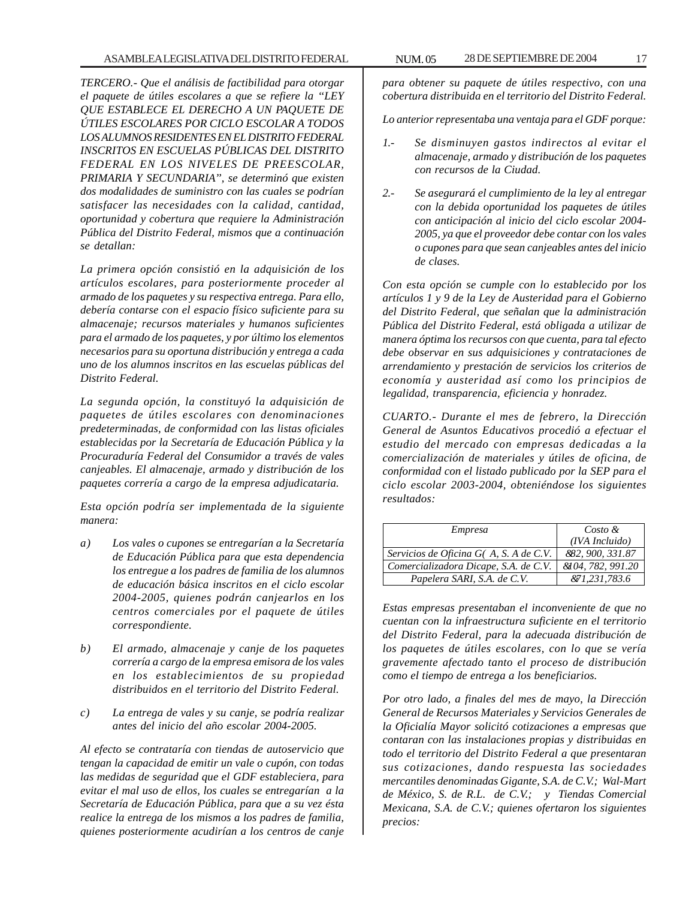*TERCERO.- Que el análisis de factibilidad para otorgar el paquete de útiles escolares a que se refiere la ''LEY QUE ESTABLECE EL DERECHO A UN PAQUETE DE ÚTILES ESCOLARES POR CICLO ESCOLAR A TODOS LOS ALUMNOS RESIDENTES EN EL DISTRITO FEDERAL INSCRITOS EN ESCUELAS PÚBLICAS DEL DISTRITO FEDERAL EN LOS NIVELES DE PREESCOLAR, PRIMARIA Y SECUNDARIA'', se determinó que existen dos modalidades de suministro con las cuales se podrían satisfacer las necesidades con la calidad, cantidad, oportunidad y cobertura que requiere la Administración Pública del Distrito Federal, mismos que a continuación se detallan:*

*La primera opción consistió en la adquisición de los artículos escolares, para posteriormente proceder al armado de los paquetes y su respectiva entrega. Para ello, debería contarse con el espacio físico suficiente para su almacenaje; recursos materiales y humanos suficientes para el armado de los paquetes, y por último los elementos necesarios para su oportuna distribución y entrega a cada uno de los alumnos inscritos en las escuelas públicas del Distrito Federal.*

*La segunda opción, la constituyó la adquisición de paquetes de útiles escolares con denominaciones predeterminadas, de conformidad con las listas oficiales establecidas por la Secretaría de Educación Pública y la Procuraduría Federal del Consumidor a través de vales canjeables. El almacenaje, armado y distribución de los paquetes correría a cargo de la empresa adjudicataria.*

*Esta opción podría ser implementada de la siguiente manera:*

- *a) Los vales o cupones se entregarían a la Secretaría de Educación Pública para que esta dependencia los entregue a los padres de familia de los alumnos de educación básica inscritos en el ciclo escolar 2004-2005, quienes podrán canjearlos en los centros comerciales por el paquete de útiles correspondiente.*
- *b) El armado, almacenaje y canje de los paquetes correría a cargo de la empresa emisora de los vales en los establecimientos de su propiedad distribuidos en el territorio del Distrito Federal.*
- *c) La entrega de vales y su canje, se podría realizar antes del inicio del año escolar 2004-2005.*

*Al efecto se contrataría con tiendas de autoservicio que tengan la capacidad de emitir un vale o cupón, con todas las medidas de seguridad que el GDF estableciera, para evitar el mal uso de ellos, los cuales se entregarían a la Secretaría de Educación Pública, para que a su vez ésta realice la entrega de los mismos a los padres de familia, quienes posteriormente acudirían a los centros de canje*

*para obtener su paquete de útiles respectivo, con una cobertura distribuida en el territorio del Distrito Federal.*

*Lo anterior representaba una ventaja para el GDF porque:*

- *1.- Se disminuyen gastos indirectos al evitar el almacenaje, armado y distribución de los paquetes con recursos de la Ciudad.*
- *2.- Se asegurará el cumplimiento de la ley al entregar con la debida oportunidad los paquetes de útiles con anticipación al inicio del ciclo escolar 2004- 2005, ya que el proveedor debe contar con los vales o cupones para que sean canjeables antes del inicio de clases.*

*Con esta opción se cumple con lo establecido por los artículos 1 y 9 de la Ley de Austeridad para el Gobierno del Distrito Federal, que señalan que la administración Pública del Distrito Federal, está obligada a utilizar de manera óptima los recursos con que cuenta, para tal efecto debe observar en sus adquisiciones y contrataciones de arrendamiento y prestación de servicios los criterios de economía y austeridad así como los principios de legalidad, transparencia, eficiencia y honradez.*

*CUARTO.- Durante el mes de febrero, la Dirección General de Asuntos Educativos procedió a efectuar el estudio del mercado con empresas dedicadas a la comercialización de materiales y útiles de oficina, de conformidad con el listado publicado por la SEP para el ciclo escolar 2003-2004, obteniéndose los siguientes resultados:*

| Empresa                               | $Costo \&$        |
|---------------------------------------|-------------------|
|                                       | (IVA Incluido)    |
| Servicios de Oficina G(A, S.A de C.V. | 882, 900, 331.87  |
| Comercializadora Dicape, S.A. de C.V. | &104, 782, 991.20 |
| Papelera SARI, S.A. de C.V.           | & 1, 231, 783.6   |

*Estas empresas presentaban el inconveniente de que no cuentan con la infraestructura suficiente en el territorio del Distrito Federal, para la adecuada distribución de los paquetes de útiles escolares, con lo que se vería gravemente afectado tanto el proceso de distribución como el tiempo de entrega a los beneficiarios.*

*Por otro lado, a finales del mes de mayo, la Dirección General de Recursos Materiales y Servicios Generales de la Oficialía Mayor solicitó cotizaciones a empresas que contaran con las instalaciones propias y distribuidas en todo el territorio del Distrito Federal a que presentaran sus cotizaciones, dando respuesta las sociedades mercantiles denominadas Gigante, S.A. de C.V.; Wal-Mart de México, S. de R.L. de C.V.; y Tiendas Comercial Mexicana, S.A. de C.V.; quienes ofertaron los siguientes precios:*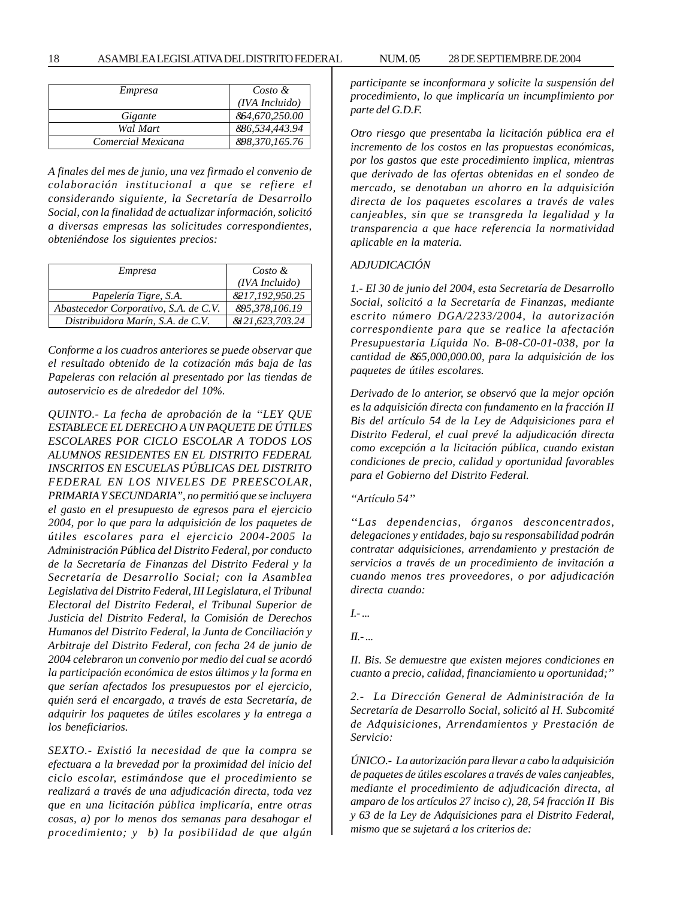| Empresa            | $Costo \&$                       |
|--------------------|----------------------------------|
|                    | (IVA Incluido)                   |
| Gigante            | 864,670,250.00                   |
| Wal Mart           | 886,534,443.94                   |
| Comercial Mexicana | <i><b>&amp;98,370,165.76</b></i> |

*A finales del mes de junio, una vez firmado el convenio de colaboración institucional a que se refiere el considerando siguiente, la Secretaría de Desarrollo Social, con la finalidad de actualizar información, solicitó a diversas empresas las solicitudes correspondientes, obteniéndose los siguientes precios:*

| <i>Empresa</i>                        | $Costo \&$                  |
|---------------------------------------|-----------------------------|
|                                       | (IVA Incluido)              |
| Papelería Tigre, S.A.                 | <i>&amp;</i> 217.192.950.25 |
| Abastecedor Corporativo, S.A. de C.V. | <i>&amp;95,378,106.19</i>   |
| Distribuidora Marín, S.A. de C.V.     | &121,623,703.24             |

*Conforme a los cuadros anteriores se puede observar que el resultado obtenido de la cotización más baja de las Papeleras con relación al presentado por las tiendas de autoservicio es de alrededor del 10%.*

*QUINTO.- La fecha de aprobación de la ''LEY QUE ESTABLECE EL DERECHO A UN PAQUETE DE ÚTILES ESCOLARES POR CICLO ESCOLAR A TODOS LOS ALUMNOS RESIDENTES EN EL DISTRITO FEDERAL INSCRITOS EN ESCUELAS PÚBLICAS DEL DISTRITO FEDERAL EN LOS NIVELES DE PREESCOLAR, PRIMARIA Y SECUNDARIA'', no permitió que se incluyera el gasto en el presupuesto de egresos para el ejercicio 2004, por lo que para la adquisición de los paquetes de útiles escolares para el ejercicio 2004-2005 la Administración Pública del Distrito Federal, por conducto de la Secretaría de Finanzas del Distrito Federal y la Secretaría de Desarrollo Social; con la Asamblea Legislativa del Distrito Federal, III Legislatura, el Tribunal Electoral del Distrito Federal, el Tribunal Superior de Justicia del Distrito Federal, la Comisión de Derechos Humanos del Distrito Federal, la Junta de Conciliación y Arbitraje del Distrito Federal, con fecha 24 de junio de 2004 celebraron un convenio por medio del cual se acordó la participación económica de estos últimos y la forma en que serían afectados los presupuestos por el ejercicio, quién será el encargado, a través de esta Secretaría, de adquirir los paquetes de útiles escolares y la entrega a los beneficiarios.*

*SEXTO.- Existió la necesidad de que la compra se efectuara a la brevedad por la proximidad del inicio del ciclo escolar, estimándose que el procedimiento se realizará a través de una adjudicación directa, toda vez que en una licitación pública implicaría, entre otras cosas, a) por lo menos dos semanas para desahogar el procedimiento; y b) la posibilidad de que algún* *participante se inconformara y solicite la suspensión del procedimiento, lo que implicaría un incumplimiento por parte del G.D.F.*

*Otro riesgo que presentaba la licitación pública era el incremento de los costos en las propuestas económicas, por los gastos que este procedimiento implica, mientras que derivado de las ofertas obtenidas en el sondeo de mercado, se denotaban un ahorro en la adquisición directa de los paquetes escolares a través de vales canjeables, sin que se transgreda la legalidad y la transparencia a que hace referencia la normatividad aplicable en la materia.*

#### *ADJUDICACIÓN*

*1.- El 30 de junio del 2004, esta Secretaría de Desarrollo Social, solicitó a la Secretaría de Finanzas, mediante escrito número DGA/2233/2004, la autorización correspondiente para que se realice la afectación Presupuestaria Líquida No. B-08-C0-01-038, por la cantidad de &65,000,000.00, para la adquisición de los paquetes de útiles escolares.*

*Derivado de lo anterior, se observó que la mejor opción es la adquisición directa con fundamento en la fracción II Bis del artículo 54 de la Ley de Adquisiciones para el Distrito Federal, el cual prevé la adjudicación directa como excepción a la licitación pública, cuando existan condiciones de precio, calidad y oportunidad favorables para el Gobierno del Distrito Federal.*

*''Artículo 54''*

*''Las dependencias, órganos desconcentrados, delegaciones y entidades, bajo su responsabilidad podrán contratar adquisiciones, arrendamiento y prestación de servicios a través de un procedimiento de invitación a cuando menos tres proveedores, o por adjudicación directa cuando:*

*I.- ...*

*II.- ...*

*II. Bis. Se demuestre que existen mejores condiciones en cuanto a precio, calidad, financiamiento u oportunidad;''*

*2.- La Dirección General de Administración de la Secretaría de Desarrollo Social, solicitó al H. Subcomité de Adquisiciones, Arrendamientos y Prestación de Servicio:*

*ÚNICO.- La autorización para llevar a cabo la adquisición de paquetes de útiles escolares a través de vales canjeables, mediante el procedimiento de adjudicación directa, al amparo de los artículos 27 inciso c), 28, 54 fracción II Bis y 63 de la Ley de Adquisiciones para el Distrito Federal, mismo que se sujetará a los criterios de:*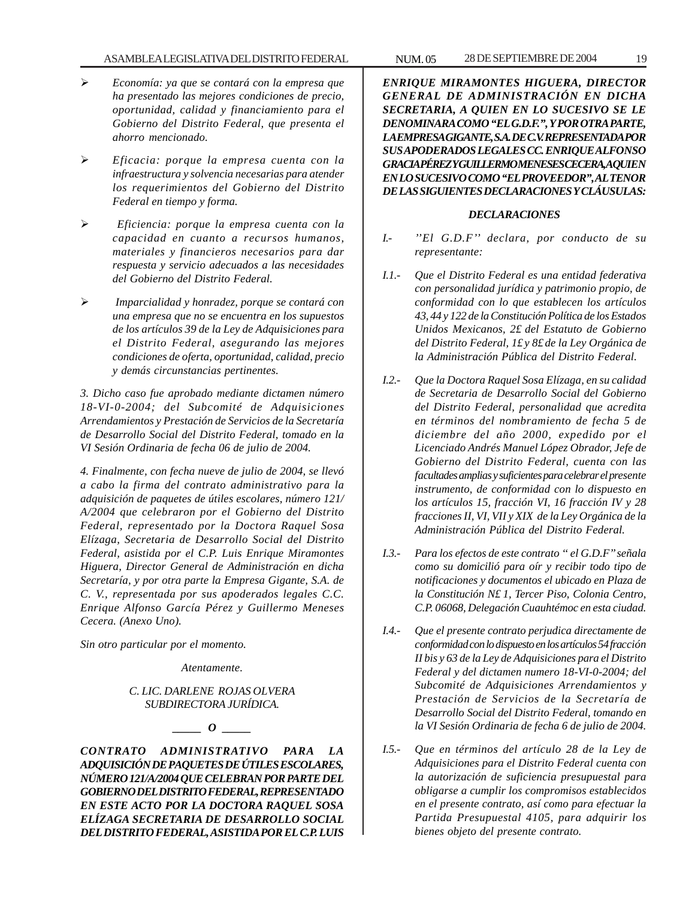#### ASAMBLEA LEGISLATIVA DEL DISTRITO FEDERAL NUM. 05 28 DE SEPTIEMBRE DE 2004 19

- ¾ *Economía: ya que se contará con la empresa que ha presentado las mejores condiciones de precio, oportunidad, calidad y financiamiento para el Gobierno del Distrito Federal, que presenta el ahorro mencionado.*
- ¾ *Eficacia: porque la empresa cuenta con la infraestructura y solvencia necesarias para atender los requerimientos del Gobierno del Distrito Federal en tiempo y forma.*
- ¾ *Eficiencia: porque la empresa cuenta con la capacidad en cuanto a recursos humanos, materiales y financieros necesarios para dar respuesta y servicio adecuados a las necesidades del Gobierno del Distrito Federal.*
- ¾ *Imparcialidad y honradez, porque se contará con una empresa que no se encuentra en los supuestos de los artículos 39 de la Ley de Adquisiciones para el Distrito Federal, asegurando las mejores condiciones de oferta, oportunidad, calidad, precio y demás circunstancias pertinentes.*

*3. Dicho caso fue aprobado mediante dictamen número 18-VI-0-2004; del Subcomité de Adquisiciones Arrendamientos y Prestación de Servicios de la Secretaría de Desarrollo Social del Distrito Federal, tomado en la VI Sesión Ordinaria de fecha 06 de julio de 2004.*

*4. Finalmente, con fecha nueve de julio de 2004, se llevó a cabo la firma del contrato administrativo para la adquisición de paquetes de útiles escolares, número 121/ A/2004 que celebraron por el Gobierno del Distrito Federal, representado por la Doctora Raquel Sosa Elízaga, Secretaria de Desarrollo Social del Distrito Federal, asistida por el C.P. Luis Enrique Miramontes Higuera, Director General de Administración en dicha Secretaría, y por otra parte la Empresa Gigante, S.A. de C. V., representada por sus apoderados legales C.C. Enrique Alfonso García Pérez y Guillermo Meneses Cecera. (Anexo Uno).*

*Sin otro particular por el momento.*

*Atentamente.*

# *C. LIC. DARLENE ROJAS OLVERA SUBDIRECTORA JURÍDICA.*

*\_\_\_\_\_ O \_\_\_\_\_*

*CONTRATO ADMINISTRATIVO PARA LA ADQUISICIÓN DE PAQUETES DE ÚTILES ESCOLARES, NÚMERO 121/A/2004 QUE CELEBRAN POR PARTE DEL GOBIERNO DEL DISTRITO FEDERAL, REPRESENTADO EN ESTE ACTO POR LA DOCTORA RAQUEL SOSA ELÍZAGA SECRETARIA DE DESARROLLO SOCIAL DEL DISTRITO FEDERAL, ASISTIDA POR EL C.P. LUIS*

*ENRIQUE MIRAMONTES HIGUERA, DIRECTOR GENERAL DE ADMINISTRACIÓN EN DICHA SECRETARIA, A QUIEN EN LO SUCESIVO SE LE DENOMINARA COMO ''EL G.D.F.'', Y POR OTRA PARTE, LA EMPRESA GIGANTE, S.A. DE C.V. REPRESENTADA POR SUS APODERADOS LEGALES CC. ENRIQUE ALFONSO GRACIA PÉREZ Y GUILLERMO MENESES CECERA, A QUIEN EN LO SUCESIVO COMO ''EL PROVEEDOR'', AL TENOR DE LAS SIGUIENTES DECLARACIONES Y CLÁUSULAS:*

#### *DECLARACIONES*

- *I.- ''El G.D.F'' declara, por conducto de su representante:*
- *I.1.- Que el Distrito Federal es una entidad federativa con personalidad jurídica y patrimonio propio, de conformidad con lo que establecen los artículos 43, 44 y 122 de la Constitución Política de los Estados Unidos Mexicanos, 2£ del Estatuto de Gobierno del Distrito Federal, 1£ y 8£ de la Ley Orgánica de la Administración Pública del Distrito Federal.*
- *I.2.- Que la Doctora Raquel Sosa Elízaga, en su calidad de Secretaria de Desarrollo Social del Gobierno del Distrito Federal, personalidad que acredita en términos del nombramiento de fecha 5 de diciembre del año 2000, expedido por el Licenciado Andrés Manuel López Obrador, Jefe de Gobierno del Distrito Federal, cuenta con las facultades amplias y suficientes para celebrar el presente instrumento, de conformidad con lo dispuesto en los artículos 15, fracción VI, 16 fracción IV y 28 fracciones II, VI, VII y XIX de la Ley Orgánica de la Administración Pública del Distrito Federal.*
- *I.3.- Para los efectos de este contrato '' el G.D.F'' señala como su domicilió para oír y recibir todo tipo de notificaciones y documentos el ubicado en Plaza de la Constitución N£ 1, Tercer Piso, Colonia Centro, C.P. 06068, Delegación Cuauhtémoc en esta ciudad.*
- *I.4.- Que el presente contrato perjudica directamente de conformidad con lo dispuesto en los artículos 54 fracción II bis y 63 de la Ley de Adquisiciones para el Distrito Federal y del dictamen numero 18-VI-0-2004; del Subcomité de Adquisiciones Arrendamientos y Prestación de Servicios de la Secretaría de Desarrollo Social del Distrito Federal, tomando en la VI Sesión Ordinaria de fecha 6 de julio de 2004.*
- *I.5.- Que en términos del artículo 28 de la Ley de Adquisiciones para el Distrito Federal cuenta con la autorización de suficiencia presupuestal para obligarse a cumplir los compromisos establecidos en el presente contrato, así como para efectuar la Partida Presupuestal 4105, para adquirir los bienes objeto del presente contrato.*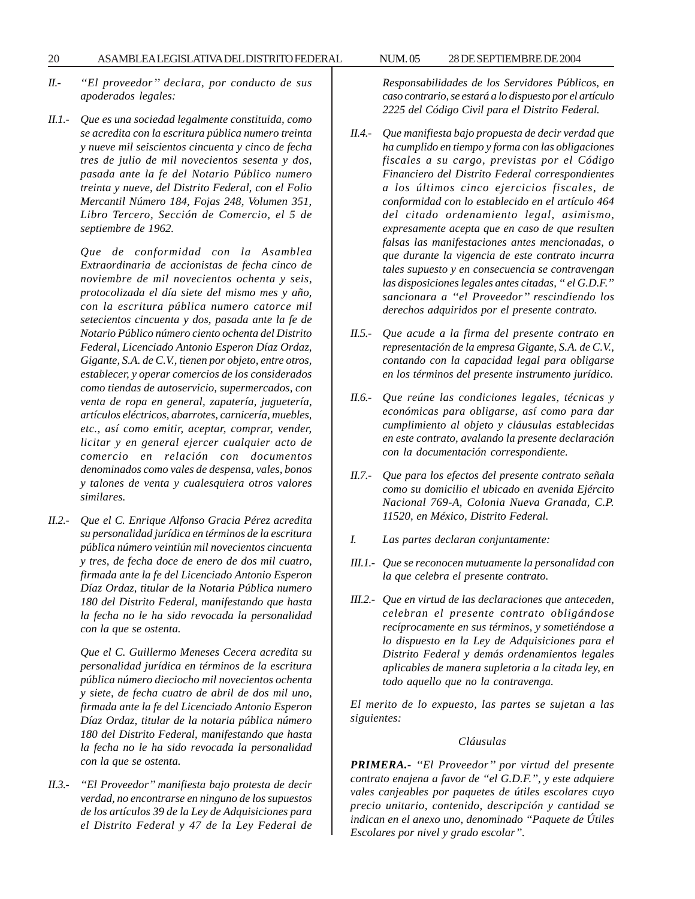- *II.- ''El proveedor'' declara, por conducto de sus apoderados legales:*
- *II.1.- Que es una sociedad legalmente constituida, como se acredita con la escritura pública numero treinta y nueve mil seiscientos cincuenta y cinco de fecha tres de julio de mil novecientos sesenta y dos, pasada ante la fe del Notario Público numero treinta y nueve, del Distrito Federal, con el Folio Mercantil Número 184, Fojas 248, Volumen 351, Libro Tercero, Sección de Comercio, el 5 de septiembre de 1962.*

*Que de conformidad con la Asamblea Extraordinaria de accionistas de fecha cinco de noviembre de mil novecientos ochenta y seis, protocolizada el día siete del mismo mes y año, con la escritura pública numero catorce mil setecientos cincuenta y dos, pasada ante la fe de Notario Público número ciento ochenta del Distrito Federal, Licenciado Antonio Esperon Díaz Ordaz, Gigante, S.A. de C.V., tienen por objeto, entre otros, establecer, y operar comercios de los considerados como tiendas de autoservicio, supermercados, con venta de ropa en general, zapatería, juguetería, artículos eléctricos, abarrotes, carnicería, muebles, etc., así como emitir, aceptar, comprar, vender, licitar y en general ejercer cualquier acto de comercio en relación con documentos denominados como vales de despensa, vales, bonos y talones de venta y cualesquiera otros valores similares.*

*II.2.- Que el C. Enrique Alfonso Gracia Pérez acredita su personalidad jurídica en términos de la escritura pública número veintiún mil novecientos cincuenta y tres, de fecha doce de enero de dos mil cuatro, firmada ante la fe del Licenciado Antonio Esperon Díaz Ordaz, titular de la Notaria Pública numero 180 del Distrito Federal, manifestando que hasta la fecha no le ha sido revocada la personalidad con la que se ostenta.*

> *Que el C. Guillermo Meneses Cecera acredita su personalidad jurídica en términos de la escritura pública número dieciocho mil novecientos ochenta y siete, de fecha cuatro de abril de dos mil uno, firmada ante la fe del Licenciado Antonio Esperon Díaz Ordaz, titular de la notaria pública número 180 del Distrito Federal, manifestando que hasta la fecha no le ha sido revocada la personalidad con la que se ostenta.*

*II.3.- ''El Proveedor'' manifiesta bajo protesta de decir verdad, no encontrarse en ninguno de los supuestos de los artículos 39 de la Ley de Adquisiciones para el Distrito Federal y 47 de la Ley Federal de* *Responsabilidades de los Servidores Públicos, en caso contrario, se estará a lo dispuesto por el artículo 2225 del Código Civil para el Distrito Federal.*

- *II.4.- Que manifiesta bajo propuesta de decir verdad que ha cumplido en tiempo y forma con las obligaciones fiscales a su cargo, previstas por el Código Financiero del Distrito Federal correspondientes a los últimos cinco ejercicios fiscales, de conformidad con lo establecido en el artículo 464 del citado ordenamiento legal, asimismo, expresamente acepta que en caso de que resulten falsas las manifestaciones antes mencionadas, o que durante la vigencia de este contrato incurra tales supuesto y en consecuencia se contravengan las disposiciones legales antes citadas, '' el G.D.F.'' sancionara a ''el Proveedor'' rescindiendo los derechos adquiridos por el presente contrato.*
- *II.5.- Que acude a la firma del presente contrato en representación de la empresa Gigante, S.A. de C.V., contando con la capacidad legal para obligarse en los términos del presente instrumento jurídico.*
- *II.6.- Que reúne las condiciones legales, técnicas y económicas para obligarse, así como para dar cumplimiento al objeto y cláusulas establecidas en este contrato, avalando la presente declaración con la documentación correspondiente.*
- *II.7.- Que para los efectos del presente contrato señala como su domicilio el ubicado en avenida Ejército Nacional 769-A, Colonia Nueva Granada, C.P. 11520, en México, Distrito Federal.*
- *I. Las partes declaran conjuntamente:*
- *III.1.- Que se reconocen mutuamente la personalidad con la que celebra el presente contrato.*
- *III.2.- Que en virtud de las declaraciones que anteceden, celebran el presente contrato obligándose recíprocamente en sus términos, y sometiéndose a lo dispuesto en la Ley de Adquisiciones para el Distrito Federal y demás ordenamientos legales aplicables de manera supletoria a la citada ley, en todo aquello que no la contravenga.*

*El merito de lo expuesto, las partes se sujetan a las siguientes:*

#### *Cláusulas*

*PRIMERA.- ''El Proveedor'' por virtud del presente contrato enajena a favor de ''el G.D.F.'', y este adquiere vales canjeables por paquetes de útiles escolares cuyo precio unitario, contenido, descripción y cantidad se indican en el anexo uno, denominado ''Paquete de Útiles Escolares por nivel y grado escolar''.*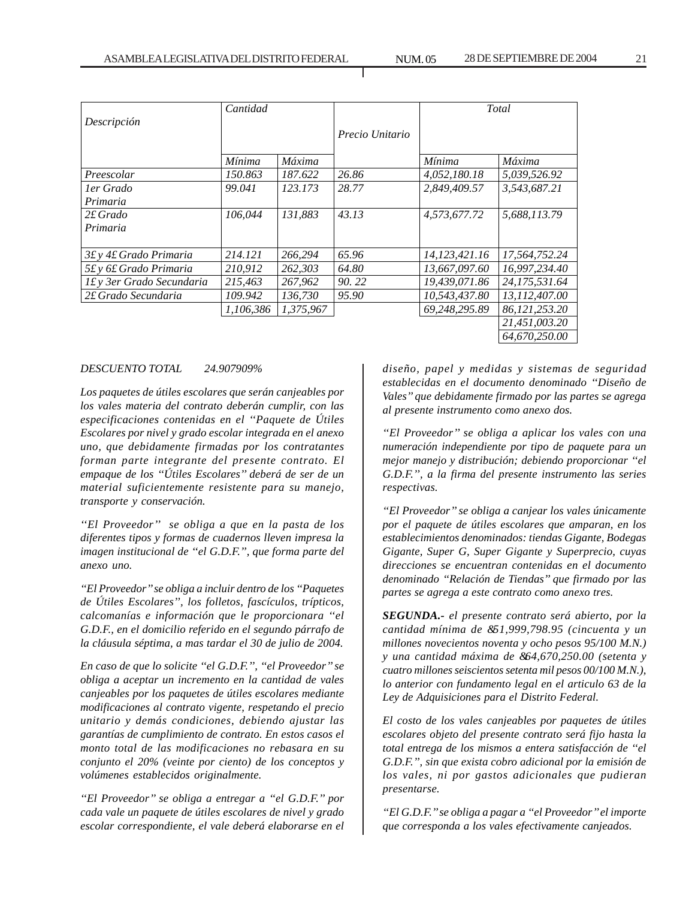|                           | Cantidad  |           |                 | Total         |                  |
|---------------------------|-----------|-----------|-----------------|---------------|------------------|
| Descripción               |           |           | Precio Unitario |               |                  |
|                           | Mínima    | Máxima    |                 | Mínima        | Máxima           |
| Preescolar                | 150.863   | 187.622   | 26.86           | 4,052,180.18  | 5,039,526.92     |
| ler Grado                 | 99.041    | 123.173   | 28.77           | 2,849,409.57  | 3,543,687.21     |
| Primaria                  |           |           |                 |               |                  |
| $2f$ Grado                | 106.044   | 131.883   | 43.13           | 4,573,677.72  | 5,688,113.79     |
| Primaria                  |           |           |                 |               |                  |
| 3£ y 4£ Grado Primaria    | 214.121   | 266,294   | 65.96           | 14.123.421.16 | 17.564.752.24    |
| 5£ y 6£ Grado Primaria    | 210,912   | 262,303   | 64.80           | 13,667,097.60 | 16,997,234.40    |
| If y 3er Grado Secundaria | 215,463   | 267,962   | 90.22           | 19,439,071.86 | 24,175,531.64    |
| 2£ Grado Secundaria       | 109.942   | 136.730   | 95.90           | 10,543,437.80 | 13,112,407.00    |
|                           | 1,106,386 | 1.375.967 |                 | 69,248,295.89 | 86, 121, 253. 20 |
|                           |           |           |                 |               | 21,451,003.20    |
|                           |           |           |                 |               | 64,670,250,00    |

# *DESCUENTO TOTAL 24.907909%*

*Los paquetes de útiles escolares que serán canjeables por los vales materia del contrato deberán cumplir, con las especificaciones contenidas en el ''Paquete de Útiles Escolares por nivel y grado escolar integrada en el anexo uno, que debidamente firmadas por los contratantes forman parte integrante del presente contrato. El empaque de los ''Útiles Escolares'' deberá de ser de un material suficientemente resistente para su manejo, transporte y conservación.*

*''El Proveedor'' se obliga a que en la pasta de los diferentes tipos y formas de cuadernos lleven impresa la imagen institucional de ''el G.D.F.'', que forma parte del anexo uno.*

*''El Proveedor'' se obliga a incluir dentro de los ''Paquetes de Útiles Escolares'', los folletos, fascículos, trípticos, calcomanías e información que le proporcionara ''el G.D.F., en el domicilio referido en el segundo párrafo de la cláusula séptima, a mas tardar el 30 de julio de 2004.*

*En caso de que lo solicite ''el G.D.F.'', ''el Proveedor'' se obliga a aceptar un incremento en la cantidad de vales canjeables por los paquetes de útiles escolares mediante modificaciones al contrato vigente, respetando el precio unitario y demás condiciones, debiendo ajustar las garantías de cumplimiento de contrato. En estos casos el monto total de las modificaciones no rebasara en su conjunto el 20% (veinte por ciento) de los conceptos y volúmenes establecidos originalmente.*

*''El Proveedor'' se obliga a entregar a ''el G.D.F.'' por cada vale un paquete de útiles escolares de nivel y grado escolar correspondiente, el vale deberá elaborarse en el*

*diseño, papel y medidas y sistemas de seguridad establecidas en el documento denominado ''Diseño de Vales'' que debidamente firmado por las partes se agrega al presente instrumento como anexo dos.*

*''El Proveedor'' se obliga a aplicar los vales con una numeración independiente por tipo de paquete para un mejor manejo y distribución; debiendo proporcionar ''el G.D.F.'', a la firma del presente instrumento las series respectivas.*

*''El Proveedor'' se obliga a canjear los vales únicamente por el paquete de útiles escolares que amparan, en los establecimientos denominados: tiendas Gigante, Bodegas Gigante, Super G, Super Gigante y Superprecio, cuyas direcciones se encuentran contenidas en el documento denominado ''Relación de Tiendas'' que firmado por las partes se agrega a este contrato como anexo tres.*

*SEGUNDA.- el presente contrato será abierto, por la cantidad mínima de &51,999,798.95 (cincuenta y un millones novecientos noventa y ocho pesos 95/100 M.N.) y una cantidad máxima de &64,670,250.00 (setenta y cuatro millones seiscientos setenta mil pesos 00/100 M.N.), lo anterior con fundamento legal en el articulo 63 de la Ley de Adquisiciones para el Distrito Federal.*

*El costo de los vales canjeables por paquetes de útiles escolares objeto del presente contrato será fijo hasta la total entrega de los mismos a entera satisfacción de ''el G.D.F.'', sin que exista cobro adicional por la emisión de los vales, ni por gastos adicionales que pudieran presentarse.*

*''El G.D.F.'' se obliga a pagar a ''el Proveedor'' el importe que corresponda a los vales efectivamente canjeados.*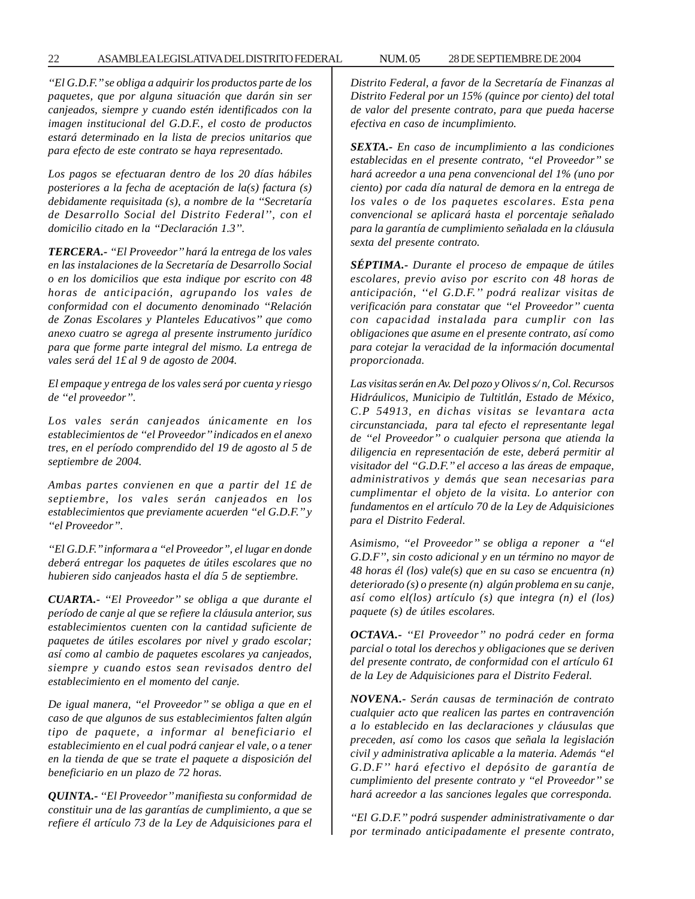## 22 ASAMBLEA LEGISLATIVA DEL DISTRITO FEDERAL 28 NUM. 05 DE SEPTIEMBRE DE 2004

*''El G.D.F.'' se obliga a adquirir los productos parte de los paquetes, que por alguna situación que darán sin ser canjeados, siempre y cuando estén identificados con la imagen institucional del G.D.F., el costo de productos estará determinado en la lista de precios unitarios que para efecto de este contrato se haya representado.*

*Los pagos se efectuaran dentro de los 20 días hábiles posteriores a la fecha de aceptación de la(s) factura (s) debidamente requisitada (s), a nombre de la ''Secretaría de Desarrollo Social del Distrito Federal'', con el domicilio citado en la ''Declaración 1.3''.*

*TERCERA.- ''El Proveedor'' hará la entrega de los vales en las instalaciones de la Secretaría de Desarrollo Social o en los domicilios que esta indique por escrito con 48 horas de anticipación, agrupando los vales de conformidad con el documento denominado ''Relación de Zonas Escolares y Planteles Educativos'' que como anexo cuatro se agrega al presente instrumento jurídico para que forme parte integral del mismo. La entrega de vales será del 1£ al 9 de agosto de 2004.*

*El empaque y entrega de los vales será por cuenta y riesgo de ''el proveedor''.*

*Los vales serán canjeados únicamente en los establecimientos de ''el Proveedor'' indicados en el anexo tres, en el período comprendido del 19 de agosto al 5 de septiembre de 2004.*

*Ambas partes convienen en que a partir del 1£ de septiembre, los vales serán canjeados en los establecimientos que previamente acuerden ''el G.D.F.'' y ''el Proveedor''.*

*''El G.D.F.'' informara a ''el Proveedor'', el lugar en donde deberá entregar los paquetes de útiles escolares que no hubieren sido canjeados hasta el día 5 de septiembre.*

*CUARTA.- ''El Proveedor'' se obliga a que durante el período de canje al que se refiere la cláusula anterior, sus establecimientos cuenten con la cantidad suficiente de paquetes de útiles escolares por nivel y grado escolar; así como al cambio de paquetes escolares ya canjeados, siempre y cuando estos sean revisados dentro del establecimiento en el momento del canje.*

*De igual manera, ''el Proveedor'' se obliga a que en el caso de que algunos de sus establecimientos falten algún tipo de paquete, a informar al beneficiario el establecimiento en el cual podrá canjear el vale, o a tener en la tienda de que se trate el paquete a disposición del beneficiario en un plazo de 72 horas.*

*QUINTA.- ''El Proveedor'' manifiesta su conformidad de constituir una de las garantías de cumplimiento, a que se refiere él artículo 73 de la Ley de Adquisiciones para el* *Distrito Federal, a favor de la Secretaría de Finanzas al Distrito Federal por un 15% (quince por ciento) del total de valor del presente contrato, para que pueda hacerse efectiva en caso de incumplimiento.*

*SEXTA.- En caso de incumplimiento a las condiciones establecidas en el presente contrato, ''el Proveedor'' se hará acreedor a una pena convencional del 1% (uno por ciento) por cada día natural de demora en la entrega de los vales o de los paquetes escolares. Esta pena convencional se aplicará hasta el porcentaje señalado para la garantía de cumplimiento señalada en la cláusula sexta del presente contrato.*

*SÉPTIMA.- Durante el proceso de empaque de útiles escolares, previo aviso por escrito con 48 horas de anticipación, ''el G.D.F.'' podrá realizar visitas de verificación para constatar que ''el Proveedor'' cuenta con capacidad instalada para cumplir con las obligaciones que asume en el presente contrato, así como para cotejar la veracidad de la información documental proporcionada.*

*Las visitas serán en Av. Del pozo y Olivos s/ n, Col. Recursos Hidráulicos, Municipio de Tultitlán, Estado de México, C.P 54913, en dichas visitas se levantara acta circunstanciada, para tal efecto el representante legal de ''el Proveedor'' o cualquier persona que atienda la diligencia en representación de este, deberá permitir al visitador del ''G.D.F.'' el acceso a las áreas de empaque, administrativos y demás que sean necesarias para cumplimentar el objeto de la visita. Lo anterior con fundamentos en el artículo 70 de la Ley de Adquisiciones para el Distrito Federal.*

*Asimismo, ''el Proveedor'' se obliga a reponer a ''el G.D.F'', sin costo adicional y en un término no mayor de 48 horas él (los) vale(s) que en su caso se encuentra (n) deteriorado (s) o presente (n) algún problema en su canje, así como el(los) artículo (s) que integra (n) el (los) paquete (s) de útiles escolares.*

*OCTAVA.- ''El Proveedor'' no podrá ceder en forma parcial o total los derechos y obligaciones que se deriven del presente contrato, de conformidad con el artículo 61 de la Ley de Adquisiciones para el Distrito Federal.*

*NOVENA.- Serán causas de terminación de contrato cualquier acto que realicen las partes en contravención a lo establecido en las declaraciones y cláusulas que preceden, así como los casos que señala la legislación civil y administrativa aplicable a la materia. Además ''el G.D.F'' hará efectivo el depósito de garantía de cumplimiento del presente contrato y ''el Proveedor'' se hará acreedor a las sanciones legales que corresponda.*

*''El G.D.F.'' podrá suspender administrativamente o dar por terminado anticipadamente el presente contrato,*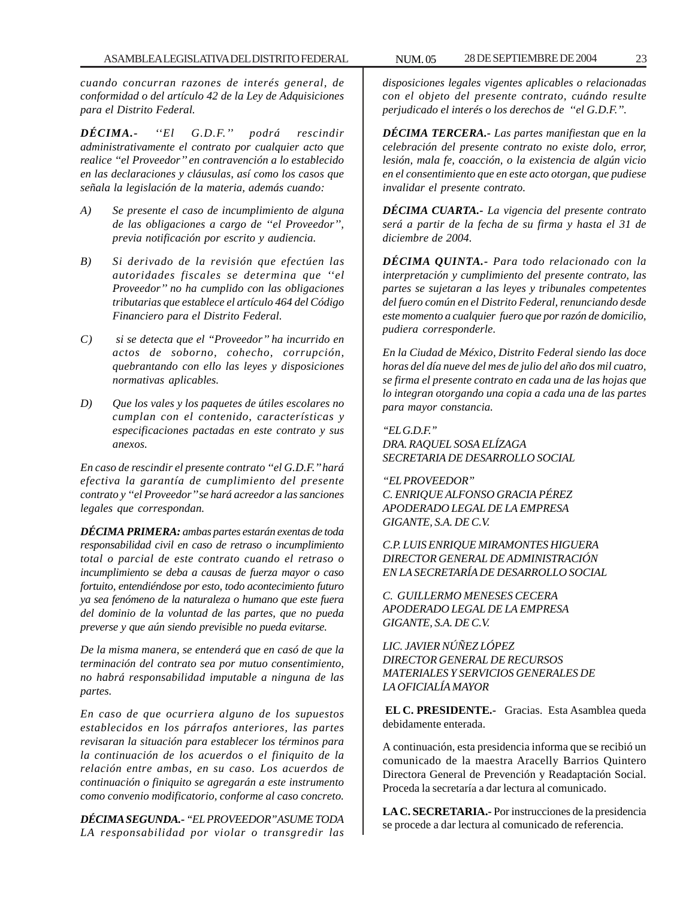*cuando concurran razones de interés general, de conformidad o del artículo 42 de la Ley de Adquisiciones para el Distrito Federal.*

*DÉCIMA.- ''El G.D.F.'' podrá rescindir administrativamente el contrato por cualquier acto que realice ''el Proveedor'' en contravención a lo establecido en las declaraciones y cláusulas, así como los casos que señala la legislación de la materia, además cuando:*

- *A) Se presente el caso de incumplimiento de alguna de las obligaciones a cargo de ''el Proveedor'', previa notificación por escrito y audiencia.*
- *B) Si derivado de la revisión que efectúen las autoridades fiscales se determina que ''el Proveedor'' no ha cumplido con las obligaciones tributarias que establece el artículo 464 del Código Financiero para el Distrito Federal.*
- *C) si se detecta que el ''Proveedor'' ha incurrido en actos de soborno, cohecho, corrupción, quebrantando con ello las leyes y disposiciones normativas aplicables.*
- *D) Que los vales y los paquetes de útiles escolares no cumplan con el contenido, características y especificaciones pactadas en este contrato y sus anexos.*

*En caso de rescindir el presente contrato ''el G.D.F.'' hará efectiva la garantía de cumplimiento del presente contrato y ''el Proveedor'' se hará acreedor a las sanciones legales que correspondan.*

*DÉCIMA PRIMERA: ambas partes estarán exentas de toda responsabilidad civil en caso de retraso o incumplimiento total o parcial de este contrato cuando el retraso o incumplimiento se deba a causas de fuerza mayor o caso fortuito, entendiéndose por esto, todo acontecimiento futuro ya sea fenómeno de la naturaleza o humano que este fuera del dominio de la voluntad de las partes, que no pueda preverse y que aún siendo previsible no pueda evitarse.*

*De la misma manera, se entenderá que en casó de que la terminación del contrato sea por mutuo consentimiento, no habrá responsabilidad imputable a ninguna de las partes.*

*En caso de que ocurriera alguno de los supuestos establecidos en los párrafos anteriores, las partes revisaran la situación para establecer los términos para la continuación de los acuerdos o el finiquito de la relación entre ambas, en su caso. Los acuerdos de continuación o finiquito se agregarán a este instrumento como convenio modificatorio, conforme al caso concreto.*

*DÉCIMA SEGUNDA.- ''EL PROVEEDOR'' ASUME TODA LA responsabilidad por violar o transgredir las*

*disposiciones legales vigentes aplicables o relacionadas con el objeto del presente contrato, cuándo resulte perjudicado el interés o los derechos de ''el G.D.F.''.*

*DÉCIMA TERCERA.- Las partes manifiestan que en la celebración del presente contrato no existe dolo, error, lesión, mala fe, coacción, o la existencia de algún vicio en el consentimiento que en este acto otorgan, que pudiese invalidar el presente contrato.*

*DÉCIMA CUARTA.- La vigencia del presente contrato será a partir de la fecha de su firma y hasta el 31 de diciembre de 2004.*

*DÉCIMA QUINTA.- Para todo relacionado con la interpretación y cumplimiento del presente contrato, las partes se sujetaran a las leyes y tribunales competentes del fuero común en el Distrito Federal, renunciando desde este momento a cualquier fuero que por razón de domicilio, pudiera corresponderle.*

*En la Ciudad de México, Distrito Federal siendo las doce horas del día nueve del mes de julio del año dos mil cuatro, se firma el presente contrato en cada una de las hojas que lo integran otorgando una copia a cada una de las partes para mayor constancia.*

*''EL G.D.F.'' DRA. RAQUEL SOSA ELÍZAGA SECRETARIA DE DESARROLLO SOCIAL*

*''EL PROVEEDOR'' C. ENRIQUE ALFONSO GRACIA PÉREZ APODERADO LEGAL DE LA EMPRESA GIGANTE, S.A. DE C.V.*

*C.P. LUIS ENRIQUE MIRAMONTES HIGUERA DIRECTOR GENERAL DE ADMINISTRACIÓN EN LA SECRETARÍA DE DESARROLLO SOCIAL*

*C. GUILLERMO MENESES CECERA APODERADO LEGAL DE LA EMPRESA GIGANTE, S.A. DE C.V.*

*LIC. JAVIER NÚÑEZ LÓPEZ DIRECTOR GENERAL DE RECURSOS MATERIALES Y SERVICIOS GENERALES DE LA OFICIALÍA MAYOR*

**EL C. PRESIDENTE.-** Gracias. Esta Asamblea queda debidamente enterada.

A continuación, esta presidencia informa que se recibió un comunicado de la maestra Aracelly Barrios Quintero Directora General de Prevención y Readaptación Social. Proceda la secretaría a dar lectura al comunicado.

**LA C. SECRETARIA.-** Por instrucciones de la presidencia se procede a dar lectura al comunicado de referencia.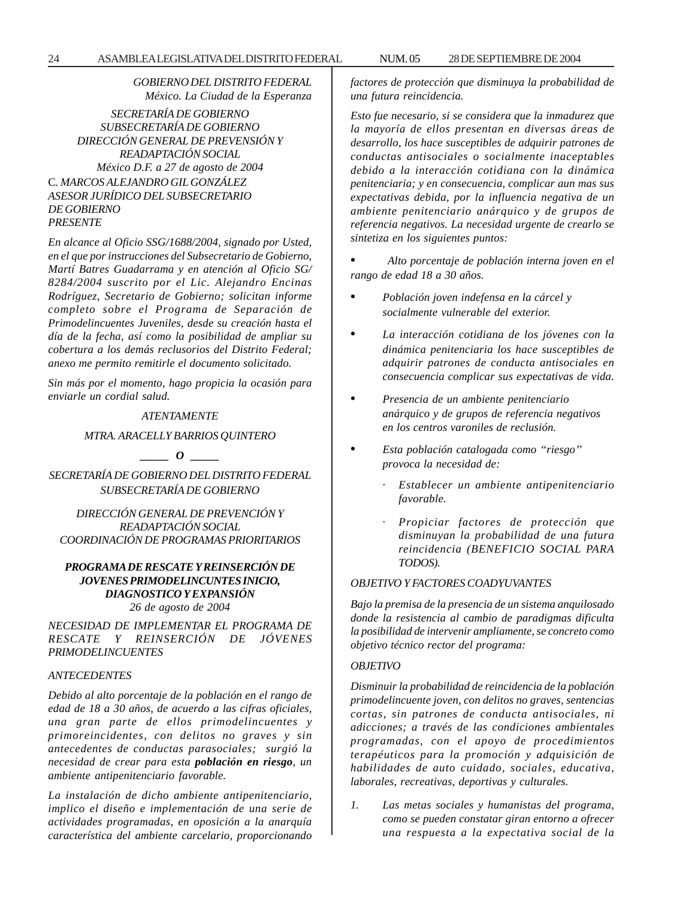*GOBIERNO DEL DISTRITO FEDERAL México. La Ciudad de la Esperanza*

*SECRETARÍA DE GOBIERNO SUBSECRETARÍA DE GOBIERNO DIRECCIÓN GENERAL DE PREVENSIÓN Y READAPTACIÓN SOCIAL México D.F. a 27 de agosto de 2004* C*. MARCOS ALEJANDRO GIL GONZÁLEZ ASESOR JURÍDICO DEL SUBSECRETARIO DE GOBIERNO PRESENTE*

*En alcance al Oficio SSG/1688/2004, signado por Usted, en el que por instrucciones del Subsecretario de Gobierno, Martí Batres Guadarrama y en atención al Oficio SG/ 8284/2004 suscrito por el Lic. Alejandro Encinas Rodríguez, Secretario de Gobierno; solicitan informe completo sobre el Programa de Separación de Primodelincuentes Juveniles, desde su creación hasta el día de la fecha, así como la posibilidad de ampliar su cobertura a los demás reclusorios del Distrito Federal; anexo me permito remitirle el documento solicitado.*

*Sin más por el momento, hago propicia la ocasión para enviarle un cordial salud.*

#### *ATENTAMENTE*

# *MTRA. ARACELLY BARRIOS QUINTERO*

*\_\_\_\_\_ O \_\_\_\_\_*

*SECRETARÍA DE GOBIERNO DEL DISTRITO FEDERAL SUBSECRETARÍA DE GOBIERNO*

*DIRECCIÓN GENERAL DE PREVENCIÓN Y READAPTACIÓN SOCIAL COORDINACIÓN DE PROGRAMAS PRIORITARIOS*

# *PROGRAMA DE RESCATE Y REINSERCIÓN DE JOVENES PRIMODELINCUNTES INICIO, DIAGNOSTICO Y EXPANSIÓN 26 de agosto de 2004*

*NECESIDAD DE IMPLEMENTAR EL PROGRAMA DE RESCATE Y REINSERCIÓN DE JÓVENES PRIMODELINCUENTES*

#### *ANTECEDENTES*

*Debido al alto porcentaje de la población en el rango de edad de 18 a 30 años, de acuerdo a las cifras oficiales, una gran parte de ellos primodelincuentes y primoreincidentes, con delitos no graves y sin antecedentes de conductas parasociales; surgió la necesidad de crear para esta población en riesgo, un ambiente antipenitenciario favorable.*

*La instalación de dicho ambiente antipenitenciario, implico el diseño e implementación de una serie de actividades programadas, en oposición a la anarquía característica del ambiente carcelario, proporcionando* *factores de protección que disminuya la probabilidad de una futura reincidencia.*

*Esto fue necesario, si se considera que la inmadurez que la mayoría de ellos presentan en diversas áreas de desarrollo, los hace susceptibles de adquirir patrones de conductas antisociales o socialmente inaceptables debido a la interacción cotidiana con la dinámica penitenciaria; y en consecuencia, complicar aun mas sus expectativas debida, por la influencia negativa de un ambiente penitenciario anárquico y de grupos de referencia negativos. La necesidad urgente de crearlo se sintetiza en los siguientes puntos:*

• *Alto porcentaje de población interna joven en el rango de edad 18 a 30 años.*

- *Población joven indefensa en la cárcel y socialmente vulnerable del exterior.*
- *La interacción cotidiana de los jóvenes con la dinámica penitenciaria los hace susceptibles de adquirir patrones de conducta antisociales en consecuencia complicar sus expectativas de vida.*
- *Presencia de un ambiente penitenciario anárquico y de grupos de referencia negativos en los centros varoniles de reclusión.*
- *Esta población catalogada como ''riesgo'' provoca la necesidad de:*
	- · *Establecer un ambiente antipenitenciario favorable.*
	- · *Propiciar factores de protección que disminuyan la probabilidad de una futura reincidencia (BENEFICIO SOCIAL PARA TODOS).*

#### *OBJETIVO Y FACTORES COADYUVANTES*

*Bajo la premisa de la presencia de un sistema anquilosado donde la resistencia al cambio de paradigmas dificulta la posibilidad de intervenir ampliamente, se concreto como objetivo técnico rector del programa:*

#### *OBJETIVO*

*Disminuir la probabilidad de reincidencia de la población primodelincuente joven, con delitos no graves, sentencias cortas, sin patrones de conducta antisociales, ni adicciones; a través de las condiciones ambientales programadas, con el apoyo de procedimientos terapéuticos para la promoción y adquisición de habilidades de auto cuidado, sociales, educativa, laborales, recreativas, deportivas y culturales.*

*1. Las metas sociales y humanistas del programa, como se pueden constatar giran entorno a ofrecer una respuesta a la expectativa social de la*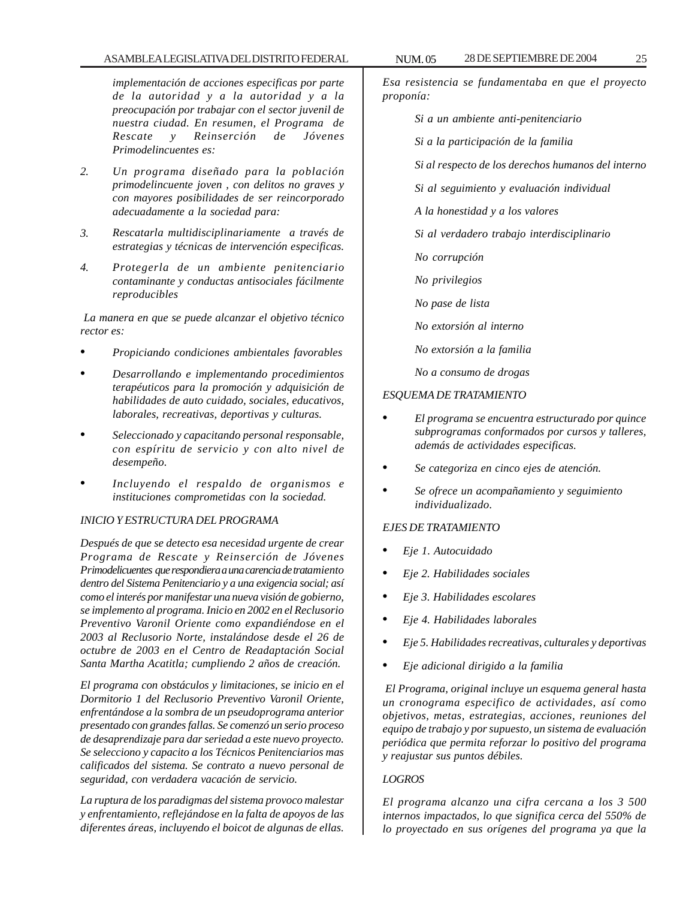# ASAMBLEA LEGISLATIVA DEL DISTRITO FEDERAL NUM. 05 28 DE SEPTIEMBRE DE 2004 25

*implementación de acciones especificas por parte de la autoridad y a la autoridad y a la preocupación por trabajar con el sector juvenil de nuestra ciudad. En resumen, el Programa de Rescate y Reinserción de Jóvenes Primodelincuentes es:*

- *2. Un programa diseñado para la población primodelincuente joven , con delitos no graves y con mayores posibilidades de ser reincorporado adecuadamente a la sociedad para:*
- *3. Rescatarla multidisciplinariamente a través de estrategias y técnicas de intervención especificas.*
- *4. Protegerla de un ambiente penitenciario contaminante y conductas antisociales fácilmente reproducibles*

 *La manera en que se puede alcanzar el objetivo técnico rector es:*

- *Propiciando condiciones ambientales favorables*
- *Desarrollando e implementando procedimientos terapéuticos para la promoción y adquisición de habilidades de auto cuidado, sociales, educativos, laborales, recreativas, deportivas y culturas.*
- *Seleccionado y capacitando personal responsable, con espíritu de servicio y con alto nivel de desempeño.*
- *Incluyendo el respaldo de organismos e instituciones comprometidas con la sociedad.*

# *INICIO Y ESTRUCTURA DEL PROGRAMA*

*Después de que se detecto esa necesidad urgente de crear Programa de Rescate y Reinserción de Jóvenes Primodelicuentes que respondiera a una carencia de tratamiento dentro del Sistema Penitenciario y a una exigencia social; así como el interés por manifestar una nueva visión de gobierno, se implemento al programa. Inicio en 2002 en el Reclusorio Preventivo Varonil Oriente como expandiéndose en el 2003 al Reclusorio Norte, instalándose desde el 26 de octubre de 2003 en el Centro de Readaptación Social Santa Martha Acatitla; cumpliendo 2 años de creación.*

*El programa con obstáculos y limitaciones, se inicio en el Dormitorio 1 del Reclusorio Preventivo Varonil Oriente, enfrentándose a la sombra de un pseudoprograma anterior presentado con grandes fallas. Se comenzó un serio proceso de desaprendizaje para dar seriedad a este nuevo proyecto. Se selecciono y capacito a los Técnicos Penitenciarios mas calificados del sistema. Se contrato a nuevo personal de seguridad, con verdadera vacación de servicio.*

*La ruptura de los paradigmas del sistema provoco malestar y enfrentamiento, reflejándose en la falta de apoyos de las diferentes áreas, incluyendo el boicot de algunas de ellas.*

*Esa resistencia se fundamentaba en que el proyecto proponía:*

- *Si a un ambiente anti-penitenciario*
- *Si a la participación de la familia*
- *Si al respecto de los derechos humanos del interno*
- *Si al seguimiento y evaluación individual*
- *A la honestidad y a los valores*
- *Si al verdadero trabajo interdisciplinario*
- *No corrupción*
- *No privilegios*
- *No pase de lista*
- *No extorsión al interno*
- *No extorsión a la familia*
- *No a consumo de drogas*

# *ESQUEMA DE TRATAMIENTO*

- *El programa se encuentra estructurado por quince subprogramas conformados por cursos y talleres, además de actividades especificas.*
- *Se categoriza en cinco ejes de atención.*
- *Se ofrece un acompañamiento y seguimiento individualizado.*

#### *EJES DE TRATAMIENTO*

- *Eje 1. Autocuidado*
- *Eje 2. Habilidades sociales*
- *Eje 3. Habilidades escolares*
- *Eje 4. Habilidades laborales*
- *Eje 5. Habilidades recreativas, culturales y deportivas*
- *Eje adicional dirigido a la familia*

 *El Programa, original incluye un esquema general hasta un cronograma especifico de actividades, así como objetivos, metas, estrategias, acciones, reuniones del equipo de trabajo y por supuesto, un sistema de evaluación periódica que permita reforzar lo positivo del programa y reajustar sus puntos débiles.*

#### *LOGROS*

*El programa alcanzo una cifra cercana a los 3 500 internos impactados, lo que significa cerca del 550% de lo proyectado en sus orígenes del programa ya que la*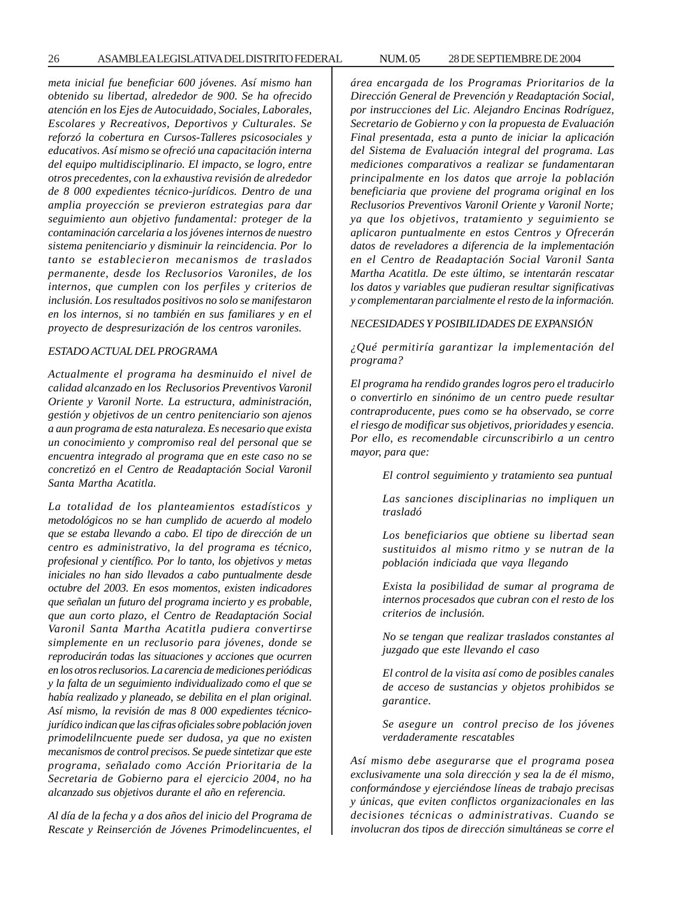26 ASAMBLEA LEGISLATIVA DEL DISTRITO FEDERAL 28 NUM. 05 DE SEPTIEMBRE DE 2004

*meta inicial fue beneficiar 600 jóvenes. Así mismo han obtenido su libertad, alrededor de 900. Se ha ofrecido atención en los Ejes de Autocuidado, Sociales, Laborales, Escolares y Recreativos, Deportivos y Culturales. Se reforzó la cobertura en Cursos-Talleres psicosociales y educativos. Así mismo se ofreció una capacitación interna del equipo multidisciplinario. El impacto, se logro, entre otros precedentes, con la exhaustiva revisión de alrededor de 8 000 expedientes técnico-jurídicos. Dentro de una amplia proyección se previeron estrategias para dar seguimiento aun objetivo fundamental: proteger de la contaminación carcelaria a los jóvenes internos de nuestro sistema penitenciario y disminuir la reincidencia. Por lo tanto se establecieron mecanismos de traslados permanente, desde los Reclusorios Varoniles, de los internos, que cumplen con los perfiles y criterios de inclusión. Los resultados positivos no solo se manifestaron en los internos, si no también en sus familiares y en el proyecto de despresurización de los centros varoniles.*

#### *ESTADO ACTUAL DEL PROGRAMA*

*Actualmente el programa ha desminuido el nivel de calidad alcanzado en los Reclusorios Preventivos Varonil Oriente y Varonil Norte. La estructura, administración, gestión y objetivos de un centro penitenciario son ajenos a aun programa de esta naturaleza. Es necesario que exista un conocimiento y compromiso real del personal que se encuentra integrado al programa que en este caso no se concretizó en el Centro de Readaptación Social Varonil Santa Martha Acatitla.*

*La totalidad de los planteamientos estadísticos y metodológicos no se han cumplido de acuerdo al modelo que se estaba llevando a cabo. El tipo de dirección de un centro es administrativo, la del programa es técnico, profesional y científico. Por lo tanto, los objetivos y metas iniciales no han sido llevados a cabo puntualmente desde octubre del 2003. En esos momentos, existen indicadores que señalan un futuro del programa incierto y es probable, que aun corto plazo, el Centro de Readaptación Social Varonil Santa Martha Acatitla pudiera convertirse simplemente en un reclusorio para jóvenes, donde se reproducirán todas las situaciones y acciones que ocurren en los otros reclusorios. La carencia de mediciones periódicas y la falta de un seguimiento individualizado como el que se había realizado y planeado, se debilita en el plan original. Así mismo, la revisión de mas 8 000 expedientes técnicojurídico indican que las cifras oficiales sobre población joven primodelilncuente puede ser dudosa, ya que no existen mecanismos de control precisos. Se puede sintetizar que este programa, señalado como Acción Prioritaria de la Secretaria de Gobierno para el ejercicio 2004, no ha alcanzado sus objetivos durante el año en referencia.*

*Al día de la fecha y a dos años del inicio del Programa de Rescate y Reinserción de Jóvenes Primodelincuentes, el* *área encargada de los Programas Prioritarios de la Dirección General de Prevención y Readaptación Social, por instrucciones del Lic. Alejandro Encinas Rodríguez, Secretario de Gobierno y con la propuesta de Evaluación Final presentada, esta a punto de iniciar la aplicación del Sistema de Evaluación integral del programa. Las mediciones comparativos a realizar se fundamentaran principalmente en los datos que arroje la población beneficiaria que proviene del programa original en los Reclusorios Preventivos Varonil Oriente y Varonil Norte; ya que los objetivos, tratamiento y seguimiento se aplicaron puntualmente en estos Centros y Ofrecerán datos de reveladores a diferencia de la implementación en el Centro de Readaptación Social Varonil Santa Martha Acatitla. De este último, se intentarán rescatar los datos y variables que pudieran resultar significativas y complementaran parcialmente el resto de la información.*

#### *NECESIDADES Y POSIBILIDADES DE EXPANSIÓN*

*¿Qué permitiría garantizar la implementación del programa?*

*El programa ha rendido grandes logros pero el traducirlo o convertirlo en sinónimo de un centro puede resultar contraproducente, pues como se ha observado, se corre el riesgo de modificar sus objetivos, prioridades y esencia. Por ello, es recomendable circunscribirlo a un centro mayor, para que:*

*El control seguimiento y tratamiento sea puntual*

*Las sanciones disciplinarias no impliquen un trasladó*

*Los beneficiarios que obtiene su libertad sean sustituidos al mismo ritmo y se nutran de la población indiciada que vaya llegando*

*Exista la posibilidad de sumar al programa de internos procesados que cubran con el resto de los criterios de inclusión.*

*No se tengan que realizar traslados constantes al juzgado que este llevando el caso*

*El control de la visita así como de posibles canales de acceso de sustancias y objetos prohibidos se garantice.*

*Se asegure un control preciso de los jóvenes verdaderamente rescatables*

*Así mismo debe asegurarse que el programa posea exclusivamente una sola dirección y sea la de él mismo, conformándose y ejerciéndose líneas de trabajo precisas y únicas, que eviten conflictos organizacionales en las decisiones técnicas o administrativas. Cuando se involucran dos tipos de dirección simultáneas se corre el*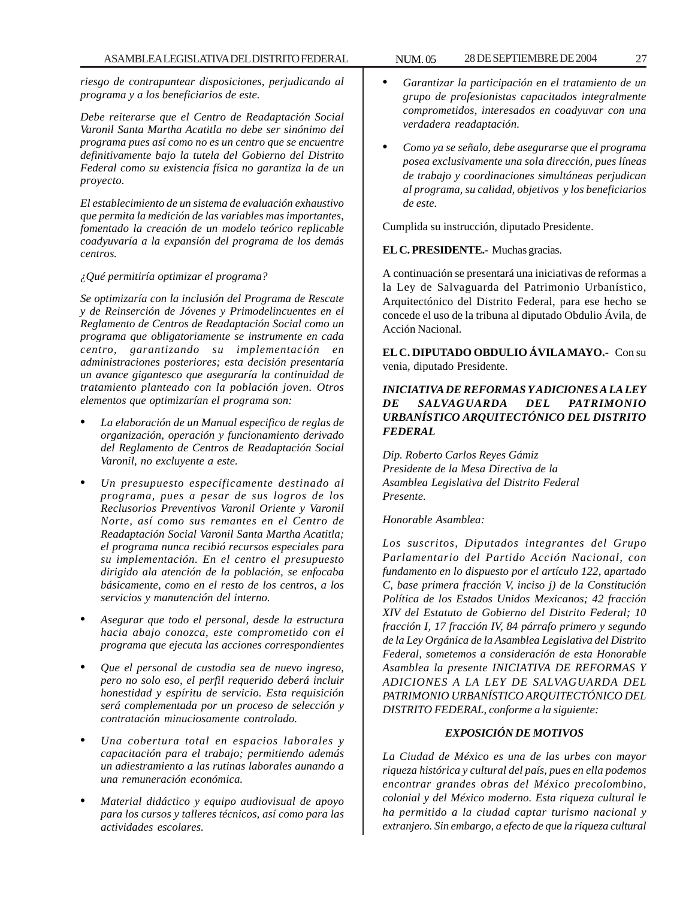*riesgo de contrapuntear disposiciones, perjudicando al programa y a los beneficiarios de este.*

*Debe reiterarse que el Centro de Readaptación Social Varonil Santa Martha Acatitla no debe ser sinónimo del programa pues así como no es un centro que se encuentre definitivamente bajo la tutela del Gobierno del Distrito Federal como su existencia física no garantiza la de un proyecto.*

*El establecimiento de un sistema de evaluación exhaustivo que permita la medición de las variables mas importantes, fomentado la creación de un modelo teórico replicable coadyuvaría a la expansión del programa de los demás centros.*

#### *¿Qué permitiría optimizar el programa?*

*Se optimizaría con la inclusión del Programa de Rescate y de Reinserción de Jóvenes y Primodelincuentes en el Reglamento de Centros de Readaptación Social como un programa que obligatoriamente se instrumente en cada centro, garantizando su implementación en administraciones posteriores; esta decisión presentaría un avance gigantesco que aseguraría la continuidad de tratamiento planteado con la población joven. Otros elementos que optimizarían el programa son:*

- *La elaboración de un Manual especifico de reglas de organización, operación y funcionamiento derivado del Reglamento de Centros de Readaptación Social Varonil, no excluyente a este.*
- *Un presupuesto específicamente destinado al programa, pues a pesar de sus logros de los Reclusorios Preventivos Varonil Oriente y Varonil Norte, así como sus remantes en el Centro de Readaptación Social Varonil Santa Martha Acatitla; el programa nunca recibió recursos especiales para su implementación. En el centro el presupuesto dirigido ala atención de la población, se enfocaba básicamente, como en el resto de los centros, a los servicios y manutención del interno.*
- *Asegurar que todo el personal, desde la estructura hacia abajo conozca, este comprometido con el programa que ejecuta las acciones correspondientes*
- *Que el personal de custodia sea de nuevo ingreso, pero no solo eso, el perfil requerido deberá incluir honestidad y espíritu de servicio. Esta requisición será complementada por un proceso de selección y contratación minuciosamente controlado.*
- *Una cobertura total en espacios laborales y capacitación para el trabajo; permitiendo además un adiestramiento a las rutinas laborales aunando a una remuneración económica.*
- *Material didáctico y equipo audiovisual de apoyo para los cursos y talleres técnicos, así como para las actividades escolares.*
- *Garantizar la participación en el tratamiento de un grupo de profesionistas capacitados integralmente comprometidos, interesados en coadyuvar con una verdadera readaptación.*
- *Como ya se señalo, debe asegurarse que el programa posea exclusivamente una sola dirección, pues líneas de trabajo y coordinaciones simultáneas perjudican al programa, su calidad, objetivos y los beneficiarios de este.*

Cumplida su instrucción, diputado Presidente.

# **EL C. PRESIDENTE.-** Muchas gracias.

A continuación se presentará una iniciativas de reformas a la Ley de Salvaguarda del Patrimonio Urbanístico, Arquitectónico del Distrito Federal, para ese hecho se concede el uso de la tribuna al diputado Obdulio Ávila, de Acción Nacional.

**EL C. DIPUTADO OBDULIO ÁVILA MAYO.-** Con su venia, diputado Presidente.

# *INICIATIVA DE REFORMAS Y ADICIONES A LA LEY DE SALVAGUARDA DEL PATRIMONIO URBANÍSTICO ARQUITECTÓNICO DEL DISTRITO FEDERAL*

*Dip. Roberto Carlos Reyes Gámiz Presidente de la Mesa Directiva de la Asamblea Legislativa del Distrito Federal Presente.*

*Honorable Asamblea:*

*Los suscritos, Diputados integrantes del Grupo Parlamentario del Partido Acción Nacional, con fundamento en lo dispuesto por el artículo 122, apartado C, base primera fracción V, inciso j) de la Constitución Política de los Estados Unidos Mexicanos; 42 fracción XIV del Estatuto de Gobierno del Distrito Federal; 10 fracción I, 17 fracción IV, 84 párrafo primero y segundo de la Ley Orgánica de la Asamblea Legislativa del Distrito Federal, sometemos a consideración de esta Honorable Asamblea la presente INICIATIVA DE REFORMAS Y ADICIONES A LA LEY DE SALVAGUARDA DEL PATRIMONIO URBANÍSTICO ARQUITECTÓNICO DEL DISTRITO FEDERAL, conforme a la siguiente:*

#### *EXPOSICIÓN DE MOTIVOS*

*La Ciudad de México es una de las urbes con mayor riqueza histórica y cultural del país, pues en ella podemos encontrar grandes obras del México precolombino, colonial y del México moderno. Esta riqueza cultural le ha permitido a la ciudad captar turismo nacional y extranjero. Sin embargo, a efecto de que la riqueza cultural*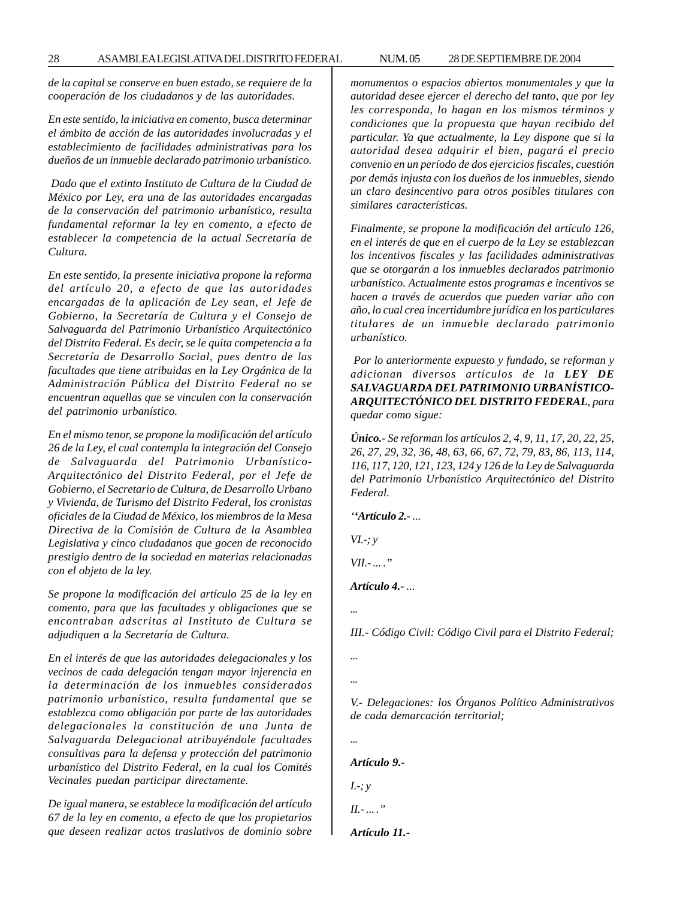*de la capital se conserve en buen estado, se requiere de la*

*En este sentido, la iniciativa en comento, busca determinar el ámbito de acción de las autoridades involucradas y el establecimiento de facilidades administrativas para los dueños de un inmueble declarado patrimonio urbanístico.*

*cooperación de los ciudadanos y de las autoridades.*

 *Dado que el extinto Instituto de Cultura de la Ciudad de México por Ley, era una de las autoridades encargadas de la conservación del patrimonio urbanístico, resulta fundamental reformar la ley en comento, a efecto de establecer la competencia de la actual Secretaría de Cultura.*

*En este sentido, la presente iniciativa propone la reforma del artículo 20, a efecto de que las autoridades encargadas de la aplicación de Ley sean, el Jefe de Gobierno, la Secretaría de Cultura y el Consejo de Salvaguarda del Patrimonio Urbanístico Arquitectónico del Distrito Federal. Es decir, se le quita competencia a la Secretaría de Desarrollo Social, pues dentro de las facultades que tiene atribuidas en la Ley Orgánica de la Administración Pública del Distrito Federal no se encuentran aquellas que se vinculen con la conservación del patrimonio urbanístico.*

*En el mismo tenor, se propone la modificación del artículo 26 de la Ley, el cual contempla la integración del Consejo de Salvaguarda del Patrimonio Urbanístico-Arquitectónico del Distrito Federal, por el Jefe de Gobierno, el Secretario de Cultura, de Desarrollo Urbano y Vivienda, de Turismo del Distrito Federal, los cronistas oficiales de la Ciudad de México, los miembros de la Mesa Directiva de la Comisión de Cultura de la Asamblea Legislativa y cinco ciudadanos que gocen de reconocido prestigio dentro de la sociedad en materias relacionadas con el objeto de la ley.*

*Se propone la modificación del artículo 25 de la ley en comento, para que las facultades y obligaciones que se encontraban adscritas al Instituto de Cultura se adjudiquen a la Secretaría de Cultura.*

*En el interés de que las autoridades delegacionales y los vecinos de cada delegación tengan mayor injerencia en la determinación de los inmuebles considerados patrimonio urbanístico, resulta fundamental que se establezca como obligación por parte de las autoridades delegacionales la constitución de una Junta de Salvaguarda Delegacional atribuyéndole facultades consultivas para la defensa y protección del patrimonio urbanístico del Distrito Federal, en la cual los Comités Vecinales puedan participar directamente.*

*De igual manera, se establece la modificación del artículo 67 de la ley en comento, a efecto de que los propietarios que deseen realizar actos traslativos de dominio sobre* *monumentos o espacios abiertos monumentales y que la autoridad desee ejercer el derecho del tanto, que por ley les corresponda, lo hagan en los mismos términos y condiciones que la propuesta que hayan recibido del particular. Ya que actualmente, la Ley dispone que si la autoridad desea adquirir el bien, pagará el precio convenio en un período de dos ejercicios fiscales, cuestión por demás injusta con los dueños de los inmuebles, siendo un claro desincentivo para otros posibles titulares con similares características.*

*Finalmente, se propone la modificación del artículo 126, en el interés de que en el cuerpo de la Ley se establezcan los incentivos fiscales y las facilidades administrativas que se otorgarán a los inmuebles declarados patrimonio urbanístico. Actualmente estos programas e incentivos se hacen a través de acuerdos que pueden variar año con año, lo cual crea incertidumbre jurídica en los particulares titulares de un inmueble declarado patrimonio urbanístico.*

 *Por lo anteriormente expuesto y fundado, se reforman y adicionan diversos artículos de la LEY DE SALVAGUARDA DEL PATRIMONIO URBANÍSTICO-ARQUITECTÓNICO DEL DISTRITO FEDERAL, para quedar como sigue:*

*Único.- Se reforman los artículos 2, 4, 9, 11, 17, 20, 22, 25, 26, 27, 29, 32, 36, 48, 63, 66, 67, 72, 79, 83, 86, 113, 114, 116, 117, 120, 121, 123, 124 y 126 de la Ley de Salvaguarda del Patrimonio Urbanístico Arquitectónico del Distrito Federal.*

*''Artículo 2.- ...*

*VI.-; y*

*VII.- ... .''*

*Artículo 4.- ...*

*...*

*III.- Código Civil: Código Civil para el Distrito Federal;*

*...*

*...*

*V.- Delegaciones: los Órganos Político Administrativos de cada demarcación territorial;*

*...*

*Artículo 9.-*

*I.-; y*

*II.- ... .''*

*Artículo 11.-*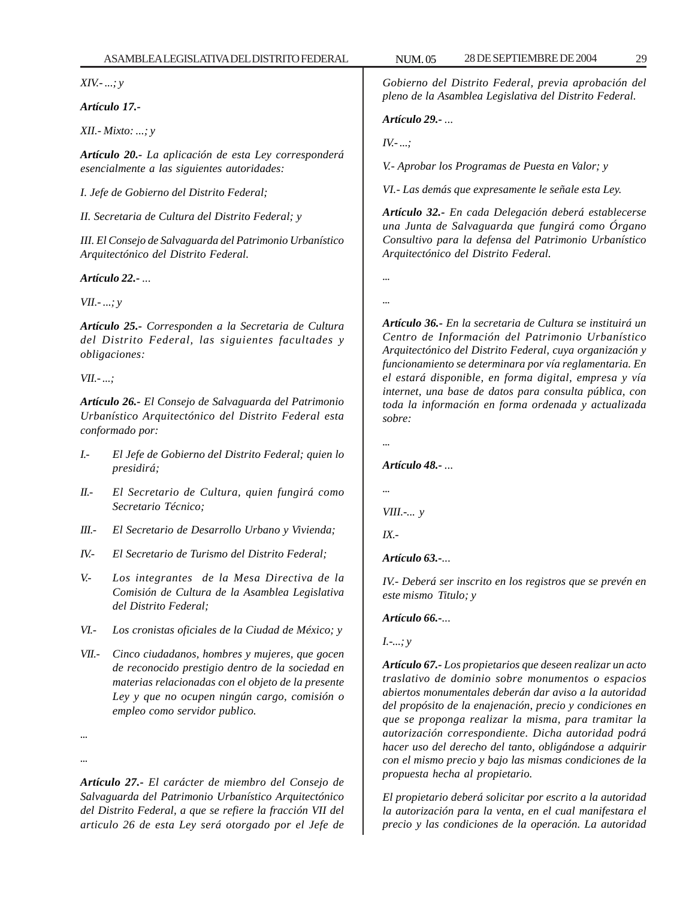*XIV.- ...; y*

*Artículo 17.-*

*XII.- Mixto: ...; y*

*Artículo 20.- La aplicación de esta Ley corresponderá esencialmente a las siguientes autoridades:*

*I. Jefe de Gobierno del Distrito Federal;*

*II. Secretaria de Cultura del Distrito Federal; y*

*III. El Consejo de Salvaguarda del Patrimonio Urbanístico Arquitectónico del Distrito Federal.*

*Artículo 22.- ...*

*VII.- ...; y*

*Artículo 25.- Corresponden a la Secretaria de Cultura del Distrito Federal, las siguientes facultades y obligaciones:*

*VII.- ...;*

*Artículo 26.- El Consejo de Salvaguarda del Patrimonio Urbanístico Arquitectónico del Distrito Federal esta conformado por:*

- *I.- El Jefe de Gobierno del Distrito Federal; quien lo presidirá;*
- *II.- El Secretario de Cultura, quien fungirá como Secretario Técnico;*
- *III.- El Secretario de Desarrollo Urbano y Vivienda;*
- *IV.- El Secretario de Turismo del Distrito Federal;*
- *V.- Los integrantes de la Mesa Directiva de la Comisión de Cultura de la Asamblea Legislativa del Distrito Federal;*
- *VI.- Los cronistas oficiales de la Ciudad de México; y*
- *VII.- Cinco ciudadanos, hombres y mujeres, que gocen de reconocido prestigio dentro de la sociedad en materias relacionadas con el objeto de la presente Ley y que no ocupen ningún cargo, comisión o empleo como servidor publico.*

*... ...*

*Artículo 27.- El carácter de miembro del Consejo de Salvaguarda del Patrimonio Urbanístico Arquitectónico del Distrito Federal, a que se refiere la fracción VII del articulo 26 de esta Ley será otorgado por el Jefe de*

*Gobierno del Distrito Federal, previa aprobación del pleno de la Asamblea Legislativa del Distrito Federal.*

*Artículo 29.- ...*

*IV.- ...;*

*V.- Aprobar los Programas de Puesta en Valor; y*

*VI.- Las demás que expresamente le señale esta Ley.*

*Artículo 32.- En cada Delegación deberá establecerse una Junta de Salvaguarda que fungirá como Órgano Consultivo para la defensa del Patrimonio Urbanístico Arquitectónico del Distrito Federal.*

*...*

*...*

*Artículo 36.- En la secretaria de Cultura se instituirá un Centro de Información del Patrimonio Urbanístico Arquitectónico del Distrito Federal, cuya organización y funcionamiento se determinara por vía reglamentaria. En el estará disponible, en forma digital, empresa y vía internet, una base de datos para consulta pública, con toda la información en forma ordenada y actualizada sobre:*

*...*

*Artículo 48.- ...*

*...*

*VIII.-... y*

*IX.-*

*Artículo 63.-...*

*IV.- Deberá ser inscrito en los registros que se prevén en este mismo Titulo; y*

*Artículo 66.-...*

*I.-...; y*

*Artículo 67.- Los propietarios que deseen realizar un acto traslativo de dominio sobre monumentos o espacios abiertos monumentales deberán dar aviso a la autoridad del propósito de la enajenación, precio y condiciones en que se proponga realizar la misma, para tramitar la autorización correspondiente. Dicha autoridad podrá hacer uso del derecho del tanto, obligándose a adquirir con el mismo precio y bajo las mismas condiciones de la propuesta hecha al propietario.*

*El propietario deberá solicitar por escrito a la autoridad la autorización para la venta, en el cual manifestara el precio y las condiciones de la operación. La autoridad*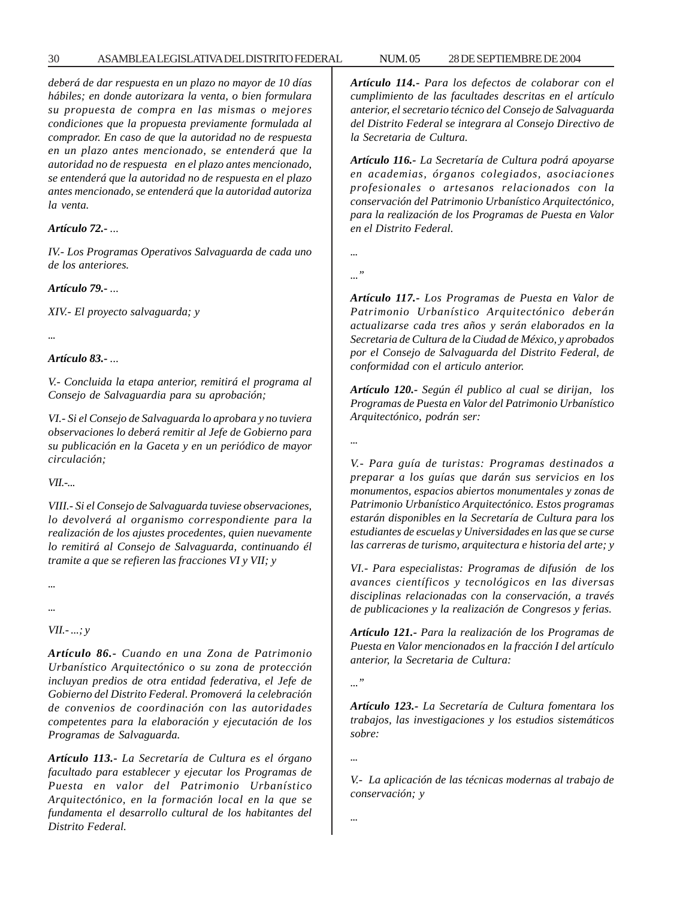*deberá de dar respuesta en un plazo no mayor de 10 días hábiles; en donde autorizara la venta, o bien formulara su propuesta de compra en las mismas o mejores condiciones que la propuesta previamente formulada al comprador. En caso de que la autoridad no de respuesta en un plazo antes mencionado, se entenderá que la autoridad no de respuesta en el plazo antes mencionado, se entenderá que la autoridad no de respuesta en el plazo antes mencionado, se entenderá que la autoridad autoriza la venta.*

#### *Artículo 72.- ...*

*IV.- Los Programas Operativos Salvaguarda de cada uno de los anteriores.*

*Artículo 79.- ...*

*XIV.- El proyecto salvaguarda; y*

*...*

# *Artículo 83.- ...*

*V.- Concluida la etapa anterior, remitirá el programa al Consejo de Salvaguardia para su aprobación;*

*VI.- Si el Consejo de Salvaguarda lo aprobara y no tuviera observaciones lo deberá remitir al Jefe de Gobierno para su publicación en la Gaceta y en un periódico de mayor circulación;*

*VII.-...*

*VIII.- Si el Consejo de Salvaguarda tuviese observaciones, lo devolverá al organismo correspondiente para la realización de los ajustes procedentes, quien nuevamente lo remitirá al Consejo de Salvaguarda, continuando él tramite a que se refieren las fracciones VI y VII; y*

*...*

#### *...*

*VII.- ...; y*

*Artículo 86.- Cuando en una Zona de Patrimonio Urbanístico Arquitectónico o su zona de protección incluyan predios de otra entidad federativa, el Jefe de Gobierno del Distrito Federal. Promoverá la celebración de convenios de coordinación con las autoridades competentes para la elaboración y ejecutación de los Programas de Salvaguarda.*

*Artículo 113.- La Secretaría de Cultura es el órgano facultado para establecer y ejecutar los Programas de Puesta en valor del Patrimonio Urbanístico Arquitectónico, en la formación local en la que se fundamenta el desarrollo cultural de los habitantes del Distrito Federal.*

*Artículo 114.- Para los defectos de colaborar con el cumplimiento de las facultades descritas en el artículo anterior, el secretario técnico del Consejo de Salvaguarda del Distrito Federal se integrara al Consejo Directivo de la Secretaria de Cultura.*

*Artículo 116.- La Secretaría de Cultura podrá apoyarse en academias, órganos colegiados, asociaciones profesionales o artesanos relacionados con la conservación del Patrimonio Urbanístico Arquitectónico, para la realización de los Programas de Puesta en Valor en el Distrito Federal.*

*...*

*...''*

*Artículo 117.- Los Programas de Puesta en Valor de Patrimonio Urbanístico Arquitectónico deberán actualizarse cada tres años y serán elaborados en la Secretaria de Cultura de la Ciudad de México, y aprobados por el Consejo de Salvaguarda del Distrito Federal, de conformidad con el articulo anterior.*

*Artículo 120.- Según él publico al cual se dirijan, los Programas de Puesta en Valor del Patrimonio Urbanístico Arquitectónico, podrán ser:*

*...*

*V.- Para guía de turistas: Programas destinados a preparar a los guías que darán sus servicios en los monumentos, espacios abiertos monumentales y zonas de Patrimonio Urbanístico Arquitectónico. Estos programas estarán disponibles en la Secretaría de Cultura para los estudiantes de escuelas y Universidades en las que se curse las carreras de turismo, arquitectura e historia del arte; y*

*VI.- Para especialistas: Programas de difusión de los avances científicos y tecnológicos en las diversas disciplinas relacionadas con la conservación, a través de publicaciones y la realización de Congresos y ferias.*

*Artículo 121.- Para la realización de los Programas de Puesta en Valor mencionados en la fracción I del artículo anterior, la Secretaria de Cultura:*

*...''*

*Artículo 123.- La Secretaría de Cultura fomentara los trabajos, las investigaciones y los estudios sistemáticos sobre:*

*...*

*V.- La aplicación de las técnicas modernas al trabajo de conservación; y*

*...*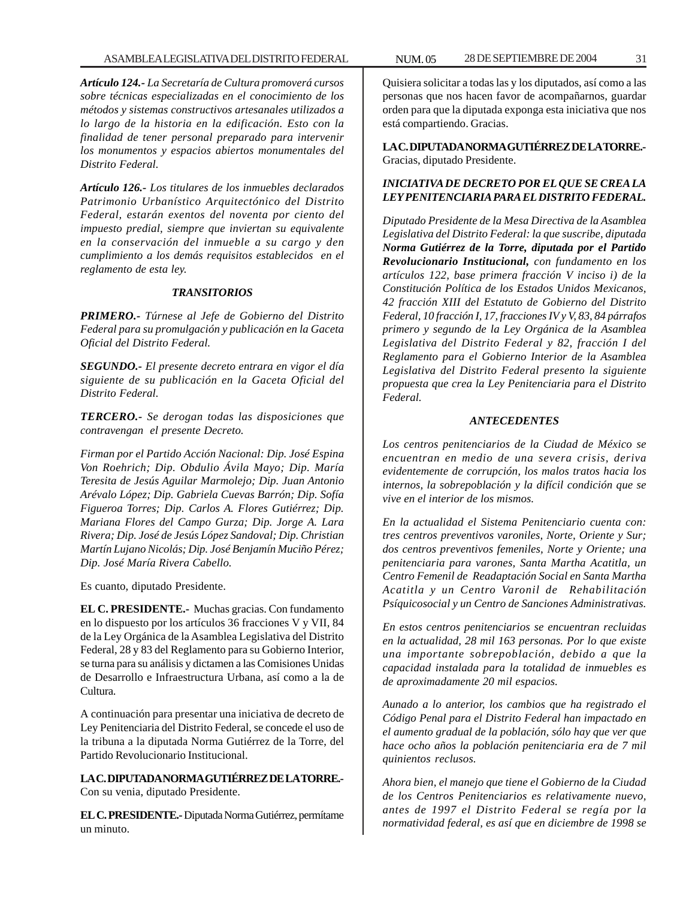*Artículo 124.- La Secretaría de Cultura promoverá cursos sobre técnicas especializadas en el conocimiento de los métodos y sistemas constructivos artesanales utilizados a lo largo de la historia en la edificación. Esto con la finalidad de tener personal preparado para intervenir los monumentos y espacios abiertos monumentales del Distrito Federal.*

*Artículo 126.- Los titulares de los inmuebles declarados Patrimonio Urbanístico Arquitectónico del Distrito Federal, estarán exentos del noventa por ciento del impuesto predial, siempre que inviertan su equivalente en la conservación del inmueble a su cargo y den cumplimiento a los demás requisitos establecidos en el reglamento de esta ley.*

# *TRANSITORIOS*

*PRIMERO.- Túrnese al Jefe de Gobierno del Distrito Federal para su promulgación y publicación en la Gaceta Oficial del Distrito Federal.*

*SEGUNDO.- El presente decreto entrara en vigor el día siguiente de su publicación en la Gaceta Oficial del Distrito Federal.*

*TERCERO.- Se derogan todas las disposiciones que contravengan el presente Decreto.*

*Firman por el Partido Acción Nacional: Dip. José Espina Von Roehrich; Dip. Obdulio Ávila Mayo; Dip. María Teresita de Jesús Aguilar Marmolejo; Dip. Juan Antonio Arévalo López; Dip. Gabriela Cuevas Barrón; Dip. Sofía Figueroa Torres; Dip. Carlos A. Flores Gutiérrez; Dip. Mariana Flores del Campo Gurza; Dip. Jorge A. Lara Rivera; Dip. José de Jesús López Sandoval; Dip. Christian Martín Lujano Nicolás; Dip. José Benjamín Muciño Pérez; Dip. José María Rivera Cabello.*

Es cuanto, diputado Presidente.

**EL C. PRESIDENTE.-** Muchas gracias. Con fundamento en lo dispuesto por los artículos 36 fracciones V y VII, 84 de la Ley Orgánica de la Asamblea Legislativa del Distrito Federal, 28 y 83 del Reglamento para su Gobierno Interior, se turna para su análisis y dictamen a las Comisiones Unidas de Desarrollo e Infraestructura Urbana, así como a la de Cultura.

A continuación para presentar una iniciativa de decreto de Ley Penitenciaria del Distrito Federal, se concede el uso de la tribuna a la diputada Norma Gutiérrez de la Torre, del Partido Revolucionario Institucional.

**LA C. DIPUTADA NORMA GUTIÉRREZ DE LA TORRE.-** Con su venia, diputado Presidente.

**EL C. PRESIDENTE.-** Diputada Norma Gutiérrez, permítame un minuto.

Quisiera solicitar a todas las y los diputados, así como a las personas que nos hacen favor de acompañarnos, guardar orden para que la diputada exponga esta iniciativa que nos está compartiendo. Gracias.

**LA C. DIPUTADA NORMA GUTIÉRREZ DE LA TORRE.-** Gracias, diputado Presidente.

# *INICIATIVA DE DECRETO POR EL QUE SE CREA LA LEY PENITENCIARIA PARA EL DISTRITO FEDERAL.*

*Diputado Presidente de la Mesa Directiva de la Asamblea Legislativa del Distrito Federal: la que suscribe, diputada Norma Gutiérrez de la Torre, diputada por el Partido Revolucionario Institucional, con fundamento en los artículos 122, base primera fracción V inciso i) de la Constitución Política de los Estados Unidos Mexicanos, 42 fracción XIII del Estatuto de Gobierno del Distrito Federal, 10 fracción I, 17, fracciones IV y V, 83, 84 párrafos primero y segundo de la Ley Orgánica de la Asamblea Legislativa del Distrito Federal y 82, fracción I del Reglamento para el Gobierno Interior de la Asamblea Legislativa del Distrito Federal presento la siguiente propuesta que crea la Ley Penitenciaria para el Distrito Federal.*

# *ANTECEDENTES*

*Los centros penitenciarios de la Ciudad de México se encuentran en medio de una severa crisis, deriva evidentemente de corrupción, los malos tratos hacia los internos, la sobrepoblación y la difícil condición que se vive en el interior de los mismos.*

*En la actualidad el Sistema Penitenciario cuenta con: tres centros preventivos varoniles, Norte, Oriente y Sur; dos centros preventivos femeniles, Norte y Oriente; una penitenciaria para varones, Santa Martha Acatitla, un Centro Femenil de Readaptación Social en Santa Martha Acatitla y un Centro Varonil de Rehabilitación Psíquicosocial y un Centro de Sanciones Administrativas.*

*En estos centros penitenciarios se encuentran recluidas en la actualidad, 28 mil 163 personas. Por lo que existe una importante sobrepoblación, debido a que la capacidad instalada para la totalidad de inmuebles es de aproximadamente 20 mil espacios.*

*Aunado a lo anterior, los cambios que ha registrado el Código Penal para el Distrito Federal han impactado en el aumento gradual de la población, sólo hay que ver que hace ocho años la población penitenciaria era de 7 mil quinientos reclusos.*

*Ahora bien, el manejo que tiene el Gobierno de la Ciudad de los Centros Penitenciarios es relativamente nuevo, antes de 1997 el Distrito Federal se regía por la normatividad federal, es así que en diciembre de 1998 se*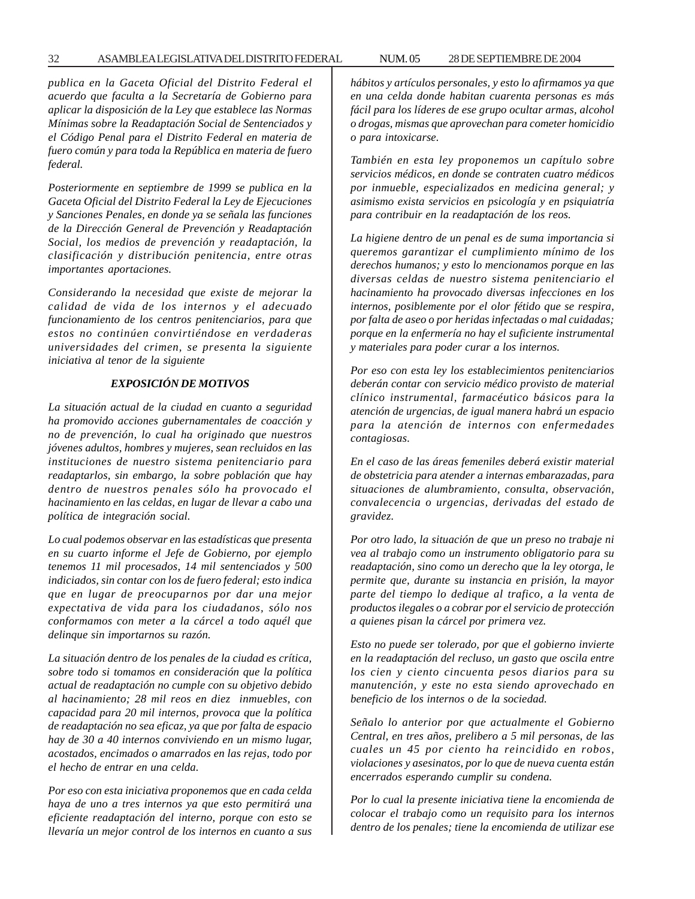#### 32 ASAMBLEA LEGISLATIVA DEL DISTRITO FEDERAL 28 NUM. 05 DE SEPTIEMBRE DE 2004

*publica en la Gaceta Oficial del Distrito Federal el acuerdo que faculta a la Secretaría de Gobierno para aplicar la disposición de la Ley que establece las Normas Mínimas sobre la Readaptación Social de Sentenciados y el Código Penal para el Distrito Federal en materia de fuero común y para toda la República en materia de fuero federal.*

*Posteriormente en septiembre de 1999 se publica en la Gaceta Oficial del Distrito Federal la Ley de Ejecuciones y Sanciones Penales, en donde ya se señala las funciones de la Dirección General de Prevención y Readaptación Social, los medios de prevención y readaptación, la clasificación y distribución penitencia, entre otras importantes aportaciones.*

*Considerando la necesidad que existe de mejorar la calidad de vida de los internos y el adecuado funcionamiento de los centros penitenciarios, para que estos no continúen convirtiéndose en verdaderas universidades del crimen, se presenta la siguiente iniciativa al tenor de la siguiente*

#### *EXPOSICIÓN DE MOTIVOS*

*La situación actual de la ciudad en cuanto a seguridad ha promovido acciones gubernamentales de coacción y no de prevención, lo cual ha originado que nuestros jóvenes adultos, hombres y mujeres, sean recluidos en las instituciones de nuestro sistema penitenciario para readaptarlos, sin embargo, la sobre población que hay dentro de nuestros penales sólo ha provocado el hacinamiento en las celdas, en lugar de llevar a cabo una política de integración social.*

*Lo cual podemos observar en las estadísticas que presenta en su cuarto informe el Jefe de Gobierno, por ejemplo tenemos 11 mil procesados, 14 mil sentenciados y 500 indiciados, sin contar con los de fuero federal; esto indica que en lugar de preocuparnos por dar una mejor expectativa de vida para los ciudadanos, sólo nos conformamos con meter a la cárcel a todo aquél que delinque sin importarnos su razón.*

*La situación dentro de los penales de la ciudad es crítica, sobre todo si tomamos en consideración que la política actual de readaptación no cumple con su objetivo debido al hacinamiento; 28 mil reos en diez inmuebles, con capacidad para 20 mil internos, provoca que la política de readaptación no sea eficaz, ya que por falta de espacio hay de 30 a 40 internos conviviendo en un mismo lugar, acostados, encimados o amarrados en las rejas, todo por el hecho de entrar en una celda.*

*Por eso con esta iniciativa proponemos que en cada celda haya de uno a tres internos ya que esto permitirá una eficiente readaptación del interno, porque con esto se llevaría un mejor control de los internos en cuanto a sus*

*hábitos y artículos personales, y esto lo afirmamos ya que en una celda donde habitan cuarenta personas es más fácil para los líderes de ese grupo ocultar armas, alcohol o drogas, mismas que aprovechan para cometer homicidio o para intoxicarse.*

*También en esta ley proponemos un capítulo sobre servicios médicos, en donde se contraten cuatro médicos por inmueble, especializados en medicina general; y asimismo exista servicios en psicología y en psiquiatría para contribuir en la readaptación de los reos.*

*La higiene dentro de un penal es de suma importancia si queremos garantizar el cumplimiento mínimo de los derechos humanos; y esto lo mencionamos porque en las diversas celdas de nuestro sistema penitenciario el hacinamiento ha provocado diversas infecciones en los internos, posiblemente por el olor fétido que se respira, por falta de aseo o por heridas infectadas o mal cuidadas; porque en la enfermería no hay el suficiente instrumental y materiales para poder curar a los internos.*

*Por eso con esta ley los establecimientos penitenciarios deberán contar con servicio médico provisto de material clínico instrumental, farmacéutico básicos para la atención de urgencias, de igual manera habrá un espacio para la atención de internos con enfermedades contagiosas.*

*En el caso de las áreas femeniles deberá existir material de obstetricia para atender a internas embarazadas, para situaciones de alumbramiento, consulta, observación, convalecencia o urgencias, derivadas del estado de gravidez.*

*Por otro lado, la situación de que un preso no trabaje ni vea al trabajo como un instrumento obligatorio para su readaptación, sino como un derecho que la ley otorga, le permite que, durante su instancia en prisión, la mayor parte del tiempo lo dedique al trafico, a la venta de productos ilegales o a cobrar por el servicio de protección a quienes pisan la cárcel por primera vez.*

*Esto no puede ser tolerado, por que el gobierno invierte en la readaptación del recluso, un gasto que oscila entre los cien y ciento cincuenta pesos diarios para su manutención, y este no esta siendo aprovechado en beneficio de los internos o de la sociedad.*

*Señalo lo anterior por que actualmente el Gobierno Central, en tres años, prelibero a 5 mil personas, de las cuales un 45 por ciento ha reincidido en robos, violaciones y asesinatos, por lo que de nueva cuenta están encerrados esperando cumplir su condena.*

*Por lo cual la presente iniciativa tiene la encomienda de colocar el trabajo como un requisito para los internos dentro de los penales; tiene la encomienda de utilizar ese*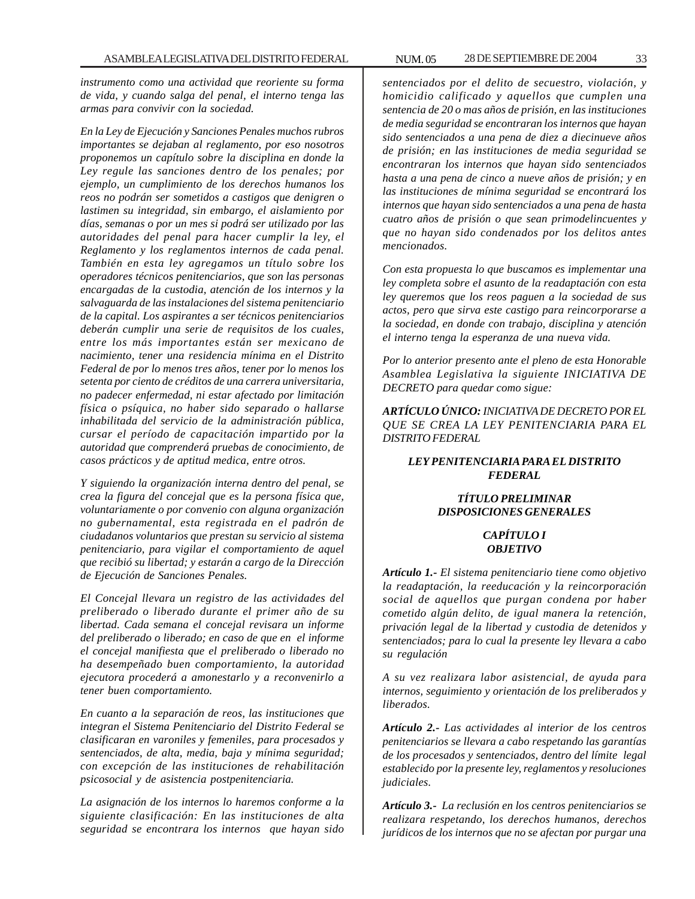*instrumento como una actividad que reoriente su forma de vida, y cuando salga del penal, el interno tenga las armas para convivir con la sociedad.*

*En la Ley de Ejecución y Sanciones Penales muchos rubros importantes se dejaban al reglamento, por eso nosotros proponemos un capítulo sobre la disciplina en donde la Ley regule las sanciones dentro de los penales; por ejemplo, un cumplimiento de los derechos humanos los reos no podrán ser sometidos a castigos que denigren o lastimen su integridad, sin embargo, el aislamiento por días, semanas o por un mes si podrá ser utilizado por las autoridades del penal para hacer cumplir la ley, el Reglamento y los reglamentos internos de cada penal. También en esta ley agregamos un título sobre los operadores técnicos penitenciarios, que son las personas encargadas de la custodia, atención de los internos y la salvaguarda de las instalaciones del sistema penitenciario de la capital. Los aspirantes a ser técnicos penitenciarios deberán cumplir una serie de requisitos de los cuales, entre los más importantes están ser mexicano de nacimiento, tener una residencia mínima en el Distrito Federal de por lo menos tres años, tener por lo menos los setenta por ciento de créditos de una carrera universitaria, no padecer enfermedad, ni estar afectado por limitación física o psíquica, no haber sido separado o hallarse inhabilitada del servicio de la administración pública, cursar el período de capacitación impartido por la autoridad que comprenderá pruebas de conocimiento, de casos prácticos y de aptitud medica, entre otros.*

*Y siguiendo la organización interna dentro del penal, se crea la figura del concejal que es la persona física que, voluntariamente o por convenio con alguna organización no gubernamental, esta registrada en el padrón de ciudadanos voluntarios que prestan su servicio al sistema penitenciario, para vigilar el comportamiento de aquel que recibió su libertad; y estarán a cargo de la Dirección de Ejecución de Sanciones Penales.*

*El Concejal llevara un registro de las actividades del preliberado o liberado durante el primer año de su libertad. Cada semana el concejal revisara un informe del preliberado o liberado; en caso de que en el informe el concejal manifiesta que el preliberado o liberado no ha desempeñado buen comportamiento, la autoridad ejecutora procederá a amonestarlo y a reconvenirlo a tener buen comportamiento.*

*En cuanto a la separación de reos, las instituciones que integran el Sistema Penitenciario del Distrito Federal se clasificaran en varoniles y femeniles, para procesados y sentenciados, de alta, media, baja y mínima seguridad; con excepción de las instituciones de rehabilitación psicosocial y de asistencia postpenitenciaria.*

*La asignación de los internos lo haremos conforme a la siguiente clasificación: En las instituciones de alta seguridad se encontrara los internos que hayan sido*

*sentenciados por el delito de secuestro, violación, y homicidio calificado y aquellos que cumplen una sentencia de 20 o mas años de prisión, en las instituciones de media seguridad se encontraran los internos que hayan sido sentenciados a una pena de diez a diecinueve años de prisión; en las instituciones de media seguridad se encontraran los internos que hayan sido sentenciados hasta a una pena de cinco a nueve años de prisión; y en las instituciones de mínima seguridad se encontrará los internos que hayan sido sentenciados a una pena de hasta cuatro años de prisión o que sean primodelincuentes y que no hayan sido condenados por los delitos antes mencionados.*

*Con esta propuesta lo que buscamos es implementar una ley completa sobre el asunto de la readaptación con esta ley queremos que los reos paguen a la sociedad de sus actos, pero que sirva este castigo para reincorporarse a la sociedad, en donde con trabajo, disciplina y atención el interno tenga la esperanza de una nueva vida.*

*Por lo anterior presento ante el pleno de esta Honorable Asamblea Legislativa la siguiente INICIATIVA DE DECRETO para quedar como sigue:*

*ARTÍCULO ÚNICO: INICIATIVA DE DECRETO POR EL QUE SE CREA LA LEY PENITENCIARIA PARA EL DISTRITO FEDERAL*

# *LEY PENITENCIARIA PARA EL DISTRITO FEDERAL*

# *TÍTULO PRELIMINAR DISPOSICIONES GENERALES*

#### *CAPÍTULO I OBJETIVO*

*Artículo 1.- El sistema penitenciario tiene como objetivo la readaptación, la reeducación y la reincorporación social de aquellos que purgan condena por haber cometido algún delito, de igual manera la retención, privación legal de la libertad y custodia de detenidos y sentenciados; para lo cual la presente ley llevara a cabo su regulación*

*A su vez realizara labor asistencial, de ayuda para internos, seguimiento y orientación de los preliberados y liberados.*

*Artículo 2.- Las actividades al interior de los centros penitenciarios se llevara a cabo respetando las garantías de los procesados y sentenciados, dentro del límite legal establecido por la presente ley, reglamentos y resoluciones judiciales.*

*Artículo 3.- La reclusión en los centros penitenciarios se realizara respetando, los derechos humanos, derechos jurídicos de los internos que no se afectan por purgar una*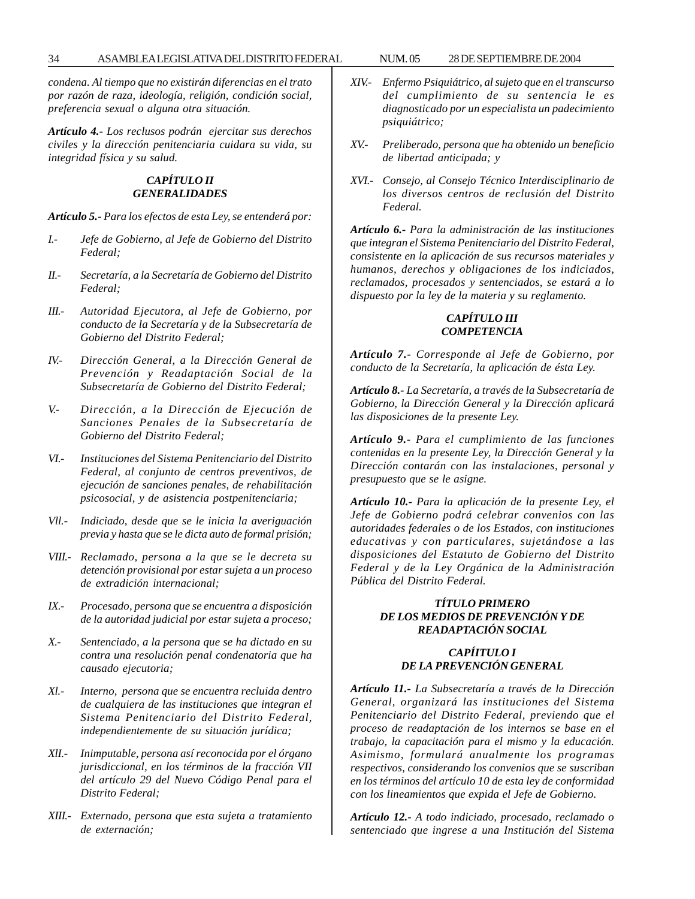*condena. Al tiempo que no existirán diferencias en el trato por razón de raza, ideología, religión, condición social, preferencia sexual o alguna otra situación.*

*Artículo 4.- Los reclusos podrán ejercitar sus derechos civiles y la dirección penitenciaria cuidara su vida, su integridad física y su salud.*

# *CAPÍTULO II GENERALIDADES*

*Artículo 5.- Para los efectos de esta Ley, se entenderá por:*

- *I.- Jefe de Gobierno, al Jefe de Gobierno del Distrito Federal;*
- *II.- Secretaría, a la Secretaría de Gobierno del Distrito Federal;*
- *III.- Autoridad Ejecutora, al Jefe de Gobierno, por conducto de la Secretaría y de la Subsecretaría de Gobierno del Distrito Federal;*
- *IV.- Dirección General, a la Dirección General de Prevención y Readaptación Social de la Subsecretaría de Gobierno del Distrito Federal;*
- *V.- Dirección, a la Dirección de Ejecución de Sanciones Penales de la Subsecretaría de Gobierno del Distrito Federal;*
- *VI.- Instituciones del Sistema Penitenciario del Distrito Federal, al conjunto de centros preventivos, de ejecución de sanciones penales, de rehabilitación psicosocial, y de asistencia postpenitenciaria;*
- *Vll.- Indiciado, desde que se le inicia la averiguación previa y hasta que se le dicta auto de formal prisión;*
- *VIII.- Reclamado, persona a la que se le decreta su detención provisional por estar sujeta a un proceso de extradición internacional;*
- *IX.- Procesado, persona que se encuentra a disposición de la autoridad judicial por estar sujeta a proceso;*
- *X.- Sentenciado, a la persona que se ha dictado en su contra una resolución penal condenatoria que ha causado ejecutoria;*
- *Xl.- Interno, persona que se encuentra recluida dentro de cualquiera de las instituciones que integran el Sistema Penitenciario del Distrito Federal, independientemente de su situación jurídica;*
- *XlI.- Inimputable, persona así reconocida por el órgano jurisdiccional, en los términos de la fracción VII del artículo 29 del Nuevo Código Penal para el Distrito Federal;*
- *XIII.- Externado, persona que esta sujeta a tratamiento de externación;*
- *XIV.- Enfermo Psiquiátrico, al sujeto que en el transcurso del cumplimiento de su sentencia le es diagnosticado por un especialista un padecimiento psiquiátrico;*
- *XV.- Preliberado, persona que ha obtenido un beneficio de libertad anticipada; y*
- *XVI.- Consejo, al Consejo Técnico Interdisciplinario de los diversos centros de reclusión del Distrito Federal.*

*Artículo 6.- Para la administración de las instituciones que integran el Sistema Penitenciario del Distrito Federal, consistente en la aplicación de sus recursos materiales y humanos, derechos y obligaciones de los indiciados, reclamados, procesados y sentenciados, se estará a lo dispuesto por la ley de la materia y su reglamento.*

# *CAPÍTULO III COMPETENCIA*

*Artículo 7.- Corresponde al Jefe de Gobierno, por conducto de la Secretaría, la aplicación de ésta Ley.*

*Artículo 8.- La Secretaría, a través de la Subsecretaría de Gobierno, la Dirección General y la Dirección aplicará las disposiciones de la presente Ley.*

*Artículo 9.- Para el cumplimiento de las funciones contenidas en la presente Ley, la Dirección General y la Dirección contarán con las instalaciones, personal y presupuesto que se le asigne.*

*Artículo 10.- Para la aplicación de la presente Ley, el Jefe de Gobierno podrá celebrar convenios con las autoridades federales o de los Estados, con instituciones educativas y con particulares, sujetándose a las disposiciones del Estatuto de Gobierno del Distrito Federal y de la Ley Orgánica de la Administración Pública del Distrito Federal.*

# *TÍTULO PRIMERO DE LOS MEDIOS DE PREVENCIÓN Y DE READAPTACIÓN SOCIAL*

# *CAPÍITULO I DE LA PREVENCIÓN GENERAL*

*Artículo 11.- La Subsecretaría a través de la Dirección General, organizará las instituciones del Sistema Penitenciario del Distrito Federal, previendo que el proceso de readaptación de los internos se base en el trabajo, la capacitación para el mismo y la educación. Asimismo, formulará anualmente los programas respectivos, considerando los convenios que se suscriban en los términos del artículo 10 de esta ley de conformidad con los lineamientos que expida el Jefe de Gobierno.*

*Artículo 12.- A todo indiciado, procesado, reclamado o sentenciado que ingrese a una Institución del Sistema*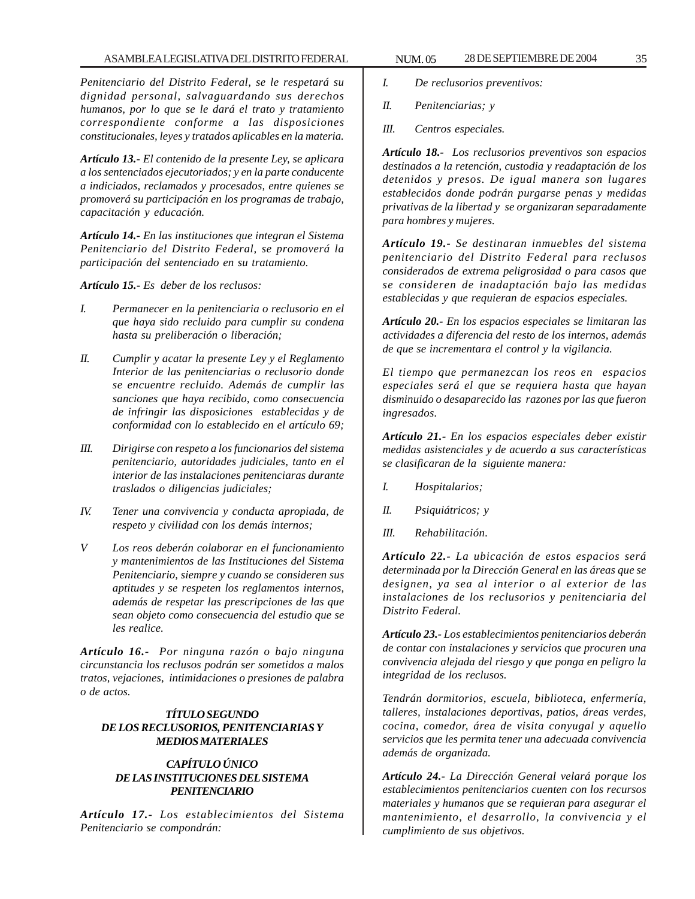*Penitenciario del Distrito Federal, se le respetará su dignidad personal, salvaguardando sus derechos humanos, por lo que se le dará el trato y tratamiento correspondiente conforme a las disposiciones constitucionales, leyes y tratados aplicables en la materia.*

*Artículo 13.- El contenido de la presente Ley, se aplicara a los sentenciados ejecutoriados; y en la parte conducente a indiciados, reclamados y procesados, entre quienes se promoverá su participación en los programas de trabajo, capacitación y educación.*

*Artículo 14.- En las instituciones que integran el Sistema Penitenciario del Distrito Federal, se promoverá la participación del sentenciado en su tratamiento.*

*Artículo 15.- Es deber de los reclusos:*

- *I. Permanecer en la penitenciaria o reclusorio en el que haya sido recluido para cumplir su condena hasta su preliberación o liberación;*
- *II. Cumplir y acatar la presente Ley y el Reglamento Interior de las penitenciarias o reclusorio donde se encuentre recluido. Además de cumplir las sanciones que haya recibido, como consecuencia de infringir las disposiciones establecidas y de conformidad con lo establecido en el artículo 69;*
- *III. Dirigirse con respeto a los funcionarios del sistema penitenciario, autoridades judiciales, tanto en el interior de las instalaciones penitenciaras durante traslados o diligencias judiciales;*
- *IV. Tener una convivencia y conducta apropiada, de respeto y civilidad con los demás internos;*
- *V Los reos deberán colaborar en el funcionamiento y mantenimientos de las Instituciones del Sistema Penitenciario, siempre y cuando se consideren sus aptitudes y se respeten los reglamentos internos, además de respetar las prescripciones de las que sean objeto como consecuencia del estudio que se les realice.*

*Artículo 16.- Por ninguna razón o bajo ninguna circunstancia los reclusos podrán ser sometidos a malos tratos, vejaciones, intimidaciones o presiones de palabra o de actos.*

# *TÍTULO SEGUNDO DE LOS RECLUSORIOS, PENITENCIARIAS Y MEDIOS MATERIALES*

# *CAPÍTULO ÚNICO DE LAS INSTITUCIONES DEL SISTEMA PENITENCIARIO*

*Artículo 17.- Los establecimientos del Sistema Penitenciario se compondrán:*

- *I. De reclusorios preventivos:*
- *II. Penitenciarias; y*
- *III. Centros especiales.*

*Artículo 18.- Los reclusorios preventivos son espacios destinados a la retención, custodia y readaptación de los detenidos y presos. De igual manera son lugares establecidos donde podrán purgarse penas y medidas privativas de la libertad y se organizaran separadamente para hombres y mujeres.*

*Artículo 19.- Se destinaran inmuebles del sistema penitenciario del Distrito Federal para reclusos considerados de extrema peligrosidad o para casos que se consideren de inadaptación bajo las medidas establecidas y que requieran de espacios especiales.*

*Artículo 20.- En los espacios especiales se limitaran las actividades a diferencia del resto de los internos, además de que se incrementara el control y la vigilancia.*

*El tiempo que permanezcan los reos en espacios especiales será el que se requiera hasta que hayan disminuido o desaparecido las razones por las que fueron ingresados.*

*Artículo 21.- En los espacios especiales deber existir medidas asistenciales y de acuerdo a sus características se clasificaran de la siguiente manera:*

- *I. Hospitalarios;*
- *II. Psiquiátricos; y*
- *III. Rehabilitación.*

*Artículo 22.- La ubicación de estos espacios será determinada por la Dirección General en las áreas que se designen, ya sea al interior o al exterior de las instalaciones de los reclusorios y penitenciaria del Distrito Federal.*

*Artículo 23.- Los establecimientos penitenciarios deberán de contar con instalaciones y servicios que procuren una convivencia alejada del riesgo y que ponga en peligro la integridad de los reclusos.*

*Tendrán dormitorios, escuela, biblioteca, enfermería, talleres, instalaciones deportivas, patios, áreas verdes, cocina, comedor, área de visita conyugal y aquello servicios que les permita tener una adecuada convivencia además de organizada.*

*Artículo 24.- La Dirección General velará porque los establecimientos penitenciarios cuenten con los recursos materiales y humanos que se requieran para asegurar el mantenimiento, el desarrollo, la convivencia y el cumplimiento de sus objetivos.*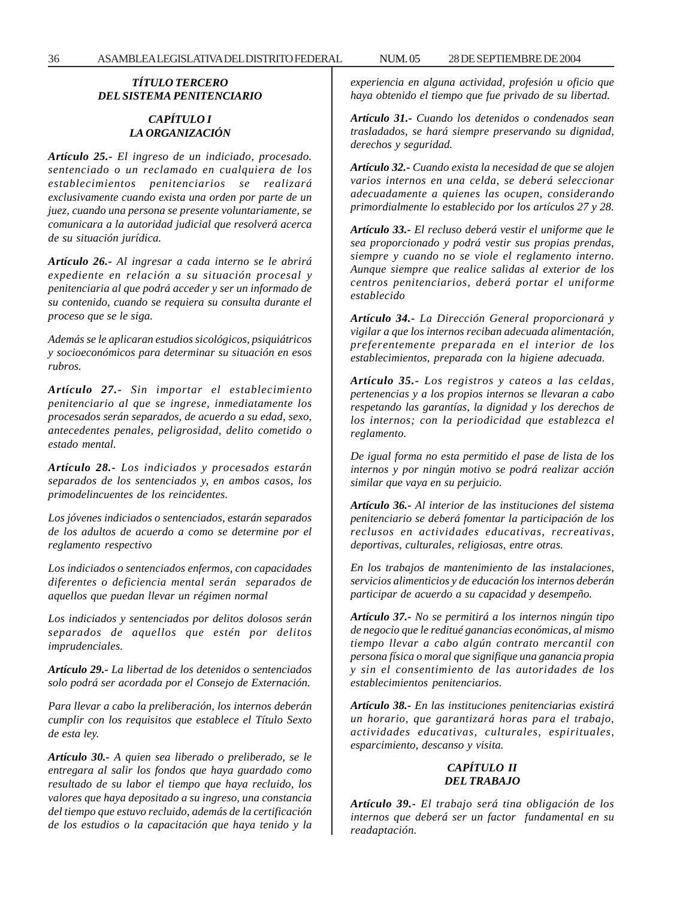36 ASAMBLEA LEGISLATIVA DEL DISTRITO FEDERAL 28 NUM. 05 DE SEPTIEMBRE DE 2004

# *TÍTULO TERCERO DEL SISTEMA PENITENCIARIO*

# *CAPÍTULO I LA ORGANIZACIÓN*

*Artículo 25.- El ingreso de un indiciado, procesado. sentenciado o un reclamado en cualquiera de los establecimientos penitenciarios se realizará exclusivamente cuando exista una orden por parte de un juez, cuando una persona se presente voluntariamente, se comunicara a la autoridad judicial que resolverá acerca de su situación jurídica.*

*Artículo 26.- Al ingresar a cada interno se le abrirá expediente en relación a su situación procesal y penitenciaria al que podrá acceder y ser un informado de su contenido, cuando se requiera su consulta durante el proceso que se le siga.*

*Además se le aplicaran estudios sicológicos, psiquiátricos y socioeconómicos para determinar su situación en esos rubros.*

*Artículo 27.- Sin importar el establecimiento penitenciario al que se ingrese, inmediatamente los procesados serán separados, de acuerdo a su edad, sexo, antecedentes penales, peligrosidad, delito cometido o estado mental.*

*Artículo 28.- Los indiciados y procesados estarán separados de los sentenciados y, en ambos casos, los primodelincuentes de los reincidentes.*

*Los jóvenes indiciados o sentenciados, estarán separados de los adultos de acuerdo a como se determine por el reglamento respectivo*

*Los indiciados o sentenciados enfermos, con capacidades diferentes o deficiencia mental serán separados de aquellos que puedan llevar un régimen normal*

*Los indiciados y sentenciados por delitos dolosos serán separados de aquellos que estén por delitos imprudenciales.*

*Artículo 29.- La libertad de los detenidos o sentenciados solo podrá ser acordada por el Consejo de Externación.*

*Para llevar a cabo la preliberación, los internos deberán cumplir con los requisitos que establece el Título Sexto de esta ley.*

*Artículo 30.- A quien sea liberado o preliberado, se le entregara al salir los fondos que haya guardado como resultado de su labor el tiempo que haya recluido, los valores que haya depositado a su ingreso, una constancia del tiempo que estuvo recluido, además de la certificación de los estudios o la capacitación que haya tenido y la* *experiencia en alguna actividad, profesión u oficio que haya obtenido el tiempo que fue privado de su libertad.*

*Artículo 31.- Cuando los detenidos o condenados sean trasladados, se hará siempre preservando su dignidad, derechos y seguridad.*

*Artículo 32.- Cuando exista la necesidad de que se alojen varios internos en una celda, se deberá seleccionar adecuadamente a quienes las ocupen, considerando primordialmente lo establecido por los artículos 27 y 28.*

*Artículo 33.- El recluso deberá vestir el uniforme que le sea proporcionado y podrá vestir sus propias prendas, siempre y cuando no se viole el reglamento interno. Aunque siempre que realice salidas al exterior de los centros penitenciarios, deberá portar el uniforme establecido*

*Artículo 34.- La Dirección General proporcionará y vigilar a que los internos reciban adecuada alimentación, preferentemente preparada en el interior de los establecimientos, preparada con la higiene adecuada.*

*Artículo 35.- Los registros y cateos a las celdas, pertenencias y a los propios internos se llevaran a cabo respetando las garantías, la dignidad y los derechos de los internos; con la periodicidad que establezca el reglamento.*

*De igual forma no esta permitido el pase de lista de los internos y por ningún motivo se podrá realizar acción similar que vaya en su perjuicio.*

*Artículo 36.- Al interior de las instituciones del sistema penitenciario se deberá fomentar la participación de los reclusos en actividades educativas, recreativas, deportivas, culturales, religiosas, entre otras.*

*En los trabajos de mantenimiento de las instalaciones, servicios alimenticios y de educación los internos deberán participar de acuerdo a su capacidad y desempeño.*

*Artículo 37.- No se permitirá a los internos ningún tipo de negocio que le reditué ganancias económicas, al mismo tiempo llevar a cabo algún contrato mercantil con persona física o moral que signifique una ganancia propia y sin el consentimiento de las autoridades de los establecimientos penitenciarios.*

*Artículo 38.- En las instituciones penitenciarias existirá un horario, que garantizará horas para el trabajo, actividades educativas, culturales, espirituales, esparcimiento, descanso y visita.*

# *CAPÍTULO II DEL TRABAJO*

*Artículo 39.- El trabajo será tina obligación de los internos que deberá ser un factor fundamental en su readaptación.*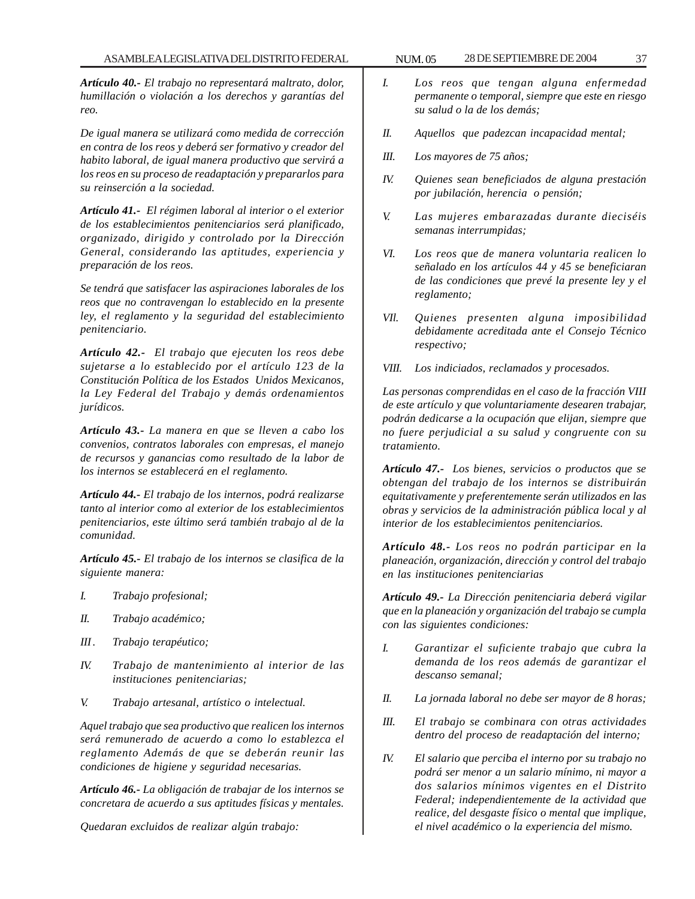*Artículo 40.- El trabajo no representará maltrato, dolor, humillación o violación a los derechos y garantías del reo.*

*De igual manera se utilizará como medida de corrección en contra de los reos y deberá ser formativo y creador del habito laboral, de igual manera productivo que servirá a los reos en su proceso de readaptación y prepararlos para su reinserción a la sociedad.*

*Artículo 41.- El régimen laboral al interior o el exterior de los establecimientos penitenciarios será planificado, organizado, dirigido y controlado por la Dirección General, considerando las aptitudes, experiencia y preparación de los reos.*

*Se tendrá que satisfacer las aspiraciones laborales de los reos que no contravengan lo establecido en la presente ley, el reglamento y la seguridad del establecimiento penitenciario.*

*Artículo 42.- El trabajo que ejecuten los reos debe sujetarse a lo establecido por el artículo 123 de la Constitución Política de los Estados Unidos Mexicanos, la Ley Federal del Trabajo y demás ordenamientos jurídicos.*

*Artículo 43.- La manera en que se lleven a cabo los convenios, contratos laborales con empresas, el manejo de recursos y ganancias como resultado de la labor de los internos se establecerá en el reglamento.*

*Artículo 44.- El trabajo de los internos, podrá realizarse tanto al interior como al exterior de los establecimientos penitenciarios, este último será también trabajo al de la comunidad.*

*Artículo 45.- El trabajo de los internos se clasifica de la siguiente manera:*

- *I. Trabajo profesional;*
- *II. Trabajo académico;*
- *III . Trabajo terapéutico;*
- *IV. Trabajo de mantenimiento al interior de las instituciones penitenciarias;*
- *V. Trabajo artesanal, artístico o intelectual.*

*Aquel trabajo que sea productivo que realicen los internos será remunerado de acuerdo a como lo establezca el reglamento Además de que se deberán reunir las condiciones de higiene y seguridad necesarias.*

*Artículo 46.- La obligación de trabajar de los internos se concretara de acuerdo a sus aptitudes físicas y mentales.*

*Quedaran excluidos de realizar algún trabajo:*

- *I. Los reos que tengan alguna enfermedad permanente o temporal, siempre que este en riesgo su salud o la de los demás;*
- *II. Aquellos que padezcan incapacidad mental;*
- *III. Los mayores de 75 años;*
- *IV. Quienes sean beneficiados de alguna prestación por jubilación, herencia o pensión;*
- *V. Las mujeres embarazadas durante dieciséis semanas interrumpidas;*
- *VI. Los reos que de manera voluntaria realicen lo señalado en los artículos 44 y 45 se beneficiaran de las condiciones que prevé la presente ley y el reglamento;*
- *VIl. Quienes presenten alguna imposibilidad debidamente acreditada ante el Consejo Técnico respectivo;*
- *VIII. Los indiciados, reclamados y procesados.*

*Las personas comprendidas en el caso de la fracción VIII de este artículo y que voluntariamente desearen trabajar, podrán dedicarse a la ocupación que elijan, siempre que no fuere perjudicial a su salud y congruente con su tratamiento.*

*Artículo 47.- Los bienes, servicios o productos que se obtengan del trabajo de los internos se distribuirán equitativamente y preferentemente serán utilizados en las obras y servicios de la administración pública local y al interior de los establecimientos penitenciarios.*

*Artículo 48.- Los reos no podrán participar en la planeación, organización, dirección y control del trabajo en las instituciones penitenciarias*

*Artículo 49.- La Dirección penitenciaria deberá vigilar que en la planeación y organización del trabajo se cumpla con las siguientes condiciones:*

- *I. Garantizar el suficiente trabajo que cubra la demanda de los reos además de garantizar el descanso semanal;*
- *II. La jornada laboral no debe ser mayor de 8 horas;*
- *III. El trabajo se combinara con otras actividades dentro del proceso de readaptación del interno;*
- *IV. El salario que perciba el interno por su trabajo no podrá ser menor a un salario mínimo, ni mayor a dos salarios mínimos vigentes en el Distrito Federal; independientemente de la actividad que realice, del desgaste físico o mental que implique, el nivel académico o la experiencia del mismo.*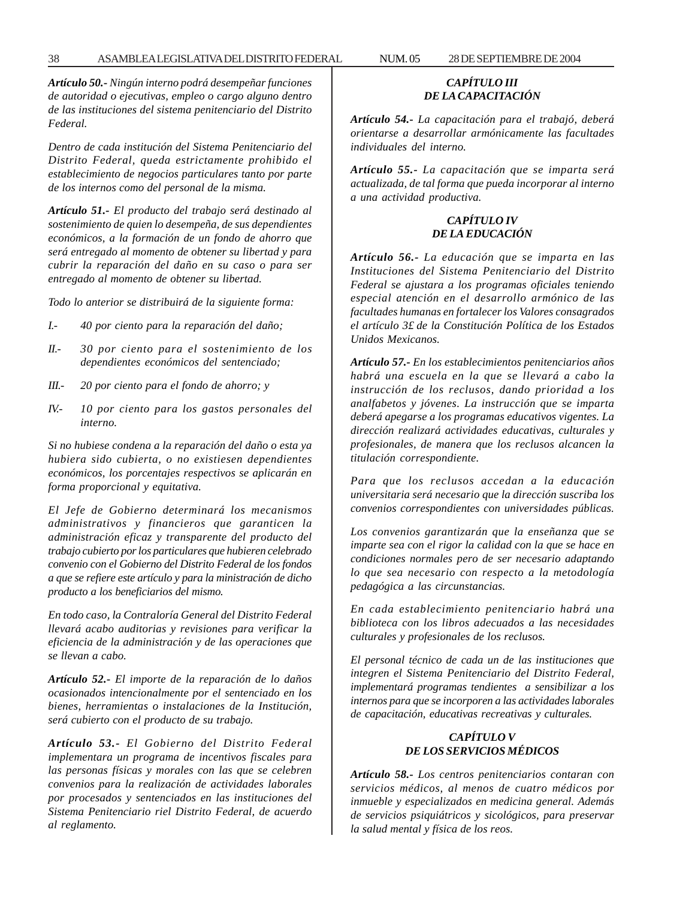*Artículo 50.- Ningún interno podrá desempeñar funciones de autoridad o ejecutivas, empleo o cargo alguno dentro de las instituciones del sistema penitenciario del Distrito Federal.*

*Dentro de cada institución del Sistema Penitenciario del Distrito Federal, queda estrictamente prohibido el establecimiento de negocios particulares tanto por parte de los internos como del personal de la misma.*

*Artículo 51.- El producto del trabajo será destinado al sostenimiento de quien lo desempeña, de sus dependientes económicos, a la formación de un fondo de ahorro que será entregado al momento de obtener su libertad y para cubrir la reparación del daño en su caso o para ser entregado al momento de obtener su libertad.*

*Todo lo anterior se distribuirá de la siguiente forma:*

- *I.- 40 por ciento para la reparación del daño;*
- *II.- 30 por ciento para el sostenimiento de los dependientes económicos del sentenciado;*
- *III.- 20 por ciento para el fondo de ahorro; y*
- *IV.- 10 por ciento para los gastos personales del interno.*

*Si no hubiese condena a la reparación del daño o esta ya hubiera sido cubierta, o no existiesen dependientes económicos, los porcentajes respectivos se aplicarán en forma proporcional y equitativa.*

*El Jefe de Gobierno determinará los mecanismos administrativos y financieros que garanticen la administración eficaz y transparente del producto del trabajo cubierto por los particulares que hubieren celebrado convenio con el Gobierno del Distrito Federal de los fondos a que se refiere este artículo y para la ministración de dicho producto a los beneficiarios del mismo.*

*En todo caso, la Contraloría General del Distrito Federal llevará acabo auditorias y revisiones para verificar la eficiencia de la administración y de las operaciones que se llevan a cabo.*

*Artículo 52.- El importe de la reparación de lo daños ocasionados intencionalmente por el sentenciado en los bienes, herramientas o instalaciones de la Institución, será cubierto con el producto de su trabajo.*

*Artículo 53.- El Gobierno del Distrito Federal implementara un programa de incentivos fiscales para las personas físicas y morales con las que se celebren convenios para la realización de actividades laborales por procesados y sentenciados en las instituciones del Sistema Penitenciario riel Distrito Federal, de acuerdo al reglamento.*

# *CAPÍTULO III DE LA CAPACITACIÓN*

*Artículo 54.- La capacitación para el trabajó, deberá orientarse a desarrollar armónicamente las facultades individuales del interno.*

*Artículo 55.- La capacitación que se imparta será actualizada, de tal forma que pueda incorporar al interno a una actividad productiva.*

## *CAPÍTULO IV DE LA EDUCACIÓN*

*Artículo 56.- La educación que se imparta en las Instituciones del Sistema Penitenciario del Distrito Federal se ajustara a los programas oficiales teniendo especial atención en el desarrollo armónico de las facultades humanas en fortalecer los Valores consagrados el artículo 3£ de la Constitución Política de los Estados Unidos Mexicanos.*

*Artículo 57.- En los establecimientos penitenciarios años habrá una escuela en la que se llevará a cabo la instrucción de los reclusos, dando prioridad a los analfabetos y jóvenes. La instrucción que se imparta deberá apegarse a los programas educativos vigentes. La dirección realizará actividades educativas, culturales y profesionales, de manera que los reclusos alcancen la titulación correspondiente.*

*Para que los reclusos accedan a la educación universitaria será necesario que la dirección suscriba los convenios correspondientes con universidades públicas.*

*Los convenios garantizarán que la enseñanza que se imparte sea con el rigor la calidad con la que se hace en condiciones normales pero de ser necesario adaptando lo que sea necesario con respecto a la metodología pedagógica a las circunstancias.*

*En cada establecimiento penitenciario habrá una biblioteca con los libros adecuados a las necesidades culturales y profesionales de los reclusos.*

*El personal técnico de cada un de las instituciones que integren el Sistema Penitenciario del Distrito Federal, implementará programas tendientes a sensibilizar a los internos para que se incorporen a las actividades laborales de capacitación, educativas recreativas y culturales.*

## *CAPÍTULO V DE LOS SERVICIOS MÉDICOS*

*Artículo 58.- Los centros penitenciarios contaran con servicios médicos, al menos de cuatro médicos por inmueble y especializados en medicina general. Además de servicios psiquiátricos y sicológicos, para preservar la salud mental y física de los reos.*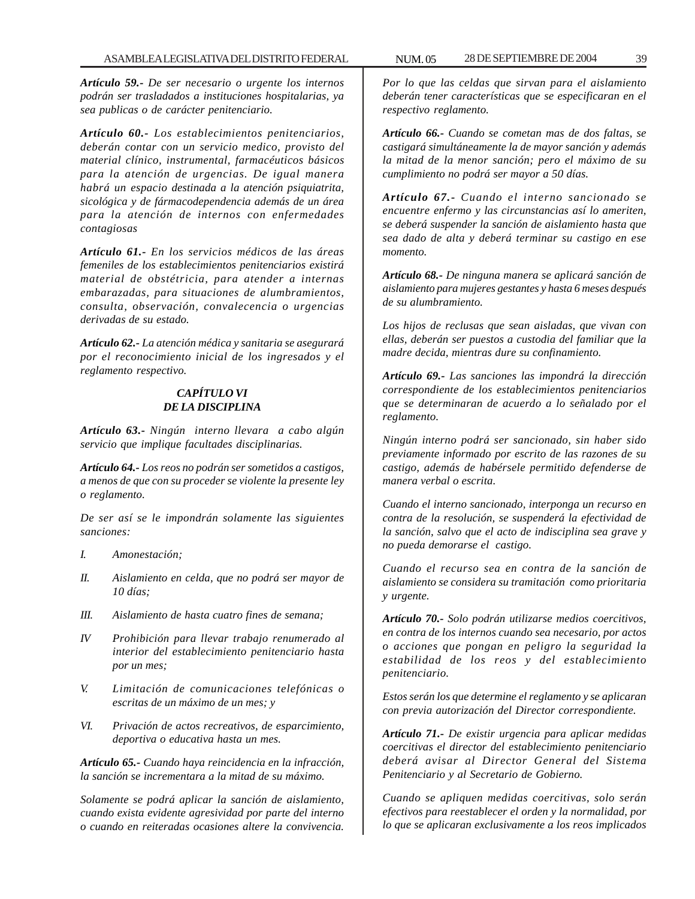*Artículo 59.- De ser necesario o urgente los internos podrán ser trasladados a instituciones hospitalarias, ya sea publicas o de carácter penitenciario.*

*Artículo 60.- Los establecimientos penitenciarios, deberán contar con un servicio medico, provisto del material clínico, instrumental, farmacéuticos básicos para la atención de urgencias. De igual manera habrá un espacio destinada a la atención psiquiatrita, sicológica y de fármacodependencia además de un área para la atención de internos con enfermedades contagiosas*

*Artículo 61.- En los servicios médicos de las áreas femeniles de los establecimientos penitenciarios existirá material de obstétricia, para atender a internas embarazadas, para situaciones de alumbramientos, consulta, observación, convalecencia o urgencias derivadas de su estado.*

*Artículo 62.- La atención médica y sanitaria se asegurará por el reconocimiento inicial de los ingresados y el reglamento respectivo.*

## *CAPÍTULO VI DE LA DISCIPLINA*

*Artículo 63.- Ningún interno llevara a cabo algún servicio que implique facultades disciplinarias.*

*Artículo 64.- Los reos no podrán ser sometidos a castigos, a menos de que con su proceder se violente la presente ley o reglamento.*

*De ser así se le impondrán solamente las siguientes sanciones:*

- *I. Amonestación;*
- *II. Aislamiento en celda, que no podrá ser mayor de 10 días;*
- *III. Aislamiento de hasta cuatro fines de semana;*
- *IV Prohibición para llevar trabajo renumerado al interior del establecimiento penitenciario hasta por un mes;*
- *V. Limitación de comunicaciones telefónicas o escritas de un máximo de un mes; y*
- *VI. Privación de actos recreativos, de esparcimiento, deportiva o educativa hasta un mes.*

*Artículo 65.- Cuando haya reincidencia en la infracción, la sanción se incrementara a la mitad de su máximo.*

*Solamente se podrá aplicar la sanción de aislamiento, cuando exista evidente agresividad por parte del interno o cuando en reiteradas ocasiones altere la convivencia.* *Por lo que las celdas que sirvan para el aislamiento deberán tener características que se especificaran en el respectivo reglamento.*

*Artículo 66.- Cuando se cometan mas de dos faltas, se castigará simultáneamente la de mayor sanción y además la mitad de la menor sanción; pero el máximo de su cumplimiento no podrá ser mayor a 50 días.*

*Artículo 67.- Cuando el interno sancionado se encuentre enfermo y las circunstancias así lo ameriten, se deberá suspender la sanción de aislamiento hasta que sea dado de alta y deberá terminar su castigo en ese momento.*

*Artículo 68.- De ninguna manera se aplicará sanción de aislamiento para mujeres gestantes y hasta 6 meses después de su alumbramiento.*

*Los hijos de reclusas que sean aisladas, que vivan con ellas, deberán ser puestos a custodia del familiar que la madre decida, mientras dure su confinamiento.*

*Artículo 69.- Las sanciones las impondrá la dirección correspondiente de los establecimientos penitenciarios que se determinaran de acuerdo a lo señalado por el reglamento.*

*Ningún interno podrá ser sancionado, sin haber sido previamente informado por escrito de las razones de su castigo, además de habérsele permitido defenderse de manera verbal o escrita.*

*Cuando el interno sancionado, interponga un recurso en contra de la resolución, se suspenderá la efectividad de la sanción, salvo que el acto de indisciplina sea grave y no pueda demorarse el castigo.*

*Cuando el recurso sea en contra de la sanción de aislamiento se considera su tramitación como prioritaria y urgente.*

*Artículo 70.- Solo podrán utilizarse medios coercitivos, en contra de los internos cuando sea necesario, por actos o acciones que pongan en peligro la seguridad la estabilidad de los reos y del establecimiento penitenciario.*

*Estos serán los que determine el reglamento y se aplicaran con previa autorización del Director correspondiente.*

*Artículo 71.- De existir urgencia para aplicar medidas coercitivas el director del establecimiento penitenciario deberá avisar al Director General del Sistema Penitenciario y al Secretario de Gobierno.*

*Cuando se apliquen medidas coercitivas, solo serán efectivos para reestablecer el orden y la normalidad, por lo que se aplicaran exclusivamente a los reos implicados*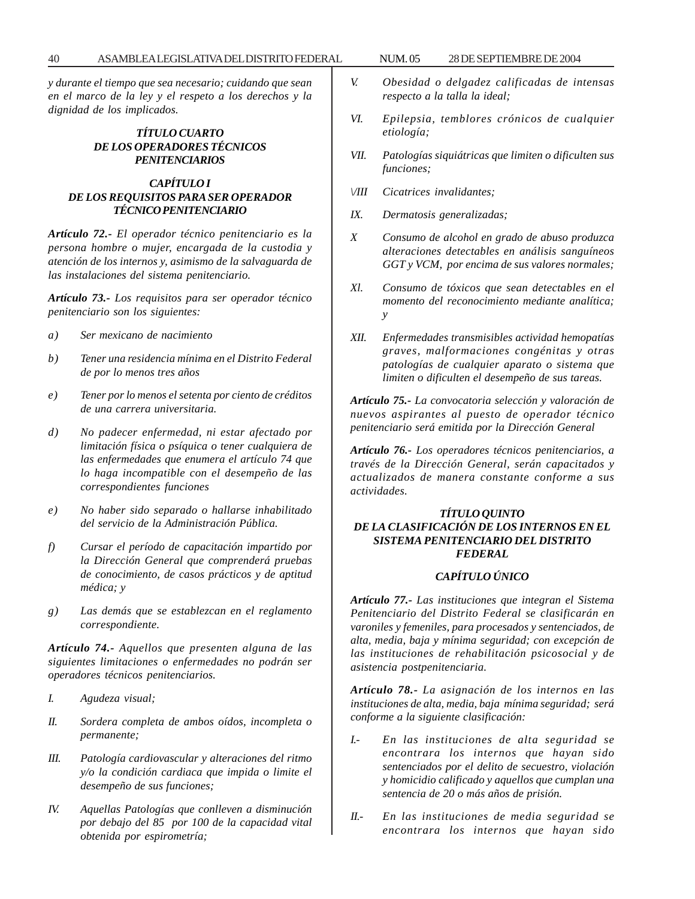*y durante el tiempo que sea necesario; cuidando que sean en el marco de la ley y el respeto a los derechos y la dignidad de los implicados.*

#### *TÍTULO CUARTO DE LOS OPERADORES TÉCNICOS PENITENCIARIOS*

#### *CAPÍTULO I DE LOS REQUISITOS PARA SER OPERADOR TÉCNICO PENITENCIARIO*

*Artículo 72.- El operador técnico penitenciario es la persona hombre o mujer, encargada de la custodia y atención de los internos y, asimismo de la salvaguarda de las instalaciones del sistema penitenciario.*

*Artículo 73.- Los requisitos para ser operador técnico penitenciario son los siguientes:*

- *a) Ser mexicano de nacimiento*
- *b) Tener una residencia mínima en el Distrito Federal de por lo menos tres años*
- *e) Tener por lo menos el setenta por ciento de créditos de una carrera universitaria.*
- *d) No padecer enfermedad, ni estar afectado por limitación física o psíquica o tener cualquiera de las enfermedades que enumera el artículo 74 que lo haga incompatible con el desempeño de las correspondientes funciones*
- *e) No haber sido separado o hallarse inhabilitado del servicio de la Administración Pública.*
- *f) Cursar el período de capacitación impartido por la Dirección General que comprenderá pruebas de conocimiento, de casos prácticos y de aptitud médica; y*
- *g) Las demás que se establezcan en el reglamento correspondiente.*

*Artículo 74.- Aquellos que presenten alguna de las siguientes limitaciones o enfermedades no podrán ser operadores técnicos penitenciarios.*

- *I. Agudeza visual;*
- *II. Sordera completa de ambos oídos, incompleta o permanente;*
- *III. Patología cardiovascular y alteraciones del ritmo y/o la condición cardiaca que impida o limite el desempeño de sus funciones;*
- *IV. Aquellas Patologías que conlleven a disminución por debajo del 85 por 100 de la capacidad vital obtenida por espirometría;*
- *V. Obesidad o delgadez calificadas de intensas respecto a la talla la ideal;*
- *VI. Epilepsia, temblores crónicos de cualquier etiología;*
- *VII. Patologías siquiátricas que limiten o dificulten sus funciones;*
- *\/III Cicatrices invalidantes;*
- *IX. Dermatosis generalizadas;*
- *X Consumo de alcohol en grado de abuso produzca alteraciones detectables en análisis sanguíneos GGT y VCM, por encima de sus valores normales;*
- *Xl. Consumo de tóxicos que sean detectables en el momento del reconocimiento mediante analítica; y*
- *XII. Enfermedades transmisibles actividad hemopatías graves, malformaciones congénitas y otras patologías de cualquier aparato o sistema que limiten o dificulten el desempeño de sus tareas.*

*Artículo 75.- La convocatoria selección y valoración de nuevos aspirantes al puesto de operador técnico penitenciario será emitida por la Dirección General*

*Artículo 76.- Los operadores técnicos penitenciarios, a través de la Dirección General, serán capacitados y actualizados de manera constante conforme a sus actividades.*

## *TÍTULO QUINTO DE LA CLASIFICACIÓN DE LOS INTERNOS EN EL SISTEMA PENITENCIARIO DEL DISTRITO FEDERAL*

## *CAPÍTULO ÚNICO*

*Artículo 77.- Las instituciones que integran el Sistema Penitenciario del Distrito Federal se clasificarán en varoniles y femeniles, para procesados y sentenciados, de alta, media, baja y mínima seguridad; con excepción de las instituciones de rehabilitación psicosocial y de asistencia postpenitenciaria.*

*Artículo 78.- La asignación de los internos en las instituciones de alta, media, baja mínima seguridad; será conforme a la siguiente clasificación:*

- *I.- En las instituciones de alta seguridad se encontrara los internos que hayan sido sentenciados por el delito de secuestro, violación y homicidio calificado y aquellos que cumplan una sentencia de 20 o más años de prisión.*
- *II.- En las instituciones de media seguridad se encontrara los internos que hayan sido*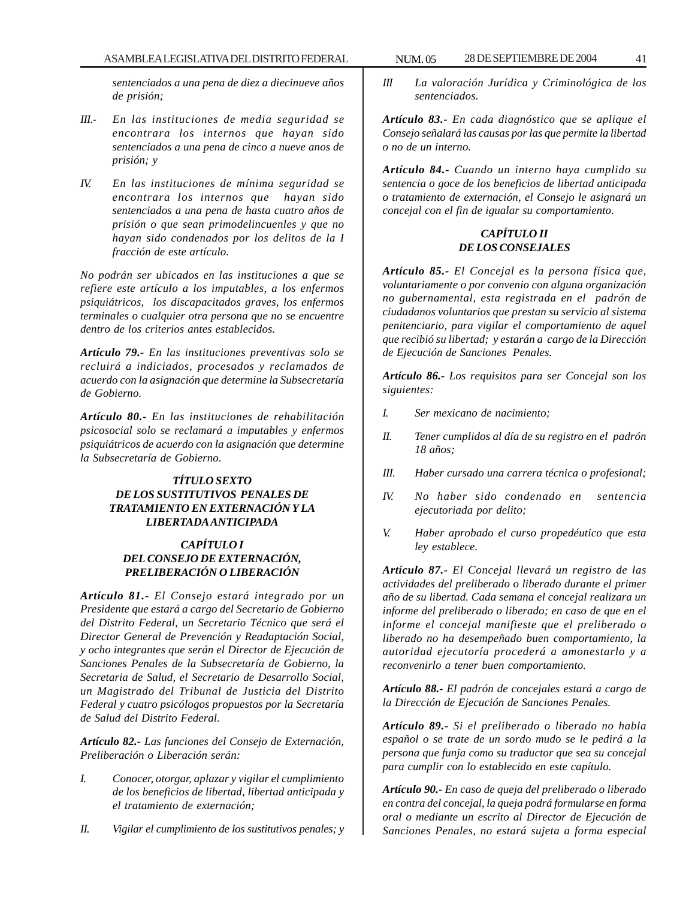*sentenciados a una pena de diez a diecinueve años de prisión;*

- *III.- En las instituciones de media seguridad se encontrara los internos que hayan sido sentenciados a una pena de cinco a nueve anos de prisión; y*
- *IV. En las instituciones de mínima seguridad se encontrara los internos que hayan sido sentenciados a una pena de hasta cuatro años de prisión o que sean primodelincuenles y que no hayan sido condenados por los delitos de la I fracción de este artículo.*

*No podrán ser ubicados en las instituciones a que se refiere este artículo a los imputables, a los enfermos psiquiátricos, los discapacitados graves, los enfermos terminales o cualquier otra persona que no se encuentre dentro de los criterios antes establecidos.*

*Artículo 79.- En las instituciones preventivas solo se recluirá a indiciados, procesados y reclamados de acuerdo con la asignación que determine la Subsecretaría de Gobierno.*

*Artículo 80.- En las instituciones de rehabilitación psicosocial solo se reclamará a imputables y enfermos psiquiátricos de acuerdo con la asignación que determine la Subsecretaría de Gobierno.*

## *TÍTULO SEXTO DE LOS SUSTITUTIVOS PENALES DE TRATAMIENTO EN EXTERNACIÓN Y LA LIBERTADA ANTICIPADA*

## *CAPÍTULO I DEL CONSEJO DE EXTERNACIÓN, PRELIBERACIÓN O LIBERACIÓN*

*Artículo 81.- El Consejo estará integrado por un Presidente que estará a cargo del Secretario de Gobierno del Distrito Federal, un Secretario Técnico que será el Director General de Prevención y Readaptación Social, y ocho integrantes que serán el Director de Ejecución de Sanciones Penales de la Subsecretaría de Gobierno, la Secretaria de Salud, el Secretario de Desarrollo Social, un Magistrado del Tribunal de Justicia del Distrito Federal y cuatro psicólogos propuestos por la Secretaría de Salud del Distrito Federal.*

*Artículo 82.- Las funciones del Consejo de Externación, Preliberación o Liberación serán:*

- *I. Conocer, otorgar, aplazar y vigilar el cumplimiento de los beneficios de libertad, libertad anticipada y el tratamiento de externación;*
- *II. Vigilar el cumplimiento de los sustitutivos penales; y*

*III La valoración Jurídica y Criminológica de los sentenciados.*

*Artículo 83.- En cada diagnóstico que se aplique el Consejo señalará las causas por las que permite la libertad o no de un interno.*

*Artículo 84.- Cuando un interno haya cumplido su sentencia o goce de los beneficios de libertad anticipada o tratamiento de externación, el Consejo le asignará un concejal con el fin de igualar su comportamiento.*

### *CAPÍTULO II DE LOS CONSEJALES*

*Artículo 85.- El Concejal es la persona física que, voluntariamente o por convenio con alguna organización no gubernamental, esta registrada en el padrón de ciudadanos voluntarios que prestan su servicio al sistema penitenciario, para vigilar el comportamiento de aquel que recibió su libertad; y estarán a cargo de la Dirección de Ejecución de Sanciones Penales.*

*Artículo 86.- Los requisitos para ser Concejal son los siguientes:*

- *I. Ser mexicano de nacimiento;*
- *II. Tener cumplidos al día de su registro en el padrón 18 años;*
- *III. Haber cursado una carrera técnica o profesional;*
- *IV. No haber sido condenado en sentencia ejecutoriada por delito;*
- *V. Haber aprobado el curso propedéutico que esta ley establece.*

*Artículo 87.- El Concejal llevará un registro de las actividades del preliberado o liberado durante el primer año de su libertad. Cada semana el concejal realizara un informe del preliberado o liberado; en caso de que en el informe el concejal manifieste que el preliberado o liberado no ha desempeñado buen comportamiento, la autoridad ejecutoría procederá a amonestarlo y a reconvenirlo a tener buen comportamiento.*

*Artículo 88.- El padrón de concejales estará a cargo de la Dirección de Ejecución de Sanciones Penales.*

*Artículo 89.- Si el preliberado o liberado no habla español o se trate de un sordo mudo se le pedirá a la persona que funja como su traductor que sea su concejal para cumplir con lo establecido en este capítulo.*

*Artículo 90.- En caso de queja del preliberado o liberado en contra del concejal, la queja podrá formularse en forma oral o mediante un escrito al Director de Ejecución de Sanciones Penales, no estará sujeta a forma especial*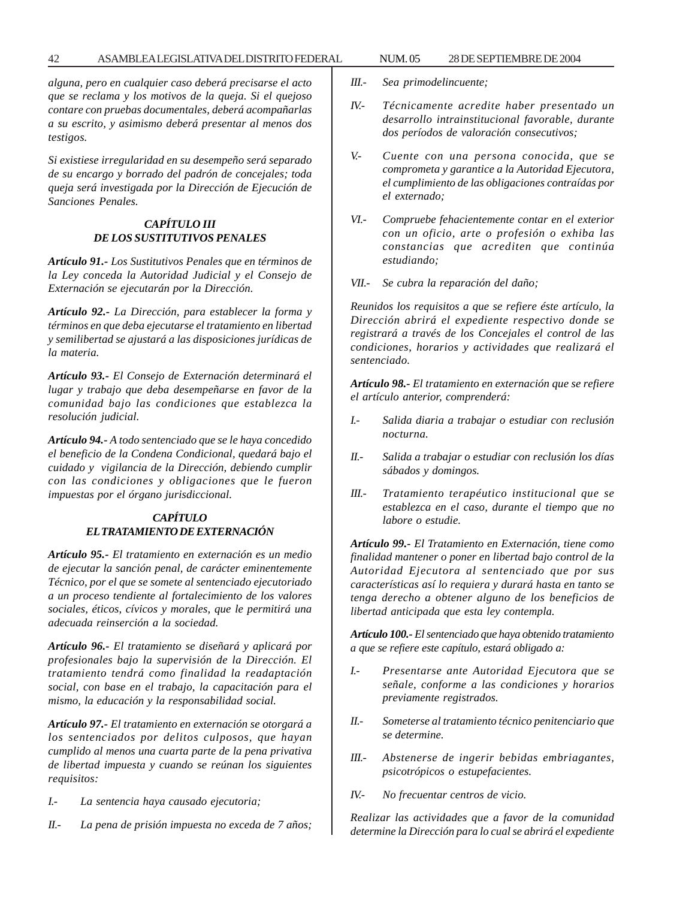#### 42 ASAMBLEA LEGISLATIVA DEL DISTRITO FEDERAL 28 NUM. 05 DE SEPTIEMBRE DE 2004

*alguna, pero en cualquier caso deberá precisarse el acto que se reclama y los motivos de la queja. Si el quejoso contare con pruebas documentales, deberá acompañarlas a su escrito, y asimismo deberá presentar al menos dos testigos.*

*Si existiese irregularidad en su desempeño será separado de su encargo y borrado del padrón de concejales; toda queja será investigada por la Dirección de Ejecución de Sanciones Penales.*

## *CAPÍTULO III DE LOS SUSTITUTIVOS PENALES*

*Artículo 91.- Los Sustitutivos Penales que en términos de la Ley conceda la Autoridad Judicial y el Consejo de Externación se ejecutarán por la Dirección.*

*Artículo 92.- La Dirección, para establecer la forma y términos en que deba ejecutarse el tratamiento en libertad y semilibertad se ajustará a las disposiciones jurídicas de la materia.*

*Artículo 93.- El Consejo de Externación determinará el lugar y trabajo que deba desempeñarse en favor de la comunidad bajo las condiciones que establezca la resolución judicial.*

*Artículo 94.- A todo sentenciado que se le haya concedido el beneficio de la Condena Condicional, quedará bajo el cuidado y vigilancia de la Dirección, debiendo cumplir con las condiciones y obligaciones que le fueron impuestas por el órgano jurisdiccional.*

### *CAPÍTULO EL TRATAMIENTO DE EXTERNACIÓN*

*Artículo 95.- El tratamiento en externación es un medio de ejecutar la sanción penal, de carácter eminentemente Técnico, por el que se somete al sentenciado ejecutoriado a un proceso tendiente al fortalecimiento de los valores sociales, éticos, cívicos y morales, que le permitirá una adecuada reinserción a la sociedad.*

*Artículo 96.- El tratamiento se diseñará y aplicará por profesionales bajo la supervisión de la Dirección. El tratamiento tendrá como finalidad la readaptación social, con base en el trabajo, la capacitación para el mismo, la educación y la responsabilidad social.*

*Artículo 97.- El tratamiento en externación se otorgará a los sentenciados por delitos culposos, que hayan cumplido al menos una cuarta parte de la pena privativa de libertad impuesta y cuando se reúnan los siguientes requisitos:*

- *I.- La sentencia haya causado ejecutoria;*
- *II.- La pena de prisión impuesta no exceda de 7 años;*
- *III.- Sea primodelincuente;*
- *IV.- Técnicamente acredite haber presentado un desarrollo intrainstitucional favorable, durante dos períodos de valoración consecutivos;*
- *V.- Cuente con una persona conocida, que se comprometa y garantice a la Autoridad Ejecutora, el cumplimiento de las obligaciones contraídas por el externado;*
- *VI.- Compruebe fehacientemente contar en el exterior con un oficio, arte o profesión o exhiba las constancias que acrediten que continúa estudiando;*
- *VII.- Se cubra la reparación del daño;*

*Reunidos los requisitos a que se refiere éste artículo, la Dirección abrirá el expediente respectivo donde se registrará a través de los Concejales el control de las condiciones, horarios y actividades que realizará el sentenciado.*

*Artículo 98.- El tratamiento en externación que se refiere el artículo anterior, comprenderá:*

- *I.- Salida diaria a trabajar o estudiar con reclusión nocturna.*
- *II.- Salida a trabajar o estudiar con reclusión los días sábados y domingos.*
- *III.- Tratamiento terapéutico institucional que se establezca en el caso, durante el tiempo que no labore o estudie.*

*Artículo 99.- El Tratamiento en Externación, tiene como finalidad mantener o poner en libertad bajo control de la Autoridad Ejecutora al sentenciado que por sus características así lo requiera y durará hasta en tanto se tenga derecho a obtener alguno de los beneficios de libertad anticipada que esta ley contempla.*

*Artículo 100.- El sentenciado que haya obtenido tratamiento a que se refiere este capítulo, estará obligado a:*

- *I.- Presentarse ante Autoridad Ejecutora que se señale, conforme a las condiciones y horarios previamente registrados.*
- *II.- Someterse al tratamiento técnico penitenciario que se determine.*
- *III.- Abstenerse de ingerir bebidas embriagantes, psicotrópicos o estupefacientes.*
- *IV.- No frecuentar centros de vicio.*

*Realizar las actividades que a favor de la comunidad determine la Dirección para lo cual se abrirá el expediente*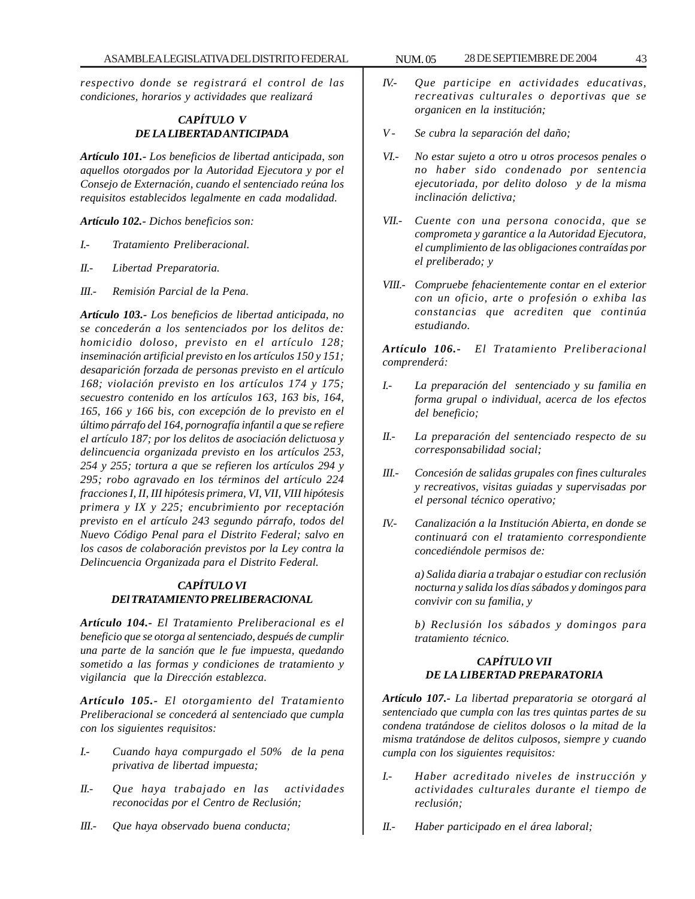*respectivo donde se registrará el control de las condiciones, horarios y actividades que realizará*

## *CAPÍTULO V DE LA LIBERTAD ANTICIPADA*

*Artículo 101.- Los beneficios de libertad anticipada, son aquellos otorgados por la Autoridad Ejecutora y por el Consejo de Externación, cuando el sentenciado reúna los requisitos establecidos legalmente en cada modalidad.*

*Artículo 102.- Dichos beneficios son:*

- *I.- Tratamiento Preliberacional.*
- *II.- Libertad Preparatoria.*
- *III.- Remisión Parcial de la Pena.*

*Artículo 103.- Los beneficios de libertad anticipada, no se concederán a los sentenciados por los delitos de: homicidio doloso, previsto en el artículo 128; inseminación artificial previsto en los artículos 150 y 151; desaparición forzada de personas previsto en el artículo 168; violación previsto en los artículos 174 y 175; secuestro contenido en los artículos 163, 163 bis, 164, 165, 166 y 166 bis, con excepción de lo previsto en el último párrafo del 164, pornografía infantil a que se refiere el artículo 187; por los delitos de asociación delictuosa y delincuencia organizada previsto en los artículos 253, 254 y 255; tortura a que se refieren los artículos 294 y 295; robo agravado en los términos del artículo 224 fracciones I, II, III hipótesis primera, VI, VII, VIII hipótesis primera y IX y 225; encubrimiento por receptación previsto en el artículo 243 segundo párrafo, todos del Nuevo Código Penal para el Distrito Federal; salvo en los casos de colaboración previstos por la Ley contra la Delincuencia Organizada para el Distrito Federal.*

#### *CAPÍTULO VI DEl TRATAMIENTO PRELIBERACIONAL*

*Artículo 104.- El Tratamiento Preliberacional es el beneficio que se otorga al sentenciado, después de cumplir una parte de la sanción que le fue impuesta, quedando sometido a las formas y condiciones de tratamiento y vigilancia que la Dirección establezca.*

*Artículo 105.- El otorgamiento del Tratamiento Preliberacional se concederá al sentenciado que cumpla con los siguientes requisitos:*

- *I.- Cuando haya compurgado el 50% de la pena privativa de libertad impuesta;*
- *II.- Que haya trabajado en las actividades reconocidas por el Centro de Reclusión;*
- *III.- Que haya observado buena conducta;*
- *IV.- Que participe en actividades educativas, recreativas culturales o deportivas que se organicen en la institución;*
- *V Se cubra la separación del daño;*
- *VI.- No estar sujeto a otro u otros procesos penales o no haber sido condenado por sentencia ejecutoriada, por delito doloso y de la misma inclinación delictiva;*
- *VII.- Cuente con una persona conocida, que se comprometa y garantice a la Autoridad Ejecutora, el cumplimiento de las obligaciones contraídas por el preliberado; y*
- *VIII.- Compruebe fehacientemente contar en el exterior con un oficio, arte o profesión o exhiba las constancias que acrediten que continúa estudiando.*

*Artículo 106.- El Tratamiento Preliberacional comprenderá:*

- *I.- La preparación del sentenciado y su familia en forma grupal o individual, acerca de los efectos del beneficio;*
- *II.- La preparación del sentenciado respecto de su corresponsabilidad social;*
- *III.- Concesión de salidas grupales con fines culturales y recreativos, visitas guiadas y supervisadas por el personal técnico operativo;*
- *IV.- Canalización a la Institución Abierta, en donde se continuará con el tratamiento correspondiente concediéndole permisos de:*

*a) Salida diaria a trabajar o estudiar con reclusión nocturna y salida los días sábados y domingos para convivir con su familia, y*

*b) Reclusión los sábados y domingos para tratamiento técnico.*

## *CAPÍTULO VII DE LA LIBERTAD PREPARATORIA*

*Artículo 107.- La libertad preparatoria se otorgará al sentenciado que cumpla con las tres quintas partes de su condena tratándose de cielitos dolosos o la mitad de la misma tratándose de delitos culposos, siempre y cuando cumpla con los siguientes requisitos:*

- *I.- Haber acreditado niveles de instrucción y actividades culturales durante el tiempo de reclusión;*
- *II.- Haber participado en el área laboral;*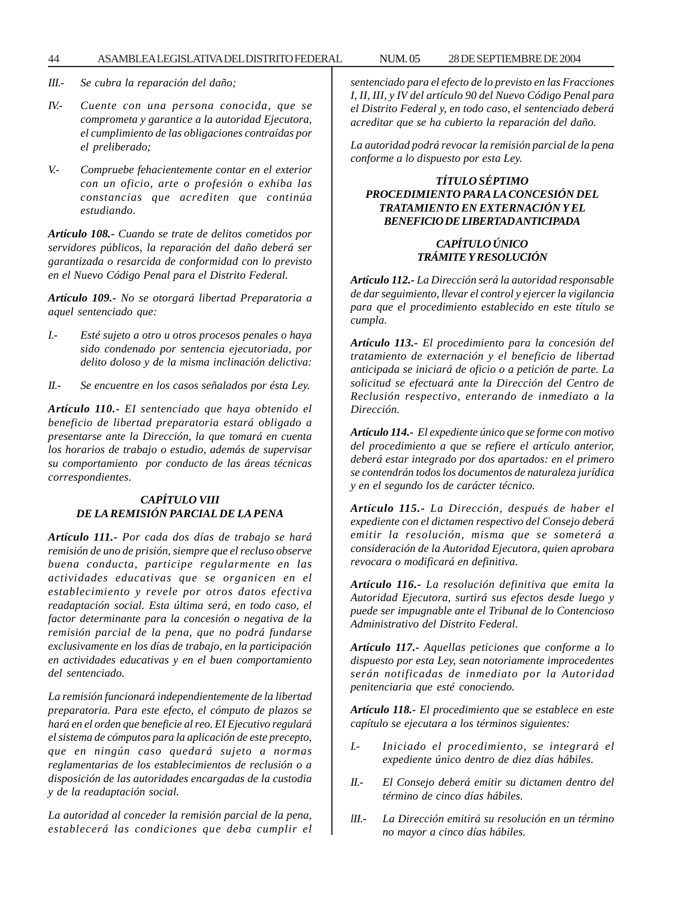#### 44 ASAMBLEA LEGISLATIVA DEL DISTRITO FEDERAL 28 NUM. 05 DE SEPTIEMBRE DE 2004

- *III.- Se cubra la reparación del daño;*
- *IV.- Cuente con una persona conocida, que se comprometa y garantice a la autoridad Ejecutora, el cumplimiento de las obligaciones contraídas por el preliberado;*
- *V.- Compruebe fehacientemente contar en el exterior con un oficio, arte o profesión o exhiba las constancias que acrediten que continúa estudiando.*

*Artículo 108.- Cuando se trate de delitos cometidos por servidores públicos, la reparación del daño deberá ser garantizada o resarcida de conformidad con lo previsto en el Nuevo Código Penal para el Distrito Federal.*

*Artículo 109.- No se otorgará libertad Preparatoria a aquel sentenciado que:*

- *I.- Esté sujeto a otro u otros procesos penales o haya sido condenado por sentencia ejecutoriada, por delito doloso y de la misma inclinación delictiva:*
- *II.- Se encuentre en los casos señalados por ésta Ley.*

*Artículo 110.- EI sentenciado que haya obtenido el beneficio de libertad preparatoria estará obligado a presentarse ante la Dirección, la que tomará en cuenta los horarios de trabajo o estudio, además de supervisar su comportamiento por conducto de las áreas técnicas correspondientes.*

## *CAPÍTULO VIII DE LA REMISIÓN PARCIAL DE LA PENA*

*Artículo 111.- Por cada dos días de trabajo se hará remisión de uno de prisión, siempre que el recluso observe buena conducta, participe regularmente en las actividades educativas que se organicen en el establecimiento y revele por otros datos efectiva readaptación social. Esta última será, en todo caso, el factor determinante para la concesión o negativa de la remisión parcial de la pena, que no podrá fundarse exclusivamente en los días de trabajo, en la participación en actividades educativas y en el buen comportamiento del sentenciado.*

*La remisión funcionará independientemente de la libertad preparatoria. Para este efecto, el cómputo de plazos se hará en el orden que beneficie al reo. EI Ejecutivo regulará el sistema de cómputos para la aplicación de este precepto, que en ningún caso quedará sujeto a normas reglamentarias de los establecimientos de reclusión o a disposición de las autoridades encargadas de la custodia y de la readaptación social.*

*La autoridad al conceder la remisión parcial de la pena, establecerá las condiciones que deba cumplir el* *sentenciado para el efecto de lo previsto en las Fracciones I, II, III, y IV del artículo 90 del Nuevo Código Penal para el Distrito Federal y, en todo caso, el sentenciado deberá acreditar que se ha cubierto la reparación del daño.*

*La autoridad podrá revocar la remisión parcial de la pena conforme a lo dispuesto por esta Ley.*

### *TÍTULO SÉPTIMO PROCEDIMIENTO PARA LA CONCESIÓN DEL TRATAMIENTO EN EXTERNACIÓN Y EL BENEFICIO DE LIBERTAD ANTICIPADA*

# *CAPÍTULO ÚNICO TRÁMITE Y RESOLUCIÓN*

*Artículo 112.- La Dirección será la autoridad responsable de dar seguimiento, llevar el control y ejercer la vigilancia para que el procedimiento establecido en este título se cumpla.*

*Artículo 113.- El procedimiento para la concesión del tratamiento de externación y el beneficio de libertad anticipada se iniciará de oficio o a petición de parte. La solicitud se efectuará ante la Dirección del Centro de Reclusión respectivo, enterando de inmediato a la Dirección.*

*Artículo 114.- El expediente único que se forme con motivo del procedimiento a que se refiere el artículo anterior, deberá estar integrado por dos apartados: en el primero se contendrán todos los documentos de naturaleza jurídica y en el segundo los de carácter técnico.*

*Artículo 115.- La Dirección, después de haber el expediente con el dictamen respectivo del Consejo deberá emitir la resolución, misma que se someterá a consideración de la Autoridad Ejecutora, quien aprobara revocara o modificará en definitiva.*

*Artículo 116.- La resolución definitiva que emita la Autoridad Ejecutora, surtirá sus efectos desde luego y puede ser impugnable ante el Tribunal de lo Contencioso Administrativo del Distrito Federal.*

*Artículo 117.- Aquellas peticiones que conforme a lo dispuesto por esta Ley, sean notoriamente improcedentes serán notificadas de inmediato por la Autoridad penitenciaria que esté conociendo.*

*Artículo 118.- El procedimiento que se establece en este capítulo se ejecutara a los términos siguientes:*

- *I.- Iniciado el procedimiento, se integrará el expediente único dentro de diez días hábiles.*
- *II.- El Consejo deberá emitir su dictamen dentro del término de cinco días hábiles.*
- *lII.- La Dirección emitirá su resolución en un término no mayor a cinco días hábiles.*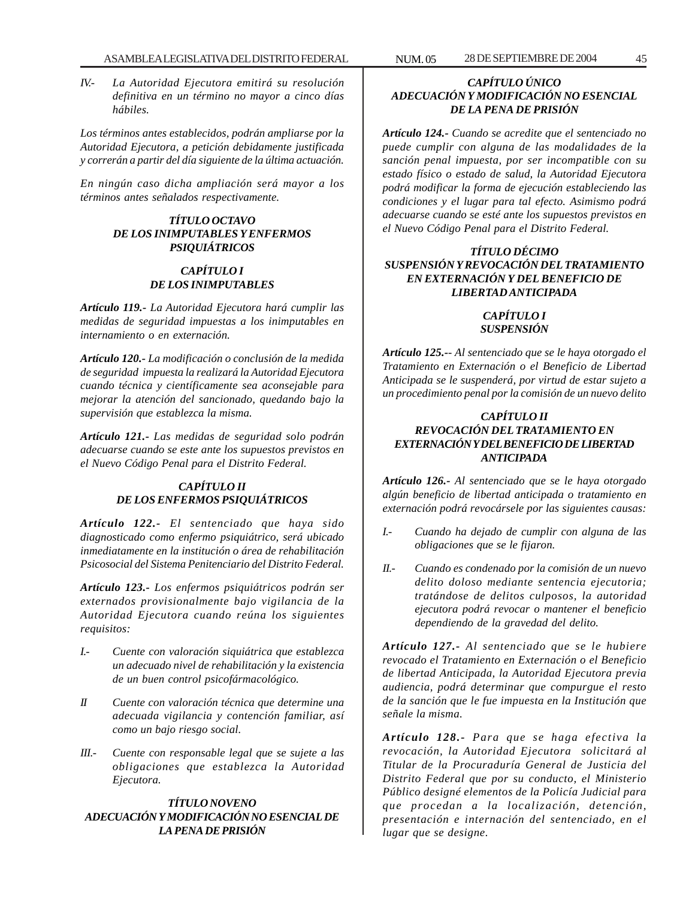*IV.- La Autoridad Ejecutora emitirá su resolución definitiva en un término no mayor a cinco días hábiles.*

*Los términos antes establecidos, podrán ampliarse por la Autoridad Ejecutora, a petición debidamente justificada y correrán a partir del día siguiente de la última actuación.*

*En ningún caso dicha ampliación será mayor a los términos antes señalados respectivamente.*

## *TÍTULO OCTAVO DE LOS INIMPUTABLES Y ENFERMOS PSIQUIÁTRICOS*

## *CAPÍTULO I DE LOS INIMPUTABLES*

*Artículo 119.- La Autoridad Ejecutora hará cumplir las medidas de seguridad impuestas a los inimputables en internamiento o en externación.*

*Artículo 120.- La modificación o conclusión de la medida de seguridad impuesta la realizará la Autoridad Ejecutora cuando técnica y científicamente sea aconsejable para mejorar la atención del sancionado, quedando bajo la supervisión que establezca la misma.*

*Artículo 121.- Las medidas de seguridad solo podrán adecuarse cuando se este ante los supuestos previstos en el Nuevo Código Penal para el Distrito Federal.*

# *CAPÍTULO II DE LOS ENFERMOS PSIQUIÁTRICOS*

*Artículo 122.- El sentenciado que haya sido diagnosticado como enfermo psiquiátrico, será ubicado inmediatamente en la institución o área de rehabilitación Psicosocial del Sistema Penitenciario del Distrito Federal.*

*Artículo 123.- Los enfermos psiquiátricos podrán ser externados provisionalmente bajo vigilancia de la Autoridad Ejecutora cuando reúna los siguientes requisitos:*

- *I.- Cuente con valoración siquiátrica que establezca un adecuado nivel de rehabilitación y la existencia de un buen control psicofármacológico.*
- *II Cuente con valoración técnica que determine una adecuada vigilancia y contención familiar, así como un bajo riesgo social.*
- *III.- Cuente con responsable legal que se sujete a las obligaciones que establezca la Autoridad Ejecutora.*

#### *TÍTULO NOVENO ADECUACIÓN Y MODIFICACIÓN NO ESENCIAL DE LA PENA DE PRISIÓN*

## *CAPÍTULO ÚNICO ADECUACIÓN Y MODIFICACIÓN NO ESENCIAL DE LA PENA DE PRISIÓN*

*Artículo 124.- Cuando se acredite que el sentenciado no puede cumplir con alguna de las modalidades de la sanción penal impuesta, por ser incompatible con su estado físico o estado de salud, la Autoridad Ejecutora podrá modificar la forma de ejecución estableciendo las condiciones y el lugar para tal efecto. Asimismo podrá adecuarse cuando se esté ante los supuestos previstos en el Nuevo Código Penal para el Distrito Federal.*

## *TÍTULO DÉCIMO SUSPENSIÓN Y REVOCACIÓN DEL TRATAMIENTO EN EXTERNACIÓN Y DEL BENEFICIO DE LIBERTAD ANTICIPADA*

# *CAPÍTULO I SUSPENSIÓN*

*Artículo 125.-- Al sentenciado que se le haya otorgado el Tratamiento en Externación o el Beneficio de Libertad Anticipada se le suspenderá, por virtud de estar sujeto a un procedimiento penal por la comisión de un nuevo delito*

## *CAPÍTULO II REVOCACIÓN DEL TRATAMIENTO EN EXTERNACIÓN Y DEL BENEFICIO DE LIBERTAD ANTICIPADA*

*Artículo 126.- Al sentenciado que se le haya otorgado algún beneficio de libertad anticipada o tratamiento en externación podrá revocársele por las siguientes causas:*

- *I.- Cuando ha dejado de cumplir con alguna de las obligaciones que se le fijaron.*
- *II.- Cuando es condenado por la comisión de un nuevo delito doloso mediante sentencia ejecutoria; tratándose de delitos culposos, la autoridad ejecutora podrá revocar o mantener el beneficio dependiendo de la gravedad del delito.*

*Artículo 127.- Al sentenciado que se le hubiere revocado el Tratamiento en Externación o el Beneficio de libertad Anticipada, la Autoridad Ejecutora previa audiencia, podrá determinar que compurgue el resto de la sanción que le fue impuesta en la Institución que señale la misma.*

*Artículo 128.- Para que se haga efectiva la revocación, la Autoridad Ejecutora solicitará al Titular de la Procuraduría General de Justicia del Distrito Federal que por su conducto, el Ministerio Público designé elementos de la Policía Judicial para que procedan a la localización, detención, presentación e internación del sentenciado, en el lugar que se designe.*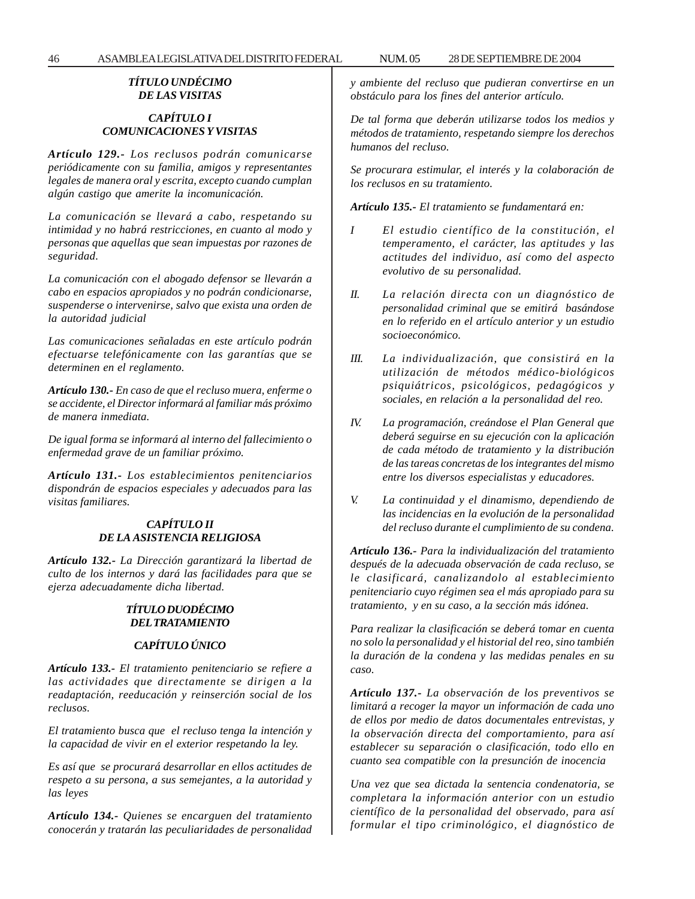## *TÍTULO UNDÉCIMO DE LAS VISITAS*

### *CAPÍTULO I COMUNICACIONES Y VISITAS*

*Artículo 129.- Los reclusos podrán comunicarse periódicamente con su familia, amigos y representantes legales de manera oral y escrita, excepto cuando cumplan algún castigo que amerite la incomunicación.*

*La comunicación se llevará a cabo, respetando su intimidad y no habrá restricciones, en cuanto al modo y personas que aquellas que sean impuestas por razones de seguridad.*

*La comunicación con el abogado defensor se llevarán a cabo en espacios apropiados y no podrán condicionarse, suspenderse o intervenirse, salvo que exista una orden de la autoridad judicial*

*Las comunicaciones señaladas en este artículo podrán efectuarse telefónicamente con las garantías que se determinen en el reglamento.*

*Artículo 130.- En caso de que el recluso muera, enferme o se accidente, el Director informará al familiar más próximo de manera inmediata.*

*De igual forma se informará al interno del fallecimiento o enfermedad grave de un familiar próximo.*

*Artículo 131.- Los establecimientos penitenciarios dispondrán de espacios especiales y adecuados para las visitas familiares.*

#### *CAPÍTULO II DE LA ASISTENCIA RELIGIOSA*

*Artículo 132.- La Dirección garantizará la libertad de culto de los internos y dará las facilidades para que se ejerza adecuadamente dicha libertad.*

### *TÍTULO DUODÉCIMO DEL TRATAMIENTO*

## *CAPÍTULO ÚNICO*

*Artículo 133.- El tratamiento penitenciario se refiere a las actividades que directamente se dirigen a la readaptación, reeducación y reinserción social de los reclusos.*

*El tratamiento busca que el recluso tenga la intención y la capacidad de vivir en el exterior respetando la ley.*

*Es así que se procurará desarrollar en ellos actitudes de respeto a su persona, a sus semejantes, a la autoridad y las leyes*

*Artículo 134.- Quienes se encarguen del tratamiento conocerán y tratarán las peculiaridades de personalidad* *y ambiente del recluso que pudieran convertirse en un obstáculo para los fines del anterior artículo.*

*De tal forma que deberán utilizarse todos los medios y métodos de tratamiento, respetando siempre los derechos humanos del recluso.*

*Se procurara estimular, el interés y la colaboración de los reclusos en su tratamiento.*

*Artículo 135.- El tratamiento se fundamentará en:*

- *I El estudio científico de la constitución, el temperamento, el carácter, las aptitudes y las actitudes del individuo, así como del aspecto evolutivo de su personalidad.*
- *II. La relación directa con un diagnóstico de personalidad criminal que se emitirá basándose en lo referido en el artículo anterior y un estudio socioeconómico.*
- *III. La individualización, que consistirá en la utilización de métodos médico-biológicos psiquiátricos, psicológicos, pedagógicos y sociales, en relación a la personalidad del reo.*
- *IV. La programación, creándose el Plan General que deberá seguirse en su ejecución con la aplicación de cada método de tratamiento y la distribución de las tareas concretas de los integrantes del mismo entre los diversos especialistas y educadores.*
- *V. La continuidad y el dinamismo, dependiendo de las incidencias en la evolución de la personalidad del recluso durante el cumplimiento de su condena.*

*Artículo 136.- Para la individualización del tratamiento después de la adecuada observación de cada recluso, se le clasificará, canalizandolo al establecimiento penitenciario cuyo régimen sea el más apropiado para su tratamiento, y en su caso, a la sección más idónea.*

*Para realizar la clasificación se deberá tomar en cuenta no solo la personalidad y el historial del reo, sino también la duración de la condena y las medidas penales en su caso.*

*Artículo 137.- La observación de los preventivos se limitará a recoger la mayor un información de cada uno de ellos por medio de datos documentales entrevistas, y la observación directa del comportamiento, para así establecer su separación o clasificación, todo ello en cuanto sea compatible con la presunción de inocencia*

*Una vez que sea dictada la sentencia condenatoria, se completara la información anterior con un estudio científico de la personalidad del observado, para así formular el tipo criminológico, el diagnóstico de*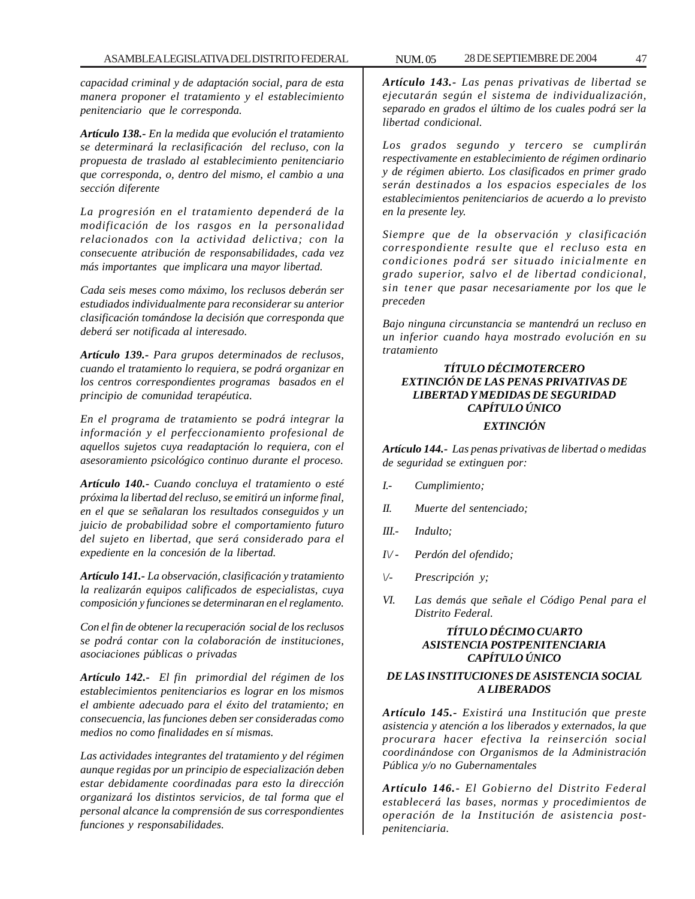*capacidad criminal y de adaptación social, para de esta manera proponer el tratamiento y el establecimiento penitenciario que le corresponda.*

*Artículo 138.- En la medida que evolución el tratamiento se determinará la reclasificación del recluso, con la propuesta de traslado al establecimiento penitenciario que corresponda, o, dentro del mismo, el cambio a una sección diferente*

*La progresión en el tratamiento dependerá de la modificación de los rasgos en la personalidad relacionados con la actividad delictiva; con la consecuente atribución de responsabilidades, cada vez más importantes que implicara una mayor libertad.*

*Cada seis meses como máximo, los reclusos deberán ser estudiados individualmente para reconsiderar su anterior clasificación tomándose la decisión que corresponda que deberá ser notificada al interesado.*

*Artículo 139.- Para grupos determinados de reclusos, cuando el tratamiento lo requiera, se podrá organizar en los centros correspondientes programas basados en el principio de comunidad terapéutica.*

*En el programa de tratamiento se podrá integrar la información y el perfeccionamiento profesional de aquellos sujetos cuya readaptación lo requiera, con el asesoramiento psicológico continuo durante el proceso.*

*Artículo 140.- Cuando concluya el tratamiento o esté próxima la libertad del recluso, se emitirá un informe final, en el que se señalaran los resultados conseguidos y un juicio de probabilidad sobre el comportamiento futuro del sujeto en libertad, que será considerado para el expediente en la concesión de la libertad.*

*Artículo 141.- La observación, clasificación y tratamiento la realizarán equipos calificados de especialistas, cuya composición y funciones se determinaran en el reglamento.*

*Con el fin de obtener la recuperación social de los reclusos se podrá contar con la colaboración de instituciones, asociaciones públicas o privadas*

*Artículo 142.- El fin primordial del régimen de los establecimientos penitenciarios es lograr en los mismos el ambiente adecuado para el éxito del tratamiento; en consecuencia, las funciones deben ser consideradas como medios no como finalidades en sí mismas.*

*Las actividades integrantes del tratamiento y del régimen aunque regidas por un principio de especialización deben estar debidamente coordinadas para esto la dirección organizará los distintos servicios, de tal forma que el personal alcance la comprensión de sus correspondientes funciones y responsabilidades.*

*Artículo 143.- Las penas privativas de libertad se ejecutarán según el sistema de individualización, separado en grados el último de los cuales podrá ser la libertad condicional.*

*Los grados segundo y tercero se cumplirán respectivamente en establecimiento de régimen ordinario y de régimen abierto. Los clasificados en primer grado serán destinados a los espacios especiales de los establecimientos penitenciarios de acuerdo a lo previsto en la presente ley.*

*Siempre que de la observación y clasificación correspondiente resulte que el recluso esta en condiciones podrá ser situado inicialmente en grado superior, salvo el de libertad condicional, sin tener que pasar necesariamente por los que le preceden*

*Bajo ninguna circunstancia se mantendrá un recluso en un inferior cuando haya mostrado evolución en su tratamiento*

## *TÍTULO DÉCIMOTERCERO EXTINCIÓN DE LAS PENAS PRIVATIVAS DE LIBERTAD Y MEDIDAS DE SEGURIDAD CAPÍTULO ÚNICO EXTINCIÓN*

*Artículo 144.- Las penas privativas de libertad o medidas de seguridad se extinguen por:*

- *I.- Cumplimiento;*
- *II. Muerte del sentenciado;*
- *III.- Indulto;*
- *I\/ Perdón del ofendido;*
- *\/- Prescripción y;*
- *VI. Las demás que señale el Código Penal para el Distrito Federal.*

#### *TÍTULO DÉCIMO CUARTO ASISTENCIA POSTPENITENCIARIA CAPÍTULO ÚNICO*

#### *DE LAS INSTITUCIONES DE ASISTENCIA SOCIAL A LIBERADOS*

*Artículo 145.- Existirá una Institución que preste asistencia y atención a los liberados y externados, la que procurara hacer efectiva la reinserción social coordinándose con Organismos de la Administración Pública y/o no Gubernamentales*

*Artículo 146.- El Gobierno del Distrito Federal establecerá las bases, normas y procedimientos de operación de la Institución de asistencia postpenitenciaria.*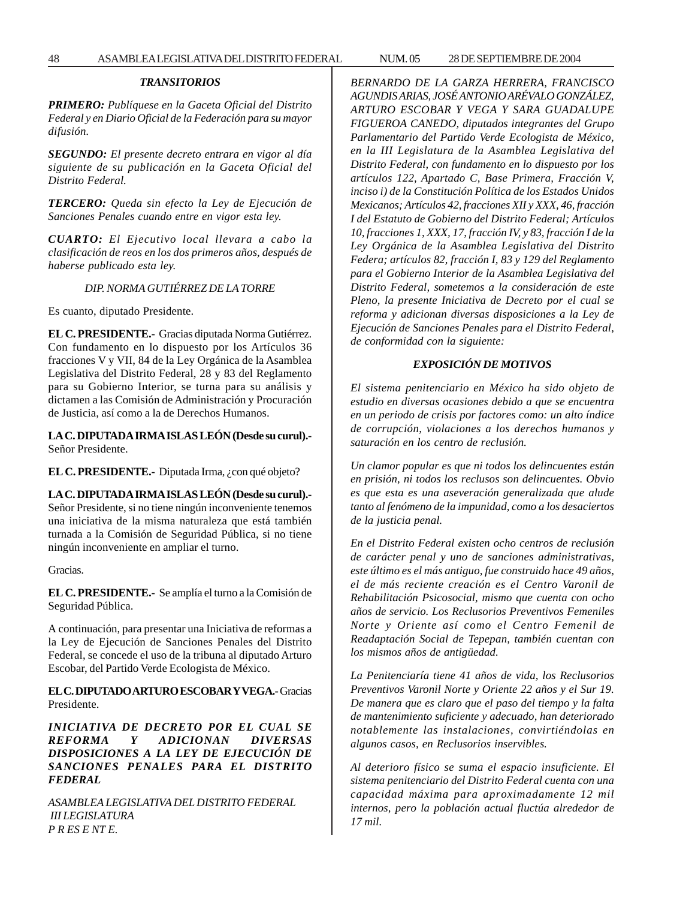### *TRANSITORIOS*

*PRIMERO: Publíquese en la Gaceta Oficial del Distrito Federal y en Diario Oficial de la Federación para su mayor difusión.*

*SEGUNDO: El presente decreto entrara en vigor al día siguiente de su publicación en la Gaceta Oficial del Distrito Federal.*

*TERCERO: Queda sin efecto la Ley de Ejecución de Sanciones Penales cuando entre en vigor esta ley.*

*CUARTO: El Ejecutivo local llevara a cabo la clasificación de reos en los dos primeros años, después de haberse publicado esta ley.*

#### *DIP. NORMA GUTIÉRREZ DE LA TORRE*

Es cuanto, diputado Presidente.

**EL C. PRESIDENTE.-** Gracias diputada Norma Gutiérrez. Con fundamento en lo dispuesto por los Artículos 36 fracciones V y VII, 84 de la Ley Orgánica de la Asamblea Legislativa del Distrito Federal, 28 y 83 del Reglamento para su Gobierno Interior, se turna para su análisis y dictamen a las Comisión de Administración y Procuración de Justicia, así como a la de Derechos Humanos.

**LA C. DIPUTADA IRMA ISLAS LEÓN (Desde su curul).-** Señor Presidente.

**EL C. PRESIDENTE.-** Diputada Irma, ¿con qué objeto?

**LA C. DIPUTADA IRMA ISLAS LEÓN (Desde su curul).-** Señor Presidente, si no tiene ningún inconveniente tenemos una iniciativa de la misma naturaleza que está también turnada a la Comisión de Seguridad Pública, si no tiene ningún inconveniente en ampliar el turno.

Gracias.

**EL C. PRESIDENTE.-** Se amplía el turno a la Comisión de Seguridad Pública.

A continuación, para presentar una Iniciativa de reformas a la Ley de Ejecución de Sanciones Penales del Distrito Federal, se concede el uso de la tribuna al diputado Arturo Escobar, del Partido Verde Ecologista de México.

**EL C. DIPUTADO ARTURO ESCOBAR Y VEGA.-** Gracias Presidente.

*INICIATIVA DE DECRETO POR EL CUAL SE REFORMA Y ADICIONAN DIVERSAS DISPOSICIONES A LA LEY DE EJECUCIÓN DE SANCIONES PENALES PARA EL DISTRITO FEDERAL*

*ASAMBLEA LEGISLATIVA DEL DISTRITO FEDERAL III LEGISLATURA P R ES E NT E.*

*BERNARDO DE LA GARZA HERRERA, FRANCISCO AGUNDIS ARIAS, JOSÉ ANTONIO ARÉVALO GONZÁLEZ, ARTURO ESCOBAR Y VEGA Y SARA GUADALUPE FIGUEROA CANEDO, diputados integrantes del Grupo Parlamentario del Partido Verde Ecologista de México, en la III Legislatura de la Asamblea Legislativa del Distrito Federal, con fundamento en lo dispuesto por los artículos 122, Apartado C, Base Primera, Fracción V, inciso i) de la Constitución Política de los Estados Unidos Mexicanos; Artículos 42, fracciones XII y XXX, 46, fracción I del Estatuto de Gobierno del Distrito Federal; Artículos 10, fracciones 1, XXX, 17, fracción IV, y 83, fracción I de la Ley Orgánica de la Asamblea Legislativa del Distrito Federa; artículos 82, fracción I, 83 y 129 del Reglamento para el Gobierno Interior de la Asamblea Legislativa del Distrito Federal, sometemos a la consideración de este Pleno, la presente Iniciativa de Decreto por el cual se reforma y adicionan diversas disposiciones a la Ley de Ejecución de Sanciones Penales para el Distrito Federal, de conformidad con la siguiente:*

#### *EXPOSICIÓN DE MOTIVOS*

*El sistema penitenciario en México ha sido objeto de estudio en diversas ocasiones debido a que se encuentra en un periodo de crisis por factores como: un alto índice de corrupción, violaciones a los derechos humanos y saturación en los centro de reclusión.*

*Un clamor popular es que ni todos los delincuentes están en prisión, ni todos los reclusos son delincuentes. Obvio es que esta es una aseveración generalizada que alude tanto al fenómeno de la impunidad, como a los desaciertos de la justicia penal.*

*En el Distrito Federal existen ocho centros de reclusión de carácter penal y uno de sanciones administrativas, este último es el más antiguo, fue construido hace 49 años, el de más reciente creación es el Centro Varonil de Rehabilitación Psicosocial, mismo que cuenta con ocho años de servicio. Los Reclusorios Preventivos Femeniles Norte y Oriente así como el Centro Femenil de Readaptación Social de Tepepan, también cuentan con los mismos años de antigüedad.*

*La Penitenciaría tiene 41 años de vida, los Reclusorios Preventivos Varonil Norte y Oriente 22 años y el Sur 19. De manera que es claro que el paso del tiempo y la falta de mantenimiento suficiente y adecuado, han deteriorado notablemente las instalaciones, convirtiéndolas en algunos casos, en Reclusorios inservibles.*

*Al deterioro físico se suma el espacio insuficiente. El sistema penitenciario del Distrito Federal cuenta con una capacidad máxima para aproximadamente 12 mil internos, pero la población actual fluctúa alrededor de 17 mil.*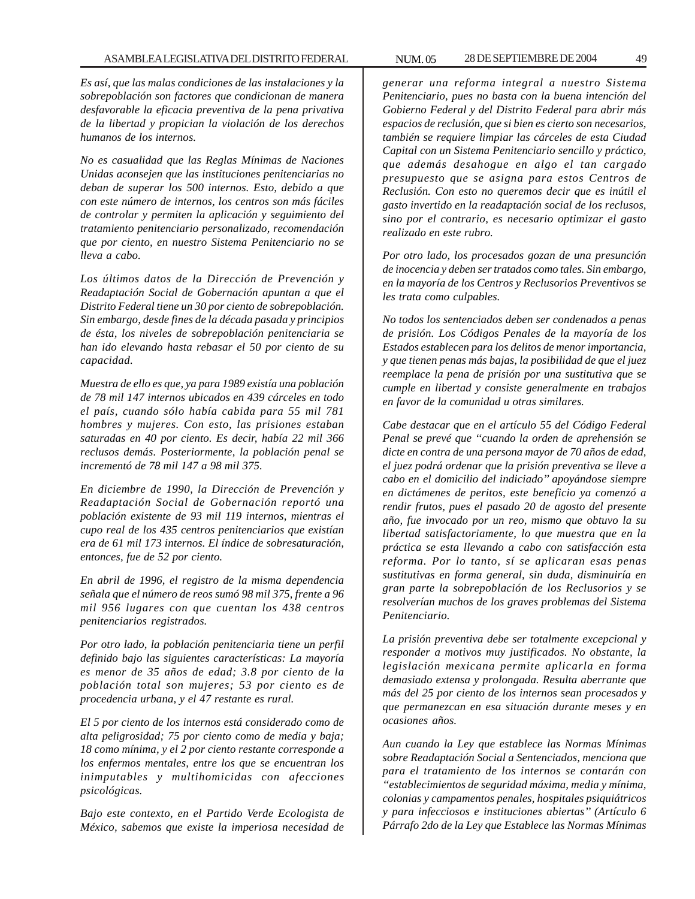*Es así, que las malas condiciones de las instalaciones y la sobrepoblación son factores que condicionan de manera desfavorable la eficacia preventiva de la pena privativa de la libertad y propician la violación de los derechos humanos de los internos.*

*No es casualidad que las Reglas Mínimas de Naciones Unidas aconsejen que las instituciones penitenciarias no deban de superar los 500 internos. Esto, debido a que con este número de internos, los centros son más fáciles de controlar y permiten la aplicación y seguimiento del tratamiento penitenciario personalizado, recomendación que por ciento, en nuestro Sistema Penitenciario no se lleva a cabo.*

*Los últimos datos de la Dirección de Prevención y Readaptación Social de Gobernación apuntan a que el Distrito Federal tiene un 30 por ciento de sobrepoblación. Sin embargo, desde fines de la década pasada y principios de ésta, los niveles de sobrepoblación penitenciaria se han ido elevando hasta rebasar el 50 por ciento de su capacidad.*

*Muestra de ello es que, ya para 1989 existía una población de 78 mil 147 internos ubicados en 439 cárceles en todo el país, cuando sólo había cabida para 55 mil 781 hombres y mujeres. Con esto, las prisiones estaban saturadas en 40 por ciento. Es decir, había 22 mil 366 reclusos demás. Posteriormente, la población penal se incrementó de 78 mil 147 a 98 mil 375.*

*En diciembre de 1990, la Dirección de Prevención y Readaptación Social de Gobernación reportó una población existente de 93 mil 119 internos, mientras el cupo real de los 435 centros penitenciarios que existían era de 61 mil 173 internos. El índice de sobresaturación, entonces, fue de 52 por ciento.*

*En abril de 1996, el registro de la misma dependencia señala que el número de reos sumó 98 mil 375, frente a 96 mil 956 lugares con que cuentan los 438 centros penitenciarios registrados.*

*Por otro lado, la población penitenciaria tiene un perfil definido bajo las siguientes características: La mayoría es menor de 35 años de edad; 3.8 por ciento de la población total son mujeres; 53 por ciento es de procedencia urbana, y el 47 restante es rural.*

*El 5 por ciento de los internos está considerado como de alta peligrosidad; 75 por ciento como de media y baja; 18 como mínima, y el 2 por ciento restante corresponde a los enfermos mentales, entre los que se encuentran los inimputables y multihomicidas con afecciones psicológicas.*

*Bajo este contexto, en el Partido Verde Ecologista de México, sabemos que existe la imperiosa necesidad de* *generar una reforma integral a nuestro Sistema Penitenciario, pues no basta con la buena intención del Gobierno Federal y del Distrito Federal para abrir más espacios de reclusión, que si bien es cierto son necesarios, también se requiere limpiar las cárceles de esta Ciudad Capital con un Sistema Penitenciario sencillo y práctico, que además desahogue en algo el tan cargado presupuesto que se asigna para estos Centros de Reclusión. Con esto no queremos decir que es inútil el gasto invertido en la readaptación social de los reclusos, sino por el contrario, es necesario optimizar el gasto realizado en este rubro.*

*Por otro lado, los procesados gozan de una presunción de inocencia y deben ser tratados como tales. Sin embargo, en la mayoría de los Centros y Reclusorios Preventivos se les trata como culpables.*

*No todos los sentenciados deben ser condenados a penas de prisión. Los Códigos Penales de la mayoría de los Estados establecen para los delitos de menor importancia, y que tienen penas más bajas, la posibilidad de que el juez reemplace la pena de prisión por una sustitutiva que se cumple en libertad y consiste generalmente en trabajos en favor de la comunidad u otras similares.*

*Cabe destacar que en el artículo 55 del Código Federal Penal se prevé que ''cuando la orden de aprehensión se dicte en contra de una persona mayor de 70 años de edad, el juez podrá ordenar que la prisión preventiva se lleve a cabo en el domicilio del indiciado'' apoyándose siempre en dictámenes de peritos, este beneficio ya comenzó a rendir frutos, pues el pasado 20 de agosto del presente año, fue invocado por un reo, mismo que obtuvo la su libertad satisfactoriamente, lo que muestra que en la práctica se esta llevando a cabo con satisfacción esta reforma. Por lo tanto, sí se aplicaran esas penas sustitutivas en forma general, sin duda, disminuiría en gran parte la sobrepoblación de los Reclusorios y se resolverían muchos de los graves problemas del Sistema Penitenciario.*

*La prisión preventiva debe ser totalmente excepcional y responder a motivos muy justificados. No obstante, la legislación mexicana permite aplicarla en forma demasiado extensa y prolongada. Resulta aberrante que más del 25 por ciento de los internos sean procesados y que permanezcan en esa situación durante meses y en ocasiones años.*

*Aun cuando la Ley que establece las Normas Mínimas sobre Readaptación Social a Sentenciados, menciona que para el tratamiento de los internos se contarán con ''establecimientos de seguridad máxima, media y mínima, colonias y campamentos penales, hospitales psiquiátricos y para infecciosos e instituciones abiertas'' (Artículo 6 Párrafo 2do de la Ley que Establece las Normas Mínimas*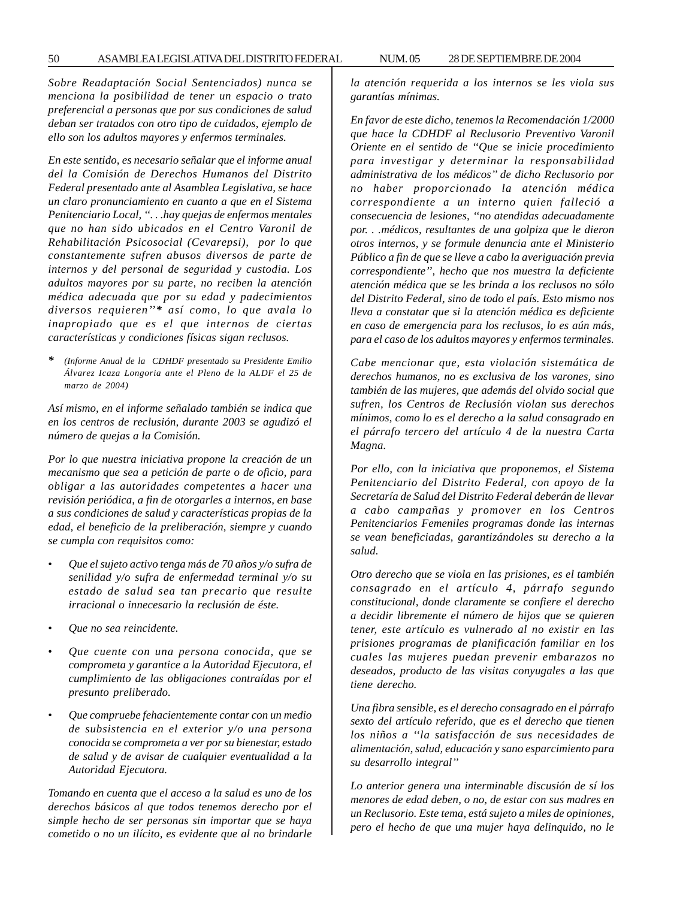*Sobre Readaptación Social Sentenciados) nunca se menciona la posibilidad de tener un espacio o trato preferencial a personas que por sus condiciones de salud deban ser tratados con otro tipo de cuidados, ejemplo de ello son los adultos mayores y enfermos terminales.*

*En este sentido, es necesario señalar que el informe anual del la Comisión de Derechos Humanos del Distrito Federal presentado ante al Asamblea Legislativa, se hace un claro pronunciamiento en cuanto a que en el Sistema Penitenciario Local, ''. . .hay quejas de enfermos mentales que no han sido ubicados en el Centro Varonil de Rehabilitación Psicosocial (Cevarepsi), por lo que constantemente sufren abusos diversos de parte de internos y del personal de seguridad y custodia. Los adultos mayores por su parte, no reciben la atención médica adecuada que por su edad y padecimientos diversos requieren''\* así como, lo que avala lo inapropiado que es el que internos de ciertas características y condiciones físicas sigan reclusos.*

*\* (Informe Anual de la CDHDF presentado su Presidente Emilio Álvarez Icaza Longoria ante el Pleno de la ALDF el 25 de marzo de 2004)*

*Así mismo, en el informe señalado también se indica que en los centros de reclusión, durante 2003 se agudizó el número de quejas a la Comisión.*

*Por lo que nuestra iniciativa propone la creación de un mecanismo que sea a petición de parte o de oficio, para obligar a las autoridades competentes a hacer una revisión periódica, a fin de otorgarles a internos, en base a sus condiciones de salud y características propias de la edad, el beneficio de la preliberación, siempre y cuando se cumpla con requisitos como:*

- *Que el sujeto activo tenga más de 70 años y/o sufra de senilidad y/o sufra de enfermedad terminal y/o su estado de salud sea tan precario que resulte irracional o innecesario la reclusión de éste.*
- *Que no sea reincidente.*
- *Que cuente con una persona conocida, que se comprometa y garantice a la Autoridad Ejecutora, el cumplimiento de las obligaciones contraídas por el presunto preliberado.*
- *Que compruebe fehacientemente contar con un medio de subsistencia en el exterior y/o una persona conocida se comprometa a ver por su bienestar, estado de salud y de avisar de cualquier eventualidad a la Autoridad Ejecutora.*

*Tomando en cuenta que el acceso a la salud es uno de los derechos básicos al que todos tenemos derecho por el simple hecho de ser personas sin importar que se haya cometido o no un ilícito, es evidente que al no brindarle*

*la atención requerida a los internos se les viola sus garantías mínimas.*

*En favor de este dicho, tenemos la Recomendación 1/2000 que hace la CDHDF al Reclusorio Preventivo Varonil Oriente en el sentido de ''Que se inicie procedimiento para investigar y determinar la responsabilidad administrativa de los médicos'' de dicho Reclusorio por no haber proporcionado la atención médica correspondiente a un interno quien falleció a consecuencia de lesiones, ''no atendidas adecuadamente por. . .médicos, resultantes de una golpiza que le dieron otros internos, y se formule denuncia ante el Ministerio Público a fin de que se lleve a cabo la averiguación previa correspondiente'', hecho que nos muestra la deficiente atención médica que se les brinda a los reclusos no sólo del Distrito Federal, sino de todo el país. Esto mismo nos lleva a constatar que si la atención médica es deficiente en caso de emergencia para los reclusos, lo es aún más, para el caso de los adultos mayores y enfermos terminales.*

*Cabe mencionar que, esta violación sistemática de derechos humanos, no es exclusiva de los varones, sino también de las mujeres, que además del olvido social que sufren, los Centros de Reclusión violan sus derechos mínimos, como lo es el derecho a la salud consagrado en el párrafo tercero del artículo 4 de la nuestra Carta Magna.*

*Por ello, con la iniciativa que proponemos, el Sistema Penitenciario del Distrito Federal, con apoyo de la Secretaría de Salud del Distrito Federal deberán de llevar a cabo campañas y promover en los Centros Penitenciarios Femeniles programas donde las internas se vean beneficiadas, garantizándoles su derecho a la salud.*

*Otro derecho que se viola en las prisiones, es el también consagrado en el artículo 4, párrafo segundo constitucional, donde claramente se confiere el derecho a decidir libremente el número de hijos que se quieren tener, este artículo es vulnerado al no existir en las prisiones programas de planificación familiar en los cuales las mujeres puedan prevenir embarazos no deseados, producto de las visitas conyugales a las que tiene derecho.*

*Una fibra sensible, es el derecho consagrado en el párrafo sexto del artículo referido, que es el derecho que tienen los niños a ''la satisfacción de sus necesidades de alimentación, salud, educación y sano esparcimiento para su desarrollo integral''*

*Lo anterior genera una interminable discusión de sí los menores de edad deben, o no, de estar con sus madres en un Reclusorio. Este tema, está sujeto a miles de opiniones, pero el hecho de que una mujer haya delinquido, no le*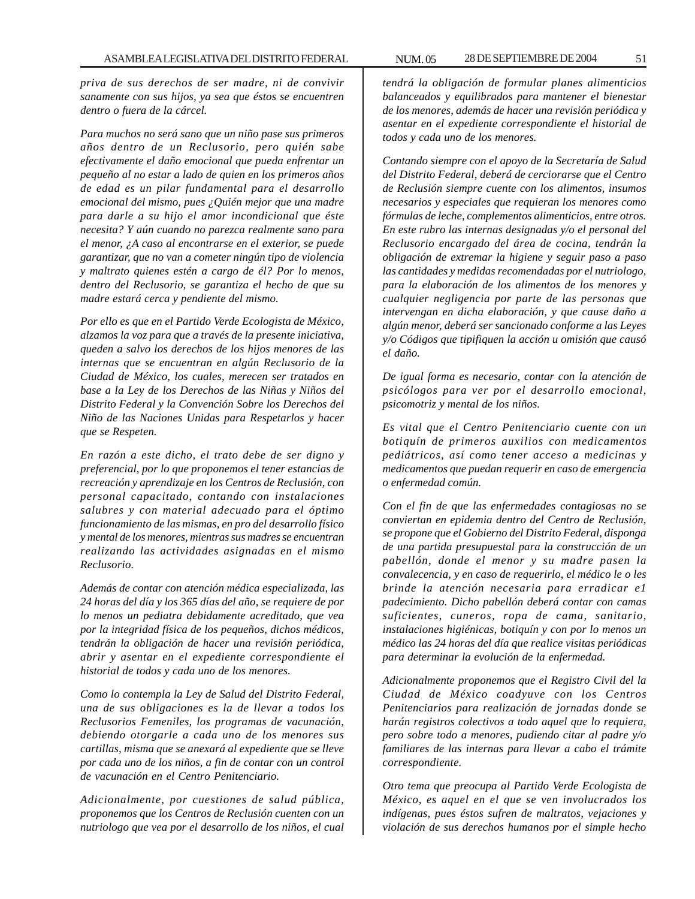*priva de sus derechos de ser madre, ni de convivir sanamente con sus hijos, ya sea que éstos se encuentren dentro o fuera de la cárcel.*

*Para muchos no será sano que un niño pase sus primeros años dentro de un Reclusorio, pero quién sabe efectivamente el daño emocional que pueda enfrentar un pequeño al no estar a lado de quien en los primeros años de edad es un pilar fundamental para el desarrollo emocional del mismo, pues ¿Quién mejor que una madre para darle a su hijo el amor incondicional que éste necesita? Y aún cuando no parezca realmente sano para el menor, ¿A caso al encontrarse en el exterior, se puede garantizar, que no van a cometer ningún tipo de violencia y maltrato quienes estén a cargo de él? Por lo menos, dentro del Reclusorio, se garantiza el hecho de que su madre estará cerca y pendiente del mismo.*

*Por ello es que en el Partido Verde Ecologista de México, alzamos la voz para que a través de la presente iniciativa, queden a salvo los derechos de los hijos menores de las internas que se encuentran en algún Reclusorio de la Ciudad de México, los cuales, merecen ser tratados en base a la Ley de los Derechos de las Niñas y Niños del Distrito Federal y la Convención Sobre los Derechos del Niño de las Naciones Unidas para Respetarlos y hacer que se Respeten.*

*En razón a este dicho, el trato debe de ser digno y preferencial, por lo que proponemos el tener estancias de recreación y aprendizaje en los Centros de Reclusión, con personal capacitado, contando con instalaciones salubres y con material adecuado para el óptimo funcionamiento de las mismas, en pro del desarrollo físico y mental de los menores, mientras sus madres se encuentran realizando las actividades asignadas en el mismo Reclusorio.*

*Además de contar con atención médica especializada, las 24 horas del día y los 365 días del año, se requiere de por lo menos un pediatra debidamente acreditado, que vea por la integridad física de los pequeños, dichos médicos, tendrán la obligación de hacer una revisión periódica, abrir y asentar en el expediente correspondiente el historial de todos y cada uno de los menores.*

*Como lo contempla la Ley de Salud del Distrito Federal, una de sus obligaciones es la de llevar a todos los Reclusorios Femeniles, los programas de vacunación, debiendo otorgarle a cada uno de los menores sus cartillas, misma que se anexará al expediente que se lleve por cada uno de los niños, a fin de contar con un control de vacunación en el Centro Penitenciario.*

*Adicionalmente, por cuestiones de salud pública, proponemos que los Centros de Reclusión cuenten con un nutriologo que vea por el desarrollo de los niños, el cual* *tendrá la obligación de formular planes alimenticios balanceados y equilibrados para mantener el bienestar de los menores, además de hacer una revisión periódica y asentar en el expediente correspondiente el historial de todos y cada uno de los menores.*

*Contando siempre con el apoyo de la Secretaría de Salud del Distrito Federal, deberá de cerciorarse que el Centro de Reclusión siempre cuente con los alimentos, insumos necesarios y especiales que requieran los menores como fórmulas de leche, complementos alimenticios, entre otros. En este rubro las internas designadas y/o el personal del Reclusorio encargado del área de cocina, tendrán la obligación de extremar la higiene y seguir paso a paso las cantidades y medidas recomendadas por el nutriologo, para la elaboración de los alimentos de los menores y cualquier negligencia por parte de las personas que intervengan en dicha elaboración, y que cause daño a algún menor, deberá ser sancionado conforme a las Leyes y/o Códigos que tipifiquen la acción u omisión que causó el daño.*

*De igual forma es necesario, contar con la atención de psicólogos para ver por el desarrollo emocional, psicomotriz y mental de los niños.*

*Es vital que el Centro Penitenciario cuente con un botiquín de primeros auxilios con medicamentos pediátricos, así como tener acceso a medicinas y medicamentos que puedan requerir en caso de emergencia o enfermedad común.*

*Con el fin de que las enfermedades contagiosas no se conviertan en epidemia dentro del Centro de Reclusión, se propone que el Gobierno del Distrito Federal, disponga de una partida presupuestal para la construcción de un pabellón, donde el menor y su madre pasen la convalecencia, y en caso de requerirlo, el médico le o les brinde la atención necesaria para erradicar e1 padecimiento. Dicho pabellón deberá contar con camas suficientes, cuneros, ropa de cama, sanitario, instalaciones higiénicas, botiquín y con por lo menos un médico las 24 horas del día que realice visitas periódicas para determinar la evolución de la enfermedad.*

*Adicionalmente proponemos que el Registro Civil del la Ciudad de México coadyuve con los Centros Penitenciarios para realización de jornadas donde se harán registros colectivos a todo aquel que lo requiera, pero sobre todo a menores, pudiendo citar al padre y/o familiares de las internas para llevar a cabo el trámite correspondiente.*

*Otro tema que preocupa al Partido Verde Ecologista de México, es aquel en el que se ven involucrados los indígenas, pues éstos sufren de maltratos, vejaciones y violación de sus derechos humanos por el simple hecho*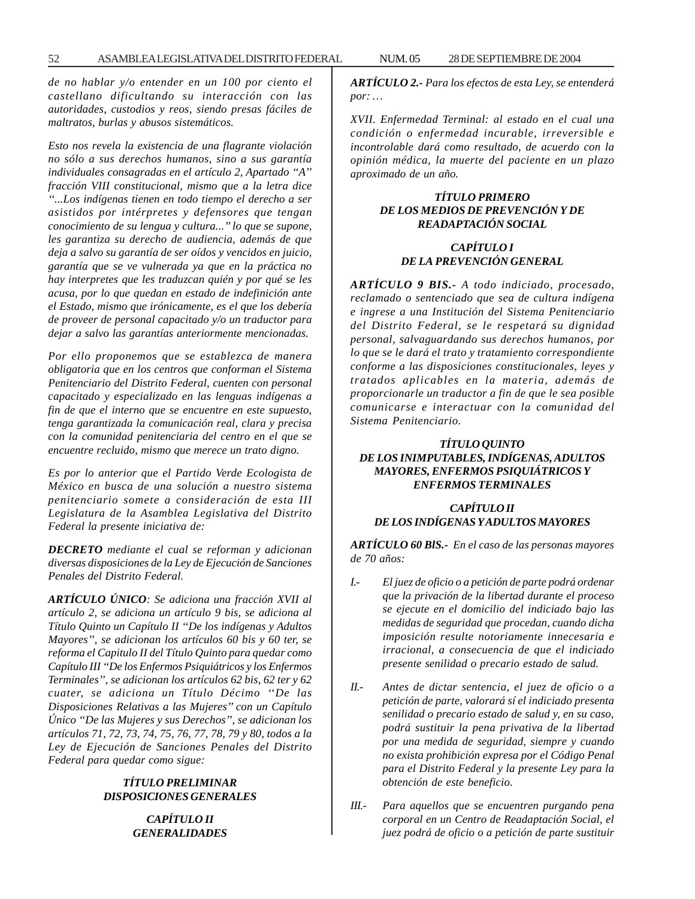*de no hablar y/o entender en un 100 por ciento el castellano dificultando su interacción con las autoridades, custodios y reos, siendo presas fáciles de maltratos, burlas y abusos sistemáticos.*

*Esto nos revela la existencia de una flagrante violación no sólo a sus derechos humanos, sino a sus garantía individuales consagradas en el artículo 2, Apartado ''A'' fracción VIII constitucional, mismo que a la letra dice ''...Los indígenas tienen en todo tiempo el derecho a ser asistidos por intérpretes y defensores que tengan conocimiento de su lengua y cultura...'' lo que se supone, les garantiza su derecho de audiencia, además de que deja a salvo su garantía de ser oídos y vencidos en juicio, garantía que se ve vulnerada ya que en la práctica no hay interpretes que les traduzcan quién y por qué se les acusa, por lo que quedan en estado de indefinición ante el Estado, mismo que irónicamente, es el que los debería de proveer de personal capacitado y/o un traductor para dejar a salvo las garantías anteriormente mencionadas.*

*Por ello proponemos que se establezca de manera obligatoria que en los centros que conforman el Sistema Penitenciario del Distrito Federal, cuenten con personal capacitado y especializado en las lenguas indígenas a fin de que el interno que se encuentre en este supuesto, tenga garantizada la comunicación real, clara y precisa con la comunidad penitenciaria del centro en el que se encuentre recluido, mismo que merece un trato digno.*

*Es por lo anterior que el Partido Verde Ecologista de México en busca de una solución a nuestro sistema penitenciario somete a consideración de esta III Legislatura de la Asamblea Legislativa del Distrito Federal la presente iniciativa de:*

*DECRETO mediante el cual se reforman y adicionan diversas disposiciones de la Ley de Ejecución de Sanciones Penales del Distrito Federal.*

*ARTÍCULO ÚNICO: Se adiciona una fracción XVII al artículo 2, se adiciona un artículo 9 bis, se adiciona al Título Quinto un Capítulo II ''De los indígenas y Adultos Mayores'', se adicionan los artículos 60 bis y 60 ter, se reforma el Capitulo II del Título Quinto para quedar como Capítulo III ''De los Enfermos Psiquiátricos y los Enfermos Terminales'', se adicionan los artículos 62 bis, 62 ter y 62 cuater, se adiciona un Título Décimo ''De las Disposiciones Relativas a las Mujeres'' con un Capítulo Único ''De las Mujeres y sus Derechos'', se adicionan los artículos 71, 72, 73, 74, 75, 76, 77, 78, 79 y 80, todos a la Ley de Ejecución de Sanciones Penales del Distrito Federal para quedar como sigue:*

#### *TÍTULO PRELIMINAR DISPOSICIONES GENERALES*

*CAPÍTULO II GENERALIDADES* *ARTÍCULO 2.- Para los efectos de esta Ley, se entenderá por: …*

*XVII. Enfermedad Terminal: al estado en el cual una condición o enfermedad incurable, irreversible e incontrolable dará como resultado, de acuerdo con la opinión médica, la muerte del paciente en un plazo aproximado de un año.*

### *TÍTULO PRIMERO DE LOS MEDIOS DE PREVENCIÓN Y DE READAPTACIÓN SOCIAL*

## *CAPÍTULO I DE LA PREVENCIÓN GENERAL*

*ARTÍCULO 9 BIS.- A todo indiciado, procesado, reclamado o sentenciado que sea de cultura indígena e ingrese a una Institución del Sistema Penitenciario del Distrito Federal, se le respetará su dignidad personal, salvaguardando sus derechos humanos, por lo que se le dará el trato y tratamiento correspondiente conforme a las disposiciones constitucionales, leyes y tratados aplicables en la materia, además de proporcionarle un traductor a fin de que le sea posible comunicarse e interactuar con la comunidad del Sistema Penitenciario.*

## *TÍTULO QUINTO DE LOS INIMPUTABLES, INDÍGENAS, ADULTOS MAYORES, ENFERMOS PSIQUIÁTRICOS Y ENFERMOS TERMINALES*

# *CAPÍTULO II DE LOS INDÍGENAS Y ADULTOS MAYORES*

*ARTÍCULO 60 BlS.- En el caso de las personas mayores de 70 años:*

- *I.- El juez de oficio o a petición de parte podrá ordenar que la privación de la libertad durante el proceso se ejecute en el domicilio del indiciado bajo las medidas de seguridad que procedan, cuando dicha imposición resulte notoriamente innecesaria e irracional, a consecuencia de que el indiciado presente senilidad o precario estado de salud.*
- *II.- Antes de dictar sentencia, el juez de oficio o a petición de parte, valorará sí el indiciado presenta senilidad o precario estado de salud y, en su caso, podrá sustituir la pena privativa de la libertad por una medida de seguridad, siempre y cuando no exista prohibición expresa por el Código Penal para el Distrito Federal y la presente Ley para la obtención de este beneficio.*
- *III.- Para aquellos que se encuentren purgando pena corporal en un Centro de Readaptación Social, el juez podrá de oficio o a petición de parte sustituir*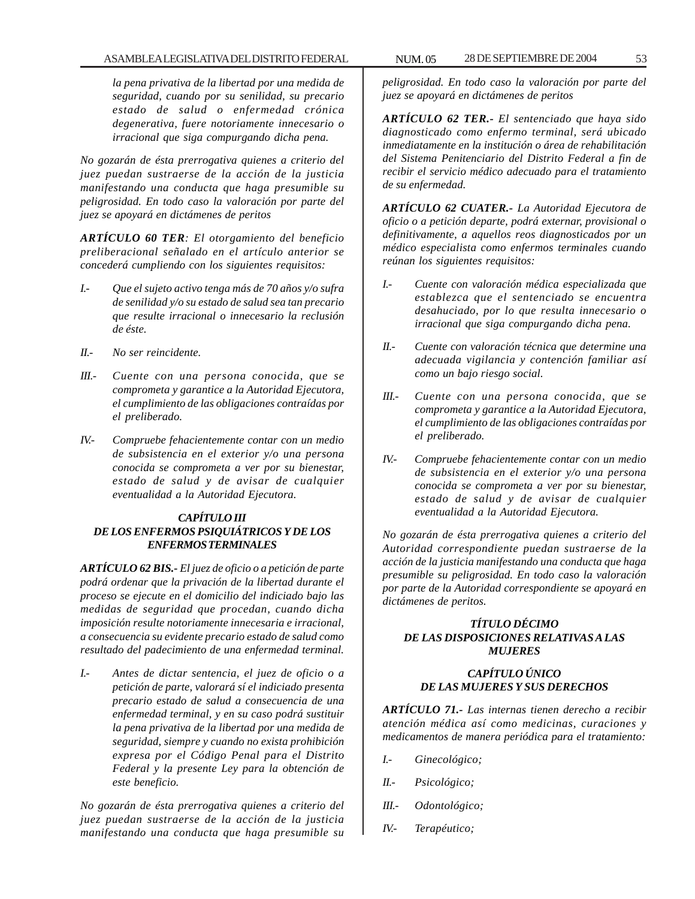*la pena privativa de la libertad por una medida de seguridad, cuando por su senilidad, su precario estado de salud o enfermedad crónica degenerativa, fuere notoriamente innecesario o irracional que siga compurgando dicha pena.*

*No gozarán de ésta prerrogativa quienes a criterio del juez puedan sustraerse de la acción de la justicia manifestando una conducta que haga presumible su peligrosidad. En todo caso la valoración por parte del juez se apoyará en dictámenes de peritos*

*ARTÍCULO 60 TER: El otorgamiento del beneficio preliberacional señalado en el artículo anterior se concederá cumpliendo con los siguientes requisitos:*

- *I.- Que el sujeto activo tenga más de 70 años y/o sufra de senilidad y/o su estado de salud sea tan precario que resulte irracional o innecesario la reclusión de éste.*
- *II.- No ser reincidente.*
- *III.- Cuente con una persona conocida, que se comprometa y garantice a la Autoridad Ejecutora, el cumplimiento de las obligaciones contraídas por el preliberado.*
- *IV.- Compruebe fehacientemente contar con un medio de subsistencia en el exterior y/o una persona conocida se comprometa a ver por su bienestar, estado de salud y de avisar de cualquier eventualidad a la Autoridad Ejecutora.*

## *CAPÍTULO III DE LOS ENFERMOS PSIQUIÁTRICOS Y DE LOS ENFERMOS TERMINALES*

*ARTÍCULO 62 BIS.- El juez de oficio o a petición de parte podrá ordenar que la privación de la libertad durante el proceso se ejecute en el domicilio del indiciado bajo las medidas de seguridad que procedan, cuando dicha imposición resulte notoriamente innecesaria e irracional, a consecuencia su evidente precario estado de salud como resultado del padecimiento de una enfermedad terminal.*

*I.- Antes de dictar sentencia, el juez de oficio o a petición de parte, valorará sí el indiciado presenta precario estado de salud a consecuencia de una enfermedad terminal, y en su caso podrá sustituir la pena privativa de la libertad por una medida de seguridad, siempre y cuando no exista prohibición expresa por el Código Penal para el Distrito Federal y la presente Ley para la obtención de este beneficio.*

*No gozarán de ésta prerrogativa quienes a criterio del juez puedan sustraerse de la acción de la justicia manifestando una conducta que haga presumible su*

*peligrosidad. En todo caso la valoración por parte del juez se apoyará en dictámenes de peritos*

*ARTÍCULO 62 TER.- El sentenciado que haya sido diagnosticado como enfermo terminal, será ubicado inmediatamente en la institución o área de rehabilitación del Sistema Penitenciario del Distrito Federal a fin de recibir el servicio médico adecuado para el tratamiento de su enfermedad.*

*ARTÍCULO 62 CUATER.- La Autoridad Ejecutora de oficio o a petición departe, podrá externar, provisional o definitivamente, a aquellos reos diagnosticados por un médico especialista como enfermos terminales cuando reúnan los siguientes requisitos:*

- *I.- Cuente con valoración médica especializada que establezca que el sentenciado se encuentra desahuciado, por lo que resulta innecesario o irracional que siga compurgando dicha pena.*
- *II.- Cuente con valoración técnica que determine una adecuada vigilancia y contención familiar así como un bajo riesgo social.*
- *III.- Cuente con una persona conocida, que se comprometa y garantice a la Autoridad Ejecutora, el cumplimiento de las obligaciones contraídas por el preliberado.*
- *IV.- Compruebe fehacientemente contar con un medio de subsistencia en el exterior y/o una persona conocida se comprometa a ver por su bienestar, estado de salud y de avisar de cualquier eventualidad a la Autoridad Ejecutora.*

*No gozarán de ésta prerrogativa quienes a criterio del Autoridad correspondiente puedan sustraerse de la acción de la justicia manifestando una conducta que haga presumible su peligrosidad. En todo caso la valoración por parte de la Autoridad correspondiente se apoyará en dictámenes de peritos.*

## *TÍTULO DÉCIMO DE LAS DISPOSICIONES RELATIVAS A LAS MUJERES*

## *CAPÍTULO ÚNICO DE LAS MUJERES Y SUS DERECHOS*

*ARTÍCULO 71.- Las internas tienen derecho a recibir atención médica así como medicinas, curaciones y medicamentos de manera periódica para el tratamiento:*

- *I.- Ginecológico;*
- *II.- Psicológico;*
- *III.- Odontológico;*
- *IV.- Terapéutico;*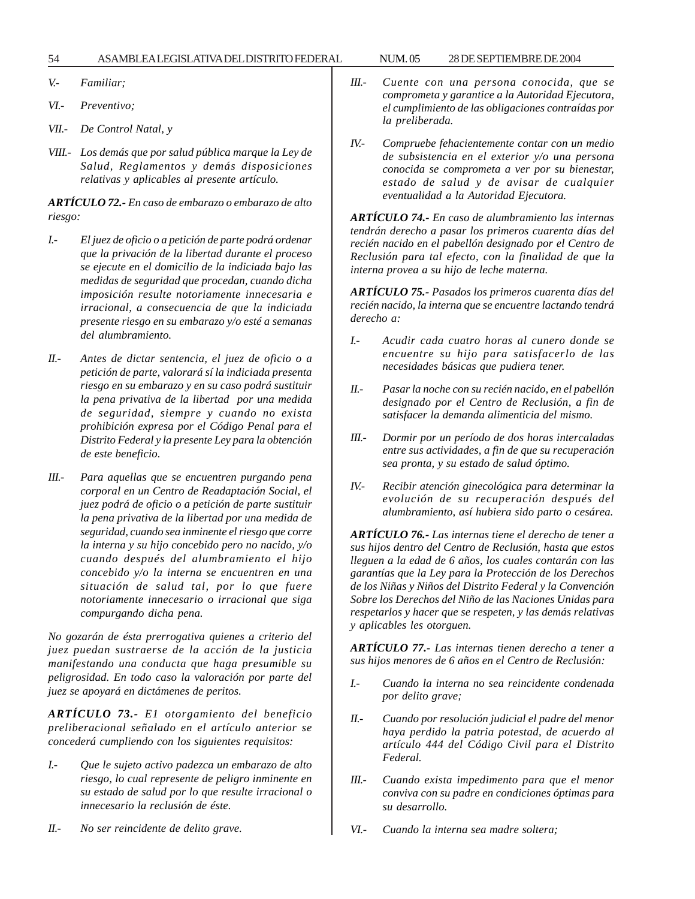54 ASAMBLEA LEGISLATIVA DEL DISTRITO FEDERAL NUM. 05 28 DE SEPTIEMBRE DE 2004

*V.- Familiar;*

- *VI.- Preventivo;*
- *VII.- De Control Natal, y*
- *VIII.- Los demás que por salud pública marque la Ley de Salud, Reglamentos y demás disposiciones relativas y aplicables al presente artículo.*

*ARTÍCULO 72.- En caso de embarazo o embarazo de alto riesgo:*

- *I.- El juez de oficio o a petición de parte podrá ordenar que la privación de la libertad durante el proceso se ejecute en el domicilio de la indiciada bajo las medidas de seguridad que procedan, cuando dicha imposición resulte notoriamente innecesaria e irracional, a consecuencia de que la indiciada presente riesgo en su embarazo y/o esté a semanas del alumbramiento.*
- *II.- Antes de dictar sentencia, el juez de oficio o a petición de parte, valorará sí la indiciada presenta riesgo en su embarazo y en su caso podrá sustituir la pena privativa de la libertad por una medida de seguridad, siempre y cuando no exista prohibición expresa por el Código Penal para el Distrito Federal y la presente Ley para la obtención de este beneficio.*
- *III.- Para aquellas que se encuentren purgando pena corporal en un Centro de Readaptación Social, el juez podrá de oficio o a petición de parte sustituir la pena privativa de la libertad por una medida de seguridad, cuando sea inminente el riesgo que corre la interna y su hijo concebido pero no nacido, y/o cuando después del alumbramiento el hijo concebido y/o la interna se encuentren en una situación de salud tal, por lo que fuere notoriamente innecesario o irracional que siga compurgando dicha pena.*

*No gozarán de ésta prerrogativa quienes a criterio del juez puedan sustraerse de la acción de la justicia manifestando una conducta que haga presumible su peligrosidad. En todo caso la valoración por parte del juez se apoyará en dictámenes de peritos.*

*ARTÍCULO 73.- E1 otorgamiento del beneficio preliberacional señalado en el artículo anterior se concederá cumpliendo con los siguientes requisitos:*

- *I.- Que le sujeto activo padezca un embarazo de alto riesgo, lo cual represente de peligro inminente en su estado de salud por lo que resulte irracional o innecesario la reclusión de éste.*
- *II.- No ser reincidente de delito grave.*
- *III.- Cuente con una persona conocida, que se comprometa y garantice a la Autoridad Ejecutora, el cumplimiento de las obligaciones contraídas por la preliberada.*
- *IV.- Compruebe fehacientemente contar con un medio de subsistencia en el exterior y/o una persona conocida se comprometa a ver por su bienestar, estado de salud y de avisar de cualquier eventualidad a la Autoridad Ejecutora.*

*ARTÍCULO 74.- En caso de alumbramiento las internas tendrán derecho a pasar los primeros cuarenta días del recién nacido en el pabellón designado por el Centro de Reclusión para tal efecto, con la finalidad de que la interna provea a su hijo de leche materna.*

*ARTÍCULO 75.- Pasados los primeros cuarenta días del recién nacido, la interna que se encuentre lactando tendrá derecho a:*

- *I.- Acudir cada cuatro horas al cunero donde se encuentre su hijo para satisfacerlo de las necesidades básicas que pudiera tener.*
- *II.- Pasar la noche con su recién nacido, en el pabellón designado por el Centro de Reclusión, a fin de satisfacer la demanda alimenticia del mismo.*
- *III.- Dormir por un período de dos horas intercaladas entre sus actividades, a fin de que su recuperación sea pronta, y su estado de salud óptimo.*
- *IV.- Recibir atención ginecológica para determinar la evolución de su recuperación después del alumbramiento, así hubiera sido parto o cesárea.*

*ARTÍCULO 76.- Las internas tiene el derecho de tener a sus hijos dentro del Centro de Reclusión, hasta que estos lleguen a la edad de 6 años, los cuales contarán con las garantías que la Ley para la Protección de los Derechos de los Niñas y Niños del Distrito Federal y la Convención Sobre los Derechos del Niño de las Naciones Unidas para respetarlos y hacer que se respeten, y las demás relativas y aplicables les otorguen.*

*ARTÍCULO 77.- Las internas tienen derecho a tener a sus hijos menores de 6 años en el Centro de Reclusión:*

- *I.- Cuando la interna no sea reincidente condenada por delito grave;*
- *II.- Cuando por resolución judicial el padre del menor haya perdido la patria potestad, de acuerdo al artículo 444 del Código Civil para el Distrito Federal.*
- *III.- Cuando exista impedimento para que el menor conviva con su padre en condiciones óptimas para su desarrollo.*
- *VI.- Cuando la interna sea madre soltera;*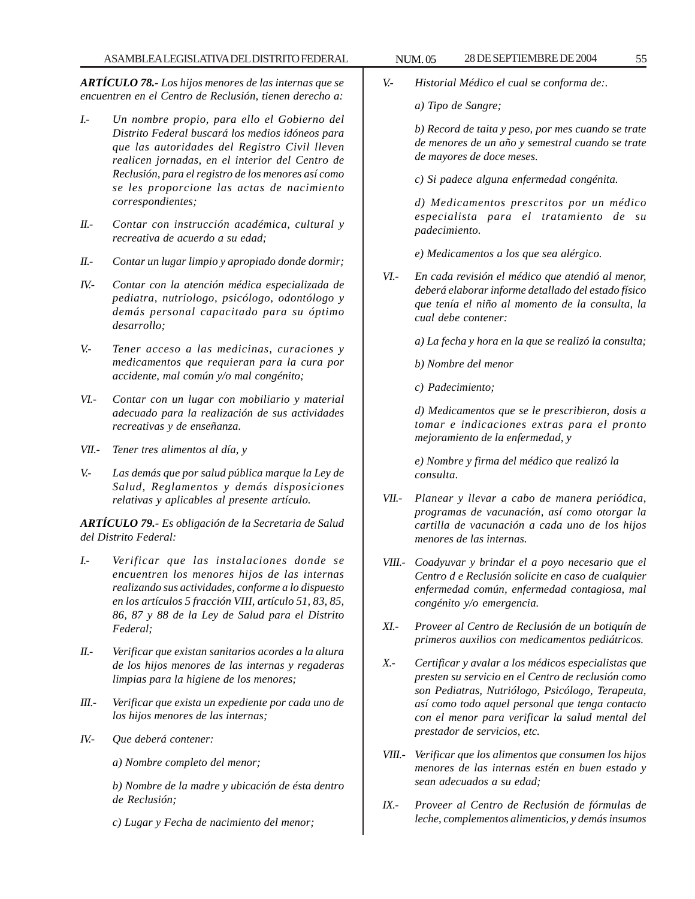*ARTÍCULO 78.- Los hijos menores de las internas que se encuentren en el Centro de Reclusión, tienen derecho a:*

- *I.- Un nombre propio, para ello el Gobierno del Distrito Federal buscará los medios idóneos para que las autoridades del Registro Civil lleven realicen jornadas, en el interior del Centro de Reclusión, para el registro de los menores así como se les proporcione las actas de nacimiento correspondientes;*
- *II.- Contar con instrucción académica, cultural y recreativa de acuerdo a su edad;*
- *II.- Contar un lugar limpio y apropiado donde dormir;*
- *IV.- Contar con la atención médica especializada de pediatra, nutriologo, psicólogo, odontólogo y demás personal capacitado para su óptimo desarrollo;*
- *V.- Tener acceso a las medicinas, curaciones y medicamentos que requieran para la cura por accidente, mal común y/o mal congénito;*
- *VI.- Contar con un lugar con mobiliario y material adecuado para la realización de sus actividades recreativas y de enseñanza.*
- *VII.- Tener tres alimentos al día, y*
- *V.- Las demás que por salud pública marque la Ley de Salud, Reglamentos y demás disposiciones relativas y aplicables al presente artículo.*

*ARTÍCULO 79.- Es obligación de la Secretaria de Salud del Distrito Federal:*

- *I.- Verificar que las instalaciones donde se encuentren los menores hijos de las internas realizando sus actividades, conforme a lo dispuesto en los artículos 5 fracción VIII, artículo 51, 83, 85, 86, 87 y 88 de la Ley de Salud para el Distrito Federal;*
- *II.- Verificar que existan sanitarios acordes a la altura de los hijos menores de las internas y regaderas limpias para la higiene de los menores;*
- *III.- Verificar que exista un expediente por cada uno de los hijos menores de las internas;*
- *IV.- Que deberá contener:*
	- *a) Nombre completo del menor;*
	- *b) Nombre de la madre y ubicación de ésta dentro de Reclusión;*
	- *c) Lugar y Fecha de nacimiento del menor;*

*V.- Historial Médico el cual se conforma de:.*

*a) Tipo de Sangre;*

*b) Record de taita y peso, por mes cuando se trate de menores de un año y semestral cuando se trate de mayores de doce meses.*

*c) Si padece alguna enfermedad congénita.*

*d) Medicamentos prescritos por un médico especialista para el tratamiento de su padecimiento.*

*e) Medicamentos a los que sea alérgico.*

*VI.- En cada revisión el médico que atendió al menor, deberá elaborar informe detallado del estado físico que tenía el niño al momento de la consulta, la cual debe contener:*

*a) La fecha y hora en la que se realizó la consulta;*

*b) Nombre del menor*

*c) Padecimiento;*

*d) Medicamentos que se le prescribieron, dosis a tomar e indicaciones extras para el pronto mejoramiento de la enfermedad, y*

*e) Nombre y firma del médico que realizó la consulta.*

- *VII.- Planear y llevar a cabo de manera periódica, programas de vacunación, así como otorgar la cartilla de vacunación a cada uno de los hijos menores de las internas.*
- *VIII.- Coadyuvar y brindar el a poyo necesario que el Centro d e Reclusión solicite en caso de cualquier enfermedad común, enfermedad contagiosa, mal congénito y/o emergencia.*
- *XI.- Proveer al Centro de Reclusión de un botiquín de primeros auxilios con medicamentos pediátricos.*
- *X.- Certificar y avalar a los médicos especialistas que presten su servicio en el Centro de reclusión como son Pediatras, Nutriólogo, Psicólogo, Terapeuta, así como todo aquel personal que tenga contacto con el menor para verificar la salud mental del prestador de servicios, etc.*
- *VIII.- Verificar que los alimentos que consumen los hijos menores de las internas estén en buen estado y sean adecuados a su edad;*
- *IX.- Proveer al Centro de Reclusión de fórmulas de leche, complementos alimenticios, y demás insumos*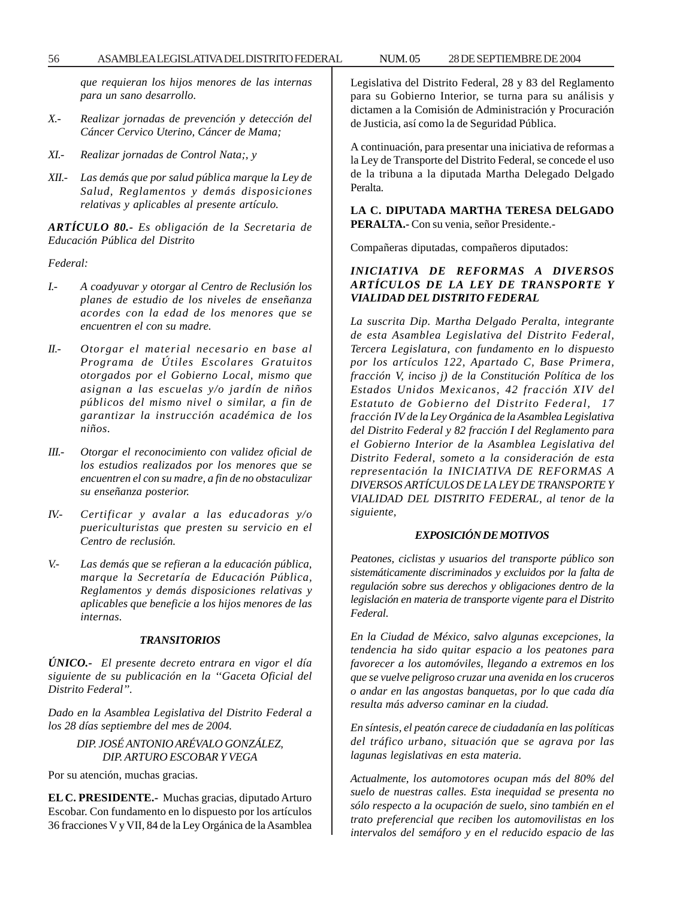56 ASAMBLEA LEGISLATIVA DEL DISTRITO FEDERAL NUM. 05 28 DE SEPTIEMBRE DE 2004

*que requieran los hijos menores de las internas para un sano desarrollo.*

- *X.- Realizar jornadas de prevención y detección del Cáncer Cervico Uterino, Cáncer de Mama;*
- *XI.- Realizar jornadas de Control Nata;, y*
- *XII.- Las demás que por salud pública marque la Ley de Salud, Reglamentos y demás disposiciones relativas y aplicables al presente artículo.*

*ARTÍCULO 80.- Es obligación de la Secretaria de Educación Pública del Distrito*

*Federal:*

- *I.- A coadyuvar y otorgar al Centro de Reclusión los planes de estudio de los niveles de enseñanza acordes con la edad de los menores que se encuentren el con su madre.*
- *II.- Otorgar el material necesario en base al Programa de Útiles Escolares Gratuitos otorgados por el Gobierno Local, mismo que asignan a las escuelas y/o jardín de niños públicos del mismo nivel o similar, a fin de garantizar la instrucción académica de los niños.*
- *III.- Otorgar el reconocimiento con validez oficial de los estudios realizados por los menores que se encuentren el con su madre, a fin de no obstaculizar su enseñanza posterior.*
- *IV.- Certificar y avalar a las educadoras y/o puericulturistas que presten su servicio en el Centro de reclusión.*
- *V.- Las demás que se refieran a la educación pública, marque la Secretaría de Educación Pública, Reglamentos y demás disposiciones relativas y aplicables que beneficie a los hijos menores de las internas.*

### *TRANSITORIOS*

*ÚNICO.- El presente decreto entrara en vigor el día siguiente de su publicación en la ''Gaceta Oficial del Distrito Federal''.*

*Dado en la Asamblea Legislativa del Distrito Federal a los 28 días septiembre del mes de 2004.*

# *DIP. JOSÉ ANTONIO ARÉVALO GONZÁLEZ, DIP. ARTURO ESCOBAR Y VEGA*

Por su atención, muchas gracias.

**EL C. PRESIDENTE.-** Muchas gracias, diputado Arturo Escobar. Con fundamento en lo dispuesto por los artículos 36 fracciones V y VII, 84 de la Ley Orgánica de la Asamblea Legislativa del Distrito Federal, 28 y 83 del Reglamento para su Gobierno Interior, se turna para su análisis y dictamen a la Comisión de Administración y Procuración de Justicia, así como la de Seguridad Pública.

A continuación, para presentar una iniciativa de reformas a la Ley de Transporte del Distrito Federal, se concede el uso de la tribuna a la diputada Martha Delegado Delgado Peralta.

**LA C. DIPUTADA MARTHA TERESA DELGADO PERALTA.-** Con su venia, señor Presidente.-

Compañeras diputadas, compañeros diputados:

## *INICIATIVA DE REFORMAS A DIVERSOS ARTÍCULOS DE LA LEY DE TRANSPORTE Y VIALIDAD DEL DISTRITO FEDERAL*

*La suscrita Dip. Martha Delgado Peralta, integrante de esta Asamblea Legislativa del Distrito Federal, Tercera Legislatura, con fundamento en lo dispuesto por los artículos 122, Apartado C, Base Primera, fracción V, inciso j) de la Constitución Política de los Estados Unidos Mexicanos, 42 fracción XIV del Estatuto de Gobierno del Distrito Federal, 17 fracción IV de la Ley Orgánica de la Asamblea Legislativa del Distrito Federal y 82 fracción I del Reglamento para el Gobierno Interior de la Asamblea Legislativa del Distrito Federal, someto a la consideración de esta representación la INICIATIVA DE REFORMAS A DIVERSOS ARTÍCULOS DE LA LEY DE TRANSPORTE Y VIALIDAD DEL DISTRITO FEDERAL, al tenor de la siguiente,*

#### *EXPOSICIÓN DE MOTIVOS*

*Peatones, ciclistas y usuarios del transporte público son sistemáticamente discriminados y excluidos por la falta de regulación sobre sus derechos y obligaciones dentro de la legislación en materia de transporte vigente para el Distrito Federal.*

*En la Ciudad de México, salvo algunas excepciones, la tendencia ha sido quitar espacio a los peatones para favorecer a los automóviles, llegando a extremos en los que se vuelve peligroso cruzar una avenida en los cruceros o andar en las angostas banquetas, por lo que cada día resulta más adverso caminar en la ciudad.*

*En síntesis, el peatón carece de ciudadanía en las políticas del tráfico urbano, situación que se agrava por las lagunas legislativas en esta materia.*

*Actualmente, los automotores ocupan más del 80% del suelo de nuestras calles. Esta inequidad se presenta no sólo respecto a la ocupación de suelo, sino también en el trato preferencial que reciben los automovilistas en los intervalos del semáforo y en el reducido espacio de las*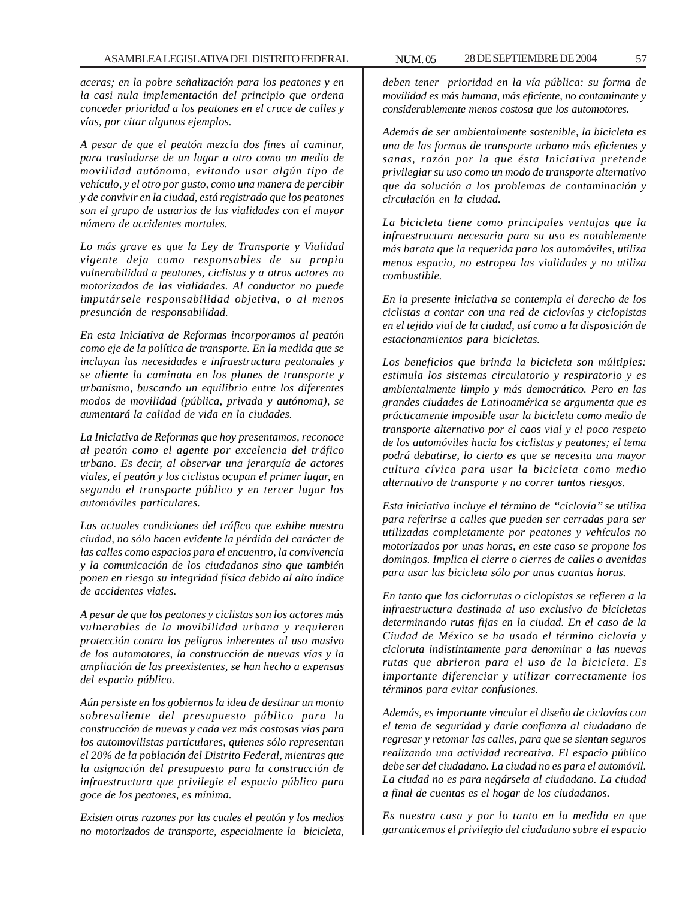*aceras; en la pobre señalización para los peatones y en la casi nula implementación del principio que ordena conceder prioridad a los peatones en el cruce de calles y vías, por citar algunos ejemplos.*

*A pesar de que el peatón mezcla dos fines al caminar, para trasladarse de un lugar a otro como un medio de movilidad autónoma, evitando usar algún tipo de vehículo, y el otro por gusto, como una manera de percibir y de convivir en la ciudad, está registrado que los peatones son el grupo de usuarios de las vialidades con el mayor número de accidentes mortales.*

*Lo más grave es que la Ley de Transporte y Vialidad vigente deja como responsables de su propia vulnerabilidad a peatones, ciclistas y a otros actores no motorizados de las vialidades. Al conductor no puede imputársele responsabilidad objetiva, o al menos presunción de responsabilidad.*

*En esta Iniciativa de Reformas incorporamos al peatón como eje de la política de transporte. En la medida que se incluyan las necesidades e infraestructura peatonales y se aliente la caminata en los planes de transporte y urbanismo, buscando un equilibrio entre los diferentes modos de movilidad (pública, privada y autónoma), se aumentará la calidad de vida en la ciudades.*

*La Iniciativa de Reformas que hoy presentamos, reconoce al peatón como el agente por excelencia del tráfico urbano. Es decir, al observar una jerarquía de actores viales, el peatón y los ciclistas ocupan el primer lugar, en segundo el transporte público y en tercer lugar los automóviles particulares.*

*Las actuales condiciones del tráfico que exhibe nuestra ciudad, no sólo hacen evidente la pérdida del carácter de las calles como espacios para el encuentro, la convivencia y la comunicación de los ciudadanos sino que también ponen en riesgo su integridad física debido al alto índice de accidentes viales.*

*A pesar de que los peatones y ciclistas son los actores más vulnerables de la movibilidad urbana y requieren protección contra los peligros inherentes al uso masivo de los automotores, la construcción de nuevas vías y la ampliación de las preexistentes, se han hecho a expensas del espacio público.*

*Aún persiste en los gobiernos la idea de destinar un monto sobresaliente del presupuesto público para la construcción de nuevas y cada vez más costosas vías para los automovilistas particulares, quienes sólo representan el 20% de la población del Distrito Federal, mientras que la asignación del presupuesto para la construcción de infraestructura que privilegie el espacio público para goce de los peatones, es mínima.*

*Existen otras razones por las cuales el peatón y los medios no motorizados de transporte, especialmente la bicicleta,* *deben tener prioridad en la vía pública: su forma de movilidad es más humana, más eficiente, no contaminante y considerablemente menos costosa que los automotores.*

*Además de ser ambientalmente sostenible, la bicicleta es una de las formas de transporte urbano más eficientes y sanas, razón por la que ésta Iniciativa pretende privilegiar su uso como un modo de transporte alternativo que da solución a los problemas de contaminación y circulación en la ciudad.*

*La bicicleta tiene como principales ventajas que la infraestructura necesaria para su uso es notablemente más barata que la requerida para los automóviles, utiliza menos espacio, no estropea las vialidades y no utiliza combustible.*

*En la presente iniciativa se contempla el derecho de los ciclistas a contar con una red de ciclovías y ciclopistas en el tejido vial de la ciudad, así como a la disposición de estacionamientos para bicicletas.*

*Los beneficios que brinda la bicicleta son múltiples: estimula los sistemas circulatorio y respiratorio y es ambientalmente limpio y más democrático. Pero en las grandes ciudades de Latinoamérica se argumenta que es prácticamente imposible usar la bicicleta como medio de transporte alternativo por el caos vial y el poco respeto de los automóviles hacia los ciclistas y peatones; el tema podrá debatirse, lo cierto es que se necesita una mayor cultura cívica para usar la bicicleta como medio alternativo de transporte y no correr tantos riesgos.*

*Esta iniciativa incluye el término de ''ciclovía'' se utiliza para referirse a calles que pueden ser cerradas para ser utilizadas completamente por peatones y vehículos no motorizados por unas horas, en este caso se propone los domingos. Implica el cierre o cierres de calles o avenidas para usar las bicicleta sólo por unas cuantas horas.*

*En tanto que las ciclorrutas o ciclopistas se refieren a la infraestructura destinada al uso exclusivo de bicicletas determinando rutas fijas en la ciudad. En el caso de la Ciudad de México se ha usado el término ciclovía y cicloruta indistintamente para denominar a las nuevas rutas que abrieron para el uso de la bicicleta. Es importante diferenciar y utilizar correctamente los términos para evitar confusiones.*

*Además, es importante vincular el diseño de ciclovías con el tema de seguridad y darle confianza al ciudadano de regresar y retomar las calles, para que se sientan seguros realizando una actividad recreativa. El espacio público debe ser del ciudadano. La ciudad no es para el automóvil. La ciudad no es para negársela al ciudadano. La ciudad a final de cuentas es el hogar de los ciudadanos.*

*Es nuestra casa y por lo tanto en la medida en que garanticemos el privilegio del ciudadano sobre el espacio*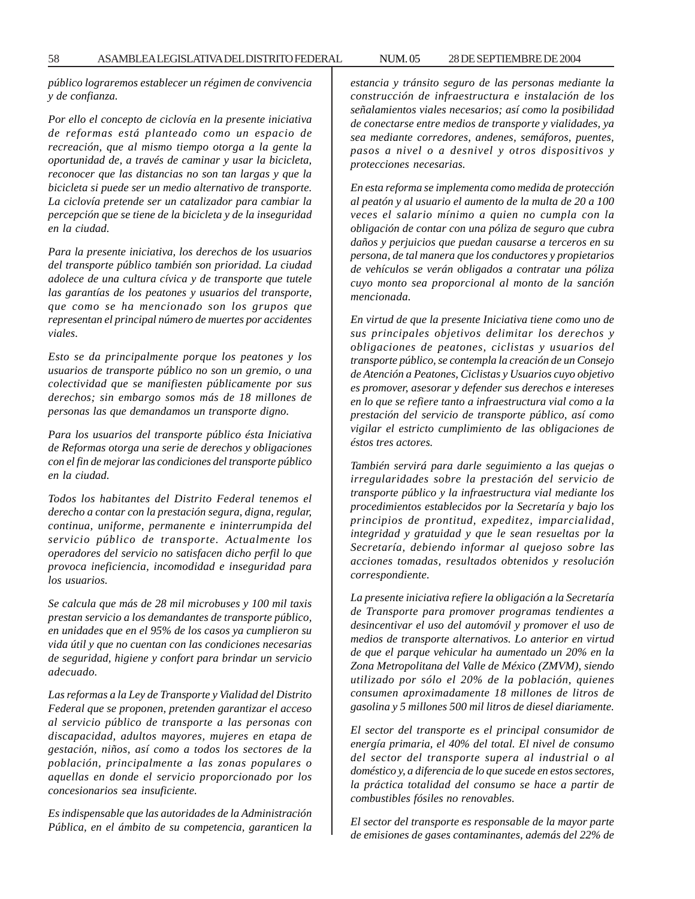*público lograremos establecer un régimen de convivencia y de confianza.*

*Por ello el concepto de ciclovía en la presente iniciativa de reformas está planteado como un espacio de recreación, que al mismo tiempo otorga a la gente la oportunidad de, a través de caminar y usar la bicicleta, reconocer que las distancias no son tan largas y que la bicicleta si puede ser un medio alternativo de transporte. La ciclovía pretende ser un catalizador para cambiar la percepción que se tiene de la bicicleta y de la inseguridad en la ciudad.*

*Para la presente iniciativa, los derechos de los usuarios del transporte público también son prioridad. La ciudad adolece de una cultura cívica y de transporte que tutele las garantías de los peatones y usuarios del transporte, que como se ha mencionado son los grupos que representan el principal número de muertes por accidentes viales.*

*Esto se da principalmente porque los peatones y los usuarios de transporte público no son un gremio, o una colectividad que se manifiesten públicamente por sus derechos; sin embargo somos más de 18 millones de personas las que demandamos un transporte digno.*

*Para los usuarios del transporte público ésta Iniciativa de Reformas otorga una serie de derechos y obligaciones con el fin de mejorar las condiciones del transporte público en la ciudad.*

*Todos los habitantes del Distrito Federal tenemos el derecho a contar con la prestación segura, digna, regular, continua, uniforme, permanente e ininterrumpida del servicio público de transporte. Actualmente los operadores del servicio no satisfacen dicho perfil lo que provoca ineficiencia, incomodidad e inseguridad para los usuarios.*

*Se calcula que más de 28 mil microbuses y 100 mil taxis prestan servicio a los demandantes de transporte público, en unidades que en el 95% de los casos ya cumplieron su vida útil y que no cuentan con las condiciones necesarias de seguridad, higiene y confort para brindar un servicio adecuado.*

*Las reformas a la Ley de Transporte y Vialidad del Distrito Federal que se proponen, pretenden garantizar el acceso al servicio público de transporte a las personas con discapacidad, adultos mayores, mujeres en etapa de gestación, niños, así como a todos los sectores de la población, principalmente a las zonas populares o aquellas en donde el servicio proporcionado por los concesionarios sea insuficiente.*

*Es indispensable que las autoridades de la Administración Pública, en el ámbito de su competencia, garanticen la* *estancia y tránsito seguro de las personas mediante la construcción de infraestructura e instalación de los señalamientos viales necesarios; así como la posibilidad de conectarse entre medios de transporte y vialidades, ya sea mediante corredores, andenes, semáforos, puentes, pasos a nivel o a desnivel y otros dispositivos y protecciones necesarias.*

*En esta reforma se implementa como medida de protección al peatón y al usuario el aumento de la multa de 20 a 100 veces el salario mínimo a quien no cumpla con la obligación de contar con una póliza de seguro que cubra daños y perjuicios que puedan causarse a terceros en su persona, de tal manera que los conductores y propietarios de vehículos se verán obligados a contratar una póliza cuyo monto sea proporcional al monto de la sanción mencionada.*

*En virtud de que la presente Iniciativa tiene como uno de sus principales objetivos delimitar los derechos y obligaciones de peatones, ciclistas y usuarios del transporte público, se contempla la creación de un Consejo de Atención a Peatones, Ciclistas y Usuarios cuyo objetivo es promover, asesorar y defender sus derechos e intereses en lo que se refiere tanto a infraestructura vial como a la prestación del servicio de transporte público, así como vigilar el estricto cumplimiento de las obligaciones de éstos tres actores.*

*También servirá para darle seguimiento a las quejas o irregularidades sobre la prestación del servicio de transporte público y la infraestructura vial mediante los procedimientos establecidos por la Secretaría y bajo los principios de prontitud, expeditez, imparcialidad, integridad y gratuidad y que le sean resueltas por la Secretaría, debiendo informar al quejoso sobre las acciones tomadas, resultados obtenidos y resolución correspondiente.*

*La presente iniciativa refiere la obligación a la Secretaría de Transporte para promover programas tendientes a desincentivar el uso del automóvil y promover el uso de medios de transporte alternativos. Lo anterior en virtud de que el parque vehicular ha aumentado un 20% en la Zona Metropolitana del Valle de México (ZMVM), siendo utilizado por sólo el 20% de la población, quienes consumen aproximadamente 18 millones de litros de gasolina y 5 millones 500 mil litros de diesel diariamente.*

*El sector del transporte es el principal consumidor de energía primaria, el 40% del total. El nivel de consumo del sector del transporte supera al industrial o al doméstico y, a diferencia de lo que sucede en estos sectores, la práctica totalidad del consumo se hace a partir de combustibles fósiles no renovables.*

*El sector del transporte es responsable de la mayor parte de emisiones de gases contaminantes, además del 22% de*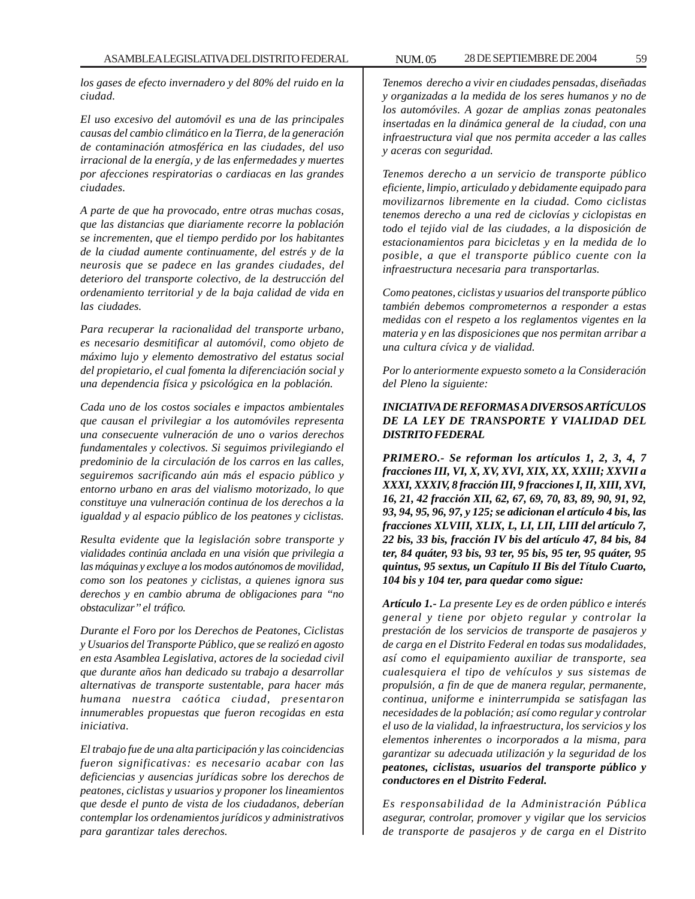*los gases de efecto invernadero y del 80% del ruido en la ciudad.*

*El uso excesivo del automóvil es una de las principales causas del cambio climático en la Tierra, de la generación de contaminación atmosférica en las ciudades, del uso irracional de la energía, y de las enfermedades y muertes por afecciones respiratorias o cardiacas en las grandes ciudades.*

*A parte de que ha provocado, entre otras muchas cosas, que las distancias que diariamente recorre la población se incrementen, que el tiempo perdido por los habitantes de la ciudad aumente continuamente, del estrés y de la neurosis que se padece en las grandes ciudades, del deterioro del transporte colectivo, de la destrucción del ordenamiento territorial y de la baja calidad de vida en las ciudades.*

*Para recuperar la racionalidad del transporte urbano, es necesario desmitificar al automóvil, como objeto de máximo lujo y elemento demostrativo del estatus social del propietario, el cual fomenta la diferenciación social y una dependencia física y psicológica en la población.*

*Cada uno de los costos sociales e impactos ambientales que causan el privilegiar a los automóviles representa una consecuente vulneración de uno o varios derechos fundamentales y colectivos. Si seguimos privilegiando el predominio de la circulación de los carros en las calles, seguiremos sacrificando aún más el espacio público y entorno urbano en aras del vialismo motorizado, lo que constituye una vulneración continua de los derechos a la igualdad y al espacio público de los peatones y ciclistas.*

*Resulta evidente que la legislación sobre transporte y vialidades continúa anclada en una visión que privilegia a las máquinas y excluye a los modos autónomos de movilidad, como son los peatones y ciclistas, a quienes ignora sus derechos y en cambio abruma de obligaciones para ''no obstaculizar'' el tráfico.*

*Durante el Foro por los Derechos de Peatones, Ciclistas y Usuarios del Transporte Público, que se realizó en agosto en esta Asamblea Legislativa, actores de la sociedad civil que durante años han dedicado su trabajo a desarrollar alternativas de transporte sustentable, para hacer más humana nuestra caótica ciudad, presentaron innumerables propuestas que fueron recogidas en esta iniciativa.*

*El trabajo fue de una alta participación y las coincidencias fueron significativas: es necesario acabar con las deficiencias y ausencias jurídicas sobre los derechos de peatones, ciclistas y usuarios y proponer los lineamientos que desde el punto de vista de los ciudadanos, deberían contemplar los ordenamientos jurídicos y administrativos para garantizar tales derechos.*

*Tenemos derecho a vivir en ciudades pensadas, diseñadas y organizadas a la medida de los seres humanos y no de los automóviles. A gozar de amplias zonas peatonales insertadas en la dinámica general de la ciudad, con una infraestructura vial que nos permita acceder a las calles y aceras con seguridad.*

*Tenemos derecho a un servicio de transporte público eficiente, limpio, articulado y debidamente equipado para movilizarnos libremente en la ciudad. Como ciclistas tenemos derecho a una red de ciclovías y ciclopistas en todo el tejido vial de las ciudades, a la disposición de estacionamientos para bicicletas y en la medida de lo posible, a que el transporte público cuente con la infraestructura necesaria para transportarlas.*

*Como peatones, ciclistas y usuarios del transporte público también debemos comprometernos a responder a estas medidas con el respeto a los reglamentos vigentes en la materia y en las disposiciones que nos permitan arribar a una cultura cívica y de vialidad.*

*Por lo anteriormente expuesto someto a la Consideración del Pleno la siguiente:*

## *INICIATIVA DE REFORMAS A DIVERSOS ARTÍCULOS DE LA LEY DE TRANSPORTE Y VIALIDAD DEL DISTRITO FEDERAL*

*PRIMERO.- Se reforman los artículos 1, 2, 3, 4, 7 fracciones III, VI, X, XV, XVI, XIX, XX, XXIII; XXVII a XXXI, XXXIV, 8 fracción III, 9 fracciones I, II, XIII, XVI, 16, 21, 42 fracción XII, 62, 67, 69, 70, 83, 89, 90, 91, 92, 93, 94, 95, 96, 97, y 125; se adicionan el artículo 4 bis, las fracciones XLVIII, XLIX, L, LI, LII, LIII del artículo 7, 22 bis, 33 bis, fracción IV bis del artículo 47, 84 bis, 84 ter, 84 quáter, 93 bis, 93 ter, 95 bis, 95 ter, 95 quáter, 95 quintus, 95 sextus, un Capítulo II Bis del Título Cuarto, 104 bis y 104 ter, para quedar como sigue:*

*Artículo 1.- La presente Ley es de orden público e interés general y tiene por objeto regular y controlar la prestación de los servicios de transporte de pasajeros y de carga en el Distrito Federal en todas sus modalidades, así como el equipamiento auxiliar de transporte, sea cualesquiera el tipo de vehículos y sus sistemas de propulsión, a fin de que de manera regular, permanente, continua, uniforme e ininterrumpida se satisfagan las necesidades de la población; así como regular y controlar el uso de la vialidad, la infraestructura, los servicios y los elementos inherentes o incorporados a la misma, para garantizar su adecuada utilización y la seguridad de los peatones, ciclistas, usuarios del transporte público y conductores en el Distrito Federal.*

*Es responsabilidad de la Administración Pública asegurar, controlar, promover y vigilar que los servicios de transporte de pasajeros y de carga en el Distrito*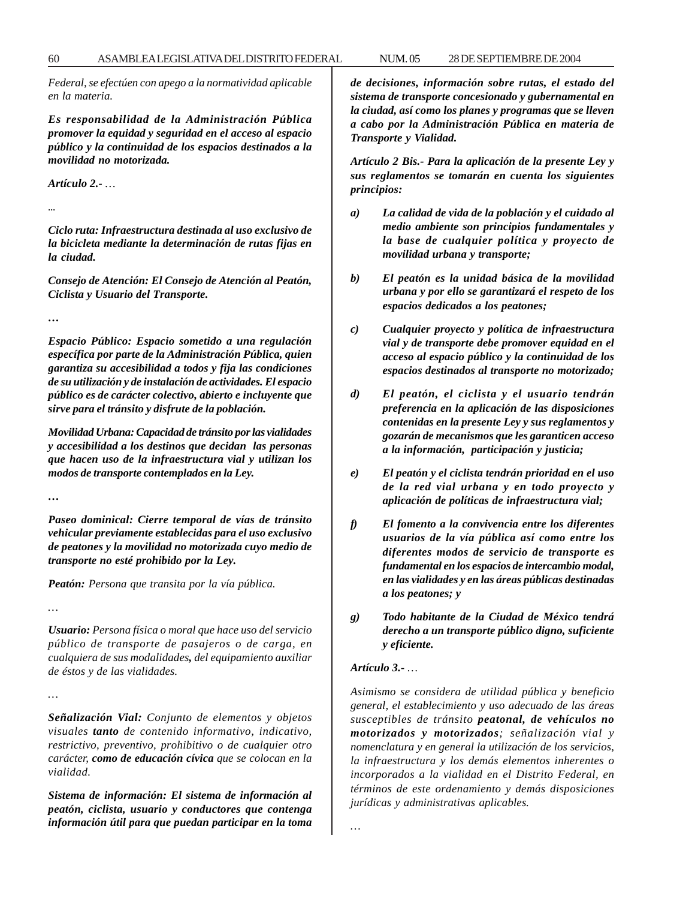*Federal, se efectúen con apego a la normatividad aplicable en la materia.*

*Es responsabilidad de la Administración Pública promover la equidad y seguridad en el acceso al espacio público y la continuidad de los espacios destinados a la movilidad no motorizada.*

*Artículo 2.- …*

*...*

*Ciclo ruta: Infraestructura destinada al uso exclusivo de la bicicleta mediante la determinación de rutas fijas en la ciudad.*

*Consejo de Atención: El Consejo de Atención al Peatón, Ciclista y Usuario del Transporte.*

*…*

*Espacio Público: Espacio sometido a una regulación específica por parte de la Administración Pública, quien garantiza su accesibilidad a todos y fija las condiciones de su utilización y de instalación de actividades. El espacio público es de carácter colectivo, abierto e incluyente que sirve para el tránsito y disfrute de la población.*

*Movilidad Urbana: Capacidad de tránsito por las vialidades y accesibilidad a los destinos que decidan las personas que hacen uso de la infraestructura vial y utilizan los modos de transporte contemplados en la Ley.*

*…*

*…*

*…*

*Paseo dominical: Cierre temporal de vías de tránsito vehicular previamente establecidas para el uso exclusivo de peatones y la movilidad no motorizada cuyo medio de transporte no esté prohibido por la Ley.*

*Peatón: Persona que transita por la vía pública.*

*Usuario: Persona física o moral que hace uso del servicio público de transporte de pasajeros o de carga, en cualquiera de sus modalidades, del equipamiento auxiliar de éstos y de las vialidades.*

*Señalización Vial: Conjunto de elementos y objetos visuales tanto de contenido informativo, indicativo, restrictivo, preventivo, prohibitivo o de cualquier otro carácter, como de educación cívica que se colocan en la vialidad.*

*Sistema de información: El sistema de información al peatón, ciclista, usuario y conductores que contenga información útil para que puedan participar en la toma* *de decisiones, información sobre rutas, el estado del sistema de transporte concesionado y gubernamental en la ciudad, así como los planes y programas que se lleven a cabo por la Administración Pública en materia de Transporte y Vialidad.*

*Artículo 2 Bis.- Para la aplicación de la presente Ley y sus reglamentos se tomarán en cuenta los siguientes principios:*

- *a) La calidad de vida de la población y el cuidado al medio ambiente son principios fundamentales y la base de cualquier política y proyecto de movilidad urbana y transporte;*
- *b) El peatón es la unidad básica de la movilidad urbana y por ello se garantizará el respeto de los espacios dedicados a los peatones;*
- *c) Cualquier proyecto y política de infraestructura vial y de transporte debe promover equidad en el acceso al espacio público y la continuidad de los espacios destinados al transporte no motorizado;*
- *d) El peatón, el ciclista y el usuario tendrán preferencia en la aplicación de las disposiciones contenidas en la presente Ley y sus reglamentos y gozarán de mecanismos que les garanticen acceso a la información, participación y justicia;*
- *e) El peatón y el ciclista tendrán prioridad en el uso de la red vial urbana y en todo proyecto y aplicación de políticas de infraestructura vial;*
- *f) El fomento a la convivencia entre los diferentes usuarios de la vía pública así como entre los diferentes modos de servicio de transporte es fundamental en los espacios de intercambio modal, en las vialidades y en las áreas públicas destinadas a los peatones; y*
- *g) Todo habitante de la Ciudad de México tendrá derecho a un transporte público digno, suficiente y eficiente.*

## *Artículo 3.- …*

*Asimismo se considera de utilidad pública y beneficio general, el establecimiento y uso adecuado de las áreas susceptibles de tránsito peatonal, de vehículos no motorizados y motorizados; señalización vial y nomenclatura y en general la utilización de los servicios, la infraestructura y los demás elementos inherentes o incorporados a la vialidad en el Distrito Federal, en términos de este ordenamiento y demás disposiciones jurídicas y administrativas aplicables.*

*…*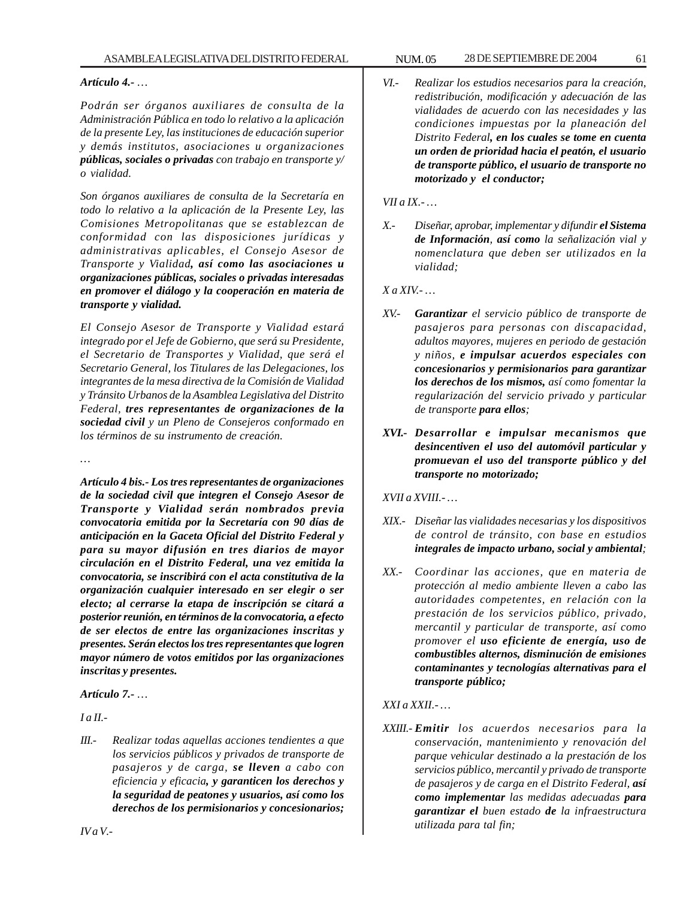#### *Artículo 4.- …*

*Podrán ser órganos auxiliares de consulta de la Administración Pública en todo lo relativo a la aplicación de la presente Ley, las instituciones de educación superior y demás institutos, asociaciones u organizaciones públicas, sociales o privadas con trabajo en transporte y/ o vialidad.*

*Son órganos auxiliares de consulta de la Secretaría en todo lo relativo a la aplicación de la Presente Ley, las Comisiones Metropolitanas que se establezcan de conformidad con las disposiciones jurídicas y administrativas aplicables, el Consejo Asesor de Transporte y Vialidad, así como las asociaciones u organizaciones públicas, sociales o privadas interesadas en promover el diálogo y la cooperación en materia de transporte y vialidad.*

*El Consejo Asesor de Transporte y Vialidad estará integrado por el Jefe de Gobierno, que será su Presidente, el Secretario de Transportes y Vialidad, que será el Secretario General, los Titulares de las Delegaciones, los integrantes de la mesa directiva de la Comisión de Vialidad y Tránsito Urbanos de la Asamblea Legislativa del Distrito Federal, tres representantes de organizaciones de la sociedad civil y un Pleno de Consejeros conformado en los términos de su instrumento de creación.*

*…*

*Artículo 4 bis.- Los tres representantes de organizaciones de la sociedad civil que integren el Consejo Asesor de Transporte y Vialidad serán nombrados previa convocatoria emitida por la Secretaría con 90 días de anticipación en la Gaceta Oficial del Distrito Federal y para su mayor difusión en tres diarios de mayor circulación en el Distrito Federal, una vez emitida la convocatoria, se inscribirá con el acta constitutiva de la organización cualquier interesado en ser elegir o ser electo; al cerrarse la etapa de inscripción se citará a posterior reunión, en términos de la convocatoria, a efecto de ser electos de entre las organizaciones inscritas y presentes. Serán electos los tres representantes que logren mayor número de votos emitidos por las organizaciones inscritas y presentes.*

*Artículo 7.- …*

*I a II.-*

*IV a V.-*

*III.- Realizar todas aquellas acciones tendientes a que los servicios públicos y privados de transporte de pasajeros y de carga, se lleven a cabo con eficiencia y eficacia, y garanticen los derechos y la seguridad de peatones y usuarios, así como los derechos de los permisionarios y concesionarios;*

*VI.- Realizar los estudios necesarios para la creación, redistribución, modificación y adecuación de las vialidades de acuerdo con las necesidades y las condiciones impuestas por la planeación del Distrito Federal, en los cuales se tome en cuenta un orden de prioridad hacia el peatón, el usuario de transporte público, el usuario de transporte no motorizado y el conductor;*

*VII a IX.- …*

*X.- Diseñar, aprobar, implementar y difundir el Sistema de Información, así como la señalización vial y nomenclatura que deben ser utilizados en la vialidad;*

*X a XIV.- …*

- *XV.- Garantizar el servicio público de transporte de pasajeros para personas con discapacidad, adultos mayores, mujeres en periodo de gestación y niños, e impulsar acuerdos especiales con concesionarios y permisionarios para garantizar los derechos de los mismos, así como fomentar la regularización del servicio privado y particular de transporte para ellos;*
- *XVI.- Desarrollar e impulsar mecanismos que desincentiven el uso del automóvil particular y promuevan el uso del transporte público y del transporte no motorizado;*

*XVII a XVIII.- …*

- *XIX.- Diseñar las vialidades necesarias y los dispositivos de control de tránsito, con base en estudios integrales de impacto urbano, social y ambiental;*
- *XX.- Coordinar las acciones, que en materia de protección al medio ambiente lleven a cabo las autoridades competentes, en relación con la prestación de los servicios público, privado, mercantil y particular de transporte, así como promover el uso eficiente de energía, uso de combustibles alternos, disminución de emisiones contaminantes y tecnologías alternativas para el transporte público;*

*XXI a XXII.- …*

*XXIII.- Emitir los acuerdos necesarios para la conservación, mantenimiento y renovación del parque vehicular destinado a la prestación de los servicios público, mercantil y privado de transporte de pasajeros y de carga en el Distrito Federal, así como implementar las medidas adecuadas para garantizar el buen estado de la infraestructura utilizada para tal fin;*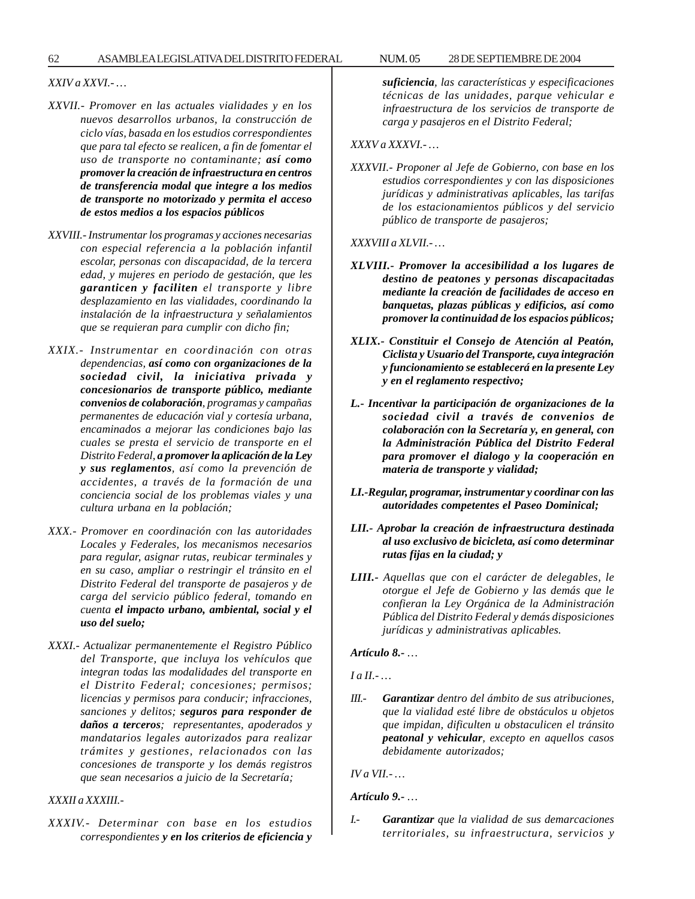### *XXIV a XXVI.- …*

- *XXVII.- Promover en las actuales vialidades y en los nuevos desarrollos urbanos, la construcción de ciclo vías, basada en los estudios correspondientes que para tal efecto se realicen, a fin de fomentar el uso de transporte no contaminante; así como promover la creación de infraestructura en centros de transferencia modal que integre a los medios de transporte no motorizado y permita el acceso de estos medios a los espacios públicos*
- *XXVIII.- Instrumentar los programas y acciones necesarias con especial referencia a la población infantil escolar, personas con discapacidad, de la tercera edad, y mujeres en periodo de gestación, que les garanticen y faciliten el transporte y libre desplazamiento en las vialidades, coordinando la instalación de la infraestructura y señalamientos que se requieran para cumplir con dicho fin;*
- *XXIX.- Instrumentar en coordinación con otras dependencias, así como con organizaciones de la sociedad civil, la iniciativa privada y concesionarios de transporte público, mediante convenios de colaboración, programas y campañas permanentes de educación vial y cortesía urbana, encaminados a mejorar las condiciones bajo las cuales se presta el servicio de transporte en el Distrito Federal, a promover la aplicación de la Ley y sus reglamentos, así como la prevención de accidentes, a través de la formación de una conciencia social de los problemas viales y una cultura urbana en la población;*
- *XXX.- Promover en coordinación con las autoridades Locales y Federales, los mecanismos necesarios para regular, asignar rutas, reubicar terminales y en su caso, ampliar o restringir el tránsito en el Distrito Federal del transporte de pasajeros y de carga del servicio público federal, tomando en cuenta el impacto urbano, ambiental, social y el uso del suelo;*
- *XXXI.- Actualizar permanentemente el Registro Público del Transporte, que incluya los vehículos que integran todas las modalidades del transporte en el Distrito Federal; concesiones; permisos; licencias y permisos para conducir; infracciones, sanciones y delitos; seguros para responder de daños a terceros; representantes, apoderados y mandatarios legales autorizados para realizar trámites y gestiones, relacionados con las concesiones de transporte y los demás registros que sean necesarios a juicio de la Secretaría;*

#### *XXXII a XXXIII.-*

*XXXIV.- Determinar con base en los estudios correspondientes y en los criterios de eficiencia y* *suficiencia, las características y especificaciones técnicas de las unidades, parque vehicular e infraestructura de los servicios de transporte de carga y pasajeros en el Distrito Federal;*

### *XXXV a XXXVI.- …*

*XXXVII.- Proponer al Jefe de Gobierno, con base en los estudios correspondientes y con las disposiciones jurídicas y administrativas aplicables, las tarifas de los estacionamientos públicos y del servicio público de transporte de pasajeros;*

*XXXVIII a XLVII.- …*

- *XLVIII.- Promover la accesibilidad a los lugares de destino de peatones y personas discapacitadas mediante la creación de facilidades de acceso en banquetas, plazas públicas y edificios, así como promover la continuidad de los espacios públicos;*
- *XLIX.- Constituir el Consejo de Atención al Peatón, Ciclista y Usuario del Transporte, cuya integración y funcionamiento se establecerá en la presente Ley y en el reglamento respectivo;*
- *L.- Incentivar la participación de organizaciones de la sociedad civil a través de convenios de colaboración con la Secretaría y, en general, con la Administración Pública del Distrito Federal para promover el dialogo y la cooperación en materia de transporte y vialidad;*
- *LI.-Regular, programar, instrumentar y coordinar con las autoridades competentes el Paseo Dominical;*
- *LII.- Aprobar la creación de infraestructura destinada al uso exclusivo de bicicleta, así como determinar rutas fijas en la ciudad; y*
- *LIII.- Aquellas que con el carácter de delegables, le otorgue el Jefe de Gobierno y las demás que le confieran la Ley Orgánica de la Administración Pública del Distrito Federal y demás disposiciones jurídicas y administrativas aplicables.*

#### *Artículo 8.- …*

## *I a II.- …*

*III.- Garantizar dentro del ámbito de sus atribuciones, que la vialidad esté libre de obstáculos u objetos que impidan, dificulten u obstaculicen el tránsito peatonal y vehicular, excepto en aquellos casos debidamente autorizados;*

*IV a VII.- …*

#### *Artículo 9.- …*

*I.- Garantizar que la vialidad de sus demarcaciones territoriales, su infraestructura, servicios y*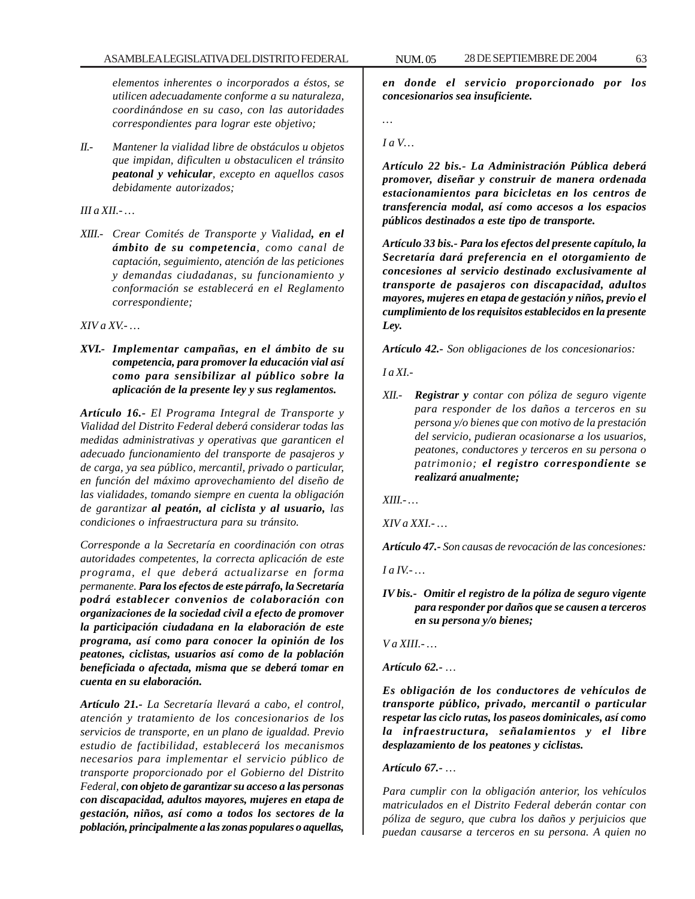*elementos inherentes o incorporados a éstos, se utilicen adecuadamente conforme a su naturaleza, coordinándose en su caso, con las autoridades correspondientes para lograr este objetivo;*

*II.- Mantener la vialidad libre de obstáculos u objetos que impidan, dificulten u obstaculicen el tránsito peatonal y vehicular, excepto en aquellos casos debidamente autorizados;*

*III a XII.- …*

*XIII.- Crear Comités de Transporte y Vialidad, en el ámbito de su competencia, como canal de captación, seguimiento, atención de las peticiones y demandas ciudadanas, su funcionamiento y conformación se establecerá en el Reglamento correspondiente;*

*XIV a XV.- …*

*XVI.- Implementar campañas, en el ámbito de su competencia, para promover la educación vial así como para sensibilizar al público sobre la aplicación de la presente ley y sus reglamentos.*

*Artículo 16.- El Programa Integral de Transporte y Vialidad del Distrito Federal deberá considerar todas las medidas administrativas y operativas que garanticen el adecuado funcionamiento del transporte de pasajeros y de carga, ya sea público, mercantil, privado o particular, en función del máximo aprovechamiento del diseño de las vialidades, tomando siempre en cuenta la obligación de garantizar al peatón, al ciclista y al usuario, las condiciones o infraestructura para su tránsito.*

*Corresponde a la Secretaría en coordinación con otras autoridades competentes, la correcta aplicación de este programa, el que deberá actualizarse en forma permanente. Para los efectos de este párrafo, la Secretaría podrá establecer convenios de colaboración con organizaciones de la sociedad civil a efecto de promover la participación ciudadana en la elaboración de este programa, así como para conocer la opinión de los peatones, ciclistas, usuarios así como de la población beneficiada o afectada, misma que se deberá tomar en cuenta en su elaboración.*

*Artículo 21.- La Secretaría llevará a cabo, el control, atención y tratamiento de los concesionarios de los servicios de transporte, en un plano de igualdad. Previo estudio de factibilidad, establecerá los mecanismos necesarios para implementar el servicio público de transporte proporcionado por el Gobierno del Distrito Federal, con objeto de garantizar su acceso a las personas con discapacidad, adultos mayores, mujeres en etapa de gestación, niños, así como a todos los sectores de la población, principalmente a las zonas populares o aquellas,*

*en donde el servicio proporcionado por los concesionarios sea insuficiente.*

*…*

*I a V…*

*Artículo 22 bis.- La Administración Pública deberá promover, diseñar y construir de manera ordenada estacionamientos para bicicletas en los centros de transferencia modal, así como accesos a los espacios públicos destinados a este tipo de transporte.*

*Artículo 33 bis.- Para los efectos del presente capítulo, la Secretaría dará preferencia en el otorgamiento de concesiones al servicio destinado exclusivamente al transporte de pasajeros con discapacidad, adultos mayores, mujeres en etapa de gestación y niños, previo el cumplimiento de los requisitos establecidos en la presente Ley.*

*Artículo 42.- Son obligaciones de los concesionarios:*

*I a XI.-*

*XII.- Registrar y contar con póliza de seguro vigente para responder de los daños a terceros en su persona y/o bienes que con motivo de la prestación del servicio, pudieran ocasionarse a los usuarios, peatones, conductores y terceros en su persona o patrimonio; el registro correspondiente se realizará anualmente;*

*XIII.- …*

*XIV a XXI.- …*

*Artículo 47.- Son causas de revocación de las concesiones:*

*I a IV.- …*

#### *IV bis.- Omitir el registro de la póliza de seguro vigente para responder por daños que se causen a terceros en su persona y/o bienes;*

*V a XIII.- …*

*Artículo 62.- …*

*Es obligación de los conductores de vehículos de transporte público, privado, mercantil o particular respetar las ciclo rutas, los paseos dominicales, así como la infraestructura, señalamientos y el libre desplazamiento de los peatones y ciclistas.*

*Artículo 67.- …*

*Para cumplir con la obligación anterior, los vehículos matriculados en el Distrito Federal deberán contar con póliza de seguro, que cubra los daños y perjuicios que puedan causarse a terceros en su persona. A quien no*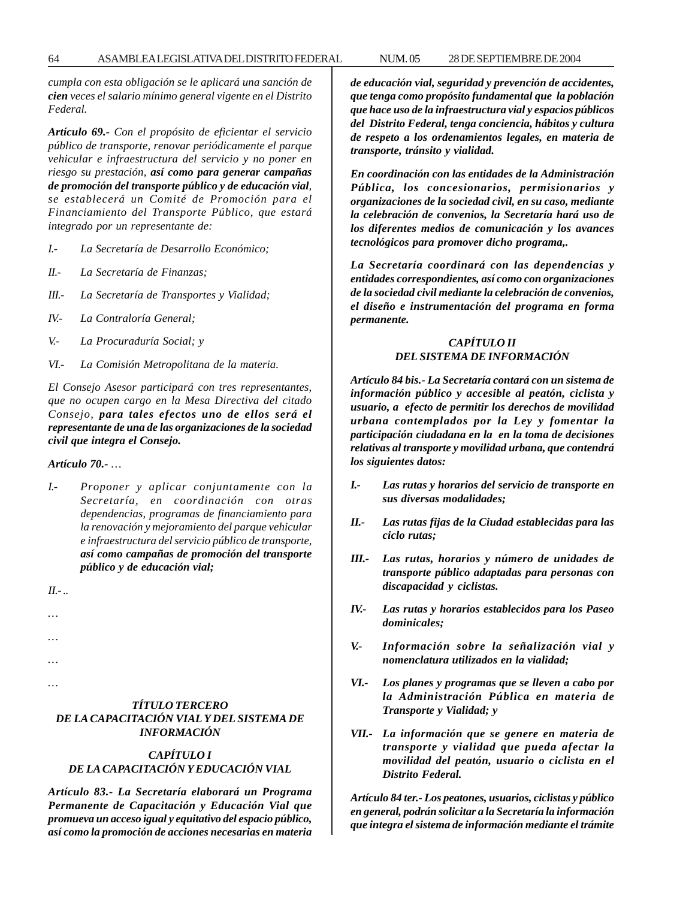*cumpla con esta obligación se le aplicará una sanción de cien veces el salario mínimo general vigente en el Distrito Federal.*

*Artículo 69.- Con el propósito de eficientar el servicio público de transporte, renovar periódicamente el parque vehicular e infraestructura del servicio y no poner en riesgo su prestación, así como para generar campañas de promoción del transporte público y de educación vial, se establecerá un Comité de Promoción para el Financiamiento del Transporte Público, que estará integrado por un representante de:*

- *I.- La Secretaría de Desarrollo Económico;*
- *II.- La Secretaría de Finanzas;*
- *III.- La Secretaría de Transportes y Vialidad;*
- *IV.- La Contraloría General;*
- *V.- La Procuraduría Social; y*
- *VI.- La Comisión Metropolitana de la materia.*

*El Consejo Asesor participará con tres representantes, que no ocupen cargo en la Mesa Directiva del citado Consejo, para tales efectos uno de ellos será el representante de una de las organizaciones de la sociedad civil que integra el Consejo.*

*Artículo 70.- …*

*I.- Proponer y aplicar conjuntamente con la Secretaría, en coordinación con otras dependencias, programas de financiamiento para la renovación y mejoramiento del parque vehicular e infraestructura del servicio público de transporte, así como campañas de promoción del transporte público y de educación vial;*

*II.- ..*

*…*

*…*

*…*

*…*

*TÍTULO TERCERO DE LA CAPACITACIÓN VIAL Y DEL SISTEMA DE INFORMACIÓN*

#### *CAPÍTULO I DE LA CAPACITACIÓN Y EDUCACIÓN VIAL*

*Artículo 83.- La Secretaría elaborará un Programa Permanente de Capacitación y Educación Vial que promueva un acceso igual y equitativo del espacio público, así como la promoción de acciones necesarias en materia* *de educación vial, seguridad y prevención de accidentes, que tenga como propósito fundamental que la población que hace uso de la infraestructura vial y espacios públicos del Distrito Federal, tenga conciencia, hábitos y cultura de respeto a los ordenamientos legales, en materia de transporte, tránsito y vialidad.*

*En coordinación con las entidades de la Administración Pública, los concesionarios, permisionarios y organizaciones de la sociedad civil, en su caso, mediante la celebración de convenios, la Secretaría hará uso de los diferentes medios de comunicación y los avances tecnológicos para promover dicho programa,.*

*La Secretaría coordinará con las dependencias y entidades correspondientes, así como con organizaciones de la sociedad civil mediante la celebración de convenios, el diseño e instrumentación del programa en forma permanente.*

### *CAPÍTULO II DEL SISTEMA DE INFORMACIÓN*

*Artículo 84 bis.- La Secretaría contará con un sistema de información público y accesible al peatón, ciclista y usuario, a efecto de permitir los derechos de movilidad urbana contemplados por la Ley y fomentar la participación ciudadana en la en la toma de decisiones relativas al transporte y movilidad urbana, que contendrá los siguientes datos:*

- *I.- Las rutas y horarios del servicio de transporte en sus diversas modalidades;*
- *II.- Las rutas fijas de la Ciudad establecidas para las ciclo rutas;*
- *III.- Las rutas, horarios y número de unidades de transporte público adaptadas para personas con discapacidad y ciclistas.*
- *IV.- Las rutas y horarios establecidos para los Paseo dominicales;*
- *V.- Información sobre la señalización vial y nomenclatura utilizados en la vialidad;*
- *VI.- Los planes y programas que se lleven a cabo por la Administración Pública en materia de Transporte y Vialidad; y*
- *VII.- La información que se genere en materia de transporte y vialidad que pueda afectar la movilidad del peatón, usuario o ciclista en el Distrito Federal.*

*Artículo 84 ter.- Los peatones, usuarios, ciclistas y público en general, podrán solicitar a la Secretaría la información que integra el sistema de información mediante el trámite*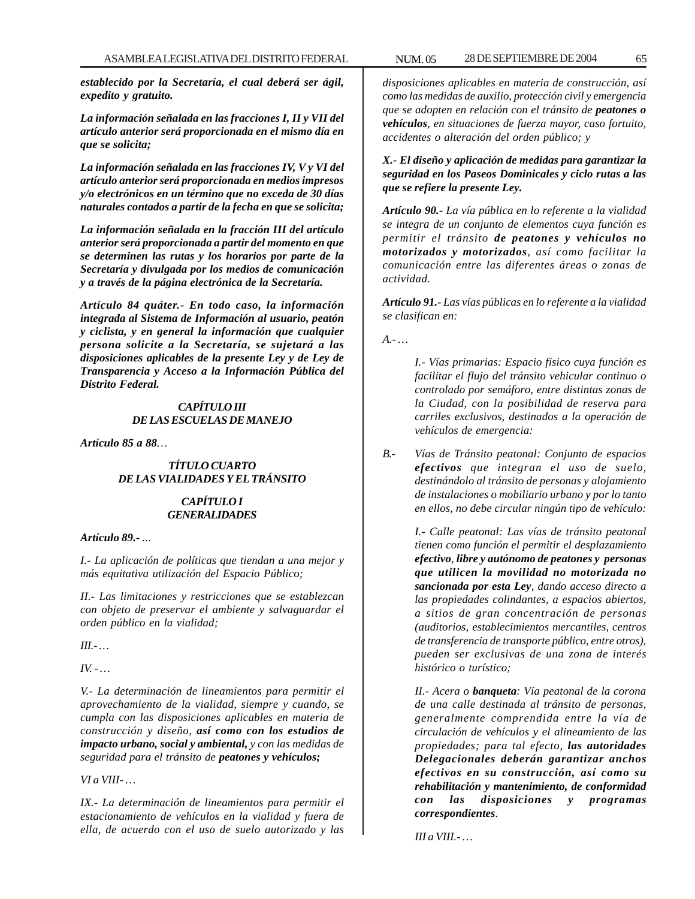*establecido por la Secretaría, el cual deberá ser ágil, expedito y gratuito.*

*La información señalada en las fracciones I, II y VII del artículo anterior será proporcionada en el mismo día en que se solicita;*

*La información señalada en las fracciones IV, V y VI del artículo anterior será proporcionada en medios impresos y/o electrónicos en un término que no exceda de 30 días naturales contados a partir de la fecha en que se solicita;*

*La información señalada en la fracción III del artículo anterior será proporcionada a partir del momento en que se determinen las rutas y los horarios por parte de la Secretaría y divulgada por los medios de comunicación y a través de la página electrónica de la Secretaría.*

*Artículo 84 quáter.- En todo caso, la información integrada al Sistema de Información al usuario, peatón y ciclista, y en general la información que cualquier persona solicite a la Secretaría, se sujetará a las disposiciones aplicables de la presente Ley y de Ley de Transparencia y Acceso a la Información Pública del Distrito Federal.*

#### *CAPÍTULO III DE LAS ESCUELAS DE MANEJO*

*Artículo 85 a 88…*

### *TÍTULO CUARTO DE LAS VIALIDADES Y EL TRÁNSITO*

#### *CAPÍTULO I GENERALIDADES*

*Artículo 89.- ...*

*I.- La aplicación de políticas que tiendan a una mejor y más equitativa utilización del Espacio Público;*

*II.- Las limitaciones y restricciones que se establezcan con objeto de preservar el ambiente y salvaguardar el orden público en la vialidad;*

*III.- …*

*IV. - …*

*V.- La determinación de lineamientos para permitir el aprovechamiento de la vialidad, siempre y cuando, se cumpla con las disposiciones aplicables en materia de construcción y diseño, así como con los estudios de impacto urbano, social y ambiental, y con las medidas de seguridad para el tránsito de peatones y vehículos;*

*VI a VIII- …*

*IX.- La determinación de lineamientos para permitir el estacionamiento de vehículos en la vialidad y fuera de ella, de acuerdo con el uso de suelo autorizado y las*

*disposiciones aplicables en materia de construcción, así como las medidas de auxilio, protección civil y emergencia que se adopten en relación con el tránsito de peatones o vehículos, en situaciones de fuerza mayor, caso fortuito, accidentes o alteración del orden público; y*

## *X.- El diseño y aplicación de medidas para garantizar la seguridad en los Paseos Dominicales y ciclo rutas a las que se refiere la presente Ley.*

*Artículo 90.- La vía pública en lo referente a la vialidad se integra de un conjunto de elementos cuya función es permitir el tránsito de peatones y vehículos no motorizados y motorizados, así como facilitar la comunicación entre las diferentes áreas o zonas de actividad.*

*Artículo 91.- Las vías públicas en lo referente a la vialidad se clasifican en:*

*A.- …*

*I.- Vías primarias: Espacio físico cuya función es facilitar el flujo del tránsito vehicular continuo o controlado por semáforo, entre distintas zonas de la Ciudad, con la posibilidad de reserva para carriles exclusivos, destinados a la operación de vehículos de emergencia:*

*B.- Vías de Tránsito peatonal: Conjunto de espacios efectivos que integran el uso de suelo, destinándolo al tránsito de personas y alojamiento de instalaciones o mobiliario urbano y por lo tanto en ellos, no debe circular ningún tipo de vehículo:*

> *I.- Calle peatonal: Las vías de tránsito peatonal tienen como función el permitir el desplazamiento efectivo, libre y autónomo de peatones y personas que utilicen la movilidad no motorizada no sancionada por esta Ley, dando acceso directo a las propiedades colindantes, a espacios abiertos, a sitios de gran concentración de personas (auditorios, establecimientos mercantiles, centros de transferencia de transporte público, entre otros), pueden ser exclusivas de una zona de interés histórico o turístico;*

> *II.- Acera o banqueta: Vía peatonal de la corona de una calle destinada al tránsito de personas, generalmente comprendida entre la vía de circulación de vehículos y el alineamiento de las propiedades; para tal efecto, las autoridades Delegacionales deberán garantizar anchos efectivos en su construcción, así como su rehabilitación y mantenimiento, de conformidad con las disposiciones y programas correspondientes.*

*III a VIII.- …*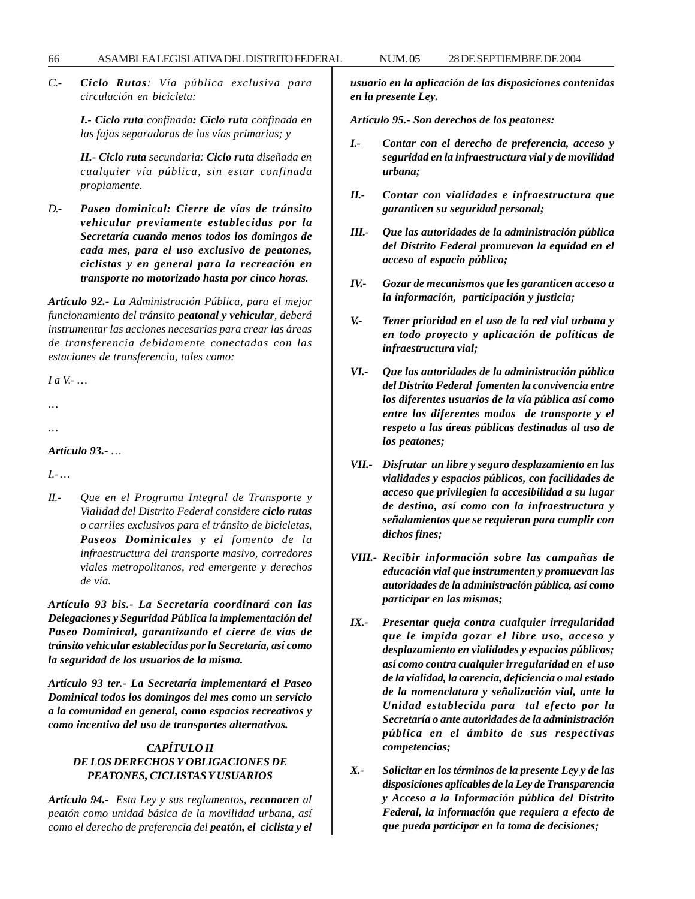*C.- Ciclo Rutas: Vía pública exclusiva para circulación en bicicleta:*

> *I.- Ciclo ruta confinada: Ciclo ruta confinada en las fajas separadoras de las vías primarias; y*

> *II.- Ciclo ruta secundaria: Ciclo ruta diseñada en cualquier vía pública, sin estar confinada propiamente.*

*D.- Paseo dominical: Cierre de vías de tránsito vehicular previamente establecidas por la Secretaría cuando menos todos los domingos de cada mes, para el uso exclusivo de peatones, ciclistas y en general para la recreación en transporte no motorizado hasta por cinco horas.*

*Artículo 92.- La Administración Pública, para el mejor funcionamiento del tránsito peatonal y vehicular, deberá instrumentar las acciones necesarias para crear las áreas de transferencia debidamente conectadas con las estaciones de transferencia, tales como:*

*I a V.- …*

*…*

*…*

*Artículo 93.- …*

*I.- …*

*II.- Que en el Programa Integral de Transporte y Vialidad del Distrito Federal considere ciclo rutas o carriles exclusivos para el tránsito de bicicletas, Paseos Dominicales y el fomento de la infraestructura del transporte masivo, corredores viales metropolitanos, red emergente y derechos de vía.*

*Artículo 93 bis.- La Secretaría coordinará con las Delegaciones y Seguridad Pública la implementación del Paseo Dominical, garantizando el cierre de vías de tránsito vehicular establecidas por la Secretaría, así como la seguridad de los usuarios de la misma.*

*Artículo 93 ter.- La Secretaría implementará el Paseo Dominical todos los domingos del mes como un servicio a la comunidad en general, como espacios recreativos y como incentivo del uso de transportes alternativos.*

## *CAPÍTULO II DE LOS DERECHOS Y OBLIGACIONES DE PEATONES, CICLISTAS Y USUARIOS*

*Artículo 94.- Esta Ley y sus reglamentos, reconocen al peatón como unidad básica de la movilidad urbana, así como el derecho de preferencia del peatón, el ciclista y el* *usuario en la aplicación de las disposiciones contenidas en la presente Ley.*

*Artículo 95.- Son derechos de los peatones:*

- *I.- Contar con el derecho de preferencia, acceso y seguridad en la infraestructura vial y de movilidad urbana;*
- *II.- Contar con vialidades e infraestructura que garanticen su seguridad personal;*
- *III.- Que las autoridades de la administración pública del Distrito Federal promuevan la equidad en el acceso al espacio público;*
- *IV.- Gozar de mecanismos que les garanticen acceso a la información, participación y justicia;*
- *V.- Tener prioridad en el uso de la red vial urbana y en todo proyecto y aplicación de políticas de infraestructura vial;*
- *VI.- Que las autoridades de la administración pública del Distrito Federal fomenten la convivencia entre los diferentes usuarios de la vía pública así como entre los diferentes modos de transporte y el respeto a las áreas públicas destinadas al uso de los peatones;*
- *VII.- Disfrutar un libre y seguro desplazamiento en las vialidades y espacios públicos, con facilidades de acceso que privilegien la accesibilidad a su lugar de destino, así como con la infraestructura y señalamientos que se requieran para cumplir con dichos fines;*
- *VIII.- Recibir información sobre las campañas de educación vial que instrumenten y promuevan las autoridades de la administración pública, así como participar en las mismas;*
- *IX.- Presentar queja contra cualquier irregularidad que le impida gozar el libre uso, acceso y desplazamiento en vialidades y espacios públicos; así como contra cualquier irregularidad en el uso de la vialidad, la carencia, deficiencia o mal estado de la nomenclatura y señalización vial, ante la Unidad establecida para tal efecto por la Secretaría o ante autoridades de la administración pública en el ámbito de sus respectivas competencias;*
- *X.- Solicitar en los términos de la presente Ley y de las disposiciones aplicables de la Ley de Transparencia y Acceso a la Información pública del Distrito Federal, la información que requiera a efecto de que pueda participar en la toma de decisiones;*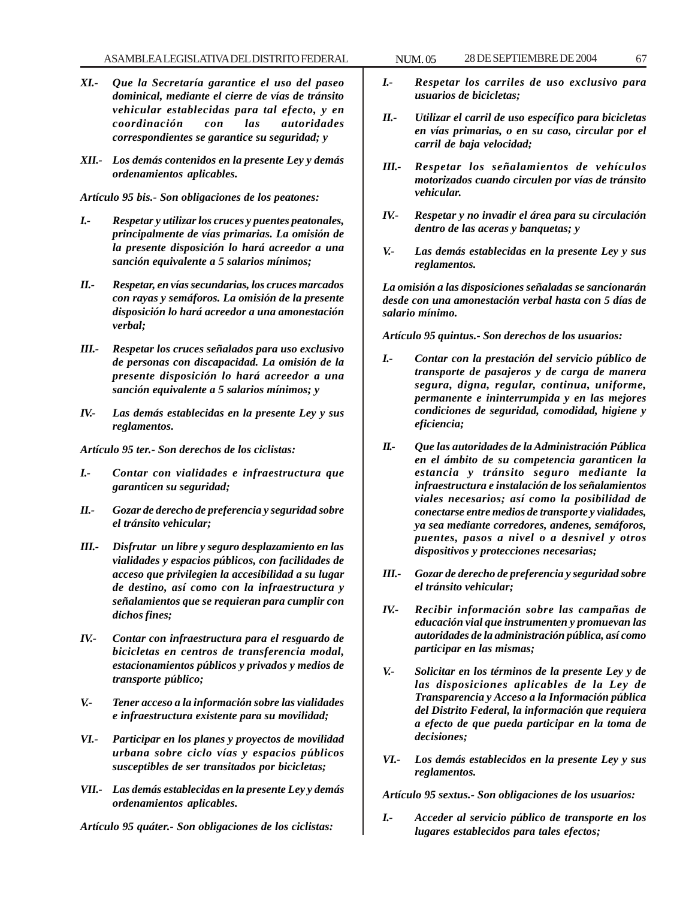- *XI.- Que la Secretaría garantice el uso del paseo dominical, mediante el cierre de vías de tránsito vehicular establecidas para tal efecto, y en coordinación con las autoridades correspondientes se garantice su seguridad; y*
- *XII.- Los demás contenidos en la presente Ley y demás ordenamientos aplicables.*

*Artículo 95 bis.- Son obligaciones de los peatones:*

- *I.- Respetar y utilizar los cruces y puentes peatonales, principalmente de vías primarias. La omisión de la presente disposición lo hará acreedor a una sanción equivalente a 5 salarios mínimos;*
- *II.- Respetar, en vías secundarias, los cruces marcados con rayas y semáforos. La omisión de la presente disposición lo hará acreedor a una amonestación verbal;*
- *III.- Respetar los cruces señalados para uso exclusivo de personas con discapacidad. La omisión de la presente disposición lo hará acreedor a una sanción equivalente a 5 salarios mínimos; y*
- *IV.- Las demás establecidas en la presente Ley y sus reglamentos.*

*Artículo 95 ter.- Son derechos de los ciclistas:*

- *I.- Contar con vialidades e infraestructura que garanticen su seguridad;*
- *II.- Gozar de derecho de preferencia y seguridad sobre el tránsito vehicular;*
- *III.- Disfrutar un libre y seguro desplazamiento en las vialidades y espacios públicos, con facilidades de acceso que privilegien la accesibilidad a su lugar de destino, así como con la infraestructura y señalamientos que se requieran para cumplir con dichos fines;*
- *IV.- Contar con infraestructura para el resguardo de bicicletas en centros de transferencia modal, estacionamientos públicos y privados y medios de transporte público;*
- *V.- Tener acceso a la información sobre las vialidades e infraestructura existente para su movilidad;*
- *VI.- Participar en los planes y proyectos de movilidad urbana sobre ciclo vías y espacios públicos susceptibles de ser transitados por bicicletas;*
- *VII.- Las demás establecidas en la presente Ley y demás ordenamientos aplicables.*

*Artículo 95 quáter.- Son obligaciones de los ciclistas:*

- *I.- Respetar los carriles de uso exclusivo para usuarios de bicicletas;*
- *II.- Utilizar el carril de uso específico para bicicletas en vías primarias, o en su caso, circular por el carril de baja velocidad;*
- *III.- Respetar los señalamientos de vehículos motorizados cuando circulen por vías de tránsito vehicular.*
- *IV.- Respetar y no invadir el área para su circulación dentro de las aceras y banquetas; y*
- *V.- Las demás establecidas en la presente Ley y sus reglamentos.*

*La omisión a las disposiciones señaladas se sancionarán desde con una amonestación verbal hasta con 5 días de salario mínimo.*

*Artículo 95 quintus.- Son derechos de los usuarios:*

- *I.- Contar con la prestación del servicio público de transporte de pasajeros y de carga de manera segura, digna, regular, continua, uniforme, permanente e ininterrumpida y en las mejores condiciones de seguridad, comodidad, higiene y eficiencia;*
- *II.- Que las autoridades de la Administración Pública en el ámbito de su competencia garanticen la estancia y tránsito seguro mediante la infraestructura e instalación de los señalamientos viales necesarios; así como la posibilidad de conectarse entre medios de transporte y vialidades, ya sea mediante corredores, andenes, semáforos, puentes, pasos a nivel o a desnivel y otros dispositivos y protecciones necesarias;*
- *III.- Gozar de derecho de preferencia y seguridad sobre el tránsito vehicular;*
- *IV.- Recibir información sobre las campañas de educación vial que instrumenten y promuevan las autoridades de la administración pública, así como participar en las mismas;*
- *V.- Solicitar en los términos de la presente Ley y de las disposiciones aplicables de la Ley de Transparencia y Acceso a la Información pública del Distrito Federal, la información que requiera a efecto de que pueda participar en la toma de decisiones;*
- *VI.- Los demás establecidos en la presente Ley y sus reglamentos.*

*Artículo 95 sextus.- Son obligaciones de los usuarios:*

*I.- Acceder al servicio público de transporte en los lugares establecidos para tales efectos;*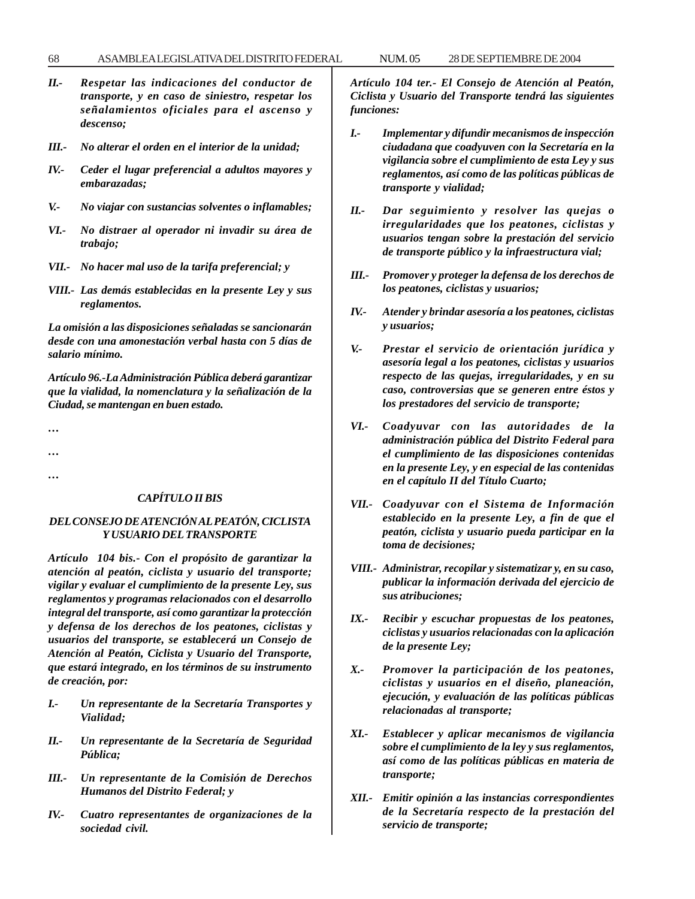#### 68 ASAMBLEA LEGISLATIVA DEL DISTRITO FEDERAL 28 NUM. 05 DE SEPTIEMBRE DE 2004

- *II.- Respetar las indicaciones del conductor de transporte, y en caso de siniestro, respetar los señalamientos oficiales para el ascenso y descenso;*
- *III.- No alterar el orden en el interior de la unidad;*
- *IV.- Ceder el lugar preferencial a adultos mayores y embarazadas;*
- *V.- No viajar con sustancias solventes o inflamables;*
- *VI.- No distraer al operador ni invadir su área de trabajo;*
- *VII.- No hacer mal uso de la tarifa preferencial; y*
- *VIII.- Las demás establecidas en la presente Ley y sus reglamentos.*

*La omisión a las disposiciones señaladas se sancionarán desde con una amonestación verbal hasta con 5 días de salario mínimo.*

*Artículo 96.-La Administración Pública deberá garantizar que la vialidad, la nomenclatura y la señalización de la Ciudad, se mantengan en buen estado.*

*…*

*… …*

#### *CAPÍTULO II BIS*

#### *DEL CONSEJO DE ATENCIÓN AL PEATÓN, CICLISTA Y USUARIO DEL TRANSPORTE*

*Artículo 104 bis.- Con el propósito de garantizar la atención al peatón, ciclista y usuario del transporte; vigilar y evaluar el cumplimiento de la presente Ley, sus reglamentos y programas relacionados con el desarrollo integral del transporte, así como garantizar la protección y defensa de los derechos de los peatones, ciclistas y usuarios del transporte, se establecerá un Consejo de Atención al Peatón, Ciclista y Usuario del Transporte, que estará integrado, en los términos de su instrumento de creación, por:*

- *I.- Un representante de la Secretaría Transportes y Vialidad;*
- *II.- Un representante de la Secretaría de Seguridad Pública;*
- *III.- Un representante de la Comisión de Derechos Humanos del Distrito Federal; y*
- *IV.- Cuatro representantes de organizaciones de la sociedad civil.*

*Artículo 104 ter.- El Consejo de Atención al Peatón, Ciclista y Usuario del Transporte tendrá las siguientes funciones:*

- *I.- Implementar y difundir mecanismos de inspección ciudadana que coadyuven con la Secretaría en la vigilancia sobre el cumplimiento de esta Ley y sus reglamentos, así como de las políticas públicas de transporte y vialidad;*
- *II.- Dar seguimiento y resolver las quejas o irregularidades que los peatones, ciclistas y usuarios tengan sobre la prestación del servicio de transporte público y la infraestructura vial;*
- *III.- Promover y proteger la defensa de los derechos de los peatones, ciclistas y usuarios;*
- *IV.- Atender y brindar asesoría a los peatones, ciclistas y usuarios;*
- *V.- Prestar el servicio de orientación jurídica y asesoría legal a los peatones, ciclistas y usuarios respecto de las quejas, irregularidades, y en su caso, controversias que se generen entre éstos y los prestadores del servicio de transporte;*
- *VI.- Coadyuvar con las autoridades de la administración pública del Distrito Federal para el cumplimiento de las disposiciones contenidas en la presente Ley, y en especial de las contenidas en el capítulo II del Título Cuarto;*
- *VII.- Coadyuvar con el Sistema de Información establecido en la presente Ley, a fin de que el peatón, ciclista y usuario pueda participar en la toma de decisiones;*
- *VIII.- Administrar, recopilar y sistematizar y, en su caso, publicar la información derivada del ejercicio de sus atribuciones;*
- *IX.- Recibir y escuchar propuestas de los peatones, ciclistas y usuarios relacionadas con la aplicación de la presente Ley;*
- *X.- Promover la participación de los peatones, ciclistas y usuarios en el diseño, planeación, ejecución, y evaluación de las políticas públicas relacionadas al transporte;*
- *XI.- Establecer y aplicar mecanismos de vigilancia sobre el cumplimiento de la ley y sus reglamentos, así como de las políticas públicas en materia de transporte;*
- *XII.- Emitir opinión a las instancias correspondientes de la Secretaría respecto de la prestación del servicio de transporte;*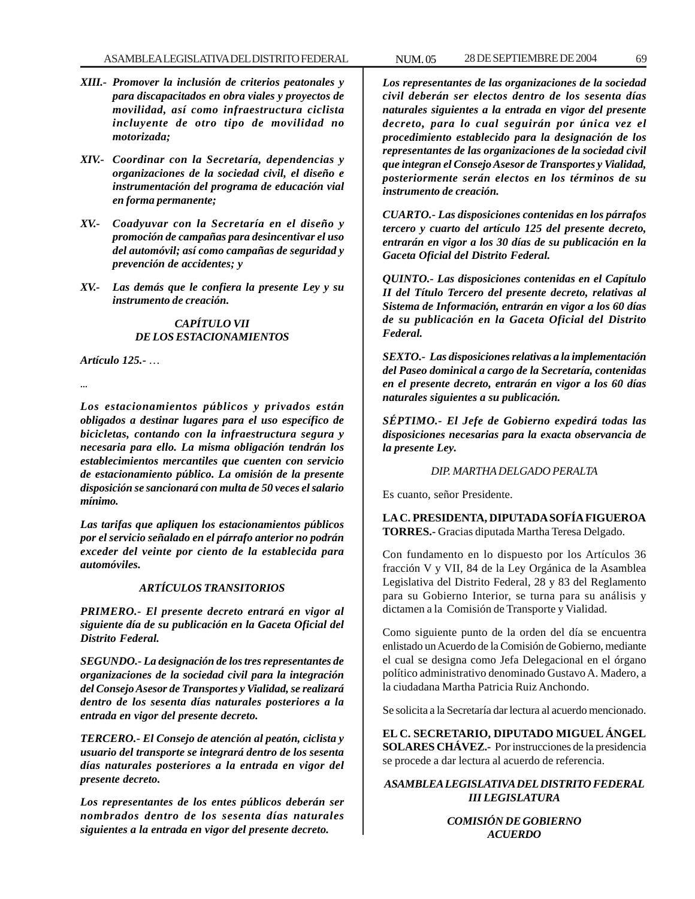- *XIII.- Promover la inclusión de criterios peatonales y para discapacitados en obra viales y proyectos de movilidad, así como infraestructura ciclista incluyente de otro tipo de movilidad no motorizada;*
- *XIV.- Coordinar con la Secretaría, dependencias y organizaciones de la sociedad civil, el diseño e instrumentación del programa de educación vial en forma permanente;*
- *XV.- Coadyuvar con la Secretaría en el diseño y promoción de campañas para desincentivar el uso del automóvil; así como campañas de seguridad y prevención de accidentes; y*
- *XV.- Las demás que le confiera la presente Ley y su instrumento de creación.*

#### *CAPÍTULO VII DE LOS ESTACIONAMIENTOS*

*Artículo 125.- …*

*...*

*Los estacionamientos públicos y privados están obligados a destinar lugares para el uso específico de bicicletas, contando con la infraestructura segura y necesaria para ello. La misma obligación tendrán los establecimientos mercantiles que cuenten con servicio de estacionamiento público. La omisión de la presente disposición se sancionará con multa de 50 veces el salario mínimo.*

*Las tarifas que apliquen los estacionamientos públicos por el servicio señalado en el párrafo anterior no podrán exceder del veinte por ciento de la establecida para automóviles.*

#### *ARTÍCULOS TRANSITORIOS*

*PRIMERO.- El presente decreto entrará en vigor al siguiente día de su publicación en la Gaceta Oficial del Distrito Federal.*

*SEGUNDO.- La designación de los tres representantes de organizaciones de la sociedad civil para la integración del Consejo Asesor de Transportes y Vialidad, se realizará dentro de los sesenta días naturales posteriores a la entrada en vigor del presente decreto.*

*TERCERO.- El Consejo de atención al peatón, ciclista y usuario del transporte se integrará dentro de los sesenta días naturales posteriores a la entrada en vigor del presente decreto.*

*Los representantes de los entes públicos deberán ser nombrados dentro de los sesenta días naturales siguientes a la entrada en vigor del presente decreto.*

*Los representantes de las organizaciones de la sociedad civil deberán ser electos dentro de los sesenta días naturales siguientes a la entrada en vigor del presente decreto, para lo cual seguirán por única vez el procedimiento establecido para la designación de los representantes de las organizaciones de la sociedad civil que integran el Consejo Asesor de Transportes y Vialidad, posteriormente serán electos en los términos de su instrumento de creación.*

*CUARTO.- Las disposiciones contenidas en los párrafos tercero y cuarto del artículo 125 del presente decreto, entrarán en vigor a los 30 días de su publicación en la Gaceta Oficial del Distrito Federal.*

*QUINTO.- Las disposiciones contenidas en el Capítulo II del Título Tercero del presente decreto, relativas al Sistema de Información, entrarán en vigor a los 60 días de su publicación en la Gaceta Oficial del Distrito Federal.*

*SEXTO.- Las disposiciones relativas a la implementación del Paseo dominical a cargo de la Secretaría, contenidas en el presente decreto, entrarán en vigor a los 60 días naturales siguientes a su publicación.*

*SÉPTIMO.- El Jefe de Gobierno expedirá todas las disposiciones necesarias para la exacta observancia de la presente Ley.*

### *DIP. MARTHA DELGADO PERALTA*

Es cuanto, señor Presidente.

## **LA C. PRESIDENTA, DIPUTADA SOFÍA FIGUEROA TORRES.-** Gracias diputada Martha Teresa Delgado.

Con fundamento en lo dispuesto por los Artículos 36 fracción V y VII, 84 de la Ley Orgánica de la Asamblea Legislativa del Distrito Federal, 28 y 83 del Reglamento para su Gobierno Interior, se turna para su análisis y dictamen a la Comisión de Transporte y Vialidad.

Como siguiente punto de la orden del día se encuentra enlistado un Acuerdo de la Comisión de Gobierno, mediante el cual se designa como Jefa Delegacional en el órgano político administrativo denominado Gustavo A. Madero, a la ciudadana Martha Patricia Ruiz Anchondo.

Se solicita a la Secretaría dar lectura al acuerdo mencionado.

**EL C. SECRETARIO, DIPUTADO MIGUEL ÁNGEL SOLARES CHÁVEZ.-** Por instrucciones de la presidencia se procede a dar lectura al acuerdo de referencia.

## *ASAMBLEA LEGISLATIVA DEL DISTRITO FEDERAL III LEGISLATURA*

## *COMISIÓN DE GOBIERNO ACUERDO*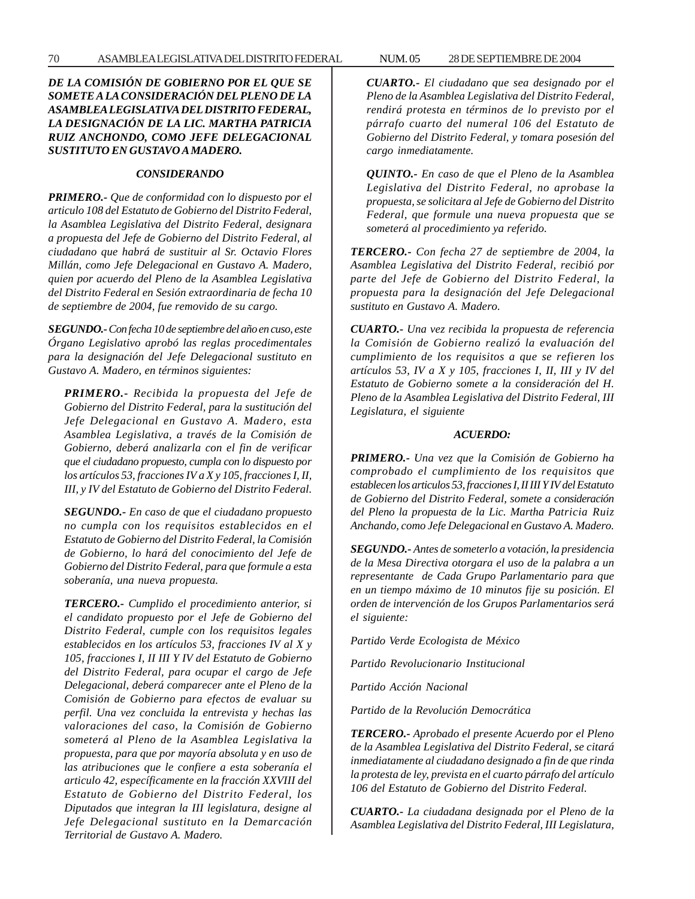### *DE LA COMISIÓN DE GOBIERNO POR EL QUE SE SOMETE A LA CONSIDERACIÓN DEL PLENO DE LA ASAMBLEA LEGISLATIVA DEL DISTRITO FEDERAL, LA DESIGNACIÓN DE LA LIC. MARTHA PATRICIA RUIZ ANCHONDO, COMO JEFE DELEGACIONAL SUSTITUTO EN GUSTAVO A MADERO.*

#### *CONSIDERANDO*

*PRIMERO.- Que de conformidad con lo dispuesto por el articulo 108 del Estatuto de Gobierno del Distrito Federal, la Asamblea Legislativa del Distrito Federal, designara a propuesta del Jefe de Gobierno del Distrito Federal, al ciudadano que habrá de sustituir al Sr. Octavio Flores Millán, como Jefe Delegacional en Gustavo A. Madero, quien por acuerdo del Pleno de la Asamblea Legislativa del Distrito Federal en Sesión extraordinaria de fecha 10 de septiembre de 2004, fue removido de su cargo.*

*SEGUNDO.- Con fecha 10 de septiembre del año en cuso, este Órgano Legislativo aprobó las reglas procedimentales para la designación del Jefe Delegacional sustituto en Gustavo A. Madero, en términos siguientes:*

*PRIMERO.- Recibida la propuesta del Jefe de Gobierno del Distrito Federal, para la sustitución del Jefe Delegacional en Gustavo A. Madero, esta Asamblea Legislativa, a través de la Comisión de Gobierno, deberá analizarla con el fin de verificar que el ciudadano propuesto, cumpla con lo dispuesto por los artículos 53, fracciones IV a X y 105, fracciones I, II, III, y IV del Estatuto de Gobierno del Distrito Federal.*

*SEGUNDO.- En caso de que el ciudadano propuesto no cumpla con los requisitos establecidos en el Estatuto de Gobierno del Distrito Federal, la Comisión de Gobierno, lo hará del conocimiento del Jefe de Gobierno del Distrito Federal, para que formule a esta soberanía, una nueva propuesta.*

*TERCERO.- Cumplido el procedimiento anterior, si el candidato propuesto por el Jefe de Gobierno del Distrito Federal, cumple con los requisitos legales establecidos en los artículos 53, fracciones IV al X y 105, fracciones I, II III Y IV del Estatuto de Gobierno del Distrito Federal, para ocupar el cargo de Jefe Delegacional, deberá comparecer ante el Pleno de la Comisión de Gobierno para efectos de evaluar su perfil. Una vez concluida la entrevista y hechas las valoraciones del caso, la Comisión de Gobierno someterá al Pleno de la Asamblea Legislativa la propuesta, para que por mayoría absoluta y en uso de las atribuciones que le confiere a esta soberanía el articulo 42, específicamente en la fracción XXVIII del Estatuto de Gobierno del Distrito Federal, los Diputados que integran la III legislatura, designe al Jefe Delegacional sustituto en la Demarcación Territorial de Gustavo A. Madero.*

*CUARTO.- El ciudadano que sea designado por el Pleno de la Asamblea Legislativa del Distrito Federal, rendirá protesta en términos de lo previsto por el párrafo cuarto del numeral 106 del Estatuto de Gobierno del Distrito Federal, y tomara posesión del cargo inmediatamente.*

*QUINTO.- En caso de que el Pleno de la Asamblea Legislativa del Distrito Federal, no aprobase la propuesta, se solicitara al Jefe de Gobierno del Distrito Federal, que formule una nueva propuesta que se someterá al procedimiento ya referido.*

*TERCERO.- Con fecha 27 de septiembre de 2004, la Asamblea Legislativa del Distrito Federal, recibió por parte del Jefe de Gobierno del Distrito Federal, la propuesta para la designación del Jefe Delegacional sustituto en Gustavo A. Madero.*

*CUARTO.- Una vez recibida la propuesta de referencia la Comisión de Gobierno realizó la evaluación del cumplimiento de los requisitos a que se refieren los artículos 53, IV a X y 105, fracciones I, II, III y IV del Estatuto de Gobierno somete a la consideración del H. Pleno de la Asamblea Legislativa del Distrito Federal, III Legislatura, el siguiente*

#### *ACUERDO:*

*PRIMERO.- Una vez que la Comisión de Gobierno ha comprobado el cumplimiento de los requisitos que establecen los articulos 53, fracciones I, II III Y IV del Estatuto de Gobierno del Distrito Federal, somete a consideración del Pleno la propuesta de la Lic. Martha Patricia Ruiz Anchando, como Jefe Delegacional en Gustavo A. Madero.*

*SEGUNDO.- Antes de someterlo a votación, la presidencia de la Mesa Directiva otorgara el uso de la palabra a un representante de Cada Grupo Parlamentario para que en un tiempo máximo de 10 minutos fije su posición. El orden de intervención de los Grupos Parlamentarios será el siguiente:*

*Partido Verde Ecologista de México*

*Partido Revolucionario Institucional*

*Partido Acción Nacional*

*Partido de la Revolución Democrática*

*TERCERO.- Aprobado el presente Acuerdo por el Pleno de la Asamblea Legislativa del Distrito Federal, se citará inmediatamente al ciudadano designado a fin de que rinda la protesta de ley, prevista en el cuarto párrafo del artículo 106 del Estatuto de Gobierno del Distrito Federal.*

*CUARTO.- La ciudadana designada por el Pleno de la Asamblea Legislativa del Distrito Federal, III Legislatura,*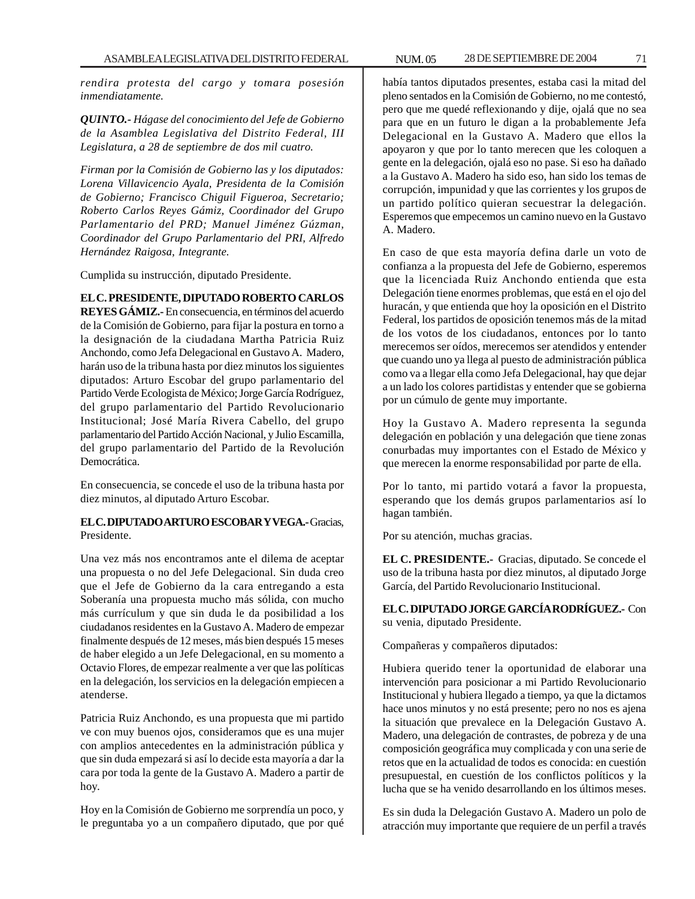*rendira protesta del cargo y tomara posesión inmendiatamente.*

*QUINTO.- Hágase del conocimiento del Jefe de Gobierno de la Asamblea Legislativa del Distrito Federal, III Legislatura, a 28 de septiembre de dos mil cuatro.*

*Firman por la Comisión de Gobierno las y los diputados: Lorena Villavicencio Ayala, Presidenta de la Comisión de Gobierno; Francisco Chiguil Figueroa, Secretario; Roberto Carlos Reyes Gámiz, Coordinador del Grupo Parlamentario del PRD; Manuel Jiménez Gúzman, Coordinador del Grupo Parlamentario del PRI, Alfredo Hernández Raigosa, Integrante.*

Cumplida su instrucción, diputado Presidente.

# **EL C. PRESIDENTE, DIPUTADO ROBERTO CARLOS**

**REYES GÁMIZ.-** En consecuencia, en términos del acuerdo de la Comisión de Gobierno, para fijar la postura en torno a la designación de la ciudadana Martha Patricia Ruiz Anchondo, como Jefa Delegacional en Gustavo A. Madero, harán uso de la tribuna hasta por diez minutos los siguientes diputados: Arturo Escobar del grupo parlamentario del Partido Verde Ecologista de México; Jorge García Rodríguez, del grupo parlamentario del Partido Revolucionario Institucional; José María Rivera Cabello, del grupo parlamentario del Partido Acción Nacional, y Julio Escamilla, del grupo parlamentario del Partido de la Revolución Democrática.

En consecuencia, se concede el uso de la tribuna hasta por diez minutos, al diputado Arturo Escobar.

## **EL C. DIPUTADO ARTURO ESCOBAR Y VEGA.-** Gracias, Presidente.

Una vez más nos encontramos ante el dilema de aceptar una propuesta o no del Jefe Delegacional. Sin duda creo que el Jefe de Gobierno da la cara entregando a esta Soberanía una propuesta mucho más sólida, con mucho más currículum y que sin duda le da posibilidad a los ciudadanos residentes en la Gustavo A. Madero de empezar finalmente después de 12 meses, más bien después 15 meses de haber elegido a un Jefe Delegacional, en su momento a Octavio Flores, de empezar realmente a ver que las políticas en la delegación, los servicios en la delegación empiecen a atenderse.

Patricia Ruiz Anchondo, es una propuesta que mi partido ve con muy buenos ojos, consideramos que es una mujer con amplios antecedentes en la administración pública y que sin duda empezará si así lo decide esta mayoría a dar la cara por toda la gente de la Gustavo A. Madero a partir de hoy.

Hoy en la Comisión de Gobierno me sorprendía un poco, y le preguntaba yo a un compañero diputado, que por qué había tantos diputados presentes, estaba casi la mitad del pleno sentados en la Comisión de Gobierno, no me contestó, pero que me quedé reflexionando y dije, ojalá que no sea para que en un futuro le digan a la probablemente Jefa Delegacional en la Gustavo A. Madero que ellos la apoyaron y que por lo tanto merecen que les coloquen a gente en la delegación, ojalá eso no pase. Si eso ha dañado a la Gustavo A. Madero ha sido eso, han sido los temas de corrupción, impunidad y que las corrientes y los grupos de un partido político quieran secuestrar la delegación. Esperemos que empecemos un camino nuevo en la Gustavo A. Madero.

En caso de que esta mayoría defina darle un voto de confianza a la propuesta del Jefe de Gobierno, esperemos que la licenciada Ruiz Anchondo entienda que esta Delegación tiene enormes problemas, que está en el ojo del huracán, y que entienda que hoy la oposición en el Distrito Federal, los partidos de oposición tenemos más de la mitad de los votos de los ciudadanos, entonces por lo tanto merecemos ser oídos, merecemos ser atendidos y entender que cuando uno ya llega al puesto de administración pública como va a llegar ella como Jefa Delegacional, hay que dejar a un lado los colores partidistas y entender que se gobierna por un cúmulo de gente muy importante.

Hoy la Gustavo A. Madero representa la segunda delegación en población y una delegación que tiene zonas conurbadas muy importantes con el Estado de México y que merecen la enorme responsabilidad por parte de ella.

Por lo tanto, mi partido votará a favor la propuesta, esperando que los demás grupos parlamentarios así lo hagan también.

Por su atención, muchas gracias.

**EL C. PRESIDENTE.-** Gracias, diputado. Se concede el uso de la tribuna hasta por diez minutos, al diputado Jorge García, del Partido Revolucionario Institucional.

**EL C. DIPUTADO JORGE GARCÍA RODRÍGUEZ.-** Con su venia, diputado Presidente.

Compañeras y compañeros diputados:

Hubiera querido tener la oportunidad de elaborar una intervención para posicionar a mi Partido Revolucionario Institucional y hubiera llegado a tiempo, ya que la dictamos hace unos minutos y no está presente; pero no nos es ajena la situación que prevalece en la Delegación Gustavo A. Madero, una delegación de contrastes, de pobreza y de una composición geográfica muy complicada y con una serie de retos que en la actualidad de todos es conocida: en cuestión presupuestal, en cuestión de los conflictos políticos y la lucha que se ha venido desarrollando en los últimos meses.

Es sin duda la Delegación Gustavo A. Madero un polo de atracción muy importante que requiere de un perfil a través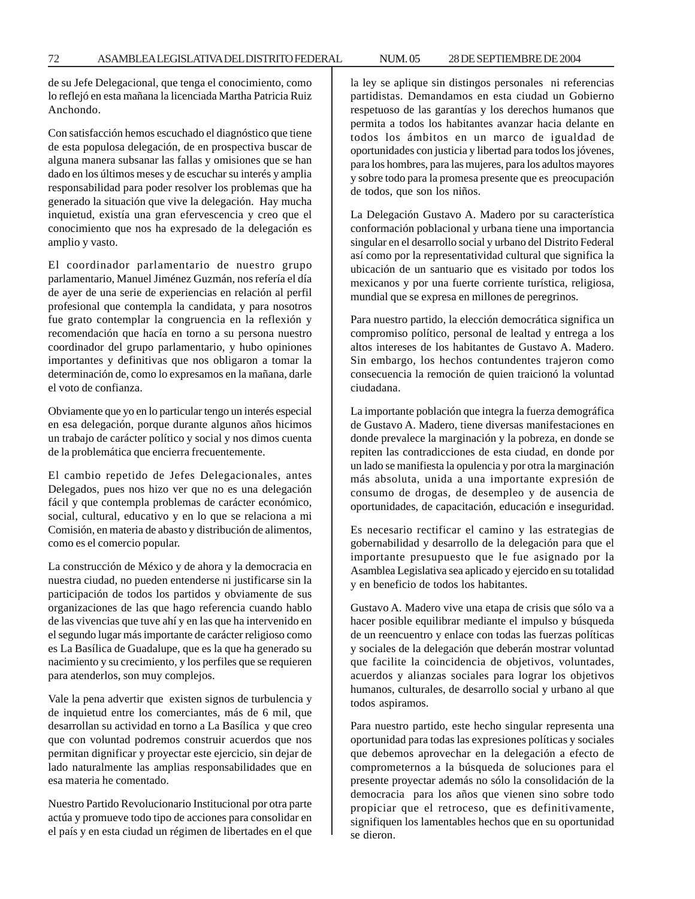de su Jefe Delegacional, que tenga el conocimiento, como lo reflejó en esta mañana la licenciada Martha Patricia Ruiz Anchondo.

Con satisfacción hemos escuchado el diagnóstico que tiene de esta populosa delegación, de en prospectiva buscar de alguna manera subsanar las fallas y omisiones que se han dado en los últimos meses y de escuchar su interés y amplia responsabilidad para poder resolver los problemas que ha generado la situación que vive la delegación. Hay mucha inquietud, existía una gran efervescencia y creo que el conocimiento que nos ha expresado de la delegación es amplio y vasto.

El coordinador parlamentario de nuestro grupo parlamentario, Manuel Jiménez Guzmán, nos refería el día de ayer de una serie de experiencias en relación al perfil profesional que contempla la candidata, y para nosotros fue grato contemplar la congruencia en la reflexión y recomendación que hacía en torno a su persona nuestro coordinador del grupo parlamentario, y hubo opiniones importantes y definitivas que nos obligaron a tomar la determinación de, como lo expresamos en la mañana, darle el voto de confianza.

Obviamente que yo en lo particular tengo un interés especial en esa delegación, porque durante algunos años hicimos un trabajo de carácter político y social y nos dimos cuenta de la problemática que encierra frecuentemente.

El cambio repetido de Jefes Delegacionales, antes Delegados, pues nos hizo ver que no es una delegación fácil y que contempla problemas de carácter económico, social, cultural, educativo y en lo que se relaciona a mi Comisión, en materia de abasto y distribución de alimentos, como es el comercio popular.

La construcción de México y de ahora y la democracia en nuestra ciudad, no pueden entenderse ni justificarse sin la participación de todos los partidos y obviamente de sus organizaciones de las que hago referencia cuando hablo de las vivencias que tuve ahí y en las que ha intervenido en el segundo lugar más importante de carácter religioso como es La Basílica de Guadalupe, que es la que ha generado su nacimiento y su crecimiento, y los perfiles que se requieren para atenderlos, son muy complejos.

Vale la pena advertir que existen signos de turbulencia y de inquietud entre los comerciantes, más de 6 mil, que desarrollan su actividad en torno a La Basílica y que creo que con voluntad podremos construir acuerdos que nos permitan dignificar y proyectar este ejercicio, sin dejar de lado naturalmente las amplias responsabilidades que en esa materia he comentado.

Nuestro Partido Revolucionario Institucional por otra parte actúa y promueve todo tipo de acciones para consolidar en el país y en esta ciudad un régimen de libertades en el que la ley se aplique sin distingos personales ni referencias partidistas. Demandamos en esta ciudad un Gobierno respetuoso de las garantías y los derechos humanos que permita a todos los habitantes avanzar hacia delante en todos los ámbitos en un marco de igualdad de oportunidades con justicia y libertad para todos los jóvenes, para los hombres, para las mujeres, para los adultos mayores y sobre todo para la promesa presente que es preocupación de todos, que son los niños.

La Delegación Gustavo A. Madero por su característica conformación poblacional y urbana tiene una importancia singular en el desarrollo social y urbano del Distrito Federal así como por la representatividad cultural que significa la ubicación de un santuario que es visitado por todos los mexicanos y por una fuerte corriente turística, religiosa, mundial que se expresa en millones de peregrinos.

Para nuestro partido, la elección democrática significa un compromiso político, personal de lealtad y entrega a los altos intereses de los habitantes de Gustavo A. Madero. Sin embargo, los hechos contundentes trajeron como consecuencia la remoción de quien traicionó la voluntad ciudadana.

La importante población que integra la fuerza demográfica de Gustavo A. Madero, tiene diversas manifestaciones en donde prevalece la marginación y la pobreza, en donde se repiten las contradicciones de esta ciudad, en donde por un lado se manifiesta la opulencia y por otra la marginación más absoluta, unida a una importante expresión de consumo de drogas, de desempleo y de ausencia de oportunidades, de capacitación, educación e inseguridad.

Es necesario rectificar el camino y las estrategias de gobernabilidad y desarrollo de la delegación para que el importante presupuesto que le fue asignado por la Asamblea Legislativa sea aplicado y ejercido en su totalidad y en beneficio de todos los habitantes.

Gustavo A. Madero vive una etapa de crisis que sólo va a hacer posible equilibrar mediante el impulso y búsqueda de un reencuentro y enlace con todas las fuerzas políticas y sociales de la delegación que deberán mostrar voluntad que facilite la coincidencia de objetivos, voluntades, acuerdos y alianzas sociales para lograr los objetivos humanos, culturales, de desarrollo social y urbano al que todos aspiramos.

Para nuestro partido, este hecho singular representa una oportunidad para todas las expresiones políticas y sociales que debemos aprovechar en la delegación a efecto de comprometernos a la búsqueda de soluciones para el presente proyectar además no sólo la consolidación de la democracia para los años que vienen sino sobre todo propiciar que el retroceso, que es definitivamente, signifiquen los lamentables hechos que en su oportunidad se dieron.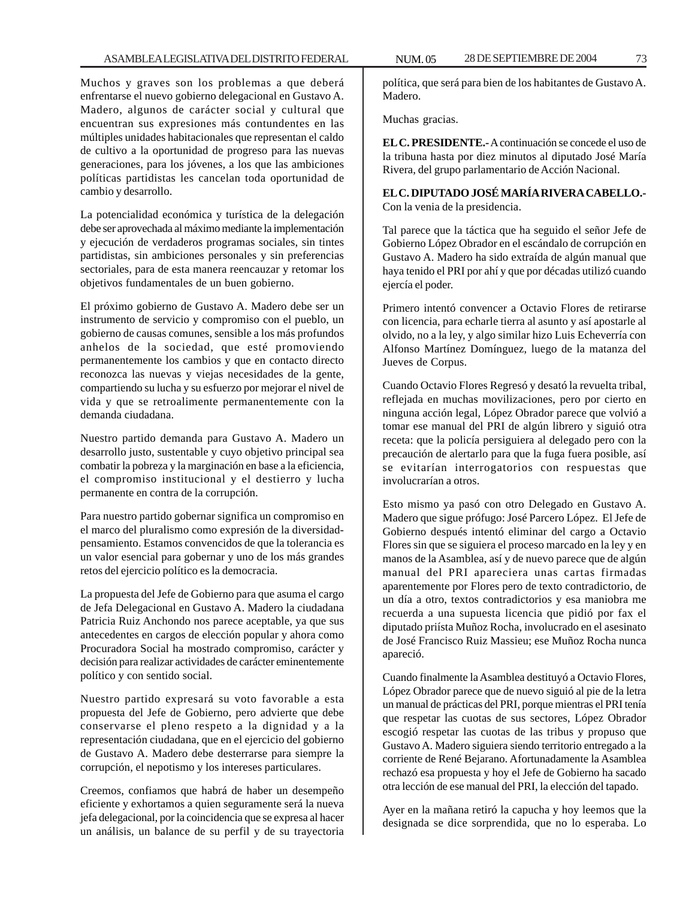Muchos y graves son los problemas a que deberá enfrentarse el nuevo gobierno delegacional en Gustavo A. Madero, algunos de carácter social y cultural que encuentran sus expresiones más contundentes en las múltiples unidades habitacionales que representan el caldo de cultivo a la oportunidad de progreso para las nuevas generaciones, para los jóvenes, a los que las ambiciones políticas partidistas les cancelan toda oportunidad de cambio y desarrollo.

La potencialidad económica y turística de la delegación debe ser aprovechada al máximo mediante la implementación y ejecución de verdaderos programas sociales, sin tintes partidistas, sin ambiciones personales y sin preferencias sectoriales, para de esta manera reencauzar y retomar los objetivos fundamentales de un buen gobierno.

El próximo gobierno de Gustavo A. Madero debe ser un instrumento de servicio y compromiso con el pueblo, un gobierno de causas comunes, sensible a los más profundos anhelos de la sociedad, que esté promoviendo permanentemente los cambios y que en contacto directo reconozca las nuevas y viejas necesidades de la gente, compartiendo su lucha y su esfuerzo por mejorar el nivel de vida y que se retroalimente permanentemente con la demanda ciudadana.

Nuestro partido demanda para Gustavo A. Madero un desarrollo justo, sustentable y cuyo objetivo principal sea combatir la pobreza y la marginación en base a la eficiencia, el compromiso institucional y el destierro y lucha permanente en contra de la corrupción.

Para nuestro partido gobernar significa un compromiso en el marco del pluralismo como expresión de la diversidadpensamiento. Estamos convencidos de que la tolerancia es un valor esencial para gobernar y uno de los más grandes retos del ejercicio político es la democracia.

La propuesta del Jefe de Gobierno para que asuma el cargo de Jefa Delegacional en Gustavo A. Madero la ciudadana Patricia Ruiz Anchondo nos parece aceptable, ya que sus antecedentes en cargos de elección popular y ahora como Procuradora Social ha mostrado compromiso, carácter y decisión para realizar actividades de carácter eminentemente político y con sentido social.

Nuestro partido expresará su voto favorable a esta propuesta del Jefe de Gobierno, pero advierte que debe conservarse el pleno respeto a la dignidad y a la representación ciudadana, que en el ejercicio del gobierno de Gustavo A. Madero debe desterrarse para siempre la corrupción, el nepotismo y los intereses particulares.

Creemos, confiamos que habrá de haber un desempeño eficiente y exhortamos a quien seguramente será la nueva jefa delegacional, por la coincidencia que se expresa al hacer un análisis, un balance de su perfil y de su trayectoria

política, que será para bien de los habitantes de Gustavo A. Madero.

Muchas gracias.

**EL C. PRESIDENTE.-** A continuación se concede el uso de la tribuna hasta por diez minutos al diputado José María Rivera, del grupo parlamentario de Acción Nacional.

**EL C. DIPUTADO JOSÉ MARÍA RIVERA CABELLO.-** Con la venia de la presidencia.

Tal parece que la táctica que ha seguido el señor Jefe de Gobierno López Obrador en el escándalo de corrupción en Gustavo A. Madero ha sido extraída de algún manual que haya tenido el PRI por ahí y que por décadas utilizó cuando ejercía el poder.

Primero intentó convencer a Octavio Flores de retirarse con licencia, para echarle tierra al asunto y así apostarle al olvido, no a la ley, y algo similar hizo Luis Echeverría con Alfonso Martínez Domínguez, luego de la matanza del Jueves de Corpus.

Cuando Octavio Flores Regresó y desató la revuelta tribal, reflejada en muchas movilizaciones, pero por cierto en ninguna acción legal, López Obrador parece que volvió a tomar ese manual del PRI de algún librero y siguió otra receta: que la policía persiguiera al delegado pero con la precaución de alertarlo para que la fuga fuera posible, así se evitarían interrogatorios con respuestas que involucrarían a otros.

Esto mismo ya pasó con otro Delegado en Gustavo A. Madero que sigue prófugo: José Parcero López. El Jefe de Gobierno después intentó eliminar del cargo a Octavio Flores sin que se siguiera el proceso marcado en la ley y en manos de la Asamblea, así y de nuevo parece que de algún manual del PRI apareciera unas cartas firmadas aparentemente por Flores pero de texto contradictorio, de un día a otro, textos contradictorios y esa maniobra me recuerda a una supuesta licencia que pidió por fax el diputado priísta Muñoz Rocha, involucrado en el asesinato de José Francisco Ruiz Massieu; ese Muñoz Rocha nunca apareció.

Cuando finalmente la Asamblea destituyó a Octavio Flores, López Obrador parece que de nuevo siguió al pie de la letra un manual de prácticas del PRI, porque mientras el PRI tenía que respetar las cuotas de sus sectores, López Obrador escogió respetar las cuotas de las tribus y propuso que Gustavo A. Madero siguiera siendo territorio entregado a la corriente de René Bejarano. Afortunadamente la Asamblea rechazó esa propuesta y hoy el Jefe de Gobierno ha sacado otra lección de ese manual del PRI, la elección del tapado.

Ayer en la mañana retiró la capucha y hoy leemos que la designada se dice sorprendida, que no lo esperaba. Lo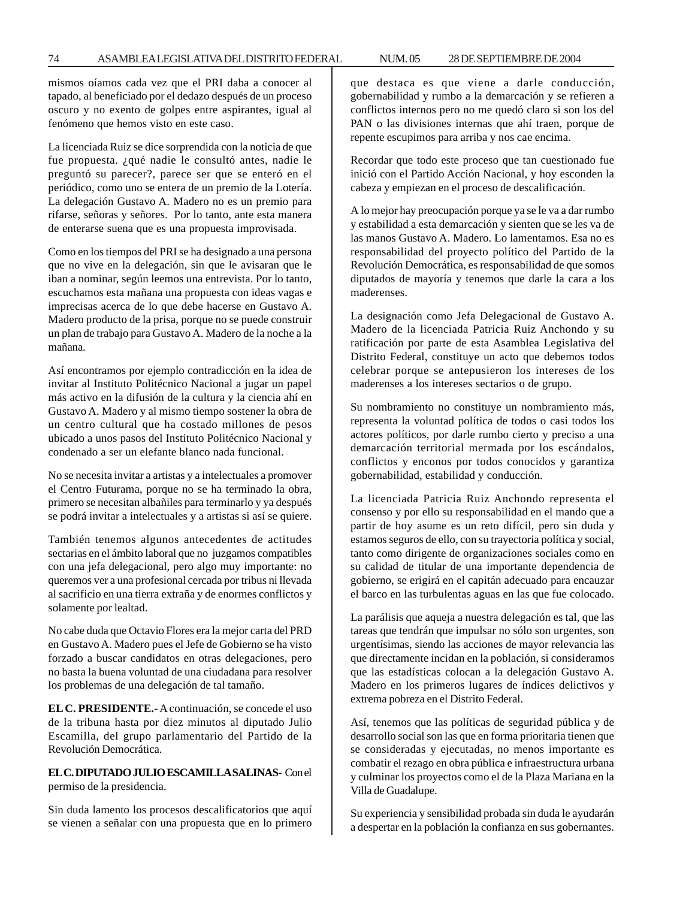mismos oíamos cada vez que el PRI daba a conocer al tapado, al beneficiado por el dedazo después de un proceso oscuro y no exento de golpes entre aspirantes, igual al fenómeno que hemos visto en este caso.

La licenciada Ruiz se dice sorprendida con la noticia de que fue propuesta. ¿qué nadie le consultó antes, nadie le preguntó su parecer?, parece ser que se enteró en el periódico, como uno se entera de un premio de la Lotería. La delegación Gustavo A. Madero no es un premio para rifarse, señoras y señores. Por lo tanto, ante esta manera de enterarse suena que es una propuesta improvisada.

Como en los tiempos del PRI se ha designado a una persona que no vive en la delegación, sin que le avisaran que le iban a nominar, según leemos una entrevista. Por lo tanto, escuchamos esta mañana una propuesta con ideas vagas e imprecisas acerca de lo que debe hacerse en Gustavo A. Madero producto de la prisa, porque no se puede construir un plan de trabajo para Gustavo A. Madero de la noche a la mañana.

Así encontramos por ejemplo contradicción en la idea de invitar al Instituto Politécnico Nacional a jugar un papel más activo en la difusión de la cultura y la ciencia ahí en Gustavo A. Madero y al mismo tiempo sostener la obra de un centro cultural que ha costado millones de pesos ubicado a unos pasos del Instituto Politécnico Nacional y condenado a ser un elefante blanco nada funcional.

No se necesita invitar a artistas y a intelectuales a promover el Centro Futurama, porque no se ha terminado la obra, primero se necesitan albañiles para terminarlo y ya después se podrá invitar a intelectuales y a artistas si así se quiere.

También tenemos algunos antecedentes de actitudes sectarias en el ámbito laboral que no juzgamos compatibles con una jefa delegacional, pero algo muy importante: no queremos ver a una profesional cercada por tribus ni llevada al sacrificio en una tierra extraña y de enormes conflictos y solamente por lealtad.

No cabe duda que Octavio Flores era la mejor carta del PRD en Gustavo A. Madero pues el Jefe de Gobierno se ha visto forzado a buscar candidatos en otras delegaciones, pero no basta la buena voluntad de una ciudadana para resolver los problemas de una delegación de tal tamaño.

**EL C. PRESIDENTE.-** A continuación, se concede el uso de la tribuna hasta por diez minutos al diputado Julio Escamilla, del grupo parlamentario del Partido de la Revolución Democrática.

## **EL C. DIPUTADO JULIO ESCAMILLA SALINAS-** Con el permiso de la presidencia.

Sin duda lamento los procesos descalificatorios que aquí se vienen a señalar con una propuesta que en lo primero que destaca es que viene a darle conducción, gobernabilidad y rumbo a la demarcación y se refieren a conflictos internos pero no me quedó claro si son los del PAN o las divisiones internas que ahí traen, porque de repente escupimos para arriba y nos cae encima.

Recordar que todo este proceso que tan cuestionado fue inició con el Partido Acción Nacional, y hoy esconden la cabeza y empiezan en el proceso de descalificación.

A lo mejor hay preocupación porque ya se le va a dar rumbo y estabilidad a esta demarcación y sienten que se les va de las manos Gustavo A. Madero. Lo lamentamos. Esa no es responsabilidad del proyecto político del Partido de la Revolución Democrática, es responsabilidad de que somos diputados de mayoría y tenemos que darle la cara a los maderenses.

La designación como Jefa Delegacional de Gustavo A. Madero de la licenciada Patricia Ruiz Anchondo y su ratificación por parte de esta Asamblea Legislativa del Distrito Federal, constituye un acto que debemos todos celebrar porque se antepusieron los intereses de los maderenses a los intereses sectarios o de grupo.

Su nombramiento no constituye un nombramiento más, representa la voluntad política de todos o casi todos los actores políticos, por darle rumbo cierto y preciso a una demarcación territorial mermada por los escándalos, conflictos y enconos por todos conocidos y garantiza gobernabilidad, estabilidad y conducción.

La licenciada Patricia Ruiz Anchondo representa el consenso y por ello su responsabilidad en el mando que a partir de hoy asume es un reto difícil, pero sin duda y estamos seguros de ello, con su trayectoria política y social, tanto como dirigente de organizaciones sociales como en su calidad de titular de una importante dependencia de gobierno, se erigirá en el capitán adecuado para encauzar el barco en las turbulentas aguas en las que fue colocado.

La parálisis que aqueja a nuestra delegación es tal, que las tareas que tendrán que impulsar no sólo son urgentes, son urgentísimas, siendo las acciones de mayor relevancia las que directamente incidan en la población, si consideramos que las estadísticas colocan a la delegación Gustavo A. Madero en los primeros lugares de índices delictivos y extrema pobreza en el Distrito Federal.

Así, tenemos que las políticas de seguridad pública y de desarrollo social son las que en forma prioritaria tienen que se consideradas y ejecutadas, no menos importante es combatir el rezago en obra pública e infraestructura urbana y culminar los proyectos como el de la Plaza Mariana en la Villa de Guadalupe.

Su experiencia y sensibilidad probada sin duda le ayudarán a despertar en la población la confianza en sus gobernantes.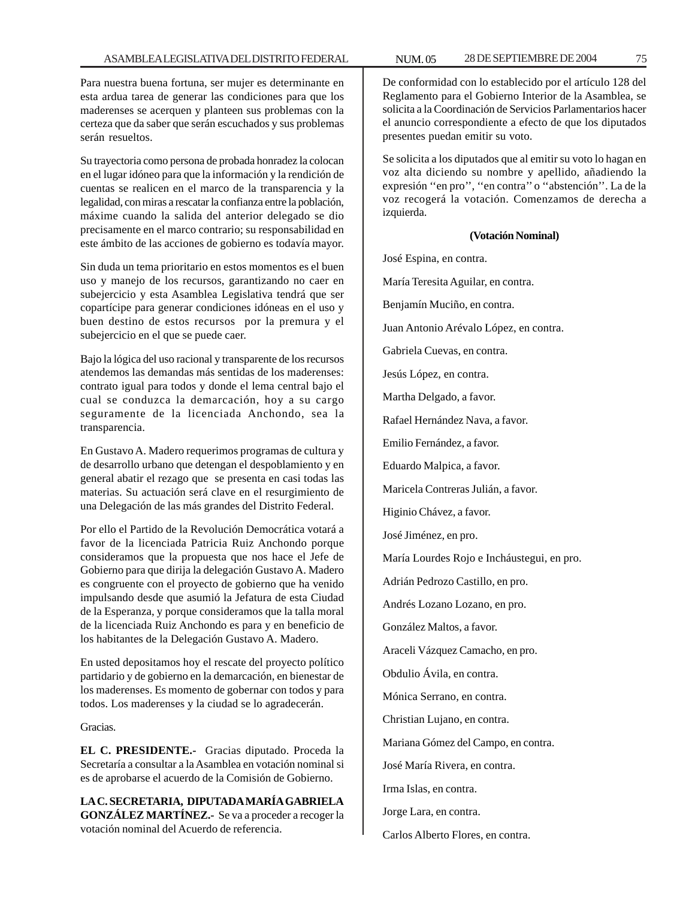Para nuestra buena fortuna, ser mujer es determinante en esta ardua tarea de generar las condiciones para que los maderenses se acerquen y planteen sus problemas con la certeza que da saber que serán escuchados y sus problemas serán resueltos.

Su trayectoria como persona de probada honradez la colocan en el lugar idóneo para que la información y la rendición de cuentas se realicen en el marco de la transparencia y la legalidad, con miras a rescatar la confianza entre la población, máxime cuando la salida del anterior delegado se dio precisamente en el marco contrario; su responsabilidad en este ámbito de las acciones de gobierno es todavía mayor.

Sin duda un tema prioritario en estos momentos es el buen uso y manejo de los recursos, garantizando no caer en subejercicio y esta Asamblea Legislativa tendrá que ser copartícipe para generar condiciones idóneas en el uso y buen destino de estos recursos por la premura y el subejercicio en el que se puede caer.

Bajo la lógica del uso racional y transparente de los recursos atendemos las demandas más sentidas de los maderenses: contrato igual para todos y donde el lema central bajo el cual se conduzca la demarcación, hoy a su cargo seguramente de la licenciada Anchondo, sea la transparencia.

En Gustavo A. Madero requerimos programas de cultura y de desarrollo urbano que detengan el despoblamiento y en general abatir el rezago que se presenta en casi todas las materias. Su actuación será clave en el resurgimiento de una Delegación de las más grandes del Distrito Federal.

Por ello el Partido de la Revolución Democrática votará a favor de la licenciada Patricia Ruiz Anchondo porque consideramos que la propuesta que nos hace el Jefe de Gobierno para que dirija la delegación Gustavo A. Madero es congruente con el proyecto de gobierno que ha venido impulsando desde que asumió la Jefatura de esta Ciudad de la Esperanza, y porque consideramos que la talla moral de la licenciada Ruiz Anchondo es para y en beneficio de los habitantes de la Delegación Gustavo A. Madero.

En usted depositamos hoy el rescate del proyecto político partidario y de gobierno en la demarcación, en bienestar de los maderenses. Es momento de gobernar con todos y para todos. Los maderenses y la ciudad se lo agradecerán.

Gracias.

**EL C. PRESIDENTE.-** Gracias diputado. Proceda la Secretaría a consultar a la Asamblea en votación nominal si es de aprobarse el acuerdo de la Comisión de Gobierno.

**LA C. SECRETARIA, DIPUTADA MARÍA GABRIELA GONZÁLEZ MARTÍNEZ.-** Se va a proceder a recoger la votación nominal del Acuerdo de referencia.

De conformidad con lo establecido por el artículo 128 del Reglamento para el Gobierno Interior de la Asamblea, se solicita a la Coordinación de Servicios Parlamentarios hacer el anuncio correspondiente a efecto de que los diputados presentes puedan emitir su voto.

Se solicita a los diputados que al emitir su voto lo hagan en voz alta diciendo su nombre y apellido, añadiendo la expresión ''en pro'', ''en contra'' o ''abstención''. La de la voz recogerá la votación. Comenzamos de derecha a izquierda.

#### **(Votación Nominal)**

José Espina, en contra. María Teresita Aguilar, en contra. Benjamín Muciño, en contra. Juan Antonio Arévalo López, en contra. Gabriela Cuevas, en contra. Jesús López, en contra. Martha Delgado, a favor. Rafael Hernández Nava, a favor. Emilio Fernández, a favor. Eduardo Malpica, a favor. Maricela Contreras Julián, a favor. Higinio Chávez, a favor. José Jiménez, en pro. María Lourdes Rojo e Incháustegui, en pro. Adrián Pedrozo Castillo, en pro. Andrés Lozano Lozano, en pro. González Maltos, a favor. Araceli Vázquez Camacho, en pro. Obdulio Ávila, en contra. Mónica Serrano, en contra. Christian Lujano, en contra. Mariana Gómez del Campo, en contra. José María Rivera, en contra. Irma Islas, en contra. Jorge Lara, en contra. Carlos Alberto Flores, en contra.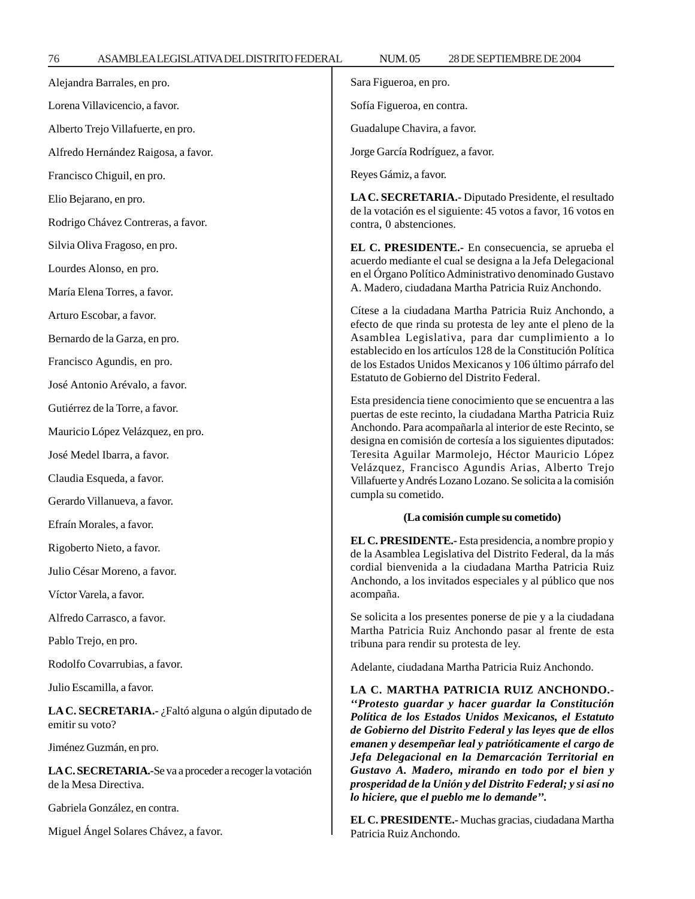76 ASAMBLEA LEGISLATIVA DEL DISTRITO FEDERAL 28 NUM. 05 DE SEPTIEMBRE DE 2004 Alejandra Barrales, en pro. Lorena Villavicencio, a favor. Alberto Trejo Villafuerte, en pro. Alfredo Hernández Raigosa, a favor. Francisco Chiguil, en pro. Elio Bejarano, en pro. Rodrigo Chávez Contreras, a favor. Silvia Oliva Fragoso, en pro. Lourdes Alonso, en pro. María Elena Torres, a favor. Arturo Escobar, a favor. Bernardo de la Garza, en pro. Francisco Agundis, en pro. José Antonio Arévalo, a favor. Gutiérrez de la Torre, a favor. Mauricio López Velázquez, en pro. José Medel Ibarra, a favor. Claudia Esqueda, a favor. Gerardo Villanueva, a favor. Efraín Morales, a favor. Rigoberto Nieto, a favor. Julio César Moreno, a favor. Víctor Varela, a favor. Alfredo Carrasco, a favor. Pablo Trejo, en pro. Rodolfo Covarrubias, a favor. Julio Escamilla, a favor. **LA C. SECRETARIA.-** ¿Faltó alguna o algún diputado de emitir su voto? Jiménez Guzmán, en pro. **LA C. SECRETARIA.-**Se va a proceder a recoger la votación de la Mesa Directiva. Sara Figueroa, en pro. Sofía Figueroa, en contra. Guadalupe Chavira, a favor. Jorge García Rodríguez, a favor. Reyes Gámiz, a favor. **LA C. SECRETARIA.-** Diputado Presidente, el resultado de la votación es el siguiente: 45 votos a favor, 16 votos en contra, 0 abstenciones. **EL C. PRESIDENTE.-** En consecuencia, se aprueba el acuerdo mediante el cual se designa a la Jefa Delegacional en el Órgano Político Administrativo denominado Gustavo A. Madero, ciudadana Martha Patricia Ruiz Anchondo. Cítese a la ciudadana Martha Patricia Ruiz Anchondo, a efecto de que rinda su protesta de ley ante el pleno de la Asamblea Legislativa, para dar cumplimiento a lo establecido en los artículos 128 de la Constitución Política de los Estados Unidos Mexicanos y 106 último párrafo del Estatuto de Gobierno del Distrito Federal. Esta presidencia tiene conocimiento que se encuentra a las puertas de este recinto, la ciudadana Martha Patricia Ruiz Anchondo. Para acompañarla al interior de este Recinto, se designa en comisión de cortesía a los siguientes diputados: Teresita Aguilar Marmolejo, Héctor Mauricio López Velázquez, Francisco Agundis Arias, Alberto Trejo Villafuerte y Andrés Lozano Lozano. Se solicita a la comisión cumpla su cometido. **(La comisión cumple su cometido) EL C. PRESIDENTE.-** Esta presidencia, a nombre propio y de la Asamblea Legislativa del Distrito Federal, da la más cordial bienvenida a la ciudadana Martha Patricia Ruiz Anchondo, a los invitados especiales y al público que nos acompaña. Se solicita a los presentes ponerse de pie y a la ciudadana Martha Patricia Ruiz Anchondo pasar al frente de esta tribuna para rendir su protesta de ley. Adelante, ciudadana Martha Patricia Ruiz Anchondo. **LA C. MARTHA PATRICIA RUIZ ANCHONDO.-** *''Protesto guardar y hacer guardar la Constitución Política de los Estados Unidos Mexicanos, el Estatuto de Gobierno del Distrito Federal y las leyes que de ellos emanen y desempeñar leal y patrióticamente el cargo de Jefa Delegacional en la Demarcación Territorial en Gustavo A. Madero, mirando en todo por el bien y prosperidad de la Unión y del Distrito Federal; y si así no*

Gabriela González, en contra.

Miguel Ángel Solares Chávez, a favor.

**EL C. PRESIDENTE.-** Muchas gracias, ciudadana Martha Patricia Ruiz Anchondo.

*lo hiciere, que el pueblo me lo demande''.*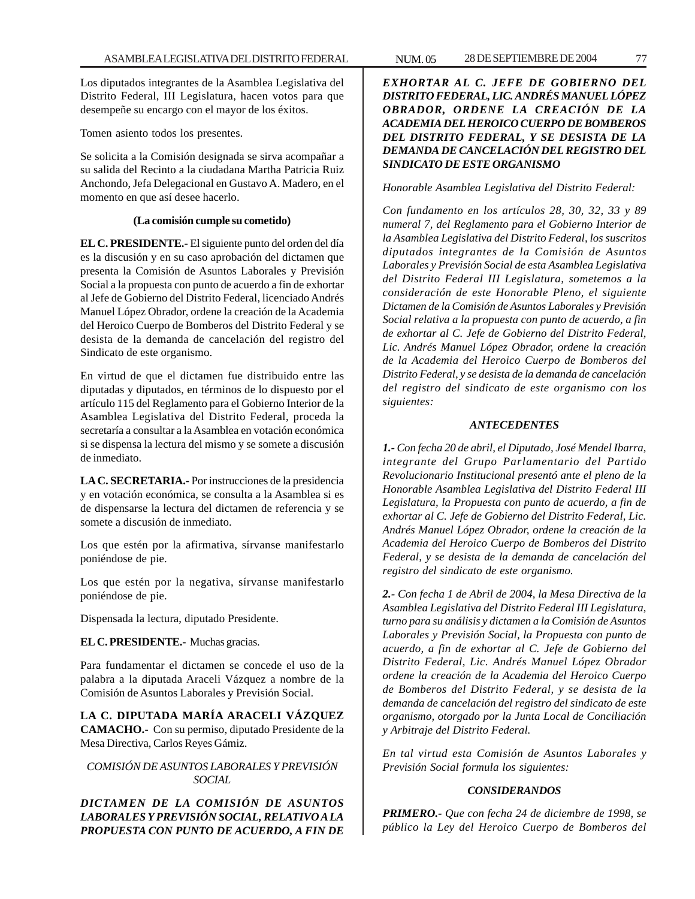Los diputados integrantes de la Asamblea Legislativa del Distrito Federal, III Legislatura, hacen votos para que desempeñe su encargo con el mayor de los éxitos.

Tomen asiento todos los presentes.

Se solicita a la Comisión designada se sirva acompañar a su salida del Recinto a la ciudadana Martha Patricia Ruiz Anchondo, Jefa Delegacional en Gustavo A. Madero, en el momento en que así desee hacerlo.

## **(La comisión cumple su cometido)**

**EL C. PRESIDENTE.-** El siguiente punto del orden del día es la discusión y en su caso aprobación del dictamen que presenta la Comisión de Asuntos Laborales y Previsión Social a la propuesta con punto de acuerdo a fin de exhortar al Jefe de Gobierno del Distrito Federal, licenciado Andrés Manuel López Obrador, ordene la creación de la Academia del Heroico Cuerpo de Bomberos del Distrito Federal y se desista de la demanda de cancelación del registro del Sindicato de este organismo.

En virtud de que el dictamen fue distribuido entre las diputadas y diputados, en términos de lo dispuesto por el artículo 115 del Reglamento para el Gobierno Interior de la Asamblea Legislativa del Distrito Federal, proceda la secretaría a consultar a la Asamblea en votación económica si se dispensa la lectura del mismo y se somete a discusión de inmediato.

**LA C. SECRETARIA.-** Por instrucciones de la presidencia y en votación económica, se consulta a la Asamblea si es de dispensarse la lectura del dictamen de referencia y se somete a discusión de inmediato.

Los que estén por la afirmativa, sírvanse manifestarlo poniéndose de pie.

Los que estén por la negativa, sírvanse manifestarlo poniéndose de pie.

Dispensada la lectura, diputado Presidente.

# **EL C. PRESIDENTE.-** Muchas gracias.

Para fundamentar el dictamen se concede el uso de la palabra a la diputada Araceli Vázquez a nombre de la Comisión de Asuntos Laborales y Previsión Social.

**LA C. DIPUTADA MARÍA ARACELI VÁZQUEZ CAMACHO.-** Con su permiso, diputado Presidente de la Mesa Directiva, Carlos Reyes Gámiz.

# *COMISIÓN DE ASUNTOS LABORALES Y PREVISIÓN SOCIAL*

*DICTAMEN DE LA COMISIÓN DE ASUNTOS LABORALES Y PREVISIÓN SOCIAL, RELATIVO A LA PROPUESTA CON PUNTO DE ACUERDO, A FIN DE* *EXHORTAR AL C. JEFE DE GOBIERNO DEL DISTRITO FEDERAL, LIC. ANDRÉS MANUEL LÓPEZ OBRADOR, ORDENE LA CREACIÓN DE LA ACADEMIA DEL HEROICO CUERPO DE BOMBEROS DEL DISTRITO FEDERAL, Y SE DESISTA DE LA DEMANDA DE CANCELACIÓN DEL REGISTRO DEL SINDICATO DE ESTE ORGANISMO*

# *Honorable Asamblea Legislativa del Distrito Federal:*

*Con fundamento en los artículos 28, 30, 32, 33 y 89 numeral 7, del Reglamento para el Gobierno Interior de la Asamblea Legislativa del Distrito Federal, los suscritos diputados integrantes de la Comisión de Asuntos Laborales y Previsión Social de esta Asamblea Legislativa del Distrito Federal III Legislatura, sometemos a la consideración de este Honorable Pleno, el siguiente Dictamen de la Comisión de Asuntos Laborales y Previsión Social relativa a la propuesta con punto de acuerdo, a fin de exhortar al C. Jefe de Gobierno del Distrito Federal, Lic. Andrés Manuel López Obrador, ordene la creación de la Academia del Heroico Cuerpo de Bomberos del Distrito Federal, y se desista de la demanda de cancelación del registro del sindicato de este organismo con los siguientes:*

## *ANTECEDENTES*

*1.- Con fecha 20 de abril, el Diputado, José Mendel Ibarra, integrante del Grupo Parlamentario del Partido Revolucionario Institucional presentó ante el pleno de la Honorable Asamblea Legislativa del Distrito Federal III Legislatura, la Propuesta con punto de acuerdo, a fin de exhortar al C. Jefe de Gobierno del Distrito Federal, Lic. Andrés Manuel López Obrador, ordene la creación de la Academia del Heroico Cuerpo de Bomberos del Distrito Federal, y se desista de la demanda de cancelación del registro del sindicato de este organismo.*

*2.- Con fecha 1 de Abril de 2004, la Mesa Directiva de la Asamblea Legislativa del Distrito Federal III Legislatura, turno para su análisis y dictamen a la Comisión de Asuntos Laborales y Previsión Social, la Propuesta con punto de acuerdo, a fin de exhortar al C. Jefe de Gobierno del Distrito Federal, Lic. Andrés Manuel López Obrador ordene la creación de la Academia del Heroico Cuerpo de Bomberos del Distrito Federal, y se desista de la demanda de cancelación del registro del sindicato de este organismo, otorgado por la Junta Local de Conciliación y Arbitraje del Distrito Federal.*

*En tal virtud esta Comisión de Asuntos Laborales y Previsión Social formula los siguientes:*

## *CONSIDERANDOS*

*PRIMERO.- Que con fecha 24 de diciembre de 1998, se público la Ley del Heroico Cuerpo de Bomberos del*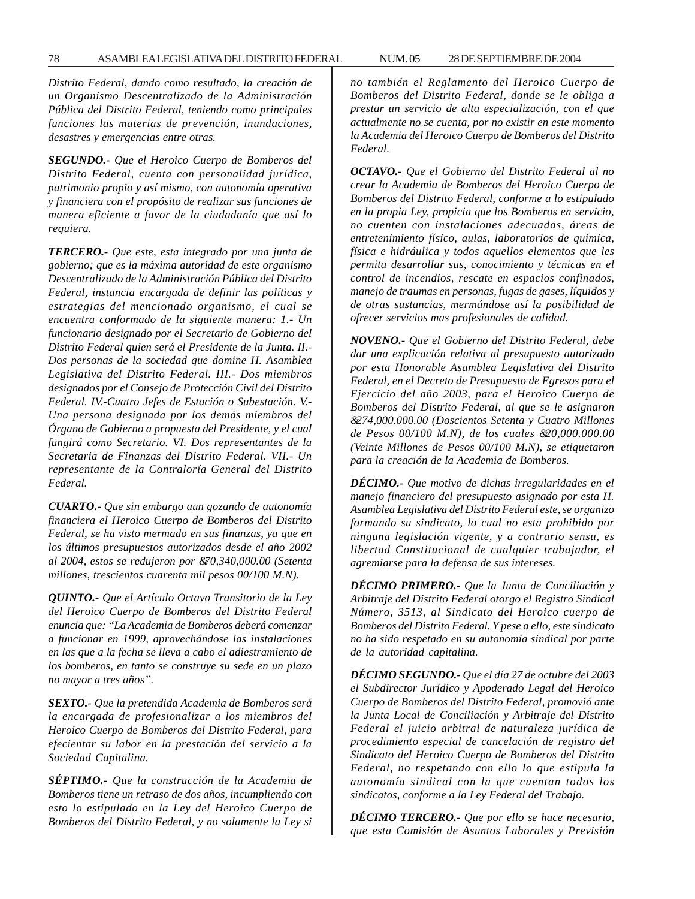*Distrito Federal, dando como resultado, la creación de un Organismo Descentralizado de la Administración Pública del Distrito Federal, teniendo como principales funciones las materias de prevención, inundaciones, desastres y emergencias entre otras.*

*SEGUNDO.- Que el Heroico Cuerpo de Bomberos del Distrito Federal, cuenta con personalidad jurídica, patrimonio propio y así mismo, con autonomía operativa y financiera con el propósito de realizar sus funciones de manera eficiente a favor de la ciudadanía que así lo requiera.*

*TERCERO.- Que este, esta integrado por una junta de gobierno; que es la máxima autoridad de este organismo Descentralizado de la Administración Pública del Distrito Federal, instancia encargada de definir las políticas y estrategias del mencionado organismo, el cual se encuentra conformado de la siguiente manera: 1.- Un funcionario designado por el Secretario de Gobierno del Distrito Federal quien será el Presidente de la Junta. II.- Dos personas de la sociedad que domine H. Asamblea Legislativa del Distrito Federal. III.- Dos miembros designados por el Consejo de Protección Civil del Distrito Federal. IV.-Cuatro Jefes de Estación o Subestación. V.- Una persona designada por los demás miembros del Órgano de Gobierno a propuesta del Presidente, y el cual fungirá como Secretario. VI. Dos representantes de la Secretaria de Finanzas del Distrito Federal. VII.- Un representante de la Contraloría General del Distrito Federal.*

*CUARTO.- Que sin embargo aun gozando de autonomía financiera el Heroico Cuerpo de Bomberos del Distrito Federal, se ha visto mermado en sus finanzas, ya que en los últimos presupuestos autorizados desde el año 2002 al 2004, estos se redujeron por &70,340,000.00 (Setenta millones, trescientos cuarenta mil pesos 00/100 M.N).*

*QUINTO.- Que el Artículo Octavo Transitorio de la Ley del Heroico Cuerpo de Bomberos del Distrito Federal enuncia que: ''La Academia de Bomberos deberá comenzar a funcionar en 1999, aprovechándose las instalaciones en las que a la fecha se lleva a cabo el adiestramiento de los bomberos, en tanto se construye su sede en un plazo no mayor a tres años''.*

*SEXTO.- Que la pretendida Academia de Bomberos será la encargada de profesionalizar a los miembros del Heroico Cuerpo de Bomberos del Distrito Federal, para efecientar su labor en la prestación del servicio a la Sociedad Capitalina.*

*SÉPTIMO.- Que la construcción de la Academia de Bomberos tiene un retraso de dos años, incumpliendo con esto lo estipulado en la Ley del Heroico Cuerpo de Bomberos del Distrito Federal, y no solamente la Ley si* *no también el Reglamento del Heroico Cuerpo de Bomberos del Distrito Federal, donde se le obliga a prestar un servicio de alta especialización, con el que actualmente no se cuenta, por no existir en este momento la Academia del Heroico Cuerpo de Bomberos del Distrito Federal.*

*OCTAVO.- Que el Gobierno del Distrito Federal al no crear la Academia de Bomberos del Heroico Cuerpo de Bomberos del Distrito Federal, conforme a lo estipulado en la propia Ley, propicia que los Bomberos en servicio, no cuenten con instalaciones adecuadas, áreas de entretenimiento físico, aulas, laboratorios de química, física e hidráulica y todos aquellos elementos que les permita desarrollar sus, conocimiento y técnicas en el control de incendios, rescate en espacios confinados, manejo de traumas en personas, fugas de gases, líquidos y de otras sustancias, mermándose así la posibilidad de ofrecer servicios mas profesionales de calidad.*

*NOVENO.- Que el Gobierno del Distrito Federal, debe dar una explicación relativa al presupuesto autorizado por esta Honorable Asamblea Legislativa del Distrito Federal, en el Decreto de Presupuesto de Egresos para el Ejercicio del año 2003, para el Heroico Cuerpo de Bomberos del Distrito Federal, al que se le asignaron &274,000.000.00 (Doscientos Setenta y Cuatro Millones de Pesos 00/100 M.N), de los cuales &20,000.000.00 (Veinte Millones de Pesos 00/100 M.N), se etiquetaron para la creación de la Academia de Bomberos.*

*DÉCIMO.- Que motivo de dichas irregularidades en el manejo financiero del presupuesto asignado por esta H. Asamblea Legislativa del Distrito Federal este, se organizo formando su sindicato, lo cual no esta prohibido por ninguna legislación vigente, y a contrario sensu, es libertad Constitucional de cualquier trabajador, el agremiarse para la defensa de sus intereses.*

*DÉCIMO PRIMERO.- Que la Junta de Conciliación y Arbitraje del Distrito Federal otorgo el Registro Sindical Número, 3513, al Sindicato del Heroico cuerpo de Bomberos del Distrito Federal. Y pese a ello, este sindicato no ha sido respetado en su autonomía sindical por parte de la autoridad capitalina.*

*DÉCIMO SEGUNDO.- Que el día 27 de octubre del 2003 el Subdirector Jurídico y Apoderado Legal del Heroico Cuerpo de Bomberos del Distrito Federal, promovió ante la Junta Local de Conciliación y Arbitraje del Distrito Federal el juicio arbitral de naturaleza jurídica de procedimiento especial de cancelación de registro del Sindicato del Heroico Cuerpo de Bomberos del Distrito Federal, no respetando con ello lo que estipula la autonomía sindical con la que cuentan todos los sindicatos, conforme a la Ley Federal del Trabajo.*

*DÉCIMO TERCERO.- Que por ello se hace necesario, que esta Comisión de Asuntos Laborales y Previsión*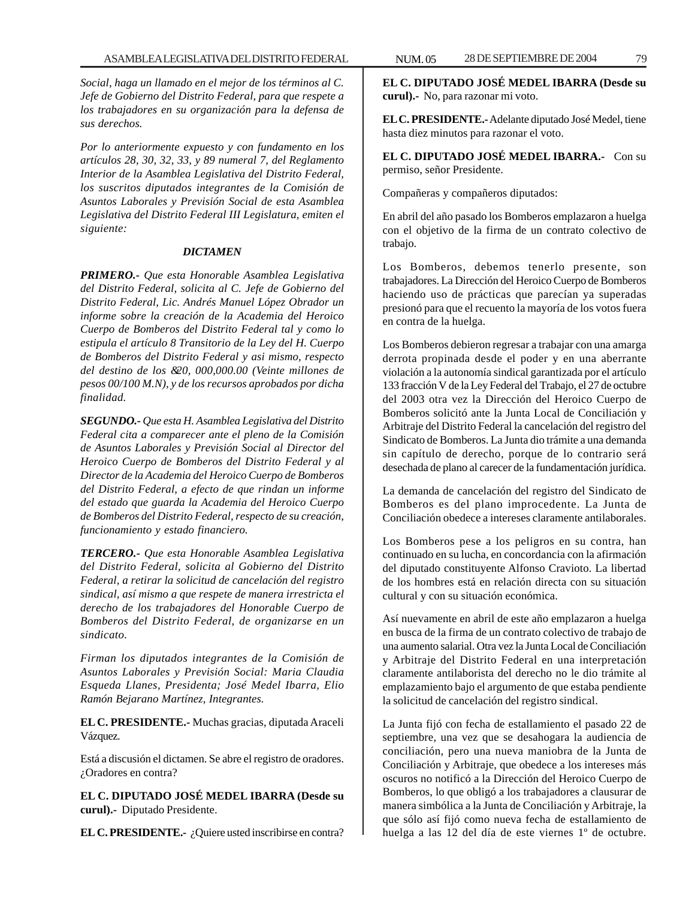*Social, haga un llamado en el mejor de los términos al C. Jefe de Gobierno del Distrito Federal, para que respete a los trabajadores en su organización para la defensa de sus derechos.*

*Por lo anteriormente expuesto y con fundamento en los artículos 28, 30, 32, 33, y 89 numeral 7, del Reglamento Interior de la Asamblea Legislativa del Distrito Federal, los suscritos diputados integrantes de la Comisión de Asuntos Laborales y Previsión Social de esta Asamblea Legislativa del Distrito Federal III Legislatura, emiten el siguiente:*

#### *DICTAMEN*

*PRIMERO.- Que esta Honorable Asamblea Legislativa del Distrito Federal, solicita al C. Jefe de Gobierno del Distrito Federal, Lic. Andrés Manuel López Obrador un informe sobre la creación de la Academia del Heroico Cuerpo de Bomberos del Distrito Federal tal y como lo estipula el artículo 8 Transitorio de la Ley del H. Cuerpo de Bomberos del Distrito Federal y asi mismo, respecto del destino de los &20, 000,000.00 (Veinte millones de pesos 00/100 M.N), y de los recursos aprobados por dicha finalidad.*

*SEGUNDO.- Que esta H. Asamblea Legislativa del Distrito Federal cita a comparecer ante el pleno de la Comisión de Asuntos Laborales y Previsión Social al Director del Heroico Cuerpo de Bomberos del Distrito Federal y al Director de la Academia del Heroico Cuerpo de Bomberos del Distrito Federal, a efecto de que rindan un informe del estado que guarda la Academia del Heroico Cuerpo de Bomberos del Distrito Federal, respecto de su creación, funcionamiento y estado financiero.*

*TERCERO.- Que esta Honorable Asamblea Legislativa del Distrito Federal, solicita al Gobierno del Distrito Federal, a retirar la solicitud de cancelación del registro sindical, así mismo a que respete de manera irrestricta el derecho de los trabajadores del Honorable Cuerpo de Bomberos del Distrito Federal, de organizarse en un sindicato.*

*Firman los diputados integrantes de la Comisión de Asuntos Laborales y Previsión Social: Maria Claudia Esqueda Llanes, Presidenta; José Medel Ibarra, Elio Ramón Bejarano Martínez, Integrantes.*

**EL C. PRESIDENTE.-** Muchas gracias, diputada Araceli Vázquez.

Está a discusión el dictamen. Se abre el registro de oradores. ¿Oradores en contra?

**EL C. DIPUTADO JOSÉ MEDEL IBARRA (Desde su curul).-** Diputado Presidente.

**EL C. PRESIDENTE.-** ¿Quiere usted inscribirse en contra?

**EL C. DIPUTADO JOSÉ MEDEL IBARRA (Desde su curul).-** No, para razonar mi voto.

**EL C. PRESIDENTE.-** Adelante diputado José Medel, tiene hasta diez minutos para razonar el voto.

**EL C. DIPUTADO JOSÉ MEDEL IBARRA.-** Con su permiso, señor Presidente.

Compañeras y compañeros diputados:

En abril del año pasado los Bomberos emplazaron a huelga con el objetivo de la firma de un contrato colectivo de trabajo.

Los Bomberos, debemos tenerlo presente, son trabajadores. La Dirección del Heroico Cuerpo de Bomberos haciendo uso de prácticas que parecían ya superadas presionó para que el recuento la mayoría de los votos fuera en contra de la huelga.

Los Bomberos debieron regresar a trabajar con una amarga derrota propinada desde el poder y en una aberrante violación a la autonomía sindical garantizada por el artículo 133 fracción V de la Ley Federal del Trabajo, el 27 de octubre del 2003 otra vez la Dirección del Heroico Cuerpo de Bomberos solicitó ante la Junta Local de Conciliación y Arbitraje del Distrito Federal la cancelación del registro del Sindicato de Bomberos. La Junta dio trámite a una demanda sin capítulo de derecho, porque de lo contrario será desechada de plano al carecer de la fundamentación jurídica.

La demanda de cancelación del registro del Sindicato de Bomberos es del plano improcedente. La Junta de Conciliación obedece a intereses claramente antilaborales.

Los Bomberos pese a los peligros en su contra, han continuado en su lucha, en concordancia con la afirmación del diputado constituyente Alfonso Cravioto. La libertad de los hombres está en relación directa con su situación cultural y con su situación económica.

Así nuevamente en abril de este año emplazaron a huelga en busca de la firma de un contrato colectivo de trabajo de una aumento salarial. Otra vez la Junta Local de Conciliación y Arbitraje del Distrito Federal en una interpretación claramente antilaborista del derecho no le dio trámite al emplazamiento bajo el argumento de que estaba pendiente la solicitud de cancelación del registro sindical.

La Junta fijó con fecha de estallamiento el pasado 22 de septiembre, una vez que se desahogara la audiencia de conciliación, pero una nueva maniobra de la Junta de Conciliación y Arbitraje, que obedece a los intereses más oscuros no notificó a la Dirección del Heroico Cuerpo de Bomberos, lo que obligó a los trabajadores a clausurar de manera simbólica a la Junta de Conciliación y Arbitraje, la que sólo así fijó como nueva fecha de estallamiento de huelga a las 12 del día de este viernes 1º de octubre.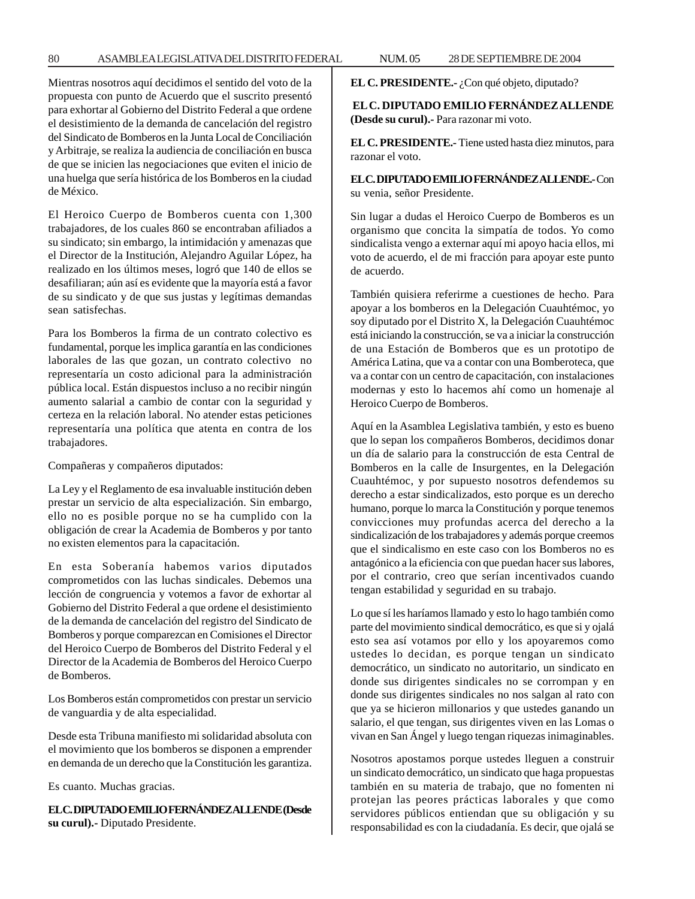Mientras nosotros aquí decidimos el sentido del voto de la propuesta con punto de Acuerdo que el suscrito presentó para exhortar al Gobierno del Distrito Federal a que ordene el desistimiento de la demanda de cancelación del registro del Sindicato de Bomberos en la Junta Local de Conciliación y Arbitraje, se realiza la audiencia de conciliación en busca de que se inicien las negociaciones que eviten el inicio de una huelga que sería histórica de los Bomberos en la ciudad de México.

El Heroico Cuerpo de Bomberos cuenta con 1,300 trabajadores, de los cuales 860 se encontraban afiliados a su sindicato; sin embargo, la intimidación y amenazas que el Director de la Institución, Alejandro Aguilar López, ha realizado en los últimos meses, logró que 140 de ellos se desafiliaran; aún así es evidente que la mayoría está a favor de su sindicato y de que sus justas y legítimas demandas sean satisfechas.

Para los Bomberos la firma de un contrato colectivo es fundamental, porque les implica garantía en las condiciones laborales de las que gozan, un contrato colectivo no representaría un costo adicional para la administración pública local. Están dispuestos incluso a no recibir ningún aumento salarial a cambio de contar con la seguridad y certeza en la relación laboral. No atender estas peticiones representaría una política que atenta en contra de los trabajadores.

Compañeras y compañeros diputados:

La Ley y el Reglamento de esa invaluable institución deben prestar un servicio de alta especialización. Sin embargo, ello no es posible porque no se ha cumplido con la obligación de crear la Academia de Bomberos y por tanto no existen elementos para la capacitación.

En esta Soberanía habemos varios diputados comprometidos con las luchas sindicales. Debemos una lección de congruencia y votemos a favor de exhortar al Gobierno del Distrito Federal a que ordene el desistimiento de la demanda de cancelación del registro del Sindicato de Bomberos y porque comparezcan en Comisiones el Director del Heroico Cuerpo de Bomberos del Distrito Federal y el Director de la Academia de Bomberos del Heroico Cuerpo de Bomberos.

Los Bomberos están comprometidos con prestar un servicio de vanguardia y de alta especialidad.

Desde esta Tribuna manifiesto mi solidaridad absoluta con el movimiento que los bomberos se disponen a emprender en demanda de un derecho que la Constitución les garantiza.

Es cuanto. Muchas gracias.

**EL C. DIPUTADO EMILIO FERNÁNDEZ ALLENDE (Desde su curul).-** Diputado Presidente.

**EL C. PRESIDENTE.-** ¿Con qué objeto, diputado?

**EL C. DIPUTADO EMILIO FERNÁNDEZ ALLENDE (Desde su curul).-** Para razonar mi voto.

**EL C. PRESIDENTE.-** Tiene usted hasta diez minutos, para razonar el voto.

**EL C. DIPUTADO EMILIO FERNÁNDEZ ALLENDE.-** Con su venia, señor Presidente.

Sin lugar a dudas el Heroico Cuerpo de Bomberos es un organismo que concita la simpatía de todos. Yo como sindicalista vengo a externar aquí mi apoyo hacia ellos, mi voto de acuerdo, el de mi fracción para apoyar este punto de acuerdo.

También quisiera referirme a cuestiones de hecho. Para apoyar a los bomberos en la Delegación Cuauhtémoc, yo soy diputado por el Distrito X, la Delegación Cuauhtémoc está iniciando la construcción, se va a iniciar la construcción de una Estación de Bomberos que es un prototipo de América Latina, que va a contar con una Bomberoteca, que va a contar con un centro de capacitación, con instalaciones modernas y esto lo hacemos ahí como un homenaje al Heroico Cuerpo de Bomberos.

Aquí en la Asamblea Legislativa también, y esto es bueno que lo sepan los compañeros Bomberos, decidimos donar un día de salario para la construcción de esta Central de Bomberos en la calle de Insurgentes, en la Delegación Cuauhtémoc, y por supuesto nosotros defendemos su derecho a estar sindicalizados, esto porque es un derecho humano, porque lo marca la Constitución y porque tenemos convicciones muy profundas acerca del derecho a la sindicalización de los trabajadores y además porque creemos que el sindicalismo en este caso con los Bomberos no es antagónico a la eficiencia con que puedan hacer sus labores, por el contrario, creo que serían incentivados cuando tengan estabilidad y seguridad en su trabajo.

Lo que sí les haríamos llamado y esto lo hago también como parte del movimiento sindical democrático, es que si y ojalá esto sea así votamos por ello y los apoyaremos como ustedes lo decidan, es porque tengan un sindicato democrático, un sindicato no autoritario, un sindicato en donde sus dirigentes sindicales no se corrompan y en donde sus dirigentes sindicales no nos salgan al rato con que ya se hicieron millonarios y que ustedes ganando un salario, el que tengan, sus dirigentes viven en las Lomas o vivan en San Ángel y luego tengan riquezas inimaginables.

Nosotros apostamos porque ustedes lleguen a construir un sindicato democrático, un sindicato que haga propuestas también en su materia de trabajo, que no fomenten ni protejan las peores prácticas laborales y que como servidores públicos entiendan que su obligación y su responsabilidad es con la ciudadanía. Es decir, que ojalá se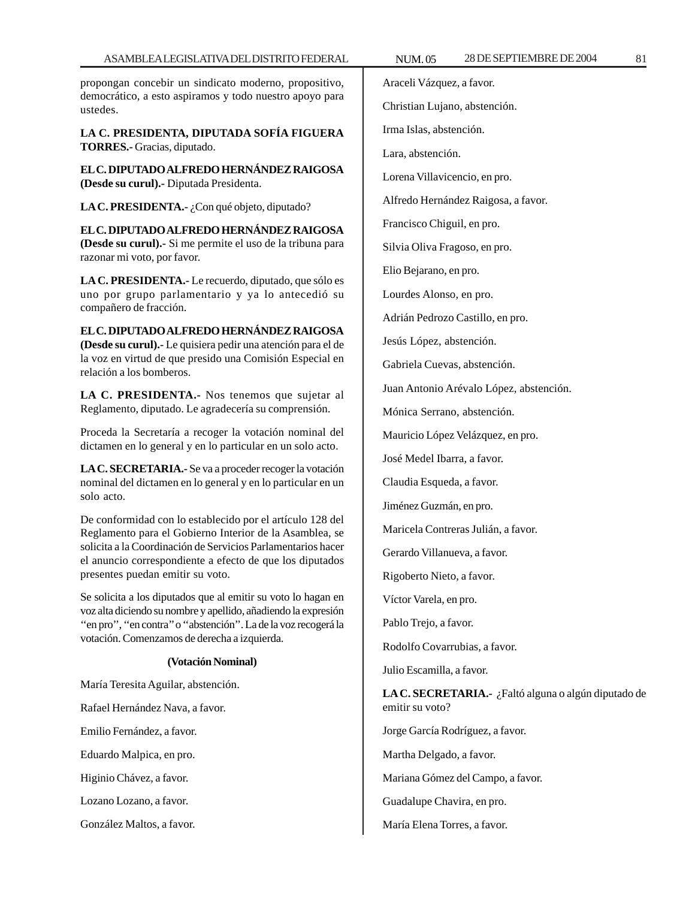propongan concebir un sindicato moderno, propositivo, democrático, a esto aspiramos y todo nuestro apoyo para ustedes.

**LA C. PRESIDENTA, DIPUTADA SOFÍA FIGUERA TORRES.-** Gracias, diputado.

**EL C. DIPUTADO ALFREDO HERNÁNDEZ RAIGOSA (Desde su curul).-** Diputada Presidenta.

LA C. PRESIDENTA.- ¿Con qué objeto, diputado?

**EL C. DIPUTADO ALFREDO HERNÁNDEZ RAIGOSA (Desde su curul).-** Si me permite el uso de la tribuna para razonar mi voto, por favor.

**LA C. PRESIDENTA.-** Le recuerdo, diputado, que sólo es uno por grupo parlamentario y ya lo antecedió su compañero de fracción.

**EL C. DIPUTADO ALFREDO HERNÁNDEZ RAIGOSA (Desde su curul).-** Le quisiera pedir una atención para el de la voz en virtud de que presido una Comisión Especial en relación a los bomberos.

**LA C. PRESIDENTA.-** Nos tenemos que sujetar al Reglamento, diputado. Le agradecería su comprensión.

Proceda la Secretaría a recoger la votación nominal del dictamen en lo general y en lo particular en un solo acto.

**LA C. SECRETARIA.-** Se va a proceder recoger la votación nominal del dictamen en lo general y en lo particular en un solo acto.

De conformidad con lo establecido por el artículo 128 del Reglamento para el Gobierno Interior de la Asamblea, se solicita a la Coordinación de Servicios Parlamentarios hacer el anuncio correspondiente a efecto de que los diputados presentes puedan emitir su voto.

Se solicita a los diputados que al emitir su voto lo hagan en voz alta diciendo su nombre y apellido, añadiendo la expresión "en pro", "en contra" o "abstención". La de la voz recogerá la votación. Comenzamos de derecha a izquierda.

# **(Votación Nominal)**

María Teresita Aguilar, abstención.

Rafael Hernández Nava, a favor.

Emilio Fernández, a favor.

Eduardo Malpica, en pro.

Higinio Chávez, a favor.

Lozano Lozano, a favor.

González Maltos, a favor.

Araceli Vázquez, a favor.

Christian Lujano, abstención.

Irma Islas, abstención.

Lara, abstención.

Lorena Villavicencio, en pro.

Alfredo Hernández Raigosa, a favor.

Francisco Chiguil, en pro.

Silvia Oliva Fragoso, en pro.

Elio Bejarano, en pro.

Lourdes Alonso, en pro.

Adrián Pedrozo Castillo, en pro.

Jesús López, abstención.

Gabriela Cuevas, abstención.

Juan Antonio Arévalo López, abstención.

Mónica Serrano, abstención.

Mauricio López Velázquez, en pro.

José Medel Ibarra, a favor.

Claudia Esqueda, a favor.

Jiménez Guzmán, en pro.

Maricela Contreras Julián, a favor.

Gerardo Villanueva, a favor.

Rigoberto Nieto, a favor.

Víctor Varela, en pro.

Pablo Trejo, a favor.

Rodolfo Covarrubias, a favor.

Julio Escamilla, a favor.

**LA C. SECRETARIA.-** ¿Faltó alguna o algún diputado de emitir su voto?

Jorge García Rodríguez, a favor.

Martha Delgado, a favor.

Mariana Gómez del Campo, a favor.

Guadalupe Chavira, en pro.

María Elena Torres, a favor.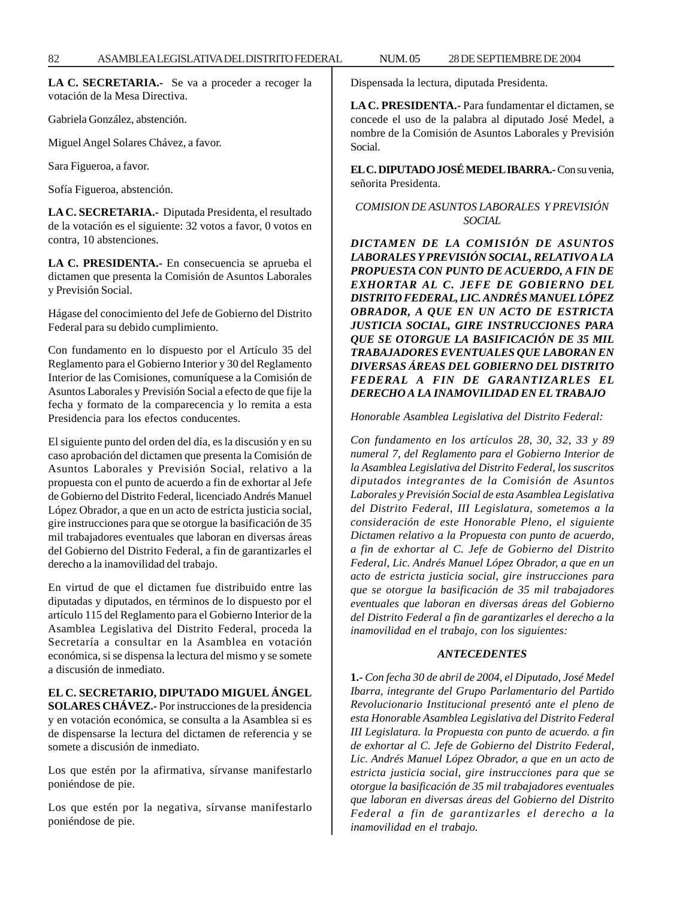**LA C. SECRETARIA.-** Se va a proceder a recoger la votación de la Mesa Directiva.

Gabriela González, abstención.

Miguel Angel Solares Chávez, a favor.

Sara Figueroa, a favor.

Sofía Figueroa, abstención.

**LA C. SECRETARIA.-** Diputada Presidenta, el resultado de la votación es el siguiente: 32 votos a favor, 0 votos en contra, 10 abstenciones.

**LA C. PRESIDENTA.-** En consecuencia se aprueba el dictamen que presenta la Comisión de Asuntos Laborales y Previsión Social.

Hágase del conocimiento del Jefe de Gobierno del Distrito Federal para su debido cumplimiento.

Con fundamento en lo dispuesto por el Artículo 35 del Reglamento para el Gobierno Interior y 30 del Reglamento Interior de las Comisiones, comuníquese a la Comisión de Asuntos Laborales y Previsión Social a efecto de que fije la fecha y formato de la comparecencia y lo remita a esta Presidencia para los efectos conducentes.

El siguiente punto del orden del día, es la discusión y en su caso aprobación del dictamen que presenta la Comisión de Asuntos Laborales y Previsión Social, relativo a la propuesta con el punto de acuerdo a fin de exhortar al Jefe de Gobierno del Distrito Federal, licenciado Andrés Manuel López Obrador, a que en un acto de estricta justicia social, gire instrucciones para que se otorgue la basificación de 35 mil trabajadores eventuales que laboran en diversas áreas del Gobierno del Distrito Federal, a fin de garantizarles el derecho a la inamovilidad del trabajo.

En virtud de que el dictamen fue distribuido entre las diputadas y diputados, en términos de lo dispuesto por el artículo 115 del Reglamento para el Gobierno Interior de la Asamblea Legislativa del Distrito Federal, proceda la Secretaría a consultar en la Asamblea en votación económica, si se dispensa la lectura del mismo y se somete a discusión de inmediato.

## **EL C. SECRETARIO, DIPUTADO MIGUEL ÁNGEL**

**SOLARES CHÁVEZ.-** Por instrucciones de la presidencia y en votación económica, se consulta a la Asamblea si es de dispensarse la lectura del dictamen de referencia y se somete a discusión de inmediato.

Los que estén por la afirmativa, sírvanse manifestarlo poniéndose de pie.

Los que estén por la negativa, sírvanse manifestarlo poniéndose de pie.

Dispensada la lectura, diputada Presidenta.

**LA C. PRESIDENTA.-** Para fundamentar el dictamen, se concede el uso de la palabra al diputado José Medel, a nombre de la Comisión de Asuntos Laborales y Previsión Social.

**EL C. DIPUTADO JOSÉ MEDEL IBARRA.-** Con su venia, señorita Presidenta.

# *COMISION DE ASUNTOS LABORALES Y PREVISIÓN SOCIAL*

*DICTAMEN DE LA COMISIÓN DE ASUNTOS LABORALES Y PREVISIÓN SOCIAL, RELATIVO A LA PROPUESTA CON PUNTO DE ACUERDO, A FIN DE EXHORTAR AL C. JEFE DE GOBIERNO DEL DISTRITO FEDERAL, LIC. ANDRÉS MANUEL LÓPEZ OBRADOR, A QUE EN UN ACTO DE ESTRICTA JUSTICIA SOCIAL, GIRE INSTRUCCIONES PARA QUE SE OTORGUE LA BASIFICACIÓN DE 35 MIL TRABAJADORES EVENTUALES QUE LABORAN EN DIVERSAS ÁREAS DEL GOBIERNO DEL DISTRITO FEDERAL A FIN DE GARANTIZARLES EL DERECHO A LA INAMOVILIDAD EN EL TRABAJO*

*Honorable Asamblea Legislativa del Distrito Federal:*

*Con fundamento en los artículos 28, 30, 32, 33 y 89 numeral 7, del Reglamento para el Gobierno Interior de la Asamblea Legislativa del Distrito Federal, los suscritos diputados integrantes de la Comisión de Asuntos Laborales y Previsión Social de esta Asamblea Legislativa del Distrito Federal, III Legislatura, sometemos a la consideración de este Honorable Pleno, el siguiente Dictamen relativo a la Propuesta con punto de acuerdo, a fin de exhortar al C. Jefe de Gobierno del Distrito Federal, Lic. Andrés Manuel López Obrador, a que en un acto de estricta justicia social, gire instrucciones para que se otorgue la basificación de 35 mil trabajadores eventuales que laboran en diversas áreas del Gobierno del Distrito Federal a fin de garantizarles el derecho a la inamovilidad en el trabajo, con los siguientes:*

## *ANTECEDENTES*

**1.-** *Con fecha 30 de abril de 2004, el Diputado, José Medel Ibarra, integrante del Grupo Parlamentario del Partido Revolucionario Institucional presentó ante el pleno de esta Honorable Asamblea Legislativa del Distrito Federal III Legislatura. la Propuesta con punto de acuerdo. a fin de exhortar al C. Jefe de Gobierno del Distrito Federal, Lic. Andrés Manuel López Obrador, a que en un acto de estricta justicia social, gire instrucciones para que se otorgue la basificación de 35 mil trabajadores eventuales que laboran en diversas áreas del Gobierno del Distrito Federal a fin de garantizarles el derecho a la inamovilidad en el trabajo.*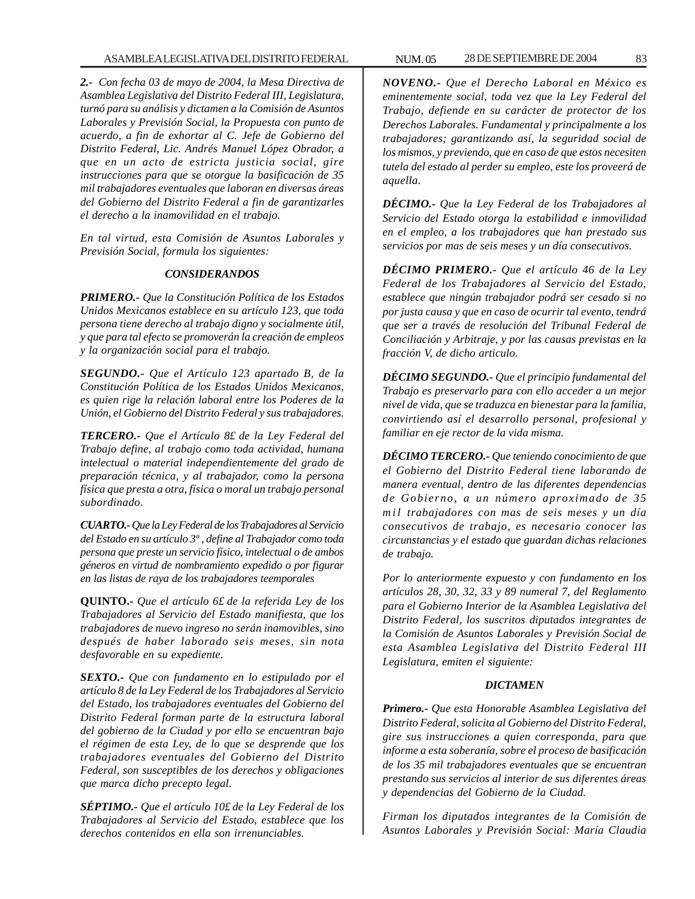*2.- Con fecha 03 de mayo de 2004, la Mesa Directiva de Asamblea Legislativa del Distrito Federal III, Legislatura, turnó para su análisis y dictamen a la Comisión de Asuntos Laborales y Previsión Social, la Propuesta con punto de acuerdo, a fin de exhortar al C. Jefe de Gobierno del Distrito Federal, Lic. Andrés Manuel López Obrador, a que en un acto de estricta justicia social, gire instrucciones para que se otorgue la basificación de 35 mil trabajadores eventuales que laboran en diversas áreas del Gobierno del Distrito Federal a fin de garantizarles el derecho a la inamovilidad en el trabajo.*

*En tal virtud, esta Comisión de Asuntos Laborales y Previsión Social, formula los siguientes:*

# *CONSIDERANDOS*

*PRIMERO.- Que la Constitución Política de los Estados Unidos Mexicanos establece en su artículo 123, que toda persona tiene derecho al trabajo digno y socialmente útil, y que para tal efecto se promoverán la creación de empleos y la organización social para el trabajo.*

*SEGUNDO.- Que el Artículo 123 apartado B, de la Constitución Política de los Estados Unidos Mexicanos, es quien rige la relación laboral entre los Poderes de la Unión, el Gobierno del Distrito Federal y sus trabajadores.*

*TERCERO.- Que el Artículo 8£ de la Ley Federal del Trabajo define, al trabajo como toda actividad, humana intelectual o material independientemente del grado de preparación técnica, y al trabajador, como la persona física que presta a otra, física o moral un trabajo personal subordinado.*

*CUARTO.- Que la Ley Federal de los Trabajadores al Servicio del Estado en su artículo 3º , define al Trabajador como toda persona que preste un servicio físico, intelectual o de ambos géneros en virtud de nombramiento expedido o por figurar en las listas de raya de los trabajadores teemporales*

**QUINTO.-** *Que el artículo 6£ de la referida Ley de los Trabajadores al Servicio del Estado manifiesta, que los trabajadores de nuevo ingreso no serán inamovibles, sino después de haber laborado seis meses, sin nota desfavorable en su expediente.*

*SEXTO.- Que con fundamento en lo estipulado por el artículo 8 de la Ley Federal de los Trabajadores al Servicio del Estado, los trabajadores eventuales del Gobierno del Distrito Federal forman parte de la estructura laboral del gobierno de la Ciudad y por ello se encuentran bajo el régimen de esta Ley, de lo que se desprende que los trabajadores eventuales del Gobierno del Distrito Federal, son susceptibles de los derechos y obligaciones que marca dicho precepto legal.*

*SÉPTIMO.- Que el artículo 10£ de la Ley Federal de los Trabajadores al Servicio del Estado, establece que los derechos contenidos en ella son irrenunciables.*

*NOVENO.- Que el Derecho Laboral en México es eminentemente social, toda vez que la Ley Federal del Trabajo, defiende en su carácter de protector de los Derechos Laborales. Fundamental y principalmente a los trabajadores; garantizando así, la seguridad social de los mismos, y previendo, que en caso de que estos necesiten tutela del estado al perder su empleo, este los proveerá de aquella.*

*DÉCIMO.- Que la Ley Federal de los Trabajadores al Servicio del Estado otorga la estabilidad e inmovilidad en el empleo, a los trabajadores que han prestado sus servicios por mas de seis meses y un día consecutivos.*

*DÉCIMO PRIMERO.- Que el artículo 46 de la Ley Federal de los Trabajadores al Servicio del Estado, establece que ningún trabajador podrá ser cesado si no por justa causa y que en caso de ocurrir tal evento, tendrá que ser a través de resolución del Tribunal Federal de Conciliación y Arbitraje, y por las causas previstas en la fracción V, de dicho articulo.*

*DÉCIMO SEGUNDO.- Que el principio fundamental del Trabajo es preservarlo para con ello acceder a un mejor nivel de vida, que se traduzca en bienestar para la familia, convirtiendo así el desarrollo personal, profesional y familiar en eje rector de la vida misma.*

*DÉCIMO TERCERO.- Que teniendo conocimiento de que el Gobierno del Distrito Federal tiene laborando de manera eventual, dentro de las diferentes dependencias de Gobierno, a un número aproximado de 35 mil trabajadores con mas de seis meses y un día consecutivos de trabajo, es necesario conocer las circunstancias y el estado que guardan dichas relaciones de trabajo.*

*Por lo anteriormente expuesto y con fundamento en los artículos 28, 30, 32, 33 y 89 numeral 7, del Reglamento para el Gobierno Interior de la Asamblea Legislativa del Distrito Federal, los suscritos diputados integrantes de la Comisión de Asuntos Laborales y Previsión Social de esta Asamblea Legislativa del Distrito Federal III Legislatura, emiten el siguiente:*

## *DICTAMEN*

*Primero.- Que esta Honorable Asamblea Legislativa del Distrito Federal, solicita al Gobierno del Distrito Federal, gire sus instrucciones a quien corresponda, para que informe a esta soberanía, sobre el proceso de basificación de los 35 mil trabajadores eventuales que se encuentran prestando sus servicios al interior de sus diferentes áreas y dependencias del Gobierno de la Ciudad.*

*Firman los diputados integrantes de la Comisión de Asuntos Laborales y Previsión Social: María Claudia*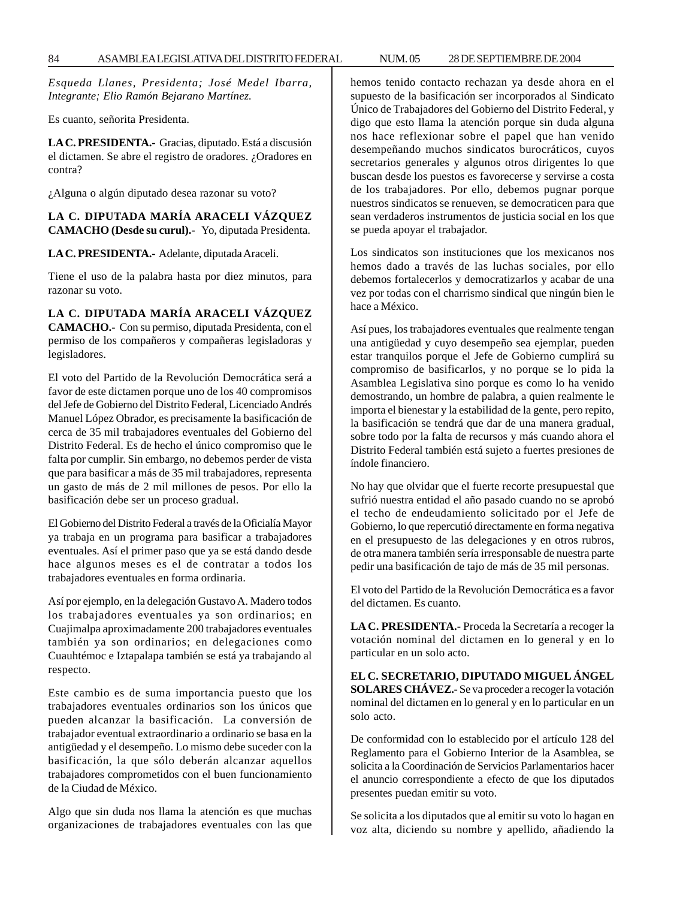*Esqueda Llanes, Presidenta; José Medel Ibarra, Integrante; Elio Ramón Bejarano Martínez.*

Es cuanto, señorita Presidenta.

**LA C. PRESIDENTA.-** Gracias, diputado. Está a discusión el dictamen. Se abre el registro de oradores. ¿Oradores en contra?

¿Alguna o algún diputado desea razonar su voto?

# **LA C. DIPUTADA MARÍA ARACELI VÁZQUEZ CAMACHO (Desde su curul).-** Yo, diputada Presidenta.

**LA C. PRESIDENTA.-** Adelante, diputada Araceli.

Tiene el uso de la palabra hasta por diez minutos, para razonar su voto.

# **LA C. DIPUTADA MARÍA ARACELI VÁZQUEZ**

**CAMACHO.-** Con su permiso, diputada Presidenta, con el permiso de los compañeros y compañeras legisladoras y legisladores.

El voto del Partido de la Revolución Democrática será a favor de este dictamen porque uno de los 40 compromisos del Jefe de Gobierno del Distrito Federal, Licenciado Andrés Manuel López Obrador, es precisamente la basificación de cerca de 35 mil trabajadores eventuales del Gobierno del Distrito Federal. Es de hecho el único compromiso que le falta por cumplir. Sin embargo, no debemos perder de vista que para basificar a más de 35 mil trabajadores, representa un gasto de más de 2 mil millones de pesos. Por ello la basificación debe ser un proceso gradual.

El Gobierno del Distrito Federal a través de la Oficialía Mayor ya trabaja en un programa para basificar a trabajadores eventuales. Así el primer paso que ya se está dando desde hace algunos meses es el de contratar a todos los trabajadores eventuales en forma ordinaria.

Así por ejemplo, en la delegación Gustavo A. Madero todos los trabajadores eventuales ya son ordinarios; en Cuajimalpa aproximadamente 200 trabajadores eventuales también ya son ordinarios; en delegaciones como Cuauhtémoc e Iztapalapa también se está ya trabajando al respecto.

Este cambio es de suma importancia puesto que los trabajadores eventuales ordinarios son los únicos que pueden alcanzar la basificación. La conversión de trabajador eventual extraordinario a ordinario se basa en la antigüedad y el desempeño. Lo mismo debe suceder con la basificación, la que sólo deberán alcanzar aquellos trabajadores comprometidos con el buen funcionamiento de la Ciudad de México.

Algo que sin duda nos llama la atención es que muchas organizaciones de trabajadores eventuales con las que hemos tenido contacto rechazan ya desde ahora en el supuesto de la basificación ser incorporados al Sindicato Único de Trabajadores del Gobierno del Distrito Federal, y digo que esto llama la atención porque sin duda alguna nos hace reflexionar sobre el papel que han venido desempeñando muchos sindicatos burocráticos, cuyos secretarios generales y algunos otros dirigentes lo que buscan desde los puestos es favorecerse y servirse a costa de los trabajadores. Por ello, debemos pugnar porque nuestros sindicatos se renueven, se democraticen para que sean verdaderos instrumentos de justicia social en los que se pueda apoyar el trabajador.

Los sindicatos son instituciones que los mexicanos nos hemos dado a través de las luchas sociales, por ello debemos fortalecerlos y democratizarlos y acabar de una vez por todas con el charrismo sindical que ningún bien le hace a México.

Así pues, los trabajadores eventuales que realmente tengan una antigüedad y cuyo desempeño sea ejemplar, pueden estar tranquilos porque el Jefe de Gobierno cumplirá su compromiso de basificarlos, y no porque se lo pida la Asamblea Legislativa sino porque es como lo ha venido demostrando, un hombre de palabra, a quien realmente le importa el bienestar y la estabilidad de la gente, pero repito, la basificación se tendrá que dar de una manera gradual, sobre todo por la falta de recursos y más cuando ahora el Distrito Federal también está sujeto a fuertes presiones de índole financiero.

No hay que olvidar que el fuerte recorte presupuestal que sufrió nuestra entidad el año pasado cuando no se aprobó el techo de endeudamiento solicitado por el Jefe de Gobierno, lo que repercutió directamente en forma negativa en el presupuesto de las delegaciones y en otros rubros, de otra manera también sería irresponsable de nuestra parte pedir una basificación de tajo de más de 35 mil personas.

El voto del Partido de la Revolución Democrática es a favor del dictamen. Es cuanto.

**LA C. PRESIDENTA.-** Proceda la Secretaría a recoger la votación nominal del dictamen en lo general y en lo particular en un solo acto.

**EL C. SECRETARIO, DIPUTADO MIGUEL ÁNGEL SOLARES CHÁVEZ.-** Se va proceder a recoger la votación nominal del dictamen en lo general y en lo particular en un solo acto.

De conformidad con lo establecido por el artículo 128 del Reglamento para el Gobierno Interior de la Asamblea, se solicita a la Coordinación de Servicios Parlamentarios hacer el anuncio correspondiente a efecto de que los diputados presentes puedan emitir su voto.

Se solicita a los diputados que al emitir su voto lo hagan en voz alta, diciendo su nombre y apellido, añadiendo la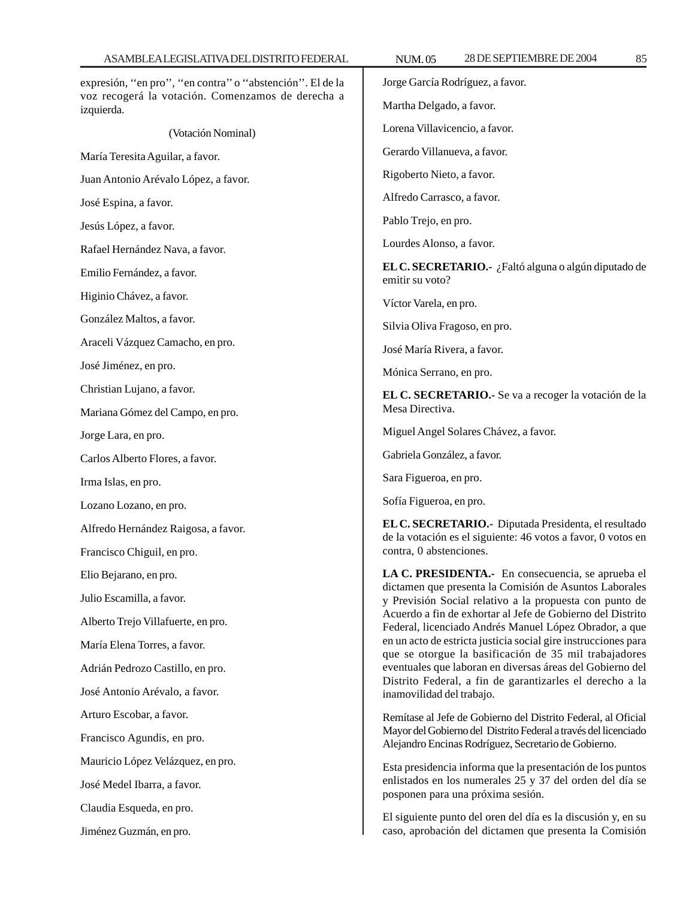| expresión, "en pro", "en contra" o "abstención". El de la<br>voz recogerá la votación. Comenzamos de derecha a<br>izquierda. | Jorge García Rodríguez, a favor.                                                                                                                                                                                                                                                                                                                                                                                                                                                                                                                                                |
|------------------------------------------------------------------------------------------------------------------------------|---------------------------------------------------------------------------------------------------------------------------------------------------------------------------------------------------------------------------------------------------------------------------------------------------------------------------------------------------------------------------------------------------------------------------------------------------------------------------------------------------------------------------------------------------------------------------------|
|                                                                                                                              | Martha Delgado, a favor.                                                                                                                                                                                                                                                                                                                                                                                                                                                                                                                                                        |
| (Votación Nominal)                                                                                                           | Lorena Villavicencio, a favor.                                                                                                                                                                                                                                                                                                                                                                                                                                                                                                                                                  |
| María Teresita Aguilar, a favor.                                                                                             | Gerardo Villanueva, a favor.                                                                                                                                                                                                                                                                                                                                                                                                                                                                                                                                                    |
| Juan Antonio Arévalo López, a favor.                                                                                         | Rigoberto Nieto, a favor.                                                                                                                                                                                                                                                                                                                                                                                                                                                                                                                                                       |
| José Espina, a favor.                                                                                                        | Alfredo Carrasco, a favor.                                                                                                                                                                                                                                                                                                                                                                                                                                                                                                                                                      |
| Jesús López, a favor.                                                                                                        | Pablo Trejo, en pro.                                                                                                                                                                                                                                                                                                                                                                                                                                                                                                                                                            |
| Rafael Hernández Nava, a favor.                                                                                              | Lourdes Alonso, a favor.                                                                                                                                                                                                                                                                                                                                                                                                                                                                                                                                                        |
| Emilio Fernández, a favor.                                                                                                   | EL C. SECRETARIO.- ¿Faltó alguna o algún diputado de<br>emitir su voto?                                                                                                                                                                                                                                                                                                                                                                                                                                                                                                         |
| Higinio Chávez, a favor.                                                                                                     | Víctor Varela, en pro.                                                                                                                                                                                                                                                                                                                                                                                                                                                                                                                                                          |
| González Maltos, a favor.                                                                                                    | Silvia Oliva Fragoso, en pro.                                                                                                                                                                                                                                                                                                                                                                                                                                                                                                                                                   |
| Araceli Vázquez Camacho, en pro.                                                                                             | José María Rivera, a favor.                                                                                                                                                                                                                                                                                                                                                                                                                                                                                                                                                     |
| José Jiménez, en pro.                                                                                                        | Mónica Serrano, en pro.                                                                                                                                                                                                                                                                                                                                                                                                                                                                                                                                                         |
| Christian Lujano, a favor.                                                                                                   | EL C. SECRETARIO.- Se va a recoger la votación de la<br>Mesa Directiva.                                                                                                                                                                                                                                                                                                                                                                                                                                                                                                         |
| Mariana Gómez del Campo, en pro.                                                                                             |                                                                                                                                                                                                                                                                                                                                                                                                                                                                                                                                                                                 |
| Jorge Lara, en pro.                                                                                                          | Miguel Angel Solares Chávez, a favor.                                                                                                                                                                                                                                                                                                                                                                                                                                                                                                                                           |
| Carlos Alberto Flores, a favor.                                                                                              | Gabriela González, a favor.                                                                                                                                                                                                                                                                                                                                                                                                                                                                                                                                                     |
| Irma Islas, en pro.                                                                                                          | Sara Figueroa, en pro.                                                                                                                                                                                                                                                                                                                                                                                                                                                                                                                                                          |
| Lozano Lozano, en pro.                                                                                                       | Sofía Figueroa, en pro.                                                                                                                                                                                                                                                                                                                                                                                                                                                                                                                                                         |
| Alfredo Hernández Raigosa, a favor.                                                                                          | EL C. SECRETARIO.- Diputada Presidenta, el resultado<br>de la votación es el siguiente: 46 votos a favor, 0 votos en<br>contra, 0 abstenciones.                                                                                                                                                                                                                                                                                                                                                                                                                                 |
| Francisco Chiguil, en pro.                                                                                                   |                                                                                                                                                                                                                                                                                                                                                                                                                                                                                                                                                                                 |
| Elio Bejarano, en pro.                                                                                                       | LA C. PRESIDENTA.- En consecuencia, se aprueba el<br>dictamen que presenta la Comisión de Asuntos Laborales<br>y Previsión Social relativo a la propuesta con punto de<br>Acuerdo a fin de exhortar al Jefe de Gobierno del Distrito<br>Federal, licenciado Andrés Manuel López Obrador, a que<br>en un acto de estricta justicia social gire instrucciones para<br>que se otorgue la basificación de 35 mil trabajadores<br>eventuales que laboran en diversas áreas del Gobierno del<br>Distrito Federal, a fin de garantizarles el derecho a la<br>inamovilidad del trabajo. |
| Julio Escamilla, a favor.                                                                                                    |                                                                                                                                                                                                                                                                                                                                                                                                                                                                                                                                                                                 |
| Alberto Trejo Villafuerte, en pro.                                                                                           |                                                                                                                                                                                                                                                                                                                                                                                                                                                                                                                                                                                 |
| María Elena Torres, a favor.                                                                                                 |                                                                                                                                                                                                                                                                                                                                                                                                                                                                                                                                                                                 |
| Adrián Pedrozo Castillo, en pro.                                                                                             |                                                                                                                                                                                                                                                                                                                                                                                                                                                                                                                                                                                 |
| José Antonio Arévalo, a favor.                                                                                               |                                                                                                                                                                                                                                                                                                                                                                                                                                                                                                                                                                                 |
| Arturo Escobar, a favor.                                                                                                     | Remítase al Jefe de Gobierno del Distrito Federal, al Oficial<br>Mayor del Gobierno del Distrito Federal a través del licenciado<br>Alejandro Encinas Rodríguez, Secretario de Gobierno.<br>Esta presidencia informa que la presentación de los puntos<br>enlistados en los numerales 25 y 37 del orden del día se<br>posponen para una próxima sesión.                                                                                                                                                                                                                         |
| Francisco Agundis, en pro.                                                                                                   |                                                                                                                                                                                                                                                                                                                                                                                                                                                                                                                                                                                 |
| Mauricio López Velázquez, en pro.                                                                                            |                                                                                                                                                                                                                                                                                                                                                                                                                                                                                                                                                                                 |
| José Medel Ibarra, a favor.                                                                                                  |                                                                                                                                                                                                                                                                                                                                                                                                                                                                                                                                                                                 |
| Claudia Esqueda, en pro.                                                                                                     | El siguiente punto del oren del día es la discusión y, en su                                                                                                                                                                                                                                                                                                                                                                                                                                                                                                                    |
| Jiménez Guzmán, en pro.                                                                                                      | caso, aprobación del dictamen que presenta la Comisión                                                                                                                                                                                                                                                                                                                                                                                                                                                                                                                          |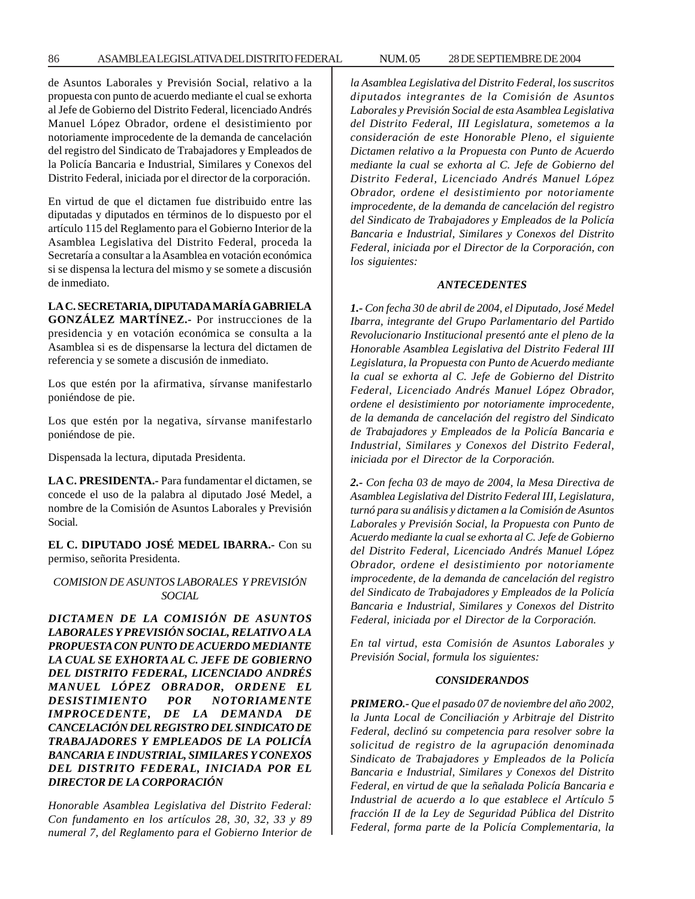de Asuntos Laborales y Previsión Social, relativo a la propuesta con punto de acuerdo mediante el cual se exhorta al Jefe de Gobierno del Distrito Federal, licenciado Andrés Manuel López Obrador, ordene el desistimiento por notoriamente improcedente de la demanda de cancelación del registro del Sindicato de Trabajadores y Empleados de la Policía Bancaria e Industrial, Similares y Conexos del Distrito Federal, iniciada por el director de la corporación.

En virtud de que el dictamen fue distribuido entre las diputadas y diputados en términos de lo dispuesto por el artículo 115 del Reglamento para el Gobierno Interior de la Asamblea Legislativa del Distrito Federal, proceda la Secretaría a consultar a la Asamblea en votación económica si se dispensa la lectura del mismo y se somete a discusión de inmediato.

## **LA C. SECRETARIA, DIPUTADA MARÍA GABRIELA**

**GONZÁLEZ MARTÍNEZ.-** Por instrucciones de la presidencia y en votación económica se consulta a la Asamblea si es de dispensarse la lectura del dictamen de referencia y se somete a discusión de inmediato.

Los que estén por la afirmativa, sírvanse manifestarlo poniéndose de pie.

Los que estén por la negativa, sírvanse manifestarlo poniéndose de pie.

Dispensada la lectura, diputada Presidenta.

**LA C. PRESIDENTA.-** Para fundamentar el dictamen, se concede el uso de la palabra al diputado José Medel, a nombre de la Comisión de Asuntos Laborales y Previsión Social.

**EL C. DIPUTADO JOSÉ MEDEL IBARRA.-** Con su permiso, señorita Presidenta.

## *COMISION DE ASUNTOS LABORALES Y PREVISIÓN SOCIAL*

*DICTAMEN DE LA COMISIÓN DE ASUNTOS LABORALES Y PREVISIÓN SOCIAL, RELATIVO A LA PROPUESTA CON PUNTO DE ACUERDO MEDIANTE LA CUAL SE EXHORTA AL C. JEFE DE GOBIERNO DEL DISTRITO FEDERAL, LICENCIADO ANDRÉS MANUEL LÓPEZ OBRADOR, ORDENE EL DESISTIMIENTO POR NOTORIAMENTE IMPROCEDENTE, DE LA DEMANDA DE CANCELACIÓN DEL REGISTRO DEL SINDICATO DE TRABAJADORES Y EMPLEADOS DE LA POLICÍA BANCARIA E INDUSTRIAL, SIMILARES Y CONEXOS DEL DISTRITO FEDERAL, INICIADA POR EL DIRECTOR DE LA CORPORACIÓN*

*Honorable Asamblea Legislativa del Distrito Federal: Con fundamento en los artículos 28, 30, 32, 33 y 89 numeral 7, del Reglamento para el Gobierno Interior de* *la Asamblea Legislativa del Distrito Federal, los suscritos diputados integrantes de la Comisión de Asuntos Laborales y Previsión Social de esta Asamblea Legislativa del Distrito Federal, III Legislatura, sometemos a la consideración de este Honorable Pleno, el siguiente Dictamen relativo a la Propuesta con Punto de Acuerdo mediante la cual se exhorta al C. Jefe de Gobierno del Distrito Federal, Licenciado Andrés Manuel López Obrador, ordene el desistimiento por notoriamente improcedente, de la demanda de cancelación del registro del Sindicato de Trabajadores y Empleados de la Policía Bancaria e Industrial, Similares y Conexos del Distrito Federal, iniciada por el Director de la Corporación, con los siguientes:*

#### *ANTECEDENTES*

*1.- Con fecha 30 de abril de 2004, el Diputado, José Medel Ibarra, integrante del Grupo Parlamentario del Partido Revolucionario Institucional presentó ante el pleno de la Honorable Asamblea Legislativa del Distrito Federal III Legislatura, la Propuesta con Punto de Acuerdo mediante la cual se exhorta al C. Jefe de Gobierno del Distrito Federal, Licenciado Andrés Manuel López Obrador, ordene el desistimiento por notoriamente improcedente, de la demanda de cancelación del registro del Sindicato de Trabajadores y Empleados de la Policía Bancaria e Industrial, Similares y Conexos del Distrito Federal, iniciada por el Director de la Corporación.*

*2.- Con fecha 03 de mayo de 2004, la Mesa Directiva de Asamblea Legislativa del Distrito Federal III, Legislatura, turnó para su análisis y dictamen a la Comisión de Asuntos Laborales y Previsión Social, la Propuesta con Punto de Acuerdo mediante la cual se exhorta al C. Jefe de Gobierno del Distrito Federal, Licenciado Andrés Manuel López Obrador, ordene el desistimiento por notoriamente improcedente, de la demanda de cancelación del registro del Sindicato de Trabajadores y Empleados de la Policía Bancaria e Industrial, Similares y Conexos del Distrito Federal, iniciada por el Director de la Corporación.*

*En tal virtud, esta Comisión de Asuntos Laborales y Previsión Social, formula los siguientes:*

## *CONSIDERANDOS*

*PRIMERO.- Que el pasado 07 de noviembre del año 2002, la Junta Local de Conciliación y Arbitraje del Distrito Federal, declinó su competencia para resolver sobre la solicitud de registro de la agrupación denominada Sindicato de Trabajadores y Empleados de la Policía Bancaria e Industrial, Similares y Conexos del Distrito Federal, en virtud de que la señalada Policía Bancaria e Industrial de acuerdo a lo que establece el Artículo 5 fracción II de la Ley de Seguridad Pública del Distrito Federal, forma parte de la Policía Complementaria, la*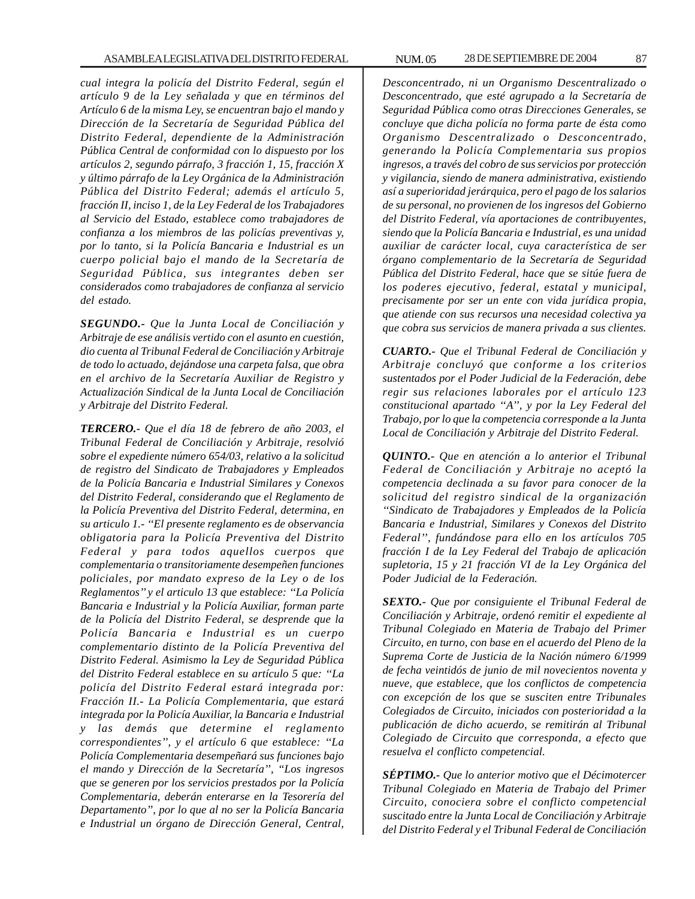*cual integra la policía del Distrito Federal, según el artículo 9 de la Ley señalada y que en términos del Artículo 6 de la misma Ley, se encuentran bajo el mando y Dirección de la Secretaría de Seguridad Pública del Distrito Federal, dependiente de la Administración Pública Central de conformidad con lo dispuesto por los artículos 2, segundo párrafo, 3 fracción 1, 15, fracción X y último párrafo de la Ley Orgánica de la Administración Pública del Distrito Federal; además el artículo 5, fracción II, inciso 1, de la Ley Federal de los Trabajadores al Servicio del Estado, establece como trabajadores de confianza a los miembros de las policías preventivas y, por lo tanto, si la Policía Bancaria e Industrial es un cuerpo policial bajo el mando de la Secretaría de Seguridad Pública, sus integrantes deben ser considerados como trabajadores de confianza al servicio del estado.*

*SEGUNDO.- Que la Junta Local de Conciliación y Arbitraje de ese análisis vertido con el asunto en cuestión, dio cuenta al Tribunal Federal de Conciliación y Arbitraje de todo lo actuado, dejándose una carpeta falsa, que obra en el archivo de la Secretaría Auxiliar de Registro y Actualización Sindical de la Junta Local de Conciliación y Arbitraje del Distrito Federal.*

*TERCERO.- Que el día 18 de febrero de año 2003, el Tribunal Federal de Conciliación y Arbitraje, resolvió sobre el expediente número 654/03, relativo a la solicitud de registro del Sindicato de Trabajadores y Empleados de la Policía Bancaria e Industrial Similares y Conexos del Distrito Federal, considerando que el Reglamento de la Policía Preventiva del Distrito Federal, determina, en su articulo 1.- ''El presente reglamento es de observancia obligatoria para la Policía Preventiva del Distrito Federal y para todos aquellos cuerpos que complementaria o transitoriamente desempeñen funciones policiales, por mandato expreso de la Ley o de los Reglamentos'' y el articulo 13 que establece: ''La Policía Bancaria e Industrial y la Policía Auxiliar, forman parte de la Policía del Distrito Federal, se desprende que la Policía Bancaria e Industrial es un cuerpo complementario distinto de la Policía Preventiva del Distrito Federal. Asimismo la Ley de Seguridad Pública del Distrito Federal establece en su artículo 5 que: ''La policía del Distrito Federal estará integrada por: Fracción II.- La Policía Complementaria, que estará integrada por la Policía Auxiliar, la Bancaria e Industrial y las demás que determine el reglamento correspondientes'', y el artículo 6 que establece: ''La Policía Complementaria desempeñará sus funciones bajo el mando y Dirección de la Secretaría'', ''Los ingresos que se generen por los servicios prestados por la Policía Complementaria, deberán enterarse en la Tesorería del Departamento'', por lo que al no ser la Policía Bancaria e Industrial un órgano de Dirección General, Central,*

*Desconcentrado, ni un Organismo Descentralizado o Desconcentrado, que esté agrupado a la Secretaría de Seguridad Pública como otras Direcciones Generales, se concluye que dicha policía no forma parte de ésta como Organismo Descentralizado o Desconcentrado, generando la Policía Complementaria sus propios ingresos, a través del cobro de sus servicios por protección y vigilancia, siendo de manera administrativa, existiendo así a superioridad jerárquica, pero el pago de los salarios de su personal, no provienen de los ingresos del Gobierno del Distrito Federal, vía aportaciones de contribuyentes, siendo que la Policía Bancaria e Industrial, es una unidad auxiliar de carácter local, cuya característica de ser órgano complementario de la Secretaría de Seguridad Pública del Distrito Federal, hace que se sitúe fuera de los poderes ejecutivo, federal, estatal y municipal, precisamente por ser un ente con vida jurídica propia, que atiende con sus recursos una necesidad colectiva ya que cobra sus servicios de manera privada a sus clientes.*

*CUARTO.- Que el Tribunal Federal de Conciliación y Arbitraje concluyó que conforme a los criterios sustentados por el Poder Judicial de la Federación, debe regir sus relaciones laborales por el artículo 123 constitucional apartado ''A'', y por la Ley Federal del Trabajo, por lo que la competencia corresponde a la Junta Local de Conciliación y Arbitraje del Distrito Federal.*

*QUINTO.- Que en atención a lo anterior el Tribunal Federal de Conciliación y Arbitraje no aceptó la competencia declinada a su favor para conocer de la solicitud del registro sindical de la organización ''Sindicato de Trabajadores y Empleados de la Policía Bancaria e Industrial, Similares y Conexos del Distrito Federal'', fundándose para ello en los artículos 705 fracción I de la Ley Federal del Trabajo de aplicación supletoria, 15 y 21 fracción VI de la Ley Orgánica del Poder Judicial de la Federación.*

*SEXTO.- Que por consiguiente el Tribunal Federal de Conciliación y Arbitraje, ordenó remitir el expediente al Tribunal Colegiado en Materia de Trabajo del Primer Circuito, en turno, con base en el acuerdo del Pleno de la Suprema Corte de Justicia de la Nación número 6/1999 de fecha veintidós de junio de mil novecientos noventa y nueve, que establece, que los conflictos de competencia con excepción de los que se susciten entre Tribunales Colegiados de Circuito, iniciados con posterioridad a la publicación de dicho acuerdo, se remitirán al Tribunal Colegiado de Circuito que corresponda, a efecto que resuelva el conflicto competencial.*

*SÉPTIMO.- Que lo anterior motivo que el Décimotercer Tribunal Colegiado en Materia de Trabajo del Primer Circuito, conociera sobre el conflicto competencial suscitado entre la Junta Local de Conciliación y Arbitraje del Distrito Federal y el Tribunal Federal de Conciliación*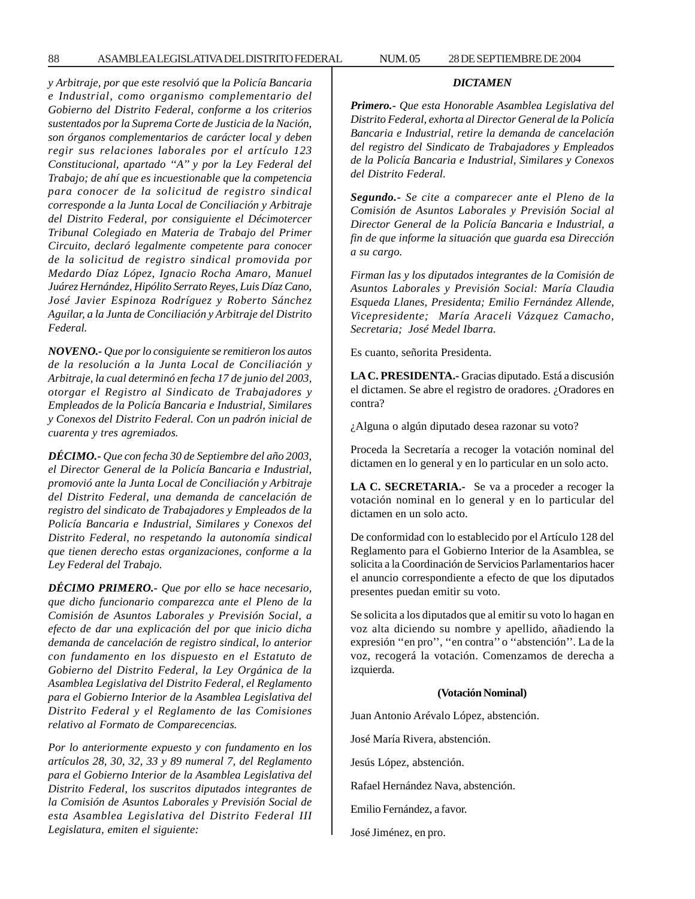*y Arbitraje, por que este resolvió que la Policía Bancaria e Industrial, como organismo complementario del Gobierno del Distrito Federal, conforme a los criterios sustentados por la Suprema Corte de Justicia de la Nación, son órganos complementarios de carácter local y deben regir sus relaciones laborales por el artículo 123 Constitucional, apartado ''A'' y por la Ley Federal del Trabajo; de ahí que es incuestionable que la competencia para conocer de la solicitud de registro sindical corresponde a la Junta Local de Conciliación y Arbitraje del Distrito Federal, por consiguiente el Décimotercer Tribunal Colegiado en Materia de Trabajo del Primer Circuito, declaró legalmente competente para conocer de la solicitud de registro sindical promovida por Medardo Díaz López, Ignacio Rocha Amaro, Manuel Juárez Hernández, Hipólito Serrato Reyes, Luis Díaz Cano, José Javier Espinoza Rodríguez y Roberto Sánchez Aguilar, a la Junta de Conciliación y Arbitraje del Distrito Federal.*

*NOVENO.- Que por lo consiguiente se remitieron los autos de la resolución a la Junta Local de Conciliación y Arbitraje, la cual determinó en fecha 17 de junio del 2003, otorgar el Registro al Sindicato de Trabajadores y Empleados de la Policía Bancaria e Industrial, Similares y Conexos del Distrito Federal. Con un padrón inicial de cuarenta y tres agremiados.*

*DÉCIMO.- Que con fecha 30 de Septiembre del año 2003, el Director General de la Policía Bancaria e Industrial, promovió ante la Junta Local de Conciliación y Arbitraje del Distrito Federal, una demanda de cancelación de registro del sindicato de Trabajadores y Empleados de la Policía Bancaria e Industrial, Similares y Conexos del Distrito Federal, no respetando la autonomía sindical que tienen derecho estas organizaciones, conforme a la Ley Federal del Trabajo.*

*DÉCIMO PRIMERO.- Que por ello se hace necesario, que dicho funcionario comparezca ante el Pleno de la Comisión de Asuntos Laborales y Previsión Social, a efecto de dar una explicación del por que inicio dicha demanda de cancelación de registro sindical, lo anterior con fundamento en los dispuesto en el Estatuto de Gobierno del Distrito Federal, la Ley Orgánica de la Asamblea Legislativa del Distrito Federal, el Reglamento para el Gobierno Interior de la Asamblea Legislativa del Distrito Federal y el Reglamento de las Comisiones relativo al Formato de Comparecencias.*

*Por lo anteriormente expuesto y con fundamento en los artículos 28, 30, 32, 33 y 89 numeral 7, del Reglamento para el Gobierno Interior de la Asamblea Legislativa del Distrito Federal, los suscritos diputados integrantes de la Comisión de Asuntos Laborales y Previsión Social de esta Asamblea Legislativa del Distrito Federal III Legislatura, emiten el siguiente:*

#### *DICTAMEN*

*Primero.- Que esta Honorable Asamblea Legislativa del Distrito Federal, exhorta al Director General de la Policía Bancaria e Industrial, retire la demanda de cancelación del registro del Sindicato de Trabajadores y Empleados de la Policía Bancaria e Industrial, Similares y Conexos del Distrito Federal.*

*Segundo.- Se cite a comparecer ante el Pleno de la Comisión de Asuntos Laborales y Previsión Social al Director General de la Policía Bancaria e Industrial, a fin de que informe la situación que guarda esa Dirección a su cargo.*

*Firman las y los diputados integrantes de la Comisión de Asuntos Laborales y Previsión Social: María Claudia Esqueda Llanes, Presidenta; Emilio Fernández Allende, Vicepresidente; María Araceli Vázquez Camacho, Secretaria; José Medel Ibarra.*

Es cuanto, señorita Presidenta.

**LA C. PRESIDENTA.-** Gracias diputado. Está a discusión el dictamen. Se abre el registro de oradores. ¿Oradores en contra?

¿Alguna o algún diputado desea razonar su voto?

Proceda la Secretaría a recoger la votación nominal del dictamen en lo general y en lo particular en un solo acto.

**LA C. SECRETARIA.-** Se va a proceder a recoger la votación nominal en lo general y en lo particular del dictamen en un solo acto.

De conformidad con lo establecido por el Artículo 128 del Reglamento para el Gobierno Interior de la Asamblea, se solicita a la Coordinación de Servicios Parlamentarios hacer el anuncio correspondiente a efecto de que los diputados presentes puedan emitir su voto.

Se solicita a los diputados que al emitir su voto lo hagan en voz alta diciendo su nombre y apellido, añadiendo la expresión ''en pro'', ''en contra'' o ''abstención''. La de la voz, recogerá la votación. Comenzamos de derecha a izquierda.

# **(Votación Nominal)**

Juan Antonio Arévalo López, abstención.

José María Rivera, abstención.

Jesús López, abstención.

Rafael Hernández Nava, abstención.

Emilio Fernández, a favor.

José Jiménez, en pro.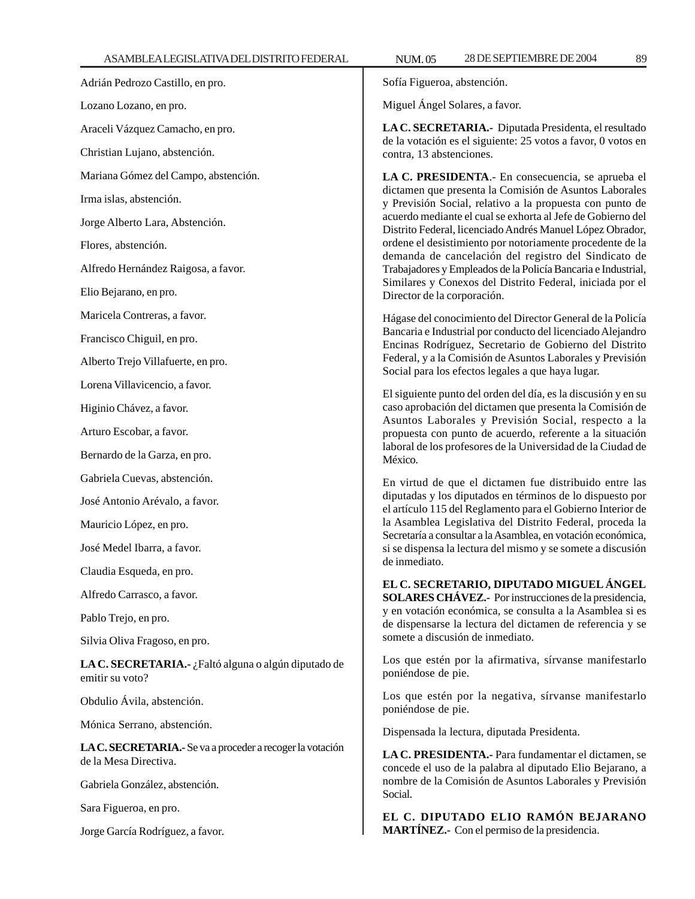Adrián Pedrozo Castillo, en pro. Lozano Lozano, en pro.

Araceli Vázquez Camacho, en pro.

Christian Lujano, abstención.

Mariana Gómez del Campo, abstención.

Irma islas, abstención.

Jorge Alberto Lara, Abstención.

Flores, abstención.

Alfredo Hernández Raigosa, a favor.

Elio Bejarano, en pro.

Maricela Contreras, a favor.

Francisco Chiguil, en pro.

Alberto Trejo Villafuerte, en pro.

Lorena Villavicencio, a favor.

Higinio Chávez, a favor.

Arturo Escobar, a favor.

Bernardo de la Garza, en pro.

Gabriela Cuevas, abstención.

José Antonio Arévalo, a favor.

Mauricio López, en pro.

José Medel Ibarra, a favor.

Claudia Esqueda, en pro.

Alfredo Carrasco, a favor.

Pablo Trejo, en pro.

Silvia Oliva Fragoso, en pro.

**LA C. SECRETARIA.-** ¿Faltó alguna o algún diputado de emitir su voto?

Obdulio Ávila, abstención.

Mónica Serrano, abstención.

**LA C. SECRETARIA.-** Se va a proceder a recoger la votación de la Mesa Directiva.

Gabriela González, abstención.

Sara Figueroa, en pro.

Jorge García Rodríguez, a favor.

Sofía Figueroa, abstención.

Miguel Ángel Solares, a favor.

**LA C. SECRETARIA.-** Diputada Presidenta, el resultado de la votación es el siguiente: 25 votos a favor, 0 votos en contra, 13 abstenciones.

**LA C. PRESIDENTA**.- En consecuencia, se aprueba el dictamen que presenta la Comisión de Asuntos Laborales y Previsión Social, relativo a la propuesta con punto de acuerdo mediante el cual se exhorta al Jefe de Gobierno del Distrito Federal, licenciado Andrés Manuel López Obrador, ordene el desistimiento por notoriamente procedente de la demanda de cancelación del registro del Sindicato de Trabajadores y Empleados de la Policía Bancaria e Industrial, Similares y Conexos del Distrito Federal, iniciada por el Director de la corporación.

Hágase del conocimiento del Director General de la Policía Bancaria e Industrial por conducto del licenciado Alejandro Encinas Rodríguez, Secretario de Gobierno del Distrito Federal, y a la Comisión de Asuntos Laborales y Previsión Social para los efectos legales a que haya lugar.

El siguiente punto del orden del día, es la discusión y en su caso aprobación del dictamen que presenta la Comisión de Asuntos Laborales y Previsión Social, respecto a la propuesta con punto de acuerdo, referente a la situación laboral de los profesores de la Universidad de la Ciudad de México.

En virtud de que el dictamen fue distribuido entre las diputadas y los diputados en términos de lo dispuesto por el artículo 115 del Reglamento para el Gobierno Interior de la Asamblea Legislativa del Distrito Federal, proceda la Secretaría a consultar a la Asamblea, en votación económica, si se dispensa la lectura del mismo y se somete a discusión de inmediato.

**EL C. SECRETARIO, DIPUTADO MIGUEL ÁNGEL SOLARES CHÁVEZ.-** Por instrucciones de la presidencia, y en votación económica, se consulta a la Asamblea si es de dispensarse la lectura del dictamen de referencia y se somete a discusión de inmediato.

Los que estén por la afirmativa, sírvanse manifestarlo poniéndose de pie.

Los que estén por la negativa, sírvanse manifestarlo poniéndose de pie.

Dispensada la lectura, diputada Presidenta.

**LA C. PRESIDENTA.-** Para fundamentar el dictamen, se concede el uso de la palabra al diputado Elio Bejarano, a nombre de la Comisión de Asuntos Laborales y Previsión Social.

**EL C. DIPUTADO ELIO RAMÓN BEJARANO MARTÍNEZ.-** Con el permiso de la presidencia.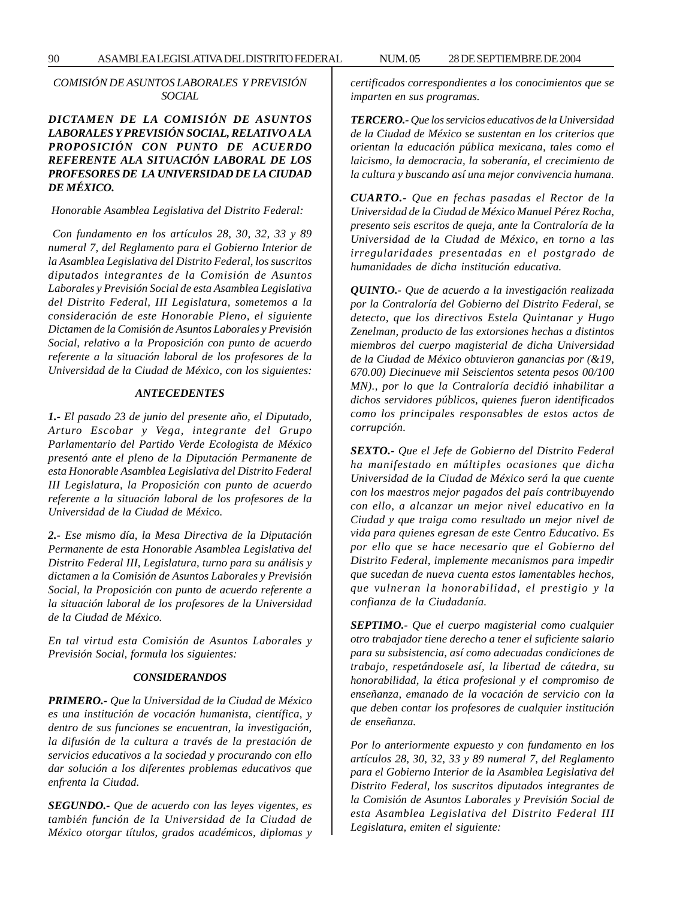*COMISIÓN DE ASUNTOS LABORALES Y PREVISIÓN SOCIAL*

# *DICTAMEN DE LA COMISIÓN DE ASUNTOS LABORALES Y PREVISIÓN SOCIAL, RELATIVO A LA PROPOSICIÓN CON PUNTO DE ACUERDO REFERENTE ALA SITUACIÓN LABORAL DE LOS PROFESORES DE LA UNIVERSIDAD DE LA CIUDAD DE MÉXICO.*

#### *Honorable Asamblea Legislativa del Distrito Federal:*

 *Con fundamento en los artículos 28, 30, 32, 33 y 89 numeral 7, del Reglamento para el Gobierno Interior de la Asamblea Legislativa del Distrito Federal, los suscritos diputados integrantes de la Comisión de Asuntos Laborales y Previsión Social de esta Asamblea Legislativa del Distrito Federal, III Legislatura, sometemos a la consideración de este Honorable Pleno, el siguiente Dictamen de la Comisión de Asuntos Laborales y Previsión Social, relativo a la Proposición con punto de acuerdo referente a la situación laboral de los profesores de la Universidad de la Ciudad de México, con los siguientes:*

#### *ANTECEDENTES*

*1.- El pasado 23 de junio del presente año, el Diputado, Arturo Escobar y Vega, integrante del Grupo Parlamentario del Partido Verde Ecologista de México presentó ante el pleno de la Diputación Permanente de esta Honorable Asamblea Legislativa del Distrito Federal III Legislatura, la Proposición con punto de acuerdo referente a la situación laboral de los profesores de la Universidad de la Ciudad de México.*

*2.- Ese mismo día, la Mesa Directiva de la Diputación Permanente de esta Honorable Asamblea Legislativa del Distrito Federal III, Legislatura, turno para su análisis y dictamen a la Comisión de Asuntos Laborales y Previsión Social, la Proposición con punto de acuerdo referente a la situación laboral de los profesores de la Universidad de la Ciudad de México.*

*En tal virtud esta Comisión de Asuntos Laborales y Previsión Social, formula los siguientes:*

### *CONSIDERANDOS*

*PRIMERO.- Que la Universidad de la Ciudad de México es una institución de vocación humanista, científica, y dentro de sus funciones se encuentran, la investigación, la difusión de la cultura a través de la prestación de servicios educativos a la sociedad y procurando con ello dar solución a los diferentes problemas educativos que enfrenta la Ciudad.*

*SEGUNDO.- Que de acuerdo con las leyes vigentes, es también función de la Universidad de la Ciudad de México otorgar títulos, grados académicos, diplomas y* *certificados correspondientes a los conocimientos que se imparten en sus programas.*

*TERCERO.- Que los servicios educativos de la Universidad de la Ciudad de México se sustentan en los criterios que orientan la educación pública mexicana, tales como el laicismo, la democracia, la soberanía, el crecimiento de la cultura y buscando así una mejor convivencia humana.*

*CUARTO.- Que en fechas pasadas el Rector de la Universidad de la Ciudad de México Manuel Pérez Rocha, presento seis escritos de queja, ante la Contraloría de la Universidad de la Ciudad de México, en torno a las irregularidades presentadas en el postgrado de humanidades de dicha institución educativa.*

*QUINTO.- Que de acuerdo a la investigación realizada por la Contraloría del Gobierno del Distrito Federal, se detecto, que los directivos Estela Quintanar y Hugo Zenelman, producto de las extorsiones hechas a distintos miembros del cuerpo magisterial de dicha Universidad de la Ciudad de México obtuvieron ganancias por (& 19, 670.00) Diecinueve mil Seiscientos setenta pesos 00/100 MN)., por lo que la Contraloría decidió inhabilitar a dichos servidores públicos, quienes fueron identificados como los principales responsables de estos actos de corrupción.*

*SEXTO.- Que el Jefe de Gobierno del Distrito Federal ha manifestado en múltiples ocasiones que dicha Universidad de la Ciudad de México será la que cuente con los maestros mejor pagados del país contribuyendo con ello, a alcanzar un mejor nivel educativo en la Ciudad y que traiga como resultado un mejor nivel de vida para quienes egresan de este Centro Educativo. Es por ello que se hace necesario que el Gobierno del Distrito Federal, implemente mecanismos para impedir que sucedan de nueva cuenta estos lamentables hechos, que vulneran la honorabilidad, el prestigio y la confianza de la Ciudadanía.*

*SEPTIMO.- Que el cuerpo magisterial como cualquier otro trabajador tiene derecho a tener el suficiente salario para su subsistencia, así como adecuadas condiciones de trabajo, respetándosele así, la libertad de cátedra, su honorabilidad, la ética profesional y el compromiso de enseñanza, emanado de la vocación de servicio con la que deben contar los profesores de cualquier institución de enseñanza.*

*Por lo anteriormente expuesto y con fundamento en los artículos 28, 30, 32, 33 y 89 numeral 7, del Reglamento para el Gobierno Interior de la Asamblea Legislativa del Distrito Federal, los suscritos diputados integrantes de la Comisión de Asuntos Laborales y Previsión Social de esta Asamblea Legislativa del Distrito Federal III Legislatura, emiten el siguiente:*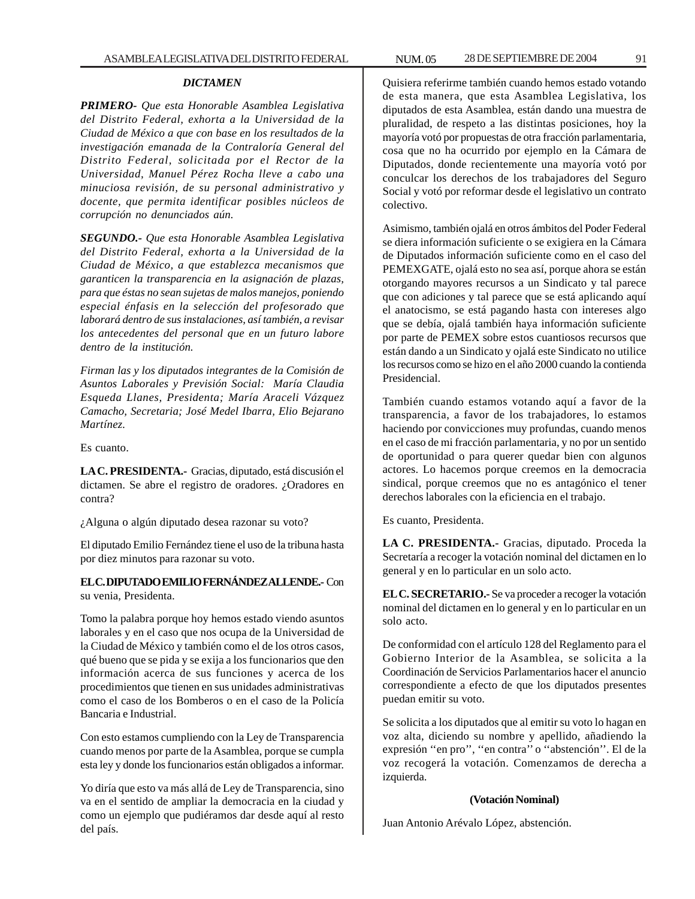#### *DICTAMEN*

*PRIMERO- Que esta Honorable Asamblea Legislativa del Distrito Federal, exhorta a la Universidad de la Ciudad de México a que con base en los resultados de la investigación emanada de la Contraloría General del Distrito Federal, solicitada por el Rector de la Universidad, Manuel Pérez Rocha lleve a cabo una minuciosa revisión, de su personal administrativo y docente, que permita identificar posibles núcleos de corrupción no denunciados aún.*

*SEGUNDO.- Que esta Honorable Asamblea Legislativa del Distrito Federal, exhorta a la Universidad de la Ciudad de México, a que establezca mecanismos que garanticen la transparencia en la asignación de plazas, para que éstas no sean sujetas de malos manejos, poniendo especial énfasis en la selección del profesorado que laborará dentro de sus instalaciones, así también, a revisar los antecedentes del personal que en un futuro labore dentro de la institución.*

*Firman las y los diputados integrantes de la Comisión de Asuntos Laborales y Previsión Social: María Claudia Esqueda Llanes, Presidenta; María Araceli Vázquez Camacho, Secretaria; José Medel Ibarra, Elio Bejarano Martínez.*

Es cuanto.

**LA C. PRESIDENTA.-** Gracias, diputado, está discusión el dictamen. Se abre el registro de oradores. ¿Oradores en contra?

¿Alguna o algún diputado desea razonar su voto?

El diputado Emilio Fernández tiene el uso de la tribuna hasta por diez minutos para razonar su voto.

**EL C. DIPUTADO EMILIO FERNÁNDEZ ALLENDE.-** Con su venia, Presidenta.

Tomo la palabra porque hoy hemos estado viendo asuntos laborales y en el caso que nos ocupa de la Universidad de la Ciudad de México y también como el de los otros casos, qué bueno que se pida y se exija a los funcionarios que den información acerca de sus funciones y acerca de los procedimientos que tienen en sus unidades administrativas como el caso de los Bomberos o en el caso de la Policía Bancaria e Industrial.

Con esto estamos cumpliendo con la Ley de Transparencia cuando menos por parte de la Asamblea, porque se cumpla esta ley y donde los funcionarios están obligados a informar.

Yo diría que esto va más allá de Ley de Transparencia, sino va en el sentido de ampliar la democracia en la ciudad y como un ejemplo que pudiéramos dar desde aquí al resto del país.

Quisiera referirme también cuando hemos estado votando de esta manera, que esta Asamblea Legislativa, los diputados de esta Asamblea, están dando una muestra de pluralidad, de respeto a las distintas posiciones, hoy la mayoría votó por propuestas de otra fracción parlamentaria, cosa que no ha ocurrido por ejemplo en la Cámara de Diputados, donde recientemente una mayoría votó por conculcar los derechos de los trabajadores del Seguro Social y votó por reformar desde el legislativo un contrato colectivo.

Asimismo, también ojalá en otros ámbitos del Poder Federal se diera información suficiente o se exigiera en la Cámara de Diputados información suficiente como en el caso del PEMEXGATE, ojalá esto no sea así, porque ahora se están otorgando mayores recursos a un Sindicato y tal parece que con adiciones y tal parece que se está aplicando aquí el anatocismo, se está pagando hasta con intereses algo que se debía, ojalá también haya información suficiente por parte de PEMEX sobre estos cuantiosos recursos que están dando a un Sindicato y ojalá este Sindicato no utilice los recursos como se hizo en el año 2000 cuando la contienda Presidencial.

También cuando estamos votando aquí a favor de la transparencia, a favor de los trabajadores, lo estamos haciendo por convicciones muy profundas, cuando menos en el caso de mi fracción parlamentaria, y no por un sentido de oportunidad o para querer quedar bien con algunos actores. Lo hacemos porque creemos en la democracia sindical, porque creemos que no es antagónico el tener derechos laborales con la eficiencia en el trabajo.

Es cuanto, Presidenta.

**LA C. PRESIDENTA.-** Gracias, diputado. Proceda la Secretaría a recoger la votación nominal del dictamen en lo general y en lo particular en un solo acto.

**EL C. SECRETARIO.-** Se va proceder a recoger la votación nominal del dictamen en lo general y en lo particular en un solo acto.

De conformidad con el artículo 128 del Reglamento para el Gobierno Interior de la Asamblea, se solicita a la Coordinación de Servicios Parlamentarios hacer el anuncio correspondiente a efecto de que los diputados presentes puedan emitir su voto.

Se solicita a los diputados que al emitir su voto lo hagan en voz alta, diciendo su nombre y apellido, añadiendo la expresión ''en pro'', ''en contra'' o ''abstención''. El de la voz recogerá la votación. Comenzamos de derecha a izquierda.

## **(Votación Nominal)**

Juan Antonio Arévalo López, abstención.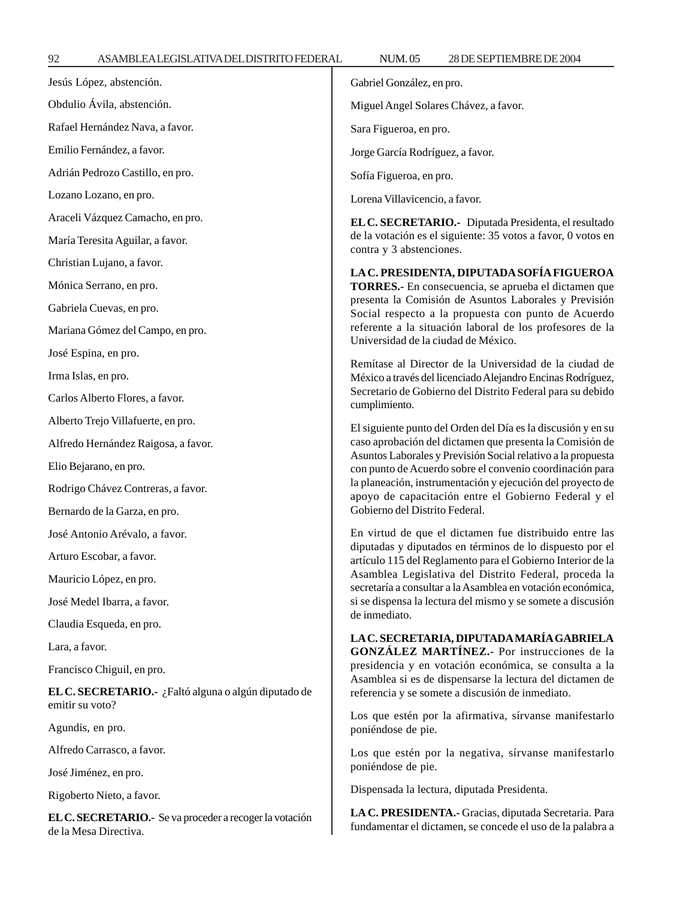92 ASAMBLEA LEGISLATIVA DEL DISTRITO FEDERAL 28 NUM. 05 DE SEPTIEMBRE DE 2004 Jesús López, abstención. Obdulio Ávila, abstención. Rafael Hernández Nava, a favor. Emilio Fernández, a favor. Adrián Pedrozo Castillo, en pro. Lozano Lozano, en pro. Araceli Vázquez Camacho, en pro. María Teresita Aguilar, a favor. Christian Lujano, a favor. Mónica Serrano, en pro. Gabriela Cuevas, en pro. Mariana Gómez del Campo, en pro. José Espina, en pro. Irma Islas, en pro. Carlos Alberto Flores, a favor. Alberto Trejo Villafuerte, en pro. Alfredo Hernández Raigosa, a favor. Elio Bejarano, en pro. Rodrigo Chávez Contreras, a favor. Bernardo de la Garza, en pro. José Antonio Arévalo, a favor. Arturo Escobar, a favor. Mauricio López, en pro. José Medel Ibarra, a favor. Claudia Esqueda, en pro. Lara, a favor. Francisco Chiguil, en pro. **EL C. SECRETARIO.-** ¿Faltó alguna o algún diputado de emitir su voto? Agundis, en pro. Alfredo Carrasco, a favor.

José Jiménez, en pro.

Rigoberto Nieto, a favor.

**EL C. SECRETARIO.-** Se va proceder a recoger la votación de la Mesa Directiva.

Gabriel González, en pro.

Miguel Angel Solares Chávez, a favor.

Sara Figueroa, en pro.

Jorge García Rodríguez, a favor.

Sofía Figueroa, en pro.

Lorena Villavicencio, a favor.

**EL C. SECRETARIO.-** Diputada Presidenta, el resultado de la votación es el siguiente: 35 votos a favor, 0 votos en contra y 3 abstenciones.

**LA C. PRESIDENTA, DIPUTADA SOFÍA FIGUEROA TORRES.-** En consecuencia, se aprueba el dictamen que presenta la Comisión de Asuntos Laborales y Previsión Social respecto a la propuesta con punto de Acuerdo referente a la situación laboral de los profesores de la Universidad de la ciudad de México.

Remítase al Director de la Universidad de la ciudad de México a través del licenciado Alejandro Encinas Rodríguez, Secretario de Gobierno del Distrito Federal para su debido cumplimiento.

El siguiente punto del Orden del Día es la discusión y en su caso aprobación del dictamen que presenta la Comisión de Asuntos Laborales y Previsión Social relativo a la propuesta con punto de Acuerdo sobre el convenio coordinación para la planeación, instrumentación y ejecución del proyecto de apoyo de capacitación entre el Gobierno Federal y el Gobierno del Distrito Federal.

En virtud de que el dictamen fue distribuido entre las diputadas y diputados en términos de lo dispuesto por el artículo 115 del Reglamento para el Gobierno Interior de la Asamblea Legislativa del Distrito Federal, proceda la secretaría a consultar a la Asamblea en votación económica, si se dispensa la lectura del mismo y se somete a discusión de inmediato.

**LA C. SECRETARIA, DIPUTADA MARÍA GABRIELA GONZÁLEZ MARTÍNEZ.-** Por instrucciones de la presidencia y en votación económica, se consulta a la Asamblea si es de dispensarse la lectura del dictamen de referencia y se somete a discusión de inmediato.

Los que estén por la afirmativa, sírvanse manifestarlo poniéndose de pie.

Los que estén por la negativa, sírvanse manifestarlo poniéndose de pie.

Dispensada la lectura, diputada Presidenta.

**LA C. PRESIDENTA.-** Gracias, diputada Secretaria. Para fundamentar el dictamen, se concede el uso de la palabra a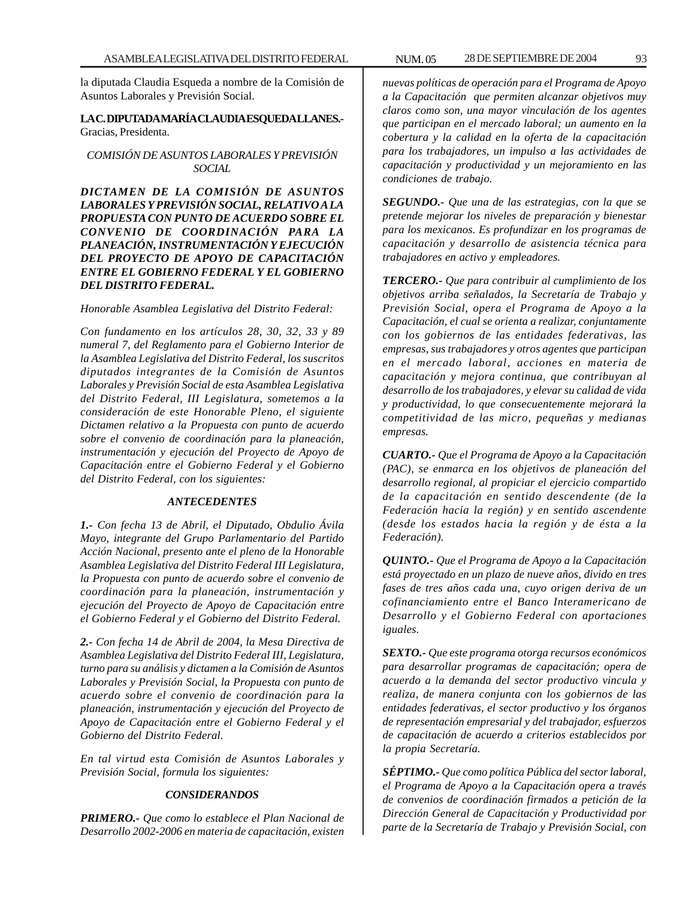la diputada Claudia Esqueda a nombre de la Comisión de Asuntos Laborales y Previsión Social.

**LA C. DIPUTADA MARÍA CLAUDIA ESQUEDA LLANES.-** Gracias, Presidenta.

# *COMISIÓN DE ASUNTOS LABORALES Y PREVISIÓN SOCIAL*

*DICTAMEN DE LA COMISIÓN DE ASUNTOS LABORALES Y PREVISIÓN SOCIAL, RELATIVO A LA PROPUESTA CON PUNTO DE ACUERDO SOBRE EL CONVENIO DE COORDINACIÓN PARA LA PLANEACIÓN, INSTRUMENTACIÓN Y EJECUCIÓN DEL PROYECTO DE APOYO DE CAPACITACIÓN ENTRE EL GOBIERNO FEDERAL Y EL GOBIERNO DEL DISTRITO FEDERAL.*

*Honorable Asamblea Legislativa del Distrito Federal:*

*Con fundamento en los artículos 28, 30, 32, 33 y 89 numeral 7, del Reglamento para el Gobierno Interior de la Asamblea Legislativa del Distrito Federal, los suscritos diputados integrantes de la Comisión de Asuntos Laborales y Previsión Social de esta Asamblea Legislativa del Distrito Federal, III Legislatura, sometemos a la consideración de este Honorable Pleno, el siguiente Dictamen relativo a la Propuesta con punto de acuerdo sobre el convenio de coordinación para la planeación, instrumentación y ejecución del Proyecto de Apoyo de Capacitación entre el Gobierno Federal y el Gobierno del Distrito Federal, con los siguientes:*

## *ANTECEDENTES*

*1.- Con fecha 13 de Abril, el Diputado, Obdulio Ávila Mayo, integrante del Grupo Parlamentario del Partido Acción Nacional, presento ante el pleno de la Honorable Asamblea Legislativa del Distrito Federal III Legislatura, la Propuesta con punto de acuerdo sobre el convenio de coordinación para la planeación, instrumentación y ejecución del Proyecto de Apoyo de Capacitación entre el Gobierno Federal y el Gobierno del Distrito Federal.*

*2.- Con fecha 14 de Abril de 2004, la Mesa Directiva de Asamblea Legislativa del Distrito Federal III, Legislatura, turno para su análisis y dictamen a la Comisión de Asuntos Laborales y Previsión Social, la Propuesta con punto de acuerdo sobre el convenio de coordinación para la planeación, instrumentación y ejecución del Proyecto de Apoyo de Capacitación entre el Gobierno Federal y el Gobierno del Distrito Federal.*

*En tal virtud esta Comisión de Asuntos Laborales y Previsión Social, formula los siguientes:*

# *CONSIDERANDOS*

*PRIMERO.- Que como lo establece el Plan Nacional de Desarrollo 2002-2006 en materia de capacitación, existen* *nuevas políticas de operación para el Programa de Apoyo a la Capacitación que permiten alcanzar objetivos muy claros como son, una mayor vinculación de los agentes que participan en el mercado laboral; un aumento en la cobertura y la calidad en la oferta de la capacitación para los trabajadores, un impulso a las actividades de capacitación y productividad y un mejoramiento en las condiciones de trabajo.*

*SEGUNDO.- Que una de las estrategias, con la que se pretende mejorar los niveles de preparación y bienestar para los mexicanos. Es profundizar en los programas de capacitación y desarrollo de asistencia técnica para trabajadores en activo y empleadores.*

*TERCERO.- Que para contribuir al cumplimiento de los objetivos arriba señalados, la Secretaría de Trabajo y Previsión Social, opera el Programa de Apoyo a la Capacitación, el cual se orienta a realizar, conjuntamente con los gobiernos de las entidades federativas, las empresas, sus trabajadores y otros agentes que participan en el mercado laboral, acciones en materia de capacitación y mejora continua, que contribuyan al desarrollo de los trabajadores, y elevar su calidad de vida y productividad, lo que consecuentemente mejorará la competitividad de las micro, pequeñas y medianas empresas.*

*CUARTO.- Que el Programa de Apoyo a la Capacitación (PAC), se enmarca en los objetivos de planeación del desarrollo regional, al propiciar el ejercicio compartido de la capacitación en sentido descendente (de la Federación hacia la región) y en sentido ascendente (desde los estados hacia la región y de ésta a la Federación).*

*QUINTO.- Que el Programa de Apoyo a la Capacitación está proyectado en un plazo de nueve años, divido en tres fases de tres años cada una, cuyo origen deriva de un cofinanciamiento entre el Banco Interamericano de Desarrollo y el Gobierno Federal con aportaciones iguales.*

*SEXTO.- Que este programa otorga recursos económicos para desarrollar programas de capacitación; opera de acuerdo a la demanda del sector productivo vincula y realiza, de manera conjunta con los gobiernos de las entidades federativas, el sector productivo y los órganos de representación empresarial y del trabajador, esfuerzos de capacitación de acuerdo a criterios establecidos por la propia Secretaría.*

*SÉPTIMO.- Que como política Pública del sector laboral, el Programa de Apoyo a la Capacitación opera a través de convenios de coordinación firmados a petición de la Dirección General de Capacitación y Productividad por parte de la Secretaría de Trabajo y Previsión Social, con*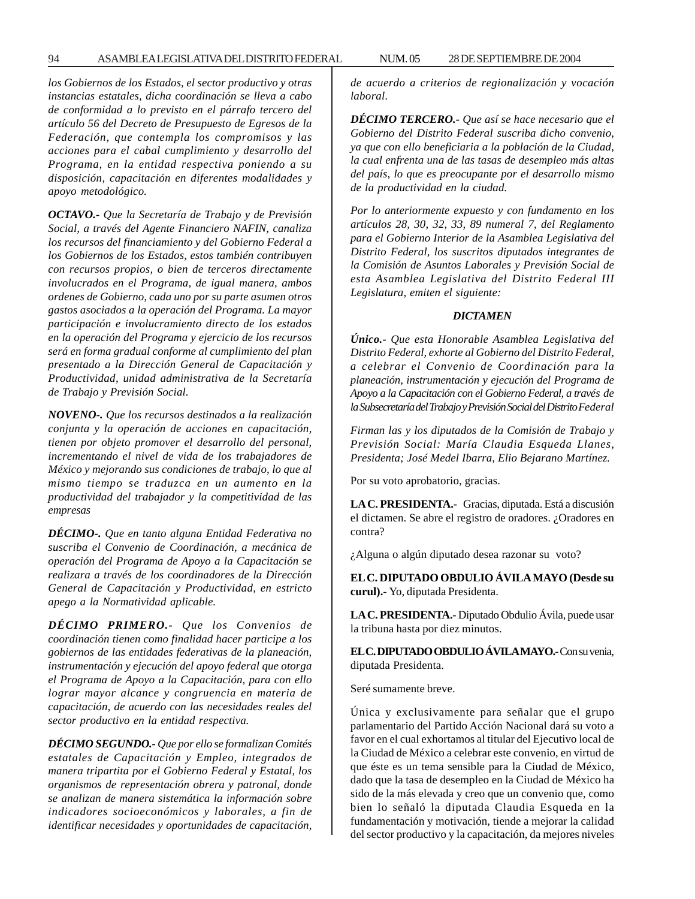*los Gobiernos de los Estados, el sector productivo y otras instancias estatales, dicha coordinación se lleva a cabo de conformidad a lo previsto en el párrafo tercero del artículo 56 del Decreto de Presupuesto de Egresos de la Federación, que contempla los compromisos y las acciones para el cabal cumplimiento y desarrollo del Programa, en la entidad respectiva poniendo a su disposición, capacitación en diferentes modalidades y apoyo metodológico.*

*OCTAVO.- Que la Secretaría de Trabajo y de Previsión Social, a través del Agente Financiero NAFIN, canaliza los recursos del financiamiento y del Gobierno Federal a los Gobiernos de los Estados, estos también contribuyen con recursos propios, o bien de terceros directamente involucrados en el Programa, de igual manera, ambos ordenes de Gobierno, cada uno por su parte asumen otros gastos asociados a la operación del Programa. La mayor participación e involucramiento directo de los estados en la operación del Programa y ejercicio de los recursos será en forma gradual conforme al cumplimiento del plan presentado a la Dirección General de Capacitación y Productividad, unidad administrativa de la Secretaría de Trabajo y Previsión Social.*

*NOVENO-. Que los recursos destinados a la realización conjunta y la operación de acciones en capacitación, tienen por objeto promover el desarrollo del personal, incrementando el nivel de vida de los trabajadores de México y mejorando sus condiciones de trabajo, lo que al mismo tiempo se traduzca en un aumento en la productividad del trabajador y la competitividad de las empresas*

*DÉCIMO-. Que en tanto alguna Entidad Federativa no suscriba el Convenio de Coordinación, a mecánica de operación del Programa de Apoyo a la Capacitación se realizara a través de los coordinadores de la Dirección General de Capacitación y Productividad, en estricto apego a la Normatividad aplicable.*

*DÉCIMO PRIMERO.- Que los Convenios de coordinación tienen como finalidad hacer participe a los gobiernos de las entidades federativas de la planeación, instrumentación y ejecución del apoyo federal que otorga el Programa de Apoyo a la Capacitación, para con ello lograr mayor alcance y congruencia en materia de capacitación, de acuerdo con las necesidades reales del sector productivo en la entidad respectiva.*

*DÉCIMO SEGUNDO.- Que por ello se formalizan Comités estatales de Capacitación y Empleo, integrados de manera tripartita por el Gobierno Federal y Estatal, los organismos de representación obrera y patronal, donde se analizan de manera sistemática la información sobre indicadores socioeconómicos y laborales, a fin de identificar necesidades y oportunidades de capacitación,*

*de acuerdo a criterios de regionalización y vocación laboral.*

*DÉCIMO TERCERO.- Que así se hace necesario que el Gobierno del Distrito Federal suscriba dicho convenio, ya que con ello beneficiaria a la población de la Ciudad, la cual enfrenta una de las tasas de desempleo más altas del país, lo que es preocupante por el desarrollo mismo de la productividad en la ciudad.*

*Por lo anteriormente expuesto y con fundamento en los artículos 28, 30, 32, 33, 89 numeral 7, del Reglamento para el Gobierno Interior de la Asamblea Legislativa del Distrito Federal, los suscritos diputados integrantes de la Comisión de Asuntos Laborales y Previsión Social de esta Asamblea Legislativa del Distrito Federal III Legislatura, emiten el siguiente:*

#### *DICTAMEN*

*Único.- Que esta Honorable Asamblea Legislativa del Distrito Federal, exhorte al Gobierno del Distrito Federal, a celebrar el Convenio de Coordinación para la planeación, instrumentación y ejecución del Programa de Apoyo a la Capacitación con el Gobierno Federal, a través de la Subsecretaría del Trabajo y Previsión Social del Distrito Federal*

*Firman las y los diputados de la Comisión de Trabajo y Previsión Social: María Claudia Esqueda Llanes, Presidenta; José Medel Ibarra, Elio Bejarano Martínez.*

Por su voto aprobatorio, gracias.

**LA C. PRESIDENTA.-** Gracias, diputada. Está a discusión el dictamen. Se abre el registro de oradores. ¿Oradores en contra?

¿Alguna o algún diputado desea razonar su voto?

**EL C. DIPUTADO OBDULIO ÁVILA MAYO (Desde su curul).**- Yo, diputada Presidenta.

**LA C. PRESIDENTA.-** Diputado Obdulio Ávila, puede usar la tribuna hasta por diez minutos.

**EL C. DIPUTADO OBDULIO ÁVILA MAYO.-** Con su venia, diputada Presidenta.

Seré sumamente breve.

Única y exclusivamente para señalar que el grupo parlamentario del Partido Acción Nacional dará su voto a favor en el cual exhortamos al titular del Ejecutivo local de la Ciudad de México a celebrar este convenio, en virtud de que éste es un tema sensible para la Ciudad de México, dado que la tasa de desempleo en la Ciudad de México ha sido de la más elevada y creo que un convenio que, como bien lo señaló la diputada Claudia Esqueda en la fundamentación y motivación, tiende a mejorar la calidad del sector productivo y la capacitación, da mejores niveles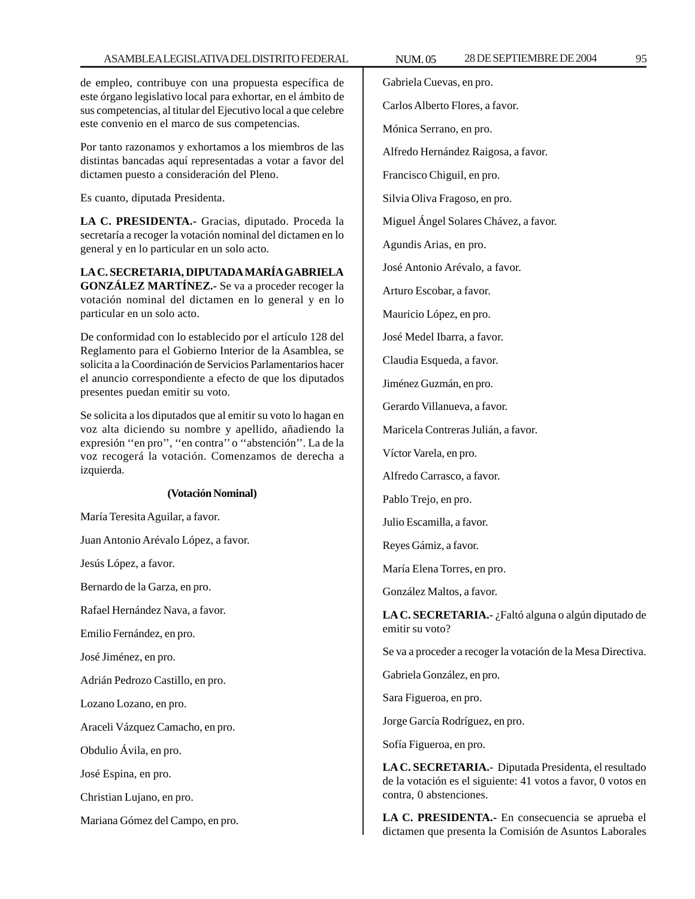de empleo, contribuye con una propuesta específica de este órgano legislativo local para exhortar, en el ámbito de sus competencias, al titular del Ejecutivo local a que celebre este convenio en el marco de sus competencias.

Por tanto razonamos y exhortamos a los miembros de las distintas bancadas aquí representadas a votar a favor del dictamen puesto a consideración del Pleno.

Es cuanto, diputada Presidenta.

**LA C. PRESIDENTA.-** Gracias, diputado. Proceda la secretaría a recoger la votación nominal del dictamen en lo general y en lo particular en un solo acto.

**LA C. SECRETARIA, DIPUTADA MARÍA GABRIELA GONZÁLEZ MARTÍNEZ.-** Se va a proceder recoger la votación nominal del dictamen en lo general y en lo particular en un solo acto.

De conformidad con lo establecido por el artículo 128 del Reglamento para el Gobierno Interior de la Asamblea, se solicita a la Coordinación de Servicios Parlamentarios hacer el anuncio correspondiente a efecto de que los diputados presentes puedan emitir su voto.

Se solicita a los diputados que al emitir su voto lo hagan en voz alta diciendo su nombre y apellido, añadiendo la expresión ''en pro'', ''en contra'' o ''abstención''. La de la voz recogerá la votación. Comenzamos de derecha a izquierda.

## **(Votación Nominal)**

María Teresita Aguilar, a favor.

Juan Antonio Arévalo López, a favor.

Jesús López, a favor.

Bernardo de la Garza, en pro.

Rafael Hernández Nava, a favor.

Emilio Fernández, en pro.

José Jiménez, en pro.

Adrián Pedrozo Castillo, en pro.

Lozano Lozano, en pro.

Araceli Vázquez Camacho, en pro.

Obdulio Ávila, en pro.

José Espina, en pro.

Christian Lujano, en pro.

Mariana Gómez del Campo, en pro.

Gabriela Cuevas, en pro.

Carlos Alberto Flores, a favor.

Mónica Serrano, en pro.

Alfredo Hernández Raigosa, a favor.

Francisco Chiguil, en pro.

Silvia Oliva Fragoso, en pro.

Miguel Ángel Solares Chávez, a favor.

Agundis Arias, en pro.

José Antonio Arévalo, a favor.

Arturo Escobar, a favor.

Mauricio López, en pro.

José Medel Ibarra, a favor.

Claudia Esqueda, a favor.

Jiménez Guzmán, en pro.

Gerardo Villanueva, a favor.

Maricela Contreras Julián, a favor.

Víctor Varela, en pro.

Alfredo Carrasco, a favor.

Pablo Trejo, en pro.

Julio Escamilla, a favor.

Reyes Gámiz, a favor.

María Elena Torres, en pro.

González Maltos, a favor.

**LA C. SECRETARIA.-** ¿Faltó alguna o algún diputado de emitir su voto?

Se va a proceder a recoger la votación de la Mesa Directiva.

Gabriela González, en pro.

Sara Figueroa, en pro.

Jorge García Rodríguez, en pro.

Sofía Figueroa, en pro.

**LA C. SECRETARIA.-** Diputada Presidenta, el resultado de la votación es el siguiente: 41 votos a favor, 0 votos en contra, 0 abstenciones.

**LA C. PRESIDENTA.-** En consecuencia se aprueba el dictamen que presenta la Comisión de Asuntos Laborales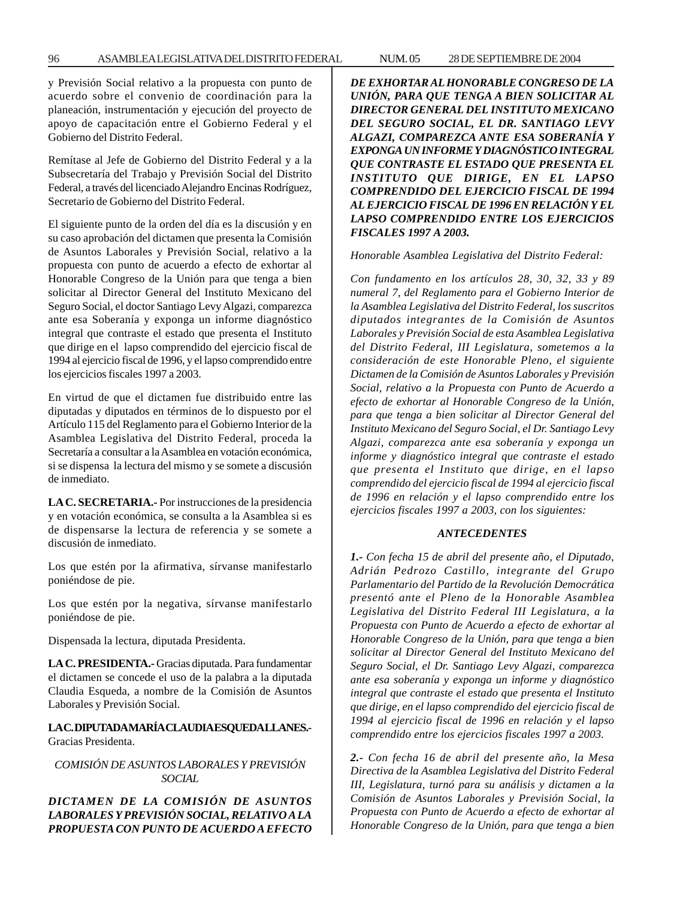y Previsión Social relativo a la propuesta con punto de acuerdo sobre el convenio de coordinación para la planeación, instrumentación y ejecución del proyecto de apoyo de capacitación entre el Gobierno Federal y el Gobierno del Distrito Federal.

Remítase al Jefe de Gobierno del Distrito Federal y a la Subsecretaría del Trabajo y Previsión Social del Distrito Federal, a través del licenciado Alejandro Encinas Rodríguez, Secretario de Gobierno del Distrito Federal.

El siguiente punto de la orden del día es la discusión y en su caso aprobación del dictamen que presenta la Comisión de Asuntos Laborales y Previsión Social, relativo a la propuesta con punto de acuerdo a efecto de exhortar al Honorable Congreso de la Unión para que tenga a bien solicitar al Director General del Instituto Mexicano del Seguro Social, el doctor Santiago Levy Algazi, comparezca ante esa Soberanía y exponga un informe diagnóstico integral que contraste el estado que presenta el Instituto que dirige en el lapso comprendido del ejercicio fiscal de 1994 al ejercicio fiscal de 1996, y el lapso comprendido entre los ejercicios fiscales 1997 a 2003.

En virtud de que el dictamen fue distribuido entre las diputadas y diputados en términos de lo dispuesto por el Artículo 115 del Reglamento para el Gobierno Interior de la Asamblea Legislativa del Distrito Federal, proceda la Secretaría a consultar a la Asamblea en votación económica, si se dispensa la lectura del mismo y se somete a discusión de inmediato.

**LA C. SECRETARIA.-** Por instrucciones de la presidencia y en votación económica, se consulta a la Asamblea si es de dispensarse la lectura de referencia y se somete a discusión de inmediato.

Los que estén por la afirmativa, sírvanse manifestarlo poniéndose de pie.

Los que estén por la negativa, sírvanse manifestarlo poniéndose de pie.

Dispensada la lectura, diputada Presidenta.

**LA C. PRESIDENTA.-** Gracias diputada. Para fundamentar el dictamen se concede el uso de la palabra a la diputada Claudia Esqueda, a nombre de la Comisión de Asuntos Laborales y Previsión Social.

# **LA C. DIPUTADA MARÍA CLAUDIA ESQUEDA LLANES.-** Gracias Presidenta.

*COMISIÓN DE ASUNTOS LABORALES Y PREVISIÓN SOCIAL*

*DICTAMEN DE LA COMISIÓN DE ASUNTOS LABORALES Y PREVISIÓN SOCIAL, RELATIVO A LA PROPUESTA CON PUNTO DE ACUERDO A EFECTO* *DE EXHORTAR AL HONORABLE CONGRESO DE LA UNIÓN, PARA QUE TENGA A BIEN SOLICITAR AL DIRECTOR GENERAL DEL INSTITUTO MEXICANO DEL SEGURO SOCIAL, EL DR. SANTIAGO LEVY ALGAZI, COMPAREZCA ANTE ESA SOBERANÍA Y EXPONGA UN INFORME Y DIAGNÓSTICO INTEGRAL QUE CONTRASTE EL ESTADO QUE PRESENTA EL INSTITUTO QUE DIRIGE, EN EL LAPSO COMPRENDIDO DEL EJERCICIO FISCAL DE 1994 AL EJERCICIO FISCAL DE 1996 EN RELACIÓN Y EL LAPSO COMPRENDIDO ENTRE LOS EJERCICIOS FISCALES 1997 A 2003.*

*Honorable Asamblea Legislativa del Distrito Federal:*

*Con fundamento en los artículos 28, 30, 32, 33 y 89 numeral 7, del Reglamento para el Gobierno Interior de la Asamblea Legislativa del Distrito Federal, los suscritos diputados integrantes de la Comisión de Asuntos Laborales y Previsión Social de esta Asamblea Legislativa del Distrito Federal, III Legislatura, sometemos a la consideración de este Honorable Pleno, el siguiente Dictamen de la Comisión de Asuntos Laborales y Previsión Social, relativo a la Propuesta con Punto de Acuerdo a efecto de exhortar al Honorable Congreso de la Unión, para que tenga a bien solicitar al Director General del Instituto Mexicano del Seguro Social, el Dr. Santiago Levy Algazi, comparezca ante esa soberanía y exponga un informe y diagnóstico integral que contraste el estado que presenta el Instituto que dirige, en el lapso comprendido del ejercicio fiscal de 1994 al ejercicio fiscal de 1996 en relación y el lapso comprendido entre los ejercicios fiscales 1997 a 2003, con los siguientes:*

## *ANTECEDENTES*

*1.- Con fecha 15 de abril del presente año, el Diputado, Adrián Pedrozo Castillo, integrante del Grupo Parlamentario del Partido de la Revolución Democrática presentó ante el Pleno de la Honorable Asamblea Legislativa del Distrito Federal III Legislatura, a la Propuesta con Punto de Acuerdo a efecto de exhortar al Honorable Congreso de la Unión, para que tenga a bien solicitar al Director General del Instituto Mexicano del Seguro Social, el Dr. Santiago Levy Algazi, comparezca ante esa soberanía y exponga un informe y diagnóstico integral que contraste el estado que presenta el Instituto que dirige, en el lapso comprendido del ejercicio fiscal de 1994 al ejercicio fiscal de 1996 en relación y el lapso comprendido entre los ejercicios fiscales 1997 a 2003.*

*2.- Con fecha 16 de abril del presente año, la Mesa Directiva de la Asamblea Legislativa del Distrito Federal III, Legislatura, turnó para su análisis y dictamen a la Comisión de Asuntos Laborales y Previsión Social, la Propuesta con Punto de Acuerdo a efecto de exhortar al Honorable Congreso de la Unión, para que tenga a bien*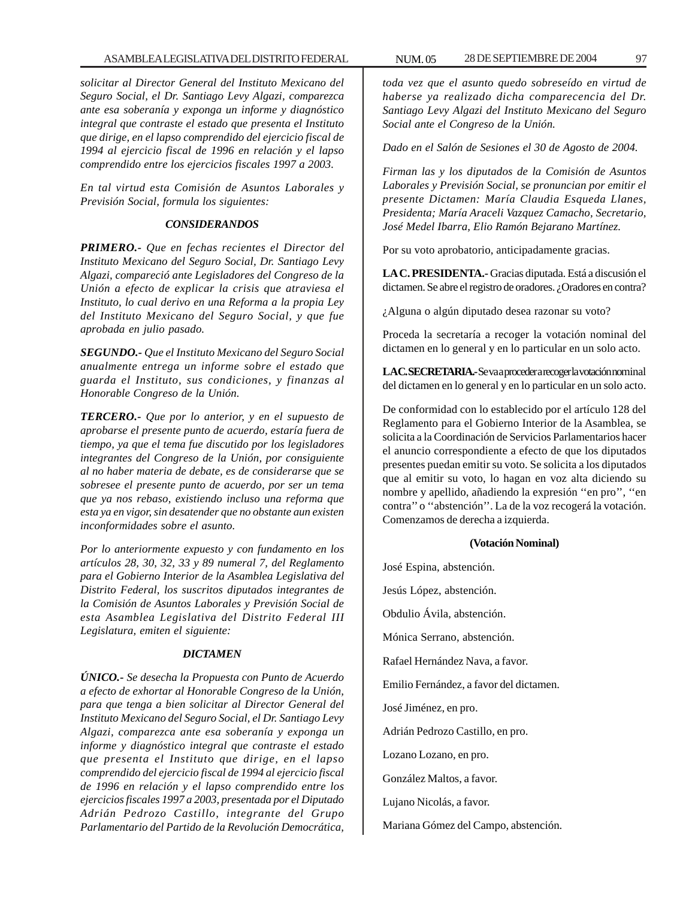*solicitar al Director General del Instituto Mexicano del Seguro Social, el Dr. Santiago Levy Algazi, comparezca ante esa soberanía y exponga un informe y diagnóstico integral que contraste el estado que presenta el Instituto que dirige, en el lapso comprendido del ejercicio fiscal de 1994 al ejercicio fiscal de 1996 en relación y el lapso comprendido entre los ejercicios fiscales 1997 a 2003.*

*En tal virtud esta Comisión de Asuntos Laborales y Previsión Social, formula los siguientes:*

#### *CONSIDERANDOS*

*PRIMERO.- Que en fechas recientes el Director del Instituto Mexicano del Seguro Social, Dr. Santiago Levy Algazi, compareció ante Legisladores del Congreso de la Unión a efecto de explicar la crisis que atraviesa el Instituto, lo cual derivo en una Reforma a la propia Ley del Instituto Mexicano del Seguro Social, y que fue aprobada en julio pasado.*

*SEGUNDO.- Que el Instituto Mexicano del Seguro Social anualmente entrega un informe sobre el estado que guarda el Instituto, sus condiciones, y finanzas al Honorable Congreso de la Unión.*

*TERCERO.- Que por lo anterior, y en el supuesto de aprobarse el presente punto de acuerdo, estaría fuera de tiempo, ya que el tema fue discutido por los legisladores integrantes del Congreso de la Unión, por consiguiente al no haber materia de debate, es de considerarse que se sobresee el presente punto de acuerdo, por ser un tema que ya nos rebaso, existiendo incluso una reforma que esta ya en vigor, sin desatender que no obstante aun existen inconformidades sobre el asunto.*

*Por lo anteriormente expuesto y con fundamento en los artículos 28, 30, 32, 33 y 89 numeral 7, del Reglamento para el Gobierno Interior de la Asamblea Legislativa del Distrito Federal, los suscritos diputados integrantes de la Comisión de Asuntos Laborales y Previsión Social de esta Asamblea Legislativa del Distrito Federal III Legislatura, emiten el siguiente:*

## *DICTAMEN*

*ÚNICO.- Se desecha la Propuesta con Punto de Acuerdo a efecto de exhortar al Honorable Congreso de la Unión, para que tenga a bien solicitar al Director General del Instituto Mexicano del Seguro Social, el Dr. Santiago Levy Algazi, comparezca ante esa soberanía y exponga un informe y diagnóstico integral que contraste el estado que presenta el Instituto que dirige, en el lapso comprendido del ejercicio fiscal de 1994 al ejercicio fiscal de 1996 en relación y el lapso comprendido entre los ejercicios fiscales 1997 a 2003, presentada por el Diputado Adrián Pedrozo Castillo, integrante del Grupo Parlamentario del Partido de la Revolución Democrática,*

*toda vez que el asunto quedo sobreseído en virtud de haberse ya realizado dicha comparecencia del Dr. Santiago Levy Algazi del Instituto Mexicano del Seguro Social ante el Congreso de la Unión.*

*Dado en el Salón de Sesiones el 30 de Agosto de 2004.*

*Firman las y los diputados de la Comisión de Asuntos Laborales y Previsión Social, se pronuncian por emitir el presente Dictamen: María Claudia Esqueda Llanes, Presidenta; María Araceli Vazquez Camacho, Secretario, José Medel Ibarra, Elio Ramón Bejarano Martínez.*

Por su voto aprobatorio, anticipadamente gracias.

**LA C. PRESIDENTA.-** Gracias diputada. Está a discusión el dictamen. Se abre el registro de oradores. ¿Oradores en contra?

¿Alguna o algún diputado desea razonar su voto?

Proceda la secretaría a recoger la votación nominal del dictamen en lo general y en lo particular en un solo acto.

LAC. SECRETARIA.- Se va a proceder a recoger la votación nominal del dictamen en lo general y en lo particular en un solo acto.

De conformidad con lo establecido por el artículo 128 del Reglamento para el Gobierno Interior de la Asamblea, se solicita a la Coordinación de Servicios Parlamentarios hacer el anuncio correspondiente a efecto de que los diputados presentes puedan emitir su voto. Se solicita a los diputados que al emitir su voto, lo hagan en voz alta diciendo su nombre y apellido, añadiendo la expresión ''en pro'', ''en contra'' o ''abstención''. La de la voz recogerá la votación. Comenzamos de derecha a izquierda.

#### **(Votación Nominal)**

José Espina, abstención. Jesús López, abstención. Obdulio Ávila, abstención. Mónica Serrano, abstención. Rafael Hernández Nava, a favor. Emilio Fernández, a favor del dictamen. José Jiménez, en pro. Adrián Pedrozo Castillo, en pro. Lozano Lozano, en pro. González Maltos, a favor. Lujano Nicolás, a favor. Mariana Gómez del Campo, abstención.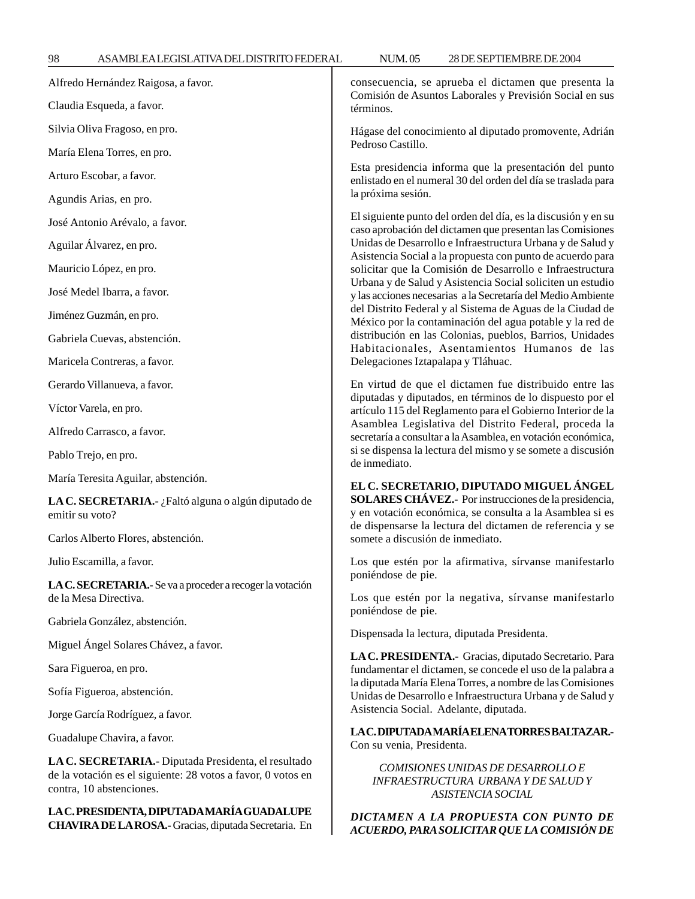*ACUERDO, PARA SOLICITAR QUE LA COMISIÓN DE*

| Alfredo Hernández Raigosa, a favor.                                                                                                              | consecuencia, se aprueba el dictamen que presenta la<br>Comisión de Asuntos Laborales y Previsión Social en sus<br>términos.                                                                                                                                                                                                                                                                                                                                                                                                                                                                                                                                                                                                  |
|--------------------------------------------------------------------------------------------------------------------------------------------------|-------------------------------------------------------------------------------------------------------------------------------------------------------------------------------------------------------------------------------------------------------------------------------------------------------------------------------------------------------------------------------------------------------------------------------------------------------------------------------------------------------------------------------------------------------------------------------------------------------------------------------------------------------------------------------------------------------------------------------|
| Claudia Esqueda, a favor.                                                                                                                        |                                                                                                                                                                                                                                                                                                                                                                                                                                                                                                                                                                                                                                                                                                                               |
| Silvia Oliva Fragoso, en pro.                                                                                                                    | Hágase del conocimiento al diputado promovente, Adrián<br>Pedroso Castillo.                                                                                                                                                                                                                                                                                                                                                                                                                                                                                                                                                                                                                                                   |
| María Elena Torres, en pro.                                                                                                                      | Esta presidencia informa que la presentación del punto                                                                                                                                                                                                                                                                                                                                                                                                                                                                                                                                                                                                                                                                        |
| Arturo Escobar, a favor.                                                                                                                         | enlistado en el numeral 30 del orden del día se traslada para<br>la próxima sesión.                                                                                                                                                                                                                                                                                                                                                                                                                                                                                                                                                                                                                                           |
| Agundis Arias, en pro.                                                                                                                           |                                                                                                                                                                                                                                                                                                                                                                                                                                                                                                                                                                                                                                                                                                                               |
| José Antonio Arévalo, a favor.                                                                                                                   | El siguiente punto del orden del día, es la discusión y en su<br>caso aprobación del dictamen que presentan las Comisiones<br>Unidas de Desarrollo e Infraestructura Urbana y de Salud y<br>Asistencia Social a la propuesta con punto de acuerdo para<br>solicitar que la Comisión de Desarrollo e Infraestructura<br>Urbana y de Salud y Asistencia Social soliciten un estudio<br>y las acciones necesarias a la Secretaría del Medio Ambiente<br>del Distrito Federal y al Sistema de Aguas de la Ciudad de<br>México por la contaminación del agua potable y la red de<br>distribución en las Colonias, pueblos, Barrios, Unidades<br>Habitacionales, Asentamientos Humanos de las<br>Delegaciones Iztapalapa y Tláhuac. |
| Aguilar Álvarez, en pro.                                                                                                                         |                                                                                                                                                                                                                                                                                                                                                                                                                                                                                                                                                                                                                                                                                                                               |
| Mauricio López, en pro.                                                                                                                          |                                                                                                                                                                                                                                                                                                                                                                                                                                                                                                                                                                                                                                                                                                                               |
| José Medel Ibarra, a favor.                                                                                                                      |                                                                                                                                                                                                                                                                                                                                                                                                                                                                                                                                                                                                                                                                                                                               |
| Jiménez Guzmán, en pro.                                                                                                                          |                                                                                                                                                                                                                                                                                                                                                                                                                                                                                                                                                                                                                                                                                                                               |
| Gabriela Cuevas, abstención.                                                                                                                     |                                                                                                                                                                                                                                                                                                                                                                                                                                                                                                                                                                                                                                                                                                                               |
| Maricela Contreras, a favor.                                                                                                                     |                                                                                                                                                                                                                                                                                                                                                                                                                                                                                                                                                                                                                                                                                                                               |
| Gerardo Villanueva, a favor.                                                                                                                     | En virtud de que el dictamen fue distribuido entre las<br>diputadas y diputados, en términos de lo dispuesto por el<br>artículo 115 del Reglamento para el Gobierno Interior de la<br>Asamblea Legislativa del Distrito Federal, proceda la<br>secretaría a consultar a la Asamblea, en votación económica,<br>si se dispensa la lectura del mismo y se somete a discusión<br>de inmediato.<br>EL C. SECRETARIO, DIPUTADO MIGUEL ÁNGEL<br>SOLARES CHÁVEZ.- Por instrucciones de la presidencia,<br>y en votación económica, se consulta a la Asamblea si es<br>de dispensarse la lectura del dictamen de referencia y se<br>somete a discusión de inmediato.                                                                  |
| Víctor Varela, en pro.                                                                                                                           |                                                                                                                                                                                                                                                                                                                                                                                                                                                                                                                                                                                                                                                                                                                               |
| Alfredo Carrasco, a favor.                                                                                                                       |                                                                                                                                                                                                                                                                                                                                                                                                                                                                                                                                                                                                                                                                                                                               |
| Pablo Trejo, en pro.                                                                                                                             |                                                                                                                                                                                                                                                                                                                                                                                                                                                                                                                                                                                                                                                                                                                               |
| María Teresita Aguilar, abstención.                                                                                                              |                                                                                                                                                                                                                                                                                                                                                                                                                                                                                                                                                                                                                                                                                                                               |
| LA C. SECRETARIA.- ¿Faltó alguna o algún diputado de<br>emitir su voto?                                                                          |                                                                                                                                                                                                                                                                                                                                                                                                                                                                                                                                                                                                                                                                                                                               |
| Carlos Alberto Flores, abstención.                                                                                                               |                                                                                                                                                                                                                                                                                                                                                                                                                                                                                                                                                                                                                                                                                                                               |
| Julio Escamilla, a favor.                                                                                                                        | Los que estén por la afirmativa, sírvanse manifestarlo                                                                                                                                                                                                                                                                                                                                                                                                                                                                                                                                                                                                                                                                        |
| LA C. SECRETARIA.- Se va a proceder a recoger la votación<br>de la Mesa Directiva.                                                               | poniéndose de pie.<br>Los que estén por la negativa, sírvanse manifestarlo                                                                                                                                                                                                                                                                                                                                                                                                                                                                                                                                                                                                                                                    |
| Gabriela González, abstención.                                                                                                                   | poniéndose de pie.                                                                                                                                                                                                                                                                                                                                                                                                                                                                                                                                                                                                                                                                                                            |
| Miguel Ángel Solares Chávez, a favor.                                                                                                            | Dispensada la lectura, diputada Presidenta.                                                                                                                                                                                                                                                                                                                                                                                                                                                                                                                                                                                                                                                                                   |
| Sara Figueroa, en pro.                                                                                                                           | LA C. PRESIDENTA.- Gracias, diputado Secretario. Para<br>fundamentar el dictamen, se concede el uso de la palabra a<br>la diputada María Elena Torres, a nombre de las Comisiones<br>Unidas de Desarrollo e Infraestructura Urbana y de Salud y<br>Asistencia Social. Adelante, diputada.                                                                                                                                                                                                                                                                                                                                                                                                                                     |
| Sofía Figueroa, abstención.                                                                                                                      |                                                                                                                                                                                                                                                                                                                                                                                                                                                                                                                                                                                                                                                                                                                               |
| Jorge García Rodríguez, a favor.                                                                                                                 |                                                                                                                                                                                                                                                                                                                                                                                                                                                                                                                                                                                                                                                                                                                               |
| Guadalupe Chavira, a favor.                                                                                                                      | LAC.DIPUTADAMARÍA ELENATORRES BALTAZAR.<br>Con su venia, Presidenta.                                                                                                                                                                                                                                                                                                                                                                                                                                                                                                                                                                                                                                                          |
| LA C. SECRETARIA.- Diputada Presidenta, el resultado<br>de la votación es el siguiente: 28 votos a favor, 0 votos en<br>contra, 10 abstenciones. | COMISIONES UNIDAS DE DESARROLLO E<br>INFRAESTRUCTURA URBANA Y DE SALUD Y<br><b>ASISTENCIA SOCIAL</b>                                                                                                                                                                                                                                                                                                                                                                                                                                                                                                                                                                                                                          |
| LA C. PRESIDENTA, DIPUTADA MARÍA GUADALUPE<br>CHAVIRA DE LA ROSA.- Gracias, diputada Secretaria. En                                              | DICTAMEN A LA PROPUESTA CON PUNTO DE<br>ACUERDO, PARA SOLICITAR QUE LA COMISIÓN DE                                                                                                                                                                                                                                                                                                                                                                                                                                                                                                                                                                                                                                            |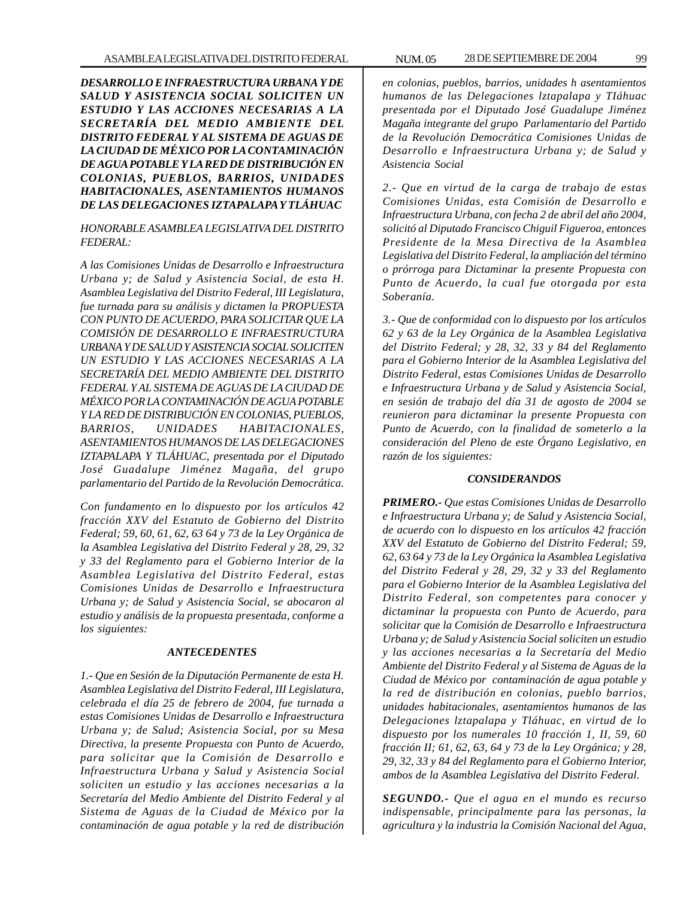*DESARROLLO E INFRAESTRUCTURA URBANA Y DE SALUD Y ASISTENCIA SOCIAL SOLICITEN UN ESTUDIO Y LAS ACCIONES NECESARIAS A LA SECRETARÍA DEL MEDIO AMBIENTE DEL DISTRITO FEDERAL Y AL SISTEMA DE AGUAS DE LA CIUDAD DE MÉXICO POR LA CONTAMINACIÓN DE AGUA POTABLE Y LA RED DE DISTRIBUCIÓN EN COLONIAS, PUEBLOS, BARRIOS, UNIDADES HABITACIONALES, ASENTAMIENTOS HUMANOS DE LAS DELEGACIONES IZTAPALAPA Y TLÁHUAC*

*HONORABLE ASAMBLEA LEGISLATIVA DEL DISTRITO FEDERAL:*

*A las Comisiones Unidas de Desarrollo e Infraestructura Urbana y; de Salud y Asistencia Social, de esta H. Asamblea Legislativa del Distrito Federal, III Legislatura, fue turnada para su análisis y dictamen la PROPUESTA CON PUNTO DE ACUERDO, PARA SOLICITAR QUE LA COMISIÓN DE DESARROLLO E INFRAESTRUCTURA URBANA Y DE SALUD Y ASISTENCIA SOCIAL SOLICITEN UN ESTUDIO Y LAS ACCIONES NECESARIAS A LA SECRETARÍA DEL MEDIO AMBIENTE DEL DISTRITO FEDERAL Y AL SISTEMA DE AGUAS DE LA CIUDAD DE MÉXICO POR LA CONTAMINACIÓN DE AGUA POTABLE Y LA RED DE DISTRIBUCIÓN EN COLONIAS, PUEBLOS, BARRIOS, UNIDADES HABITACIONALES, ASENTAMIENTOS HUMANOS DE LAS DELEGACIONES IZTAPALAPA Y TLÁHUAC, presentada por el Diputado José Guadalupe Jiménez Magaña, del grupo parlamentario del Partido de la Revolución Democrática.*

*Con fundamento en lo dispuesto por los artículos 42 fracción XXV del Estatuto de Gobierno del Distrito Federal; 59, 60, 61, 62, 63 64 y 73 de la Ley Orgánica de la Asamblea Legislativa del Distrito Federal y 28, 29, 32 y 33 del Reglamento para el Gobierno Interior de la Asamblea Legislativa del Distrito Federal, estas Comisiones Unidas de Desarrollo e Infraestructura Urbana y; de Salud y Asistencia Social, se abocaron al estudio y análisis de la propuesta presentada, conforme a los siguientes:*

## *ANTECEDENTES*

*1.- Que en Sesión de la Diputación Permanente de esta H. Asamblea Legislativa del Distrito Federal, III Legislatura, celebrada el día 25 de febrero de 2004, fue turnada a estas Comisiones Unidas de Desarrollo e Infraestructura Urbana y; de Salud; Asistencia Social, por su Mesa Directiva, la presente Propuesta con Punto de Acuerdo, para solicitar que la Comisión de Desarrollo e Infraestructura Urbana y Salud y Asistencia Social soliciten un estudio y las acciones necesarias a la Secretaría del Medio Ambiente del Distrito Federal y al Sistema de Aguas de la Ciudad de México por la contaminación de agua potable y la red de distribución*

*en colonias, pueblos, barrios, unidades h asentamientos humanos de las Delegaciones lztapalapa y TIáhuac presentada por el Diputado José Guadalupe Jiménez Magaña integrante del grupo Parlamentario del Partido de la Revolución Democrática Comisiones Unidas de Desarrollo e Infraestructura Urbana y; de Salud y Asistencia Social*

*2.- Que en virtud de la carga de trabajo de estas Comisiones Unidas, esta Comisión de Desarrollo e Infraestructura Urbana, con fecha 2 de abril del año 2004, solicitó al Diputado Francisco Chiguil Figueroa, entonces Presidente de la Mesa Directiva de la Asamblea Legislativa del Distrito Federal, la ampliación del término o prórroga para Dictaminar la presente Propuesta con Punto de Acuerdo, la cual fue otorgada por esta Soberanía.*

*3.- Que de conformidad con lo dispuesto por los artículos 62 y 63 de la Ley Orgánica de la Asamblea Legislativa del Distrito Federal; y 28, 32, 33 y 84 del Reglamento para el Gobierno Interior de la Asamblea Legislativa del Distrito Federal, estas Comisiones Unidas de Desarrollo e Infraestructura Urbana y de Salud y Asistencia Social, en sesión de trabajo del día 31 de agosto de 2004 se reunieron para dictaminar la presente Propuesta con Punto de Acuerdo, con la finalidad de someterlo a la consideración del Pleno de este Órgano Legislativo, en razón de los siguientes:*

#### *CONSIDERANDOS*

*PRIMERO.- Que estas Comisiones Unidas de Desarrollo e Infraestructura Urbana y; de Salud y Asistencia Social, de acuerdo con lo dispuesto en los artículos 42 fracción XXV del Estatuto de Gobierno del Distrito Federal; 59, 62, 63 64 y 73 de la Ley Orgánica la Asamblea Legislativa del Distrito Federal y 28, 29, 32 y 33 del Reglamento para el Gobierno Interior de la Asamblea Legislativa del Distrito Federal, son competentes para conocer y dictaminar la propuesta con Punto de Acuerdo, para solicitar que la Comisión de Desarrollo e Infraestructura Urbana y; de Salud y Asistencia Social soliciten un estudio y las acciones necesarias a la Secretaría del Medio Ambiente del Distrito Federal y al Sistema de Aguas de la Ciudad de México por contaminación de agua potable y la red de distribución en colonias, pueblo barrios, unidades habitacionales, asentamientos humanos de las Delegaciones lztapalapa y Tláhuac, en virtud de lo dispuesto por los numerales 10 fracción 1, II, 59, 60 fracción II; 61, 62, 63, 64 y 73 de la Ley Orgánica; y 28, 29, 32, 33 y 84 del Reglamento para el Gobierno Interior, ambos de la Asamblea Legislativa del Distrito Federal.*

*SEGUNDO.- Que el agua en el mundo es recurso indispensable, principalmente para las personas, la agricultura y la industria la Comisión Nacional del Agua,*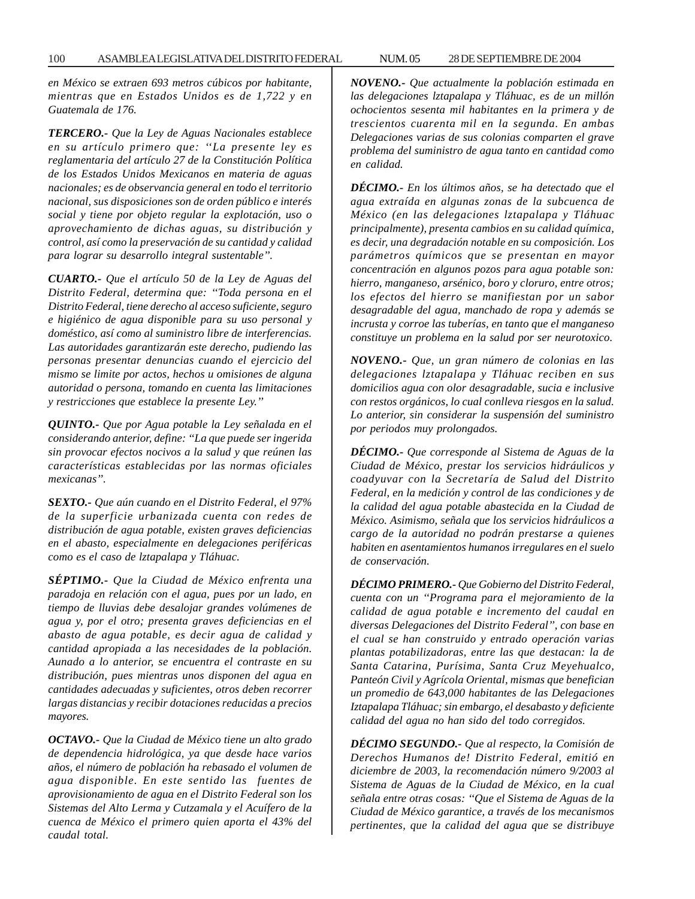*en México se extraen 693 metros cúbicos por habitante, mientras que en Estados Unidos es de 1,722 y en Guatemala de 176.*

*TERCERO.- Que la Ley de Aguas Nacionales establece en su artículo primero que: ''La presente ley es reglamentaria del artículo 27 de la Constitución Política de los Estados Unidos Mexicanos en materia de aguas nacionales; es de observancia general en todo el territorio nacional, sus disposiciones son de orden público e interés social y tiene por objeto regular la explotación, uso o aprovechamiento de dichas aguas, su distribución y control, así como la preservación de su cantidad y calidad para lograr su desarrollo integral sustentable''.*

*CUARTO.- Que el artículo 50 de la Ley de Aguas del Distrito Federal, determina que: ''Toda persona en el Distrito Federal, tiene derecho al acceso suficiente, seguro e higiénico de agua disponible para su uso personal y doméstico, así como al suministro libre de interferencias. Las autoridades garantizarán este derecho, pudiendo las personas presentar denuncias cuando el ejercicio del mismo se limite por actos, hechos u omisiones de alguna autoridad o persona, tomando en cuenta las limitaciones y restricciones que establece la presente Ley.''*

*QUINTO.- Que por Agua potable la Ley señalada en el considerando anterior, define: ''La que puede ser ingerida sin provocar efectos nocivos a la salud y que reúnen las características establecidas por las normas oficiales mexicanas''.*

*SEXTO.- Que aún cuando en el Distrito Federal, el 97% de la superficie urbanizada cuenta con redes de distribución de agua potable, existen graves deficiencias en el abasto, especialmente en delegaciones periféricas como es el caso de lztapalapa y Tláhuac.*

*SÉPTIMO.- Que la Ciudad de México enfrenta una paradoja en relación con el agua, pues por un lado, en tiempo de lluvias debe desalojar grandes volúmenes de agua y, por el otro; presenta graves deficiencias en el abasto de agua potable, es decir agua de calidad y cantidad apropiada a las necesidades de la población. Aunado a lo anterior, se encuentra el contraste en su distribución, pues mientras unos disponen del agua en cantidades adecuadas y suficientes, otros deben recorrer largas distancias y recibir dotaciones reducidas a precios mayores.*

*OCTAVO.- Que la Ciudad de México tiene un alto grado de dependencia hidrológica, ya que desde hace varios años, el número de población ha rebasado el volumen de agua disponible. En este sentido las fuentes de aprovisionamiento de agua en el Distrito Federal son los Sistemas del Alto Lerma y Cutzamala y el Acuífero de la cuenca de México el primero quien aporta el 43% del caudal total.*

*NOVENO.- Que actualmente la población estimada en las delegaciones lztapalapa y Tláhuac, es de un millón ochocientos sesenta mil habitantes en la primera y de trescientos cuarenta mil en la segunda. En ambas Delegaciones varias de sus colonias comparten el grave problema del suministro de agua tanto en cantidad como en calidad.*

*DÉCIMO.- En los últimos años, se ha detectado que el agua extraída en algunas zonas de la subcuenca de México (en las delegaciones lztapalapa y Tláhuac principalmente), presenta cambios en su calidad química, es decir, una degradación notable en su composición. Los parámetros químicos que se presentan en mayor concentración en algunos pozos para agua potable son: hierro, manganeso, arsénico, boro y cloruro, entre otros; los efectos del hierro se manifiestan por un sabor desagradable del agua, manchado de ropa y además se incrusta y corroe las tuberías, en tanto que el manganeso constituye un problema en la salud por ser neurotoxico.*

*NOVENO.- Que, un gran número de colonias en las delegaciones lztapalapa y Tláhuac reciben en sus domicilios agua con olor desagradable, sucia e inclusive con restos orgánicos, lo cual conlleva riesgos en la salud. Lo anterior, sin considerar la suspensión del suministro por periodos muy prolongados.*

*DÉCIMO.- Que corresponde al Sistema de Aguas de la Ciudad de México, prestar los servicios hidráulicos y coadyuvar con la Secretaría de Salud del Distrito Federal, en la medición y control de las condiciones y de la calidad del agua potable abastecida en la Ciudad de México. Asimismo, señala que los servicios hidráulicos a cargo de la autoridad no podrán prestarse a quienes habiten en asentamientos humanos irregulares en el suelo de conservación.*

*DÉCIMO PRIMERO.- Que Gobierno del Distrito Federal, cuenta con un ''Programa para el mejoramiento de la calidad de agua potable e incremento del caudal en diversas Delegaciones del Distrito Federal'', con base en el cual se han construido y entrado operación varias plantas potabilizadoras, entre las que destacan: la de Santa Catarina, Purísima, Santa Cruz Meyehualco, Panteón Civil y Agrícola Oriental, mismas que benefician un promedio de 643,000 habitantes de las Delegaciones Iztapalapa Tláhuac; sin embargo, el desabasto y deficiente calidad del agua no han sido del todo corregidos.*

*DÉCIMO SEGUNDO.- Que al respecto, la Comisión de Derechos Humanos de! Distrito Federal, emitió en diciembre de 2003, la recomendación número 9/2003 al Sistema de Aguas de la Ciudad de México, en la cual señala entre otras cosas: ''Que el Sistema de Aguas de la Ciudad de México garantice, a través de los mecanismos pertinentes, que la calidad del agua que se distribuye*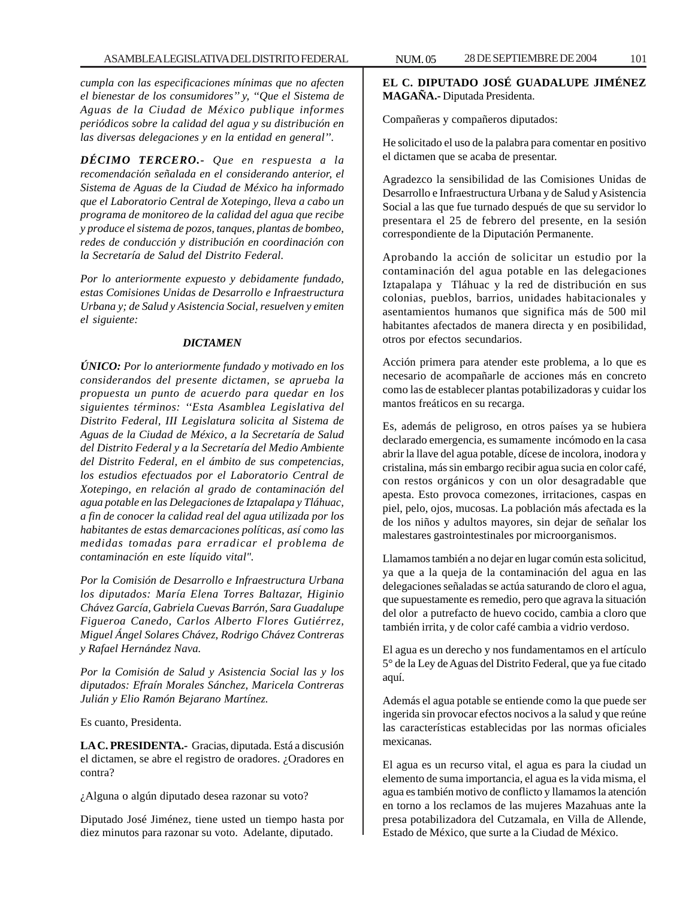*cumpla con las especificaciones mínimas que no afecten el bienestar de los consumidores'' y, ''Que el Sistema de Aguas de la Ciudad de México publique informes periódicos sobre la calidad del agua y su distribución en las diversas delegaciones y en la entidad en general''.*

*DÉCIMO TERCERO.- Que en respuesta a la recomendación señalada en el considerando anterior, el Sistema de Aguas de la Ciudad de México ha informado que el Laboratorio Central de Xotepingo, lleva a cabo un programa de monitoreo de la calidad del agua que recibe y produce el sistema de pozos, tanques, plantas de bombeo, redes de conducción y distribución en coordinación con la Secretaría de Salud del Distrito Federal.*

*Por lo anteriormente expuesto y debidamente fundado, estas Comisiones Unidas de Desarrollo e Infraestructura Urbana y; de Salud y Asistencia Social, resuelven y emiten el siguiente:*

#### *DICTAMEN*

*ÚNICO: Por lo anteriormente fundado y motivado en los considerandos del presente dictamen, se aprueba la propuesta un punto de acuerdo para quedar en los siguientes términos: ''Esta Asamblea Legislativa del Distrito Federal, III Legislatura solicita al Sistema de Aguas de la Ciudad de México, a la Secretaría de Salud del Distrito Federal y a la Secretaría del Medio Ambiente del Distrito Federal, en el ámbito de sus competencias, los estudios efectuados por el Laboratorio Central de Xotepingo, en relación al grado de contaminación del agua potable en las Delegaciones de Iztapalapa y Tláhuac, a fin de conocer la calidad real del agua utilizada por los habitantes de estas demarcaciones políticas, así como las medidas tomadas para erradicar el problema de contaminación en este líquido vital".*

*Por la Comisión de Desarrollo e Infraestructura Urbana los diputados: María Elena Torres Baltazar, Higinio Chávez García, Gabriela Cuevas Barrón, Sara Guadalupe Figueroa Canedo, Carlos Alberto Flores Gutiérrez, Miguel Ángel Solares Chávez, Rodrigo Chávez Contreras y Rafael Hernández Nava.*

*Por la Comisión de Salud y Asistencia Social las y los diputados: Efraín Morales Sánchez, Maricela Contreras Julián y Elio Ramón Bejarano Martínez.*

Es cuanto, Presidenta.

**LA C. PRESIDENTA.-** Gracias, diputada. Está a discusión el dictamen, se abre el registro de oradores. ¿Oradores en contra?

¿Alguna o algún diputado desea razonar su voto?

Diputado José Jiménez, tiene usted un tiempo hasta por diez minutos para razonar su voto. Adelante, diputado.

**EL C. DIPUTADO JOSÉ GUADALUPE JIMÉNEZ MAGAÑA.-** Diputada Presidenta.

Compañeras y compañeros diputados:

He solicitado el uso de la palabra para comentar en positivo el dictamen que se acaba de presentar.

Agradezco la sensibilidad de las Comisiones Unidas de Desarrollo e Infraestructura Urbana y de Salud y Asistencia Social a las que fue turnado después de que su servidor lo presentara el 25 de febrero del presente, en la sesión correspondiente de la Diputación Permanente.

Aprobando la acción de solicitar un estudio por la contaminación del agua potable en las delegaciones Iztapalapa y Tláhuac y la red de distribución en sus colonias, pueblos, barrios, unidades habitacionales y asentamientos humanos que significa más de 500 mil habitantes afectados de manera directa y en posibilidad, otros por efectos secundarios.

Acción primera para atender este problema, a lo que es necesario de acompañarle de acciones más en concreto como las de establecer plantas potabilizadoras y cuidar los mantos freáticos en su recarga.

Es, además de peligroso, en otros países ya se hubiera declarado emergencia, es sumamente incómodo en la casa abrir la llave del agua potable, dícese de incolora, inodora y cristalina, más sin embargo recibir agua sucia en color café, con restos orgánicos y con un olor desagradable que apesta. Esto provoca comezones, irritaciones, caspas en piel, pelo, ojos, mucosas. La población más afectada es la de los niños y adultos mayores, sin dejar de señalar los malestares gastrointestinales por microorganismos.

Llamamos también a no dejar en lugar común esta solicitud, ya que a la queja de la contaminación del agua en las delegaciones señaladas se actúa saturando de cloro el agua, que supuestamente es remedio, pero que agrava la situación del olor a putrefacto de huevo cocido, cambia a cloro que también irrita, y de color café cambia a vidrio verdoso.

El agua es un derecho y nos fundamentamos en el artículo 5° de la Ley de Aguas del Distrito Federal, que ya fue citado aquí.

Además el agua potable se entiende como la que puede ser ingerida sin provocar efectos nocivos a la salud y que reúne las características establecidas por las normas oficiales mexicanas.

El agua es un recurso vital, el agua es para la ciudad un elemento de suma importancia, el agua es la vida misma, el agua es también motivo de conflicto y llamamos la atención en torno a los reclamos de las mujeres Mazahuas ante la presa potabilizadora del Cutzamala, en Villa de Allende, Estado de México, que surte a la Ciudad de México.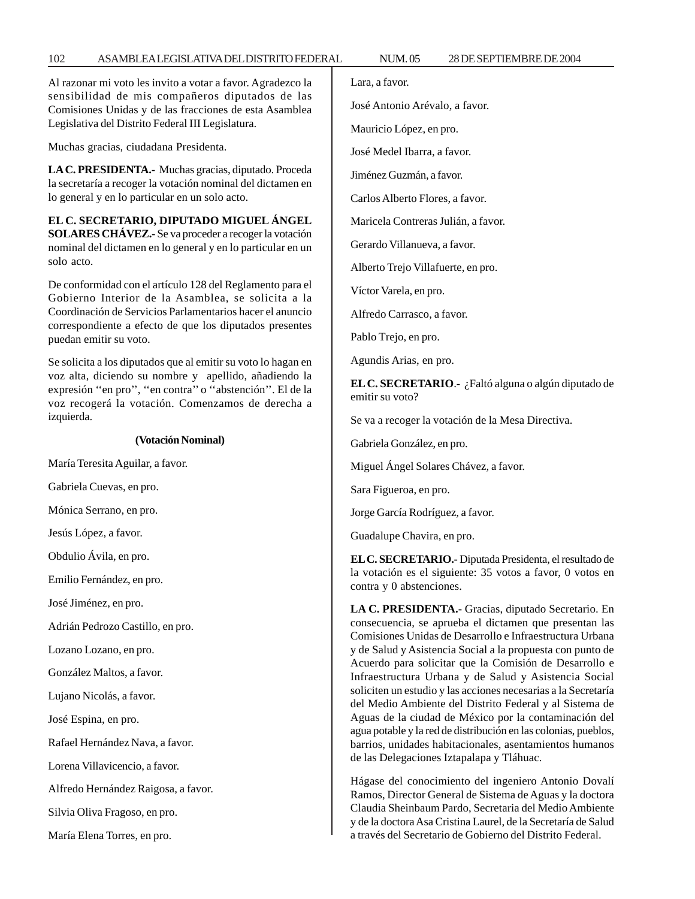## 102 ASAMBLEA LEGISLATIVA DEL DISTRITO FEDERAL NUM. 05 28 DE SEPTIEMBRE DE 2004

Al razonar mi voto les invito a votar a favor. Agradezco la sensibilidad de mis compañeros diputados de las Comisiones Unidas y de las fracciones de esta Asamblea Legislativa del Distrito Federal III Legislatura.

Muchas gracias, ciudadana Presidenta.

**LA C. PRESIDENTA.-** Muchas gracias, diputado. Proceda la secretaría a recoger la votación nominal del dictamen en lo general y en lo particular en un solo acto.

**EL C. SECRETARIO, DIPUTADO MIGUEL ÁNGEL SOLARES CHÁVEZ.-** Se va proceder a recoger la votación nominal del dictamen en lo general y en lo particular en un solo acto.

De conformidad con el artículo 128 del Reglamento para el Gobierno Interior de la Asamblea, se solicita a la Coordinación de Servicios Parlamentarios hacer el anuncio correspondiente a efecto de que los diputados presentes puedan emitir su voto.

Se solicita a los diputados que al emitir su voto lo hagan en voz alta, diciendo su nombre y apellido, añadiendo la expresión ''en pro'', ''en contra'' o ''abstención''. El de la voz recogerá la votación. Comenzamos de derecha a izquierda.

## **(Votación Nominal)**

María Teresita Aguilar, a favor.

Gabriela Cuevas, en pro.

Mónica Serrano, en pro.

Jesús López, a favor.

Obdulio Ávila, en pro.

Emilio Fernández, en pro.

José Jiménez, en pro.

Adrián Pedrozo Castillo, en pro.

Lozano Lozano, en pro.

González Maltos, a favor.

Lujano Nicolás, a favor.

José Espina, en pro.

Rafael Hernández Nava, a favor.

Lorena Villavicencio, a favor.

Alfredo Hernández Raigosa, a favor.

Silvia Oliva Fragoso, en pro.

María Elena Torres, en pro.

Lara, a favor.

José Antonio Arévalo, a favor.

Mauricio López, en pro.

José Medel Ibarra, a favor.

Jiménez Guzmán, a favor.

Carlos Alberto Flores, a favor.

Maricela Contreras Julián, a favor.

Gerardo Villanueva, a favor.

Alberto Trejo Villafuerte, en pro.

Víctor Varela, en pro.

Alfredo Carrasco, a favor.

Pablo Trejo, en pro.

Agundis Arias, en pro.

**EL C. SECRETARIO**.- ¿Faltó alguna o algún diputado de emitir su voto?

Se va a recoger la votación de la Mesa Directiva.

Gabriela González, en pro.

Miguel Ángel Solares Chávez, a favor.

Sara Figueroa, en pro.

Jorge García Rodríguez, a favor.

Guadalupe Chavira, en pro.

**EL C. SECRETARIO.-** Diputada Presidenta, el resultado de la votación es el siguiente: 35 votos a favor, 0 votos en contra y 0 abstenciones.

**LA C. PRESIDENTA.-** Gracias, diputado Secretario. En consecuencia, se aprueba el dictamen que presentan las Comisiones Unidas de Desarrollo e Infraestructura Urbana y de Salud y Asistencia Social a la propuesta con punto de Acuerdo para solicitar que la Comisión de Desarrollo e Infraestructura Urbana y de Salud y Asistencia Social soliciten un estudio y las acciones necesarias a la Secretaría del Medio Ambiente del Distrito Federal y al Sistema de Aguas de la ciudad de México por la contaminación del agua potable y la red de distribución en las colonias, pueblos, barrios, unidades habitacionales, asentamientos humanos de las Delegaciones Iztapalapa y Tláhuac.

Hágase del conocimiento del ingeniero Antonio Dovalí Ramos, Director General de Sistema de Aguas y la doctora Claudia Sheinbaum Pardo, Secretaria del Medio Ambiente y de la doctora Asa Cristina Laurel, de la Secretaría de Salud a través del Secretario de Gobierno del Distrito Federal.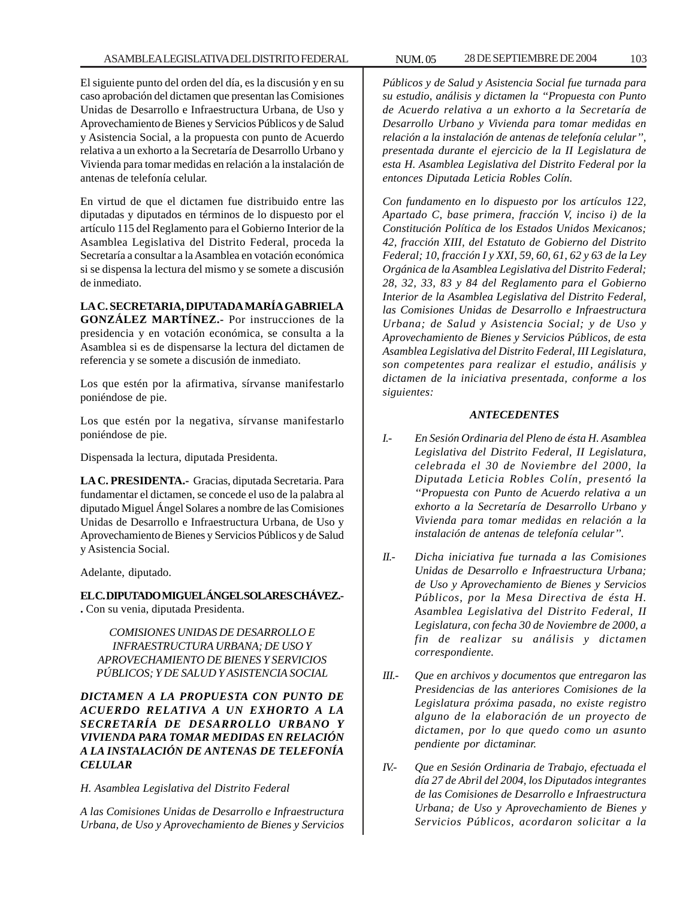El siguiente punto del orden del día, es la discusión y en su caso aprobación del dictamen que presentan las Comisiones Unidas de Desarrollo e Infraestructura Urbana, de Uso y Aprovechamiento de Bienes y Servicios Públicos y de Salud y Asistencia Social, a la propuesta con punto de Acuerdo relativa a un exhorto a la Secretaría de Desarrollo Urbano y Vivienda para tomar medidas en relación a la instalación de antenas de telefonía celular.

En virtud de que el dictamen fue distribuido entre las diputadas y diputados en términos de lo dispuesto por el artículo 115 del Reglamento para el Gobierno Interior de la Asamblea Legislativa del Distrito Federal, proceda la Secretaría a consultar a la Asamblea en votación económica si se dispensa la lectura del mismo y se somete a discusión de inmediato.

**LA C. SECRETARIA, DIPUTADA MARÍA GABRIELA GONZÁLEZ MARTÍNEZ.-** Por instrucciones de la presidencia y en votación económica, se consulta a la Asamblea si es de dispensarse la lectura del dictamen de referencia y se somete a discusión de inmediato.

Los que estén por la afirmativa, sírvanse manifestarlo poniéndose de pie.

Los que estén por la negativa, sírvanse manifestarlo poniéndose de pie.

Dispensada la lectura, diputada Presidenta.

**LA C. PRESIDENTA.-** Gracias, diputada Secretaria. Para fundamentar el dictamen, se concede el uso de la palabra al diputado Miguel Ángel Solares a nombre de las Comisiones Unidas de Desarrollo e Infraestructura Urbana, de Uso y Aprovechamiento de Bienes y Servicios Públicos y de Salud y Asistencia Social.

Adelante, diputado.

**EL C. DIPUTADO MIGUEL ÁNGEL SOLARES CHÁVEZ.- .** Con su venia, diputada Presidenta.

*COMISIONES UNIDAS DE DESARROLLO E INFRAESTRUCTURA URBANA; DE USO Y APROVECHAMIENTO DE BIENES Y SERVICIOS PÚBLICOS; Y DE SALUD Y ASISTENCIA SOCIAL*

*DICTAMEN A LA PROPUESTA CON PUNTO DE ACUERDO RELATIVA A UN EXHORTO A LA SECRETARÍA DE DESARROLLO URBANO Y VIVIENDA PARA TOMAR MEDIDAS EN RELACIÓN A LA INSTALACIÓN DE ANTENAS DE TELEFONÍA CELULAR*

*H. Asamblea Legislativa del Distrito Federal*

*A las Comisiones Unidas de Desarrollo e Infraestructura Urbana, de Uso y Aprovechamiento de Bienes y Servicios*

*Públicos y de Salud y Asistencia Social fue turnada para su estudio, análisis y dictamen la ''Propuesta con Punto de Acuerdo relativa a un exhorto a la Secretaría de Desarrollo Urbano y Vivienda para tomar medidas en relación a la instalación de antenas de telefonía celular'', presentada durante el ejercicio de la II Legislatura de esta H. Asamblea Legislativa del Distrito Federal por la entonces Diputada Leticia Robles Colín.*

*Con fundamento en lo dispuesto por los artículos 122, Apartado C, base primera, fracción V, inciso i) de la Constitución Política de los Estados Unidos Mexicanos; 42, fracción XIII, del Estatuto de Gobierno del Distrito Federal; 10, fracción I y XXI, 59, 60, 61, 62 y 63 de la Ley Orgánica de la Asamblea Legislativa del Distrito Federal; 28, 32, 33, 83 y 84 del Reglamento para el Gobierno Interior de la Asamblea Legislativa del Distrito Federal, las Comisiones Unidas de Desarrollo e Infraestructura Urbana; de Salud y Asistencia Social; y de Uso y Aprovechamiento de Bienes y Servicios Públicos, de esta Asamblea Legislativa del Distrito Federal, III Legislatura, son competentes para realizar el estudio, análisis y dictamen de la iniciativa presentada, conforme a los siguientes:*

# *ANTECEDENTES*

- *I.- En Sesión Ordinaria del Pleno de ésta H. Asamblea Legislativa del Distrito Federal, II Legislatura, celebrada el 30 de Noviembre del 2000, la Diputada Leticia Robles Colín, presentó la ''Propuesta con Punto de Acuerdo relativa a un exhorto a la Secretaría de Desarrollo Urbano y Vivienda para tomar medidas en relación a la instalación de antenas de telefonía celular''.*
- *II.- Dicha iniciativa fue turnada a las Comisiones Unidas de Desarrollo e Infraestructura Urbana; de Uso y Aprovechamiento de Bienes y Servicios Públicos, por la Mesa Directiva de ésta H. Asamblea Legislativa del Distrito Federal, II Legislatura, con fecha 30 de Noviembre de 2000, a fin de realizar su análisis y dictamen correspondiente.*
- *III.- Que en archivos y documentos que entregaron las Presidencias de las anteriores Comisiones de la Legislatura próxima pasada, no existe registro alguno de la elaboración de un proyecto de dictamen, por lo que quedo como un asunto pendiente por dictaminar.*
- *IV.- Que en Sesión Ordinaria de Trabajo, efectuada el día 27 de Abril del 2004, los Diputados integrantes de las Comisiones de Desarrollo e Infraestructura Urbana; de Uso y Aprovechamiento de Bienes y Servicios Públicos, acordaron solicitar a la*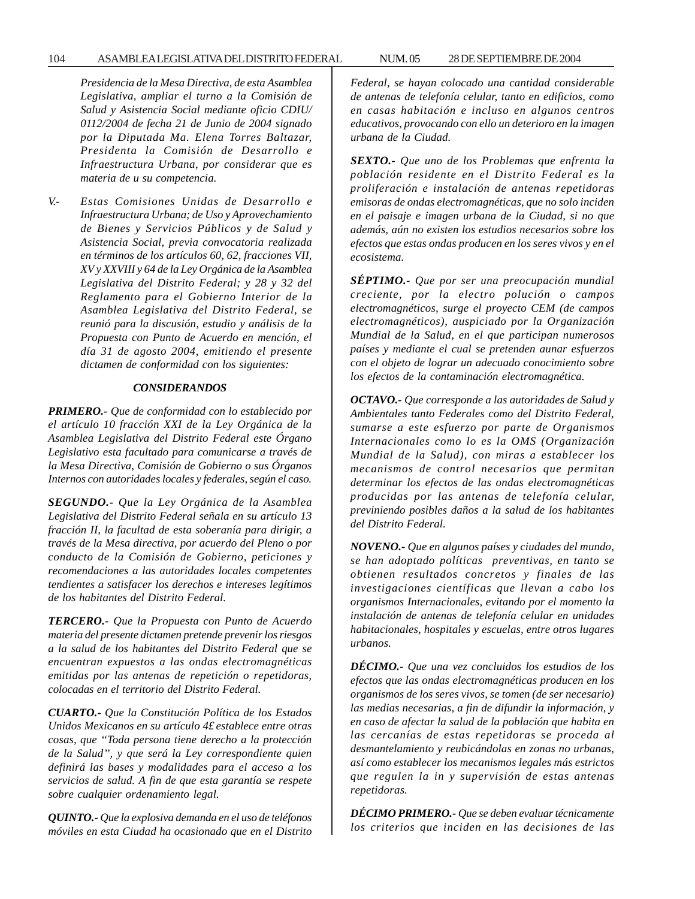## 104 ASAMBLEA LEGISLATIVA DEL DISTRITO FEDERAL 28 NUM. 05 DE SEPTIEMBRE DE 2004

*Presidencia de la Mesa Directiva, de esta Asamblea Legislativa, ampliar el turno a la Comisión de Salud y Asistencia Social mediante oficio CDIU/ 0112/2004 de fecha 21 de Junio de 2004 signado por la Diputada Ma. Elena Torres Baltazar, Presidenta la Comisión de Desarrollo e Infraestructura Urbana, por considerar que es materia de u su competencia.*

*V.- Estas Comisiones Unidas de Desarrollo e Infraestructura Urbana; de Uso y Aprovechamiento de Bienes y Servicios Públicos y de Salud y Asistencia Social, previa convocatoria realizada en términos de los artículos 60, 62, fracciones VII, XV y XXVIII y 64 de la Ley Orgánica de la Asamblea Legislativa del Distrito Federal; y 28 y 32 del Reglamento para el Gobierno Interior de la Asamblea Legislativa del Distrito Federal, se reunió para la discusión, estudio y análisis de la Propuesta con Punto de Acuerdo en mención, el día 31 de agosto 2004, emitiendo el presente dictamen de conformidad con los siguientes:*

## *CONSIDERANDOS*

*PRIMERO.- Que de conformidad con lo establecido por el artículo 10 fracción XXI de la Ley Orgánica de la Asamblea Legislativa del Distrito Federal este Órgano Legislativo esta facultado para comunicarse a través de la Mesa Directiva, Comisión de Gobierno o sus Órganos Internos con autoridades locales y federales, según el caso.*

*SEGUNDO.- Que la Ley Orgánica de la Asamblea Legislativa del Distrito Federal señala en su artículo 13 fracción II, la facultad de esta soberanía para dirigir, a través de la Mesa directiva, por acuerdo del Pleno o por conducto de la Comisión de Gobierno, peticiones y recomendaciones a las autoridades locales competentes tendientes a satisfacer los derechos e intereses legítimos de los habitantes del Distrito Federal.*

*TERCERO.- Que la Propuesta con Punto de Acuerdo materia del presente dictamen pretende prevenir los riesgos a la salud de los habitantes del Distrito Federal que se encuentran expuestos a las ondas electromagnéticas emitidas por las antenas de repetición o repetidoras, colocadas en el territorio del Distrito Federal.*

*CUARTO.- Que la Constitución Política de los Estados Unidos Mexicanos en su artículo 4£ establece entre otras cosas, que ''Toda persona tiene derecho a la protección de la Salud'', y que será la Ley correspondiente quien definirá las bases y modalidades para el acceso a los servicios de salud. A fin de que esta garantía se respete sobre cualquier ordenamiento legal.*

*QUINTO.- Que la explosiva demanda en el uso de teléfonos móviles en esta Ciudad ha ocasionado que en el Distrito* *Federal, se hayan colocado una cantidad considerable de antenas de telefonía celular, tanto en edificios, como en casas habitación e incluso en algunos centros educativos, provocando con ello un deterioro en la imagen urbana de la Ciudad.*

*SEXTO.- Que uno de los Problemas que enfrenta la población residente en el Distrito Federal es la proliferación e instalación de antenas repetidoras emisoras de ondas electromagnéticas, que no solo inciden en el paisaje e imagen urbana de la Ciudad, si no que además, aún no existen los estudios necesarios sobre los efectos que estas ondas producen en los seres vivos y en el ecosistema.*

*SÉPTIMO.- Que por ser una preocupación mundial creciente, por la electro polución o campos electromagnéticos, surge el proyecto CEM (de campos electromagnéticos), auspiciado por la Organización Mundial de la Salud, en el que participan numerosos países y mediante el cual se pretenden aunar esfuerzos con el objeto de lograr un adecuado conocimiento sobre los efectos de la contaminación electromagnética.*

*OCTAVO.- Que corresponde a las autoridades de Salud y Ambientales tanto Federales como del Distrito Federal, sumarse a este esfuerzo por parte de Organismos Internacionales como lo es la OMS (Organización Mundial de la Salud), con miras a establecer los mecanismos de control necesarios que permitan determinar los efectos de las ondas electromagnéticas producidas por las antenas de telefonía celular, previniendo posibles daños a la salud de los habitantes del Distrito Federal.*

*NOVENO.- Que en algunos países y ciudades del mundo, se han adoptado políticas preventivas, en tanto se obtienen resultados concretos y finales de las investigaciones científicas que llevan a cabo los organismos Internacionales, evitando por el momento la instalación de antenas de telefonía celular en unidades habitacionales, hospitales y escuelas, entre otros lugares urbanos.*

*DÉCIMO.- Que una vez concluidos los estudios de los efectos que las ondas electromagnéticas producen en los organismos de los seres vivos, se tomen (de ser necesario) las medias necesarias, a fin de difundir la información, y en caso de afectar la salud de la población que habita en las cercanías de estas repetidoras se proceda al desmantelamiento y reubicándolas en zonas no urbanas, así como establecer los mecanismos legales más estrictos que regulen la in y supervisión de estas antenas repetidoras.*

*DÉCIMO PRIMERO.- Que se deben evaluar técnicamente los criterios que inciden en las decisiones de las*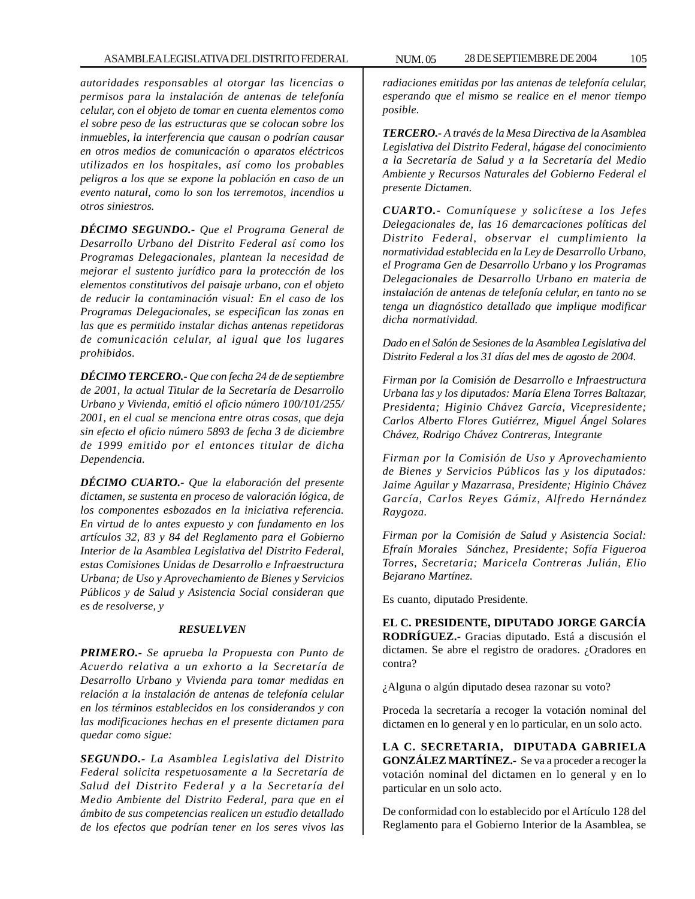*autoridades responsables al otorgar las licencias o permisos para la instalación de antenas de telefonía celular, con el objeto de tomar en cuenta elementos como el sobre peso de las estructuras que se colocan sobre los inmuebles, la interferencia que causan o podrían causar en otros medios de comunicación o aparatos eléctricos utilizados en los hospitales, así como los probables peligros a los que se expone la población en caso de un evento natural, como lo son los terremotos, incendios u otros siniestros.*

*DÉCIMO SEGUNDO.- Que el Programa General de Desarrollo Urbano del Distrito Federal así como los Programas Delegacionales, plantean la necesidad de mejorar el sustento jurídico para la protección de los elementos constitutivos del paisaje urbano, con el objeto de reducir la contaminación visual: En el caso de los Programas Delegacionales, se especifican las zonas en las que es permitido instalar dichas antenas repetidoras de comunicación celular, al igual que los lugares prohibidos.*

*DÉCIMO TERCERO.- Que con fecha 24 de de septiembre de 2001, la actual Titular de la Secretaría de Desarrollo Urbano y Vivienda, emitió el oficio número 100/101/255/ 2001, en el cual se menciona entre otras cosas, que deja sin efecto el oficio número 5893 de fecha 3 de diciembre de 1999 emitido por el entonces titular de dicha Dependencia.*

*DÉCIMO CUARTO.- Que la elaboración del presente dictamen, se sustenta en proceso de valoración lógica, de los componentes esbozados en la iniciativa referencia. En virtud de lo antes expuesto y con fundamento en los artículos 32, 83 y 84 del Reglamento para el Gobierno Interior de la Asamblea Legislativa del Distrito Federal, estas Comisiones Unidas de Desarrollo e Infraestructura Urbana; de Uso y Aprovechamiento de Bienes y Servicios Públicos y de Salud y Asistencia Social consideran que es de resolverse, y*

## *RESUELVEN*

*PRIMERO.- Se aprueba la Propuesta con Punto de Acuerdo relativa a un exhorto a la Secretaría de Desarrollo Urbano y Vivienda para tomar medidas en relación a la instalación de antenas de telefonía celular en los términos establecidos en los considerandos y con las modificaciones hechas en el presente dictamen para quedar como sigue:*

*SEGUNDO.- La Asamblea Legislativa del Distrito Federal solicita respetuosamente a la Secretaría de Salud del Distrito Federal y a la Secretaría del Medio Ambiente del Distrito Federal, para que en el ámbito de sus competencias realicen un estudio detallado de los efectos que podrían tener en los seres vivos las*

*radiaciones emitidas por las antenas de telefonía celular, esperando que el mismo se realice en el menor tiempo posible.*

*TERCERO.- A través de la Mesa Directiva de la Asamblea Legislativa del Distrito Federal, hágase del conocimiento a la Secretaría de Salud y a la Secretaría del Medio Ambiente y Recursos Naturales del Gobierno Federal el presente Dictamen.*

*CUARTO.- Comuníquese y solicítese a los Jefes Delegacionales de, las 16 demarcaciones políticas del Distrito Federal, observar el cumplimiento la normatividad establecida en la Ley de Desarrollo Urbano, el Programa Gen de Desarrollo Urbano y los Programas Delegacionales de Desarrollo Urbano en materia de instalación de antenas de telefonía celular, en tanto no se tenga un diagnóstico detallado que implique modificar dicha normatividad.*

*Dado en el Salón de Sesiones de la Asamblea Legislativa del Distrito Federal a los 31 días del mes de agosto de 2004.*

*Firman por la Comisión de Desarrollo e Infraestructura Urbana las y los diputados: María Elena Torres Baltazar, Presidenta; Higinio Chávez García, Vicepresidente; Carlos Alberto Flores Gutiérrez, Miguel Ángel Solares Chávez, Rodrigo Chávez Contreras, Integrante*

*Firman por la Comisión de Uso y Aprovechamiento de Bienes y Servicios Públicos las y los diputados: Jaime Aguilar y Mazarrasa, Presidente; Higinio Chávez García, Carlos Reyes Gámiz, Alfredo Hernández Raygoza.*

*Firman por la Comisión de Salud y Asistencia Social: Efraín Morales Sánchez, Presidente; Sofía Figueroa Torres, Secretaria; Maricela Contreras Julián, Elio Bejarano Martínez.*

Es cuanto, diputado Presidente.

**EL C. PRESIDENTE, DIPUTADO JORGE GARCÍA RODRÍGUEZ.-** Gracias diputado. Está a discusión el dictamen. Se abre el registro de oradores. ¿Oradores en contra?

¿Alguna o algún diputado desea razonar su voto?

Proceda la secretaría a recoger la votación nominal del dictamen en lo general y en lo particular, en un solo acto.

**LA C. SECRETARIA, DIPUTADA GABRIELA GONZÁLEZ MARTÍNEZ.-** Se va a proceder a recoger la votación nominal del dictamen en lo general y en lo particular en un solo acto.

De conformidad con lo establecido por el Artículo 128 del Reglamento para el Gobierno Interior de la Asamblea, se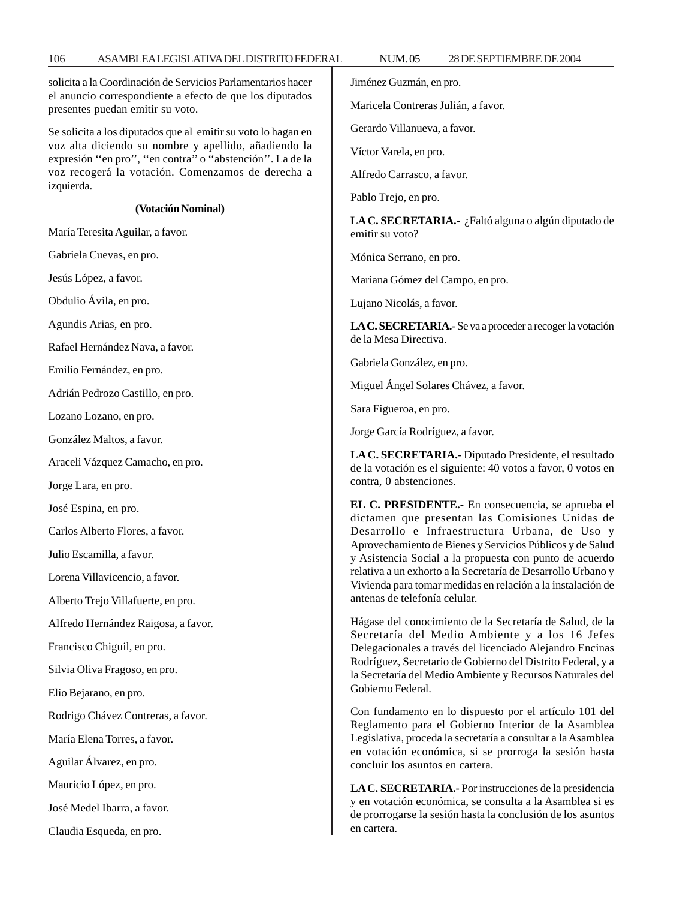Se solicita a los diputados que al emitir su voto lo hagan en voz alta diciendo su nombre y apellido, añadiendo la expresión ''en pro'', ''en contra'' o ''abstención''. La de la voz recogerá la votación. Comenzamos de derecha a

solicita a la Coordinación de Servicios Parlamentarios hacer el anuncio correspondiente a efecto de que los diputados Jiménez Guzmán, en pro.

Maricela Contreras Julián, a favor.

Gerardo Villanueva, a favor.

Víctor Varela, en pro.

Alfredo Carrasco, a favor.

Pablo Trejo, en pro.

**LA C. SECRETARIA.-** ¿Faltó alguna o algún diputado de emitir su voto?

Mónica Serrano, en pro.

Mariana Gómez del Campo, en pro.

Lujano Nicolás, a favor.

**LA C. SECRETARIA.-** Se va a proceder a recoger la votación de la Mesa Directiva.

Gabriela González, en pro.

Miguel Ángel Solares Chávez, a favor.

Sara Figueroa, en pro.

Jorge García Rodríguez, a favor.

**LA C. SECRETARIA.-** Diputado Presidente, el resultado de la votación es el siguiente: 40 votos a favor, 0 votos en contra, 0 abstenciones.

**EL C. PRESIDENTE.-** En consecuencia, se aprueba el dictamen que presentan las Comisiones Unidas de Desarrollo e Infraestructura Urbana, de Uso y Aprovechamiento de Bienes y Servicios Públicos y de Salud y Asistencia Social a la propuesta con punto de acuerdo relativa a un exhorto a la Secretaría de Desarrollo Urbano y Vivienda para tomar medidas en relación a la instalación de antenas de telefonía celular.

Hágase del conocimiento de la Secretaría de Salud, de la Secretaría del Medio Ambiente y a los 16 Jefes Delegacionales a través del licenciado Alejandro Encinas Rodríguez, Secretario de Gobierno del Distrito Federal, y a la Secretaría del Medio Ambiente y Recursos Naturales del Gobierno Federal.

Con fundamento en lo dispuesto por el artículo 101 del Reglamento para el Gobierno Interior de la Asamblea Legislativa, proceda la secretaría a consultar a la Asamblea en votación económica, si se prorroga la sesión hasta concluir los asuntos en cartera.

**LA C. SECRETARIA.-** Por instrucciones de la presidencia y en votación económica, se consulta a la Asamblea si es de prorrogarse la sesión hasta la conclusión de los asuntos en cartera.

izquierda. **(Votación Nominal)**

presentes puedan emitir su voto.

María Teresita Aguilar, a favor.

Gabriela Cuevas, en pro.

Jesús López, a favor.

Obdulio Ávila, en pro.

Agundis Arias, en pro.

Rafael Hernández Nava, a favor.

Emilio Fernández, en pro.

Adrián Pedrozo Castillo, en pro.

Lozano Lozano, en pro.

González Maltos, a favor.

Araceli Vázquez Camacho, en pro.

Jorge Lara, en pro.

José Espina, en pro.

Carlos Alberto Flores, a favor.

Julio Escamilla, a favor.

Lorena Villavicencio, a favor.

Alberto Trejo Villafuerte, en pro.

Alfredo Hernández Raigosa, a favor.

Francisco Chiguil, en pro.

Silvia Oliva Fragoso, en pro.

Elio Bejarano, en pro.

Rodrigo Chávez Contreras, a favor.

María Elena Torres, a favor.

Aguilar Álvarez, en pro.

Mauricio López, en pro.

José Medel Ibarra, a favor.

Claudia Esqueda, en pro.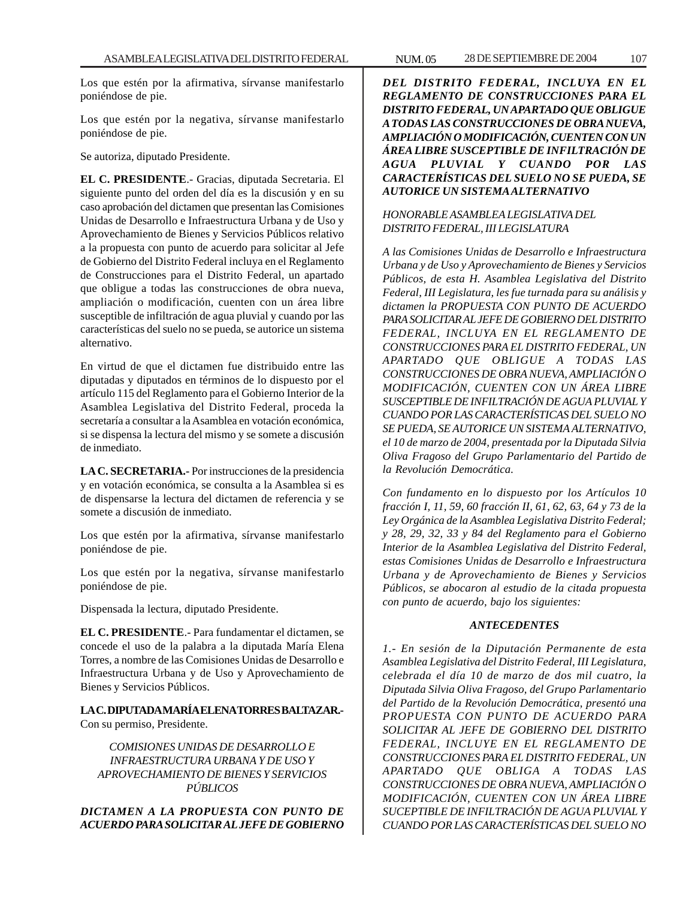Los que estén por la afirmativa, sírvanse manifestarlo poniéndose de pie.

Los que estén por la negativa, sírvanse manifestarlo poniéndose de pie.

Se autoriza, diputado Presidente.

**EL C. PRESIDENTE**.- Gracias, diputada Secretaria. El siguiente punto del orden del día es la discusión y en su caso aprobación del dictamen que presentan las Comisiones Unidas de Desarrollo e Infraestructura Urbana y de Uso y Aprovechamiento de Bienes y Servicios Públicos relativo a la propuesta con punto de acuerdo para solicitar al Jefe de Gobierno del Distrito Federal incluya en el Reglamento de Construcciones para el Distrito Federal, un apartado que obligue a todas las construcciones de obra nueva, ampliación o modificación, cuenten con un área libre susceptible de infiltración de agua pluvial y cuando por las características del suelo no se pueda, se autorice un sistema alternativo.

En virtud de que el dictamen fue distribuido entre las diputadas y diputados en términos de lo dispuesto por el artículo 115 del Reglamento para el Gobierno Interior de la Asamblea Legislativa del Distrito Federal, proceda la secretaría a consultar a la Asamblea en votación económica, si se dispensa la lectura del mismo y se somete a discusión de inmediato.

**LA C. SECRETARIA.-** Por instrucciones de la presidencia y en votación económica, se consulta a la Asamblea si es de dispensarse la lectura del dictamen de referencia y se somete a discusión de inmediato.

Los que estén por la afirmativa, sírvanse manifestarlo poniéndose de pie.

Los que estén por la negativa, sírvanse manifestarlo poniéndose de pie.

Dispensada la lectura, diputado Presidente.

**EL C. PRESIDENTE**.- Para fundamentar el dictamen, se concede el uso de la palabra a la diputada María Elena Torres, a nombre de las Comisiones Unidas de Desarrollo e Infraestructura Urbana y de Uso y Aprovechamiento de Bienes y Servicios Públicos.

**LA C. DIPUTADA MARÍA ELENA TORRES BALTAZAR.-** Con su permiso, Presidente.

*COMISIONES UNIDAS DE DESARROLLO E INFRAESTRUCTURA URBANA Y DE USO Y APROVECHAMIENTO DE BIENES Y SERVICIOS PÚBLICOS*

*DICTAMEN A LA PROPUESTA CON PUNTO DE ACUERDO PARA SOLICITAR AL JEFE DE GOBIERNO*

*DEL DISTRITO FEDERAL, INCLUYA EN EL REGLAMENTO DE CONSTRUCCIONES PARA EL DISTRITO FEDERAL, UN APARTADO QUE OBLIGUE A TODAS LAS CONSTRUCCIONES DE OBRA NUEVA, AMPLIACIÓN O MODIFICACIÓN, CUENTEN CON UN ÁREA LIBRE SUSCEPTIBLE DE INFILTRACIÓN DE AGUA PLUVIAL Y CUANDO POR LAS CARACTERÍSTICAS DEL SUELO NO SE PUEDA, SE AUTORICE UN SISTEMA ALTERNATIVO*

# *HONORABLE ASAMBLEA LEGISLATIVA DEL DISTRITO FEDERAL, III LEGISLATURA*

*A las Comisiones Unidas de Desarrollo e Infraestructura Urbana y de Uso y Aprovechamiento de Bienes y Servicios Públicos, de esta H. Asamblea Legislativa del Distrito Federal, III Legislatura, les fue turnada para su análisis y dictamen la PROPUESTA CON PUNTO DE ACUERDO PARA SOLICITAR AL JEFE DE GOBIERNO DEL DISTRITO FEDERAL, INCLUYA EN EL REGLAMENTO DE CONSTRUCCIONES PARA EL DISTRITO FEDERAL, UN APARTADO QUE OBLIGUE A TODAS LAS CONSTRUCCIONES DE OBRA NUEVA, AMPLIACIÓN O MODIFICACIÓN, CUENTEN CON UN ÁREA LIBRE SUSCEPTIBLE DE INFILTRACIÓN DE AGUA PLUVIAL Y CUANDO POR LAS CARACTERÍSTICAS DEL SUELO NO SE PUEDA, SE AUTORICE UN SISTEMA ALTERNATIVO, el 10 de marzo de 2004, presentada por la Diputada Silvia Oliva Fragoso del Grupo Parlamentario del Partido de la Revolución Democrática.*

*Con fundamento en lo dispuesto por los Artículos 10 fracción I, 11, 59, 60 fracción II, 61, 62, 63, 64 y 73 de la Ley Orgánica de la Asamblea Legislativa Distrito Federal; y 28, 29, 32, 33 y 84 del Reglamento para el Gobierno Interior de la Asamblea Legislativa del Distrito Federal, estas Comisiones Unidas de Desarrollo e Infraestructura Urbana y de Aprovechamiento de Bienes y Servicios Públicos, se abocaron al estudio de la citada propuesta con punto de acuerdo, bajo los siguientes:*

# *ANTECEDENTES*

*1.- En sesión de la Diputación Permanente de esta Asamblea Legislativa del Distrito Federal, III Legislatura, celebrada el día 10 de marzo de dos mil cuatro, la Diputada Silvia Oliva Fragoso, del Grupo Parlamentario del Partido de la Revolución Democrática, presentó una PROPUESTA CON PUNTO DE ACUERDO PARA SOLICITAR AL JEFE DE GOBIERNO DEL DISTRITO FEDERAL, INCLUYE EN EL REGLAMENTO DE CONSTRUCCIONES PARA EL DISTRITO FEDERAL, UN APARTADO QUE OBLIGA A TODAS LAS CONSTRUCCIONES DE OBRA NUEVA, AMPLIACIÓN O MODIFICACIÓN, CUENTEN CON UN ÁREA LIBRE SUCEPTIBLE DE INFILTRACIÓN DE AGUA PLUVIAL Y CUANDO POR LAS CARACTERÍSTICAS DEL SUELO NO*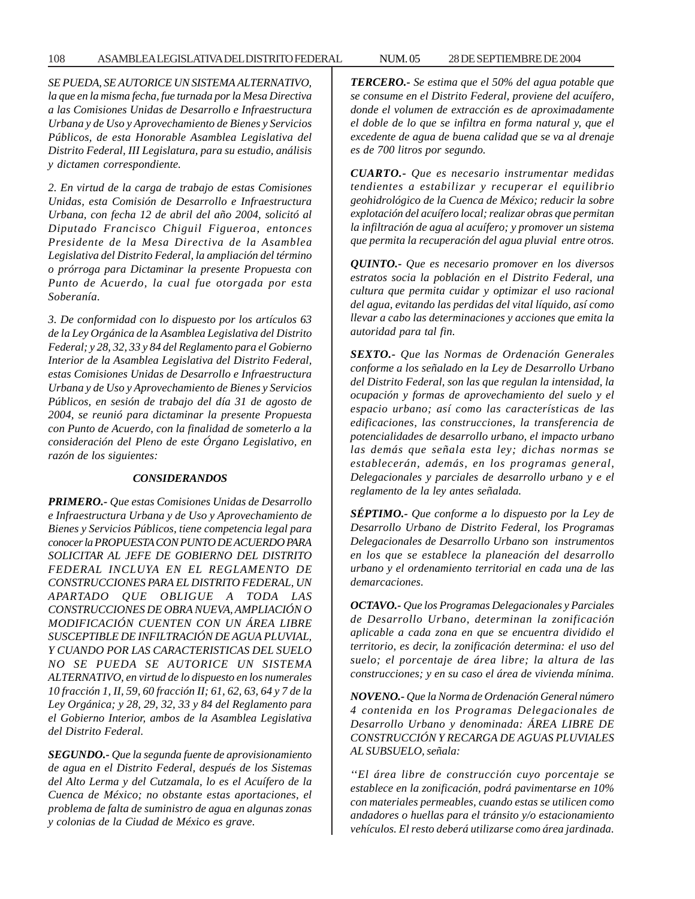## 108 ASAMBLEA LEGISLATIVA DEL DISTRITO FEDERAL 28 NUM. 05 DE SEPTIEMBRE DE 2004

*SE PUEDA, SE AUTORICE UN SISTEMA ALTERNATIVO, la que en la misma fecha, fue turnada por la Mesa Directiva a las Comisiones Unidas de Desarrollo e Infraestructura Urbana y de Uso y Aprovechamiento de Bienes y Servicios Públicos, de esta Honorable Asamblea Legislativa del Distrito Federal, III Legislatura, para su estudio, análisis y dictamen correspondiente.*

*2. En virtud de la carga de trabajo de estas Comisiones Unidas, esta Comisión de Desarrollo e Infraestructura Urbana, con fecha 12 de abril del año 2004, solicitó al Diputado Francisco Chiguil Figueroa, entonces Presidente de la Mesa Directiva de la Asamblea Legislativa del Distrito Federal, la ampliación del término o prórroga para Dictaminar la presente Propuesta con Punto de Acuerdo, la cual fue otorgada por esta Soberanía.*

*3. De conformidad con lo dispuesto por los artículos 63 de la Ley Orgánica de la Asamblea Legislativa del Distrito Federal; y 28, 32, 33 y 84 del Reglamento para el Gobierno Interior de la Asamblea Legislativa del Distrito Federal, estas Comisiones Unidas de Desarrollo e Infraestructura Urbana y de Uso y Aprovechamiento de Bienes y Servicios Públicos, en sesión de trabajo del día 31 de agosto de 2004, se reunió para dictaminar la presente Propuesta con Punto de Acuerdo, con la finalidad de someterlo a la consideración del Pleno de este Órgano Legislativo, en razón de los siguientes:*

## *CONSIDERANDOS*

*PRIMERO.- Que estas Comisiones Unidas de Desarrollo e Infraestructura Urbana y de Uso y Aprovechamiento de Bienes y Servicios Públicos, tiene competencia legal para conocer la PROPUESTA CON PUNTO DE ACUERDO PARA SOLICITAR AL JEFE DE GOBIERNO DEL DISTRITO FEDERAL INCLUYA EN EL REGLAMENTO DE CONSTRUCCIONES PARA EL DISTRITO FEDERAL, UN APARTADO QUE OBLIGUE A TODA LAS CONSTRUCCIONES DE OBRA NUEVA, AMPLIACIÓN O MODIFICACIÓN CUENTEN CON UN ÁREA LIBRE SUSCEPTIBLE DE INFILTRACIÓN DE AGUA PLUVIAL, Y CUANDO POR LAS CARACTERISTICAS DEL SUELO NO SE PUEDA SE AUTORICE UN SISTEMA ALTERNATIVO, en virtud de lo dispuesto en los numerales 10 fracción 1, II, 59, 60 fracción II; 61, 62, 63, 64 y 7 de la Ley Orgánica; y 28, 29, 32, 33 y 84 del Reglamento para el Gobierno Interior, ambos de la Asamblea Legislativa del Distrito Federal.*

*SEGUNDO.- Que la segunda fuente de aprovisionamiento de agua en el Distrito Federal, después de los Sistemas del Alto Lerma y del Cutzamala, lo es el Acuífero de la Cuenca de México; no obstante estas aportaciones, el problema de falta de suministro de agua en algunas zonas y colonias de la Ciudad de México es grave.*

*TERCERO.- Se estima que el 50% del agua potable que se consume en el Distrito Federal, proviene del acuífero, donde el volumen de extracción es de aproximadamente el doble de lo que se infiltra en forma natural y, que el excedente de agua de buena calidad que se va al drenaje es de 700 litros por segundo.*

*CUARTO.- Que es necesario instrumentar medidas tendientes a estabilizar y recuperar el equilibrio geohidrológico de la Cuenca de México; reducir la sobre explotación del acuífero local; realizar obras que permitan la infiltración de agua al acuífero; y promover un sistema que permita la recuperación del agua pluvial entre otros.*

*QUINTO.- Que es necesario promover en los diversos estratos socia la población en el Distrito Federal, una cultura que permita cuidar y optimizar el uso racional del agua, evitando las perdidas del vital líquido, así como llevar a cabo las determinaciones y acciones que emita la autoridad para tal fin.*

*SEXTO.- Que las Normas de Ordenación Generales conforme a los señalado en la Ley de Desarrollo Urbano del Distrito Federal, son las que regulan la intensidad, la ocupación y formas de aprovechamiento del suelo y el espacio urbano; así como las características de las edificaciones, las construcciones, la transferencia de potencialidades de desarrollo urbano, el impacto urbano las demás que señala esta ley; dichas normas se establecerán, además, en los programas general, Delegacionales y parciales de desarrollo urbano y e el reglamento de la ley antes señalada.*

*SÉPTIMO.- Que conforme a lo dispuesto por la Ley de Desarrollo Urbano de Distrito Federal, los Programas Delegacionales de Desarrollo Urbano son instrumentos en los que se establece la planeación del desarrollo urbano y el ordenamiento territorial en cada una de las demarcaciones.*

*OCTAVO.- Que los Programas Delegacionales y Parciales de Desarrollo Urbano, determinan la zonificación aplicable a cada zona en que se encuentra dividido el territorio, es decir, la zonificación determina: el uso del suelo; el porcentaje de área libre; la altura de las construcciones; y en su caso el área de vivienda mínima.*

*NOVENO.- Que la Norma de Ordenación General número 4 contenida en los Programas Delegacionales de Desarrollo Urbano y denominada: ÁREA LIBRE DE CONSTRUCCIÓN Y RECARGA DE AGUAS PLUVIALES AL SUBSUELO, señala:*

*''El área libre de construcción cuyo porcentaje se establece en la zonificación, podrá pavimentarse en 10% con materiales permeables, cuando estas se utilicen como andadores o huellas para el tránsito y/o estacionamiento vehículos. El resto deberá utilizarse como área jardinada.*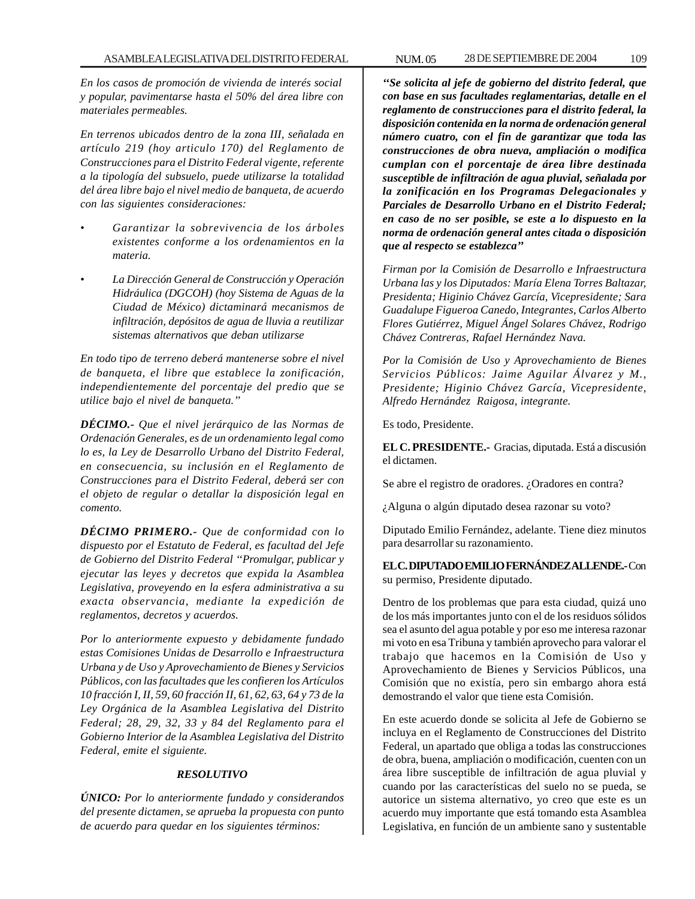*En los casos de promoción de vivienda de interés social y popular, pavimentarse hasta el 50% del área libre con materiales permeables.*

*En terrenos ubicados dentro de la zona III, señalada en artículo 219 (hoy articulo 170) del Reglamento de Construcciones para el Distrito Federal vigente, referente a la tipología del subsuelo, puede utilizarse la totalidad del área libre bajo el nivel medio de banqueta, de acuerdo con las siguientes consideraciones:*

- *Garantizar la sobrevivencia de los árboles existentes conforme a los ordenamientos en la materia.*
- *La Dirección General de Construcción y Operación Hidráulica (DGCOH) (hoy Sistema de Aguas de la Ciudad de México) dictaminará mecanismos de infiltración, depósitos de agua de lluvia a reutilizar sistemas alternativos que deban utilizarse*

*En todo tipo de terreno deberá mantenerse sobre el nivel de banqueta, el libre que establece la zonificación, independientemente del porcentaje del predio que se utilice bajo el nivel de banqueta.''*

*DÉCIMO.- Que el nivel jerárquico de las Normas de Ordenación Generales, es de un ordenamiento legal como lo es, la Ley de Desarrollo Urbano del Distrito Federal, en consecuencia, su inclusión en el Reglamento de Construcciones para el Distrito Federal, deberá ser con el objeto de regular o detallar la disposición legal en comento.*

*DÉCIMO PRIMERO.- Que de conformidad con lo dispuesto por el Estatuto de Federal, es facultad del Jefe de Gobierno del Distrito Federal ''Promulgar, publicar y ejecutar las leyes y decretos que expida la Asamblea Legislativa, proveyendo en la esfera administrativa a su exacta observancia, mediante la expedición de reglamentos, decretos y acuerdos.*

*Por lo anteriormente expuesto y debidamente fundado estas Comisiones Unidas de Desarrollo e Infraestructura Urbana y de Uso y Aprovechamiento de Bienes y Servicios Públicos, con las facultades que les confieren los Artículos 10 fracción I, II, 59, 60 fracción II, 61, 62, 63, 64 y 73 de la Ley Orgánica de la Asamblea Legislativa del Distrito Federal; 28, 29, 32, 33 y 84 del Reglamento para el Gobierno Interior de la Asamblea Legislativa del Distrito Federal, emite el siguiente.*

## *RESOLUTIVO*

*ÚNICO: Por lo anteriormente fundado y considerandos del presente dictamen, se aprueba la propuesta con punto de acuerdo para quedar en los siguientes términos:*

*''Se solicita al jefe de gobierno del distrito federal, que con base en sus facultades reglamentarias, detalle en el reglamento de construcciones para el distrito federal, la disposición contenida en la norma de ordenación general número cuatro, con el fin de garantizar que toda las construcciones de obra nueva, ampliación o modifica cumplan con el porcentaje de área libre destinada susceptible de infiltración de agua pluvial, señalada por la zonificación en los Programas Delegacionales y Parciales de Desarrollo Urbano en el Distrito Federal; en caso de no ser posible, se este a lo dispuesto en la norma de ordenación general antes citada o disposición que al respecto se establezca''*

*Firman por la Comisión de Desarrollo e Infraestructura Urbana las y los Diputados: María Elena Torres Baltazar, Presidenta; Higinio Chávez García, Vicepresidente; Sara Guadalupe Figueroa Canedo, Integrantes, Carlos Alberto Flores Gutiérrez, Miguel Ángel Solares Chávez, Rodrigo Chávez Contreras, Rafael Hernández Nava.*

*Por la Comisión de Uso y Aprovechamiento de Bienes Servicios Públicos: Jaime Aguilar Álvarez y M., Presidente; Higinio Chávez García, Vicepresidente, Alfredo Hernández Raigosa, integrante.*

Es todo, Presidente.

**EL C. PRESIDENTE.-** Gracias, diputada. Está a discusión el dictamen.

Se abre el registro de oradores. ¿Oradores en contra?

¿Alguna o algún diputado desea razonar su voto?

Diputado Emilio Fernández, adelante. Tiene diez minutos para desarrollar su razonamiento.

**EL C. DIPUTADO EMILIO FERNÁNDEZ ALLENDE.-** Con su permiso, Presidente diputado.

Dentro de los problemas que para esta ciudad, quizá uno de los más importantes junto con el de los residuos sólidos sea el asunto del agua potable y por eso me interesa razonar mi voto en esa Tribuna y también aprovecho para valorar el trabajo que hacemos en la Comisión de Uso y Aprovechamiento de Bienes y Servicios Públicos, una Comisión que no existía, pero sin embargo ahora está demostrando el valor que tiene esta Comisión.

En este acuerdo donde se solicita al Jefe de Gobierno se incluya en el Reglamento de Construcciones del Distrito Federal, un apartado que obliga a todas las construcciones de obra, buena, ampliación o modificación, cuenten con un área libre susceptible de infiltración de agua pluvial y cuando por las características del suelo no se pueda, se autorice un sistema alternativo, yo creo que este es un acuerdo muy importante que está tomando esta Asamblea Legislativa, en función de un ambiente sano y sustentable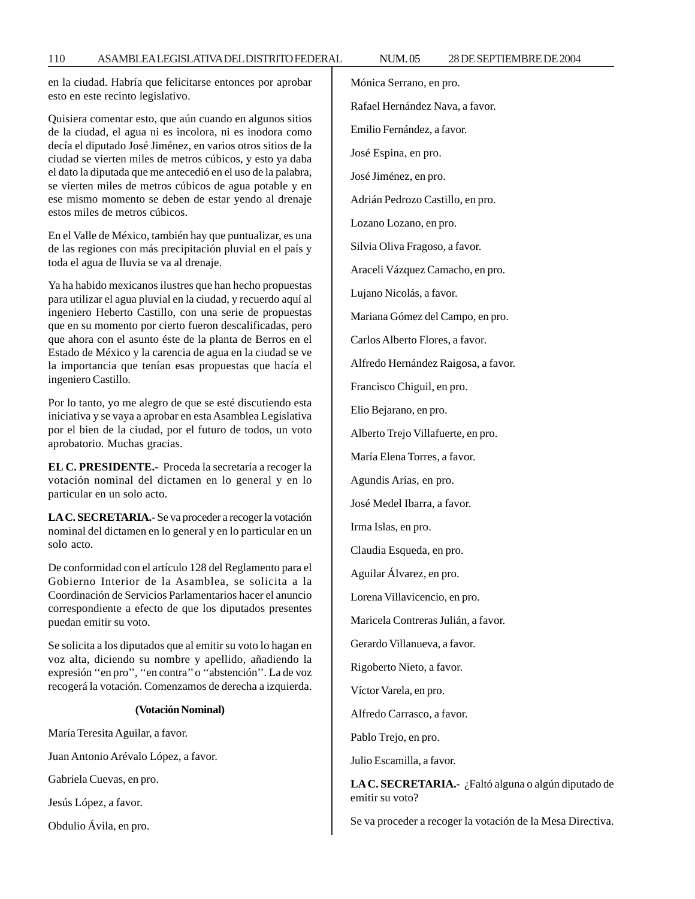en la ciudad. Habría que felicitarse entonces por aprobar esto en este recinto legislativo.

Quisiera comentar esto, que aún cuando en algunos sitios de la ciudad, el agua ni es incolora, ni es inodora como decía el diputado José Jiménez, en varios otros sitios de la ciudad se vierten miles de metros cúbicos, y esto ya daba el dato la diputada que me antecedió en el uso de la palabra, se vierten miles de metros cúbicos de agua potable y en ese mismo momento se deben de estar yendo al drenaje estos miles de metros cúbicos.

En el Valle de México, también hay que puntualizar, es una de las regiones con más precipitación pluvial en el país y toda el agua de lluvia se va al drenaje.

Ya ha habido mexicanos ilustres que han hecho propuestas para utilizar el agua pluvial en la ciudad, y recuerdo aquí al ingeniero Heberto Castillo, con una serie de propuestas que en su momento por cierto fueron descalificadas, pero que ahora con el asunto éste de la planta de Berros en el Estado de México y la carencia de agua en la ciudad se ve la importancia que tenían esas propuestas que hacía el ingeniero Castillo.

Por lo tanto, yo me alegro de que se esté discutiendo esta iniciativa y se vaya a aprobar en esta Asamblea Legislativa por el bien de la ciudad, por el futuro de todos, un voto aprobatorio. Muchas gracias.

**EL C. PRESIDENTE.-** Proceda la secretaría a recoger la votación nominal del dictamen en lo general y en lo particular en un solo acto.

**LA C. SECRETARIA.-** Se va proceder a recoger la votación nominal del dictamen en lo general y en lo particular en un solo acto.

De conformidad con el artículo 128 del Reglamento para el Gobierno Interior de la Asamblea, se solicita a la Coordinación de Servicios Parlamentarios hacer el anuncio correspondiente a efecto de que los diputados presentes puedan emitir su voto.

Se solicita a los diputados que al emitir su voto lo hagan en voz alta, diciendo su nombre y apellido, añadiendo la expresión ''en pro'', ''en contra'' o ''abstención''. La de voz recogerá la votación. Comenzamos de derecha a izquierda.

#### **(Votación Nominal)**

María Teresita Aguilar, a favor.

Juan Antonio Arévalo López, a favor.

Gabriela Cuevas, en pro.

Jesús López, a favor.

Obdulio Ávila, en pro.

Mónica Serrano, en pro. Rafael Hernández Nava, a favor. Emilio Fernández, a favor. José Espina, en pro. José Jiménez, en pro. Adrián Pedrozo Castillo, en pro. Lozano Lozano, en pro. Silvia Oliva Fragoso, a favor. Araceli Vázquez Camacho, en pro. Lujano Nicolás, a favor. Mariana Gómez del Campo, en pro. Carlos Alberto Flores, a favor. Alfredo Hernández Raigosa, a favor. Francisco Chiguil, en pro. Elio Bejarano, en pro. Alberto Trejo Villafuerte, en pro. María Elena Torres, a favor. Agundis Arias, en pro. José Medel Ibarra, a favor. Irma Islas, en pro. Claudia Esqueda, en pro. Aguilar Álvarez, en pro. Lorena Villavicencio, en pro. Maricela Contreras Julián, a favor. Gerardo Villanueva, a favor. Rigoberto Nieto, a favor. Víctor Varela, en pro. Alfredo Carrasco, a favor. Pablo Trejo, en pro. Julio Escamilla, a favor. **LA C. SECRETARIA.-** ¿Faltó alguna o algún diputado de

emitir su voto?

Se va proceder a recoger la votación de la Mesa Directiva.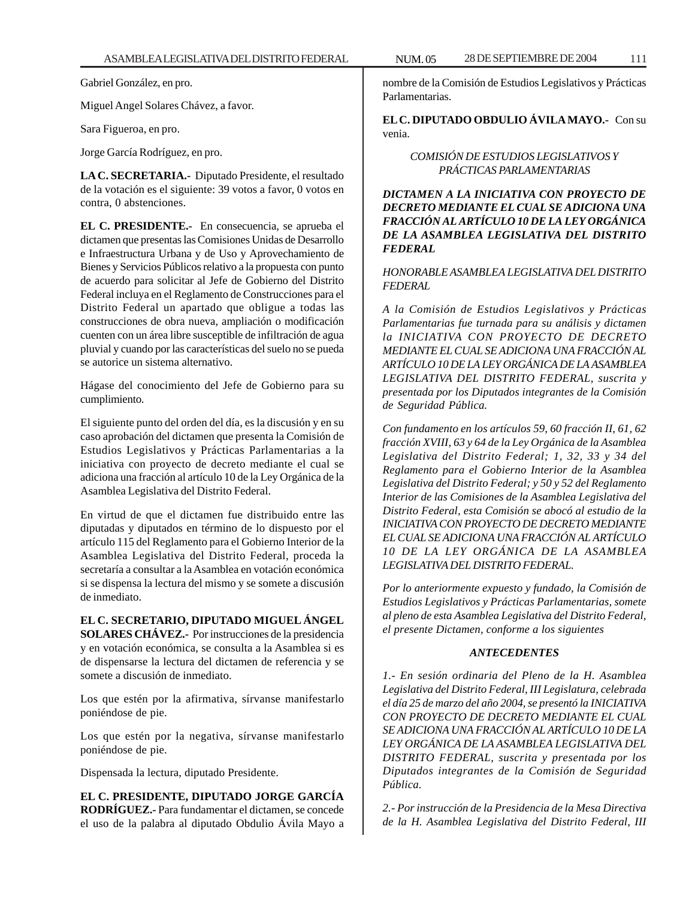Gabriel González, en pro.

Miguel Angel Solares Chávez, a favor.

Sara Figueroa, en pro.

Jorge García Rodríguez, en pro.

**LA C. SECRETARIA.-** Diputado Presidente, el resultado de la votación es el siguiente: 39 votos a favor, 0 votos en contra, 0 abstenciones.

**EL C. PRESIDENTE.-** En consecuencia, se aprueba el dictamen que presentas las Comisiones Unidas de Desarrollo e Infraestructura Urbana y de Uso y Aprovechamiento de Bienes y Servicios Públicos relativo a la propuesta con punto de acuerdo para solicitar al Jefe de Gobierno del Distrito Federal incluya en el Reglamento de Construcciones para el Distrito Federal un apartado que obligue a todas las construcciones de obra nueva, ampliación o modificación cuenten con un área libre susceptible de infiltración de agua pluvial y cuando por las características del suelo no se pueda se autorice un sistema alternativo.

Hágase del conocimiento del Jefe de Gobierno para su cumplimiento.

El siguiente punto del orden del día, es la discusión y en su caso aprobación del dictamen que presenta la Comisión de Estudios Legislativos y Prácticas Parlamentarias a la iniciativa con proyecto de decreto mediante el cual se adiciona una fracción al artículo 10 de la Ley Orgánica de la Asamblea Legislativa del Distrito Federal.

En virtud de que el dictamen fue distribuido entre las diputadas y diputados en término de lo dispuesto por el artículo 115 del Reglamento para el Gobierno Interior de la Asamblea Legislativa del Distrito Federal, proceda la secretaría a consultar a la Asamblea en votación económica si se dispensa la lectura del mismo y se somete a discusión de inmediato.

**EL C. SECRETARIO, DIPUTADO MIGUEL ÁNGEL SOLARES CHÁVEZ.-** Por instrucciones de la presidencia y en votación económica, se consulta a la Asamblea si es de dispensarse la lectura del dictamen de referencia y se somete a discusión de inmediato.

Los que estén por la afirmativa, sírvanse manifestarlo poniéndose de pie.

Los que estén por la negativa, sírvanse manifestarlo poniéndose de pie.

Dispensada la lectura, diputado Presidente.

**EL C. PRESIDENTE, DIPUTADO JORGE GARCÍA RODRÍGUEZ.-** Para fundamentar el dictamen, se concede el uso de la palabra al diputado Obdulio Ávila Mayo a

nombre de la Comisión de Estudios Legislativos y Prácticas Parlamentarias.

**EL C. DIPUTADO OBDULIO ÁVILA MAYO.-** Con su venia.

> *COMISIÓN DE ESTUDIOS LEGISLATIVOS Y PRÁCTICAS PARLAMENTARIAS*

*DICTAMEN A LA INICIATIVA CON PROYECTO DE DECRETO MEDIANTE EL CUAL SE ADICIONA UNA FRACCIÓN AL ARTÍCULO 10 DE LA LEY ORGÁNICA DE LA ASAMBLEA LEGISLATIVA DEL DISTRITO FEDERAL*

*HONORABLE ASAMBLEA LEGISLATIVA DEL DISTRITO FEDERAL*

*A la Comisión de Estudios Legislativos y Prácticas Parlamentarias fue turnada para su análisis y dictamen la INICIATIVA CON PROYECTO DE DECRETO MEDIANTE EL CUAL SE ADICIONA UNA FRACCIÓN AL ARTÍCULO 10 DE LA LEY ORGÁNICA DE LA ASAMBLEA LEGISLATIVA DEL DISTRITO FEDERAL, suscrita y presentada por los Diputados integrantes de la Comisión de Seguridad Pública.*

*Con fundamento en los artículos 59, 60 fracción II, 61, 62 fracción XVIII, 63 y 64 de la Ley Orgánica de la Asamblea Legislativa del Distrito Federal; 1, 32, 33 y 34 del Reglamento para el Gobierno Interior de la Asamblea Legislativa del Distrito Federal; y 50 y 52 del Reglamento Interior de las Comisiones de la Asamblea Legislativa del Distrito Federal, esta Comisión se abocó al estudio de la INICIATIVA CON PROYECTO DE DECRETO MEDIANTE EL CUAL SE ADICIONA UNA FRACCIÓN AL ARTÍCULO 10 DE LA LEY ORGÁNICA DE LA ASAMBLEA LEGISLATIVA DEL DISTRITO FEDERAL.*

*Por lo anteriormente expuesto y fundado, la Comisión de Estudios Legislativos y Prácticas Parlamentarias, somete al pleno de esta Asamblea Legislativa del Distrito Federal, el presente Dictamen, conforme a los siguientes*

## *ANTECEDENTES*

*1.- En sesión ordinaria del Pleno de la H. Asamblea Legislativa del Distrito Federal, III Legislatura, celebrada el día 25 de marzo del año 2004, se presentó la INICIATIVA CON PROYECTO DE DECRETO MEDIANTE EL CUAL SE ADICIONA UNA FRACCIÓN AL ARTÍCULO 10 DE LA LEY ORGÁNICA DE LA ASAMBLEA LEGISLATIVA DEL DISTRITO FEDERAL, suscrita y presentada por los Diputados integrantes de la Comisión de Seguridad Pública.*

*2.- Por instrucción de la Presidencia de la Mesa Directiva de la H. Asamblea Legislativa del Distrito Federal, III*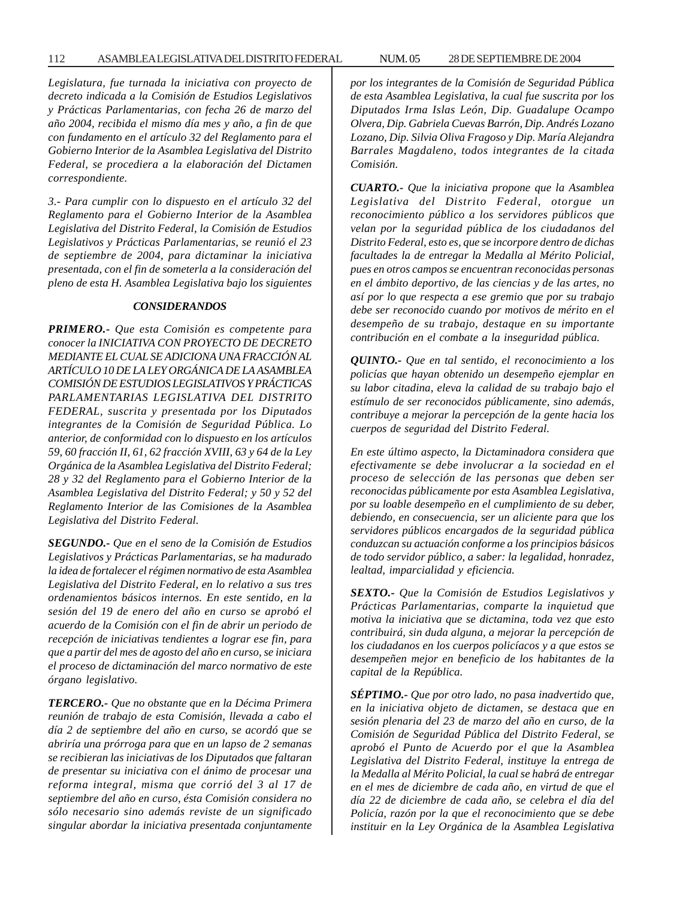*Legislatura, fue turnada la iniciativa con proyecto de decreto indicada a la Comisión de Estudios Legislativos y Prácticas Parlamentarias, con fecha 26 de marzo del año 2004, recibida el mismo día mes y año, a fin de que con fundamento en el artículo 32 del Reglamento para el Gobierno Interior de la Asamblea Legislativa del Distrito Federal, se procediera a la elaboración del Dictamen correspondiente.*

*3.- Para cumplir con lo dispuesto en el artículo 32 del Reglamento para el Gobierno Interior de la Asamblea Legislativa del Distrito Federal, la Comisión de Estudios Legislativos y Prácticas Parlamentarias, se reunió el 23 de septiembre de 2004, para dictaminar la iniciativa presentada, con el fin de someterla a la consideración del pleno de esta H. Asamblea Legislativa bajo los siguientes*

## *CONSIDERANDOS*

*PRIMERO.- Que esta Comisión es competente para conocer la INICIATIVA CON PROYECTO DE DECRETO MEDIANTE EL CUAL SE ADICIONA UNA FRACCIÓN AL ARTÍCULO 10 DE LA LEY ORGÁNICA DE LA ASAMBLEA COMISIÓN DE ESTUDIOS LEGISLATIVOS Y PRÁCTICAS PARLAMENTARIAS LEGISLATIVA DEL DISTRITO FEDERAL, suscrita y presentada por los Diputados integrantes de la Comisión de Seguridad Pública. Lo anterior, de conformidad con lo dispuesto en los artículos 59, 60 fracción II, 61, 62 fracción XVIII, 63 y 64 de la Ley Orgánica de la Asamblea Legislativa del Distrito Federal; 28 y 32 del Reglamento para el Gobierno Interior de la Asamblea Legislativa del Distrito Federal; y 50 y 52 del Reglamento Interior de las Comisiones de la Asamblea Legislativa del Distrito Federal.*

*SEGUNDO.- Que en el seno de la Comisión de Estudios Legislativos y Prácticas Parlamentarias, se ha madurado la idea de fortalecer el régimen normativo de esta Asamblea Legislativa del Distrito Federal, en lo relativo a sus tres ordenamientos básicos internos. En este sentido, en la sesión del 19 de enero del año en curso se aprobó el acuerdo de la Comisión con el fin de abrir un periodo de recepción de iniciativas tendientes a lograr ese fin, para que a partir del mes de agosto del año en curso, se iniciara el proceso de dictaminación del marco normativo de este órgano legislativo.*

*TERCERO.- Que no obstante que en la Décima Primera reunión de trabajo de esta Comisión, llevada a cabo el día 2 de septiembre del año en curso, se acordó que se abriría una prórroga para que en un lapso de 2 semanas se recibieran las iniciativas de los Diputados que faltaran de presentar su iniciativa con el ánimo de procesar una reforma integral, misma que corrió del 3 al 17 de septiembre del año en curso, ésta Comisión considera no sólo necesario sino además reviste de un significado singular abordar la iniciativa presentada conjuntamente* *por los integrantes de la Comisión de Seguridad Pública de esta Asamblea Legislativa, la cual fue suscrita por los Diputados Irma Islas León, Dip. Guadalupe Ocampo Olvera, Dip. Gabriela Cuevas Barrón, Dip. Andrés Lozano Lozano, Dip. Silvia Oliva Fragoso y Dip. María Alejandra Barrales Magdaleno, todos integrantes de la citada Comisión.*

*CUARTO.- Que la iniciativa propone que la Asamblea Legislativa del Distrito Federal, otorgue un reconocimiento público a los servidores públicos que velan por la seguridad pública de los ciudadanos del Distrito Federal, esto es, que se incorpore dentro de dichas facultades la de entregar la Medalla al Mérito Policial, pues en otros campos se encuentran reconocidas personas en el ámbito deportivo, de las ciencias y de las artes, no así por lo que respecta a ese gremio que por su trabajo debe ser reconocido cuando por motivos de mérito en el desempeño de su trabajo, destaque en su importante contribución en el combate a la inseguridad pública.*

*QUINTO.- Que en tal sentido, el reconocimiento a los policías que hayan obtenido un desempeño ejemplar en su labor citadina, eleva la calidad de su trabajo bajo el estímulo de ser reconocidos públicamente, sino además, contribuye a mejorar la percepción de la gente hacia los cuerpos de seguridad del Distrito Federal.*

*En este último aspecto, la Dictaminadora considera que efectivamente se debe involucrar a la sociedad en el proceso de selección de las personas que deben ser reconocidas públicamente por esta Asamblea Legislativa, por su loable desempeño en el cumplimiento de su deber, debiendo, en consecuencia, ser un aliciente para que los servidores públicos encargados de la seguridad pública conduzcan su actuación conforme a los principios básicos de todo servidor público, a saber: la legalidad, honradez, lealtad, imparcialidad y eficiencia.*

*SEXTO.- Que la Comisión de Estudios Legislativos y Prácticas Parlamentarias, comparte la inquietud que motiva la iniciativa que se dictamina, toda vez que esto contribuirá, sin duda alguna, a mejorar la percepción de los ciudadanos en los cuerpos policíacos y a que estos se desempeñen mejor en beneficio de los habitantes de la capital de la República.*

*SÉPTIMO.- Que por otro lado, no pasa inadvertido que, en la iniciativa objeto de dictamen, se destaca que en sesión plenaria del 23 de marzo del año en curso, de la Comisión de Seguridad Pública del Distrito Federal, se aprobó el Punto de Acuerdo por el que la Asamblea Legislativa del Distrito Federal, instituye la entrega de la Medalla al Mérito Policial, la cual se habrá de entregar en el mes de diciembre de cada año, en virtud de que el día 22 de diciembre de cada año, se celebra el día del Policía, razón por la que el reconocimiento que se debe instituir en la Ley Orgánica de la Asamblea Legislativa*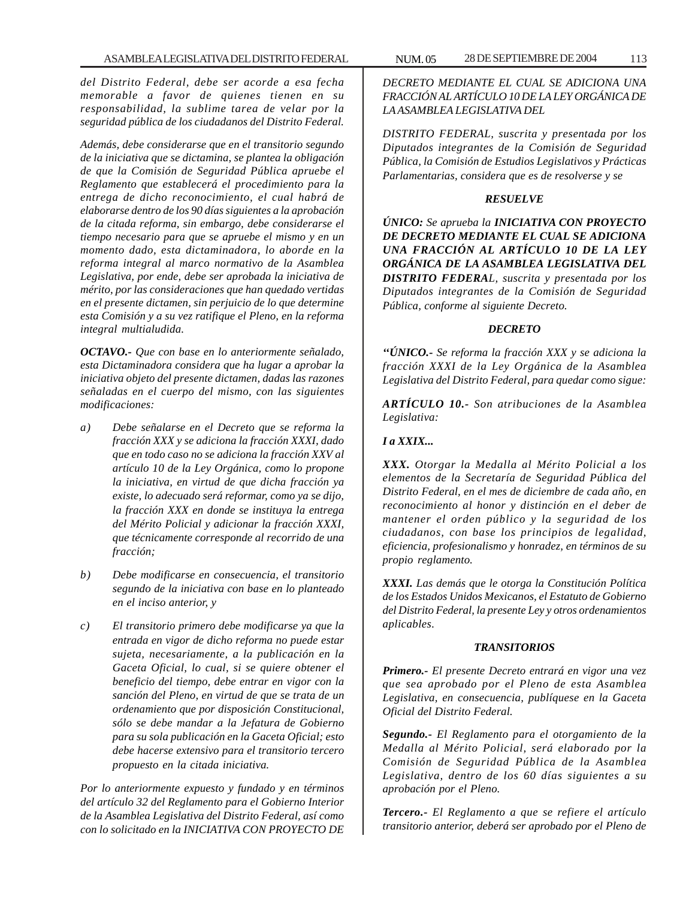*del Distrito Federal, debe ser acorde a esa fecha memorable a favor de quienes tienen en su responsabilidad, la sublime tarea de velar por la seguridad pública de los ciudadanos del Distrito Federal.*

*Además, debe considerarse que en el transitorio segundo de la iniciativa que se dictamina, se plantea la obligación de que la Comisión de Seguridad Pública apruebe el Reglamento que establecerá el procedimiento para la entrega de dicho reconocimiento, el cual habrá de elaborarse dentro de los 90 días siguientes a la aprobación de la citada reforma, sin embargo, debe considerarse el tiempo necesario para que se apruebe el mismo y en un momento dado, esta dictaminadora, lo aborde en la reforma integral al marco normativo de la Asamblea Legislativa, por ende, debe ser aprobada la iniciativa de mérito, por las consideraciones que han quedado vertidas en el presente dictamen, sin perjuicio de lo que determine esta Comisión y a su vez ratifique el Pleno, en la reforma integral multialudida.*

*OCTAVO.- Que con base en lo anteriormente señalado, esta Dictaminadora considera que ha lugar a aprobar la iniciativa objeto del presente dictamen, dadas las razones señaladas en el cuerpo del mismo, con las siguientes modificaciones:*

- *a) Debe señalarse en el Decreto que se reforma la fracción XXX y se adiciona la fracción XXXI, dado que en todo caso no se adiciona la fracción XXV al artículo 10 de la Ley Orgánica, como lo propone la iniciativa, en virtud de que dicha fracción ya existe, lo adecuado será reformar, como ya se dijo, la fracción XXX en donde se instituya la entrega del Mérito Policial y adicionar la fracción XXXI, que técnicamente corresponde al recorrido de una fracción;*
- *b) Debe modificarse en consecuencia, el transitorio segundo de la iniciativa con base en lo planteado en el inciso anterior, y*
- *c) El transitorio primero debe modificarse ya que la entrada en vigor de dicho reforma no puede estar sujeta, necesariamente, a la publicación en la Gaceta Oficial, lo cual, si se quiere obtener el beneficio del tiempo, debe entrar en vigor con la sanción del Pleno, en virtud de que se trata de un ordenamiento que por disposición Constitucional, sólo se debe mandar a la Jefatura de Gobierno para su sola publicación en la Gaceta Oficial; esto debe hacerse extensivo para el transitorio tercero propuesto en la citada iniciativa.*

*Por lo anteriormente expuesto y fundado y en términos del artículo 32 del Reglamento para el Gobierno Interior de la Asamblea Legislativa del Distrito Federal, así como con lo solicitado en la INICIATIVA CON PROYECTO DE*

*DECRETO MEDIANTE EL CUAL SE ADICIONA UNA FRACCIÓN AL ARTÍCULO 10 DE LA LEY ORGÁNICA DE LA ASAMBLEA LEGISLATIVA DEL*

*DISTRITO FEDERAL, suscrita y presentada por los Diputados integrantes de la Comisión de Seguridad Pública, la Comisión de Estudios Legislativos y Prácticas Parlamentarias, considera que es de resolverse y se*

## *RESUELVE*

*ÚNICO: Se aprueba la INICIATIVA CON PROYECTO DE DECRETO MEDIANTE EL CUAL SE ADICIONA UNA FRACCIÓN AL ARTÍCULO 10 DE LA LEY ORGÁNICA DE LA ASAMBLEA LEGISLATIVA DEL DISTRITO FEDERAL, suscrita y presentada por los Diputados integrantes de la Comisión de Seguridad Pública, conforme al siguiente Decreto.*

## *DECRETO*

*''ÚNICO.- Se reforma la fracción XXX y se adiciona la fracción XXXI de la Ley Orgánica de la Asamblea Legislativa del Distrito Federal, para quedar como sigue:*

*ARTÍCULO 10.- Son atribuciones de la Asamblea Legislativa:*

## *I a XXIX...*

*XXX. Otorgar la Medalla al Mérito Policial a los elementos de la Secretaría de Seguridad Pública del Distrito Federal, en el mes de diciembre de cada año, en reconocimiento al honor y distinción en el deber de mantener el orden público y la seguridad de los ciudadanos, con base los principios de legalidad, eficiencia, profesionalismo y honradez, en términos de su propio reglamento.*

*XXXI. Las demás que le otorga la Constitución Política de los Estados Unidos Mexicanos, el Estatuto de Gobierno del Distrito Federal, la presente Ley y otros ordenamientos aplicables.*

## *TRANSITORIOS*

*Primero.- El presente Decreto entrará en vigor una vez que sea aprobado por el Pleno de esta Asamblea Legislativa, en consecuencia, publíquese en la Gaceta Oficial del Distrito Federal.*

*Segundo.- El Reglamento para el otorgamiento de la Medalla al Mérito Policial, será elaborado por la Comisión de Seguridad Pública de la Asamblea Legislativa, dentro de los 60 días siguientes a su aprobación por el Pleno.*

*Tercero.- El Reglamento a que se refiere el artículo transitorio anterior, deberá ser aprobado por el Pleno de*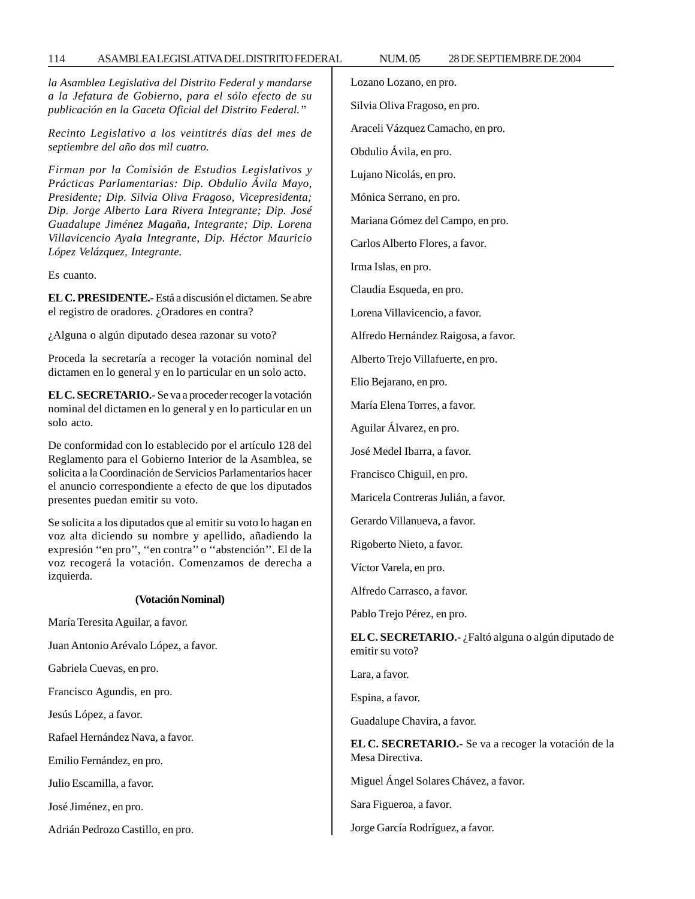## 114 ASAMBLEA LEGISLATIVA DEL DISTRITO FEDERAL 28 NUM. 05 DE SEPTIEMBRE DE 2004

*la Asamblea Legislativa del Distrito Federal y mandarse a la Jefatura de Gobierno, para el sólo efecto de su publicación en la Gaceta Oficial del Distrito Federal.''*

*Recinto Legislativo a los veintitrés días del mes de septiembre del año dos mil cuatro.*

*Firman por la Comisión de Estudios Legislativos y Prácticas Parlamentarias: Dip. Obdulio Ávila Mayo, Presidente; Dip. Silvia Oliva Fragoso, Vicepresidenta; Dip. Jorge Alberto Lara Rivera Integrante; Dip. José Guadalupe Jiménez Magaña, Integrante; Dip. Lorena Villavicencio Ayala Integrante, Dip. Héctor Mauricio López Velázquez, Integrante.*

Es cuanto.

**EL C. PRESIDENTE.-** Está a discusión el dictamen. Se abre el registro de oradores. ¿Oradores en contra?

¿Alguna o algún diputado desea razonar su voto?

Proceda la secretaría a recoger la votación nominal del dictamen en lo general y en lo particular en un solo acto.

**EL C. SECRETARIO.-** Se va a proceder recoger la votación nominal del dictamen en lo general y en lo particular en un solo acto.

De conformidad con lo establecido por el artículo 128 del Reglamento para el Gobierno Interior de la Asamblea, se solicita a la Coordinación de Servicios Parlamentarios hacer el anuncio correspondiente a efecto de que los diputados presentes puedan emitir su voto.

Se solicita a los diputados que al emitir su voto lo hagan en voz alta diciendo su nombre y apellido, añadiendo la expresión ''en pro'', ''en contra'' o ''abstención''. El de la voz recogerá la votación. Comenzamos de derecha a izquierda.

#### **(Votación Nominal)**

María Teresita Aguilar, a favor.

Juan Antonio Arévalo López, a favor.

Gabriela Cuevas, en pro.

Francisco Agundis, en pro.

Jesús López, a favor.

Rafael Hernández Nava, a favor.

Emilio Fernández, en pro.

Julio Escamilla, a favor.

José Jiménez, en pro.

Adrián Pedrozo Castillo, en pro.

Lozano Lozano, en pro.

Silvia Oliva Fragoso, en pro.

Araceli Vázquez Camacho, en pro.

Obdulio Ávila, en pro.

Lujano Nicolás, en pro.

Mónica Serrano, en pro.

Mariana Gómez del Campo, en pro.

Carlos Alberto Flores, a favor.

Irma Islas, en pro.

Claudia Esqueda, en pro.

Lorena Villavicencio, a favor.

Alfredo Hernández Raigosa, a favor.

Alberto Trejo Villafuerte, en pro.

Elio Bejarano, en pro.

María Elena Torres, a favor.

Aguilar Álvarez, en pro.

José Medel Ibarra, a favor.

Francisco Chiguil, en pro.

Maricela Contreras Julián, a favor.

Gerardo Villanueva, a favor.

Rigoberto Nieto, a favor.

Víctor Varela, en pro.

Alfredo Carrasco, a favor.

Pablo Trejo Pérez, en pro.

**EL C. SECRETARIO.-** ¿Faltó alguna o algún diputado de emitir su voto?

Lara, a favor.

Espina, a favor.

Guadalupe Chavira, a favor.

**EL C. SECRETARIO.-** Se va a recoger la votación de la Mesa Directiva.

Miguel Ángel Solares Chávez, a favor.

Sara Figueroa, a favor.

Jorge García Rodríguez, a favor.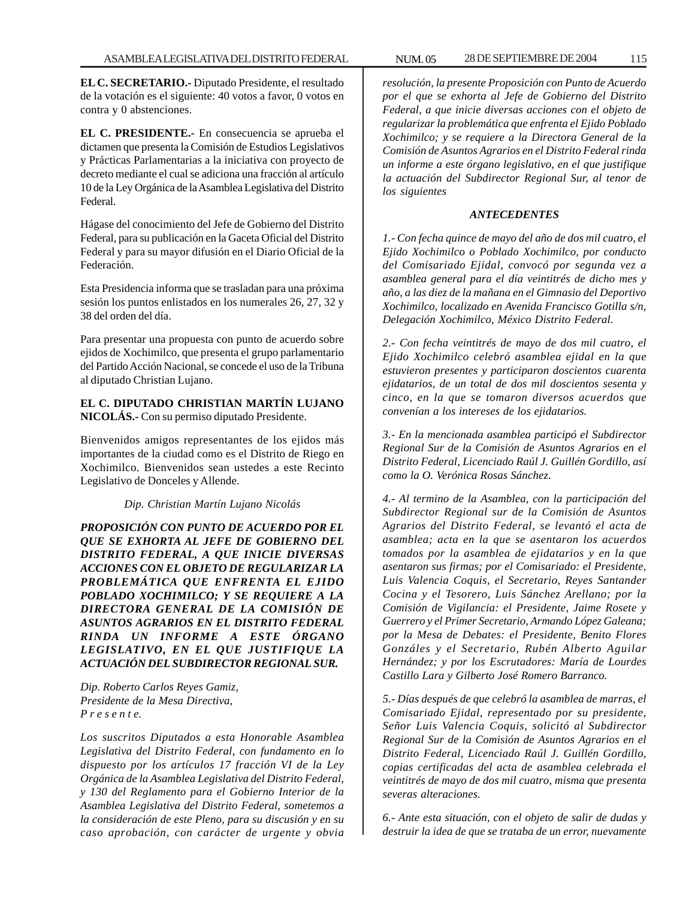**EL C. SECRETARIO.-** Diputado Presidente, el resultado de la votación es el siguiente: 40 votos a favor, 0 votos en contra y 0 abstenciones.

**EL C. PRESIDENTE.-** En consecuencia se aprueba el dictamen que presenta la Comisión de Estudios Legislativos y Prácticas Parlamentarias a la iniciativa con proyecto de decreto mediante el cual se adiciona una fracción al artículo 10 de la Ley Orgánica de la Asamblea Legislativa del Distrito Federal.

Hágase del conocimiento del Jefe de Gobierno del Distrito Federal, para su publicación en la Gaceta Oficial del Distrito Federal y para su mayor difusión en el Diario Oficial de la Federación.

Esta Presidencia informa que se trasladan para una próxima sesión los puntos enlistados en los numerales 26, 27, 32 y 38 del orden del día.

Para presentar una propuesta con punto de acuerdo sobre ejidos de Xochimilco, que presenta el grupo parlamentario del Partido Acción Nacional, se concede el uso de la Tribuna al diputado Christian Lujano.

## **EL C. DIPUTADO CHRISTIAN MARTÍN LUJANO NICOLÁS.-** Con su permiso diputado Presidente.

Bienvenidos amigos representantes de los ejidos más importantes de la ciudad como es el Distrito de Riego en Xochimilco. Bienvenidos sean ustedes a este Recinto Legislativo de Donceles y Allende.

## *Dip. Christian Martín Lujano Nicolás*

*PROPOSICIÓN CON PUNTO DE ACUERDO POR EL QUE SE EXHORTA AL JEFE DE GOBIERNO DEL DISTRITO FEDERAL, A QUE INICIE DIVERSAS ACCIONES CON EL OBJETO DE REGULARIZAR LA PROBLEMÁTICA QUE ENFRENTA EL EJIDO POBLADO XOCHIMILCO; Y SE REQUIERE A LA DIRECTORA GENERAL DE LA COMISIÓN DE ASUNTOS AGRARIOS EN EL DISTRITO FEDERAL RINDA UN INFORME A ESTE ÓRGANO LEGISLATIVO, EN EL QUE JUSTIFIQUE LA ACTUACIÓN DEL SUBDIRECTOR REGIONAL SUR.*

*Dip. Roberto Carlos Reyes Gamiz, Presidente de la Mesa Directiva, P r e s e n t e.*

*Los suscritos Diputados a esta Honorable Asamblea Legislativa del Distrito Federal, con fundamento en lo dispuesto por los artículos 17 fracción VI de la Ley Orgánica de la Asamblea Legislativa del Distrito Federal, y 130 del Reglamento para el Gobierno Interior de la Asamblea Legislativa del Distrito Federal, sometemos a la consideración de este Pleno, para su discusión y en su caso aprobación, con carácter de urgente y obvia*

*resolución, la presente Proposición con Punto de Acuerdo por el que se exhorta al Jefe de Gobierno del Distrito Federal, a que inicie diversas acciones con el objeto de regularizar la problemática que enfrenta el Ejido Poblado Xochimilco; y se requiere a la Directora General de la Comisión de Asuntos Agrarios en el Distrito Federal rinda un informe a este órgano legislativo, en el que justifique la actuación del Subdirector Regional Sur, al tenor de los siguientes*

## *ANTECEDENTES*

*1.- Con fecha quince de mayo del año de dos mil cuatro, el Ejido Xochimilco o Poblado Xochimilco, por conducto del Comisariado Ejidal, convocó por segunda vez a asamblea general para el día veintitrés de dicho mes y año, a las diez de la mañana en el Gimnasio del Deportivo Xochimilco, localizado en Avenida Francisco Gotilla s/n, Delegación Xochimilco, México Distrito Federal.*

*2.- Con fecha veintitrés de mayo de dos mil cuatro, el Ejido Xochimilco celebró asamblea ejidal en la que estuvieron presentes y participaron doscientos cuarenta ejidatarios, de un total de dos mil doscientos sesenta y cinco, en la que se tomaron diversos acuerdos que convenían a los intereses de los ejidatarios.*

*3.- En la mencionada asamblea participó el Subdirector Regional Sur de la Comisión de Asuntos Agrarios en el Distrito Federal, Licenciado Raúl J. Guillén Gordillo, así como la O. Verónica Rosas Sánchez.*

*4.- Al termino de la Asamblea, con la participación del Subdirector Regional sur de la Comisión de Asuntos Agrarios del Distrito Federal, se levantó el acta de asamblea; acta en la que se asentaron los acuerdos tomados por la asamblea de ejidatarios y en la que asentaron sus firmas; por el Comisariado: el Presidente, Luis Valencia Coquis, el Secretario, Reyes Santander Cocina y el Tesorero, Luis Sánchez Arellano; por la Comisión de Vigilancia: el Presidente, Jaime Rosete y Guerrero y el Primer Secretario, Armando López Galeana; por la Mesa de Debates: el Presidente, Benito Flores Gonzáles y el Secretario, Rubén Alberto Aguilar Hernández; y por los Escrutadores: María de Lourdes Castillo Lara y Gilberto José Romero Barranco.*

*5.- Días después de que celebró la asamblea de marras, el Comisariado Ejidal, representado por su presidente, Señor Luis Valencia Coquis, solicitó al Subdirector Regional Sur de la Comisión de Asuntos Agrarios en el Distrito Federal, Licenciado Raúl J. Guillén Gordillo, copias certificadas del acta de asamblea celebrada el veintitrés de mayo de dos mil cuatro, misma que presenta severas alteraciones.*

*6.- Ante esta situación, con el objeto de salir de dudas y destruir la idea de que se trataba de un error, nuevamente*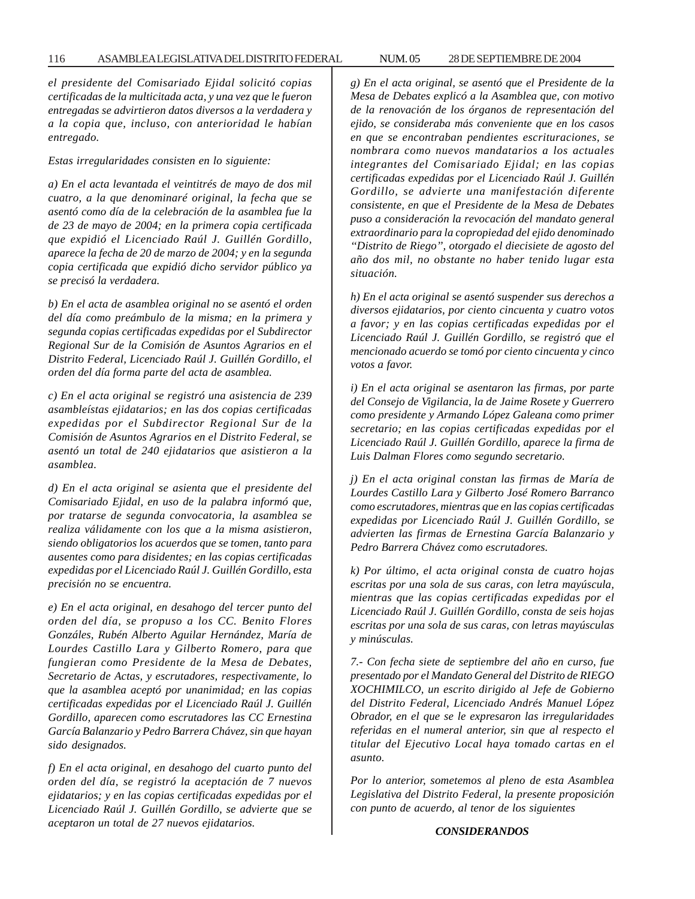*el presidente del Comisariado Ejidal solicitó copias certificadas de la multicitada acta, y una vez que le fueron entregadas se advirtieron datos diversos a la verdadera y a la copia que, incluso, con anterioridad le habían entregado.*

*Estas irregularidades consisten en lo siguiente:*

*a) En el acta levantada el veintitrés de mayo de dos mil cuatro, a la que denominaré original, la fecha que se asentó como día de la celebración de la asamblea fue la de 23 de mayo de 2004; en la primera copia certificada que expidió el Licenciado Raúl J. Guillén Gordillo, aparece la fecha de 20 de marzo de 2004; y en la segunda copia certificada que expidió dicho servidor público ya se precisó la verdadera.*

*b) En el acta de asamblea original no se asentó el orden del día como preámbulo de la misma; en la primera y segunda copias certificadas expedidas por el Subdirector Regional Sur de la Comisión de Asuntos Agrarios en el Distrito Federal, Licenciado Raúl J. Guillén Gordillo, el orden del día forma parte del acta de asamblea.*

*c) En el acta original se registró una asistencia de 239 asambleístas ejidatarios; en las dos copias certificadas expedidas por el Subdirector Regional Sur de la Comisión de Asuntos Agrarios en el Distrito Federal, se asentó un total de 240 ejidatarios que asistieron a la asamblea.*

*d) En el acta original se asienta que el presidente del Comisariado Ejidal, en uso de la palabra informó que, por tratarse de segunda convocatoria, la asamblea se realiza válidamente con los que a la misma asistieron, siendo obligatorios los acuerdos que se tomen, tanto para ausentes como para disidentes; en las copias certificadas expedidas por el Licenciado Raúl J. Guillén Gordillo, esta precisión no se encuentra.*

*e) En el acta original, en desahogo del tercer punto del orden del día, se propuso a los CC. Benito Flores Gonzáles, Rubén Alberto Aguilar Hernández, María de Lourdes Castillo Lara y Gilberto Romero, para que fungieran como Presidente de la Mesa de Debates, Secretario de Actas, y escrutadores, respectivamente, lo que la asamblea aceptó por unanimidad; en las copias certificadas expedidas por el Licenciado Raúl J. Guillén Gordillo, aparecen como escrutadores las CC Ernestina García Balanzario y Pedro Barrera Chávez, sin que hayan sido designados.*

*f) En el acta original, en desahogo del cuarto punto del orden del día, se registró la aceptación de 7 nuevos ejidatarios; y en las copias certificadas expedidas por el Licenciado Raúl J. Guillén Gordillo, se advierte que se aceptaron un total de 27 nuevos ejidatarios.*

*g) En el acta original, se asentó que el Presidente de la Mesa de Debates explicó a la Asamblea que, con motivo de la renovación de los órganos de representación del ejido, se consideraba más conveniente que en los casos en que se encontraban pendientes escrituraciones, se nombrara como nuevos mandatarios a los actuales integrantes del Comisariado Ejidal; en las copias certificadas expedidas por el Licenciado Raúl J. Guillén Gordillo, se advierte una manifestación diferente consistente, en que el Presidente de la Mesa de Debates puso a consideración la revocación del mandato general extraordinario para la copropiedad del ejido denominado ''Distrito de Riego'', otorgado el diecisiete de agosto del año dos mil, no obstante no haber tenido lugar esta situación.*

*h) En el acta original se asentó suspender sus derechos a diversos ejidatarios, por ciento cincuenta y cuatro votos a favor; y en las copias certificadas expedidas por el Licenciado Raúl J. Guillén Gordillo, se registró que el mencionado acuerdo se tomó por ciento cincuenta y cinco votos a favor.*

*i) En el acta original se asentaron las firmas, por parte del Consejo de Vigilancia, la de Jaime Rosete y Guerrero como presidente y Armando López Galeana como primer secretario; en las copias certificadas expedidas por el Licenciado Raúl J. Guillén Gordillo, aparece la firma de Luis Dalman Flores como segundo secretario.*

*j) En el acta original constan las firmas de María de Lourdes Castillo Lara y Gilberto José Romero Barranco como escrutadores, mientras que en las copias certificadas expedidas por Licenciado Raúl J. Guillén Gordillo, se advierten las firmas de Ernestina García Balanzario y Pedro Barrera Chávez como escrutadores.*

*k) Por último, el acta original consta de cuatro hojas escritas por una sola de sus caras, con letra mayúscula, mientras que las copias certificadas expedidas por el Licenciado Raúl J. Guillén Gordillo, consta de seis hojas escritas por una sola de sus caras, con letras mayúsculas y minúsculas.*

*7.- Con fecha siete de septiembre del año en curso, fue presentado por el Mandato General del Distrito de RIEGO XOCHIMILCO, un escrito dirigido al Jefe de Gobierno del Distrito Federal, Licenciado Andrés Manuel López Obrador, en el que se le expresaron las irregularidades referidas en el numeral anterior, sin que al respecto el titular del Ejecutivo Local haya tomado cartas en el asunto.*

*Por lo anterior, sometemos al pleno de esta Asamblea Legislativa del Distrito Federal, la presente proposición con punto de acuerdo, al tenor de los siguientes*

## *CONSIDERANDOS*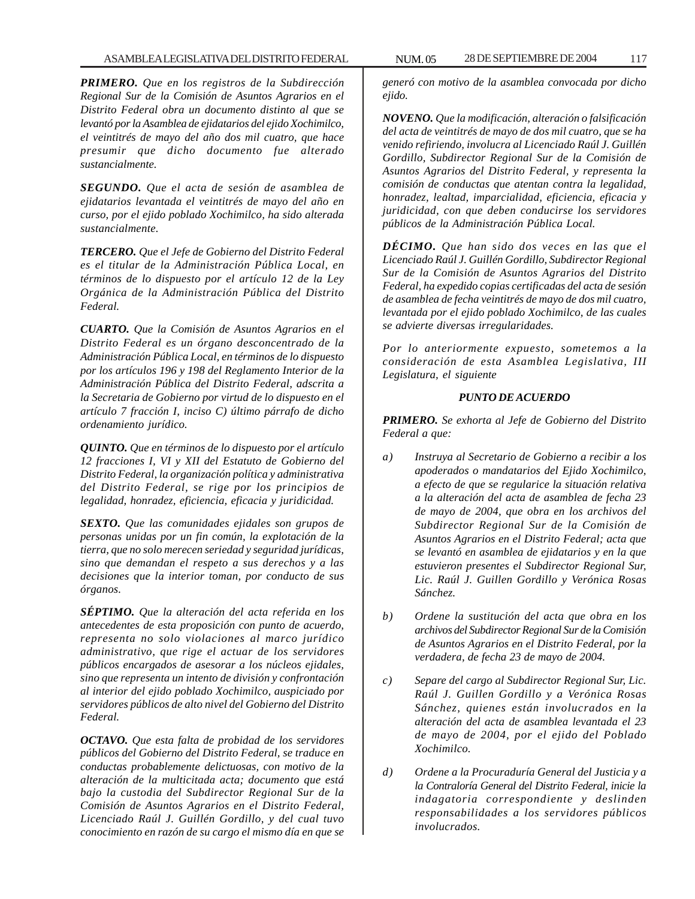*PRIMERO. Que en los registros de la Subdirección Regional Sur de la Comisión de Asuntos Agrarios en el Distrito Federal obra un documento distinto al que se levantó por la Asamblea de ejidatarios del ejido Xochimilco, el veintitrés de mayo del año dos mil cuatro, que hace presumir que dicho documento fue alterado sustancialmente.*

*SEGUNDO. Que el acta de sesión de asamblea de ejidatarios levantada el veintitrés de mayo del año en curso, por el ejido poblado Xochimilco, ha sido alterada sustancialmente.*

*TERCERO. Que el Jefe de Gobierno del Distrito Federal es el titular de la Administración Pública Local, en términos de lo dispuesto por el artículo 12 de la Ley Orgánica de la Administración Pública del Distrito Federal.*

*CUARTO. Que la Comisión de Asuntos Agrarios en el Distrito Federal es un órgano desconcentrado de la Administración Pública Local, en términos de lo dispuesto por los artículos 196 y 198 del Reglamento Interior de la Administración Pública del Distrito Federal, adscrita a la Secretaria de Gobierno por virtud de lo dispuesto en el artículo 7 fracción I, inciso C) último párrafo de dicho ordenamiento jurídico.*

*QUINTO. Que en términos de lo dispuesto por el artículo 12 fracciones I, VI y XII del Estatuto de Gobierno del Distrito Federal, la organización política y administrativa del Distrito Federal, se rige por los principios de legalidad, honradez, eficiencia, eficacia y juridicidad.*

*SEXTO. Que las comunidades ejidales son grupos de personas unidas por un fin común, la explotación de la tierra, que no solo merecen seriedad y seguridad jurídicas, sino que demandan el respeto a sus derechos y a las decisiones que la interior toman, por conducto de sus órganos.*

*SÉPTIMO. Que la alteración del acta referida en los antecedentes de esta proposición con punto de acuerdo, representa no solo violaciones al marco jurídico administrativo, que rige el actuar de los servidores públicos encargados de asesorar a los núcleos ejidales, sino que representa un intento de división y confrontación al interior del ejido poblado Xochimilco, auspiciado por servidores públicos de alto nivel del Gobierno del Distrito Federal.*

*OCTAVO. Que esta falta de probidad de los servidores públicos del Gobierno del Distrito Federal, se traduce en conductas probablemente delictuosas, con motivo de la alteración de la multicitada acta; documento que está bajo la custodia del Subdirector Regional Sur de la Comisión de Asuntos Agrarios en el Distrito Federal, Licenciado Raúl J. Guillén Gordillo, y del cual tuvo conocimiento en razón de su cargo el mismo día en que se*

*generó con motivo de la asamblea convocada por dicho ejido.*

*NOVENO. Que la modificación, alteración o falsificación del acta de veintitrés de mayo de dos mil cuatro, que se ha venido refiriendo, involucra al Licenciado Raúl J. Guillén Gordillo, Subdirector Regional Sur de la Comisión de Asuntos Agrarios del Distrito Federal, y representa la comisión de conductas que atentan contra la legalidad, honradez, lealtad, imparcialidad, eficiencia, eficacia y juridicidad, con que deben conducirse los servidores públicos de la Administración Pública Local.*

*DÉCIMO. Que han sido dos veces en las que el Licenciado Raúl J. Guillén Gordillo, Subdirector Regional Sur de la Comisión de Asuntos Agrarios del Distrito Federal, ha expedido copias certificadas del acta de sesión de asamblea de fecha veintitrés de mayo de dos mil cuatro, levantada por el ejido poblado Xochimilco, de las cuales se advierte diversas irregularidades.*

*Por lo anteriormente expuesto, sometemos a la consideración de esta Asamblea Legislativa, III Legislatura, el siguiente*

## *PUNTO DE ACUERDO*

*PRIMERO. Se exhorta al Jefe de Gobierno del Distrito Federal a que:*

- *a) Instruya al Secretario de Gobierno a recibir a los apoderados o mandatarios del Ejido Xochimilco, a efecto de que se regularice la situación relativa a la alteración del acta de asamblea de fecha 23 de mayo de 2004, que obra en los archivos del Subdirector Regional Sur de la Comisión de Asuntos Agrarios en el Distrito Federal; acta que se levantó en asamblea de ejidatarios y en la que estuvieron presentes el Subdirector Regional Sur, Lic. Raúl J. Guillen Gordillo y Verónica Rosas Sánchez.*
- *b) Ordene la sustitución del acta que obra en los archivos del Subdirector Regional Sur de la Comisión de Asuntos Agrarios en el Distrito Federal, por la verdadera, de fecha 23 de mayo de 2004.*
- *c) Separe del cargo al Subdirector Regional Sur, Lic. Raúl J. Guillen Gordillo y a Verónica Rosas Sánchez, quienes están involucrados en la alteración del acta de asamblea levantada el 23 de mayo de 2004, por el ejido del Poblado Xochimilco.*
- *d) Ordene a la Procuraduría General del Justicia y a la Contraloría General del Distrito Federal, inicie la indagatoria correspondiente y deslinden responsabilidades a los servidores públicos involucrados.*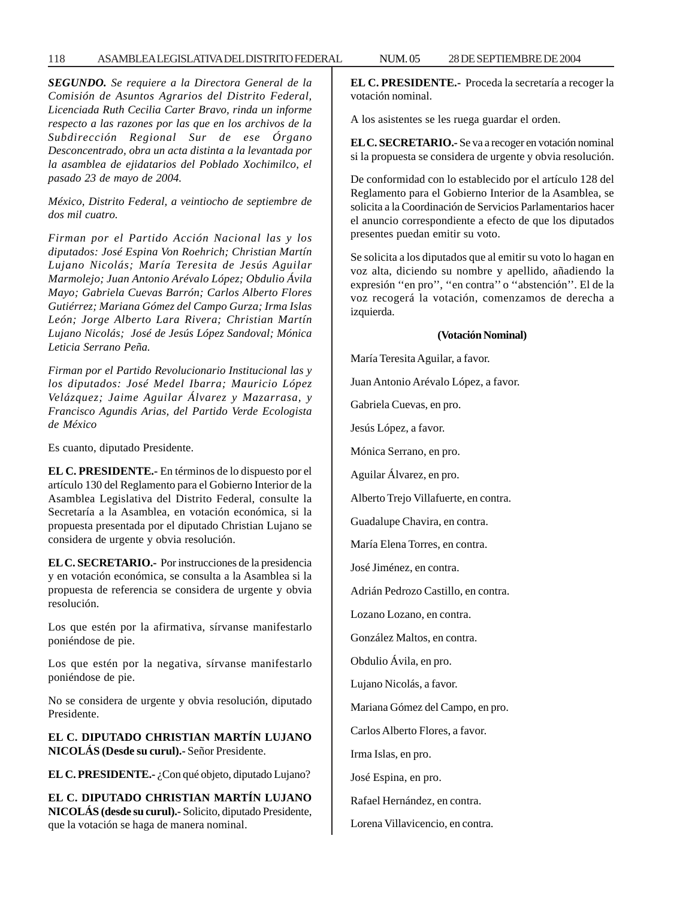## 118 ASAMBLEA LEGISLATIVA DEL DISTRITO FEDERAL 28 NUM. 05 DE SEPTIEMBRE DE 2004

*SEGUNDO. Se requiere a la Directora General de la Comisión de Asuntos Agrarios del Distrito Federal, Licenciada Ruth Cecilia Carter Bravo, rinda un informe respecto a las razones por las que en los archivos de la Subdirección Regional Sur de ese Órgano Desconcentrado, obra un acta distinta a la levantada por la asamblea de ejidatarios del Poblado Xochimilco, el pasado 23 de mayo de 2004.*

*México, Distrito Federal, a veintiocho de septiembre de dos mil cuatro.*

*Firman por el Partido Acción Nacional las y los diputados: José Espina Von Roehrich; Christian Martín Lujano Nicolás; María Teresita de Jesús Aguilar Marmolejo; Juan Antonio Arévalo López; Obdulio Ávila Mayo; Gabriela Cuevas Barrón; Carlos Alberto Flores Gutiérrez; Mariana Gómez del Campo Gurza; Irma Islas León; Jorge Alberto Lara Rivera; Christian Martín Lujano Nicolás; José de Jesús López Sandoval; Mónica Leticia Serrano Peña.*

*Firman por el Partido Revolucionario Institucional las y los diputados: José Medel Ibarra; Mauricio López Velázquez; Jaime Aguilar Álvarez y Mazarrasa, y Francisco Agundis Arias, del Partido Verde Ecologista de México*

Es cuanto, diputado Presidente.

**EL C. PRESIDENTE.-** En términos de lo dispuesto por el artículo 130 del Reglamento para el Gobierno Interior de la Asamblea Legislativa del Distrito Federal, consulte la Secretaría a la Asamblea, en votación económica, si la propuesta presentada por el diputado Christian Lujano se considera de urgente y obvia resolución.

**EL C. SECRETARIO.-** Por instrucciones de la presidencia y en votación económica, se consulta a la Asamblea si la propuesta de referencia se considera de urgente y obvia resolución.

Los que estén por la afirmativa, sírvanse manifestarlo poniéndose de pie.

Los que estén por la negativa, sírvanse manifestarlo poniéndose de pie.

No se considera de urgente y obvia resolución, diputado Presidente.

**EL C. DIPUTADO CHRISTIAN MARTÍN LUJANO NICOLÁS (Desde su curul).-** Señor Presidente.

**EL C. PRESIDENTE.-** ¿Con qué objeto, diputado Lujano?

**EL C. DIPUTADO CHRISTIAN MARTÍN LUJANO NICOLÁS (desde su curul).-** Solicito, diputado Presidente, que la votación se haga de manera nominal.

**EL C. PRESIDENTE.-** Proceda la secretaría a recoger la votación nominal.

A los asistentes se les ruega guardar el orden.

**EL C. SECRETARIO.-** Se va a recoger en votación nominal si la propuesta se considera de urgente y obvia resolución.

De conformidad con lo establecido por el artículo 128 del Reglamento para el Gobierno Interior de la Asamblea, se solicita a la Coordinación de Servicios Parlamentarios hacer el anuncio correspondiente a efecto de que los diputados presentes puedan emitir su voto.

Se solicita a los diputados que al emitir su voto lo hagan en voz alta, diciendo su nombre y apellido, añadiendo la expresión ''en pro'', ''en contra'' o ''abstención''. El de la voz recogerá la votación, comenzamos de derecha a izquierda.

#### **(Votación Nominal)**

María Teresita Aguilar, a favor.

Juan Antonio Arévalo López, a favor.

Gabriela Cuevas, en pro.

Jesús López, a favor.

Mónica Serrano, en pro.

Aguilar Álvarez, en pro.

Alberto Trejo Villafuerte, en contra.

Guadalupe Chavira, en contra.

María Elena Torres, en contra.

José Jiménez, en contra.

Adrián Pedrozo Castillo, en contra.

Lozano Lozano, en contra.

González Maltos, en contra.

Obdulio Ávila, en pro.

Lujano Nicolás, a favor.

Mariana Gómez del Campo, en pro.

Carlos Alberto Flores, a favor.

Irma Islas, en pro.

José Espina, en pro.

Rafael Hernández, en contra.

Lorena Villavicencio, en contra.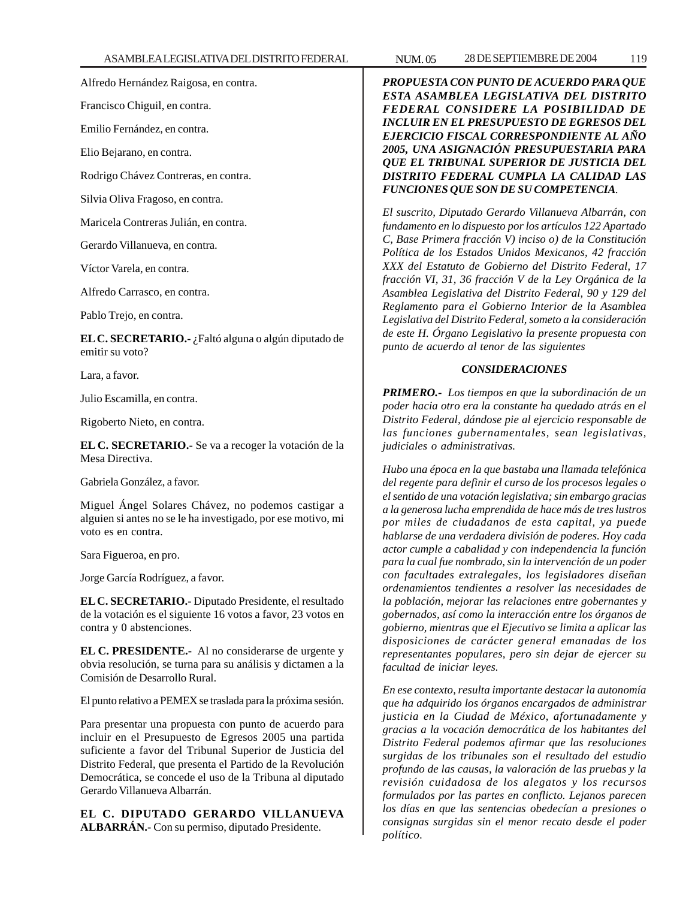Alfredo Hernández Raigosa, en contra.

Francisco Chiguil, en contra.

Emilio Fernández, en contra.

Elio Bejarano, en contra.

Rodrigo Chávez Contreras, en contra.

Silvia Oliva Fragoso, en contra.

Maricela Contreras Julián, en contra.

Gerardo Villanueva, en contra.

Víctor Varela, en contra.

Alfredo Carrasco, en contra.

Pablo Trejo, en contra.

**EL C. SECRETARIO.-** ¿Faltó alguna o algún diputado de emitir su voto?

Lara, a favor.

Julio Escamilla, en contra.

Rigoberto Nieto, en contra.

**EL C. SECRETARIO.-** Se va a recoger la votación de la Mesa Directiva.

Gabriela González, a favor.

Miguel Ángel Solares Chávez, no podemos castigar a alguien si antes no se le ha investigado, por ese motivo, mi voto es en contra.

Sara Figueroa, en pro.

Jorge García Rodríguez, a favor.

**EL C. SECRETARIO.-** Diputado Presidente, el resultado de la votación es el siguiente 16 votos a favor, 23 votos en contra y 0 abstenciones.

**EL C. PRESIDENTE.-** Al no considerarse de urgente y obvia resolución, se turna para su análisis y dictamen a la Comisión de Desarrollo Rural.

El punto relativo a PEMEX se traslada para la próxima sesión.

Para presentar una propuesta con punto de acuerdo para incluir en el Presupuesto de Egresos 2005 una partida suficiente a favor del Tribunal Superior de Justicia del Distrito Federal, que presenta el Partido de la Revolución Democrática, se concede el uso de la Tribuna al diputado Gerardo Villanueva Albarrán.

**EL C. DIPUTADO GERARDO VILLANUEVA ALBARRÁN.-** Con su permiso, diputado Presidente.

*PROPUESTA CON PUNTO DE ACUERDO PARA QUE ESTA ASAMBLEA LEGISLATIVA DEL DISTRITO FEDERAL CONSIDERE LA POSIBILIDAD DE INCLUIR EN EL PRESUPUESTO DE EGRESOS DEL EJERCICIO FISCAL CORRESPONDIENTE AL AÑO 2005, UNA ASIGNACIÓN PRESUPUESTARIA PARA QUE EL TRIBUNAL SUPERIOR DE JUSTICIA DEL DISTRITO FEDERAL CUMPLA LA CALIDAD LAS FUNCIONES QUE SON DE SU COMPETENCIA.*

*El suscrito, Diputado Gerardo Villanueva Albarrán, con fundamento en lo dispuesto por los artículos 122 Apartado C, Base Primera fracción V) inciso o) de la Constitución Política de los Estados Unidos Mexicanos, 42 fracción XXX del Estatuto de Gobierno del Distrito Federal, 17 fracción VI, 31, 36 fracción V de la Ley Orgánica de la Asamblea Legislativa del Distrito Federal, 90 y 129 del Reglamento para el Gobierno Interior de la Asamblea Legislativa del Distrito Federal, someto a la consideración de este H. Órgano Legislativo la presente propuesta con punto de acuerdo al tenor de las siguientes*

## *CONSIDERACIONES*

*PRIMERO.- Los tiempos en que la subordinación de un poder hacia otro era la constante ha quedado atrás en el Distrito Federal, dándose pie al ejercicio responsable de las funciones gubernamentales, sean legislativas, judiciales o administrativas.*

*Hubo una época en la que bastaba una llamada telefónica del regente para definir el curso de los procesos legales o el sentido de una votación legislativa; sin embargo gracias a la generosa lucha emprendida de hace más de tres lustros por miles de ciudadanos de esta capital, ya puede hablarse de una verdadera división de poderes. Hoy cada actor cumple a cabalidad y con independencia la función para la cual fue nombrado, sin la intervención de un poder con facultades extralegales, los legisladores diseñan ordenamientos tendientes a resolver las necesidades de la población, mejorar las relaciones entre gobernantes y gobernados, así como la interacción entre los órganos de gobierno, mientras que el Ejecutivo se limita a aplicar las disposiciones de carácter general emanadas de los representantes populares, pero sin dejar de ejercer su facultad de iniciar leyes.*

*En ese contexto, resulta importante destacar la autonomía que ha adquirido los órganos encargados de administrar justicia en la Ciudad de México, afortunadamente y gracias a la vocación democrática de los habitantes del Distrito Federal podemos afirmar que las resoluciones surgidas de los tribunales son el resultado del estudio profundo de las causas, la valoración de las pruebas y la revisión cuidadosa de los alegatos y los recursos formulados por las partes en conflicto. Lejanos parecen los días en que las sentencias obedecían a presiones o consignas surgidas sin el menor recato desde el poder político.*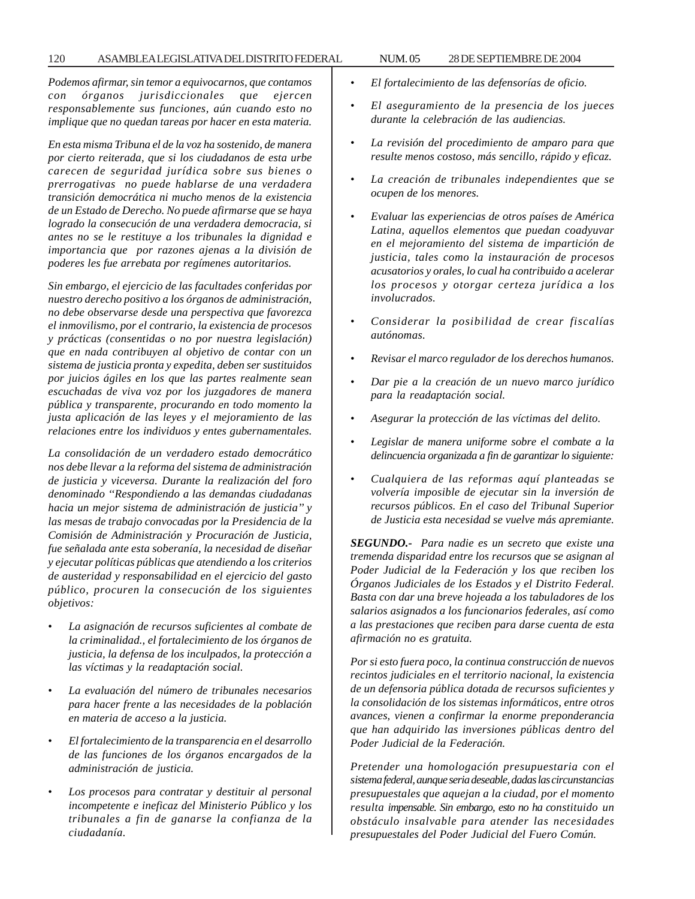*Podemos afirmar, sin temor a equivocarnos, que contamos con órganos jurisdiccionales que ejercen responsablemente sus funciones, aún cuando esto no implique que no quedan tareas por hacer en esta materia.*

*En esta misma Tribuna el de la voz ha sostenido, de manera por cierto reiterada, que si los ciudadanos de esta urbe carecen de seguridad jurídica sobre sus bienes o prerrogativas no puede hablarse de una verdadera transición democrática ni mucho menos de la existencia de un Estado de Derecho. No puede afirmarse que se haya logrado la consecución de una verdadera democracia, si antes no se le restituye a los tribunales la dignidad e importancia que por razones ajenas a la división de poderes les fue arrebata por regímenes autoritarios.*

*Sin embargo, el ejercicio de las facultades conferidas por nuestro derecho positivo a los órganos de administración, no debe observarse desde una perspectiva que favorezca el inmovilismo, por el contrario, la existencia de procesos y prácticas (consentidas o no por nuestra legislación) que en nada contribuyen al objetivo de contar con un sistema de justicia pronta y expedita, deben ser sustituidos por juicios ágiles en los que las partes realmente sean escuchadas de viva voz por los juzgadores de manera pública y transparente, procurando en todo momento la justa aplicación de las leyes y el mejoramiento de las relaciones entre los individuos y entes gubernamentales.*

*La consolidación de un verdadero estado democrático nos debe llevar a la reforma del sistema de administración de justicia y viceversa. Durante la realización del foro denominado ''Respondiendo a las demandas ciudadanas hacia un mejor sistema de administración de justicia'' y las mesas de trabajo convocadas por la Presidencia de la Comisión de Administración y Procuración de Justicia, fue señalada ante esta soberanía, la necesidad de diseñar y ejecutar políticas públicas que atendiendo a los criterios de austeridad y responsabilidad en el ejercicio del gasto público, procuren la consecución de los siguientes objetivos:*

- *La asignación de recursos suficientes al combate de la criminalidad., el fortalecimiento de los órganos de justicia, la defensa de los inculpados, la protección a las víctimas y la readaptación social.*
- *La evaluación del número de tribunales necesarios para hacer frente a las necesidades de la población en materia de acceso a la justicia.*
- *El fortalecimiento de la transparencia en el desarrollo de las funciones de los órganos encargados de la administración de justicia.*
- *Los procesos para contratar y destituir al personal incompetente e ineficaz del Ministerio Público y los tribunales a fin de ganarse la confianza de la ciudadanía.*
- *El fortalecimiento de las defensorías de oficio.*
- *El aseguramiento de la presencia de los jueces durante la celebración de las audiencias.*
- *La revisión del procedimiento de amparo para que resulte menos costoso, más sencillo, rápido y eficaz.*
- *La creación de tribunales independientes que se ocupen de los menores.*
- *Evaluar las experiencias de otros países de América Latina, aquellos elementos que puedan coadyuvar en el mejoramiento del sistema de impartición de justicia, tales como la instauración de procesos acusatorios y orales, lo cual ha contribuido a acelerar los procesos y otorgar certeza jurídica a los involucrados.*
- *Considerar la posibilidad de crear fiscalías autónomas.*
- *Revisar el marco regulador de los derechos humanos.*
- *Dar pie a la creación de un nuevo marco jurídico para la readaptación social.*
- *Asegurar la protección de las víctimas del delito.*
- *Legislar de manera uniforme sobre el combate a la delincuencia organizada a fin de garantizar lo siguiente:*
- *Cualquiera de las reformas aquí planteadas se volvería imposible de ejecutar sin la inversión de recursos públicos. En el caso del Tribunal Superior de Justicia esta necesidad se vuelve más apremiante.*

*SEGUNDO.- Para nadie es un secreto que existe una tremenda disparidad entre los recursos que se asignan al Poder Judicial de la Federación y los que reciben los Órganos Judiciales de los Estados y el Distrito Federal. Basta con dar una breve hojeada a los tabuladores de los salarios asignados a los funcionarios federales, así como a las prestaciones que reciben para darse cuenta de esta afirmación no es gratuita.*

*Por si esto fuera poco, la continua construcción de nuevos recintos judiciales en el territorio nacional, la existencia de un defensoria pública dotada de recursos suficientes y la consolidación de los sistemas informáticos, entre otros avances, vienen a confirmar la enorme preponderancia que han adquirido las inversiones públicas dentro del Poder Judicial de la Federación.*

*Pretender una homologación presupuestaria con el sistema federal, aunque seria deseable, dadas las circunstancias presupuestales que aquejan a la ciudad, por el momento resulta impensable. Sin embargo, esto no ha constituido un obstáculo insalvable para atender las necesidades presupuestales del Poder Judicial del Fuero Común.*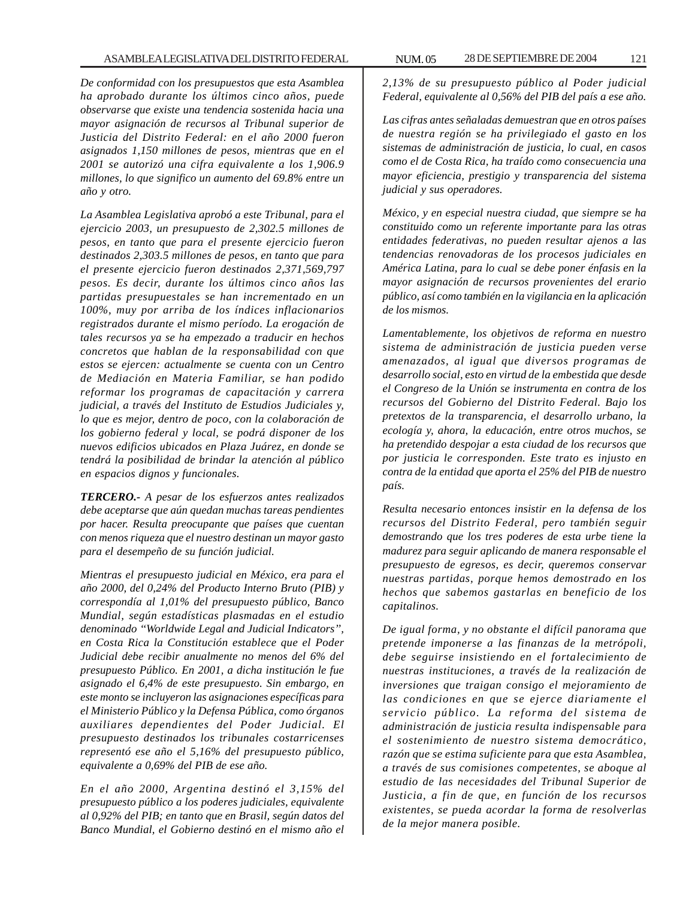*De conformidad con los presupuestos que esta Asamblea ha aprobado durante los últimos cinco años, puede observarse que existe una tendencia sostenida hacia una mayor asignación de recursos al Tribunal superior de Justicia del Distrito Federal: en el año 2000 fueron asignados 1,150 millones de pesos, mientras que en el 2001 se autorizó una cifra equivalente a los 1,906.9 millones, lo que significo un aumento del 69.8% entre un año y otro.*

*La Asamblea Legislativa aprobó a este Tribunal, para el ejercicio 2003, un presupuesto de 2,302.5 millones de pesos, en tanto que para el presente ejercicio fueron destinados 2,303.5 millones de pesos, en tanto que para el presente ejercicio fueron destinados 2,371,569,797 pesos. Es decir, durante los últimos cinco años las partidas presupuestales se han incrementado en un 100%, muy por arriba de los índices inflacionarios registrados durante el mismo período. La erogación de tales recursos ya se ha empezado a traducir en hechos concretos que hablan de la responsabilidad con que estos se ejercen: actualmente se cuenta con un Centro de Mediación en Materia Familiar, se han podido reformar los programas de capacitación y carrera judicial, a través del Instituto de Estudios Judiciales y, lo que es mejor, dentro de poco, con la colaboración de los gobierno federal y local, se podrá disponer de los nuevos edificios ubicados en Plaza Juárez, en donde se tendrá la posibilidad de brindar la atención al público en espacios dignos y funcionales.*

*TERCERO.- A pesar de los esfuerzos antes realizados debe aceptarse que aún quedan muchas tareas pendientes por hacer. Resulta preocupante que países que cuentan con menos riqueza que el nuestro destinan un mayor gasto para el desempeño de su función judicial.*

*Mientras el presupuesto judicial en México, era para el año 2000, del 0,24% del Producto Interno Bruto (PIB) y correspondía al 1,01% del presupuesto público, Banco Mundial, según estadísticas plasmadas en el estudio denominado ''Worldwide Legal and Judicial Indicators'', en Costa Rica la Constitución establece que el Poder Judicial debe recibir anualmente no menos del 6% del presupuesto Público. En 2001, a dicha institución le fue asignado el 6,4% de este presupuesto. Sin embargo, en este monto se incluyeron las asignaciones específicas para el Ministerio Público y la Defensa Pública, como órganos auxiliares dependientes del Poder Judicial. El presupuesto destinados los tribunales costarricenses representó ese año el 5,16% del presupuesto público, equivalente a 0,69% del PIB de ese año.*

*En el año 2000, Argentina destinó el 3,15% del presupuesto público a los poderes judiciales, equivalente al 0,92% del PIB; en tanto que en Brasil, según datos del Banco Mundial, el Gobierno destinó en el mismo año el*

*2,13% de su presupuesto público al Poder judicial Federal, equivalente al 0,56% del PIB del país a ese año.*

*Las cifras antes señaladas demuestran que en otros países de nuestra región se ha privilegiado el gasto en los sistemas de administración de justicia, lo cual, en casos como el de Costa Rica, ha traído como consecuencia una mayor eficiencia, prestigio y transparencia del sistema judicial y sus operadores.*

*México, y en especial nuestra ciudad, que siempre se ha constituido como un referente importante para las otras entidades federativas, no pueden resultar ajenos a las tendencias renovadoras de los procesos judiciales en América Latina, para lo cual se debe poner énfasis en la mayor asignación de recursos provenientes del erario público, así como también en la vigilancia en la aplicación de los mismos.*

*Lamentablemente, los objetivos de reforma en nuestro sistema de administración de justicia pueden verse amenazados, al igual que diversos programas de desarrollo social, esto en virtud de la embestida que desde el Congreso de la Unión se instrumenta en contra de los recursos del Gobierno del Distrito Federal. Bajo los pretextos de la transparencia, el desarrollo urbano, la ecología y, ahora, la educación, entre otros muchos, se ha pretendido despojar a esta ciudad de los recursos que por justicia le corresponden. Este trato es injusto en contra de la entidad que aporta el 25% del PIB de nuestro país.*

*Resulta necesario entonces insistir en la defensa de los recursos del Distrito Federal, pero también seguir demostrando que los tres poderes de esta urbe tiene la madurez para seguir aplicando de manera responsable el presupuesto de egresos, es decir, queremos conservar nuestras partidas, porque hemos demostrado en los hechos que sabemos gastarlas en beneficio de los capitalinos.*

*De igual forma, y no obstante el difícil panorama que pretende imponerse a las finanzas de la metrópoli, debe seguirse insistiendo en el fortalecimiento de nuestras instituciones, a través de la realización de inversiones que traigan consigo el mejoramiento de las condiciones en que se ejerce diariamente el servicio público. La reforma del sistema de administración de justicia resulta indispensable para el sostenimiento de nuestro sistema democrático, razón que se estima suficiente para que esta Asamblea, a través de sus comisiones competentes, se aboque al estudio de las necesidades del Tribunal Superior de Justicia, a fin de que, en función de los recursos existentes, se pueda acordar la forma de resolverlas de la mejor manera posible.*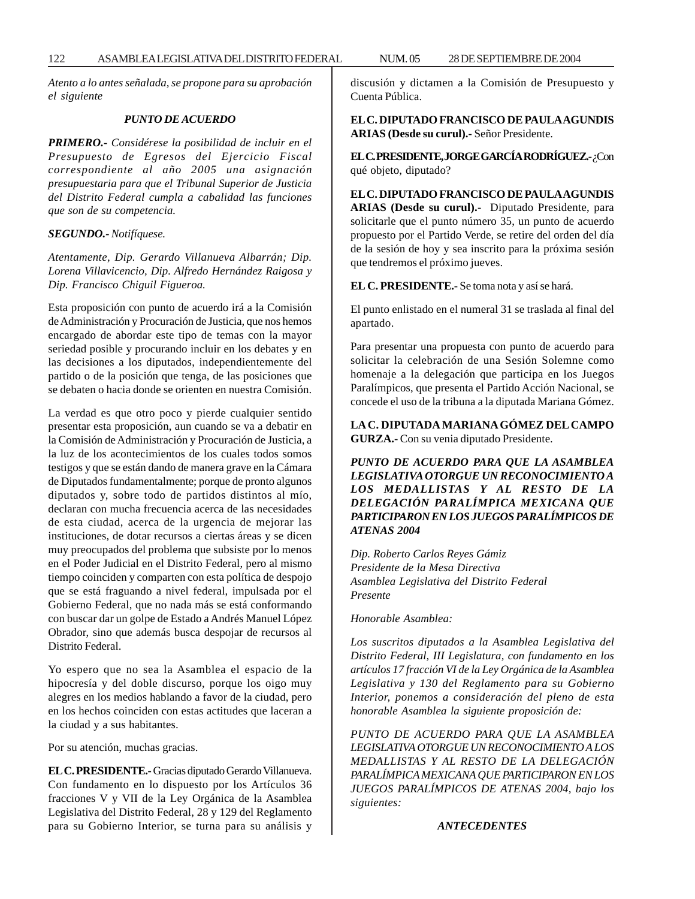*Atento a lo antes señalada, se propone para su aprobación el siguiente*

## *PUNTO DE ACUERDO*

*PRIMERO.- Considérese la posibilidad de incluir en el Presupuesto de Egresos del Ejercicio Fiscal correspondiente al año 2005 una asignación presupuestaria para que el Tribunal Superior de Justicia del Distrito Federal cumpla a cabalidad las funciones que son de su competencia.*

#### *SEGUNDO.- Notifíquese.*

*Atentamente, Dip. Gerardo Villanueva Albarrán; Dip. Lorena Villavicencio, Dip. Alfredo Hernández Raigosa y Dip. Francisco Chiguil Figueroa.*

Esta proposición con punto de acuerdo irá a la Comisión de Administración y Procuración de Justicia, que nos hemos encargado de abordar este tipo de temas con la mayor seriedad posible y procurando incluir en los debates y en las decisiones a los diputados, independientemente del partido o de la posición que tenga, de las posiciones que se debaten o hacia donde se orienten en nuestra Comisión.

La verdad es que otro poco y pierde cualquier sentido presentar esta proposición, aun cuando se va a debatir en la Comisión de Administración y Procuración de Justicia, a la luz de los acontecimientos de los cuales todos somos testigos y que se están dando de manera grave en la Cámara de Diputados fundamentalmente; porque de pronto algunos diputados y, sobre todo de partidos distintos al mío, declaran con mucha frecuencia acerca de las necesidades de esta ciudad, acerca de la urgencia de mejorar las instituciones, de dotar recursos a ciertas áreas y se dicen muy preocupados del problema que subsiste por lo menos en el Poder Judicial en el Distrito Federal, pero al mismo tiempo coinciden y comparten con esta política de despojo que se está fraguando a nivel federal, impulsada por el Gobierno Federal, que no nada más se está conformando con buscar dar un golpe de Estado a Andrés Manuel López Obrador, sino que además busca despojar de recursos al Distrito Federal.

Yo espero que no sea la Asamblea el espacio de la hipocresía y del doble discurso, porque los oigo muy alegres en los medios hablando a favor de la ciudad, pero en los hechos coinciden con estas actitudes que laceran a la ciudad y a sus habitantes.

Por su atención, muchas gracias.

**EL C. PRESIDENTE.-** Gracias diputado Gerardo Villanueva. Con fundamento en lo dispuesto por los Artículos 36 fracciones V y VII de la Ley Orgánica de la Asamblea Legislativa del Distrito Federal, 28 y 129 del Reglamento para su Gobierno Interior, se turna para su análisis y discusión y dictamen a la Comisión de Presupuesto y Cuenta Pública.

**EL C. DIPUTADO FRANCISCO DE PAULA AGUNDIS ARIAS (Desde su curul).-** Señor Presidente.

**EL C. PRESIDENTE, JORGE GARCÍA RODRÍGUEZ.-** ¿Con qué objeto, diputado?

**EL C. DIPUTADO FRANCISCO DE PAULA AGUNDIS ARIAS (Desde su curul).-** Diputado Presidente, para solicitarle que el punto número 35, un punto de acuerdo propuesto por el Partido Verde, se retire del orden del día de la sesión de hoy y sea inscrito para la próxima sesión que tendremos el próximo jueves.

**EL C. PRESIDENTE.-** Se toma nota y así se hará.

El punto enlistado en el numeral 31 se traslada al final del apartado.

Para presentar una propuesta con punto de acuerdo para solicitar la celebración de una Sesión Solemne como homenaje a la delegación que participa en los Juegos Paralímpicos, que presenta el Partido Acción Nacional, se concede el uso de la tribuna a la diputada Mariana Gómez.

**LA C. DIPUTADA MARIANA GÓMEZ DEL CAMPO GURZA.-** Con su venia diputado Presidente.

*PUNTO DE ACUERDO PARA QUE LA ASAMBLEA LEGISLATIVA OTORGUE UN RECONOCIMIENTO A LOS MEDALLISTAS Y AL RESTO DE LA DELEGACIÓN PARALÍMPICA MEXICANA QUE PARTICIPARON EN LOS JUEGOS PARALÍMPICOS DE ATENAS 2004*

*Dip. Roberto Carlos Reyes Gámiz Presidente de la Mesa Directiva Asamblea Legislativa del Distrito Federal Presente*

*Honorable Asamblea:*

*Los suscritos diputados a la Asamblea Legislativa del Distrito Federal, III Legislatura, con fundamento en los artículos 17 fracción VI de la Ley Orgánica de la Asamblea Legislativa y 130 del Reglamento para su Gobierno Interior, ponemos a consideración del pleno de esta honorable Asamblea la siguiente proposición de:*

*PUNTO DE ACUERDO PARA QUE LA ASAMBLEA LEGISLATIVA OTORGUE UN RECONOCIMIENTO A LOS MEDALLISTAS Y AL RESTO DE LA DELEGACIÓN PARALÍMPICA MEXICANA QUE PARTICIPARON EN LOS JUEGOS PARALÍMPICOS DE ATENAS 2004, bajo los siguientes:*

#### *ANTECEDENTES*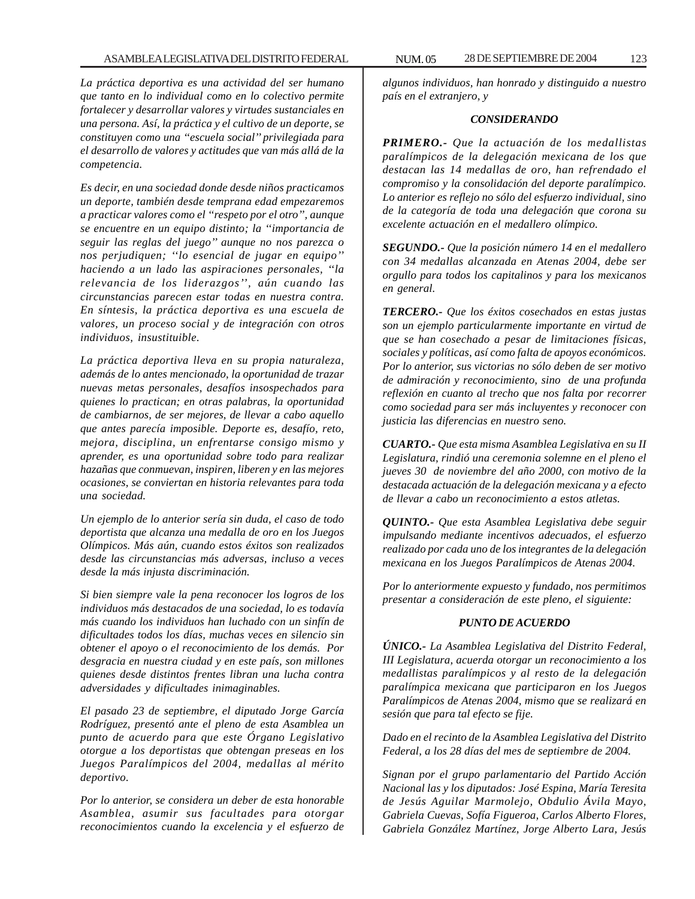*La práctica deportiva es una actividad del ser humano que tanto en lo individual como en lo colectivo permite fortalecer y desarrollar valores y virtudes sustanciales en una persona. Así, la práctica y el cultivo de un deporte, se constituyen como una ''escuela social'' privilegiada para el desarrollo de valores y actitudes que van más allá de la competencia.*

*Es decir, en una sociedad donde desde niños practicamos un deporte, también desde temprana edad empezaremos a practicar valores como el ''respeto por el otro'', aunque se encuentre en un equipo distinto; la ''importancia de seguir las reglas del juego'' aunque no nos parezca o nos perjudiquen; ''lo esencial de jugar en equipo'' haciendo a un lado las aspiraciones personales, ''la relevancia de los liderazgos'', aún cuando las circunstancias parecen estar todas en nuestra contra. En síntesis, la práctica deportiva es una escuela de valores, un proceso social y de integración con otros individuos, insustituible.*

*La práctica deportiva lleva en su propia naturaleza, además de lo antes mencionado, la oportunidad de trazar nuevas metas personales, desafíos insospechados para quienes lo practican; en otras palabras, la oportunidad de cambiarnos, de ser mejores, de llevar a cabo aquello que antes parecía imposible. Deporte es, desafío, reto, mejora, disciplina, un enfrentarse consigo mismo y aprender, es una oportunidad sobre todo para realizar hazañas que conmuevan, inspiren, liberen y en las mejores ocasiones, se conviertan en historia relevantes para toda una sociedad.*

*Un ejemplo de lo anterior sería sin duda, el caso de todo deportista que alcanza una medalla de oro en los Juegos Olímpicos. Más aún, cuando estos éxitos son realizados desde las circunstancias más adversas, incluso a veces desde la más injusta discriminación.*

*Si bien siempre vale la pena reconocer los logros de los individuos más destacados de una sociedad, lo es todavía más cuando los individuos han luchado con un sinfín de dificultades todos los días, muchas veces en silencio sin obtener el apoyo o el reconocimiento de los demás. Por desgracia en nuestra ciudad y en este país, son millones quienes desde distintos frentes libran una lucha contra adversidades y dificultades inimaginables.*

*El pasado 23 de septiembre, el diputado Jorge García Rodríguez, presentó ante el pleno de esta Asamblea un punto de acuerdo para que este Órgano Legislativo otorgue a los deportistas que obtengan preseas en los Juegos Paralímpicos del 2004, medallas al mérito deportivo.*

*Por lo anterior, se considera un deber de esta honorable Asamblea, asumir sus facultades para otorgar reconocimientos cuando la excelencia y el esfuerzo de* *algunos individuos, han honrado y distinguido a nuestro país en el extranjero, y*

#### *CONSIDERANDO*

*PRIMERO.- Que la actuación de los medallistas paralímpicos de la delegación mexicana de los que destacan las 14 medallas de oro, han refrendado el compromiso y la consolidación del deporte paralímpico. Lo anterior es reflejo no sólo del esfuerzo individual, sino de la categoría de toda una delegación que corona su excelente actuación en el medallero olímpico.*

*SEGUNDO.- Que la posición número 14 en el medallero con 34 medallas alcanzada en Atenas 2004, debe ser orgullo para todos los capitalinos y para los mexicanos en general.*

*TERCERO.- Que los éxitos cosechados en estas justas son un ejemplo particularmente importante en virtud de que se han cosechado a pesar de limitaciones físicas, sociales y políticas, así como falta de apoyos económicos. Por lo anterior, sus victorias no sólo deben de ser motivo de admiración y reconocimiento, sino de una profunda reflexión en cuanto al trecho que nos falta por recorrer como sociedad para ser más incluyentes y reconocer con justicia las diferencias en nuestro seno.*

*CUARTO.- Que esta misma Asamblea Legislativa en su II Legislatura, rindió una ceremonia solemne en el pleno el jueves 30 de noviembre del año 2000, con motivo de la destacada actuación de la delegación mexicana y a efecto de llevar a cabo un reconocimiento a estos atletas.*

*QUINTO.- Que esta Asamblea Legislativa debe seguir impulsando mediante incentivos adecuados, el esfuerzo realizado por cada uno de los integrantes de la delegación mexicana en los Juegos Paralímpicos de Atenas 2004.*

*Por lo anteriormente expuesto y fundado, nos permitimos presentar a consideración de este pleno, el siguiente:*

## *PUNTO DE ACUERDO*

*ÚNICO.- La Asamblea Legislativa del Distrito Federal, III Legislatura, acuerda otorgar un reconocimiento a los medallistas paralímpicos y al resto de la delegación paralímpica mexicana que participaron en los Juegos Paralímpicos de Atenas 2004, mismo que se realizará en sesión que para tal efecto se fije.*

*Dado en el recinto de la Asamblea Legislativa del Distrito Federal, a los 28 días del mes de septiembre de 2004.*

*Signan por el grupo parlamentario del Partido Acción Nacional las y los diputados: José Espina, María Teresita de Jesús Aguilar Marmolejo, Obdulio Ávila Mayo, Gabriela Cuevas, Sofía Figueroa, Carlos Alberto Flores, Gabriela González Martínez, Jorge Alberto Lara, Jesús*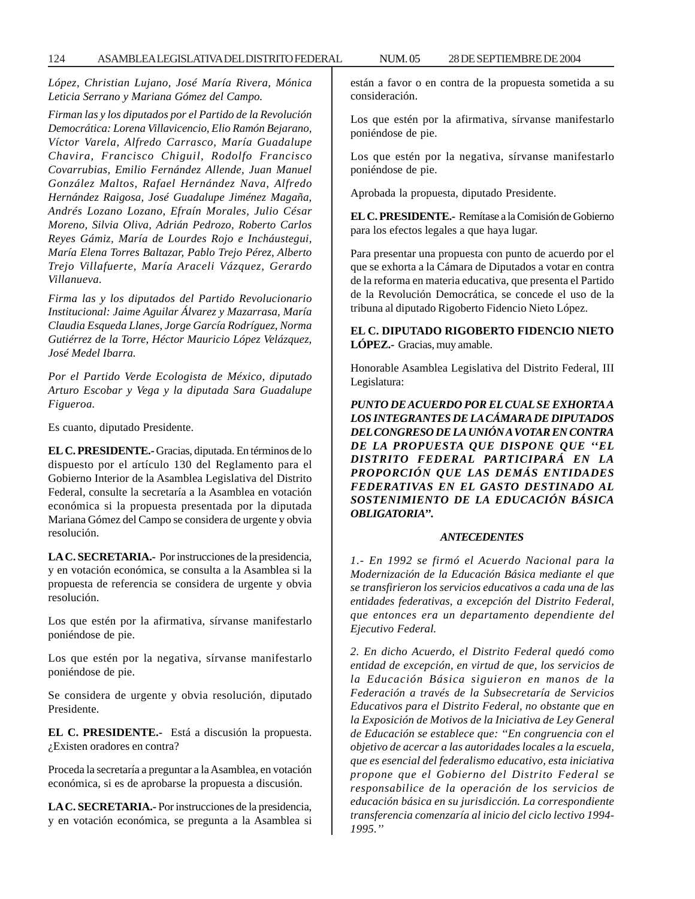*López, Christian Lujano, José María Rivera, Mónica Leticia Serrano y Mariana Gómez del Campo.*

*Firman las y los diputados por el Partido de la Revolución Democrática: Lorena Villavicencio, Elio Ramón Bejarano, Víctor Varela, Alfredo Carrasco, María Guadalupe Chavira, Francisco Chiguil, Rodolfo Francisco Covarrubias, Emilio Fernández Allende, Juan Manuel González Maltos, Rafael Hernández Nava, Alfredo Hernández Raigosa, José Guadalupe Jiménez Magaña, Andrés Lozano Lozano, Efraín Morales, Julio César Moreno, Silvia Oliva, Adrián Pedrozo, Roberto Carlos Reyes Gámiz, María de Lourdes Rojo e Incháustegui, María Elena Torres Baltazar, Pablo Trejo Pérez, Alberto Trejo Villafuerte, María Araceli Vázquez, Gerardo Villanueva.*

*Firma las y los diputados del Partido Revolucionario Institucional: Jaime Aguilar Álvarez y Mazarrasa, María Claudia Esqueda Llanes, Jorge García Rodríguez, Norma Gutiérrez de la Torre, Héctor Mauricio López Velázquez, José Medel Ibarra.*

*Por el Partido Verde Ecologista de México, diputado Arturo Escobar y Vega y la diputada Sara Guadalupe Figueroa.*

Es cuanto, diputado Presidente.

**EL C. PRESIDENTE.-** Gracias, diputada. En términos de lo dispuesto por el artículo 130 del Reglamento para el Gobierno Interior de la Asamblea Legislativa del Distrito Federal, consulte la secretaría a la Asamblea en votación económica si la propuesta presentada por la diputada Mariana Gómez del Campo se considera de urgente y obvia resolución.

**LA C. SECRETARIA.-** Por instrucciones de la presidencia, y en votación económica, se consulta a la Asamblea si la propuesta de referencia se considera de urgente y obvia resolución.

Los que estén por la afirmativa, sírvanse manifestarlo poniéndose de pie.

Los que estén por la negativa, sírvanse manifestarlo poniéndose de pie.

Se considera de urgente y obvia resolución, diputado Presidente.

**EL C. PRESIDENTE.-** Está a discusión la propuesta. ¿Existen oradores en contra?

Proceda la secretaría a preguntar a la Asamblea, en votación económica, si es de aprobarse la propuesta a discusión.

**LA C. SECRETARIA.-** Por instrucciones de la presidencia, y en votación económica, se pregunta a la Asamblea si están a favor o en contra de la propuesta sometida a su consideración.

Los que estén por la afirmativa, sírvanse manifestarlo poniéndose de pie.

Los que estén por la negativa, sírvanse manifestarlo poniéndose de pie.

Aprobada la propuesta, diputado Presidente.

**EL C. PRESIDENTE.-** Remítase a la Comisión de Gobierno para los efectos legales a que haya lugar.

Para presentar una propuesta con punto de acuerdo por el que se exhorta a la Cámara de Diputados a votar en contra de la reforma en materia educativa, que presenta el Partido de la Revolución Democrática, se concede el uso de la tribuna al diputado Rigoberto Fidencio Nieto López.

**EL C. DIPUTADO RIGOBERTO FIDENCIO NIETO LÓPEZ.-** Gracias, muy amable.

Honorable Asamblea Legislativa del Distrito Federal, III Legislatura:

*PUNTO DE ACUERDO POR EL CUAL SE EXHORTA A LOS INTEGRANTES DE LA CÁMARA DE DIPUTADOS DEL CONGRESO DE LA UNIÓN A VOTAR EN CONTRA DE LA PROPUESTA QUE DISPONE QUE ''EL DISTRITO FEDERAL PARTICIPARÁ EN LA PROPORCIÓN QUE LAS DEMÁS ENTIDADES FEDERATIVAS EN EL GASTO DESTINADO AL SOSTENIMIENTO DE LA EDUCACIÓN BÁSICA OBLIGATORIA''.*

#### *ANTECEDENTES*

*1.- En 1992 se firmó el Acuerdo Nacional para la Modernización de la Educación Básica mediante el que se transfirieron los servicios educativos a cada una de las entidades federativas, a excepción del Distrito Federal, que entonces era un departamento dependiente del Ejecutivo Federal.*

*2. En dicho Acuerdo, el Distrito Federal quedó como entidad de excepción, en virtud de que, los servicios de la Educación Básica siguieron en manos de la Federación a través de la Subsecretaría de Servicios Educativos para el Distrito Federal, no obstante que en la Exposición de Motivos de la Iniciativa de Ley General de Educación se establece que: ''En congruencia con el objetivo de acercar a las autoridades locales a la escuela, que es esencial del federalismo educativo, esta iniciativa propone que el Gobierno del Distrito Federal se responsabilice de la operación de los servicios de educación básica en su jurisdicción. La correspondiente transferencia comenzaría al inicio del ciclo lectivo 1994- 1995.''*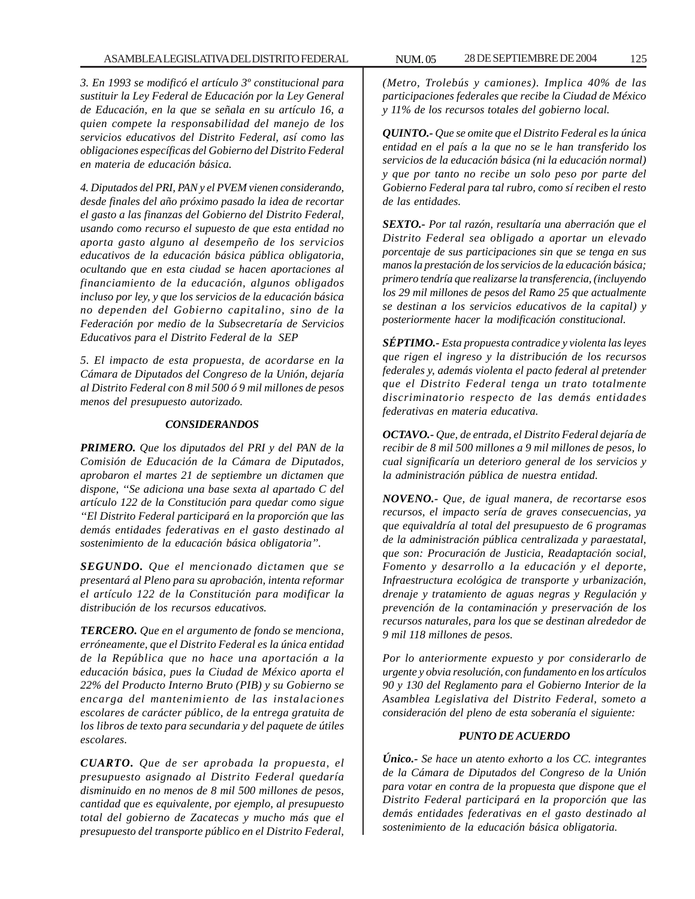*3. En 1993 se modificó el artículo 3º constitucional para sustituir la Ley Federal de Educación por la Ley General de Educación, en la que se señala en su artículo 16, a quien compete la responsabilidad del manejo de los servicios educativos del Distrito Federal, así como las obligaciones específicas del Gobierno del Distrito Federal en materia de educación básica.*

*4. Diputados del PRI, PAN y el PVEM vienen considerando, desde finales del año próximo pasado la idea de recortar el gasto a las finanzas del Gobierno del Distrito Federal, usando como recurso el supuesto de que esta entidad no aporta gasto alguno al desempeño de los servicios educativos de la educación básica pública obligatoria, ocultando que en esta ciudad se hacen aportaciones al financiamiento de la educación, algunos obligados incluso por ley, y que los servicios de la educación básica no dependen del Gobierno capitalino, sino de la Federación por medio de la Subsecretaría de Servicios Educativos para el Distrito Federal de la SEP*

*5. El impacto de esta propuesta, de acordarse en la Cámara de Diputados del Congreso de la Unión, dejaría al Distrito Federal con 8 mil 500 ó 9 mil millones de pesos menos del presupuesto autorizado.*

## *CONSIDERANDOS*

*PRIMERO. Que los diputados del PRI y del PAN de la Comisión de Educación de la Cámara de Diputados, aprobaron el martes 21 de septiembre un dictamen que dispone, ''Se adiciona una base sexta al apartado C del artículo 122 de la Constitución para quedar como sigue ''El Distrito Federal participará en la proporción que las demás entidades federativas en el gasto destinado al sostenimiento de la educación básica obligatoria''.*

*SEGUNDO. Que el mencionado dictamen que se presentará al Pleno para su aprobación, intenta reformar el artículo 122 de la Constitución para modificar la distribución de los recursos educativos.*

*TERCERO. Que en el argumento de fondo se menciona, erróneamente, que el Distrito Federal es la única entidad de la República que no hace una aportación a la educación básica, pues la Ciudad de México aporta el 22% del Producto Interno Bruto (PIB) y su Gobierno se encarga del mantenimiento de las instalaciones escolares de carácter público, de la entrega gratuita de los libros de texto para secundaria y del paquete de útiles escolares.*

*CUARTO. Que de ser aprobada la propuesta, el presupuesto asignado al Distrito Federal quedaría disminuido en no menos de 8 mil 500 millones de pesos, cantidad que es equivalente, por ejemplo, al presupuesto total del gobierno de Zacatecas y mucho más que el presupuesto del transporte público en el Distrito Federal,*

*(Metro, Trolebús y camiones). Implica 40% de las participaciones federales que recibe la Ciudad de México y 11% de los recursos totales del gobierno local.*

*QUINTO.- Que se omite que el Distrito Federal es la única entidad en el país a la que no se le han transferido los servicios de la educación básica (ni la educación normal) y que por tanto no recibe un solo peso por parte del Gobierno Federal para tal rubro, como sí reciben el resto de las entidades.*

*SEXTO.- Por tal razón, resultaría una aberración que el Distrito Federal sea obligado a aportar un elevado porcentaje de sus participaciones sin que se tenga en sus manos la prestación de los servicios de la educación básica; primero tendría que realizarse la transferencia, (incluyendo los 29 mil millones de pesos del Ramo 25 que actualmente se destinan a los servicios educativos de la capital) y posteriormente hacer la modificación constitucional.*

*SÉPTIMO.- Esta propuesta contradice y violenta las leyes que rigen el ingreso y la distribución de los recursos federales y, además violenta el pacto federal al pretender que el Distrito Federal tenga un trato totalmente discriminatorio respecto de las demás entidades federativas en materia educativa.*

*OCTAVO.- Que, de entrada, el Distrito Federal dejaría de recibir de 8 mil 500 millones a 9 mil millones de pesos, lo cual significaría un deterioro general de los servicios y la administración pública de nuestra entidad.*

*NOVENO.- Que, de igual manera, de recortarse esos recursos, el impacto sería de graves consecuencias, ya que equivaldría al total del presupuesto de 6 programas de la administración pública centralizada y paraestatal, que son: Procuración de Justicia, Readaptación social, Fomento y desarrollo a la educación y el deporte, Infraestructura ecológica de transporte y urbanización, drenaje y tratamiento de aguas negras y Regulación y prevención de la contaminación y preservación de los recursos naturales, para los que se destinan alrededor de 9 mil 118 millones de pesos.*

*Por lo anteriormente expuesto y por considerarlo de urgente y obvia resolución, con fundamento en los artículos 90 y 130 del Reglamento para el Gobierno Interior de la Asamblea Legislativa del Distrito Federal, someto a consideración del pleno de esta soberanía el siguiente:*

## *PUNTO DE ACUERDO*

*Único.- Se hace un atento exhorto a los CC. integrantes de la Cámara de Diputados del Congreso de la Unión para votar en contra de la propuesta que dispone que el Distrito Federal participará en la proporción que las demás entidades federativas en el gasto destinado al sostenimiento de la educación básica obligatoria.*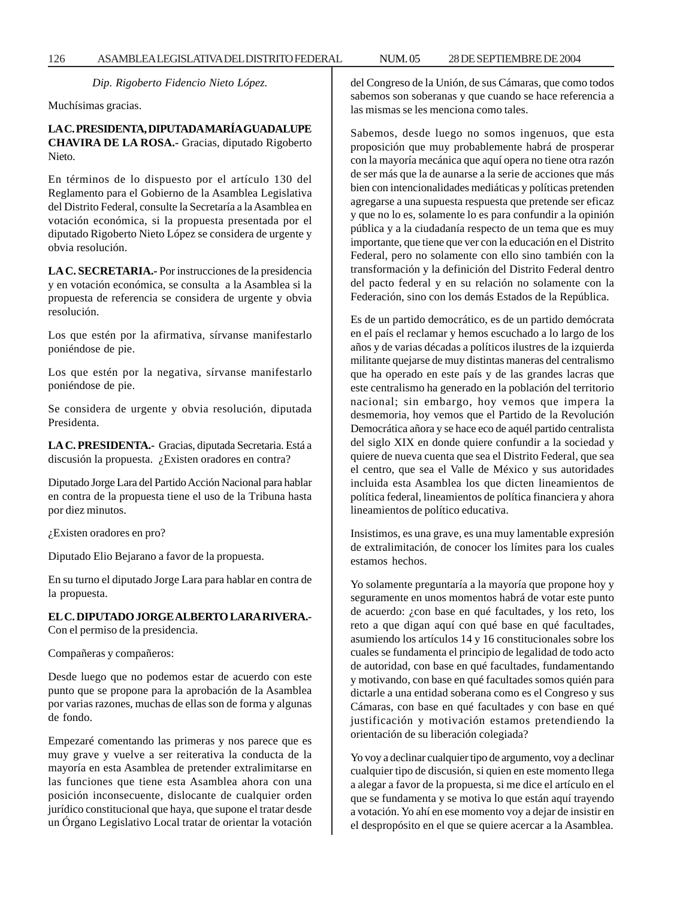*Dip. Rigoberto Fidencio Nieto López.*

Muchísimas gracias.

**LA C. PRESIDENTA, DIPUTADA MARÍA GUADALUPE CHAVIRA DE LA ROSA.-** Gracias, diputado Rigoberto Nieto.

En términos de lo dispuesto por el artículo 130 del Reglamento para el Gobierno de la Asamblea Legislativa del Distrito Federal, consulte la Secretaría a la Asamblea en votación económica, si la propuesta presentada por el diputado Rigoberto Nieto López se considera de urgente y obvia resolución.

**LA C. SECRETARIA.-** Por instrucciones de la presidencia y en votación económica, se consulta a la Asamblea si la propuesta de referencia se considera de urgente y obvia resolución.

Los que estén por la afirmativa, sírvanse manifestarlo poniéndose de pie.

Los que estén por la negativa, sírvanse manifestarlo poniéndose de pie.

Se considera de urgente y obvia resolución, diputada Presidenta.

**LA C. PRESIDENTA.-** Gracias, diputada Secretaria. Está a discusión la propuesta. ¿Existen oradores en contra?

Diputado Jorge Lara del Partido Acción Nacional para hablar en contra de la propuesta tiene el uso de la Tribuna hasta por diez minutos.

¿Existen oradores en pro?

Diputado Elio Bejarano a favor de la propuesta.

En su turno el diputado Jorge Lara para hablar en contra de la propuesta.

# **EL C. DIPUTADO JORGE ALBERTO LARA RIVERA.-**

Con el permiso de la presidencia.

Compañeras y compañeros:

Desde luego que no podemos estar de acuerdo con este punto que se propone para la aprobación de la Asamblea por varias razones, muchas de ellas son de forma y algunas de fondo.

Empezaré comentando las primeras y nos parece que es muy grave y vuelve a ser reiterativa la conducta de la mayoría en esta Asamblea de pretender extralimitarse en las funciones que tiene esta Asamblea ahora con una posición inconsecuente, dislocante de cualquier orden jurídico constitucional que haya, que supone el tratar desde un Órgano Legislativo Local tratar de orientar la votación del Congreso de la Unión, de sus Cámaras, que como todos sabemos son soberanas y que cuando se hace referencia a las mismas se les menciona como tales.

Sabemos, desde luego no somos ingenuos, que esta proposición que muy probablemente habrá de prosperar con la mayoría mecánica que aquí opera no tiene otra razón de ser más que la de aunarse a la serie de acciones que más bien con intencionalidades mediáticas y políticas pretenden agregarse a una supuesta respuesta que pretende ser eficaz y que no lo es, solamente lo es para confundir a la opinión pública y a la ciudadanía respecto de un tema que es muy importante, que tiene que ver con la educación en el Distrito Federal, pero no solamente con ello sino también con la transformación y la definición del Distrito Federal dentro del pacto federal y en su relación no solamente con la Federación, sino con los demás Estados de la República.

Es de un partido democrático, es de un partido demócrata en el país el reclamar y hemos escuchado a lo largo de los años y de varias décadas a políticos ilustres de la izquierda militante quejarse de muy distintas maneras del centralismo que ha operado en este país y de las grandes lacras que este centralismo ha generado en la población del territorio nacional; sin embargo, hoy vemos que impera la desmemoria, hoy vemos que el Partido de la Revolución Democrática añora y se hace eco de aquél partido centralista del siglo XIX en donde quiere confundir a la sociedad y quiere de nueva cuenta que sea el Distrito Federal, que sea el centro, que sea el Valle de México y sus autoridades incluida esta Asamblea los que dicten lineamientos de política federal, lineamientos de política financiera y ahora lineamientos de político educativa.

Insistimos, es una grave, es una muy lamentable expresión de extralimitación, de conocer los límites para los cuales estamos hechos.

Yo solamente preguntaría a la mayoría que propone hoy y seguramente en unos momentos habrá de votar este punto de acuerdo: ¿con base en qué facultades, y los reto, los reto a que digan aquí con qué base en qué facultades, asumiendo los artículos 14 y 16 constitucionales sobre los cuales se fundamenta el principio de legalidad de todo acto de autoridad, con base en qué facultades, fundamentando y motivando, con base en qué facultades somos quién para dictarle a una entidad soberana como es el Congreso y sus Cámaras, con base en qué facultades y con base en qué justificación y motivación estamos pretendiendo la orientación de su liberación colegiada?

Yo voy a declinar cualquier tipo de argumento, voy a declinar cualquier tipo de discusión, si quien en este momento llega a alegar a favor de la propuesta, si me dice el artículo en el que se fundamenta y se motiva lo que están aquí trayendo a votación. Yo ahí en ese momento voy a dejar de insistir en el despropósito en el que se quiere acercar a la Asamblea.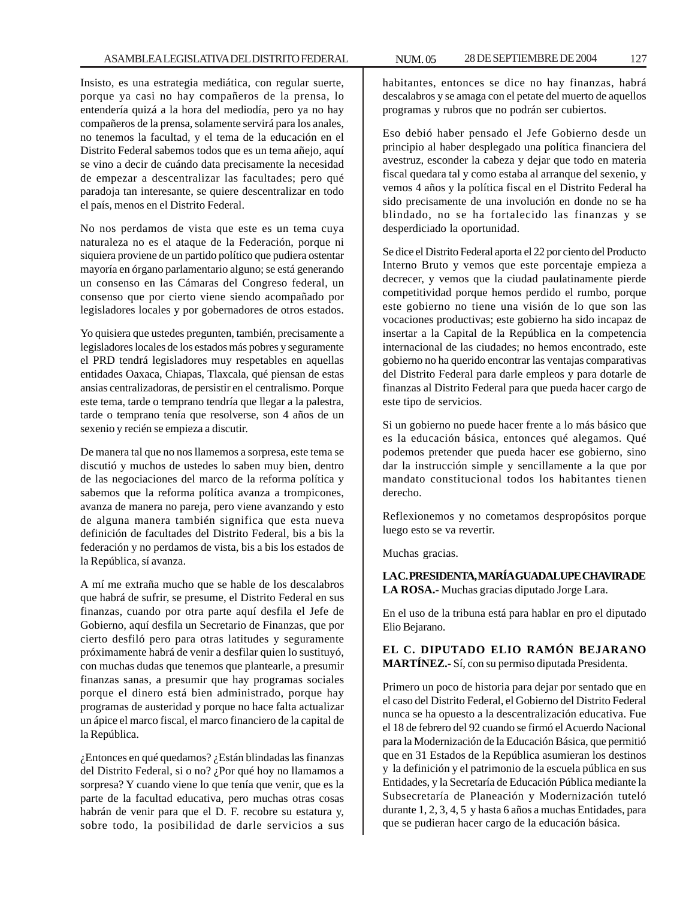Insisto, es una estrategia mediática, con regular suerte, porque ya casi no hay compañeros de la prensa, lo entendería quizá a la hora del mediodía, pero ya no hay compañeros de la prensa, solamente servirá para los anales, no tenemos la facultad, y el tema de la educación en el Distrito Federal sabemos todos que es un tema añejo, aquí se vino a decir de cuándo data precisamente la necesidad de empezar a descentralizar las facultades; pero qué paradoja tan interesante, se quiere descentralizar en todo el país, menos en el Distrito Federal.

No nos perdamos de vista que este es un tema cuya naturaleza no es el ataque de la Federación, porque ni siquiera proviene de un partido político que pudiera ostentar mayoría en órgano parlamentario alguno; se está generando un consenso en las Cámaras del Congreso federal, un consenso que por cierto viene siendo acompañado por legisladores locales y por gobernadores de otros estados.

Yo quisiera que ustedes pregunten, también, precisamente a legisladores locales de los estados más pobres y seguramente el PRD tendrá legisladores muy respetables en aquellas entidades Oaxaca, Chiapas, Tlaxcala, qué piensan de estas ansias centralizadoras, de persistir en el centralismo. Porque este tema, tarde o temprano tendría que llegar a la palestra, tarde o temprano tenía que resolverse, son 4 años de un sexenio y recién se empieza a discutir.

De manera tal que no nos llamemos a sorpresa, este tema se discutió y muchos de ustedes lo saben muy bien, dentro de las negociaciones del marco de la reforma política y sabemos que la reforma política avanza a trompicones, avanza de manera no pareja, pero viene avanzando y esto de alguna manera también significa que esta nueva definición de facultades del Distrito Federal, bis a bis la federación y no perdamos de vista, bis a bis los estados de la República, sí avanza.

A mí me extraña mucho que se hable de los descalabros que habrá de sufrir, se presume, el Distrito Federal en sus finanzas, cuando por otra parte aquí desfila el Jefe de Gobierno, aquí desfila un Secretario de Finanzas, que por cierto desfiló pero para otras latitudes y seguramente próximamente habrá de venir a desfilar quien lo sustituyó, con muchas dudas que tenemos que plantearle, a presumir finanzas sanas, a presumir que hay programas sociales porque el dinero está bien administrado, porque hay programas de austeridad y porque no hace falta actualizar un ápice el marco fiscal, el marco financiero de la capital de la República.

¿Entonces en qué quedamos? ¿Están blindadas las finanzas del Distrito Federal, si o no? ¿Por qué hoy no llamamos a sorpresa? Y cuando viene lo que tenía que venir, que es la parte de la facultad educativa, pero muchas otras cosas habrán de venir para que el D. F. recobre su estatura y, sobre todo, la posibilidad de darle servicios a sus

habitantes, entonces se dice no hay finanzas, habrá descalabros y se amaga con el petate del muerto de aquellos programas y rubros que no podrán ser cubiertos.

Eso debió haber pensado el Jefe Gobierno desde un principio al haber desplegado una política financiera del avestruz, esconder la cabeza y dejar que todo en materia fiscal quedara tal y como estaba al arranque del sexenio, y vemos 4 años y la política fiscal en el Distrito Federal ha sido precisamente de una involución en donde no se ha blindado, no se ha fortalecido las finanzas y se desperdiciado la oportunidad.

Se dice el Distrito Federal aporta el 22 por ciento del Producto Interno Bruto y vemos que este porcentaje empieza a decrecer, y vemos que la ciudad paulatinamente pierde competitividad porque hemos perdido el rumbo, porque este gobierno no tiene una visión de lo que son las vocaciones productivas; este gobierno ha sido incapaz de insertar a la Capital de la República en la competencia internacional de las ciudades; no hemos encontrado, este gobierno no ha querido encontrar las ventajas comparativas del Distrito Federal para darle empleos y para dotarle de finanzas al Distrito Federal para que pueda hacer cargo de este tipo de servicios.

Si un gobierno no puede hacer frente a lo más básico que es la educación básica, entonces qué alegamos. Qué podemos pretender que pueda hacer ese gobierno, sino dar la instrucción simple y sencillamente a la que por mandato constitucional todos los habitantes tienen derecho.

Reflexionemos y no cometamos despropósitos porque luego esto se va revertir.

Muchas gracias.

**LA C. PRESIDENTA, MARÍA GUADALUPE CHAVIRA DE LA ROSA.-** Muchas gracias diputado Jorge Lara.

En el uso de la tribuna está para hablar en pro el diputado Elio Bejarano.

**EL C. DIPUTADO ELIO RAMÓN BEJARANO MARTÍNEZ.-** Sí, con su permiso diputada Presidenta.

Primero un poco de historia para dejar por sentado que en el caso del Distrito Federal, el Gobierno del Distrito Federal nunca se ha opuesto a la descentralización educativa. Fue el 18 de febrero del 92 cuando se firmó el Acuerdo Nacional para la Modernización de la Educación Básica, que permitió que en 31 Estados de la República asumieran los destinos y la definición y el patrimonio de la escuela pública en sus Entidades, y la Secretaría de Educación Pública mediante la Subsecretaría de Planeación y Modernización tuteló durante 1, 2, 3, 4, 5 y hasta 6 años a muchas Entidades, para que se pudieran hacer cargo de la educación básica.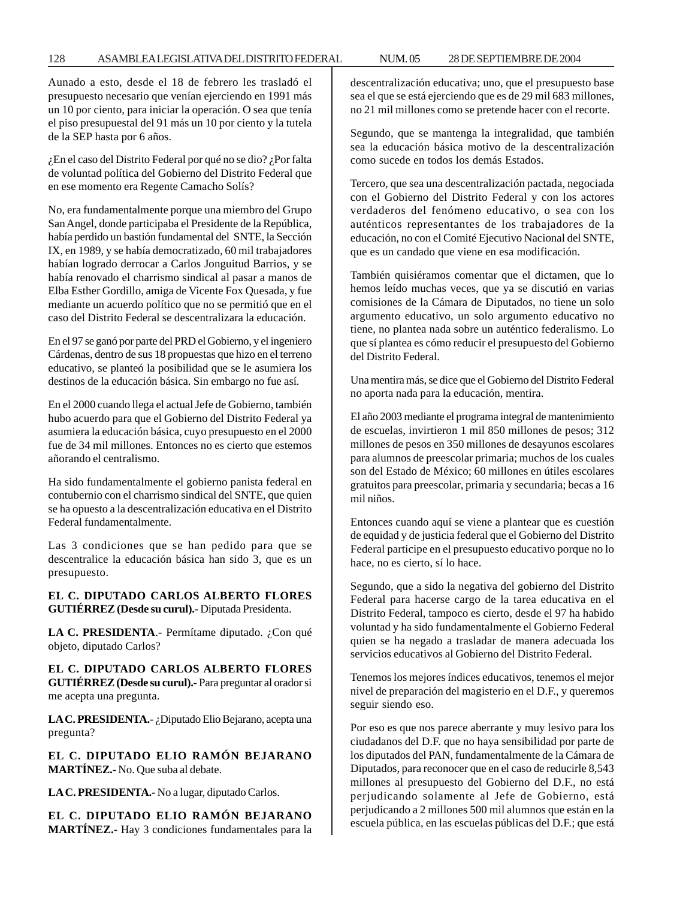## 128 ASAMBLEA LEGISLATIVA DEL DISTRITO FEDERAL NUM. 05 28 DE SEPTIEMBRE DE 2004

Aunado a esto, desde el 18 de febrero les trasladó el presupuesto necesario que venían ejerciendo en 1991 más un 10 por ciento, para iniciar la operación. O sea que tenía el piso presupuestal del 91 más un 10 por ciento y la tutela de la SEP hasta por 6 años.

¿En el caso del Distrito Federal por qué no se dio? ¿Por falta de voluntad política del Gobierno del Distrito Federal que en ese momento era Regente Camacho Solís?

No, era fundamentalmente porque una miembro del Grupo San Angel, donde participaba el Presidente de la República, había perdido un bastión fundamental del SNTE, la Sección IX, en 1989, y se había democratizado, 60 mil trabajadores habían logrado derrocar a Carlos Jonguitud Barrios, y se había renovado el charrismo sindical al pasar a manos de Elba Esther Gordillo, amiga de Vicente Fox Quesada, y fue mediante un acuerdo político que no se permitió que en el caso del Distrito Federal se descentralizara la educación.

En el 97 se ganó por parte del PRD el Gobierno, y el ingeniero Cárdenas, dentro de sus 18 propuestas que hizo en el terreno educativo, se planteó la posibilidad que se le asumiera los destinos de la educación básica. Sin embargo no fue así.

En el 2000 cuando llega el actual Jefe de Gobierno, también hubo acuerdo para que el Gobierno del Distrito Federal ya asumiera la educación básica, cuyo presupuesto en el 2000 fue de 34 mil millones. Entonces no es cierto que estemos añorando el centralismo.

Ha sido fundamentalmente el gobierno panista federal en contubernio con el charrismo sindical del SNTE, que quien se ha opuesto a la descentralización educativa en el Distrito Federal fundamentalmente.

Las 3 condiciones que se han pedido para que se descentralice la educación básica han sido 3, que es un presupuesto.

**EL C. DIPUTADO CARLOS ALBERTO FLORES GUTIÉRREZ (Desde su curul).-** Diputada Presidenta.

LA C. PRESIDENTA.- Permítame diputado. ¿Con qué objeto, diputado Carlos?

**EL C. DIPUTADO CARLOS ALBERTO FLORES GUTIÉRREZ (Desde su curul).-** Para preguntar al orador si me acepta una pregunta.

**LA C. PRESIDENTA.-** ¿Diputado Elio Bejarano, acepta una pregunta?

**EL C. DIPUTADO ELIO RAMÓN BEJARANO MARTÍNEZ.-** No. Que suba al debate.

**LA C. PRESIDENTA.-** No a lugar, diputado Carlos.

**EL C. DIPUTADO ELIO RAMÓN BEJARANO MARTÍNEZ.-** Hay 3 condiciones fundamentales para la descentralización educativa; uno, que el presupuesto base sea el que se está ejerciendo que es de 29 mil 683 millones, no 21 mil millones como se pretende hacer con el recorte.

Segundo, que se mantenga la integralidad, que también sea la educación básica motivo de la descentralización como sucede en todos los demás Estados.

Tercero, que sea una descentralización pactada, negociada con el Gobierno del Distrito Federal y con los actores verdaderos del fenómeno educativo, o sea con los auténticos representantes de los trabajadores de la educación, no con el Comité Ejecutivo Nacional del SNTE, que es un candado que viene en esa modificación.

También quisiéramos comentar que el dictamen, que lo hemos leído muchas veces, que ya se discutió en varias comisiones de la Cámara de Diputados, no tiene un solo argumento educativo, un solo argumento educativo no tiene, no plantea nada sobre un auténtico federalismo. Lo que sí plantea es cómo reducir el presupuesto del Gobierno del Distrito Federal.

Una mentira más, se dice que el Gobierno del Distrito Federal no aporta nada para la educación, mentira.

El año 2003 mediante el programa integral de mantenimiento de escuelas, invirtieron 1 mil 850 millones de pesos; 312 millones de pesos en 350 millones de desayunos escolares para alumnos de preescolar primaria; muchos de los cuales son del Estado de México; 60 millones en útiles escolares gratuitos para preescolar, primaria y secundaria; becas a 16 mil niños.

Entonces cuando aquí se viene a plantear que es cuestión de equidad y de justicia federal que el Gobierno del Distrito Federal participe en el presupuesto educativo porque no lo hace, no es cierto, sí lo hace.

Segundo, que a sido la negativa del gobierno del Distrito Federal para hacerse cargo de la tarea educativa en el Distrito Federal, tampoco es cierto, desde el 97 ha habido voluntad y ha sido fundamentalmente el Gobierno Federal quien se ha negado a trasladar de manera adecuada los servicios educativos al Gobierno del Distrito Federal.

Tenemos los mejores índices educativos, tenemos el mejor nivel de preparación del magisterio en el D.F., y queremos seguir siendo eso.

Por eso es que nos parece aberrante y muy lesivo para los ciudadanos del D.F. que no haya sensibilidad por parte de los diputados del PAN, fundamentalmente de la Cámara de Diputados, para reconocer que en el caso de reducirle 8,543 millones al presupuesto del Gobierno del D.F., no está perjudicando solamente al Jefe de Gobierno, está perjudicando a 2 millones 500 mil alumnos que están en la escuela pública, en las escuelas públicas del D.F.; que está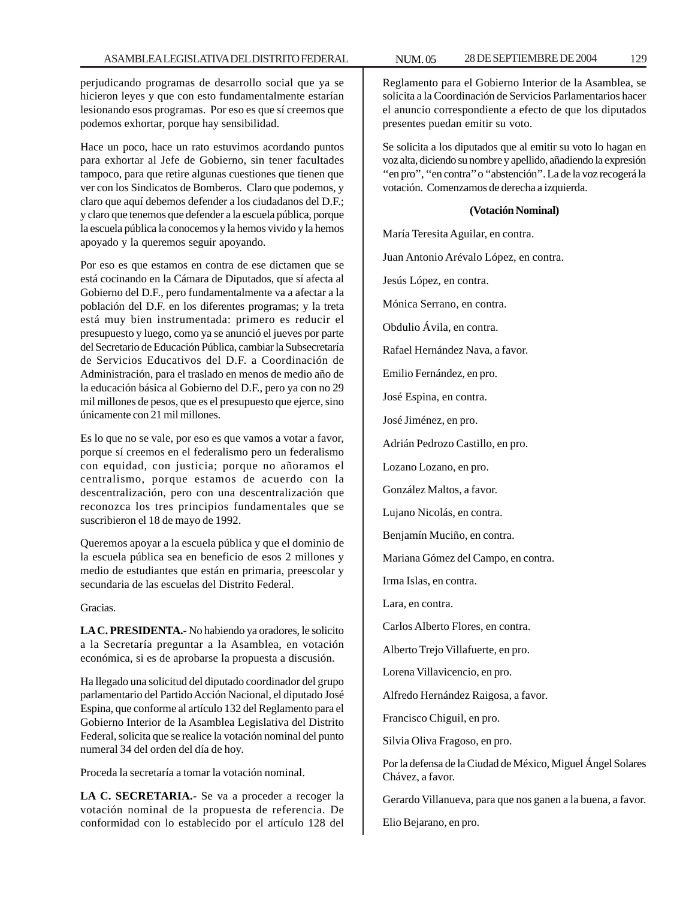perjudicando programas de desarrollo social que ya se hicieron leyes y que con esto fundamentalmente estarían lesionando esos programas. Por eso es que sí creemos que podemos exhortar, porque hay sensibilidad.

Hace un poco, hace un rato estuvimos acordando puntos para exhortar al Jefe de Gobierno, sin tener facultades tampoco, para que retire algunas cuestiones que tienen que ver con los Sindicatos de Bomberos. Claro que podemos, y claro que aquí debemos defender a los ciudadanos del D.F.; y claro que tenemos que defender a la escuela pública, porque la escuela pública la conocemos y la hemos vivido y la hemos apoyado y la queremos seguir apoyando.

Por eso es que estamos en contra de ese dictamen que se está cocinando en la Cámara de Diputados, que sí afecta al Gobierno del D.F., pero fundamentalmente va a afectar a la población del D.F. en los diferentes programas; y la treta está muy bien instrumentada: primero es reducir el presupuesto y luego, como ya se anunció el jueves por parte del Secretario de Educación Pública, cambiar la Subsecretaría de Servicios Educativos del D.F. a Coordinación de Administración, para el traslado en menos de medio año de la educación básica al Gobierno del D.F., pero ya con no 29 mil millones de pesos, que es el presupuesto que ejerce, sino únicamente con 21 mil millones.

Es lo que no se vale, por eso es que vamos a votar a favor, porque sí creemos en el federalismo pero un federalismo con equidad, con justicia; porque no añoramos el centralismo, porque estamos de acuerdo con la descentralización, pero con una descentralización que reconozca los tres principios fundamentales que se suscribieron el 18 de mayo de 1992.

Queremos apoyar a la escuela pública y que el dominio de la escuela pública sea en beneficio de esos 2 millones y medio de estudiantes que están en primaria, preescolar y secundaria de las escuelas del Distrito Federal.

Gracias.

**LA C. PRESIDENTA.-** No habiendo ya oradores, le solicito a la Secretaría preguntar a la Asamblea, en votación económica, si es de aprobarse la propuesta a discusión.

Ha llegado una solicitud del diputado coordinador del grupo parlamentario del Partido Acción Nacional, el diputado José Espina, que conforme al artículo 132 del Reglamento para el Gobierno Interior de la Asamblea Legislativa del Distrito Federal, solicita que se realice la votación nominal del punto numeral 34 del orden del día de hoy.

Proceda la secretaría a tomar la votación nominal.

**LA C. SECRETARIA.-** Se va a proceder a recoger la votación nominal de la propuesta de referencia. De conformidad con lo establecido por el artículo 128 del

Reglamento para el Gobierno Interior de la Asamblea, se solicita a la Coordinación de Servicios Parlamentarios hacer el anuncio correspondiente a efecto de que los diputados presentes puedan emitir su voto.

Se solicita a los diputados que al emitir su voto lo hagan en voz alta, diciendo su nombre y apellido, añadiendo la expresión ''en pro'', ''en contra'' o ''abstención''. La de la voz recogerá la votación. Comenzamos de derecha a izquierda.

#### **(Votación Nominal)**

María Teresita Aguilar, en contra. Juan Antonio Arévalo López, en contra. Jesús López, en contra. Mónica Serrano, en contra. Obdulio Ávila, en contra. Rafael Hernández Nava, a favor. Emilio Fernández, en pro. José Espina, en contra. José Jiménez, en pro. Adrián Pedrozo Castillo, en pro. Lozano Lozano, en pro. González Maltos, a favor. Lujano Nicolás, en contra. Benjamín Muciño, en contra. Mariana Gómez del Campo, en contra. Irma Islas, en contra. Lara, en contra. Carlos Alberto Flores, en contra. Alberto Trejo Villafuerte, en pro. Lorena Villavicencio, en pro. Alfredo Hernández Raigosa, a favor. Francisco Chiguil, en pro. Silvia Oliva Fragoso, en pro. Por la defensa de la Ciudad de México, Miguel Ángel Solares Chávez, a favor. Gerardo Villanueva, para que nos ganen a la buena, a favor. Elio Bejarano, en pro.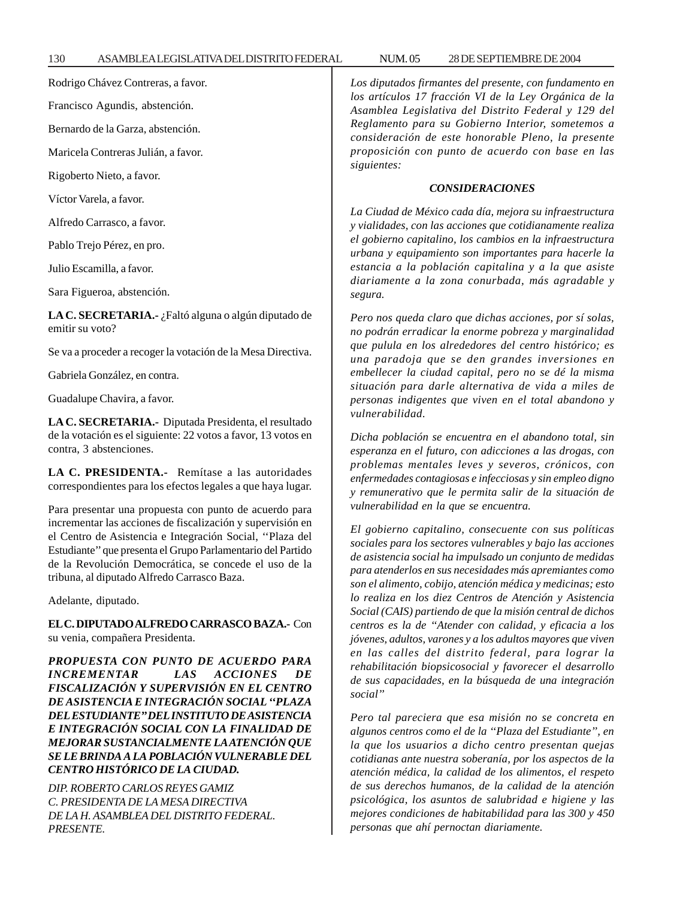Rodrigo Chávez Contreras, a favor.

Francisco Agundis, abstención.

Bernardo de la Garza, abstención.

Maricela Contreras Julián, a favor.

Rigoberto Nieto, a favor.

Víctor Varela, a favor.

Alfredo Carrasco, a favor.

Pablo Trejo Pérez, en pro.

Julio Escamilla, a favor.

Sara Figueroa, abstención.

**LA C. SECRETARIA.-** ¿Faltó alguna o algún diputado de emitir su voto?

Se va a proceder a recoger la votación de la Mesa Directiva.

Gabriela González, en contra.

Guadalupe Chavira, a favor.

**LA C. SECRETARIA.-** Diputada Presidenta, el resultado de la votación es el siguiente: 22 votos a favor, 13 votos en contra, 3 abstenciones.

**LA C. PRESIDENTA.-** Remítase a las autoridades correspondientes para los efectos legales a que haya lugar.

Para presentar una propuesta con punto de acuerdo para incrementar las acciones de fiscalización y supervisión en el Centro de Asistencia e Integración Social, ''Plaza del Estudiante'' que presenta el Grupo Parlamentario del Partido de la Revolución Democrática, se concede el uso de la tribuna, al diputado Alfredo Carrasco Baza.

Adelante, diputado.

**EL C. DIPUTADO ALFREDO CARRASCO BAZA.-** Con su venia, compañera Presidenta.

*PROPUESTA CON PUNTO DE ACUERDO PARA INCREMENTAR LAS ACCIONES DE FISCALIZACIÓN Y SUPERVISIÓN EN EL CENTRO DE ASISTENCIA E INTEGRACIÓN SOCIAL ''PLAZA DEL ESTUDIANTE'' DEL INSTITUTO DE ASISTENCIA E INTEGRACIÓN SOCIAL CON LA FINALIDAD DE MEJORAR SUSTANCIALMENTE LA ATENCIÓN QUE SE LE BRINDA A LA POBLACIÓN VULNERABLE DEL CENTRO HISTÓRICO DE LA CIUDAD.*

*DIP. ROBERTO CARLOS REYES GAMIZ C. PRESIDENTA DE LA MESA DIRECTIVA DE LA H. ASAMBLEA DEL DISTRITO FEDERAL. PRESENTE.*

*Los diputados firmantes del presente, con fundamento en los artículos 17 fracción VI de la Ley Orgánica de la Asamblea Legislativa del Distrito Federal y 129 del Reglamento para su Gobierno Interior, sometemos a consideración de este honorable Pleno, la presente proposición con punto de acuerdo con base en las siguientes:*

#### *CONSIDERACIONES*

*La Ciudad de México cada día, mejora su infraestructura y vialidades, con las acciones que cotidianamente realiza el gobierno capitalino, los cambios en la infraestructura urbana y equipamiento son importantes para hacerle la estancia a la población capitalina y a la que asiste diariamente a la zona conurbada, más agradable y segura.*

*Pero nos queda claro que dichas acciones, por sí solas, no podrán erradicar la enorme pobreza y marginalidad que pulula en los alrededores del centro histórico; es una paradoja que se den grandes inversiones en embellecer la ciudad capital, pero no se dé la misma situación para darle alternativa de vida a miles de personas indigentes que viven en el total abandono y vulnerabilidad.*

*Dicha población se encuentra en el abandono total, sin esperanza en el futuro, con adicciones a las drogas, con problemas mentales leves y severos, crónicos, con enfermedades contagiosas e infecciosas y sin empleo digno y remunerativo que le permita salir de la situación de vulnerabilidad en la que se encuentra.*

*El gobierno capitalino, consecuente con sus políticas sociales para los sectores vulnerables y bajo las acciones de asistencia social ha impulsado un conjunto de medidas para atenderlos en sus necesidades más apremiantes como son el alimento, cobijo, atención médica y medicinas; esto lo realiza en los diez Centros de Atención y Asistencia Social (CAIS) partiendo de que la misión central de dichos centros es la de ''Atender con calidad, y eficacia a los jóvenes, adultos, varones y a los adultos mayores que viven en las calles del distrito federal, para lograr la rehabilitación biopsicosocial y favorecer el desarrollo de sus capacidades, en la búsqueda de una integración social''*

*Pero tal pareciera que esa misión no se concreta en algunos centros como el de la ''Plaza del Estudiante'', en la que los usuarios a dicho centro presentan quejas cotidianas ante nuestra soberanía, por los aspectos de la atención médica, la calidad de los alimentos, el respeto de sus derechos humanos, de la calidad de la atención psicológica, los asuntos de salubridad e higiene y las mejores condiciones de habitabilidad para las 300 y 450 personas que ahí pernoctan diariamente.*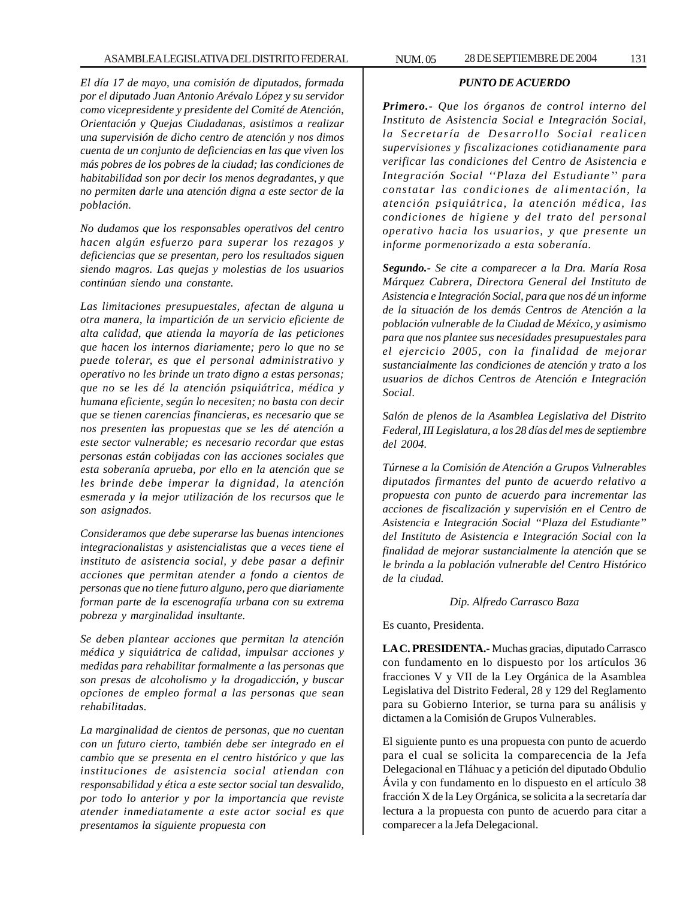*El día 17 de mayo, una comisión de diputados, formada por el diputado Juan Antonio Arévalo López y su servidor como vicepresidente y presidente del Comité de Atención, Orientación y Quejas Ciudadanas, asistimos a realizar una supervisión de dicho centro de atención y nos dimos cuenta de un conjunto de deficiencias en las que viven los más pobres de los pobres de la ciudad; las condiciones de habitabilidad son por decir los menos degradantes, y que no permiten darle una atención digna a este sector de la población.*

*No dudamos que los responsables operativos del centro hacen algún esfuerzo para superar los rezagos y deficiencias que se presentan, pero los resultados siguen siendo magros. Las quejas y molestias de los usuarios continúan siendo una constante.*

*Las limitaciones presupuestales, afectan de alguna u otra manera, la impartición de un servicio eficiente de alta calidad, que atienda la mayoría de las peticiones que hacen los internos diariamente; pero lo que no se puede tolerar, es que el personal administrativo y operativo no les brinde un trato digno a estas personas; que no se les dé la atención psiquiátrica, médica y humana eficiente, según lo necesiten; no basta con decir que se tienen carencias financieras, es necesario que se nos presenten las propuestas que se les dé atención a este sector vulnerable; es necesario recordar que estas personas están cobijadas con las acciones sociales que esta soberanía aprueba, por ello en la atención que se les brinde debe imperar la dignidad, la atención esmerada y la mejor utilización de los recursos que le son asignados.*

*Consideramos que debe superarse las buenas intenciones integracionalistas y asistencialistas que a veces tiene el instituto de asistencia social, y debe pasar a definir acciones que permitan atender a fondo a cientos de personas que no tiene futuro alguno, pero que diariamente forman parte de la escenografía urbana con su extrema pobreza y marginalidad insultante.*

*Se deben plantear acciones que permitan la atención médica y siquiátrica de calidad, impulsar acciones y medidas para rehabilitar formalmente a las personas que son presas de alcoholismo y la drogadicción, y buscar opciones de empleo formal a las personas que sean rehabilitadas.*

*La marginalidad de cientos de personas, que no cuentan con un futuro cierto, también debe ser integrado en el cambio que se presenta en el centro histórico y que las instituciones de asistencia social atiendan con responsabilidad y ética a este sector social tan desvalido, por todo lo anterior y por la importancia que reviste atender inmediatamente a este actor social es que presentamos la siguiente propuesta con*

#### *PUNTO DE ACUERDO*

*Primero.- Que los órganos de control interno del Instituto de Asistencia Social e Integración Social, la Secretaría de Desarrollo Social realicen supervisiones y fiscalizaciones cotidianamente para verificar las condiciones del Centro de Asistencia e Integración Social ''Plaza del Estudiante'' para constatar las condiciones de alimentación, la atención psiquiátrica, la atención médica, las condiciones de higiene y del trato del personal operativo hacia los usuarios, y que presente un informe pormenorizado a esta soberanía.*

*Segundo.- Se cite a comparecer a la Dra. María Rosa Márquez Cabrera, Directora General del Instituto de Asistencia e Integración Social, para que nos dé un informe de la situación de los demás Centros de Atención a la población vulnerable de la Ciudad de México, y asimismo para que nos plantee sus necesidades presupuestales para el ejercicio 2005, con la finalidad de mejorar sustancialmente las condiciones de atención y trato a los usuarios de dichos Centros de Atención e Integración Social.*

*Salón de plenos de la Asamblea Legislativa del Distrito Federal, III Legislatura, a los 28 días del mes de septiembre del 2004.*

*Túrnese a la Comisión de Atención a Grupos Vulnerables diputados firmantes del punto de acuerdo relativo a propuesta con punto de acuerdo para incrementar las acciones de fiscalización y supervisión en el Centro de Asistencia e Integración Social ''Plaza del Estudiante'' del Instituto de Asistencia e Integración Social con la finalidad de mejorar sustancialmente la atención que se le brinda a la población vulnerable del Centro Histórico de la ciudad.*

#### *Dip. Alfredo Carrasco Baza*

Es cuanto, Presidenta.

**LA C. PRESIDENTA.-** Muchas gracias, diputado Carrasco con fundamento en lo dispuesto por los artículos 36 fracciones V y VII de la Ley Orgánica de la Asamblea Legislativa del Distrito Federal, 28 y 129 del Reglamento para su Gobierno Interior, se turna para su análisis y dictamen a la Comisión de Grupos Vulnerables.

El siguiente punto es una propuesta con punto de acuerdo para el cual se solicita la comparecencia de la Jefa Delegacional en Tláhuac y a petición del diputado Obdulio Ávila y con fundamento en lo dispuesto en el artículo 38 fracción X de la Ley Orgánica, se solicita a la secretaría dar lectura a la propuesta con punto de acuerdo para citar a comparecer a la Jefa Delegacional.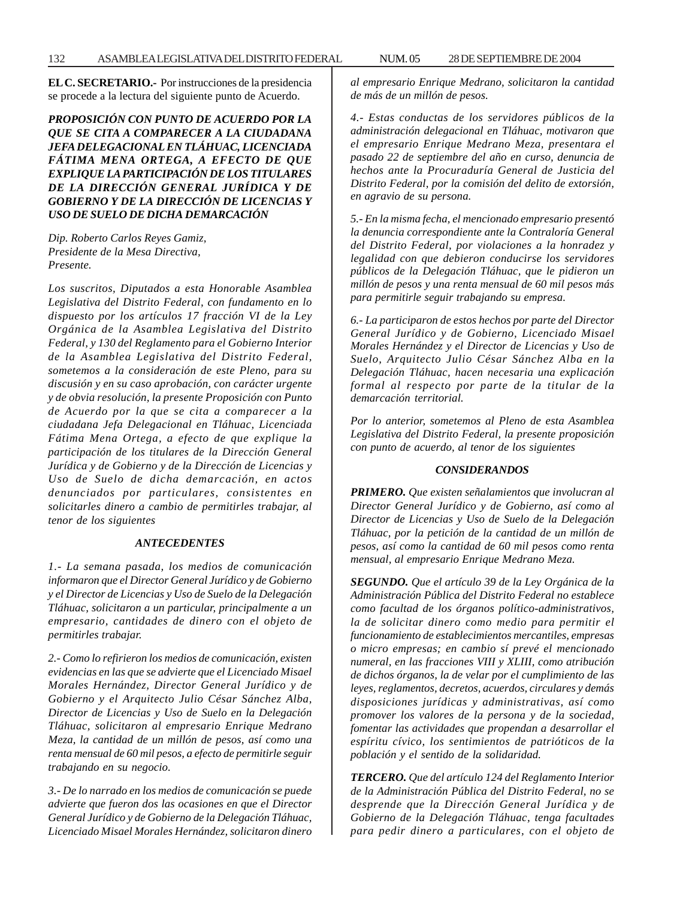**EL C. SECRETARIO.-** Por instrucciones de la presidencia se procede a la lectura del siguiente punto de Acuerdo.

*PROPOSICIÓN CON PUNTO DE ACUERDO POR LA QUE SE CITA A COMPARECER A LA CIUDADANA JEFA DELEGACIONAL EN TLÁHUAC, LICENCIADA FÁTIMA MENA ORTEGA, A EFECTO DE QUE EXPLIQUE LA PARTICIPACIÓN DE LOS TITULARES DE LA DIRECCIÓN GENERAL JURÍDICA Y DE GOBIERNO Y DE LA DIRECCIÓN DE LICENCIAS Y USO DE SUELO DE DICHA DEMARCACIÓN*

*Dip. Roberto Carlos Reyes Gamiz, Presidente de la Mesa Directiva, Presente.*

*Los suscritos, Diputados a esta Honorable Asamblea Legislativa del Distrito Federal, con fundamento en lo dispuesto por los artículos 17 fracción VI de la Ley Orgánica de la Asamblea Legislativa del Distrito Federal, y 130 del Reglamento para el Gobierno Interior de la Asamblea Legislativa del Distrito Federal, sometemos a la consideración de este Pleno, para su discusión y en su caso aprobación, con carácter urgente y de obvia resolución, la presente Proposición con Punto de Acuerdo por la que se cita a comparecer a la ciudadana Jefa Delegacional en Tláhuac, Licenciada Fátima Mena Ortega, a efecto de que explique la participación de los titulares de la Dirección General Jurídica y de Gobierno y de la Dirección de Licencias y Uso de Suelo de dicha demarcación, en actos denunciados por particulares, consistentes en solicitarles dinero a cambio de permitirles trabajar, al tenor de los siguientes*

## *ANTECEDENTES*

*1.- La semana pasada, los medios de comunicación informaron que el Director General Jurídico y de Gobierno y el Director de Licencias y Uso de Suelo de la Delegación Tláhuac, solicitaron a un particular, principalmente a un empresario, cantidades de dinero con el objeto de permitirles trabajar.*

*2.- Como lo refirieron los medios de comunicación, existen evidencias en las que se advierte que el Licenciado Misael Morales Hernández, Director General Jurídico y de Gobierno y el Arquitecto Julio César Sánchez Alba, Director de Licencias y Uso de Suelo en la Delegación Tláhuac, solicitaron al empresario Enrique Medrano Meza, la cantidad de un millón de pesos, así como una renta mensual de 60 mil pesos, a efecto de permitirle seguir trabajando en su negocio.*

*3.- De lo narrado en los medios de comunicación se puede advierte que fueron dos las ocasiones en que el Director General Jurídico y de Gobierno de la Delegación Tláhuac, Licenciado Misael Morales Hernández, solicitaron dinero* *al empresario Enrique Medrano, solicitaron la cantidad de más de un millón de pesos.*

*4.- Estas conductas de los servidores públicos de la administración delegacional en Tláhuac, motivaron que el empresario Enrique Medrano Meza, presentara el pasado 22 de septiembre del año en curso, denuncia de hechos ante la Procuraduría General de Justicia del Distrito Federal, por la comisión del delito de extorsión, en agravio de su persona.*

*5.- En la misma fecha, el mencionado empresario presentó la denuncia correspondiente ante la Contraloría General del Distrito Federal, por violaciones a la honradez y legalidad con que debieron conducirse los servidores públicos de la Delegación Tláhuac, que le pidieron un millón de pesos y una renta mensual de 60 mil pesos más para permitirle seguir trabajando su empresa.*

*6.- La participaron de estos hechos por parte del Director General Jurídico y de Gobierno, Licenciado Misael Morales Hernández y el Director de Licencias y Uso de Suelo, Arquitecto Julio César Sánchez Alba en la Delegación Tláhuac, hacen necesaria una explicación formal al respecto por parte de la titular de la demarcación territorial.*

*Por lo anterior, sometemos al Pleno de esta Asamblea Legislativa del Distrito Federal, la presente proposición con punto de acuerdo, al tenor de los siguientes*

## *CONSIDERANDOS*

*PRIMERO. Que existen señalamientos que involucran al Director General Jurídico y de Gobierno, así como al Director de Licencias y Uso de Suelo de la Delegación Tláhuac, por la petición de la cantidad de un millón de pesos, así como la cantidad de 60 mil pesos como renta mensual, al empresario Enrique Medrano Meza.*

*SEGUNDO. Que el artículo 39 de la Ley Orgánica de la Administración Pública del Distrito Federal no establece como facultad de los órganos político-administrativos, la de solicitar dinero como medio para permitir el funcionamiento de establecimientos mercantiles, empresas o micro empresas; en cambio sí prevé el mencionado numeral, en las fracciones VIII y XLIII, como atribución de dichos órganos, la de velar por el cumplimiento de las leyes, reglamentos, decretos, acuerdos, circulares y demás disposiciones jurídicas y administrativas, así como promover los valores de la persona y de la sociedad, fomentar las actividades que propendan a desarrollar el espíritu cívico, los sentimientos de patrióticos de la población y el sentido de la solidaridad.*

*TERCERO. Que del artículo 124 del Reglamento Interior de la Administración Pública del Distrito Federal, no se desprende que la Dirección General Jurídica y de Gobierno de la Delegación Tláhuac, tenga facultades para pedir dinero a particulares, con el objeto de*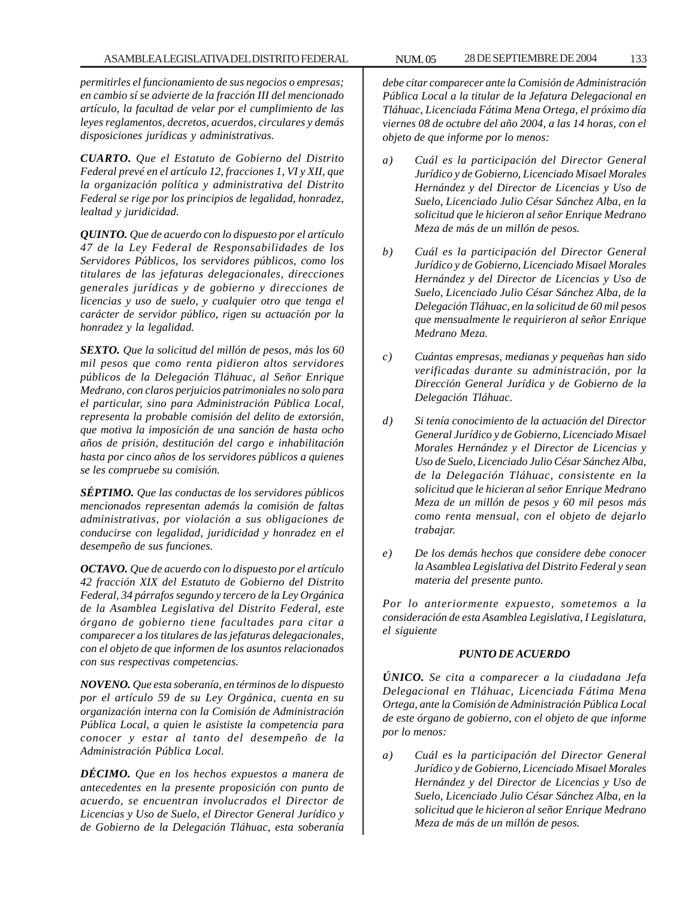*permitirles el funcionamiento de sus negocios o empresas; en cambio sí se advierte de la fracción III del mencionado artículo, la facultad de velar por el cumplimiento de las leyes reglamentos, decretos, acuerdos, circulares y demás disposiciones jurídicas y administrativas.*

*CUARTO. Que el Estatuto de Gobierno del Distrito Federal prevé en el artículo 12, fracciones 1, VI y XII, que la organización política y administrativa del Distrito Federal se rige por los principios de legalidad, honradez, lealtad y juridicidad.*

*QUINTO. Que de acuerdo con lo dispuesto por el artículo 47 de la Ley Federal de Responsabilidades de los Servidores Públicos, los servidores públicos, como los titulares de las jefaturas delegacionales, direcciones generales jurídicas y de gobierno y direcciones de licencias y uso de suelo, y cualquier otro que tenga el carácter de servidor público, rigen su actuación por la honradez y la legalidad.*

*SEXTO. Que la solicitud del millón de pesos, más los 60 mil pesos que como renta pidieron altos servidores públicos de la Delegación Tláhuac, al Señor Enrique Medrano, con claros perjuicios patrimoniales no solo para el particular, sino para Administración Pública Local, representa la probable comisión del delito de extorsión, que motiva la imposición de una sanción de hasta ocho años de prisión, destitución del cargo e inhabilitación hasta por cinco años de los servidores públicos a quienes se les compruebe su comisión.*

*SÉPTIMO. Que las conductas de los servidores públicos mencionados representan además la comisión de faltas administrativas, por violación a sus obligaciones de conducirse con legalidad, juridicidad y honradez en el desempeño de sus funciones.*

*OCTAVO. Que de acuerdo con lo dispuesto por el artículo 42 fracción XIX del Estatuto de Gobierno del Distrito Federal, 34 párrafos segundo y tercero de la Ley Orgánica de la Asamblea Legislativa del Distrito Federal, este órgano de gobierno tiene facultades para citar a comparecer a los titulares de las jefaturas delegacionales, con el objeto de que informen de los asuntos relacionados con sus respectivas competencias.*

*NOVENO. Que esta soberanía, en términos de lo dispuesto por el artículo 59 de su Ley Orgánica, cuenta en su organización interna con la Comisión de Administración Pública Local, a quien le asististe la competencia para conocer y estar al tanto del desempeño de la Administración Pública Local.*

*DÉCIMO. Que en los hechos expuestos a manera de antecedentes en la presente proposición con punto de acuerdo, se encuentran involucrados el Director de Licencias y Uso de Suelo, el Director General Jurídico y de Gobierno de la Delegación Tláhuac, esta soberanía*

*debe citar comparecer ante la Comisión de Administración Pública Local a la titular de la Jefatura Delegacional en Tláhuac, Licenciada Fátima Mena Ortega, el próximo día viernes 08 de octubre del año 2004, a las 14 horas, con el objeto de que informe por lo menos:*

- *a) Cuál es la participación del Director General Jurídico y de Gobierno, Licenciado Misael Morales Hernández y del Director de Licencias y Uso de Suelo, Licenciado Julio César Sánchez Alba, en la solicitud que le hicieron al señor Enrique Medrano Meza de más de un millón de pesos.*
- *b) Cuál es la participación del Director General Jurídico y de Gobierno, Licenciado Misael Morales Hernández y del Director de Licencias y Uso de Suelo, Licenciado Julio César Sánchez Alba, de la Delegación Tláhuac, en la solicitud de 60 mil pesos que mensualmente le requirieron al señor Enrique Medrano Meza.*
- *c) Cuántas empresas, medianas y pequeñas han sido verificadas durante su administración, por la Dirección General Jurídica y de Gobierno de la Delegación Tláhuac.*
- *d) Si tenía conocimiento de la actuación del Director General Jurídico y de Gobierno, Licenciado Misael Morales Hernández y el Director de Licencias y Uso de Suelo, Licenciado Julio César Sánchez Alba, de la Delegación Tláhuac, consistente en la solicitud que le hicieran al señor Enrique Medrano Meza de un millón de pesos y 60 mil pesos más como renta mensual, con el objeto de dejarlo trabajar.*
- *e) De los demás hechos que considere debe conocer la Asamblea Legislativa del Distrito Federal y sean materia del presente punto.*

*Por lo anteriormente expuesto, sometemos a la consideración de esta Asamblea Legislativa, I Legislatura, el siguiente*

## *PUNTO DE ACUERDO*

*ÚNICO. Se cita a comparecer a la ciudadana Jefa Delegacional en Tláhuac, Licenciada Fátima Mena Ortega, ante la Comisión de Administración Pública Local de este órgano de gobierno, con el objeto de que informe por lo menos:*

*a) Cuál es la participación del Director General Jurídico y de Gobierno, Licenciado Misael Morales Hernández y del Director de Licencias y Uso de Suelo, Licenciado Julio César Sánchez Alba, en la solicitud que le hicieron al señor Enrique Medrano Meza de más de un millón de pesos.*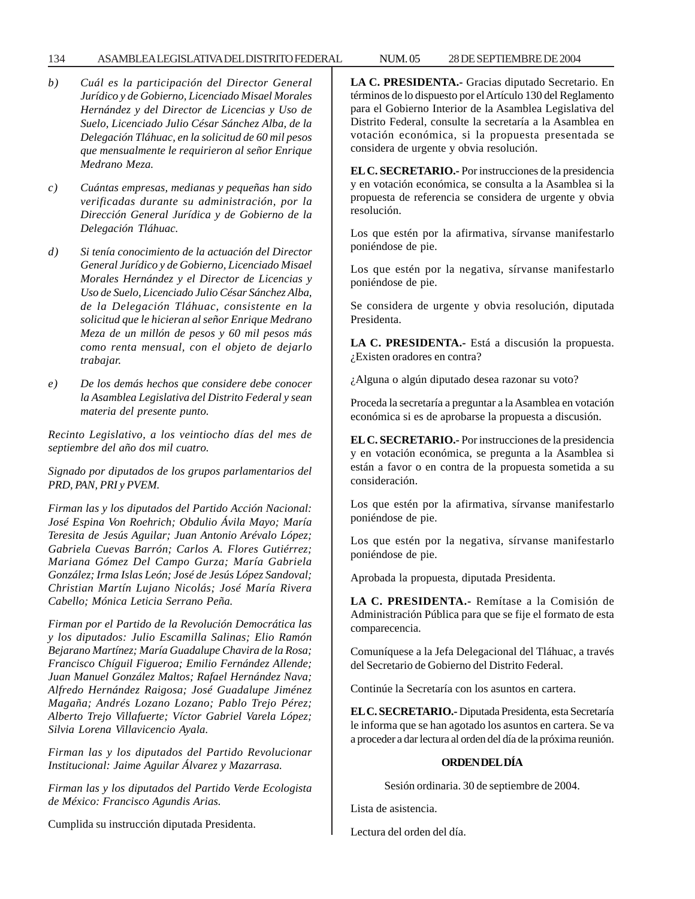## 134 ASAMBLEA LEGISLATIVA DEL DISTRITO FEDERAL NUM. 05 28 DE SEPTIEMBRE DE 2004

- *b) Cuál es la participación del Director General Jurídico y de Gobierno, Licenciado Misael Morales Hernández y del Director de Licencias y Uso de Suelo, Licenciado Julio César Sánchez Alba, de la Delegación Tláhuac, en la solicitud de 60 mil pesos que mensualmente le requirieron al señor Enrique Medrano Meza.*
- *c) Cuántas empresas, medianas y pequeñas han sido verificadas durante su administración, por la Dirección General Jurídica y de Gobierno de la Delegación Tláhuac.*
- *d) Si tenía conocimiento de la actuación del Director General Jurídico y de Gobierno, Licenciado Misael Morales Hernández y el Director de Licencias y Uso de Suelo, Licenciado Julio César Sánchez Alba, de la Delegación Tláhuac, consistente en la solicitud que le hicieran al señor Enrique Medrano Meza de un millón de pesos y 60 mil pesos más como renta mensual, con el objeto de dejarlo trabajar.*
- *e) De los demás hechos que considere debe conocer la Asamblea Legislativa del Distrito Federal y sean materia del presente punto.*

*Recinto Legislativo, a los veintiocho días del mes de septiembre del año dos mil cuatro.*

*Signado por diputados de los grupos parlamentarios del PRD, PAN, PRI y PVEM.*

*Firman las y los diputados del Partido Acción Nacional: José Espina Von Roehrich; Obdulio Ávila Mayo; María Teresita de Jesús Aguilar; Juan Antonio Arévalo López; Gabriela Cuevas Barrón; Carlos A. Flores Gutiérrez; Mariana Gómez Del Campo Gurza; María Gabriela González; Irma Islas León; José de Jesús López Sandoval; Christian Martín Lujano Nicolás; José María Rivera Cabello; Mónica Leticia Serrano Peña.*

*Firman por el Partido de la Revolución Democrática las y los diputados: Julio Escamilla Salinas; Elio Ramón Bejarano Martínez; María Guadalupe Chavira de la Rosa; Francisco Chíguil Figueroa; Emilio Fernández Allende; Juan Manuel González Maltos; Rafael Hernández Nava; Alfredo Hernández Raigosa; José Guadalupe Jiménez Magaña; Andrés Lozano Lozano; Pablo Trejo Pérez; Alberto Trejo Villafuerte; Víctor Gabriel Varela López; Silvia Lorena Villavicencio Ayala.*

*Firman las y los diputados del Partido Revolucionar Institucional: Jaime Aguilar Álvarez y Mazarrasa.*

*Firman las y los diputados del Partido Verde Ecologista de México: Francisco Agundis Arias.*

Cumplida su instrucción diputada Presidenta.

**LA C. PRESIDENTA.-** Gracias diputado Secretario. En términos de lo dispuesto por el Artículo 130 del Reglamento para el Gobierno Interior de la Asamblea Legislativa del Distrito Federal, consulte la secretaría a la Asamblea en votación económica, si la propuesta presentada se considera de urgente y obvia resolución.

**EL C. SECRETARIO.-** Por instrucciones de la presidencia y en votación económica, se consulta a la Asamblea si la propuesta de referencia se considera de urgente y obvia resolución.

Los que estén por la afirmativa, sírvanse manifestarlo poniéndose de pie.

Los que estén por la negativa, sírvanse manifestarlo poniéndose de pie.

Se considera de urgente y obvia resolución, diputada Presidenta.

**LA C. PRESIDENTA.-** Está a discusión la propuesta. ¿Existen oradores en contra?

¿Alguna o algún diputado desea razonar su voto?

Proceda la secretaría a preguntar a la Asamblea en votación económica si es de aprobarse la propuesta a discusión.

**EL C. SECRETARIO.-** Por instrucciones de la presidencia y en votación económica, se pregunta a la Asamblea si están a favor o en contra de la propuesta sometida a su consideración.

Los que estén por la afirmativa, sírvanse manifestarlo poniéndose de pie.

Los que estén por la negativa, sírvanse manifestarlo poniéndose de pie.

Aprobada la propuesta, diputada Presidenta.

**LA C. PRESIDENTA.-** Remítase a la Comisión de Administración Pública para que se fije el formato de esta comparecencia.

Comuníquese a la Jefa Delegacional del Tláhuac, a través del Secretario de Gobierno del Distrito Federal.

Continúe la Secretaría con los asuntos en cartera.

**EL C. SECRETARIO.-** Diputada Presidenta, esta Secretaría le informa que se han agotado los asuntos en cartera. Se va a proceder a dar lectura al orden del día de la próxima reunión.

## **ORDEN DEL DÍA**

Sesión ordinaria. 30 de septiembre de 2004.

Lista de asistencia.

Lectura del orden del día.